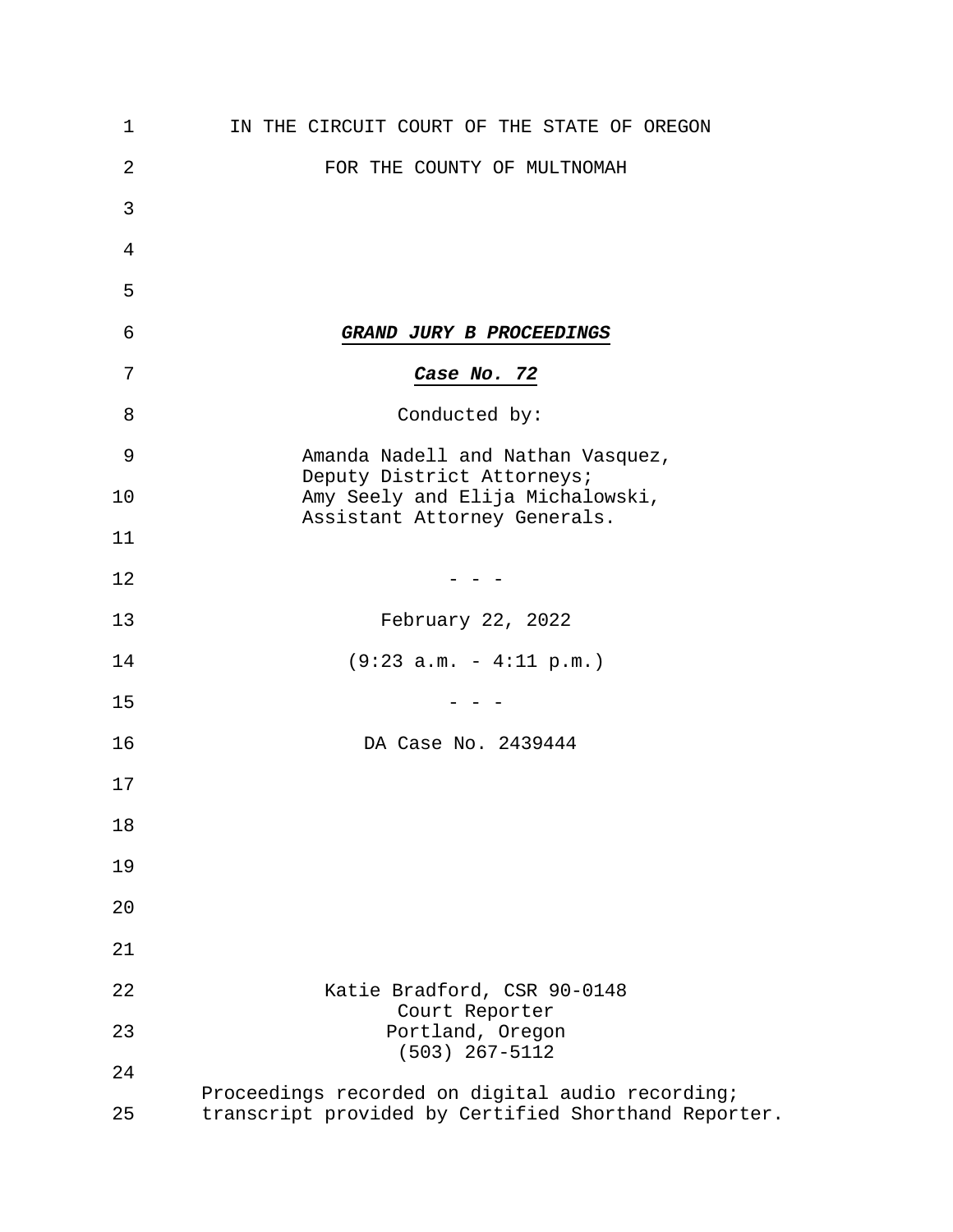| 1  | IN THE CIRCUIT COURT OF THE STATE OF OREGON                      |
|----|------------------------------------------------------------------|
| 2  | FOR THE COUNTY OF MULTNOMAH                                      |
| 3  |                                                                  |
| 4  |                                                                  |
| 5  |                                                                  |
| 6  | GRAND JURY B PROCEEDINGS                                         |
| 7  | Case No. 72                                                      |
| 8  | Conducted by:                                                    |
| 9  | Amanda Nadell and Nathan Vasquez,<br>Deputy District Attorneys;  |
| 10 | Amy Seely and Elija Michalowski,<br>Assistant Attorney Generals. |
| 11 |                                                                  |
| 12 |                                                                  |
| 13 | February 22, 2022                                                |
| 14 | $(9:23 a.m. - 4:11 p.m.)$                                        |
| 15 |                                                                  |
| 16 | DA Case No. 2439444                                              |
| 17 |                                                                  |
| 18 |                                                                  |
| 19 |                                                                  |
| 20 |                                                                  |
| 21 |                                                                  |
| 22 | Katie Bradford, CSR 90-0148<br>Court Reporter                    |
| 23 | Portland, Oregon<br>$(503)$ 267-5112                             |
| 24 | Proceedings recorded on digital audio recording;                 |
| 25 | transcript provided by Certified Shorthand Reporter.             |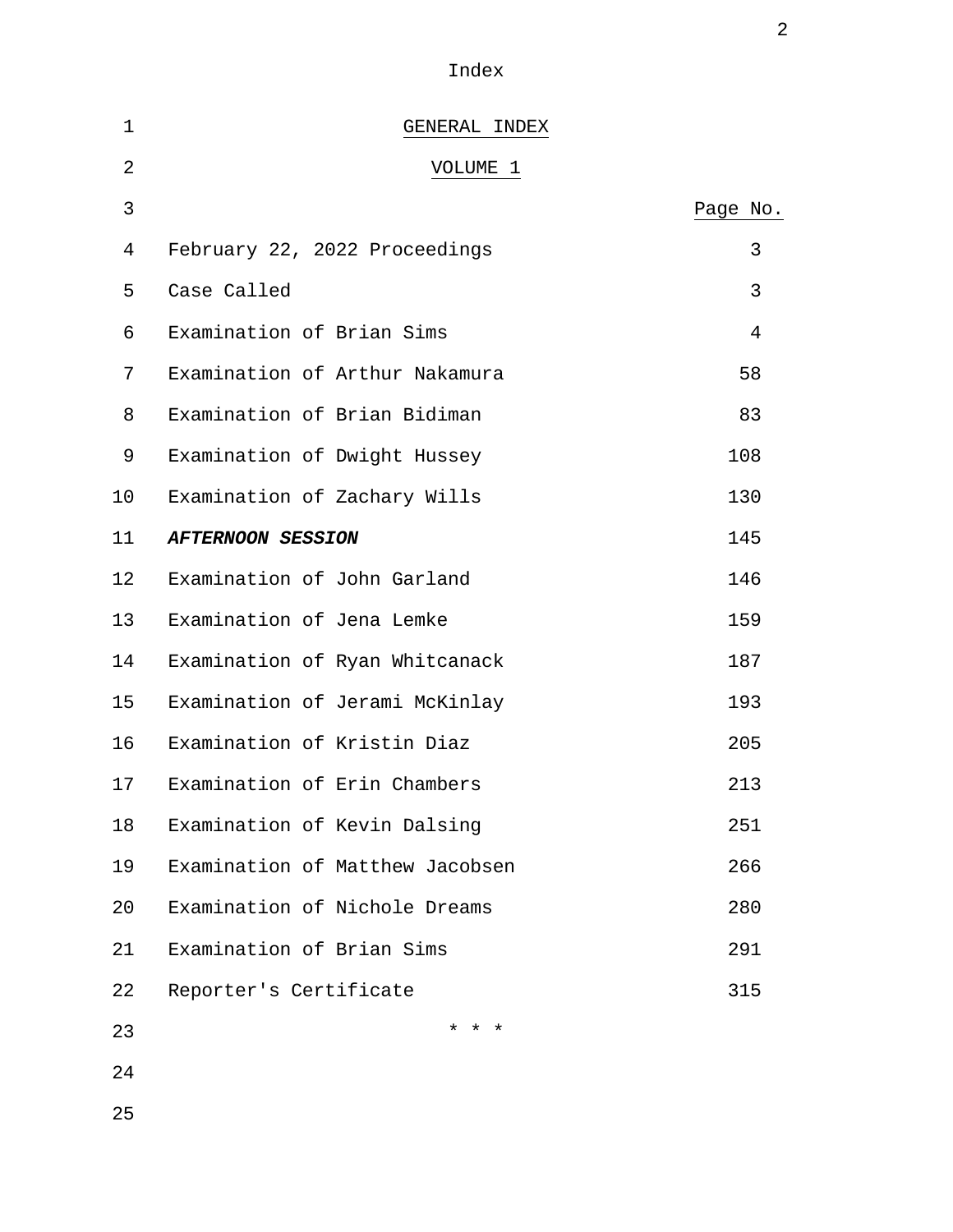Index

2

| 1  | GENERAL INDEX                   |                |
|----|---------------------------------|----------------|
| 2  | VOLUME 1                        |                |
| 3  |                                 | Page No.       |
| 4  | February 22, 2022 Proceedings   | 3              |
| 5  | Case Called                     | 3              |
| 6  | Examination of Brian Sims       | $\overline{4}$ |
| 7  | Examination of Arthur Nakamura  | 58             |
| 8  | Examination of Brian Bidiman    | 83             |
| 9  | Examination of Dwight Hussey    | 108            |
| 10 | Examination of Zachary Wills    | 130            |
| 11 | <b>AFTERNOON SESSION</b>        | 145            |
| 12 | Examination of John Garland     | 146            |
| 13 | Examination of Jena Lemke       | 159            |
| 14 | Examination of Ryan Whitcanack  | 187            |
| 15 | Examination of Jerami McKinlay  | 193            |
| 16 | Examination of Kristin Diaz     | 205            |
| 17 | Examination of Erin Chambers    | 213            |
| 18 | Examination of Kevin Dalsing    | 251            |
| 19 | Examination of Matthew Jacobsen | 266            |
| 20 | Examination of Nichole Dreams   | 280            |
| 21 | Examination of Brian Sims       | 291            |
| 22 | Reporter's Certificate          | 315            |
| 23 | $\star$<br>$\star$<br>$^\star$  |                |
| 24 |                                 |                |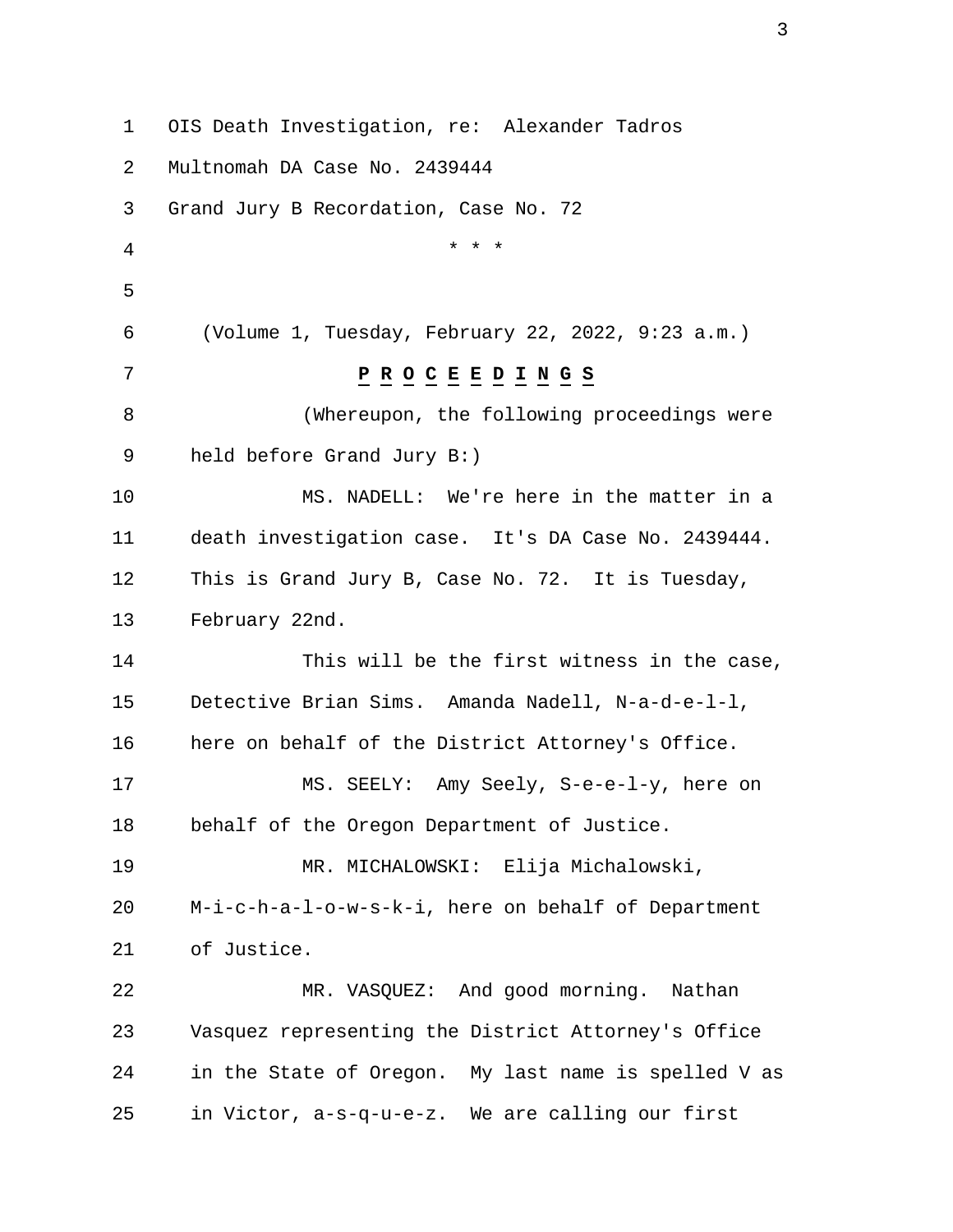1 OIS Death Investigation, re: Alexander Tadros 2 Multnomah DA Case No. 2439444 3 Grand Jury B Recordation, Case No. 72 4 \* \* \* 5 6 (Volume 1, Tuesday, February 22, 2022, 9:23 a.m.) 7 **P R O C E E D I N G S** 8 (Whereupon, the following proceedings were 9 held before Grand Jury B:) 10 MS. NADELL: We're here in the matter in a 11 death investigation case. It's DA Case No. 2439444. 12 This is Grand Jury B, Case No. 72. It is Tuesday, 13 February 22nd. 14 This will be the first witness in the case, 15 Detective Brian Sims. Amanda Nadell, N-a-d-e-l-l, 16 here on behalf of the District Attorney's Office. 17 MS. SEELY: Amy Seely, S-e-e-l-y, here on 18 behalf of the Oregon Department of Justice. 19 MR. MICHALOWSKI: Elija Michalowski, 20 M-i-c-h-a-l-o-w-s-k-i, here on behalf of Department 21 of Justice. 22 MR. VASQUEZ: And good morning. Nathan 23 Vasquez representing the District Attorney's Office 24 in the State of Oregon. My last name is spelled V as 25 in Victor, a-s-q-u-e-z. We are calling our first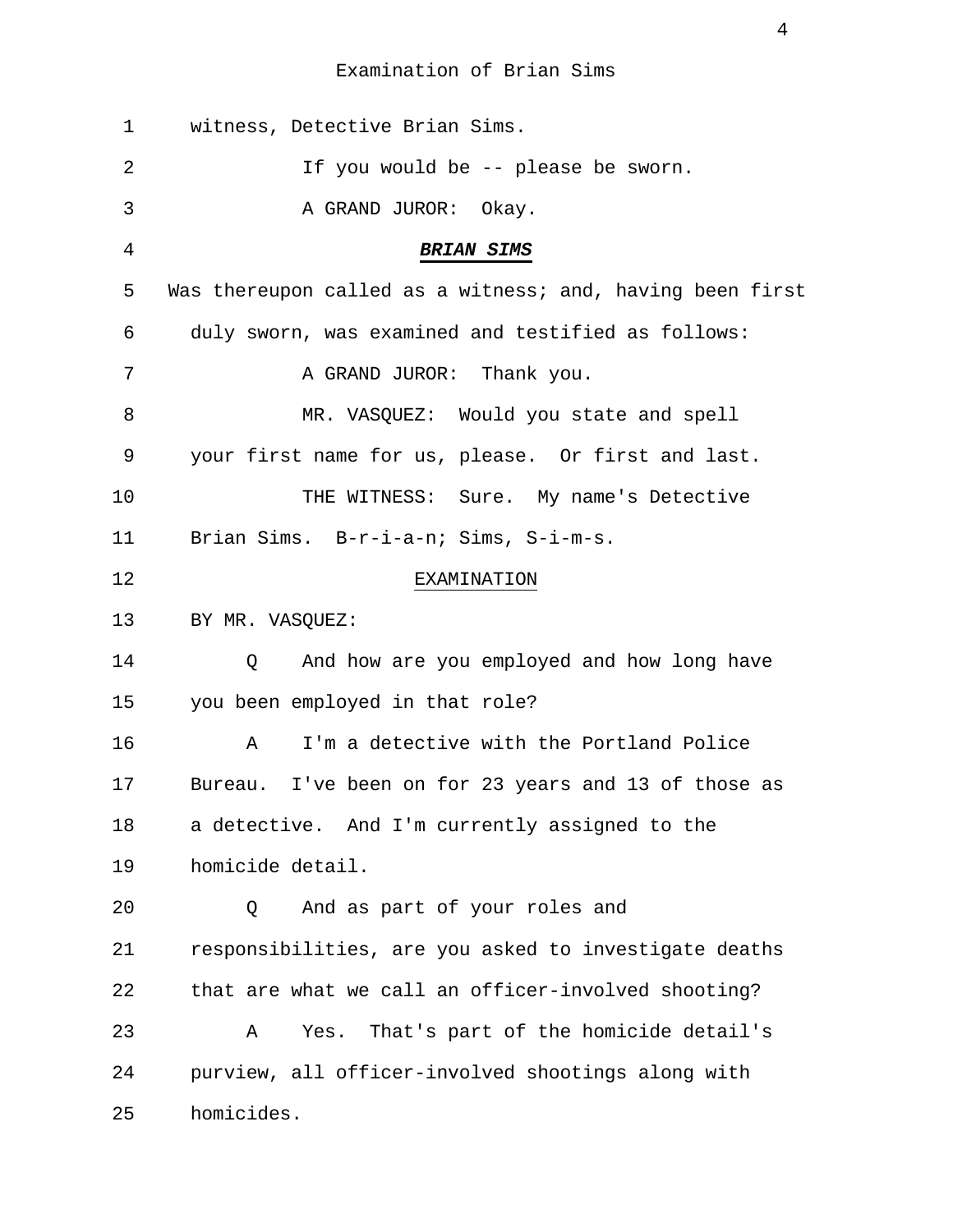| 1  | witness, Detective Brian Sims.                            |
|----|-----------------------------------------------------------|
| 2  | If you would be -- please be sworn.                       |
| 3  | A GRAND JUROR: Okay.                                      |
| 4  | <b>BRIAN SIMS</b>                                         |
| 5  | Was thereupon called as a witness; and, having been first |
| 6  | duly sworn, was examined and testified as follows:        |
| 7  | A GRAND JUROR: Thank you.                                 |
| 8  | MR. VASQUEZ: Would you state and spell                    |
| 9  | your first name for us, please. Or first and last.        |
| 10 | THE WITNESS: Sure. My name's Detective                    |
| 11 | Brian Sims. B-r-i-a-n; Sims, S-i-m-s.                     |
| 12 | EXAMINATION                                               |
| 13 | BY MR. VASQUEZ:                                           |
| 14 | And how are you employed and how long have<br>Q           |
| 15 | you been employed in that role?                           |
| 16 | I'm a detective with the Portland Police<br>Α             |
| 17 | Bureau. I've been on for 23 years and 13 of those as      |
| 18 | a detective. And I'm currently assigned to the            |
| 19 | homicide detail.                                          |
| 20 | And as part of your roles and<br>Q                        |
| 21 | responsibilities, are you asked to investigate deaths     |
| 22 | that are what we call an officer-involved shooting?       |
| 23 | That's part of the homicide detail's<br>Α<br>Yes.         |
| 24 | purview, all officer-involved shootings along with        |
| 25 | homicides.                                                |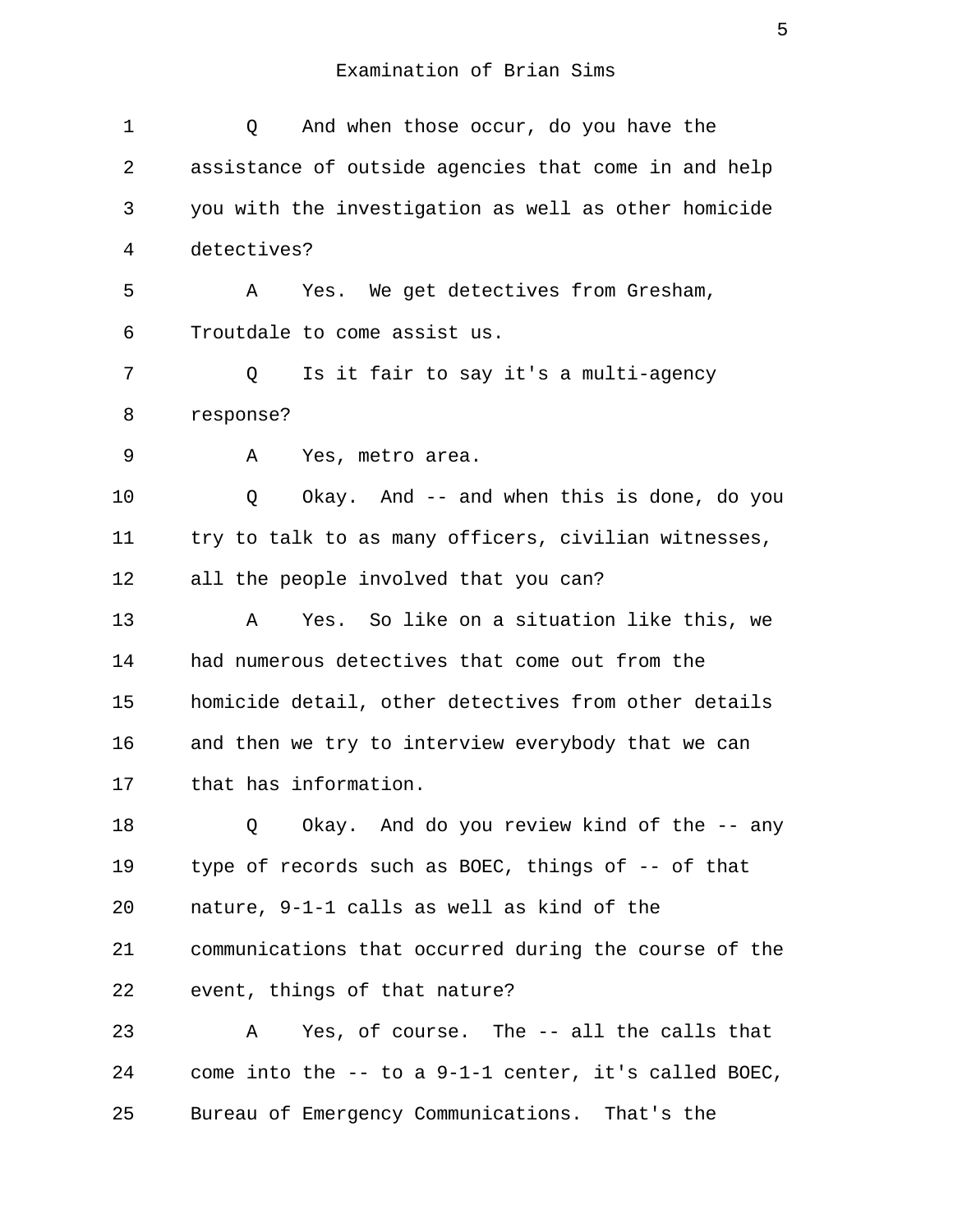1 Q And when those occur, do you have the 2 assistance of outside agencies that come in and help 3 you with the investigation as well as other homicide 4 detectives? 5 A Yes. We get detectives from Gresham, 6 Troutdale to come assist us. 7 Q Is it fair to say it's a multi-agency 8 response? 9 A Yes, metro area. 10 Q Okay. And -- and when this is done, do you 11 try to talk to as many officers, civilian witnesses, 12 all the people involved that you can? 13 A Yes. So like on a situation like this, we 14 had numerous detectives that come out from the 15 homicide detail, other detectives from other details 16 and then we try to interview everybody that we can 17 that has information. 18 Q Okay. And do you review kind of the -- any 19 type of records such as BOEC, things of -- of that 20 nature, 9-1-1 calls as well as kind of the 21 communications that occurred during the course of the 22 event, things of that nature? 23 A Yes, of course. The -- all the calls that 24 come into the -- to a 9-1-1 center, it's called BOEC, 25 Bureau of Emergency Communications. That's the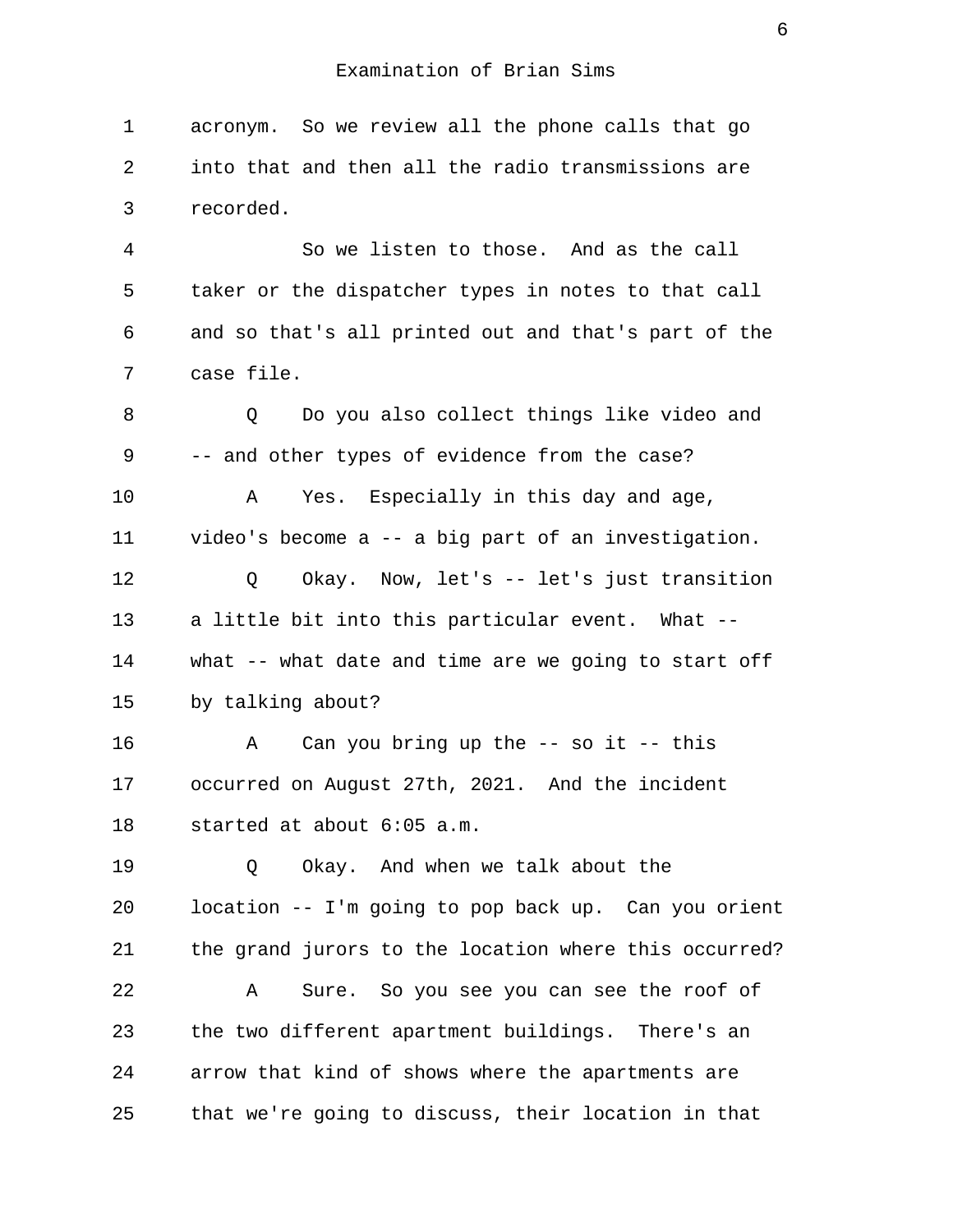1 acronym. So we review all the phone calls that go 2 into that and then all the radio transmissions are 3 recorded.

 4 So we listen to those. And as the call 5 taker or the dispatcher types in notes to that call 6 and so that's all printed out and that's part of the 7 case file.

8 O Do you also collect things like video and 9 -- and other types of evidence from the case? 10 A Yes. Especially in this day and age, 11 video's become a -- a big part of an investigation. 12 Q Okay. Now, let's -- let's just transition 13 a little bit into this particular event. What -- 14 what -- what date and time are we going to start off 15 by talking about?

16 A Can you bring up the -- so it -- this 17 occurred on August 27th, 2021. And the incident 18 started at about 6:05 a.m.

19 O Okay. And when we talk about the 20 location -- I'm going to pop back up. Can you orient 21 the grand jurors to the location where this occurred? 22 A Sure. So you see you can see the roof of 23 the two different apartment buildings. There's an 24 arrow that kind of shows where the apartments are 25 that we're going to discuss, their location in that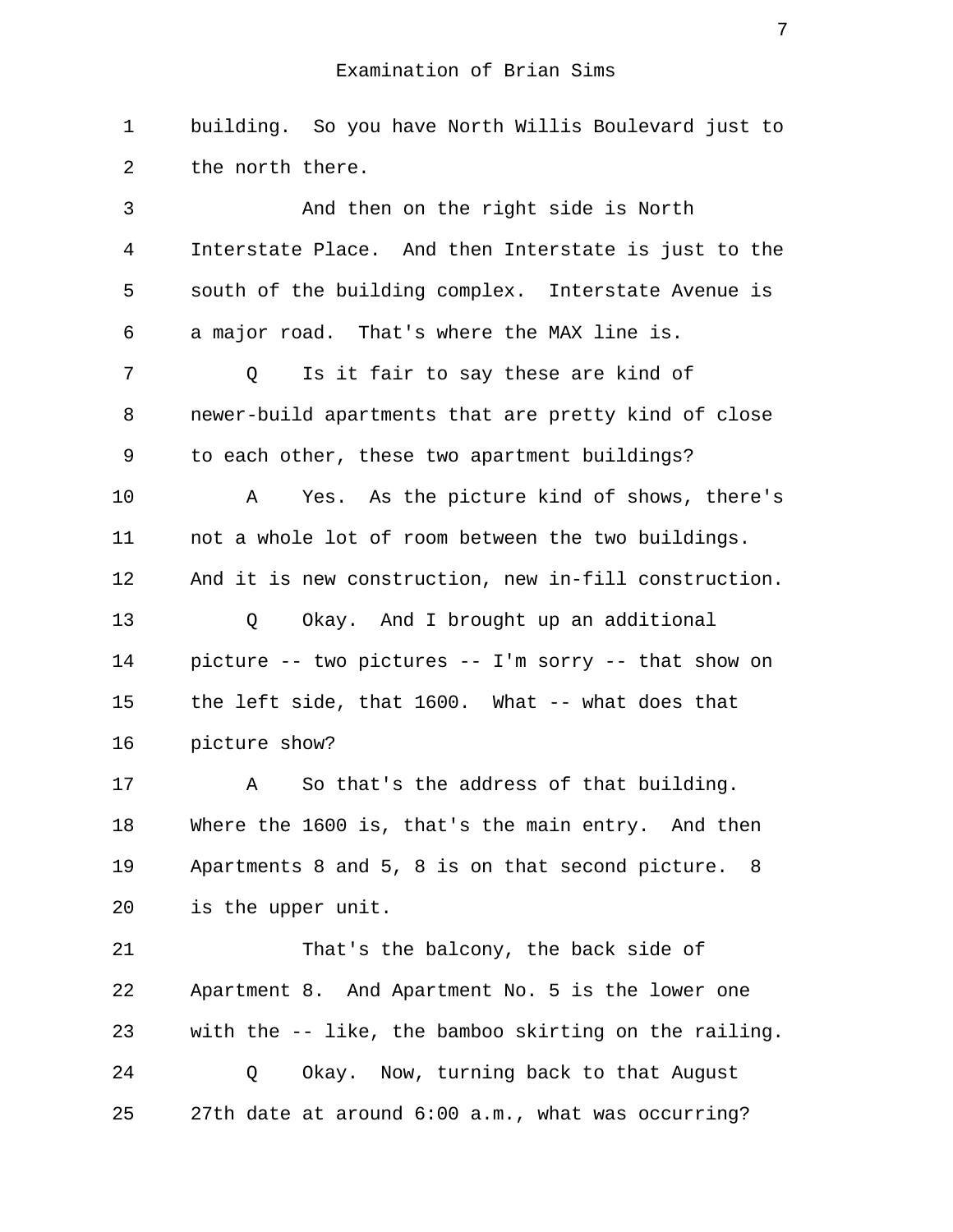1 building. So you have North Willis Boulevard just to 2 the north there.

 3 And then on the right side is North 4 Interstate Place. And then Interstate is just to the 5 south of the building complex. Interstate Avenue is 6 a major road. That's where the MAX line is. 7 Q Is it fair to say these are kind of 8 newer-build apartments that are pretty kind of close 9 to each other, these two apartment buildings? 10 A Yes. As the picture kind of shows, there's 11 not a whole lot of room between the two buildings. 12 And it is new construction, new in-fill construction. 13 0 Okay. And I brought up an additional 14 picture -- two pictures -- I'm sorry -- that show on 15 the left side, that 1600. What -- what does that 16 picture show? 17 A So that's the address of that building. 18 Where the 1600 is, that's the main entry. And then 19 Apartments 8 and 5, 8 is on that second picture. 8 20 is the upper unit. 21 That's the balcony, the back side of 22 Apartment 8. And Apartment No. 5 is the lower one 23 with the -- like, the bamboo skirting on the railing. 24 Q Okay. Now, turning back to that August

25 27th date at around 6:00 a.m., what was occurring?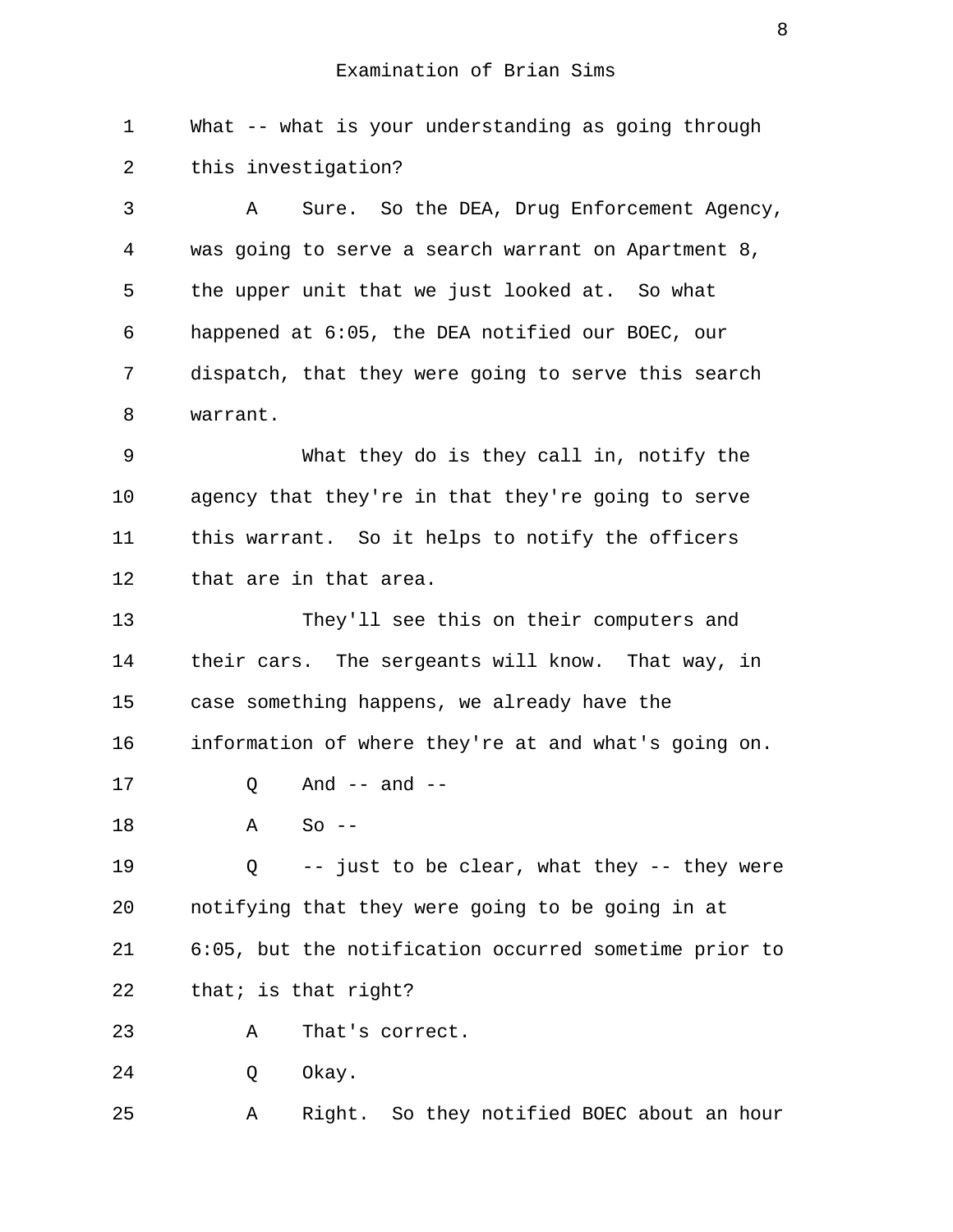1 What -- what is your understanding as going through 2 this investigation? 3 A Sure. So the DEA, Drug Enforcement Agency,

 4 was going to serve a search warrant on Apartment 8, 5 the upper unit that we just looked at. So what 6 happened at 6:05, the DEA notified our BOEC, our 7 dispatch, that they were going to serve this search 8 warrant.

 9 What they do is they call in, notify the 10 agency that they're in that they're going to serve 11 this warrant. So it helps to notify the officers 12 that are in that area.

13 They'll see this on their computers and 14 their cars. The sergeants will know. That way, in 15 case something happens, we already have the 16 information of where they're at and what's going on. 17 0 And -- and --

 $18$   $A$   $S_{\Omega}$  --

19 Q -- just to be clear, what they -- they were 20 notifying that they were going to be going in at 21 6:05, but the notification occurred sometime prior to 22 that; is that right?

23 A That's correct.

24 O Okay.

25 A Right. So they notified BOEC about an hour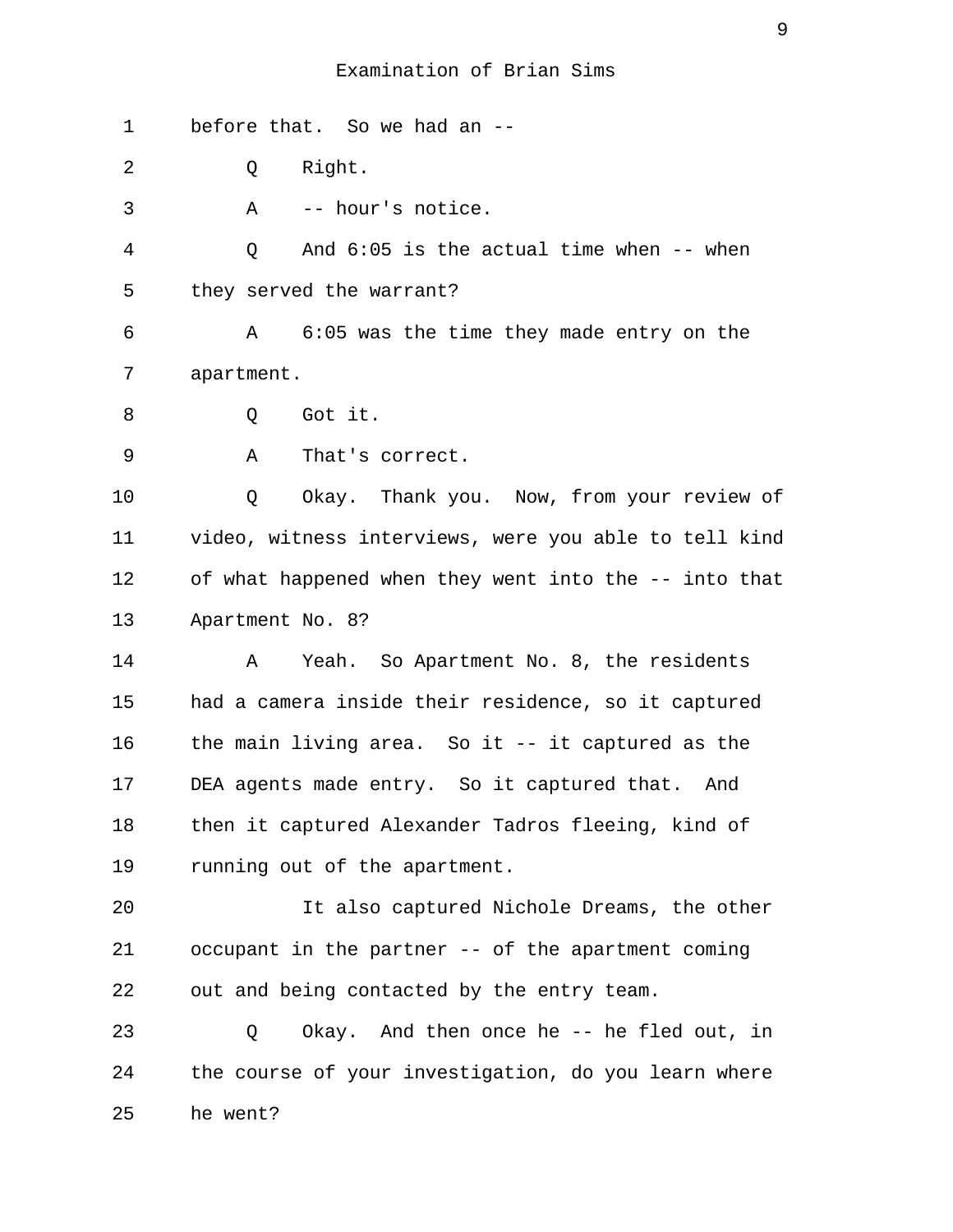1 before that. So we had an -- 2 Q Right. 3 A -- hour's notice. 4 Q And 6:05 is the actual time when -- when 5 they served the warrant? 6 A 6:05 was the time they made entry on the 7 apartment. 8 0 Got it. 9 A That's correct. 10 Q Okay. Thank you. Now, from your review of 11 video, witness interviews, were you able to tell kind 12 of what happened when they went into the -- into that 13 Apartment No. 8? 14 A Yeah. So Apartment No. 8, the residents 15 had a camera inside their residence, so it captured 16 the main living area. So it -- it captured as the 17 DEA agents made entry. So it captured that. And 18 then it captured Alexander Tadros fleeing, kind of 19 running out of the apartment. 20 It also captured Nichole Dreams, the other 21 occupant in the partner -- of the apartment coming 22 out and being contacted by the entry team.

23 Q Okay. And then once he -- he fled out, in 24 the course of your investigation, do you learn where 25 he went?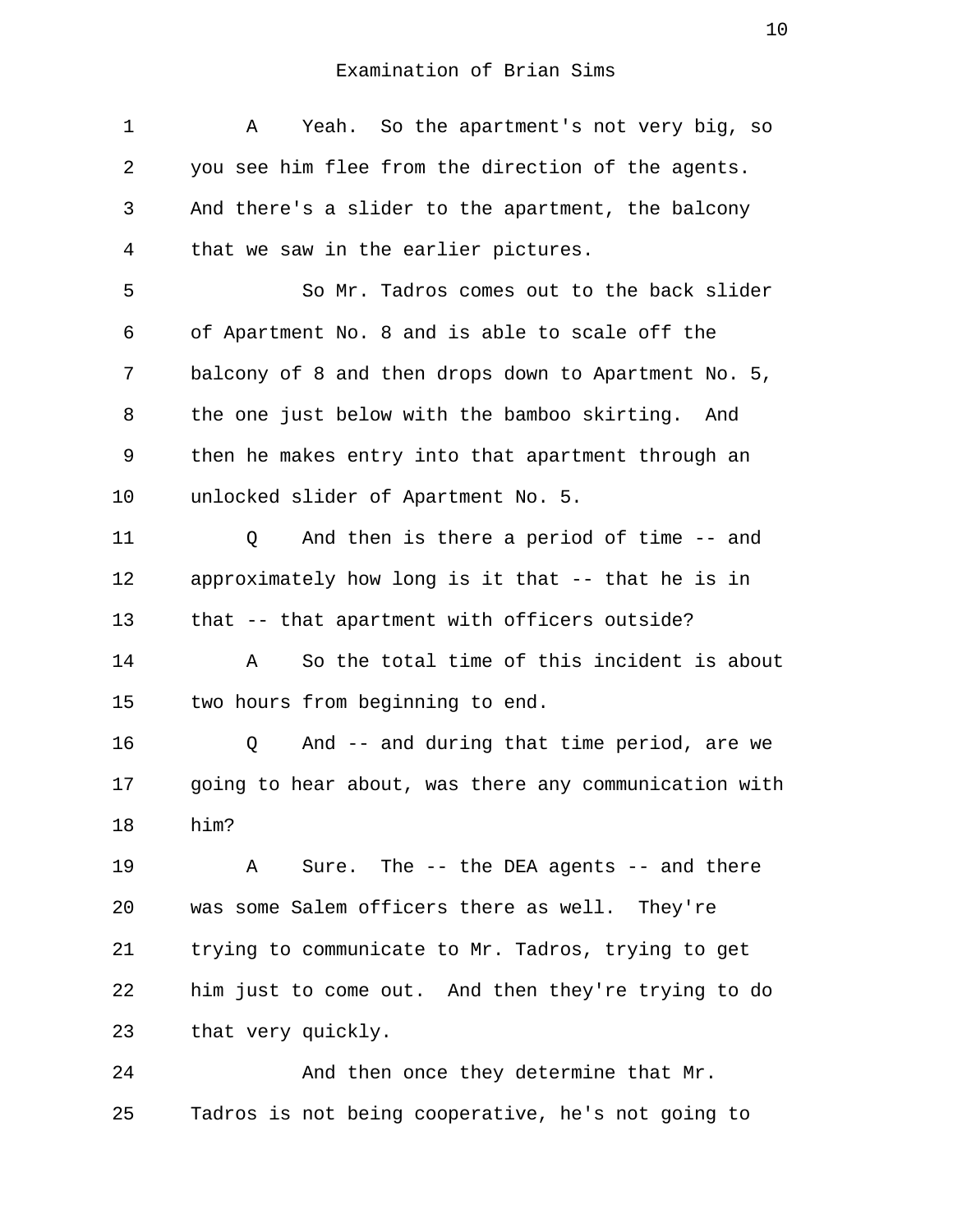1 A Yeah. So the apartment's not very big, so 2 you see him flee from the direction of the agents. 3 And there's a slider to the apartment, the balcony 4 that we saw in the earlier pictures. 5 So Mr. Tadros comes out to the back slider 6 of Apartment No. 8 and is able to scale off the 7 balcony of 8 and then drops down to Apartment No. 5, 8 the one just below with the bamboo skirting. And 9 then he makes entry into that apartment through an 10 unlocked slider of Apartment No. 5. 11 Q And then is there a period of time -- and 12 approximately how long is it that -- that he is in 13 that -- that apartment with officers outside? 14 A So the total time of this incident is about 15 two hours from beginning to end. 16 Q And -- and during that time period, are we 17 going to hear about, was there any communication with 18 him? 19 A Sure. The -- the DEA agents -- and there 20 was some Salem officers there as well. They're 21 trying to communicate to Mr. Tadros, trying to get 22 him just to come out. And then they're trying to do 23 that very quickly. 24 And then once they determine that Mr.

25 Tadros is not being cooperative, he's not going to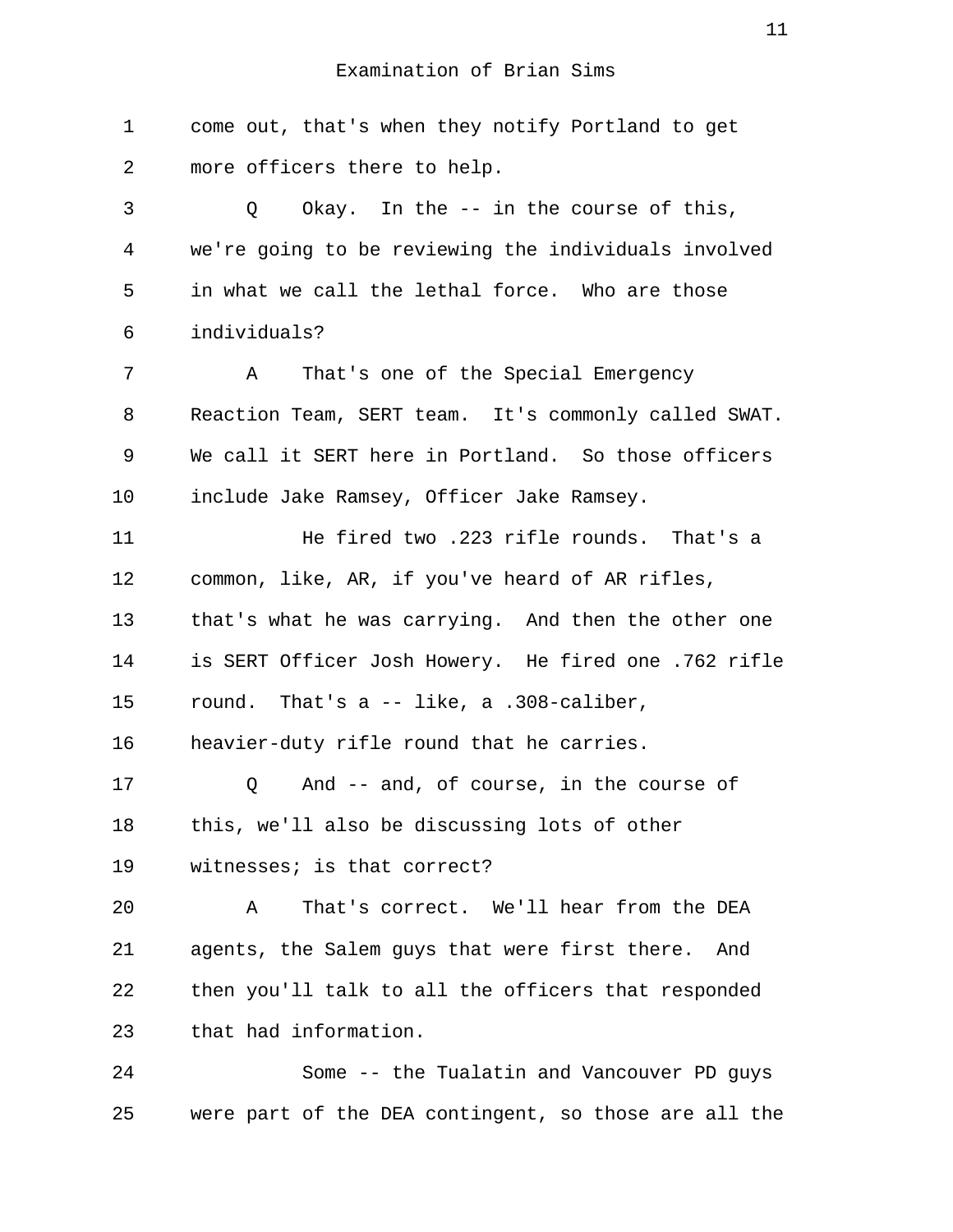1 come out, that's when they notify Portland to get 2 more officers there to help. 3 Q Okay. In the -- in the course of this, 4 we're going to be reviewing the individuals involved 5 in what we call the lethal force. Who are those 6 individuals? 7 A That's one of the Special Emergency 8 Reaction Team, SERT team. It's commonly called SWAT. 9 We call it SERT here in Portland. So those officers 10 include Jake Ramsey, Officer Jake Ramsey. 11 He fired two .223 rifle rounds. That's a 12 common, like, AR, if you've heard of AR rifles, 13 that's what he was carrying. And then the other one 14 is SERT Officer Josh Howery. He fired one .762 rifle 15 round. That's a -- like, a .308-caliber, 16 heavier-duty rifle round that he carries. 17 Q And -- and, of course, in the course of 18 this, we'll also be discussing lots of other 19 witnesses; is that correct? 20 A That's correct. We'll hear from the DEA 21 agents, the Salem guys that were first there. And 22 then you'll talk to all the officers that responded 23 that had information. 24 Some -- the Tualatin and Vancouver PD guys

25 were part of the DEA contingent, so those are all the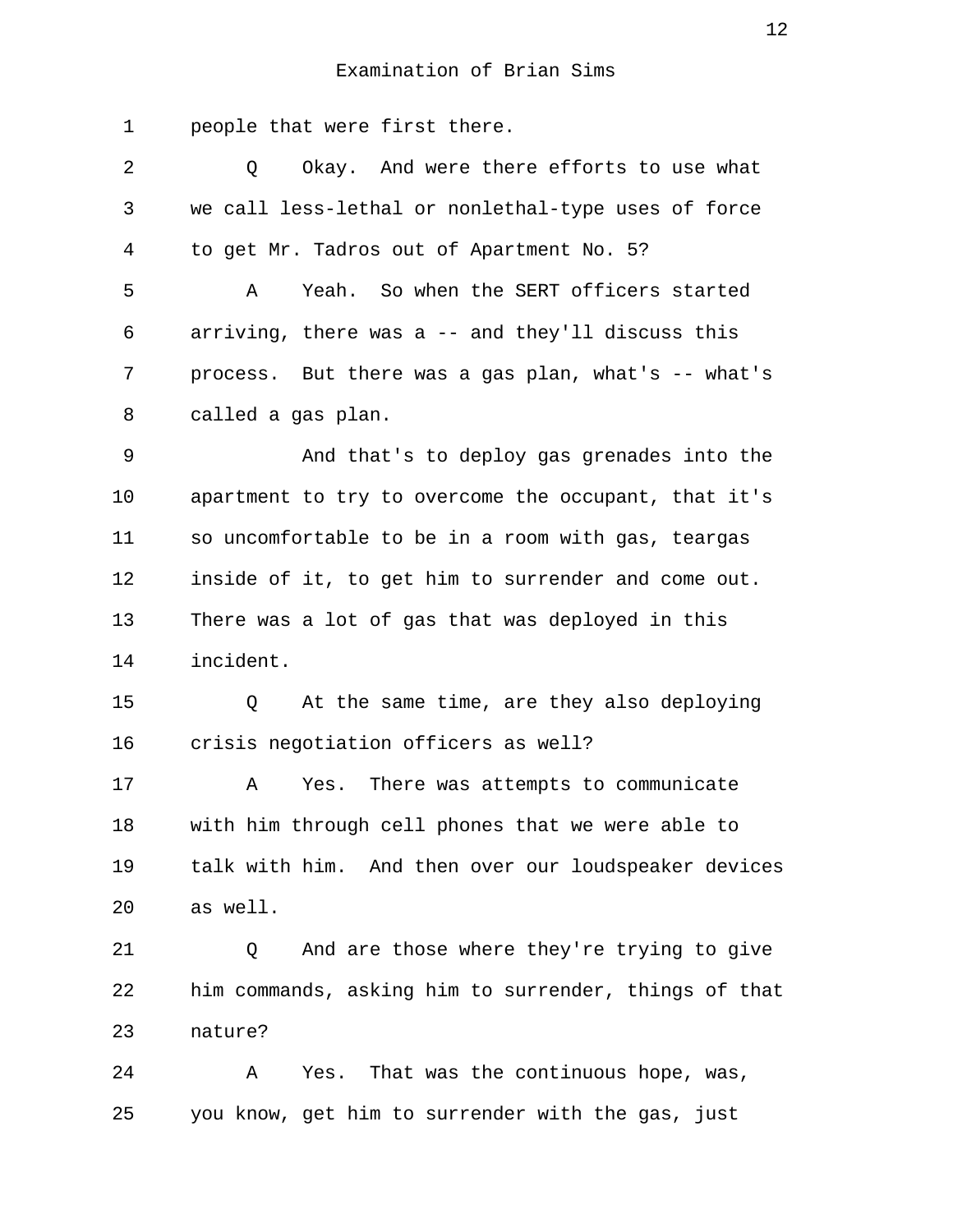1 people that were first there.

| $\overline{a}$ | Okay. And were there efforts to use what<br>Q        |
|----------------|------------------------------------------------------|
| 3              | we call less-lethal or nonlethal-type uses of force  |
| 4              | to get Mr. Tadros out of Apartment No. 5?            |
| 5              | Yeah. So when the SERT officers started<br>Α         |
| 6              | arriving, there was a -- and they'll discuss this    |
| 7              | process. But there was a gas plan, what's -- what's  |
| 8              | called a gas plan.                                   |
| 9              | And that's to deploy gas grenades into the           |
| 10             | apartment to try to overcome the occupant, that it's |
| 11             | so uncomfortable to be in a room with gas, teargas   |
| 12             | inside of it, to get him to surrender and come out.  |
| 13             | There was a lot of gas that was deployed in this     |
| 14             | incident.                                            |
| 15             | At the same time, are they also deploying<br>Q       |
| 16             | crisis negotiation officers as well?                 |
| 17             | There was attempts to communicate<br>Α<br>Yes.       |
| 18             | with him through cell phones that we were able to    |
| 19             | talk with him. And then over our loudspeaker devices |
| 20             | as well.                                             |
| 21             | And are those where they're trying to give<br>Q      |

22 him commands, asking him to surrender, things of that 23 nature?

24 A Yes. That was the continuous hope, was, 25 you know, get him to surrender with the gas, just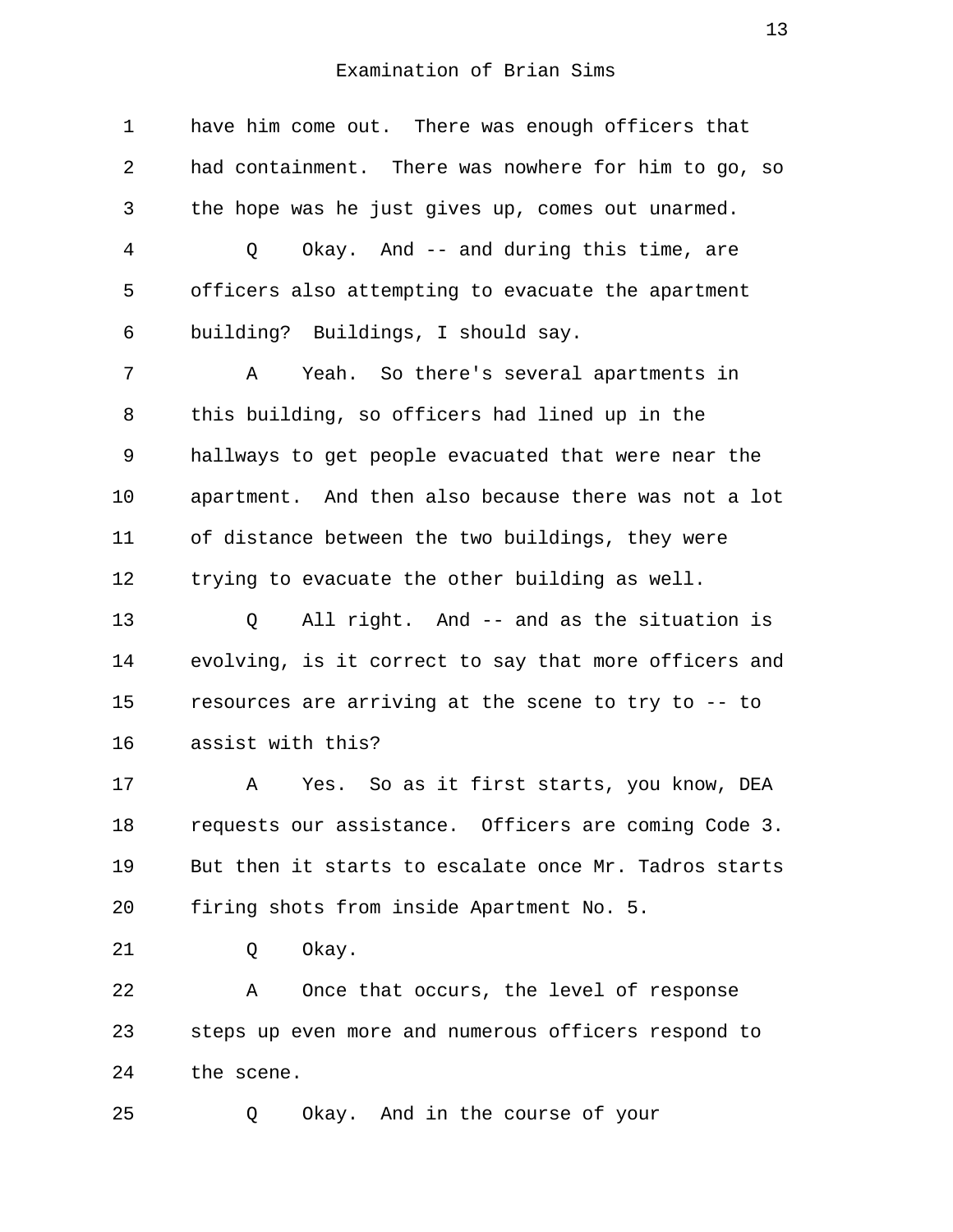1 have him come out. There was enough officers that 2 had containment. There was nowhere for him to go, so 3 the hope was he just gives up, comes out unarmed. 4 Q Okay. And -- and during this time, are 5 officers also attempting to evacuate the apartment 6 building? Buildings, I should say. 7 A Yeah. So there's several apartments in 8 this building, so officers had lined up in the 9 hallways to get people evacuated that were near the 10 apartment. And then also because there was not a lot 11 of distance between the two buildings, they were 12 trying to evacuate the other building as well. 13 Q All right. And -- and as the situation is 14 evolving, is it correct to say that more officers and 15 resources are arriving at the scene to try to -- to 16 assist with this? 17 A Yes. So as it first starts, you know, DEA 18 requests our assistance. Officers are coming Code 3. 19 But then it starts to escalate once Mr. Tadros starts 20 firing shots from inside Apartment No. 5. 21 Q Okay. 22 A Once that occurs, the level of response 23 steps up even more and numerous officers respond to 24 the scene. 25 Q Okay. And in the course of your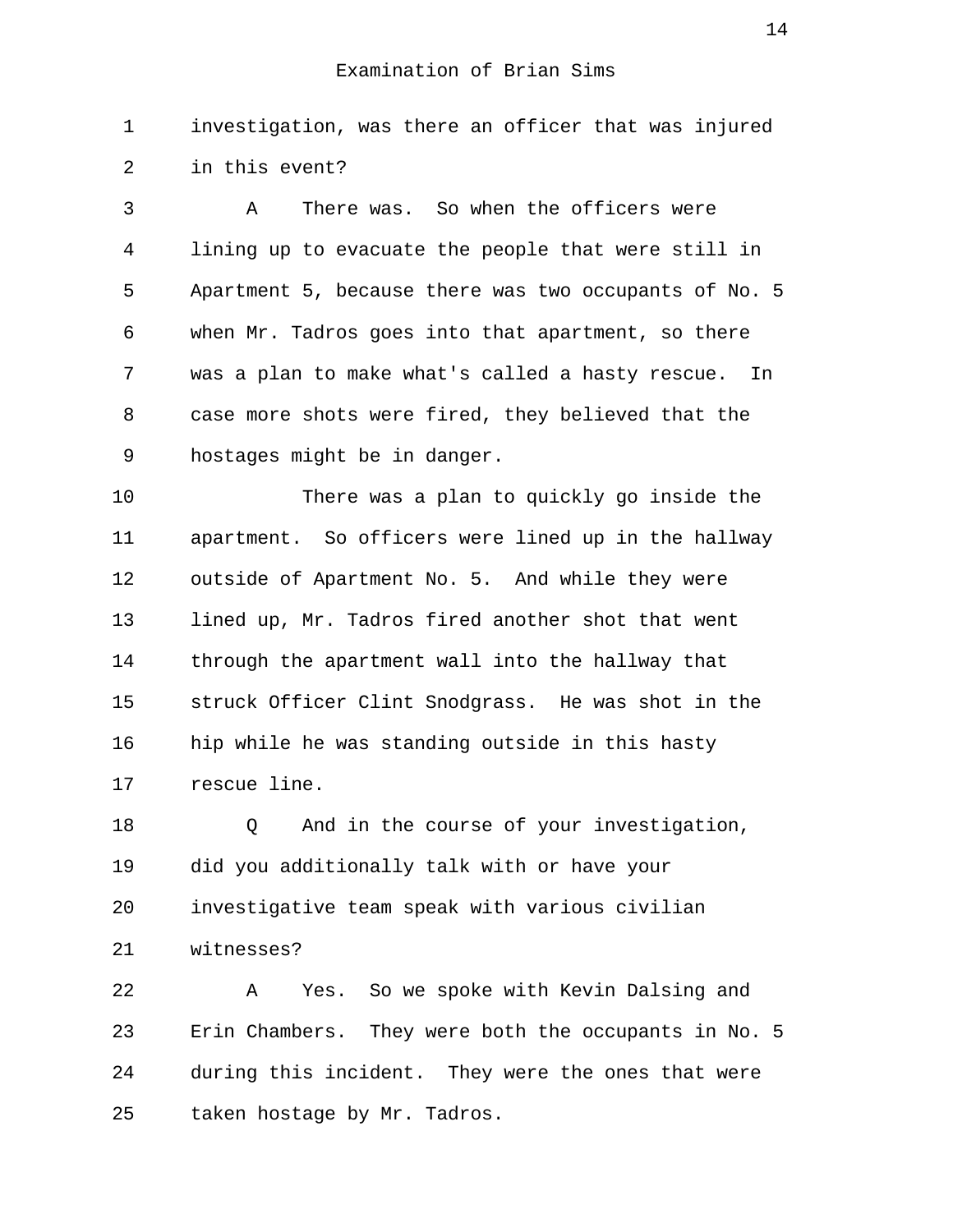1 investigation, was there an officer that was injured 2 in this event?

 3 A There was. So when the officers were 4 lining up to evacuate the people that were still in 5 Apartment 5, because there was two occupants of No. 5 6 when Mr. Tadros goes into that apartment, so there 7 was a plan to make what's called a hasty rescue. In 8 case more shots were fired, they believed that the 9 hostages might be in danger.

10 There was a plan to quickly go inside the 11 apartment. So officers were lined up in the hallway 12 outside of Apartment No. 5. And while they were 13 lined up, Mr. Tadros fired another shot that went 14 through the apartment wall into the hallway that 15 struck Officer Clint Snodgrass. He was shot in the 16 hip while he was standing outside in this hasty 17 rescue line.

18 0 And in the course of your investigation, 19 did you additionally talk with or have your 20 investigative team speak with various civilian 21 witnesses?

22 A Yes. So we spoke with Kevin Dalsing and 23 Erin Chambers. They were both the occupants in No. 5 24 during this incident. They were the ones that were 25 taken hostage by Mr. Tadros.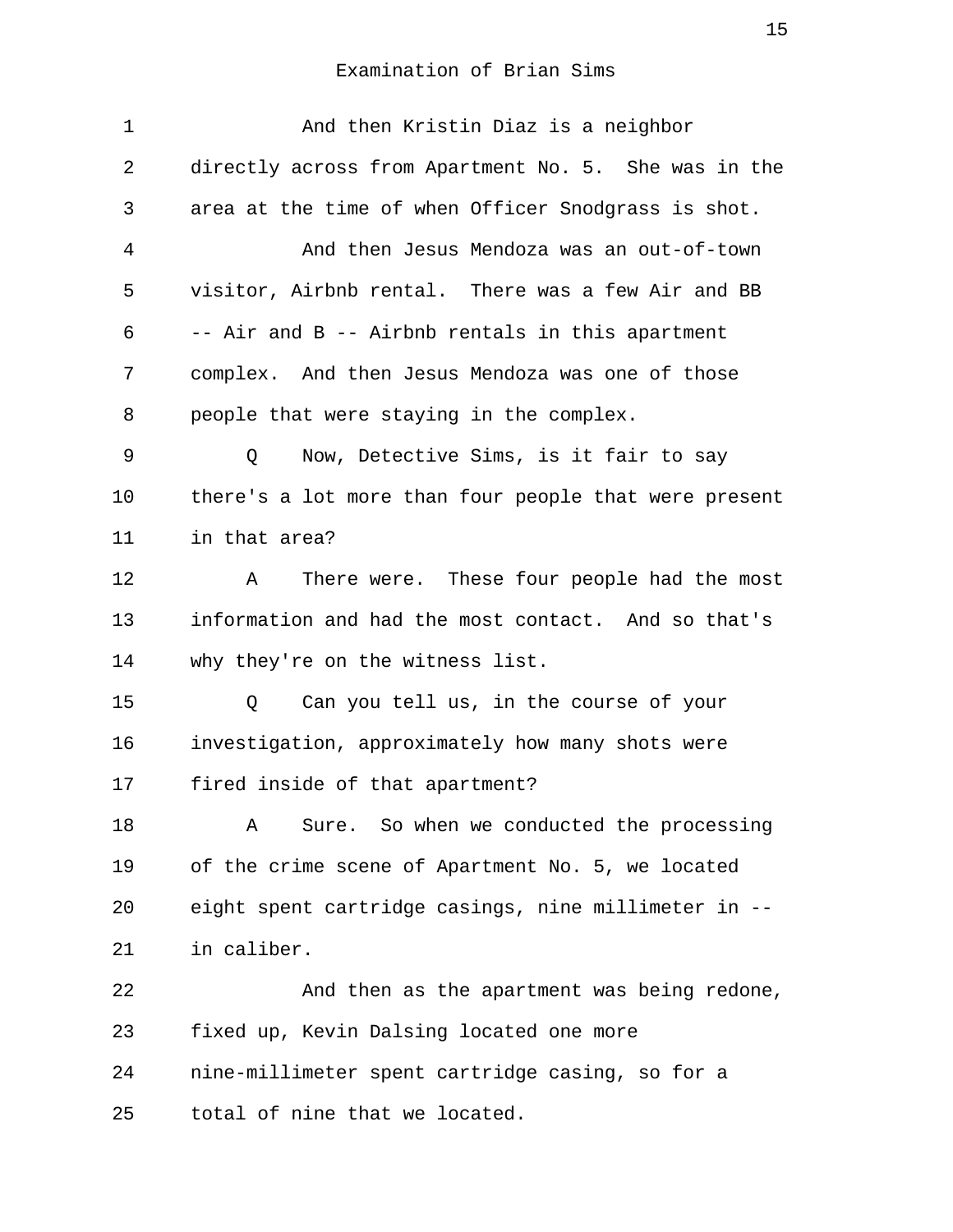| 1  | And then Kristin Diaz is a neighbor                   |
|----|-------------------------------------------------------|
| 2  | directly across from Apartment No. 5. She was in the  |
| 3  | area at the time of when Officer Snodgrass is shot.   |
| 4  | And then Jesus Mendoza was an out-of-town             |
| 5  | visitor, Airbnb rental. There was a few Air and BB    |
| 6  | -- Air and B -- Airbnb rentals in this apartment      |
| 7  | complex. And then Jesus Mendoza was one of those      |
| 8  | people that were staying in the complex.              |
| 9  | Now, Detective Sims, is it fair to say<br>Q           |
| 10 | there's a lot more than four people that were present |
| 11 | in that area?                                         |
| 12 | There were. These four people had the most<br>A       |
| 13 | information and had the most contact. And so that's   |
| 14 | why they're on the witness list.                      |
| 15 | Can you tell us, in the course of your<br>Q           |
| 16 | investigation, approximately how many shots were      |
| 17 | fired inside of that apartment?                       |
| 18 | Sure. So when we conducted the processing<br>Α        |
| 19 | of the crime scene of Apartment No. 5, we located     |
| 20 | eight spent cartridge casings, nine millimeter in --  |
| 21 | in caliber.                                           |
| 22 | And then as the apartment was being redone,           |
| 23 | fixed up, Kevin Dalsing located one more              |
| 24 | nine-millimeter spent cartridge casing, so for a      |
| 25 | total of nine that we located.                        |
|    |                                                       |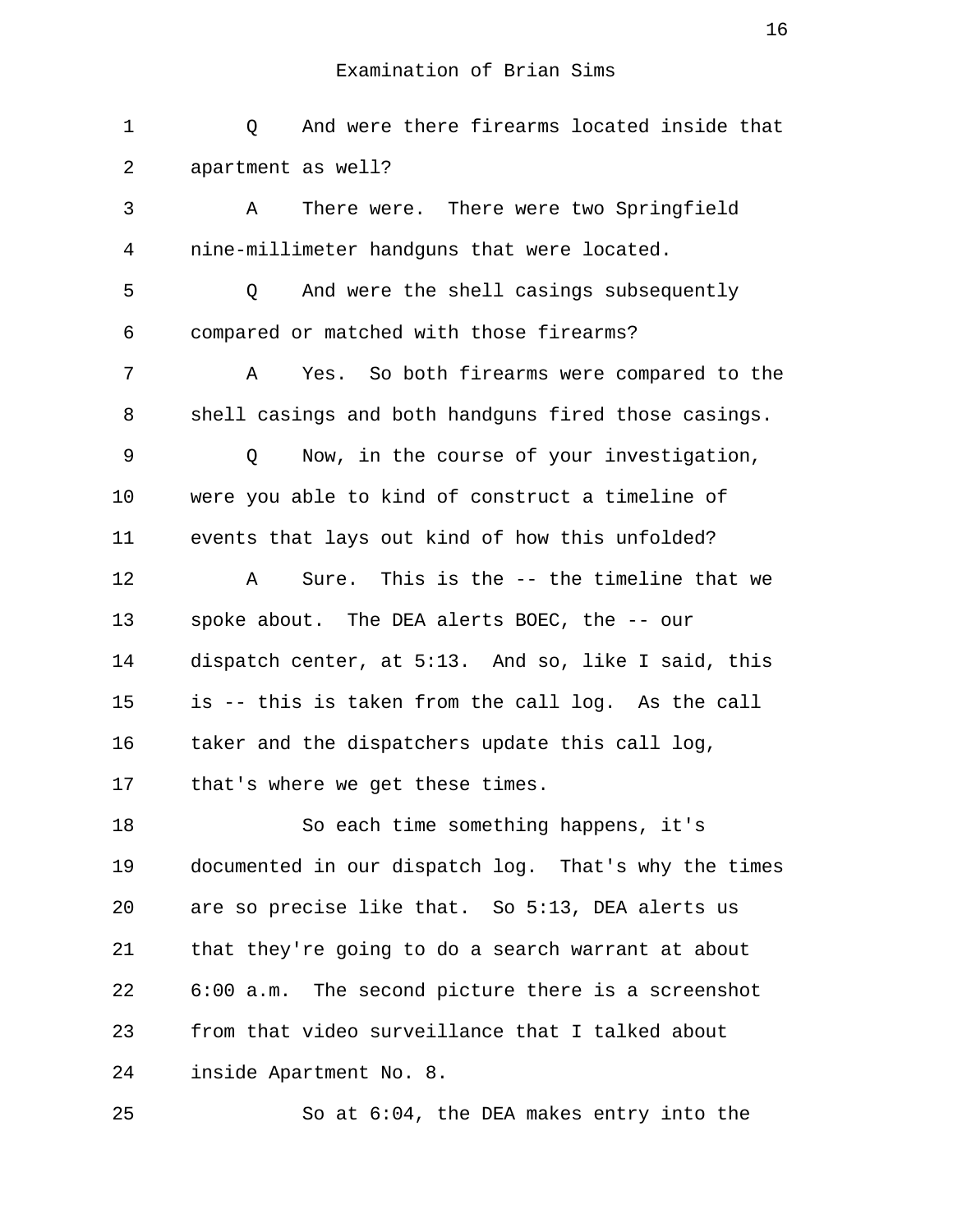| $\mathbf 1$ | And were there firearms located inside that<br>Q     |
|-------------|------------------------------------------------------|
| 2           | apartment as well?                                   |
| 3           | There were. There were two Springfield<br>Α          |
| 4           | nine-millimeter handguns that were located.          |
| 5           | And were the shell casings subsequently<br>Q         |
| 6           | compared or matched with those firearms?             |
| 7           | Yes. So both firearms were compared to the<br>Α      |
| 8           | shell casings and both handguns fired those casings. |
| 9           | Now, in the course of your investigation,<br>Q       |
| 10          | were you able to kind of construct a timeline of     |
| 11          | events that lays out kind of how this unfolded?      |
| 12          | Sure. This is the -- the timeline that we<br>Α       |
| 13          | spoke about. The DEA alerts BOEC, the -- our         |
| 14          | dispatch center, at 5:13. And so, like I said, this  |
| 15          | is -- this is taken from the call log. As the call   |
| 16          | taker and the dispatchers update this call log,      |
| 17          | that's where we get these times.                     |
| 18          | So each time something happens, it's                 |
| 19          | documented in our dispatch log. That's why the times |
| 20          | are so precise like that. So 5:13, DEA alerts us     |
| 21          | that they're going to do a search warrant at about   |
| 22          | 6:00 a.m. The second picture there is a screenshot   |
| 23          | from that video surveillance that I talked about     |
| 24          | inside Apartment No. 8.                              |
| 25          | So at $6:04$ , the DEA makes entry into the          |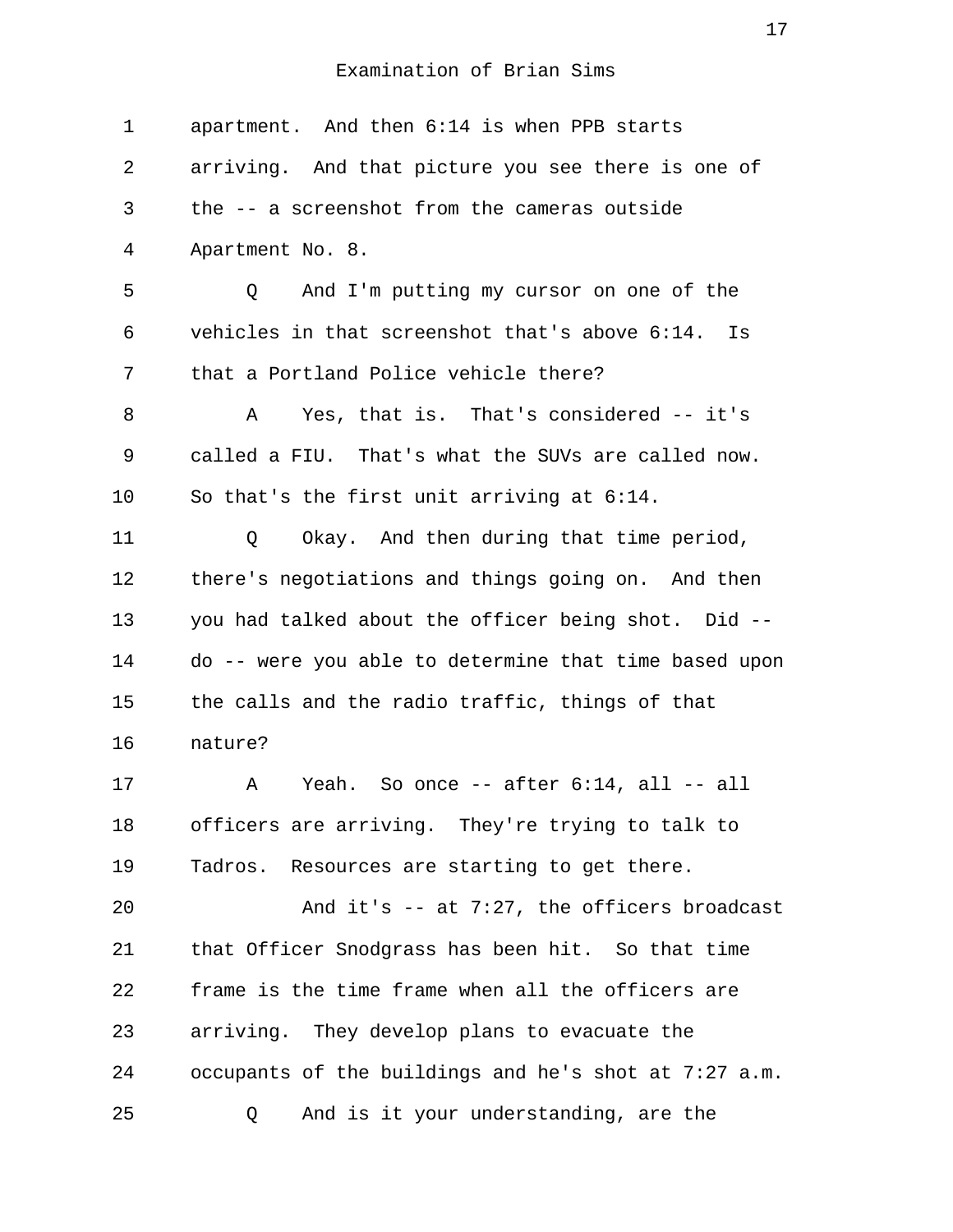1 apartment. And then 6:14 is when PPB starts 2 arriving. And that picture you see there is one of 3 the -- a screenshot from the cameras outside 4 Apartment No. 8. 5 Q And I'm putting my cursor on one of the 6 vehicles in that screenshot that's above 6:14. Is 7 that a Portland Police vehicle there? 8 A Yes, that is. That's considered -- it's 9 called a FIU. That's what the SUVs are called now. 10 So that's the first unit arriving at 6:14. 11 Q Okay. And then during that time period, 12 there's negotiations and things going on. And then 13 you had talked about the officer being shot. Did -- 14 do -- were you able to determine that time based upon 15 the calls and the radio traffic, things of that 16 nature? 17 A Yeah. So once -- after 6:14, all -- all 18 officers are arriving. They're trying to talk to 19 Tadros. Resources are starting to get there. 20 And it's -- at 7:27, the officers broadcast 21 that Officer Snodgrass has been hit. So that time 22 frame is the time frame when all the officers are 23 arriving. They develop plans to evacuate the 24 occupants of the buildings and he's shot at 7:27 a.m. 25 Q And is it your understanding, are the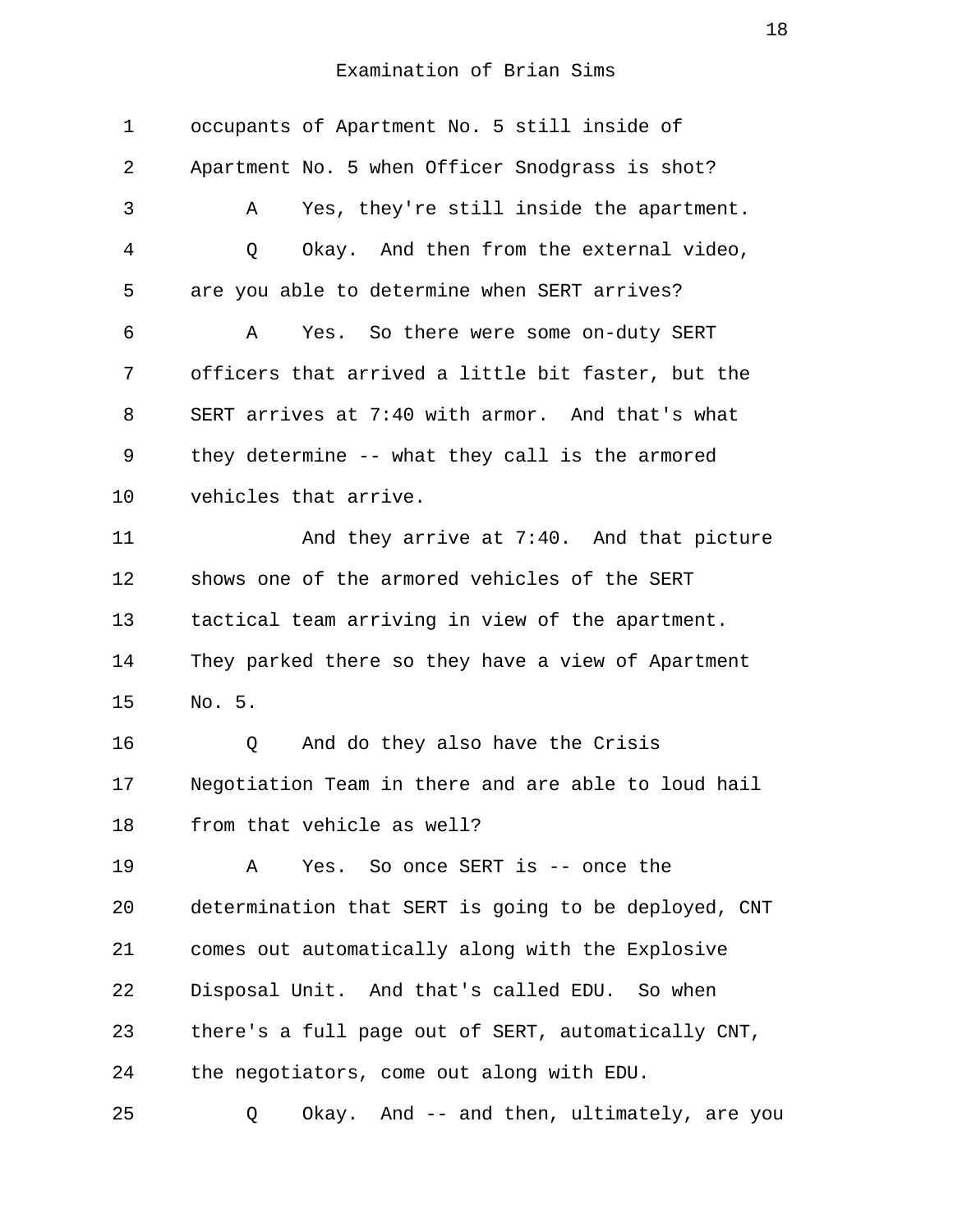| 1  | occupants of Apartment No. 5 still inside of         |
|----|------------------------------------------------------|
| 2  | Apartment No. 5 when Officer Snodgrass is shot?      |
| 3  | Yes, they're still inside the apartment.<br>Α        |
| 4  | Okay. And then from the external video,<br>Q         |
| 5  | are you able to determine when SERT arrives?         |
| 6  | Yes. So there were some on-duty SERT<br>Α            |
| 7  | officers that arrived a little bit faster, but the   |
| 8  | SERT arrives at 7:40 with armor. And that's what     |
| 9  | they determine -- what they call is the armored      |
| 10 | vehicles that arrive.                                |
| 11 | And they arrive at 7:40. And that picture            |
| 12 | shows one of the armored vehicles of the SERT        |
| 13 | tactical team arriving in view of the apartment.     |
| 14 | They parked there so they have a view of Apartment   |
| 15 | No. 5.                                               |
| 16 | And do they also have the Crisis<br>Q                |
| 17 | Negotiation Team in there and are able to loud hail  |
| 18 | from that vehicle as well?                           |
| 19 | Yes. So once SERT is -- once the<br>Α                |
| 20 | determination that SERT is going to be deployed, CNT |
| 21 | comes out automatically along with the Explosive     |
| 22 | Disposal Unit. And that's called EDU. So when        |
| 23 | there's a full page out of SERT, automatically CNT,  |
| 24 | the negotiators, come out along with EDU.            |
| 25 | Okay. And -- and then, ultimately, are you<br>Q      |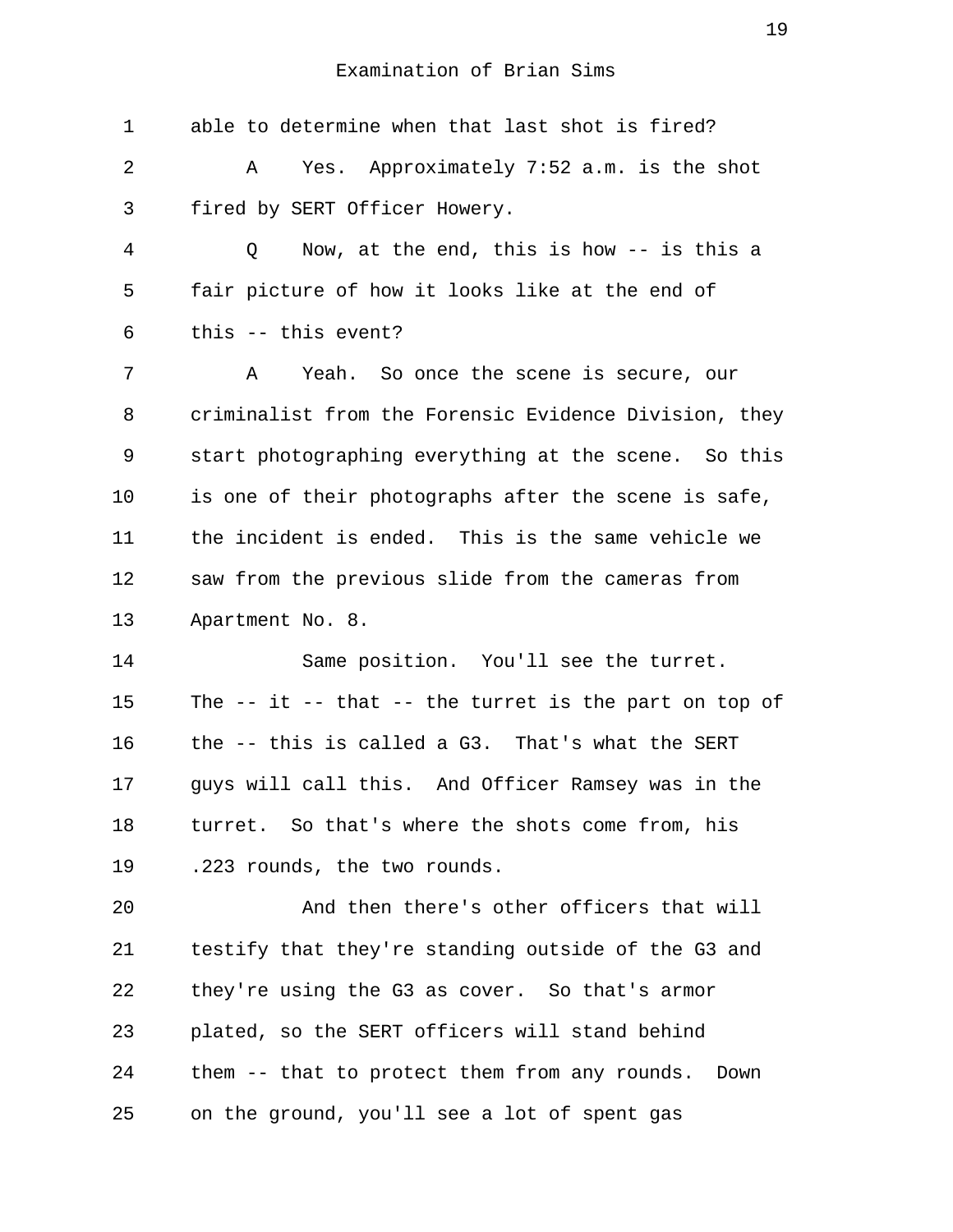| $\mathbf 1$ | able to determine when that last shot is fired?          |
|-------------|----------------------------------------------------------|
| 2           | Yes. Approximately 7:52 a.m. is the shot<br>Α            |
| 3           | fired by SERT Officer Howery.                            |
| 4           | Now, at the end, this is how $-$ is this a<br>Q          |
| 5           | fair picture of how it looks like at the end of          |
| 6           | this -- this event?                                      |
| 7           | Yeah. So once the scene is secure, our<br>A              |
| 8           | criminalist from the Forensic Evidence Division, they    |
| 9           | start photographing everything at the scene. So this     |
| 10          | is one of their photographs after the scene is safe,     |
| 11          | the incident is ended. This is the same vehicle we       |
| 12          | saw from the previous slide from the cameras from        |
| 13          | Apartment No. 8.                                         |
| 14          | Same position. You'll see the turret.                    |
| 15          | The $-$ it $-$ that $-$ the turret is the part on top of |
| 16          | the -- this is called a G3. That's what the SERT         |
| 17          | guys will call this. And Officer Ramsey was in the       |
| 18          | turret. So that's where the shots come from, his         |
| 19          | .223 rounds, the two rounds.                             |
| 20          | And then there's other officers that will                |
| 21          | testify that they're standing outside of the G3 and      |
| 22          | they're using the G3 as cover. So that's armor           |
| 23          | plated, so the SERT officers will stand behind           |
| 24          | them -- that to protect them from any rounds. Down       |
| 25          | on the ground, you'll see a lot of spent gas             |
|             |                                                          |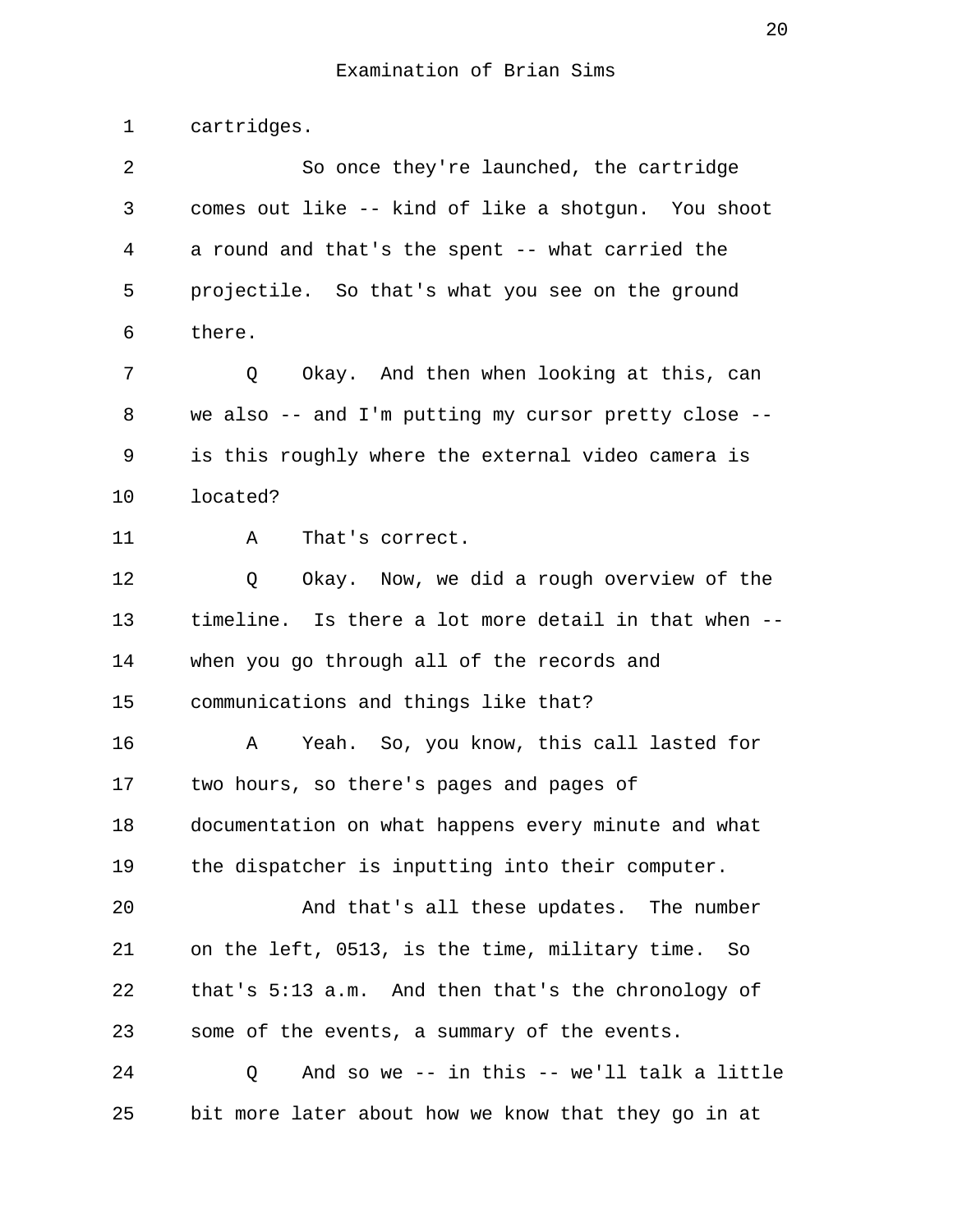1 cartridges. 2 So once they're launched, the cartridge 3 comes out like -- kind of like a shotgun. You shoot 4 a round and that's the spent -- what carried the 5 projectile. So that's what you see on the ground 6 there. 7 0 Okay. And then when looking at this, can 8 we also -- and I'm putting my cursor pretty close -- 9 is this roughly where the external video camera is 10 located? 11 A That's correct. 12 Q Okay. Now, we did a rough overview of the 13 timeline. Is there a lot more detail in that when -- 14 when you go through all of the records and 15 communications and things like that? 16 A Yeah. So, you know, this call lasted for 17 two hours, so there's pages and pages of 18 documentation on what happens every minute and what 19 the dispatcher is inputting into their computer. 20 And that's all these updates. The number 21 on the left, 0513, is the time, military time. So 22 that's 5:13 a.m. And then that's the chronology of 23 some of the events, a summary of the events. 24 Q And so we -- in this -- we'll talk a little 25 bit more later about how we know that they go in at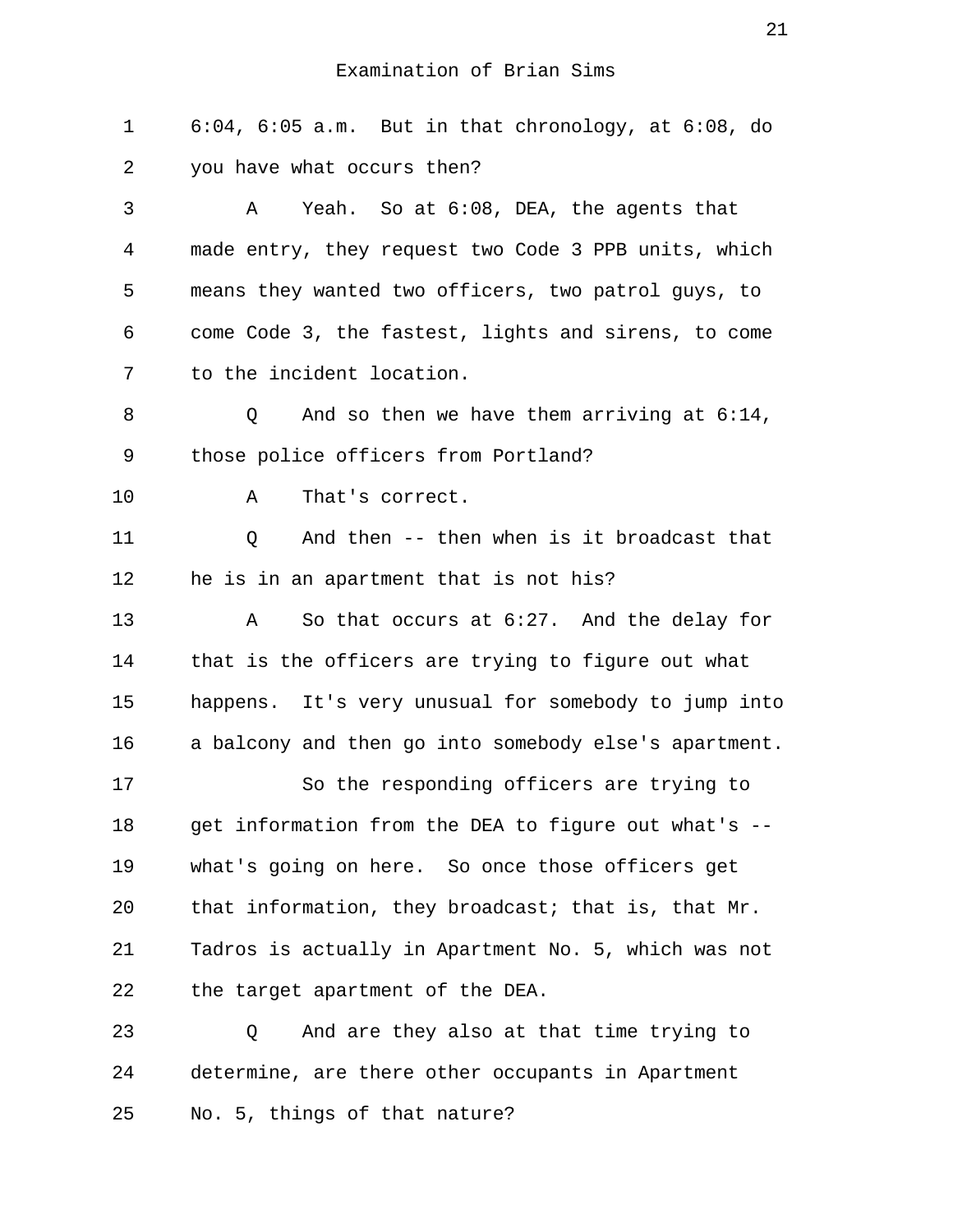1 6:04, 6:05 a.m. But in that chronology, at 6:08, do 2 you have what occurs then?

 3 A Yeah. So at 6:08, DEA, the agents that 4 made entry, they request two Code 3 PPB units, which 5 means they wanted two officers, two patrol guys, to 6 come Code 3, the fastest, lights and sirens, to come 7 to the incident location.

8 0 And so then we have them arriving at  $6:14$ , 9 those police officers from Portland?

10 A That's correct.

11 Q And then -- then when is it broadcast that 12 he is in an apartment that is not his?

13 A So that occurs at 6:27. And the delay for 14 that is the officers are trying to figure out what 15 happens. It's very unusual for somebody to jump into 16 a balcony and then go into somebody else's apartment.

17 So the responding officers are trying to 18 get information from the DEA to figure out what's -- 19 what's going on here. So once those officers get 20 that information, they broadcast; that is, that Mr. 21 Tadros is actually in Apartment No. 5, which was not 22 the target apartment of the DEA.

23 Q And are they also at that time trying to 24 determine, are there other occupants in Apartment 25 No. 5, things of that nature?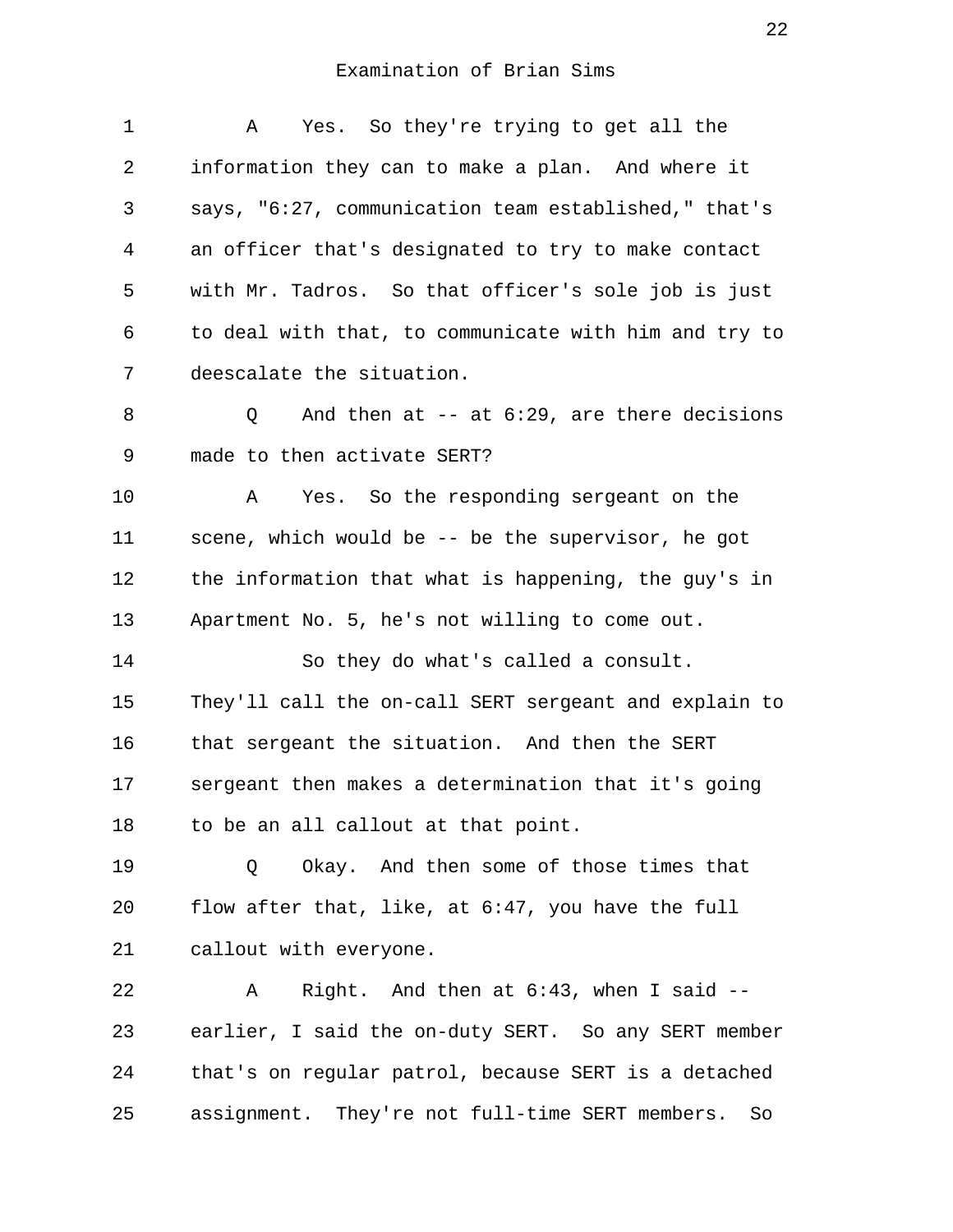1 A Yes. So they're trying to get all the 2 information they can to make a plan. And where it 3 says, "6:27, communication team established," that's 4 an officer that's designated to try to make contact 5 with Mr. Tadros. So that officer's sole job is just 6 to deal with that, to communicate with him and try to 7 deescalate the situation. 8 0 And then at -- at 6:29, are there decisions 9 made to then activate SERT? 10 A Yes. So the responding sergeant on the 11 scene, which would be -- be the supervisor, he got 12 the information that what is happening, the guy's in 13 Apartment No. 5, he's not willing to come out. 14 So they do what's called a consult. 15 They'll call the on-call SERT sergeant and explain to 16 that sergeant the situation. And then the SERT 17 sergeant then makes a determination that it's going 18 to be an all callout at that point. 19 0 Okay. And then some of those times that 20 flow after that, like, at 6:47, you have the full 21 callout with everyone. 22 A Right. And then at 6:43, when I said -- 23 earlier, I said the on-duty SERT. So any SERT member 24 that's on regular patrol, because SERT is a detached 25 assignment. They're not full-time SERT members. So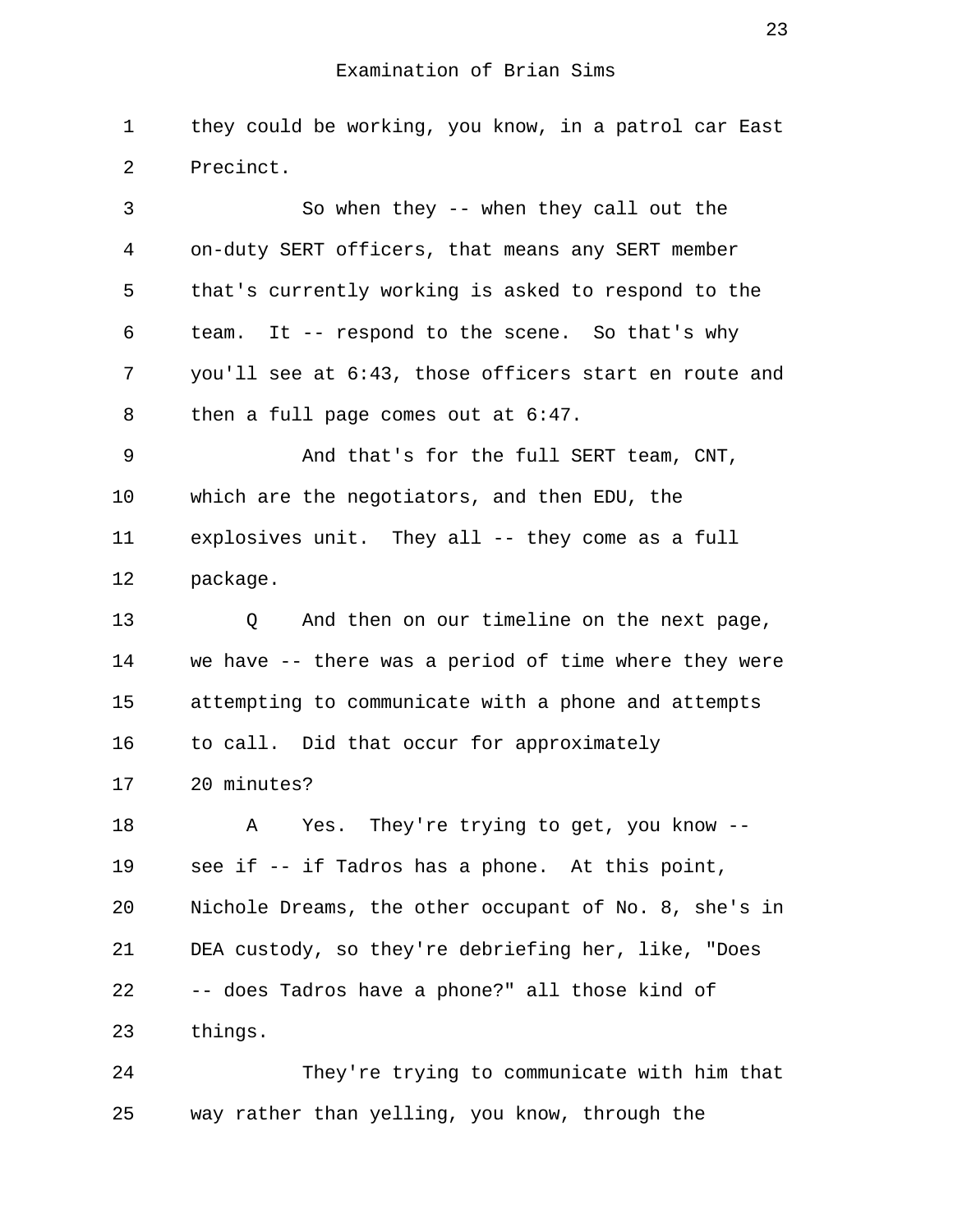1 they could be working, you know, in a patrol car East 2 Precinct.

 3 So when they -- when they call out the 4 on-duty SERT officers, that means any SERT member 5 that's currently working is asked to respond to the 6 team. It -- respond to the scene. So that's why 7 you'll see at 6:43, those officers start en route and 8 then a full page comes out at 6:47. 9 And that's for the full SERT team, CNT, 10 which are the negotiators, and then EDU, the 11 explosives unit. They all -- they come as a full 12 package. 13 Q And then on our timeline on the next page, 14 we have -- there was a period of time where they were 15 attempting to communicate with a phone and attempts

16 to call. Did that occur for approximately

17 20 minutes?

18 A Yes. They're trying to get, you know --19 see if -- if Tadros has a phone. At this point, 20 Nichole Dreams, the other occupant of No. 8, she's in 21 DEA custody, so they're debriefing her, like, "Does 22 -- does Tadros have a phone?" all those kind of 23 things.

24 They're trying to communicate with him that 25 way rather than yelling, you know, through the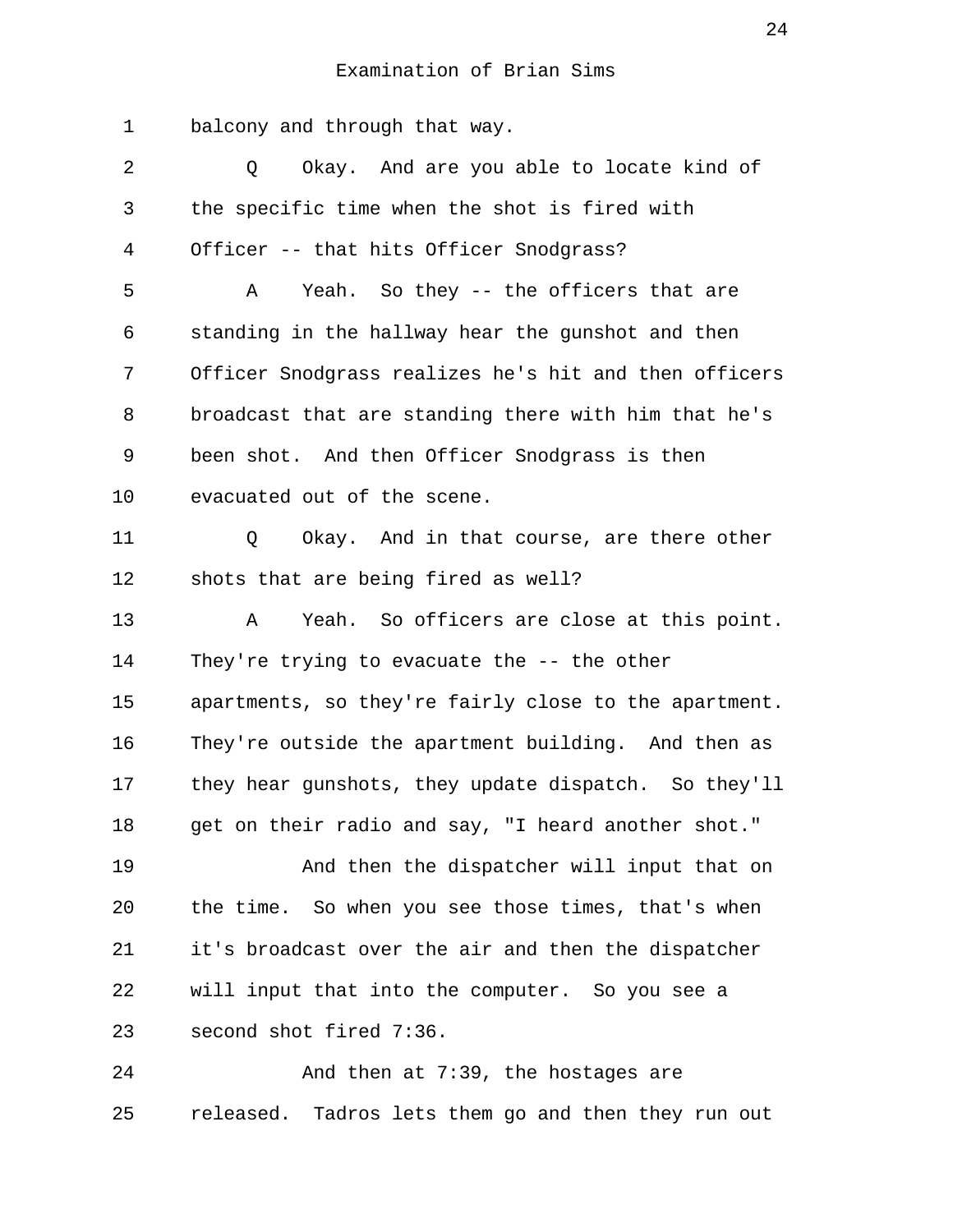1 balcony and through that way. 2 0 Okay. And are you able to locate kind of 3 the specific time when the shot is fired with 4 Officer -- that hits Officer Snodgrass? 5 A Yeah. So they -- the officers that are 6 standing in the hallway hear the gunshot and then 7 Officer Snodgrass realizes he's hit and then officers 8 broadcast that are standing there with him that he's 9 been shot. And then Officer Snodgrass is then 10 evacuated out of the scene. 11 Q Okay. And in that course, are there other 12 shots that are being fired as well? 13 A Yeah. So officers are close at this point. 14 They're trying to evacuate the -- the other 15 apartments, so they're fairly close to the apartment. 16 They're outside the apartment building. And then as 17 they hear gunshots, they update dispatch. So they'll 18 get on their radio and say, "I heard another shot." 19 And then the dispatcher will input that on 20 the time. So when you see those times, that's when 21 it's broadcast over the air and then the dispatcher 22 will input that into the computer. So you see a 23 second shot fired 7:36. 24 And then at 7:39, the hostages are

25 released. Tadros lets them go and then they run out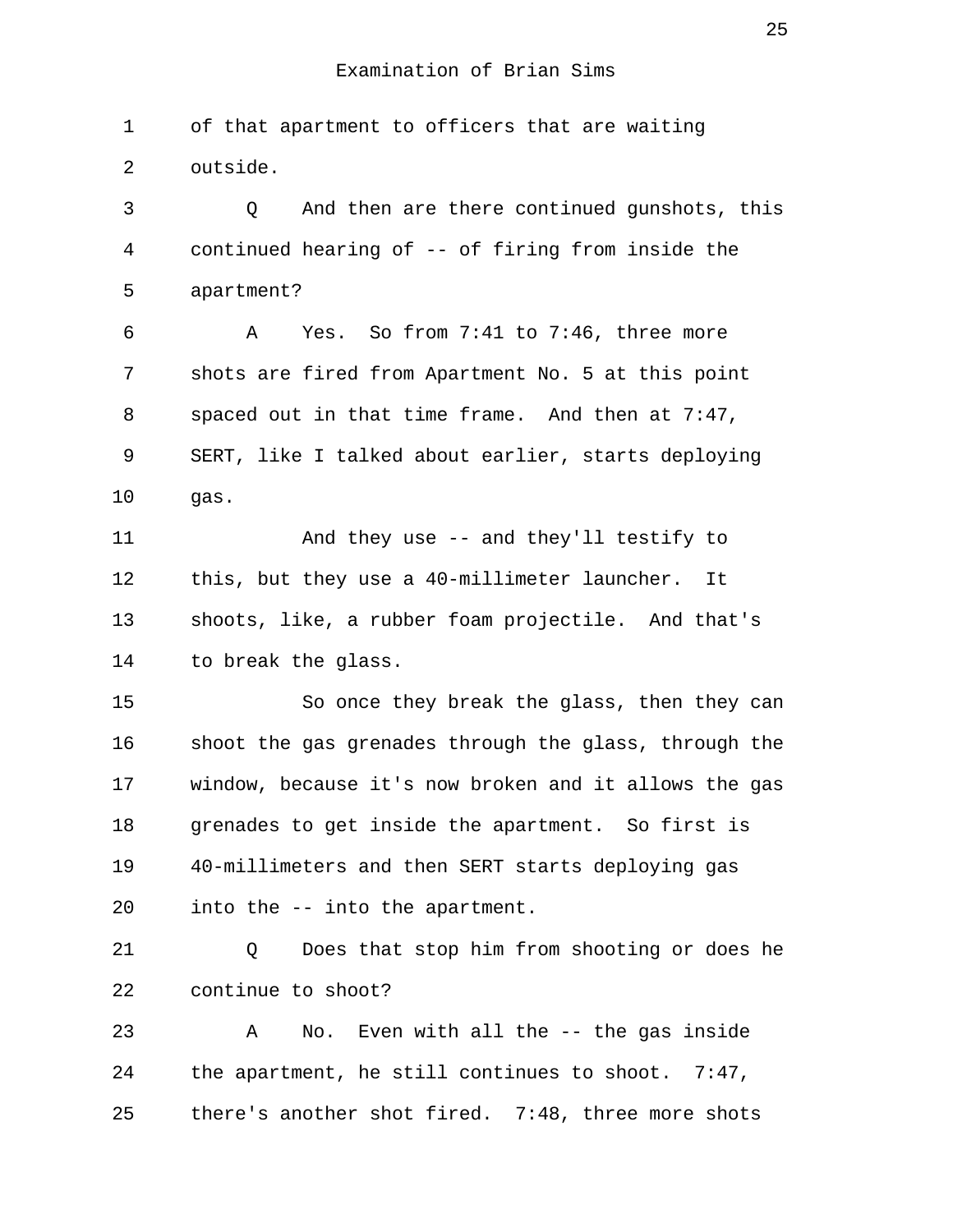1 of that apartment to officers that are waiting 2 outside. 3 Q And then are there continued gunshots, this 4 continued hearing of -- of firing from inside the 5 apartment? 6 A Yes. So from 7:41 to 7:46, three more 7 shots are fired from Apartment No. 5 at this point 8 spaced out in that time frame. And then at 7:47, 9 SERT, like I talked about earlier, starts deploying 10 gas. 11 And they use -- and they'll testify to 12 this, but they use a 40-millimeter launcher. It 13 shoots, like, a rubber foam projectile. And that's 14 to break the glass. 15 So once they break the glass, then they can 16 shoot the gas grenades through the glass, through the 17 window, because it's now broken and it allows the gas 18 grenades to get inside the apartment. So first is 19 40-millimeters and then SERT starts deploying gas 20 into the -- into the apartment. 21 Q Does that stop him from shooting or does he 22 continue to shoot? 23 A No. Even with all the -- the gas inside 24 the apartment, he still continues to shoot. 7:47, 25 there's another shot fired. 7:48, three more shots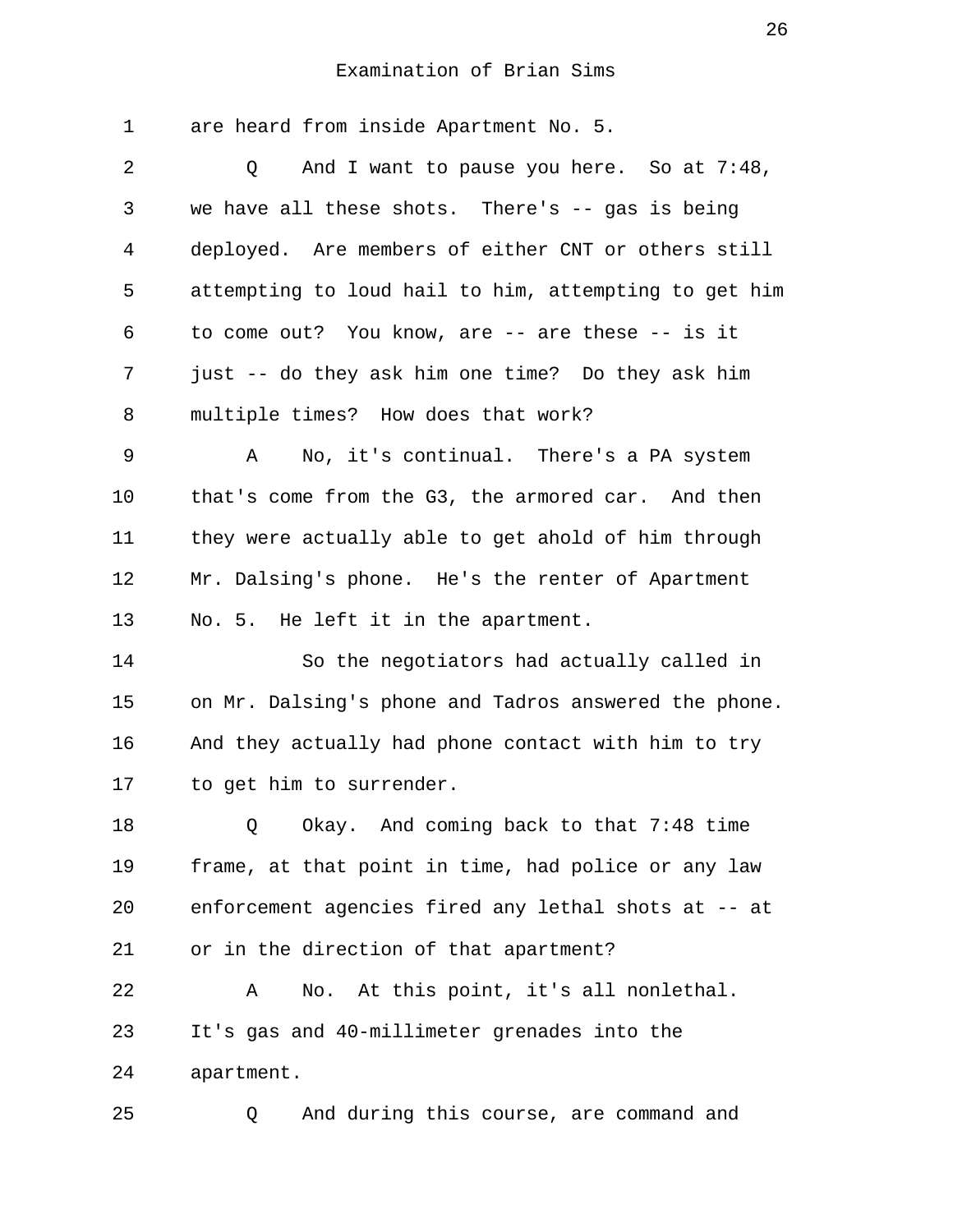1 are heard from inside Apartment No. 5. 2 0 And I want to pause you here. So at 7:48, 3 we have all these shots. There's -- gas is being 4 deployed. Are members of either CNT or others still 5 attempting to loud hail to him, attempting to get him 6 to come out? You know, are -- are these -- is it 7 just -- do they ask him one time? Do they ask him 8 multiple times? How does that work? 9 A No, it's continual. There's a PA system 10 that's come from the G3, the armored car. And then 11 they were actually able to get ahold of him through 12 Mr. Dalsing's phone. He's the renter of Apartment 13 No. 5. He left it in the apartment. 14 So the negotiators had actually called in 15 on Mr. Dalsing's phone and Tadros answered the phone. 16 And they actually had phone contact with him to try 17 to get him to surrender. 18 Q Okay. And coming back to that 7:48 time 19 frame, at that point in time, had police or any law 20 enforcement agencies fired any lethal shots at -- at 21 or in the direction of that apartment? 22 A No. At this point, it's all nonlethal. 23 It's gas and 40-millimeter grenades into the 24 apartment. 25 Q And during this course, are command and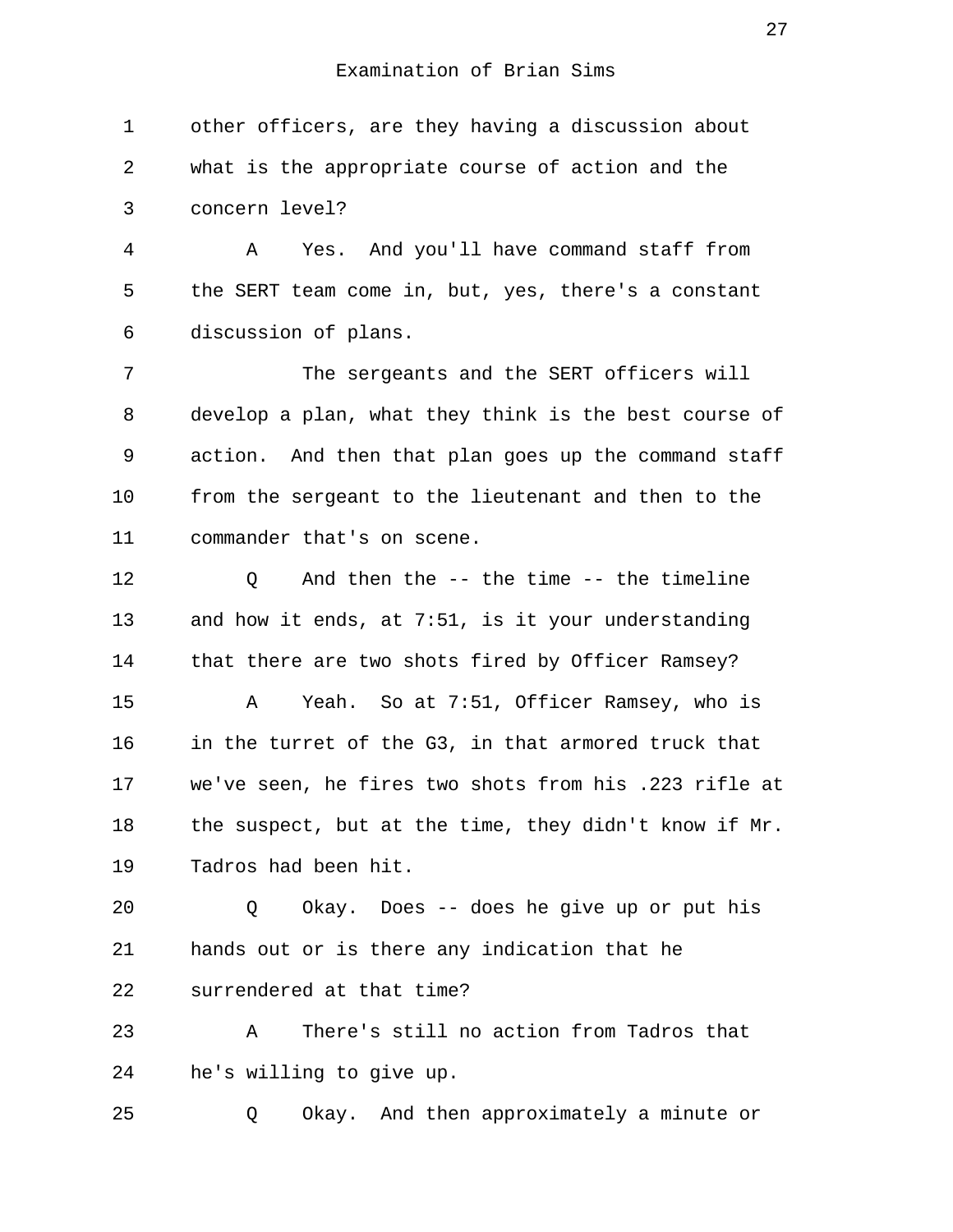1 other officers, are they having a discussion about 2 what is the appropriate course of action and the 3 concern level? 4 A Yes. And you'll have command staff from 5 the SERT team come in, but, yes, there's a constant 6 discussion of plans. 7 The sergeants and the SERT officers will 8 develop a plan, what they think is the best course of 9 action. And then that plan goes up the command staff 10 from the sergeant to the lieutenant and then to the 11 commander that's on scene. 12 Q And then the -- the time -- the timeline 13 and how it ends, at 7:51, is it your understanding 14 that there are two shots fired by Officer Ramsey? 15 A Yeah. So at 7:51, Officer Ramsey, who is 16 in the turret of the G3, in that armored truck that 17 we've seen, he fires two shots from his .223 rifle at 18 the suspect, but at the time, they didn't know if Mr. 19 Tadros had been hit. 20 Q Okay. Does -- does he give up or put his 21 hands out or is there any indication that he 22 surrendered at that time? 23 A There's still no action from Tadros that

24 he's willing to give up.

25 Q Okay. And then approximately a minute or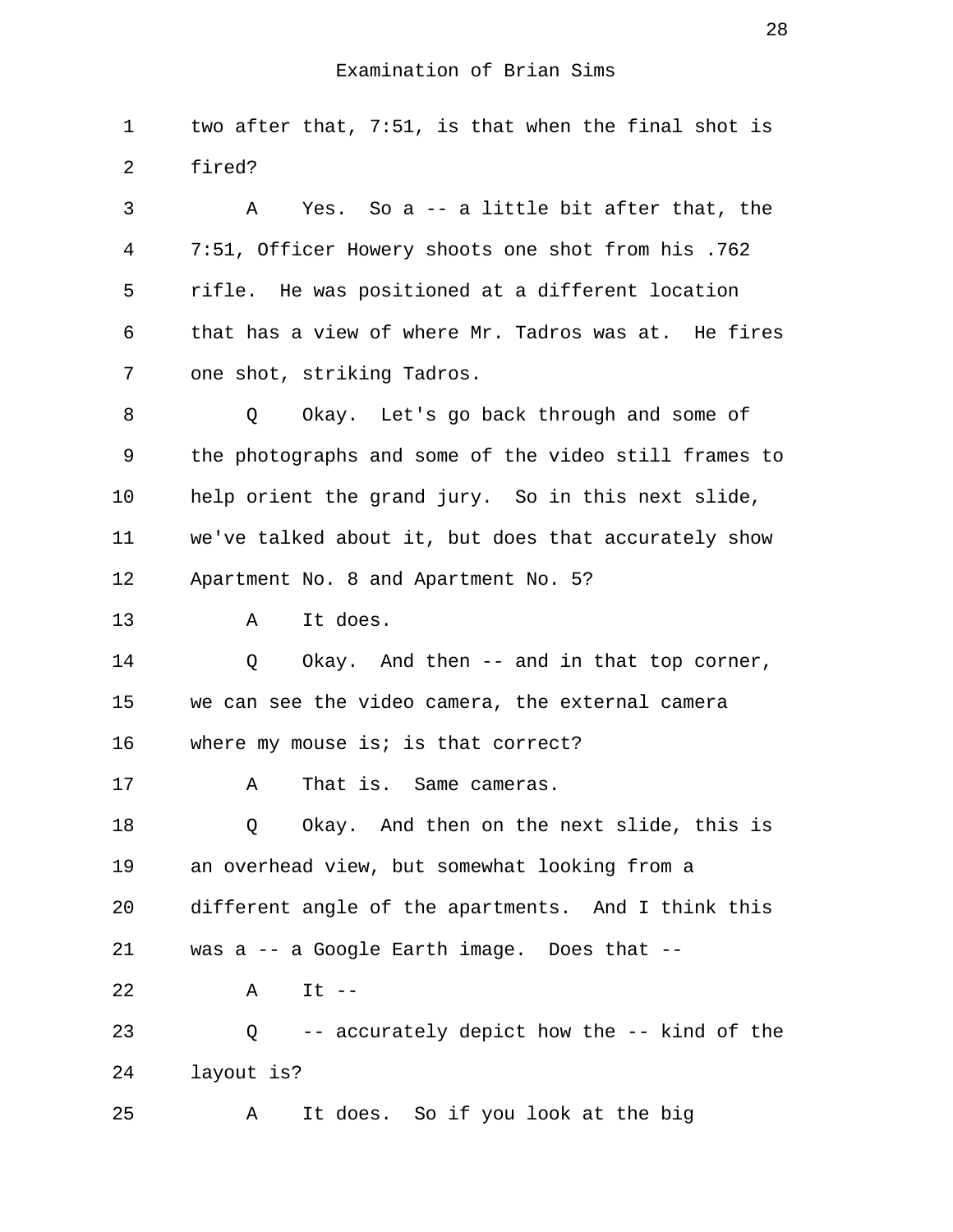1 two after that, 7:51, is that when the final shot is 2 fired?

 3 A Yes. So a -- a little bit after that, the 4 7:51, Officer Howery shoots one shot from his .762 5 rifle. He was positioned at a different location 6 that has a view of where Mr. Tadros was at. He fires 7 one shot, striking Tadros. 8 O Okay. Let's go back through and some of

 9 the photographs and some of the video still frames to 10 help orient the grand jury. So in this next slide, 11 we've talked about it, but does that accurately show 12 Apartment No. 8 and Apartment No. 5?

13 A It does.

14 Q Okay. And then -- and in that top corner, 15 we can see the video camera, the external camera 16 where my mouse is; is that correct?

17 A That is. Same cameras.

18 Q Okay. And then on the next slide, this is 19 an overhead view, but somewhat looking from a 20 different angle of the apartments. And I think this

21 was a -- a Google Earth image. Does that --

22 A It --

23 Q -- accurately depict how the -- kind of the 24 layout is?

25 A It does. So if you look at the big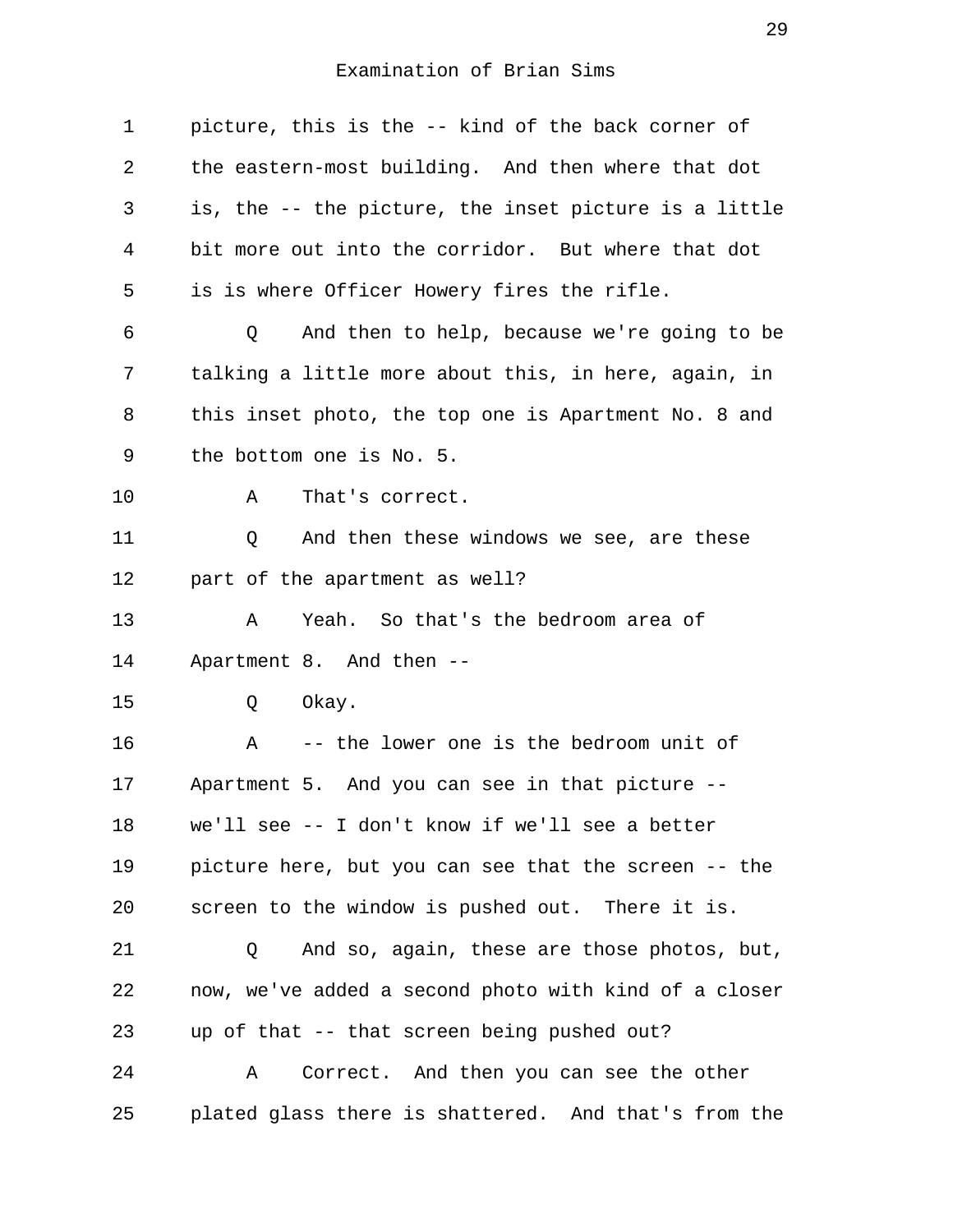| $\mathbf 1$ | picture, this is the -- kind of the back corner of      |
|-------------|---------------------------------------------------------|
| 2           | the eastern-most building. And then where that dot      |
| 3           | is, the -- the picture, the inset picture is a little   |
| 4           | bit more out into the corridor. But where that dot      |
| 5           | is is where Officer Howery fires the rifle.             |
| 6           | And then to help, because we're going to be<br>Q        |
| 7           | talking a little more about this, in here, again, in    |
| 8           | this inset photo, the top one is Apartment No. 8 and    |
| 9           | the bottom one is No. 5.                                |
| 10          | That's correct.<br>Α                                    |
| 11          | And then these windows we see, are these<br>Q           |
| 12          | part of the apartment as well?                          |
| 13          | Yeah. So that's the bedroom area of<br>Α                |
| 14          | Apartment 8. And then --                                |
| 15          | Okay.<br>Q                                              |
| 16          | -- the lower one is the bedroom unit of<br>$\mathbf{A}$ |
| 17          | Apartment 5. And you can see in that picture --         |
| 18          | we'll see -- I don't know if we'll see a better         |
| 19          | picture here, but you can see that the screen -- the    |
| 20          | screen to the window is pushed out. There it is.        |
| 21          | And so, again, these are those photos, but,<br>Q        |
| 22          | now, we've added a second photo with kind of a closer   |
| 23          | up of that -- that screen being pushed out?             |
| 24          | Correct. And then you can see the other<br>Α            |
| 25          | plated glass there is shattered. And that's from the    |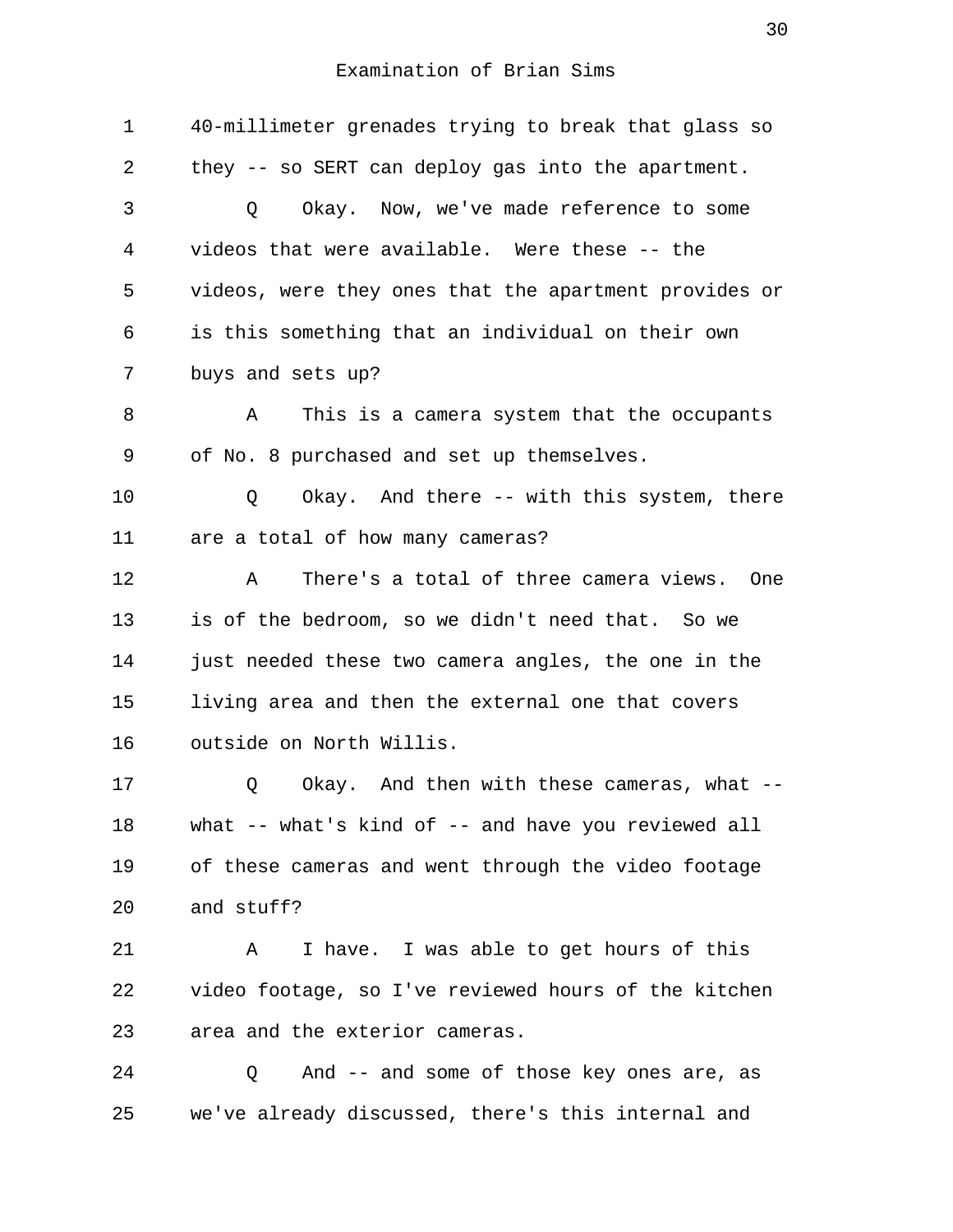1 40-millimeter grenades trying to break that glass so 2 they -- so SERT can deploy gas into the apartment. 3 Q Okay. Now, we've made reference to some 4 videos that were available. Were these -- the 5 videos, were they ones that the apartment provides or 6 is this something that an individual on their own 7 buys and sets up? 8 A This is a camera system that the occupants 9 of No. 8 purchased and set up themselves. 10 Q Okay. And there -- with this system, there 11 are a total of how many cameras? 12 A There's a total of three camera views. One 13 is of the bedroom, so we didn't need that. So we 14 just needed these two camera angles, the one in the 15 living area and then the external one that covers 16 outside on North Willis. 17 Q Okay. And then with these cameras, what -- 18 what -- what's kind of -- and have you reviewed all 19 of these cameras and went through the video footage 20 and stuff? 21 A I have. I was able to get hours of this 22 video footage, so I've reviewed hours of the kitchen 23 area and the exterior cameras. 24 Q And -- and some of those key ones are, as 25 we've already discussed, there's this internal and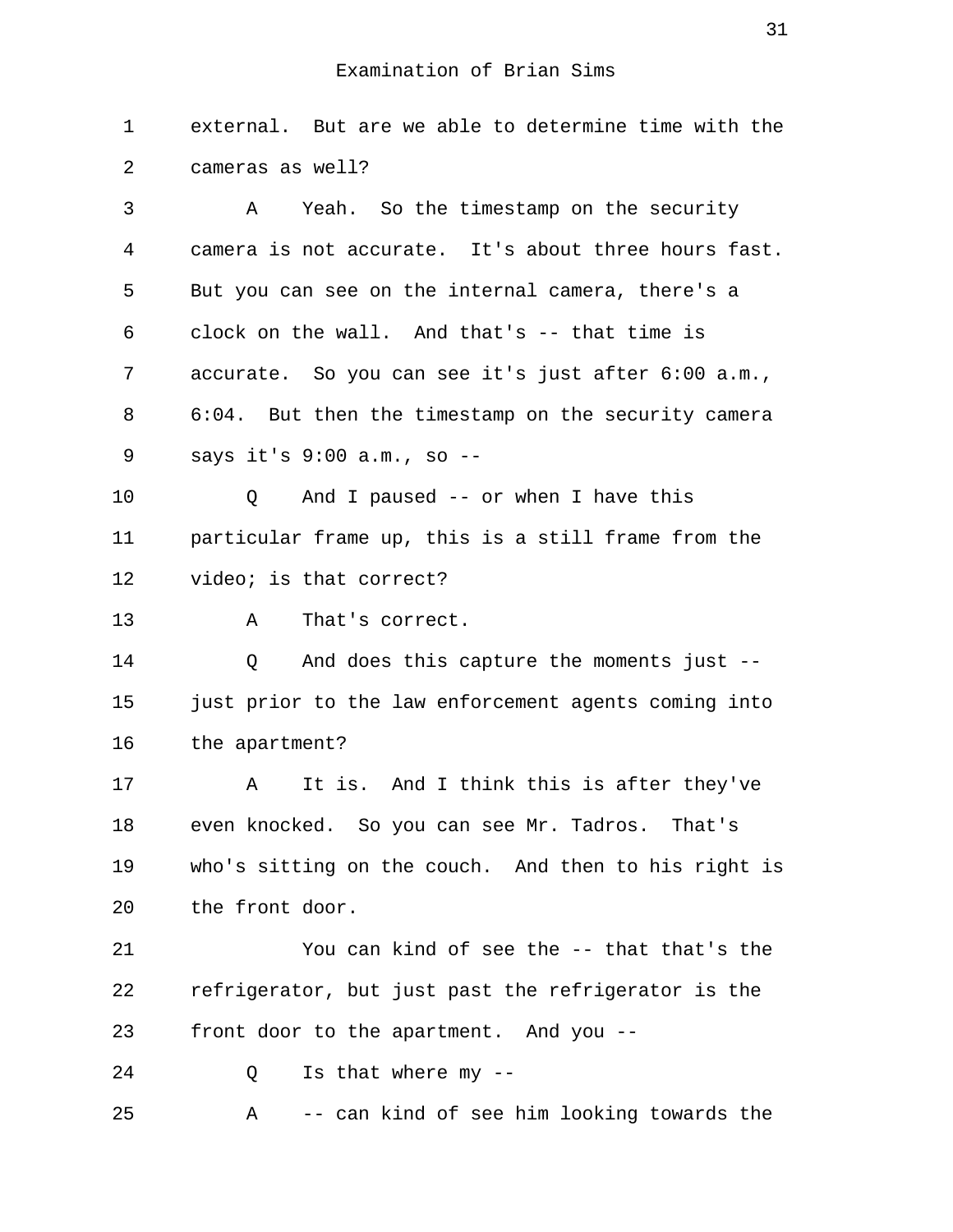1 external. But are we able to determine time with the 2 cameras as well?

 3 A Yeah. So the timestamp on the security 4 camera is not accurate. It's about three hours fast. 5 But you can see on the internal camera, there's a 6 clock on the wall. And that's -- that time is 7 accurate. So you can see it's just after 6:00 a.m., 8 6:04. But then the timestamp on the security camera 9 says it's 9:00 a.m., so --

10 Q And I paused -- or when I have this 11 particular frame up, this is a still frame from the 12 video; is that correct?

13 A That's correct.

14 Q And does this capture the moments just -- 15 just prior to the law enforcement agents coming into 16 the apartment?

17 A It is. And I think this is after they've 18 even knocked. So you can see Mr. Tadros. That's 19 who's sitting on the couch. And then to his right is 20 the front door.

21 You can kind of see the -- that that's the 22 refrigerator, but just past the refrigerator is the 23 front door to the apartment. And you --

24 O Is that where my --

25 A -- can kind of see him looking towards the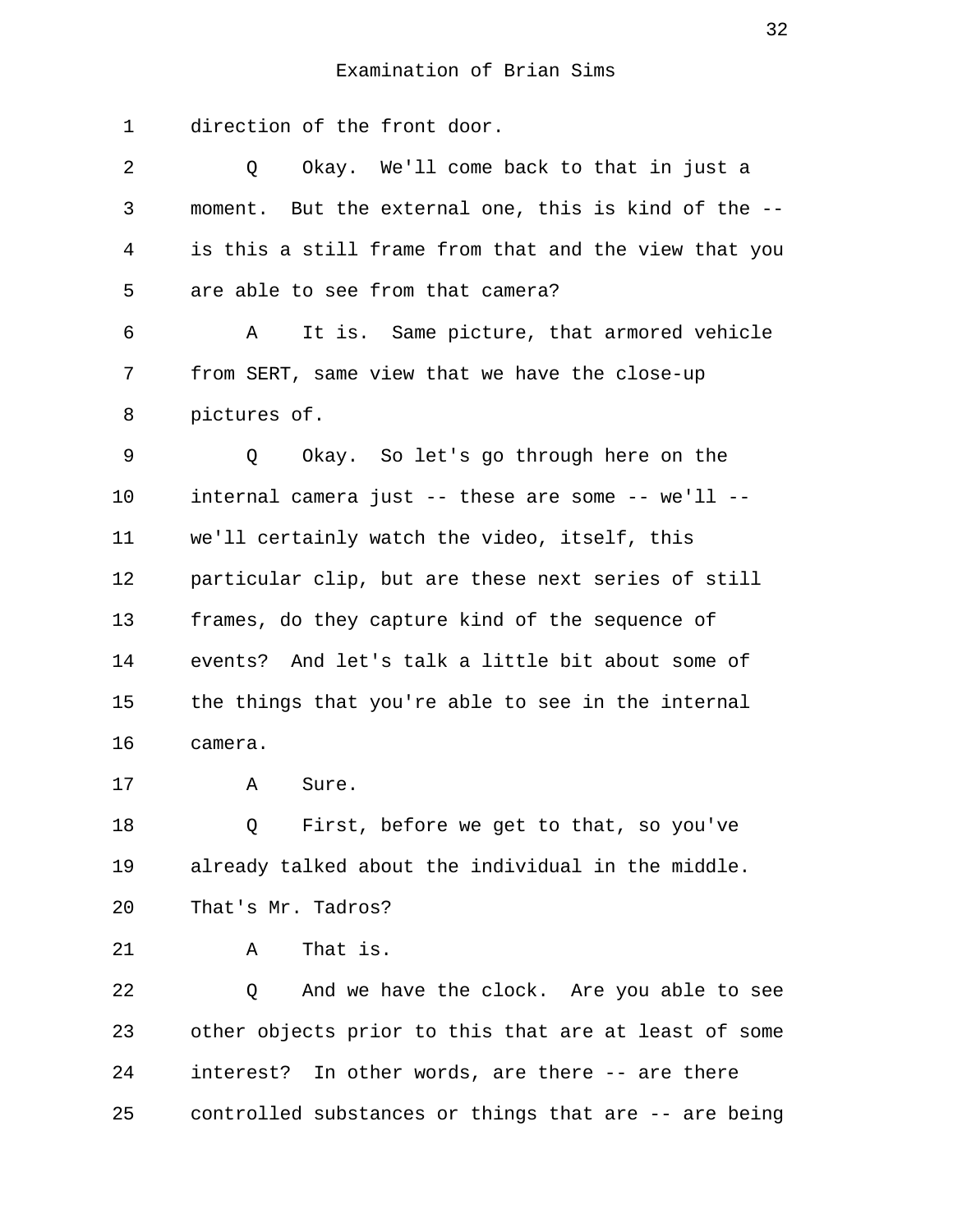1 direction of the front door.

| 2  | Okay. We'll come back to that in just a<br>Q          |
|----|-------------------------------------------------------|
| 3  | moment. But the external one, this is kind of the --  |
| 4  | is this a still frame from that and the view that you |
| 5  | are able to see from that camera?                     |
| 6  | It is. Same picture, that armored vehicle<br>A        |
| 7  | from SERT, same view that we have the close-up        |
| 8  | pictures of.                                          |
| 9  | Okay. So let's go through here on the<br>Q            |
| 10 | internal camera just -- these are some -- we'll --    |
| 11 | we'll certainly watch the video, itself, this         |
| 12 | particular clip, but are these next series of still   |
| 13 | frames, do they capture kind of the sequence of       |
| 14 | events? And let's talk a little bit about some of     |
| 15 | the things that you're able to see in the internal    |
| 16 | camera.                                               |
| 17 | Sure.<br>Α                                            |
| 18 | First, before we get to that, so you've<br>Q          |
| 19 | already talked about the individual in the middle.    |
| 20 | That's Mr. Tadros?                                    |
| 21 | That is.<br>Α                                         |
| 22 | And we have the clock. Are you able to see<br>Q       |
| 23 | other objects prior to this that are at least of some |
| 24 | interest? In other words, are there -- are there      |
| 25 | controlled substances or things that are -- are being |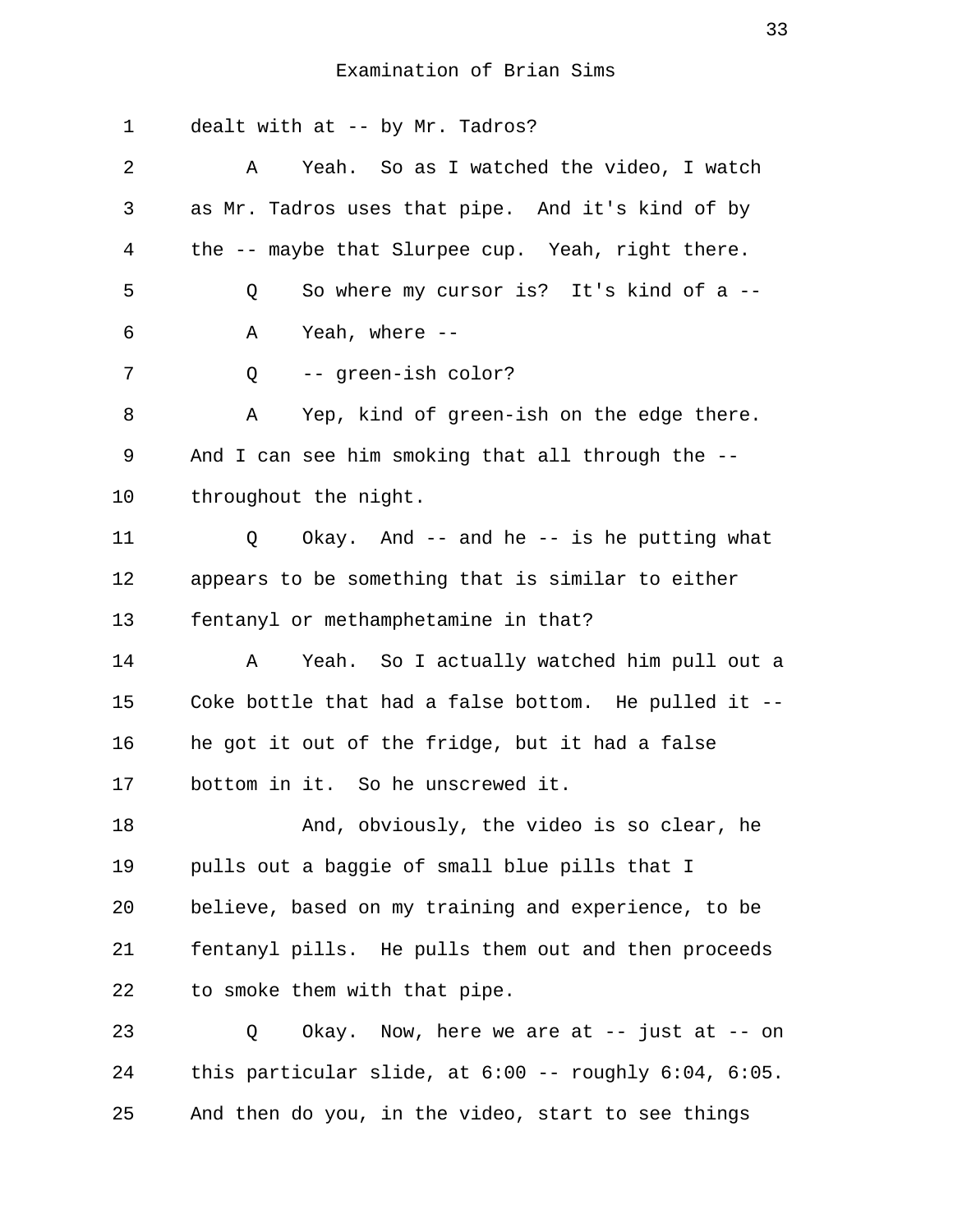1 dealt with at -- by Mr. Tadros? 2 A Yeah. So as I watched the video, I watch 3 as Mr. Tadros uses that pipe. And it's kind of by 4 the -- maybe that Slurpee cup. Yeah, right there. 5 Q So where my cursor is? It's kind of a -- 6 A Yeah, where -- 7 Q -- green-ish color? 8 A Yep, kind of green-ish on the edge there. 9 And I can see him smoking that all through the -- 10 throughout the night. 11 Q Okay. And -- and he -- is he putting what 12 appears to be something that is similar to either 13 fentanyl or methamphetamine in that? 14 A Yeah. So I actually watched him pull out a 15 Coke bottle that had a false bottom. He pulled it -- 16 he got it out of the fridge, but it had a false 17 bottom in it. So he unscrewed it. 18 And, obviously, the video is so clear, he 19 pulls out a baggie of small blue pills that I 20 believe, based on my training and experience, to be 21 fentanyl pills. He pulls them out and then proceeds 22 to smoke them with that pipe. 23 Q Okay. Now, here we are at -- just at -- on 24 this particular slide, at 6:00 -- roughly 6:04, 6:05. 25 And then do you, in the video, start to see things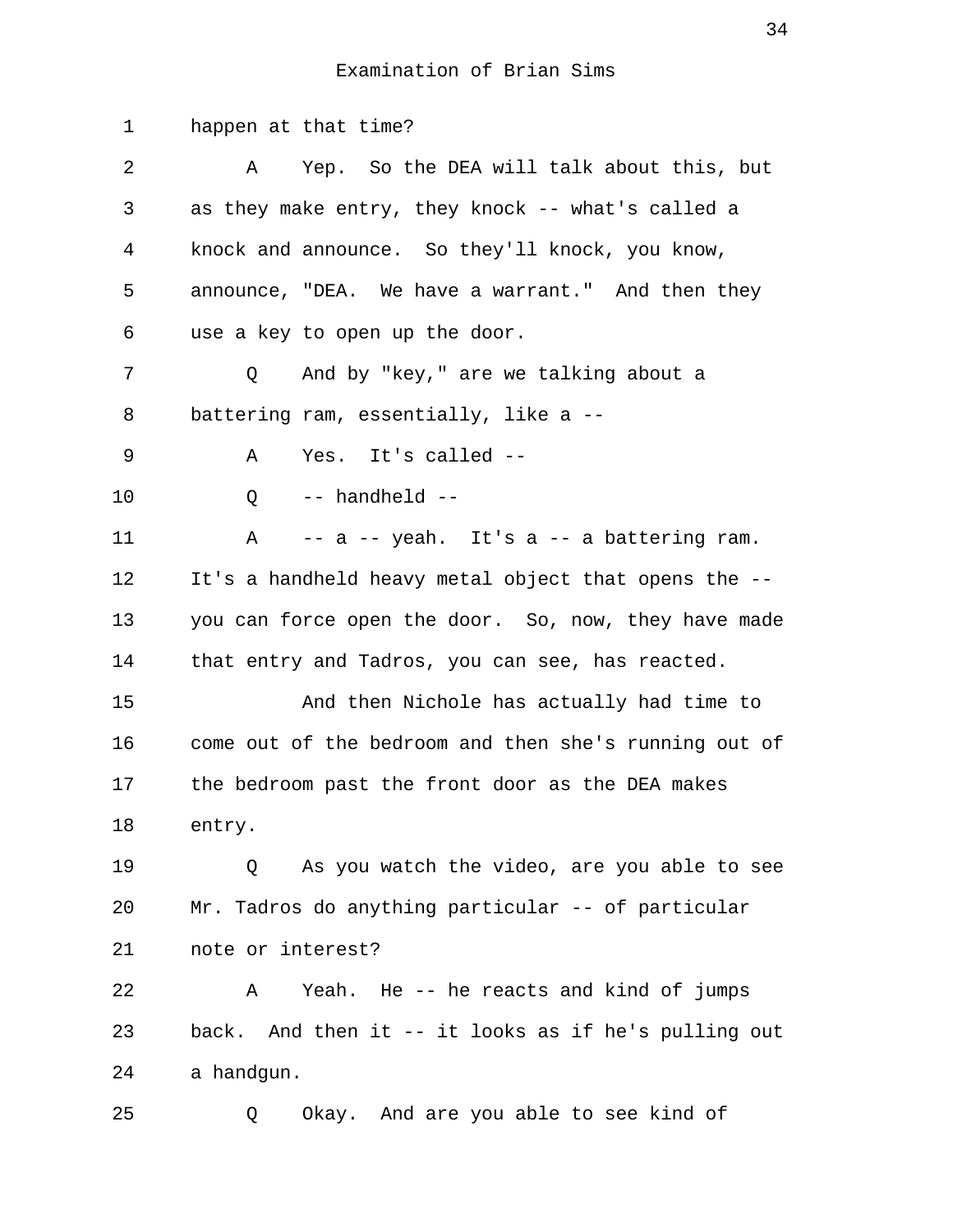1 happen at that time? 2 A Yep. So the DEA will talk about this, but 3 as they make entry, they knock -- what's called a 4 knock and announce. So they'll knock, you know, 5 announce, "DEA. We have a warrant." And then they 6 use a key to open up the door. 7 Q And by "key," are we talking about a 8 battering ram, essentially, like a -- 9 A Yes. It's called -- 10 Q -- handheld -- 11 A -- a -- yeah. It's a -- a battering ram. 12 It's a handheld heavy metal object that opens the -- 13 you can force open the door. So, now, they have made 14 that entry and Tadros, you can see, has reacted. 15 And then Nichole has actually had time to 16 come out of the bedroom and then she's running out of 17 the bedroom past the front door as the DEA makes 18 entry. 19 Q As you watch the video, are you able to see 20 Mr. Tadros do anything particular -- of particular 21 note or interest? 22 A Yeah. He -- he reacts and kind of jumps 23 back. And then it -- it looks as if he's pulling out 24 a handgun. 25 Q Okay. And are you able to see kind of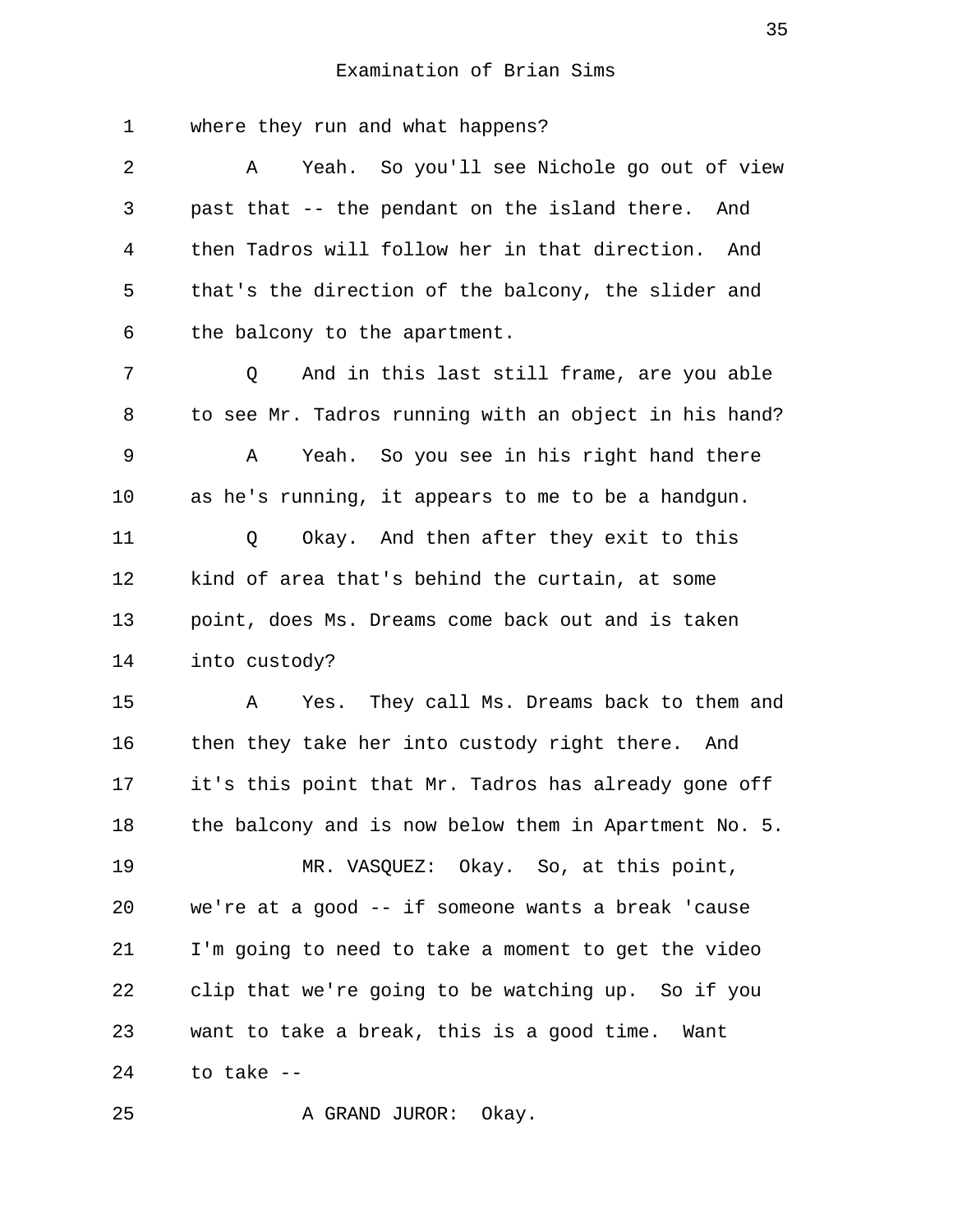1 where they run and what happens? 2 A Yeah. So you'll see Nichole go out of view 3 past that -- the pendant on the island there. And 4 then Tadros will follow her in that direction. And 5 that's the direction of the balcony, the slider and 6 the balcony to the apartment. 7 6 Q and in this last still frame, are you able 8 to see Mr. Tadros running with an object in his hand? 9 A Yeah. So you see in his right hand there 10 as he's running, it appears to me to be a handgun. 11 Q Okay. And then after they exit to this 12 kind of area that's behind the curtain, at some 13 point, does Ms. Dreams come back out and is taken 14 into custody? 15 A Yes. They call Ms. Dreams back to them and 16 then they take her into custody right there. And 17 it's this point that Mr. Tadros has already gone off 18 the balcony and is now below them in Apartment No. 5. 19 MR. VASQUEZ: Okay. So, at this point, 20 we're at a good -- if someone wants a break 'cause 21 I'm going to need to take a moment to get the video 22 clip that we're going to be watching up. So if you 23 want to take a break, this is a good time. Want  $24$  to take  $-$ 

25 A GRAND JUROR: Okay.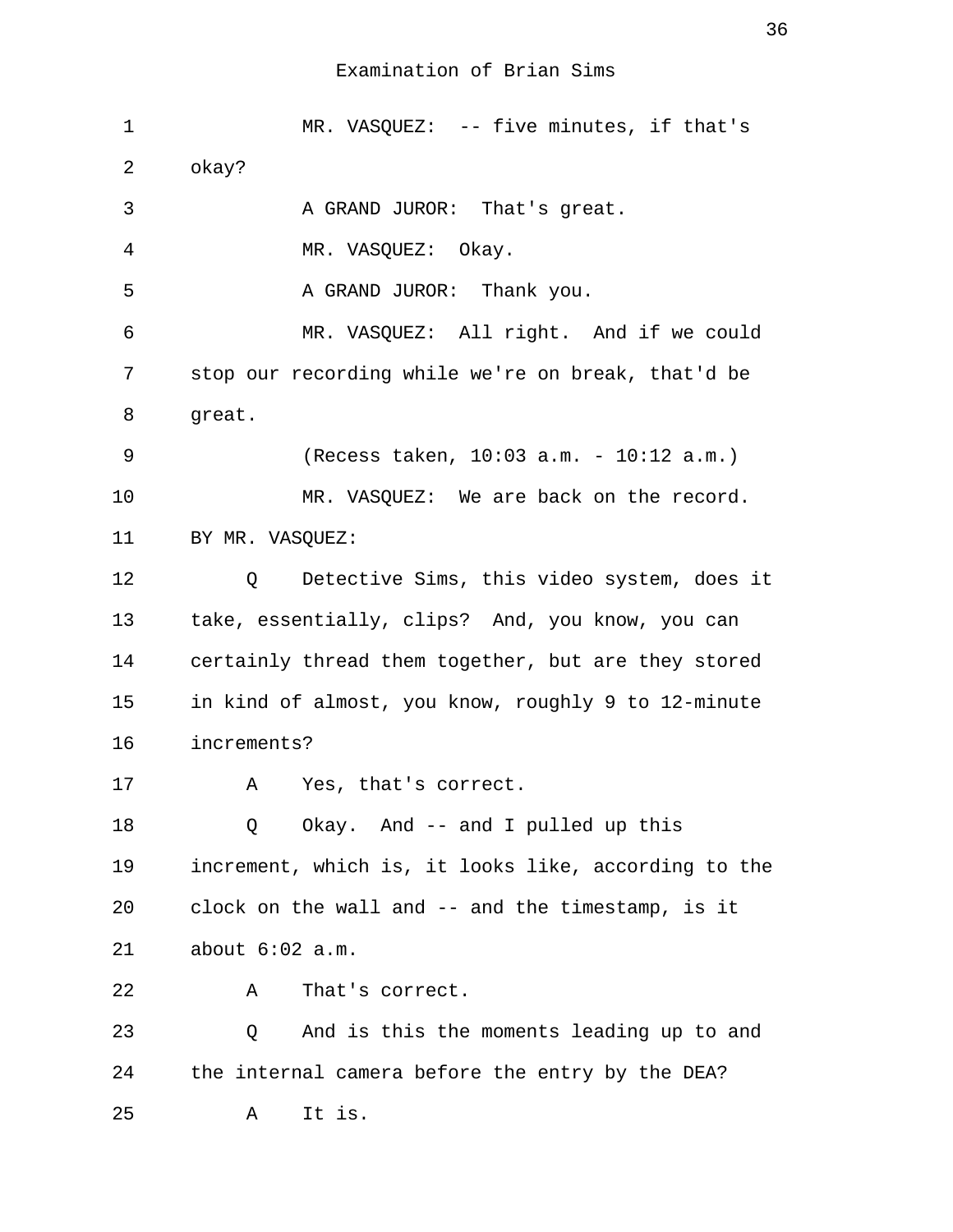1 MR. VASQUEZ: -- five minutes, if that's 2 okay? 3 A GRAND JUROR: That's great. 4 MR. VASQUEZ: Okay. 5 A GRAND JUROR: Thank you. 6 MR. VASQUEZ: All right. And if we could 7 stop our recording while we're on break, that'd be 8 great. 9 (Recess taken, 10:03 a.m. - 10:12 a.m.) 10 MR. VASQUEZ: We are back on the record. 11 BY MR. VASOUEZ: 12 Q Detective Sims, this video system, does it 13 take, essentially, clips? And, you know, you can 14 certainly thread them together, but are they stored 15 in kind of almost, you know, roughly 9 to 12-minute 16 increments? 17 A Yes, that's correct. 18 Q Okay. And -- and I pulled up this 19 increment, which is, it looks like, according to the 20 clock on the wall and -- and the timestamp, is it 21 about 6:02 a.m. 22 A That's correct. 23 Q And is this the moments leading up to and 24 the internal camera before the entry by the DEA? 25 A It is.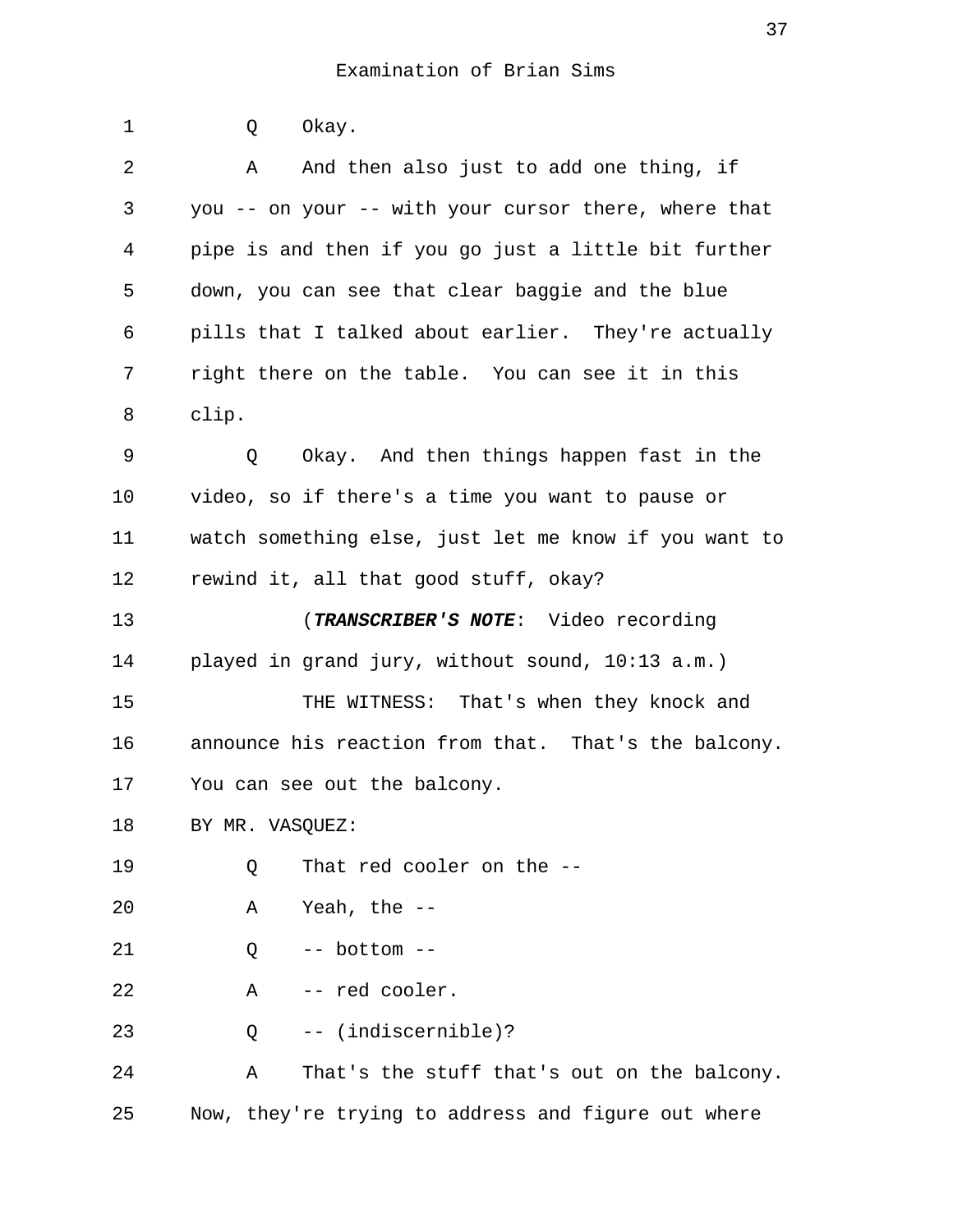1 Q Okay. 2 A And then also just to add one thing, if 3 you -- on your -- with your cursor there, where that 4 pipe is and then if you go just a little bit further 5 down, you can see that clear baggie and the blue 6 pills that I talked about earlier. They're actually 7 right there on the table. You can see it in this 8 clip. 9 Q Okay. And then things happen fast in the 10 video, so if there's a time you want to pause or 11 watch something else, just let me know if you want to 12 rewind it, all that good stuff, okay? 13 (**TRANSCRIBER'S NOTE**: Video recording 14 played in grand jury, without sound, 10:13 a.m.) 15 THE WITNESS: That's when they knock and 16 announce his reaction from that. That's the balcony. 17 You can see out the balcony. 18 BY MR. VASOUEZ: 19 0 That red cooler on the --20 A Yeah, the -- 21 Q -- bottom -- 22 A -- red cooler. 23 Q -- (indiscernible)? 24 A That's the stuff that's out on the balcony. 25 Now, they're trying to address and figure out where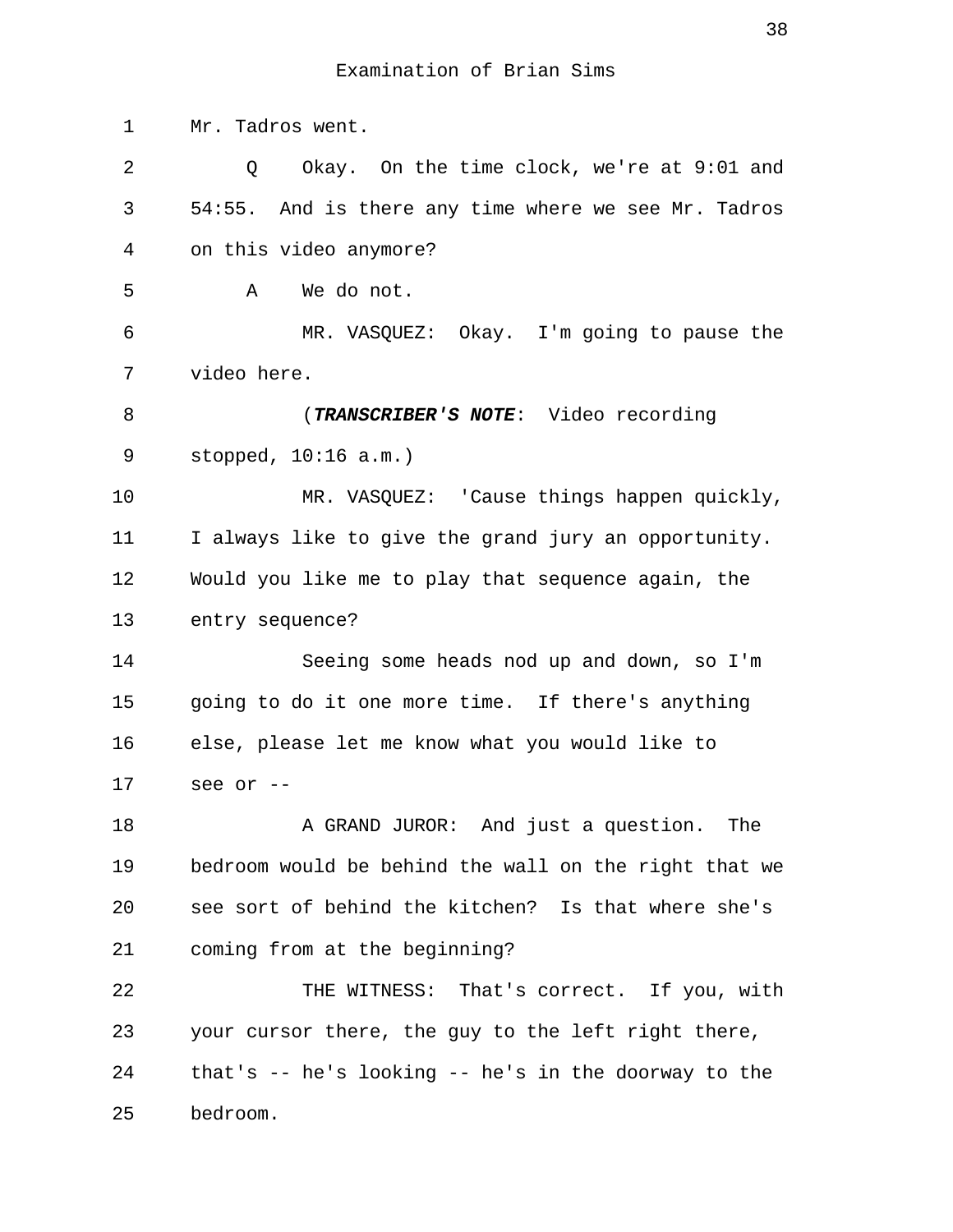1 Mr. Tadros went. 2 Q Okay. On the time clock, we're at 9:01 and 3 54:55. And is there any time where we see Mr. Tadros 4 on this video anymore? 5 A We do not. 6 MR. VASQUEZ: Okay. I'm going to pause the 7 video here. 8 (**TRANSCRIBER'S NOTE**: Video recording 9 stopped, 10:16 a.m.) 10 MR. VASQUEZ: 'Cause things happen quickly, 11 I always like to give the grand jury an opportunity. 12 Would you like me to play that sequence again, the 13 entry sequence? 14 Seeing some heads nod up and down, so I'm 15 going to do it one more time. If there's anything 16 else, please let me know what you would like to 17 see or -- 18 A GRAND JUROR: And just a question. The 19 bedroom would be behind the wall on the right that we 20 see sort of behind the kitchen? Is that where she's 21 coming from at the beginning? 22 THE WITNESS: That's correct. If you, with 23 your cursor there, the guy to the left right there, 24 that's -- he's looking -- he's in the doorway to the 25 bedroom.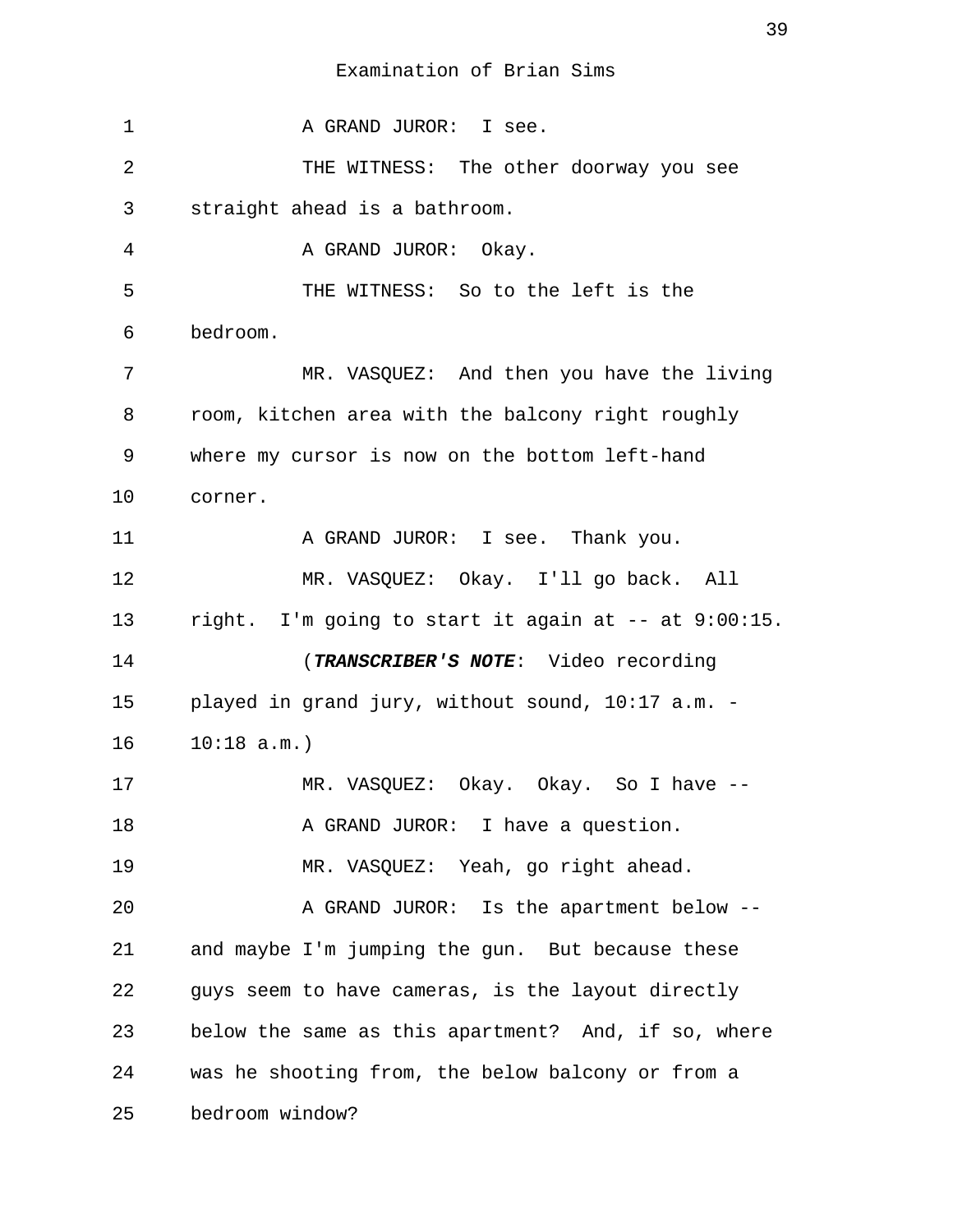1 A GRAND JUROR: I see. 2 THE WITNESS: The other doorway you see 3 straight ahead is a bathroom. 4 A GRAND JUROR: Okay. 5 THE WITNESS: So to the left is the 6 bedroom. 7 MR. VASQUEZ: And then you have the living 8 room, kitchen area with the balcony right roughly 9 where my cursor is now on the bottom left-hand 10 corner. 11 A GRAND JUROR: I see. Thank you. 12 MR. VASQUEZ: Okay. I'll go back. All 13 right. I'm going to start it again at -- at 9:00:15. 14 (**TRANSCRIBER'S NOTE**: Video recording 15 played in grand jury, without sound, 10:17 a.m. - 16 10:18 a.m.) 17 MR. VASQUEZ: Okay. Okay. So I have --18 A GRAND JUROR: I have a question. 19 MR. VASQUEZ: Yeah, go right ahead. 20 A GRAND JUROR: Is the apartment below --21 and maybe I'm jumping the gun. But because these 22 guys seem to have cameras, is the layout directly 23 below the same as this apartment? And, if so, where 24 was he shooting from, the below balcony or from a 25 bedroom window?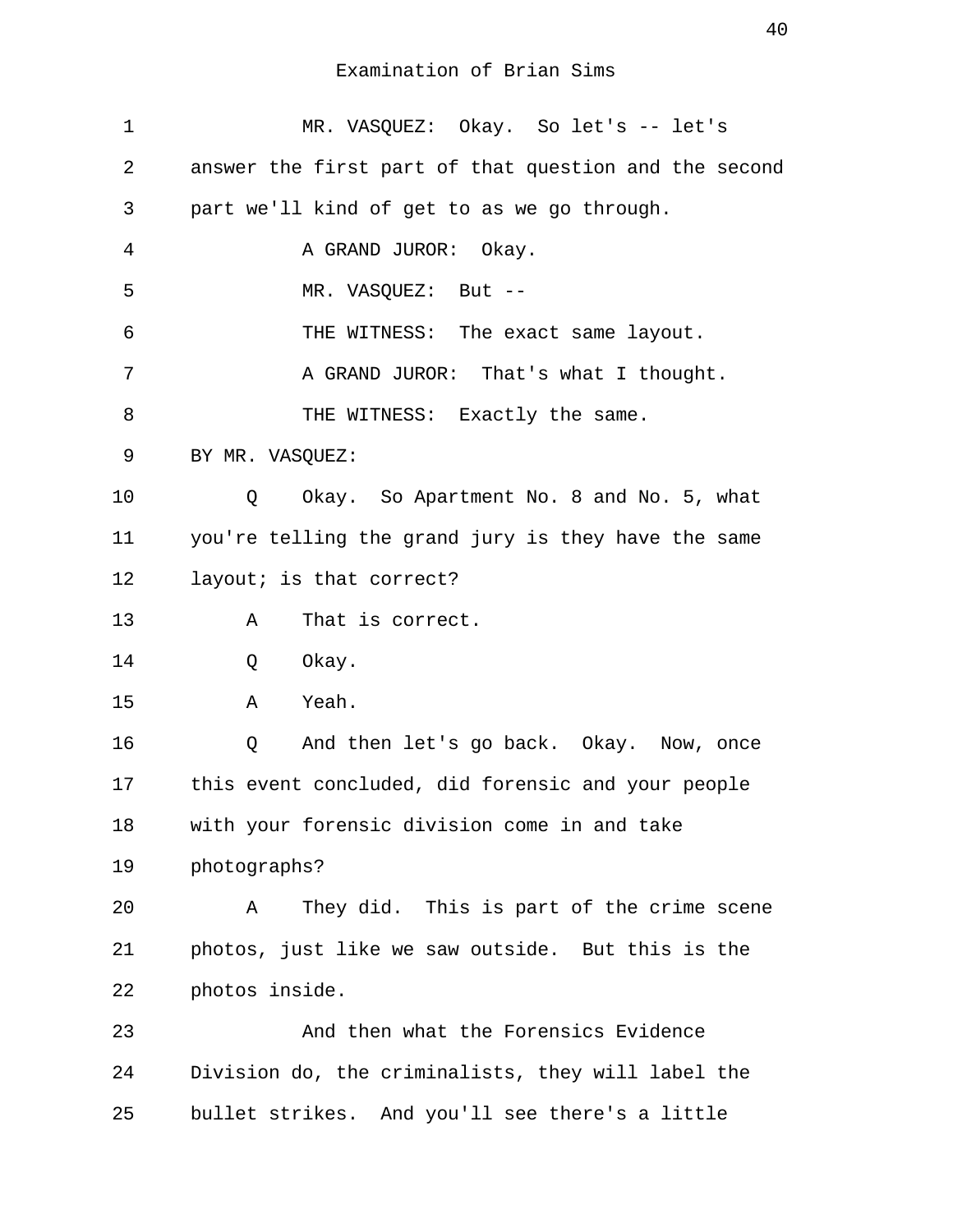| $\mathbf{1}$ | MR. VASQUEZ: Okay. So let's -- let's                  |
|--------------|-------------------------------------------------------|
| 2            | answer the first part of that question and the second |
| 3            | part we'll kind of get to as we go through.           |
| 4            | A GRAND JUROR: Okay.                                  |
| 5            | MR. VASQUEZ: But --                                   |
| 6            | THE WITNESS: The exact same layout.                   |
| 7            | A GRAND JUROR: That's what I thought.                 |
| 8            | THE WITNESS: Exactly the same.                        |
| 9            | BY MR. VASQUEZ:                                       |
| 10           | Okay. So Apartment No. 8 and No. 5, what<br>Q         |
| 11           | you're telling the grand jury is they have the same   |
| 12           | layout; is that correct?                              |
| 13           | That is correct.<br>Α                                 |
| 14           | Okay.<br>Q                                            |
| 15           | A Yeah.                                               |
| 16           | Q<br>And then let's go back. Okay. Now, once          |
| 17           | this event concluded, did forensic and your people    |
| 18           | with your forensic division come in and take          |
| 19           | photographs?                                          |
| 20           | They did. This is part of the crime scene<br>Α        |
| 21           | photos, just like we saw outside. But this is the     |
| 22           | photos inside.                                        |
| 23           | And then what the Forensics Evidence                  |
| 24           | Division do, the criminalists, they will label the    |
| 25           | bullet strikes. And you'll see there's a little       |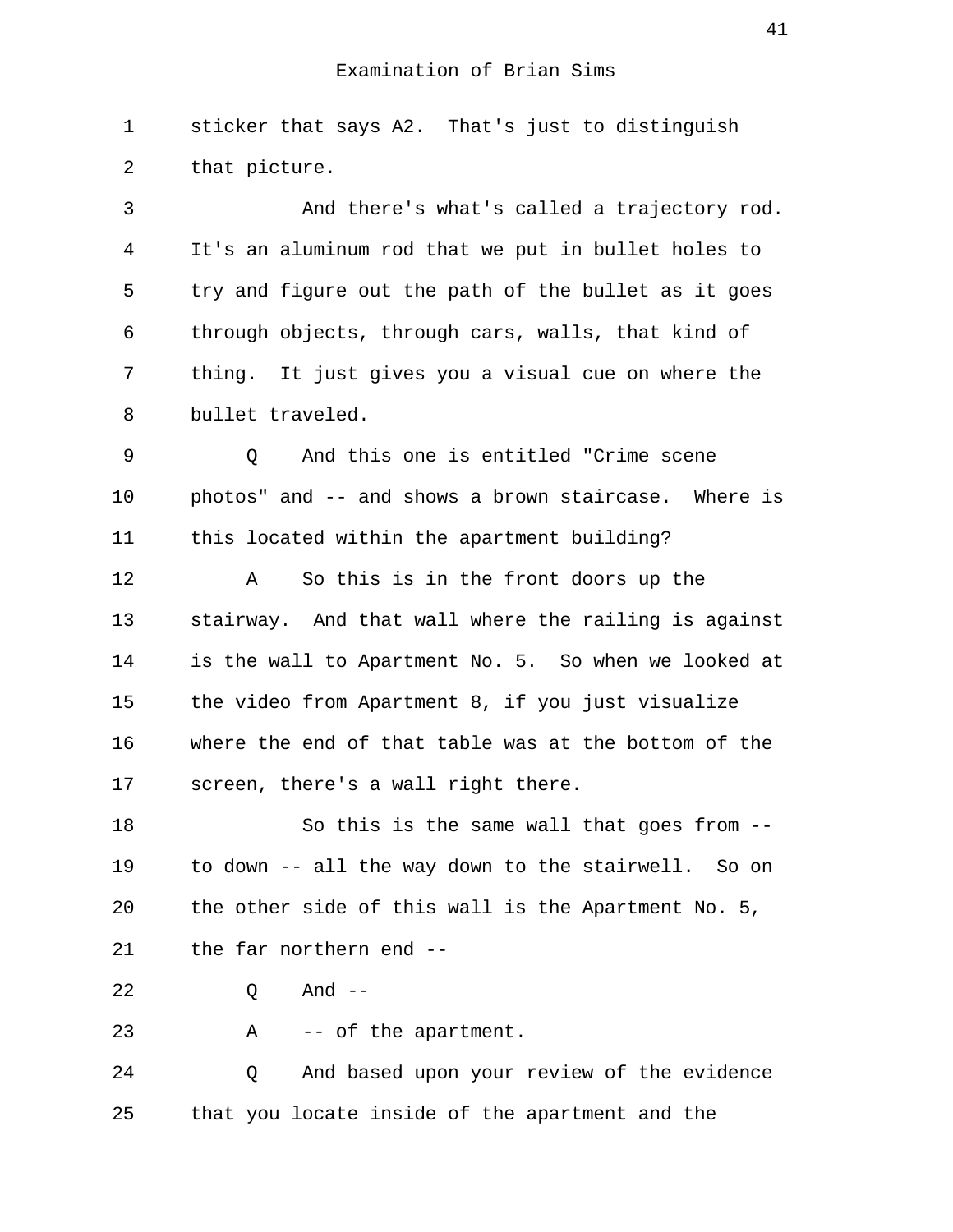1 sticker that says A2. That's just to distinguish 2 that picture.

 3 And there's what's called a trajectory rod. 4 It's an aluminum rod that we put in bullet holes to 5 try and figure out the path of the bullet as it goes 6 through objects, through cars, walls, that kind of 7 thing. It just gives you a visual cue on where the 8 bullet traveled.

 9 Q And this one is entitled "Crime scene 10 photos" and -- and shows a brown staircase. Where is 11 this located within the apartment building?

12 A So this is in the front doors up the 13 stairway. And that wall where the railing is against 14 is the wall to Apartment No. 5. So when we looked at 15 the video from Apartment 8, if you just visualize 16 where the end of that table was at the bottom of the 17 screen, there's a wall right there.

18 So this is the same wall that goes from -- 19 to down -- all the way down to the stairwell. So on 20 the other side of this wall is the Apartment No. 5, 21 the far northern end --

22 Q And --

23 A -- of the apartment.

24 Q And based upon your review of the evidence 25 that you locate inside of the apartment and the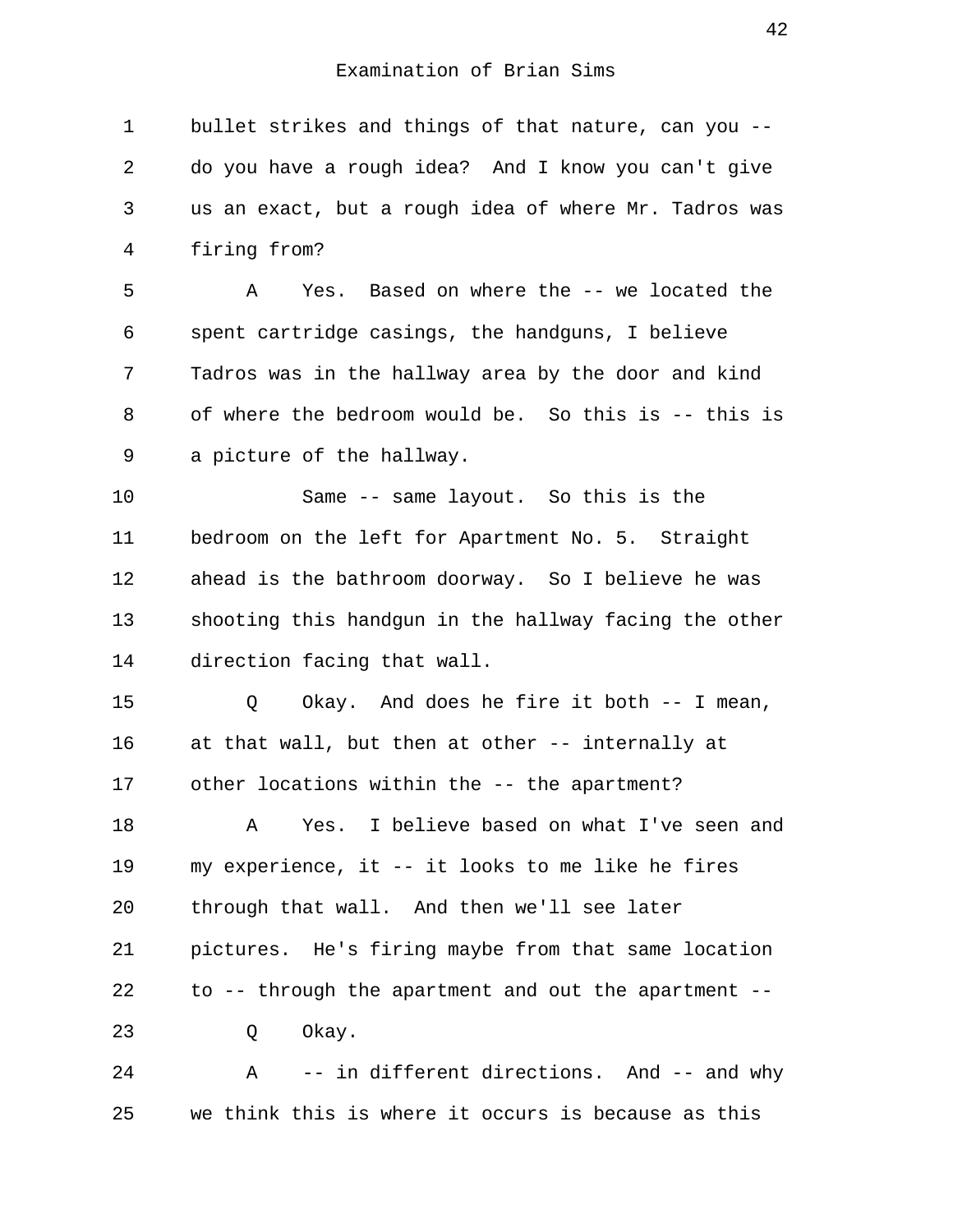1 bullet strikes and things of that nature, can you -- 2 do you have a rough idea? And I know you can't give 3 us an exact, but a rough idea of where Mr. Tadros was 4 firing from?

 5 A Yes. Based on where the -- we located the 6 spent cartridge casings, the handguns, I believe 7 Tadros was in the hallway area by the door and kind 8 of where the bedroom would be. So this is -- this is 9 a picture of the hallway.

10 Same -- same layout. So this is the 11 bedroom on the left for Apartment No. 5. Straight 12 ahead is the bathroom doorway. So I believe he was 13 shooting this handgun in the hallway facing the other 14 direction facing that wall.

15 Q Okay. And does he fire it both -- I mean, 16 at that wall, but then at other -- internally at 17 other locations within the -- the apartment? 18 A Yes. I believe based on what I've seen and 19 my experience, it -- it looks to me like he fires 20 through that wall. And then we'll see later 21 pictures. He's firing maybe from that same location 22 to -- through the apartment and out the apartment -- 23 O Okay.

24 A -- in different directions. And -- and why 25 we think this is where it occurs is because as this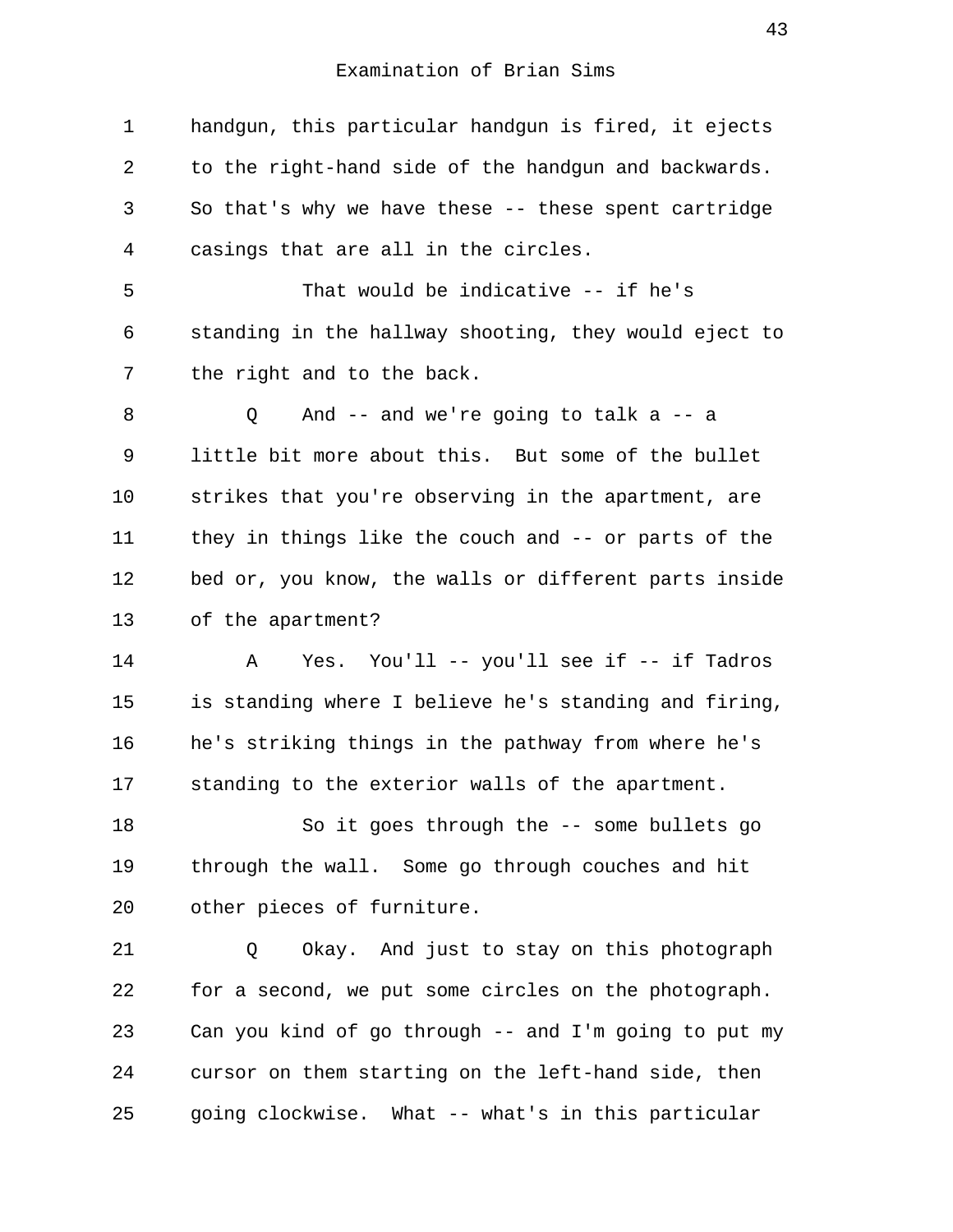1 handgun, this particular handgun is fired, it ejects 2 to the right-hand side of the handgun and backwards. 3 So that's why we have these -- these spent cartridge 4 casings that are all in the circles. 5 That would be indicative -- if he's 6 standing in the hallway shooting, they would eject to 7 the right and to the back. 8 Q And -- and we're going to talk a -- a 9 little bit more about this. But some of the bullet 10 strikes that you're observing in the apartment, are 11 they in things like the couch and -- or parts of the 12 bed or, you know, the walls or different parts inside 13 of the apartment? 14 A Yes. You'll -- you'll see if -- if Tadros 15 is standing where I believe he's standing and firing, 16 he's striking things in the pathway from where he's 17 standing to the exterior walls of the apartment. 18 So it goes through the -- some bullets go 19 through the wall. Some go through couches and hit 20 other pieces of furniture. 21 Q Okay. And just to stay on this photograph 22 for a second, we put some circles on the photograph. 23 Can you kind of go through -- and I'm going to put my 24 cursor on them starting on the left-hand side, then 25 going clockwise. What -- what's in this particular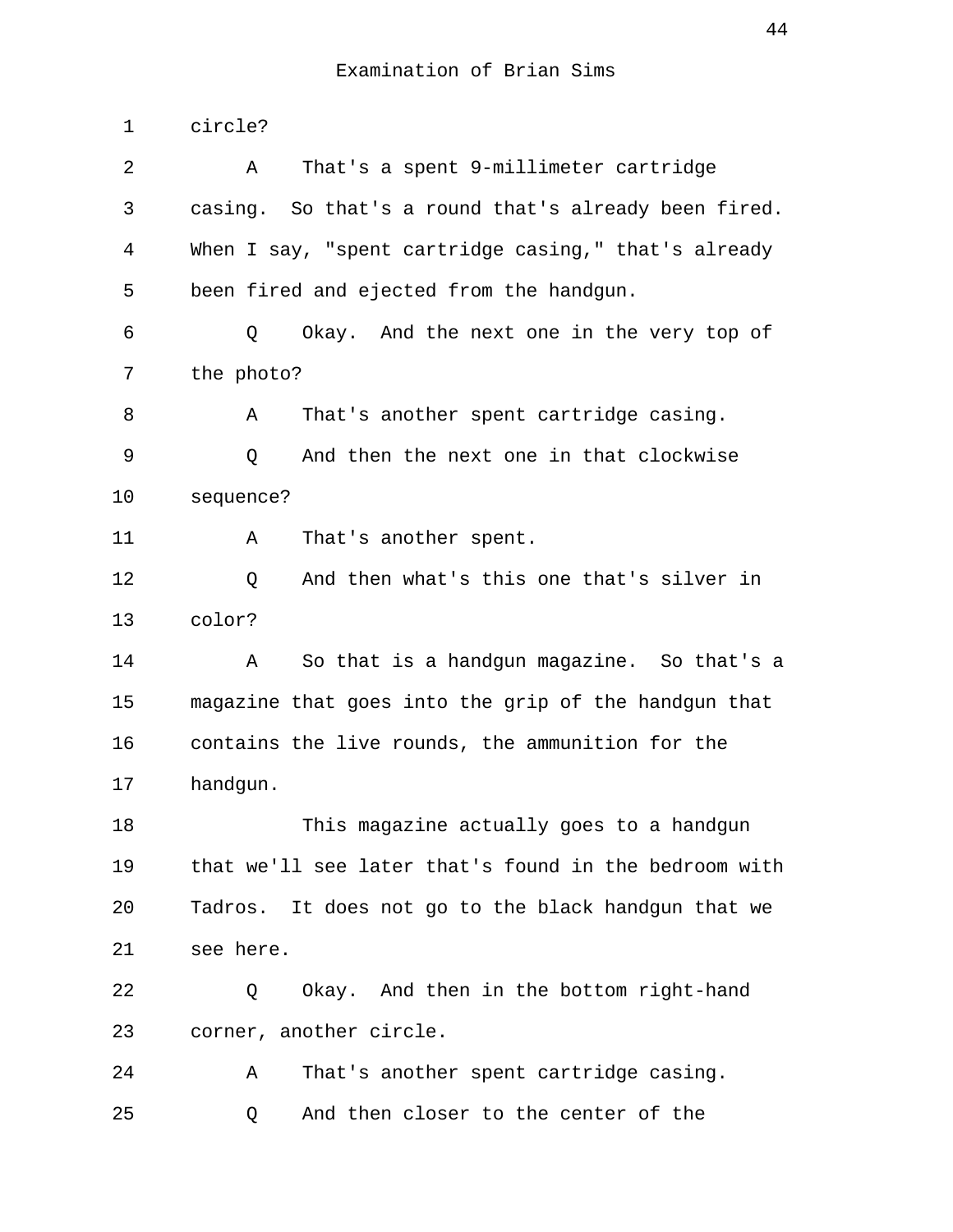1 circle? 2 A That's a spent 9-millimeter cartridge 3 casing. So that's a round that's already been fired. 4 When I say, "spent cartridge casing," that's already 5 been fired and ejected from the handgun. 6 Q Okay. And the next one in the very top of 7 the photo? 8 A That's another spent cartridge casing. 9 Q And then the next one in that clockwise 10 sequence? 11 A That's another spent. 12 Q And then what's this one that's silver in 13 color? 14 A So that is a handgun magazine. So that's a 15 magazine that goes into the grip of the handgun that 16 contains the live rounds, the ammunition for the 17 handgun. 18 This magazine actually goes to a handgun 19 that we'll see later that's found in the bedroom with 20 Tadros. It does not go to the black handgun that we 21 see here. 22 Q Okay. And then in the bottom right-hand 23 corner, another circle. 24 A That's another spent cartridge casing. 25 Q And then closer to the center of the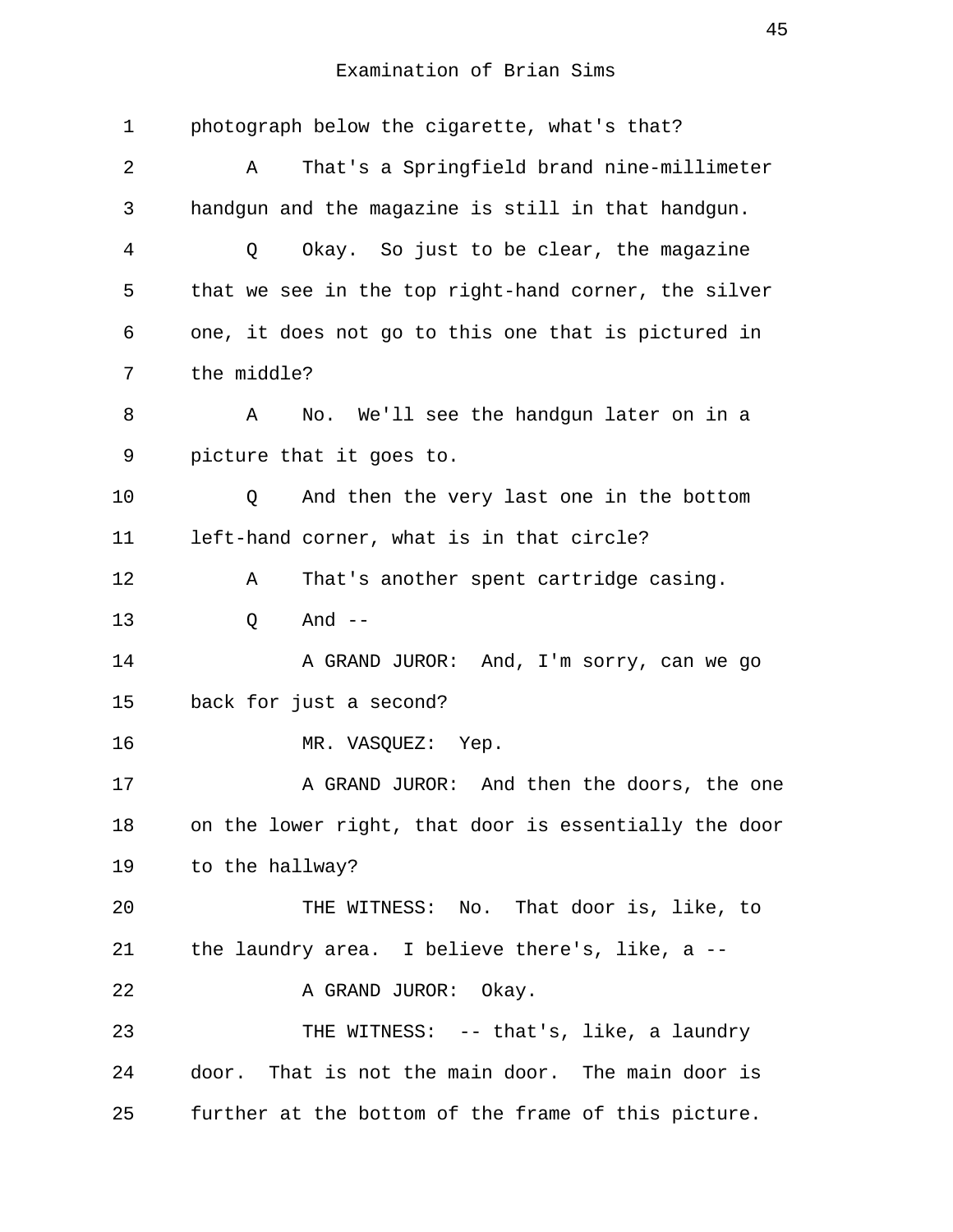| $\mathbf 1$    | photograph below the cigarette, what's that?          |
|----------------|-------------------------------------------------------|
| 2              | That's a Springfield brand nine-millimeter<br>Α       |
| 3              | handgun and the magazine is still in that handgun.    |
| $\overline{4}$ | Okay. So just to be clear, the magazine<br>Q          |
| 5              | that we see in the top right-hand corner, the silver  |
| 6              | one, it does not go to this one that is pictured in   |
| 7              | the middle?                                           |
| 8              | Α<br>No. We'll see the handgun later on in a          |
| 9              | picture that it goes to.                              |
| 10             | And then the very last one in the bottom<br>Q         |
| 11             | left-hand corner, what is in that circle?             |
| 12             | That's another spent cartridge casing.<br>Α           |
| 13             | And $--$<br>Q                                         |
| 14             | A GRAND JUROR: And, I'm sorry, can we go              |
| 15             | back for just a second?                               |
| 16             | MR. VASQUEZ: Yep.                                     |
| 17             | A GRAND JUROR: And then the doors, the one            |
| 18             | on the lower right, that door is essentially the door |
| 19             | to the hallway?                                       |
| 20             | THE WITNESS: No. That door is, like, to               |
| 21             | the laundry area. I believe there's, like, a $-$ -    |
| 22             | A GRAND JUROR: Okay.                                  |
| 23             | THE WITNESS: -- that's, like, a laundry               |
| 24             | door. That is not the main door. The main door is     |
| 25             | further at the bottom of the frame of this picture.   |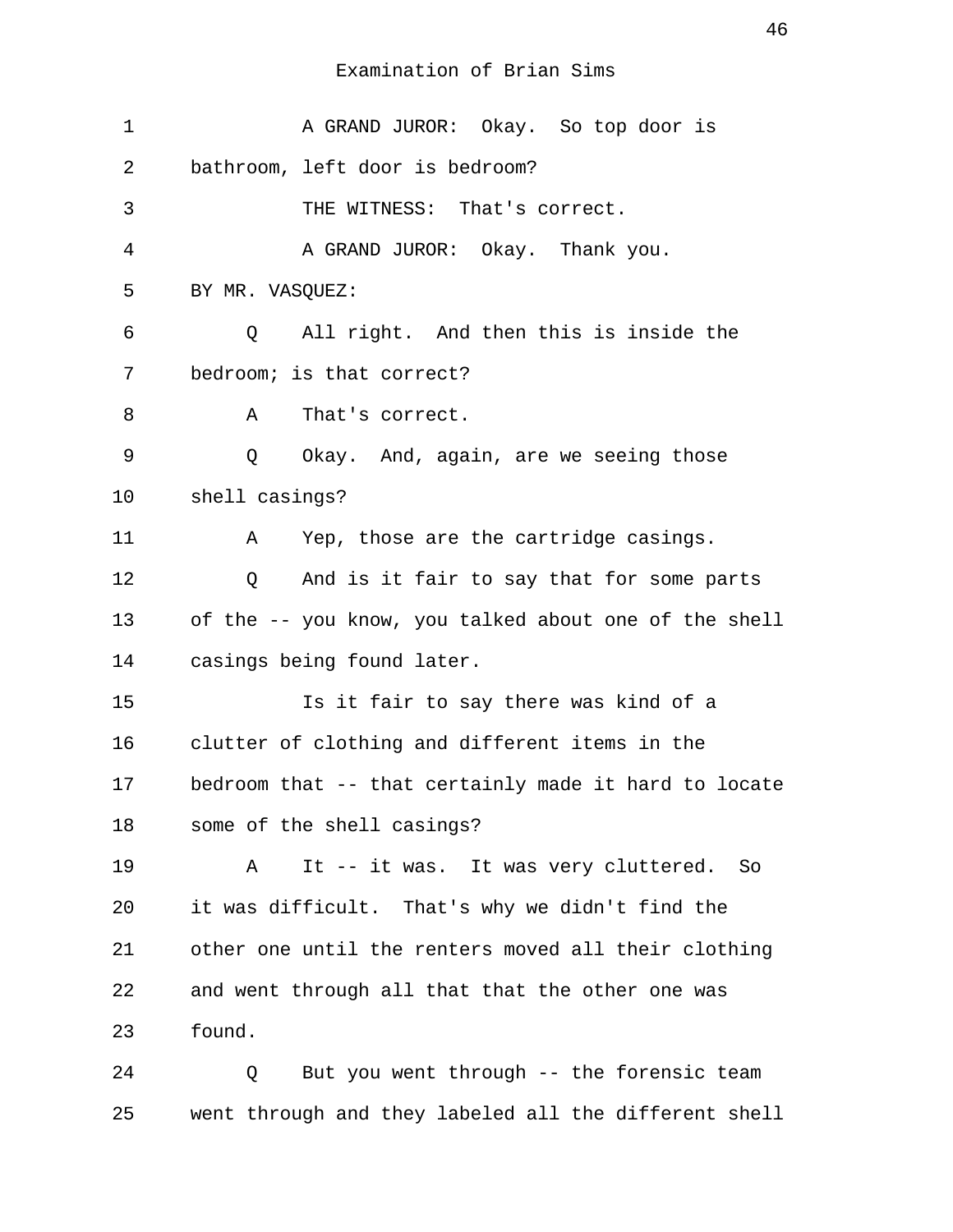| 1  | A GRAND JUROR: Okay. So top door is                       |
|----|-----------------------------------------------------------|
| 2  | bathroom, left door is bedroom?                           |
| 3  | THE WITNESS: That's correct.                              |
| 4  | A GRAND JUROR: Okay. Thank you.                           |
| 5  | BY MR. VASQUEZ:                                           |
| 6  | All right. And then this is inside the<br>Q               |
| 7  | bedroom; is that correct?                                 |
| 8  | That's correct.<br>A                                      |
| 9  | Q Okay. And, again, are we seeing those                   |
| 10 | shell casings?                                            |
| 11 | Yep, those are the cartridge casings.<br>A                |
| 12 | And is it fair to say that for some parts<br>$\mathsf{Q}$ |
| 13 | of the -- you know, you talked about one of the shell     |
| 14 | casings being found later.                                |
| 15 | Is it fair to say there was kind of a                     |
| 16 | clutter of clothing and different items in the            |
| 17 | bedroom that -- that certainly made it hard to locate     |
| 18 | some of the shell casings?                                |
| 19 | It -- it was. It was very cluttered.<br>Α<br>So           |
| 20 | it was difficult. That's why we didn't find the           |
| 21 | other one until the renters moved all their clothing      |
| 22 | and went through all that that the other one was          |
| 23 | found.                                                    |
| 24 | But you went through -- the forensic team<br>Q            |

25 went through and they labeled all the different shell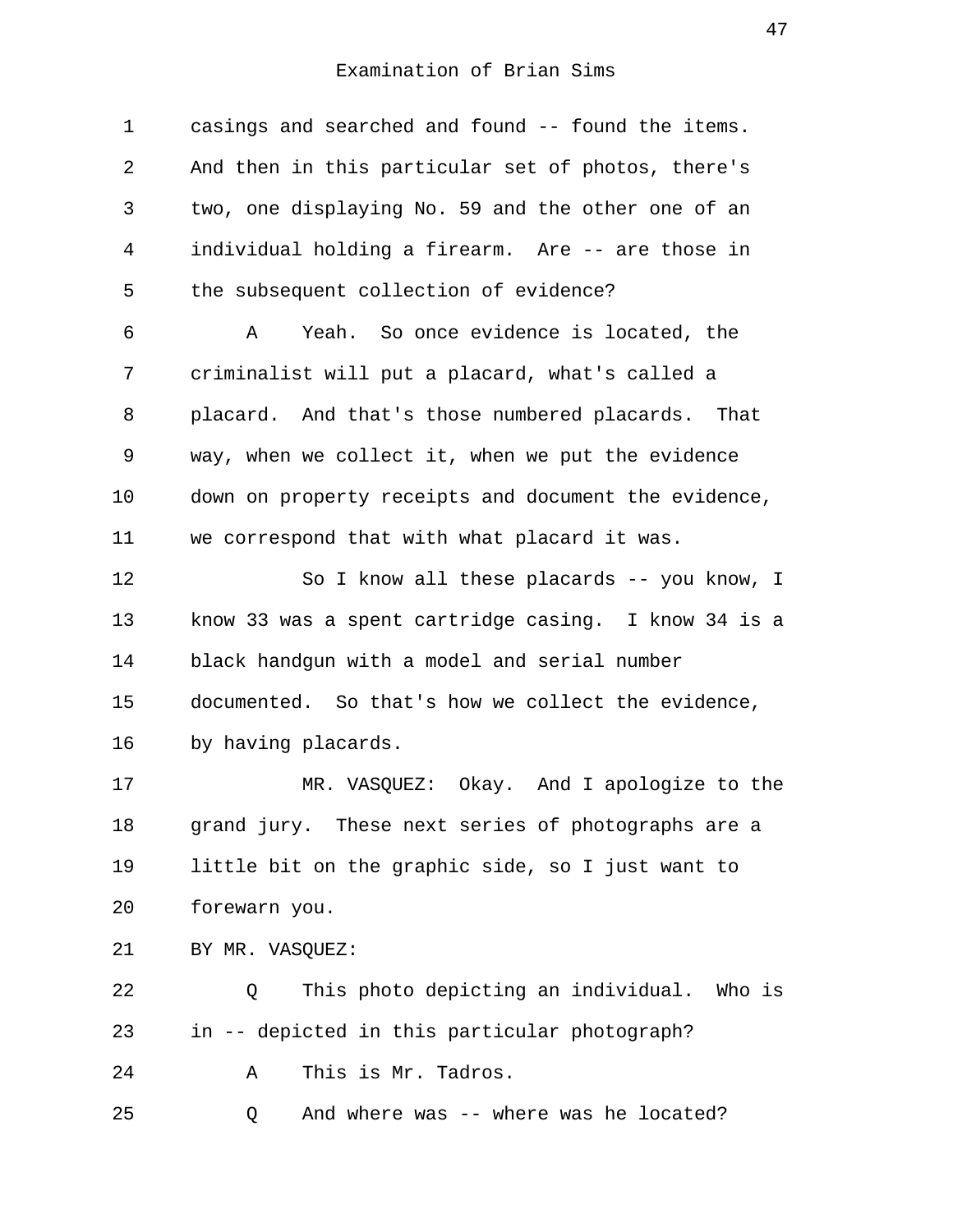| $\mathbf 1$ | casings and searched and found -- found the items.   |
|-------------|------------------------------------------------------|
| 2           | And then in this particular set of photos, there's   |
| 3           | two, one displaying No. 59 and the other one of an   |
| 4           | individual holding a firearm. Are -- are those in    |
| 5           | the subsequent collection of evidence?               |
| 6           | Yeah. So once evidence is located, the<br>Α          |
| 7           | criminalist will put a placard, what's called a      |
| 8           | placard. And that's those numbered placards. That    |
| 9           | way, when we collect it, when we put the evidence    |
| 10          | down on property receipts and document the evidence, |
| 11          | we correspond that with what placard it was.         |
| 12          | So I know all these placards -- you know, I          |
| 13          | know 33 was a spent cartridge casing. I know 34 is a |
| 14          | black handgun with a model and serial number         |
| 15          | documented. So that's how we collect the evidence,   |
| 16          | by having placards.                                  |
| 17          | MR. VASQUEZ: Okay. And I apologize to the            |
| 18          | grand jury. These next series of photographs are a   |
| 19          | little bit on the graphic side, so I just want to    |
| 20          | forewarn you.                                        |
| 21          | BY MR. VASQUEZ:                                      |
| 22          | This photo depicting an individual. Who is<br>Q      |
| 23          | in -- depicted in this particular photograph?        |
| 24          | This is Mr. Tadros.<br>Α                             |
| 25          | And where was -- where was he located?<br>Q          |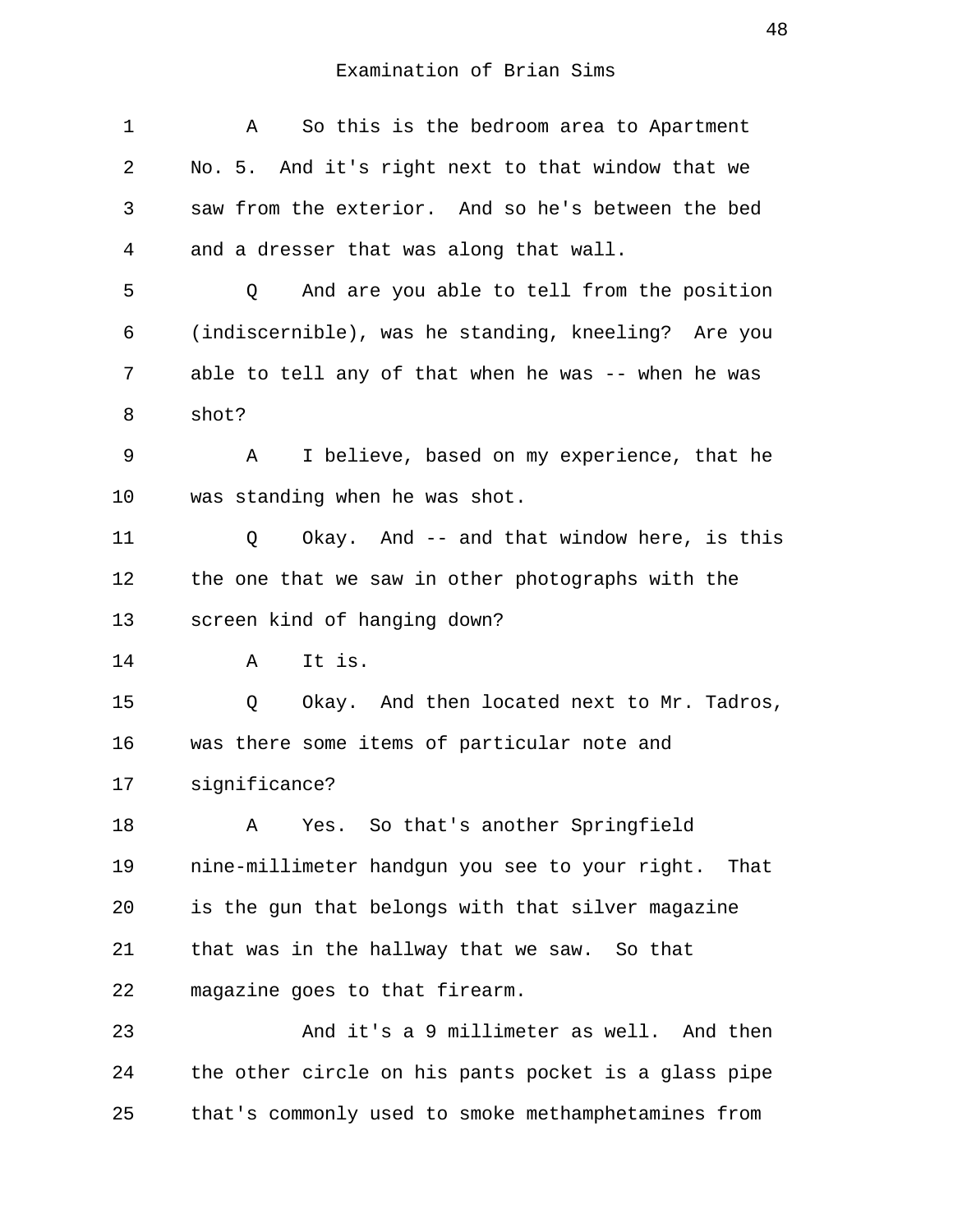| $\mathbf 1$ | So this is the bedroom area to Apartment<br>Α          |
|-------------|--------------------------------------------------------|
| 2           | No. 5. And it's right next to that window that we      |
| 3           | saw from the exterior. And so he's between the bed     |
| 4           | and a dresser that was along that wall.                |
| 5           | And are you able to tell from the position<br>Q        |
| 6           | (indiscernible), was he standing, kneeling? Are you    |
| 7           | able to tell any of that when he was -- when he was    |
| 8           | shot?                                                  |
| 9           | I believe, based on my experience, that he<br>Α        |
| 10          | was standing when he was shot.                         |
| 11          | Okay. And -- and that window here, is this<br>Q        |
| 12          | the one that we saw in other photographs with the      |
| 13          | screen kind of hanging down?                           |
| 14          | It is.<br>Α                                            |
| 15          | Okay. And then located next to Mr. Tadros,<br>Q        |
| 16          | was there some items of particular note and            |
| 17          | significance?                                          |
| 18          | Yes. So that's another Springfield<br>Α                |
| 19          | nine-millimeter handgun you see to your right.<br>That |
| 20          | is the gun that belongs with that silver magazine      |
| 21          | that was in the hallway that we saw. So that           |
| 22          | magazine goes to that firearm.                         |
| 23          | And it's a 9 millimeter as well. And then              |
| 24          | the other circle on his pants pocket is a glass pipe   |
| 25          | that's commonly used to smoke methamphetamines from    |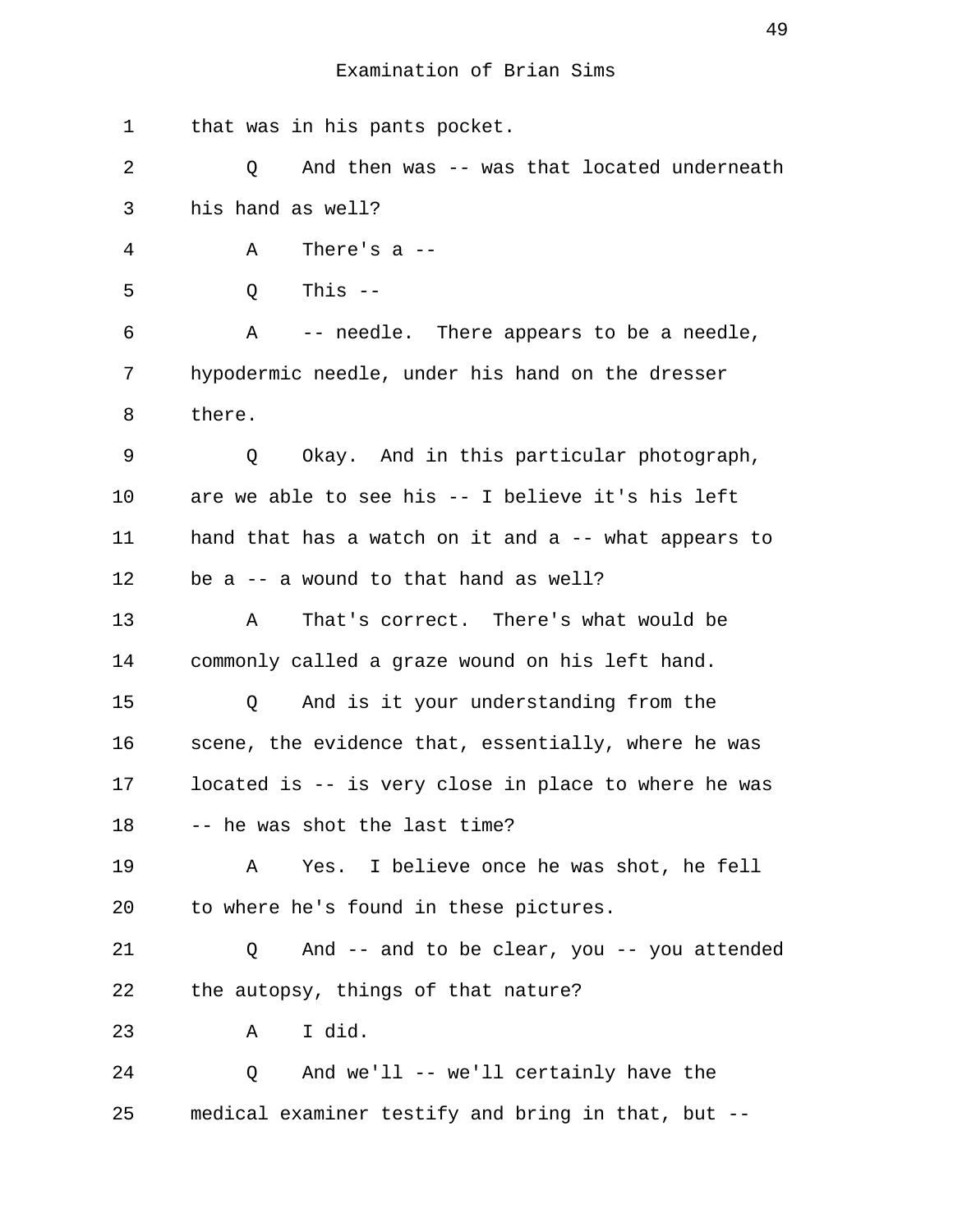1 that was in his pants pocket. 2 Q And then was -- was that located underneath 3 his hand as well? 4 A There's a -- 5 Q This -- 6 A -- needle. There appears to be a needle, 7 hypodermic needle, under his hand on the dresser 8 there. 9 Q Okay. And in this particular photograph, 10 are we able to see his -- I believe it's his left 11 hand that has a watch on it and a -- what appears to 12 be a -- a wound to that hand as well? 13 A That's correct. There's what would be 14 commonly called a graze wound on his left hand. 15 Q And is it your understanding from the 16 scene, the evidence that, essentially, where he was 17 located is -- is very close in place to where he was 18 -- he was shot the last time? 19 A Yes. I believe once he was shot, he fell 20 to where he's found in these pictures. 21 Q And -- and to be clear, you -- you attended 22 the autopsy, things of that nature? 23 A I did. 24 Q And we'll -- we'll certainly have the 25 medical examiner testify and bring in that, but --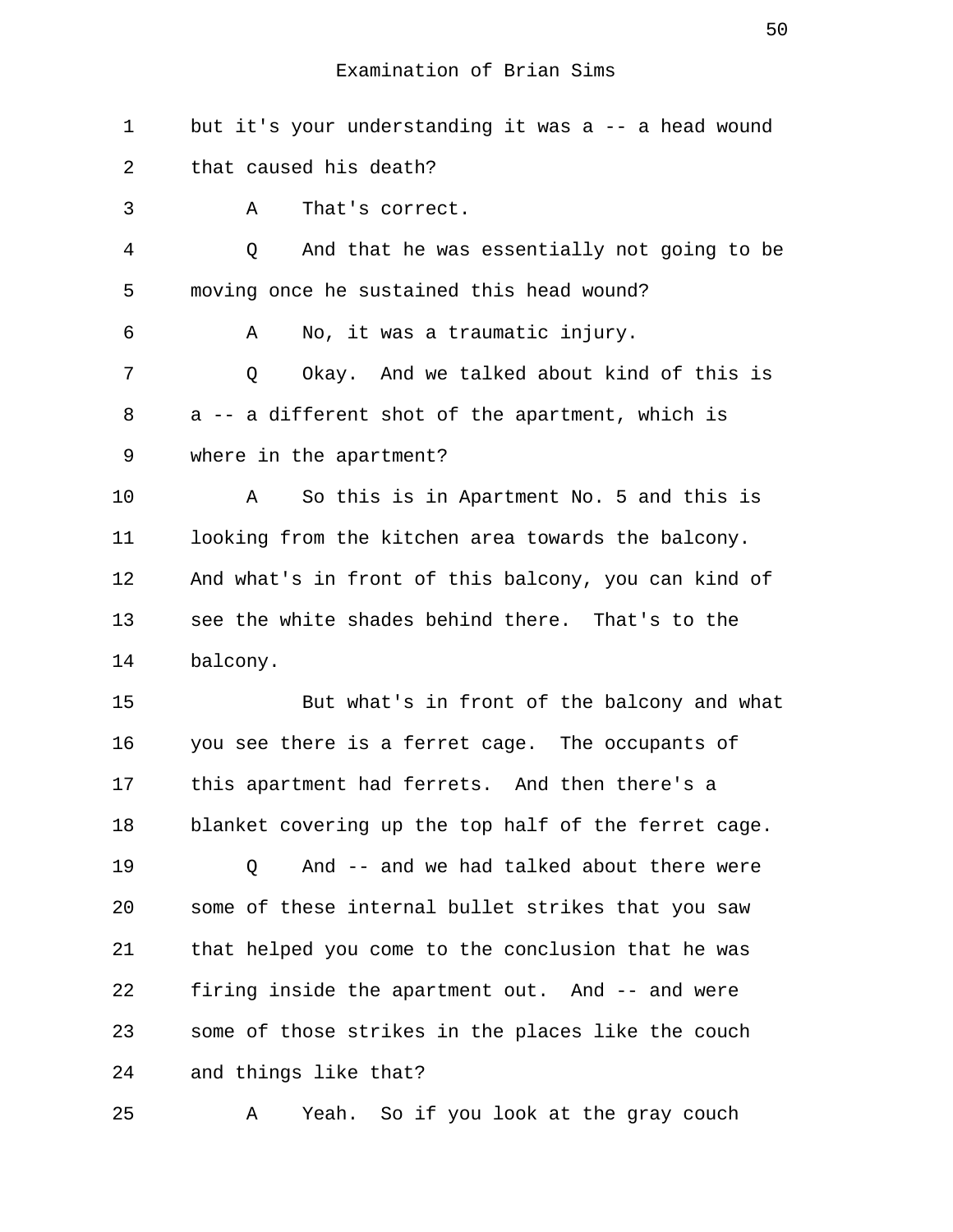1 but it's your understanding it was a -- a head wound 2 that caused his death? 3 A That's correct.

 4 Q And that he was essentially not going to be 5 moving once he sustained this head wound? 6 A No, it was a traumatic injury. 7 C Okay. And we talked about kind of this is 8 a -- a different shot of the apartment, which is 9 where in the apartment? 10 A So this is in Apartment No. 5 and this is 11 looking from the kitchen area towards the balcony. 12 And what's in front of this balcony, you can kind of 13 see the white shades behind there. That's to the 14 balcony.

15 But what's in front of the balcony and what 16 you see there is a ferret cage. The occupants of 17 this apartment had ferrets. And then there's a 18 blanket covering up the top half of the ferret cage.

19 Q And -- and we had talked about there were 20 some of these internal bullet strikes that you saw 21 that helped you come to the conclusion that he was 22 firing inside the apartment out. And -- and were 23 some of those strikes in the places like the couch 24 and things like that?

25 A Yeah. So if you look at the gray couch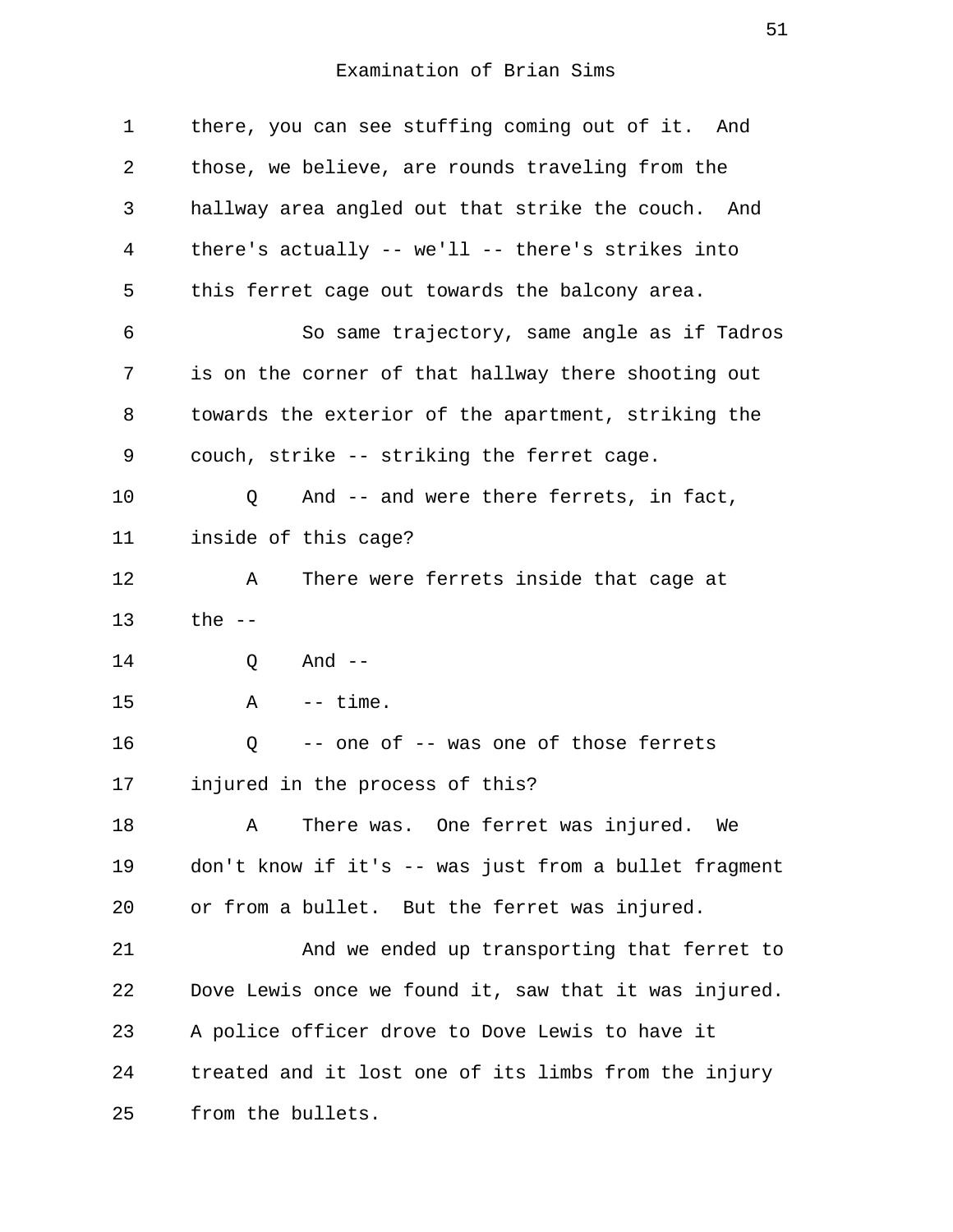1 there, you can see stuffing coming out of it. And 2 those, we believe, are rounds traveling from the 3 hallway area angled out that strike the couch. And 4 there's actually -- we'll -- there's strikes into 5 this ferret cage out towards the balcony area. 6 So same trajectory, same angle as if Tadros 7 is on the corner of that hallway there shooting out 8 towards the exterior of the apartment, striking the 9 couch, strike -- striking the ferret cage. 10 Q And -- and were there ferrets, in fact, 11 inside of this cage? 12 A There were ferrets inside that cage at 13 the -- 14 0 And --15 A -- time. 16 Q -- one of -- was one of those ferrets 17 injured in the process of this? 18 A There was. One ferret was injured. We 19 don't know if it's -- was just from a bullet fragment 20 or from a bullet. But the ferret was injured. 21 And we ended up transporting that ferret to 22 Dove Lewis once we found it, saw that it was injured. 23 A police officer drove to Dove Lewis to have it 24 treated and it lost one of its limbs from the injury 25 from the bullets.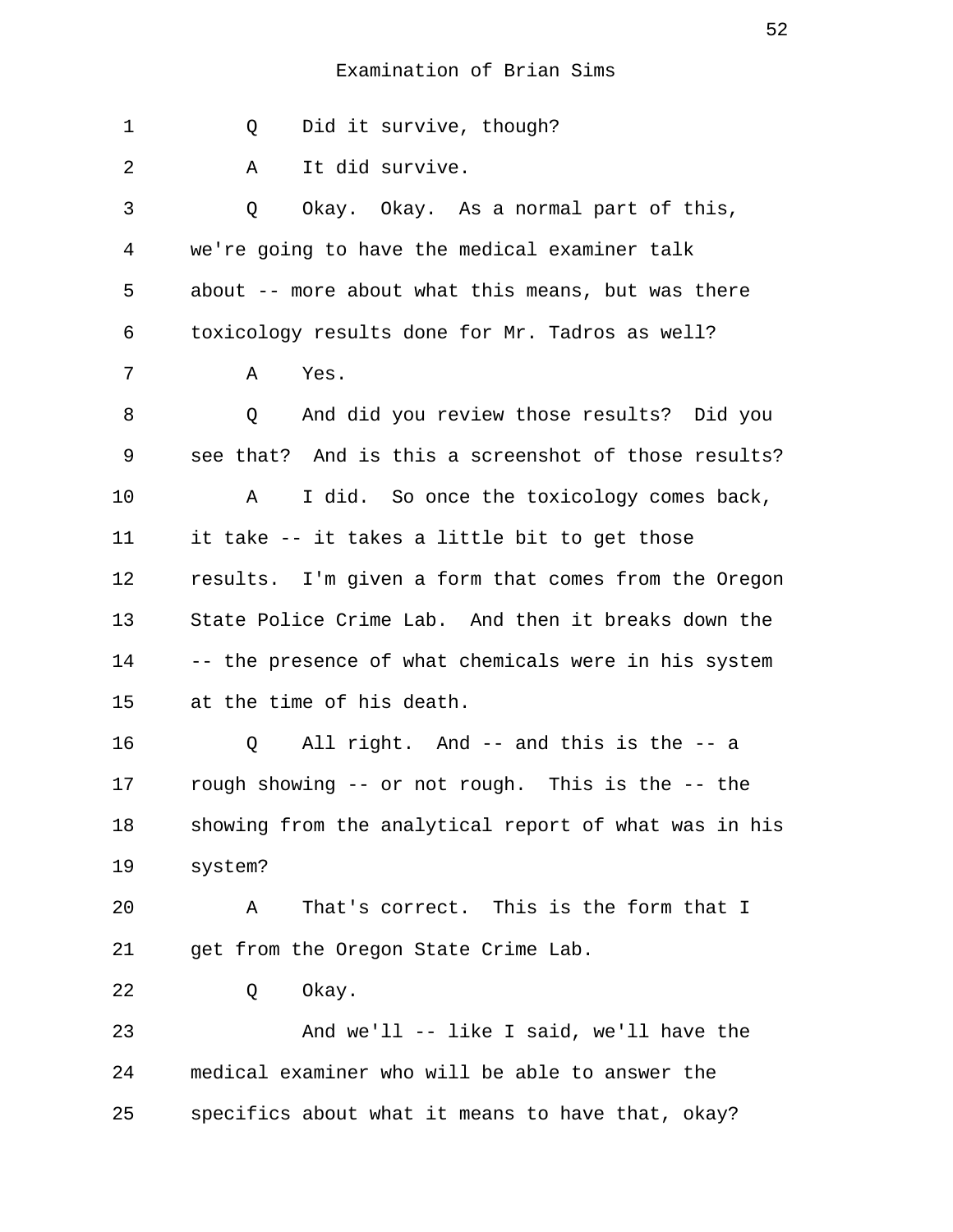1 0 Did it survive, though? 2 A It did survive. 3 Q Okay. Okay. As a normal part of this, 4 we're going to have the medical examiner talk 5 about -- more about what this means, but was there 6 toxicology results done for Mr. Tadros as well? 7 A Yes. 8 6 B O And did you review those results? Did you 9 see that? And is this a screenshot of those results? 10 A I did. So once the toxicology comes back, 11 it take -- it takes a little bit to get those 12 results. I'm given a form that comes from the Oregon 13 State Police Crime Lab. And then it breaks down the 14 -- the presence of what chemicals were in his system 15 at the time of his death. 16 Q All right. And -- and this is the -- a 17 rough showing -- or not rough. This is the -- the 18 showing from the analytical report of what was in his 19 system? 20 A That's correct. This is the form that I 21 get from the Oregon State Crime Lab. 22 Q Okay. 23 And we'll -- like I said, we'll have the 24 medical examiner who will be able to answer the 25 specifics about what it means to have that, okay?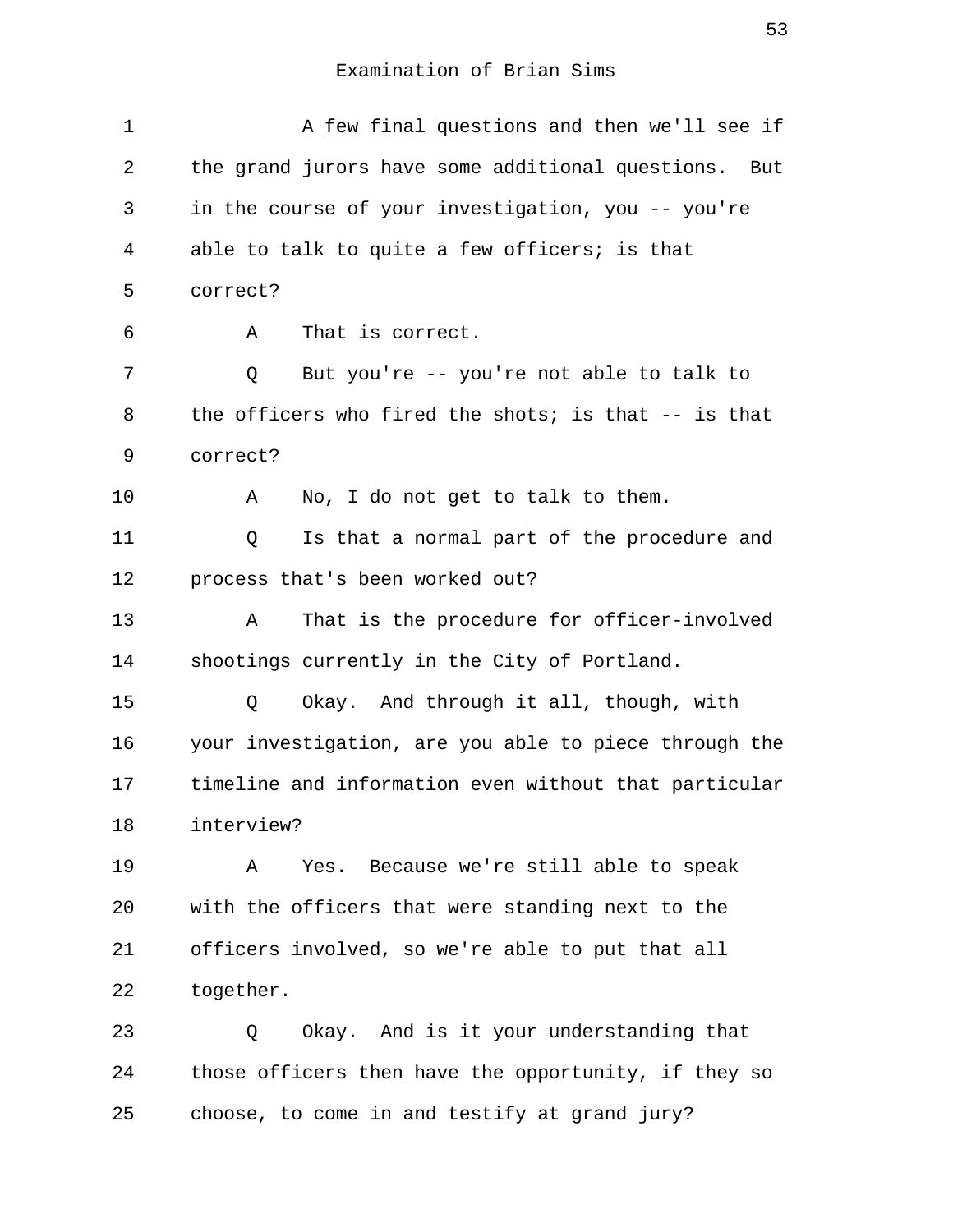1 A few final questions and then we'll see if 2 the grand jurors have some additional questions. But 3 in the course of your investigation, you -- you're 4 able to talk to quite a few officers; is that 5 correct? 6 A That is correct. 7 Q But you're -- you're not able to talk to 8 the officers who fired the shots; is that -- is that 9 correct? 10 A No, I do not get to talk to them. 11 Q Is that a normal part of the procedure and 12 process that's been worked out? 13 A That is the procedure for officer-involved 14 shootings currently in the City of Portland. 15 Q Okay. And through it all, though, with 16 your investigation, are you able to piece through the 17 timeline and information even without that particular 18 interview? 19 A Yes. Because we're still able to speak 20 with the officers that were standing next to the 21 officers involved, so we're able to put that all 22 together. 23 Q Okay. And is it your understanding that 24 those officers then have the opportunity, if they so

25 choose, to come in and testify at grand jury?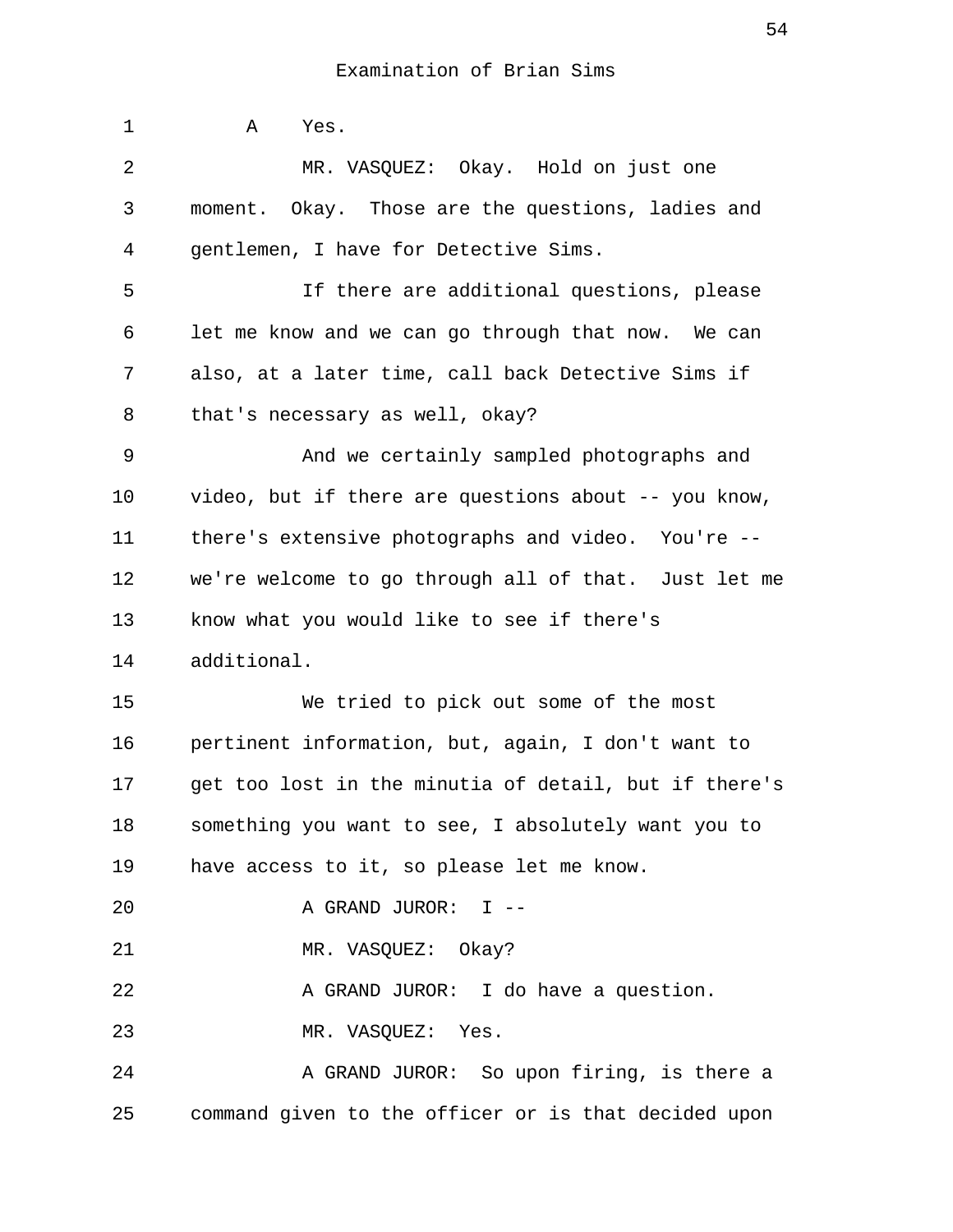1 A Yes. 2 MR. VASQUEZ: Okay. Hold on just one 3 moment. Okay. Those are the questions, ladies and 4 gentlemen, I have for Detective Sims. 5 If there are additional questions, please 6 let me know and we can go through that now. We can 7 also, at a later time, call back Detective Sims if 8 that's necessary as well, okay? 9 And we certainly sampled photographs and 10 video, but if there are questions about -- you know, 11 there's extensive photographs and video. You're -- 12 we're welcome to go through all of that. Just let me 13 know what you would like to see if there's 14 additional. 15 We tried to pick out some of the most 16 pertinent information, but, again, I don't want to 17 get too lost in the minutia of detail, but if there's 18 something you want to see, I absolutely want you to 19 have access to it, so please let me know. 20 A GRAND JUROR: I -- 21 MR. VASQUEZ: Okay? 22 A GRAND JUROR: I do have a question. 23 MR. VASQUEZ: Yes. 24 A GRAND JUROR: So upon firing, is there a 25 command given to the officer or is that decided upon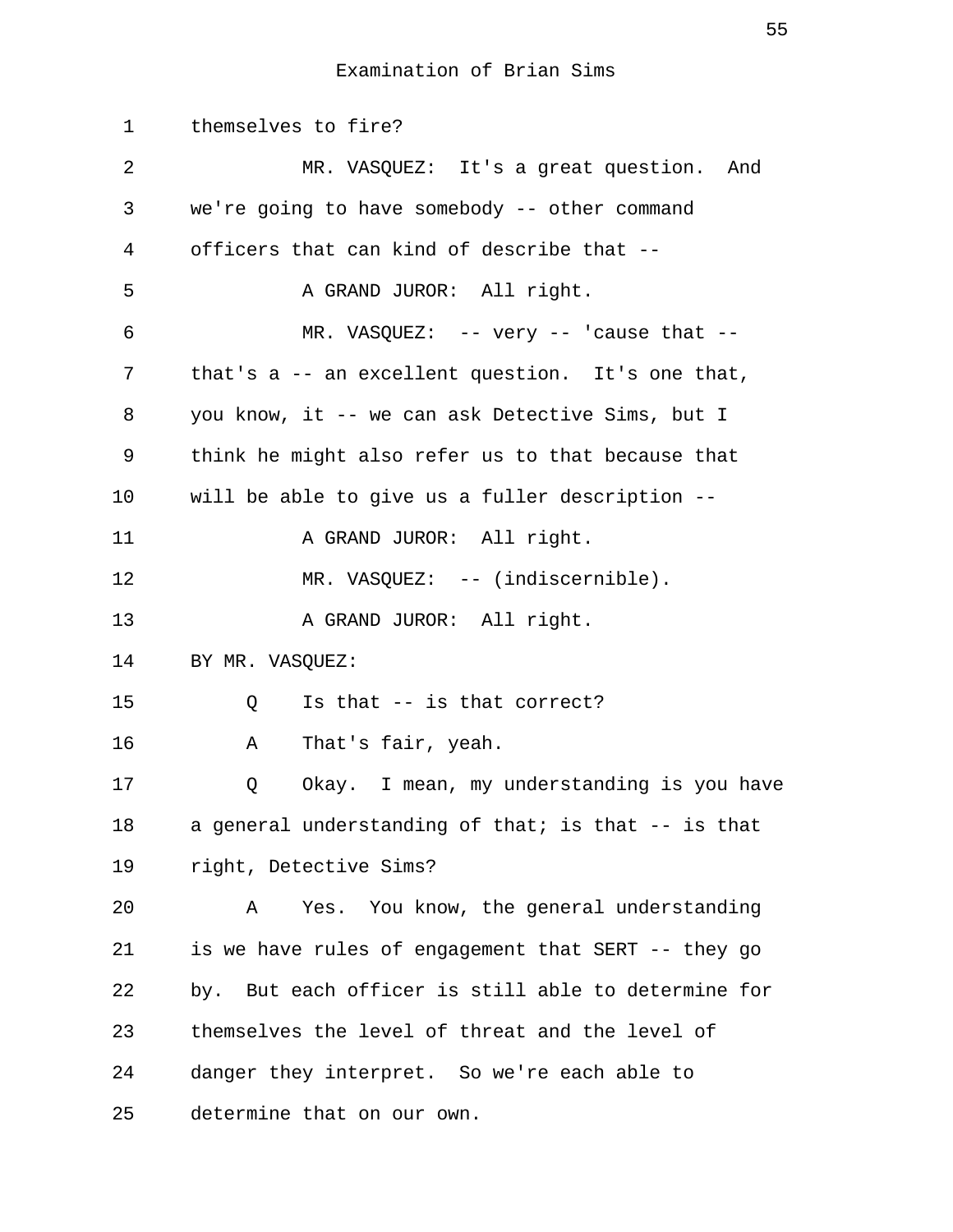1 themselves to fire? 2 MR. VASQUEZ: It's a great question. And 3 we're going to have somebody -- other command 4 officers that can kind of describe that -- 5 A GRAND JUROR: All right. 6 MR. VASQUEZ: -- very -- 'cause that -- 7 that's a -- an excellent question. It's one that, 8 you know, it -- we can ask Detective Sims, but I 9 think he might also refer us to that because that 10 will be able to give us a fuller description -- 11 A GRAND JUROR: All right. 12 MR. VASQUEZ: -- (indiscernible). 13 A GRAND JUROR: All right. 14 BY MR. VASQUEZ: 15 Q Is that -- is that correct? 16 A That's fair, yeah. 17 Q Okay. I mean, my understanding is you have 18 a general understanding of that; is that -- is that 19 right, Detective Sims? 20 A Yes. You know, the general understanding 21 is we have rules of engagement that SERT -- they go 22 by. But each officer is still able to determine for 23 themselves the level of threat and the level of 24 danger they interpret. So we're each able to 25 determine that on our own.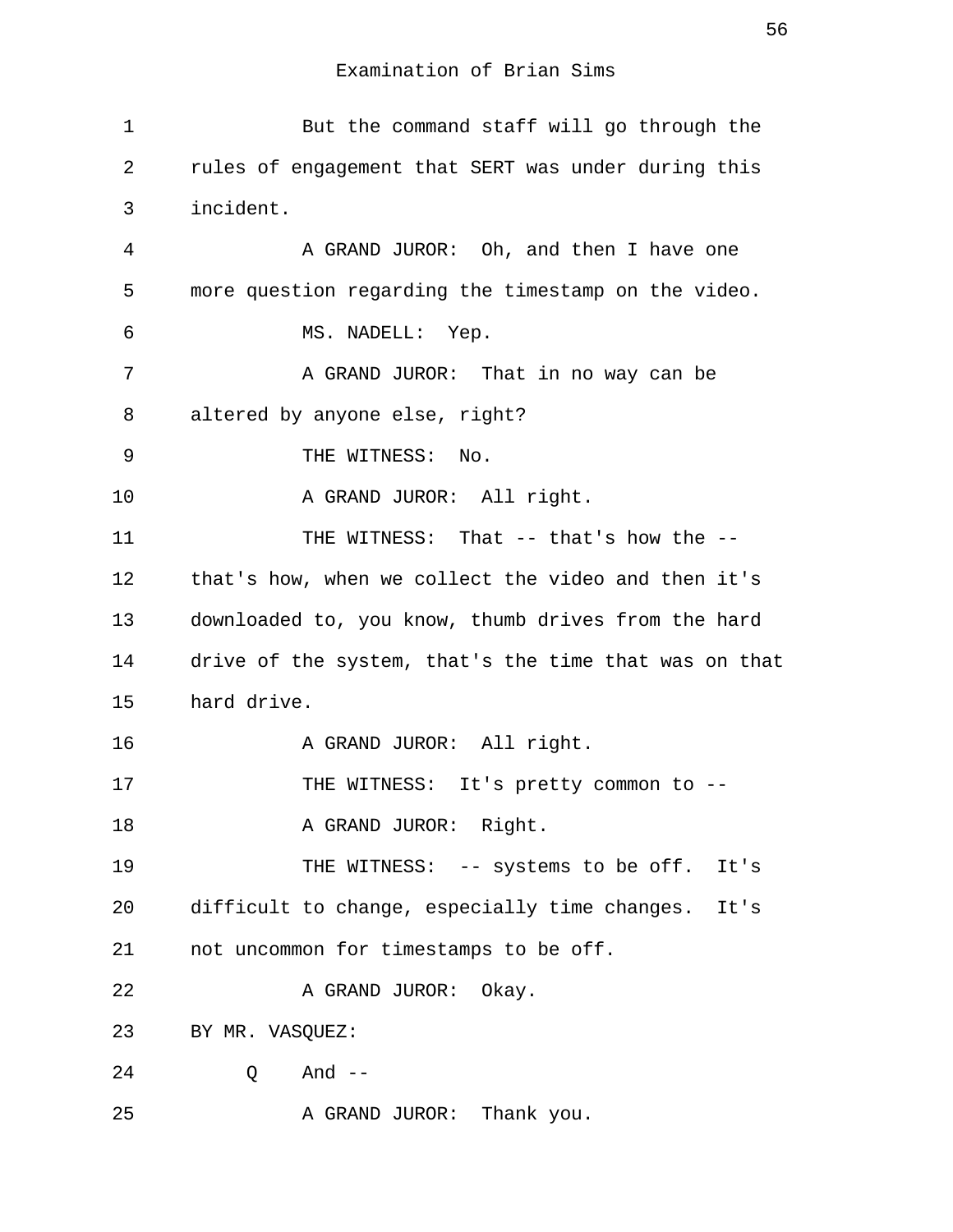| $\mathbf 1$ | But the command staff will go through the             |
|-------------|-------------------------------------------------------|
| 2           | rules of engagement that SERT was under during this   |
| 3           | incident.                                             |
| 4           | A GRAND JUROR: Oh, and then I have one                |
| 5           | more question regarding the timestamp on the video.   |
| 6           | MS. NADELL: Yep.                                      |
| 7           | A GRAND JUROR: That in no way can be                  |
| 8           | altered by anyone else, right?                        |
| 9           | THE WITNESS: No.                                      |
| 10          | A GRAND JUROR: All right.                             |
| 11          | THE WITNESS: That -- that's how the --                |
| 12          | that's how, when we collect the video and then it's   |
| 13          | downloaded to, you know, thumb drives from the hard   |
| 14          | drive of the system, that's the time that was on that |
| 15          | hard drive.                                           |
| 16          | A GRAND JUROR: All right.                             |
| 17          | THE WITNESS: It's pretty common to --                 |
| 18          | A GRAND JUROR: Right.                                 |
| 19          | THE WITNESS: -- systems to be off. It's               |
| 20          | difficult to change, especially time changes. It's    |
| 21          | not uncommon for timestamps to be off.                |
| 22          | A GRAND JUROR: Okay.                                  |
| 23          | BY MR. VASQUEZ:                                       |
| 24          | And $--$<br>Q                                         |
| 25          | A GRAND JUROR: Thank you.                             |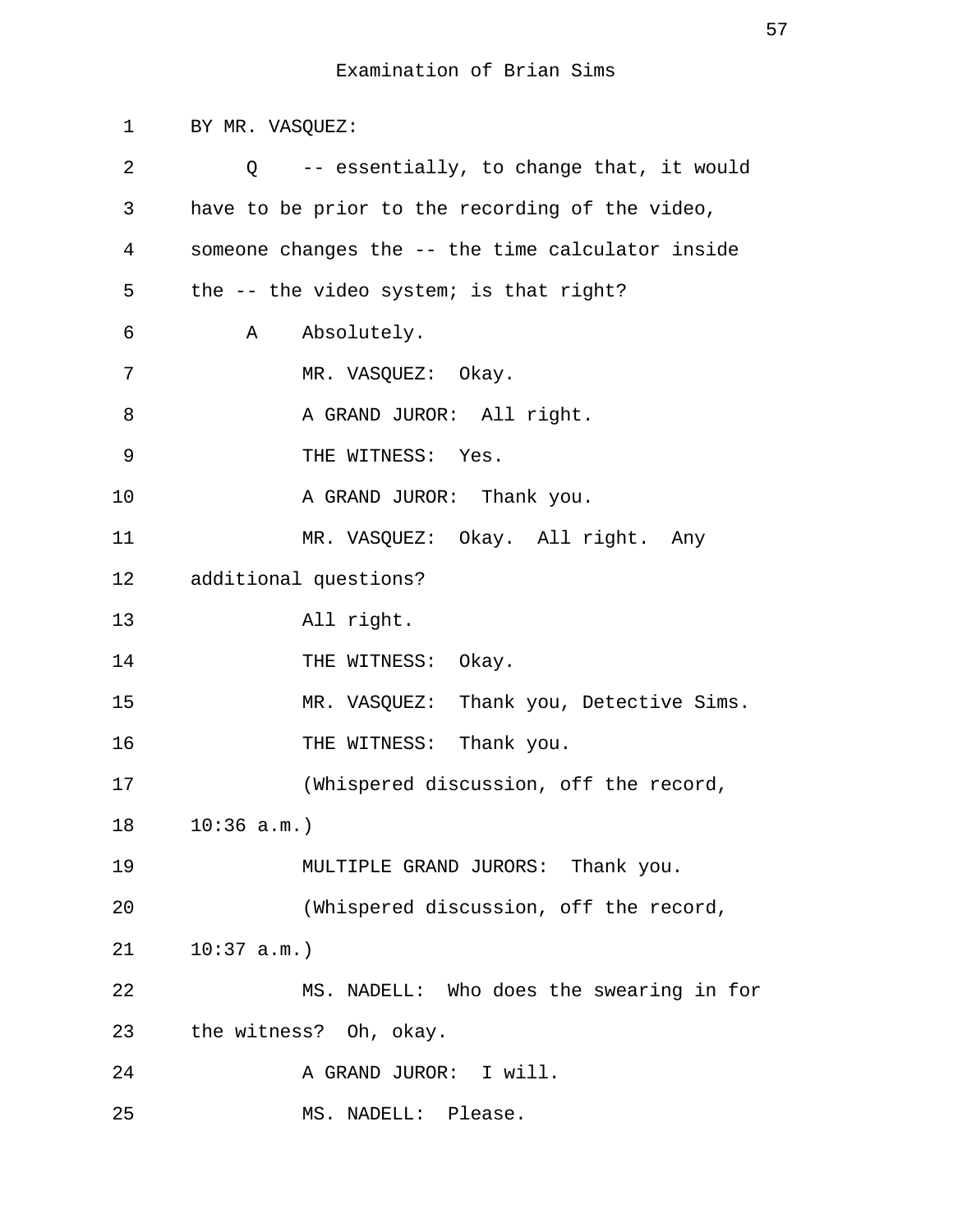1 BY MR. VASQUEZ: 2 Q -- essentially, to change that, it would 3 have to be prior to the recording of the video, 4 someone changes the -- the time calculator inside 5 the -- the video system; is that right? 6 A Absolutely. 7 MR. VASQUEZ: Okay. 8 A GRAND JUROR: All right. 9 THE WITNESS: Yes. 10 A GRAND JUROR: Thank you. 11 MR. VASQUEZ: Okay. All right. Any 12 additional questions? 13 All right. 14 THE WITNESS: Okay. 15 MR. VASQUEZ: Thank you, Detective Sims. 16 THE WITNESS: Thank you. 17 (Whispered discussion, off the record, 18 10:36 a.m.) 19 MULTIPLE GRAND JURORS: Thank you. 20 (Whispered discussion, off the record, 21 10:37 a.m.) 22 MS. NADELL: Who does the swearing in for 23 the witness? Oh, okay. 24 A GRAND JUROR: I will. 25 MS. NADELL: Please.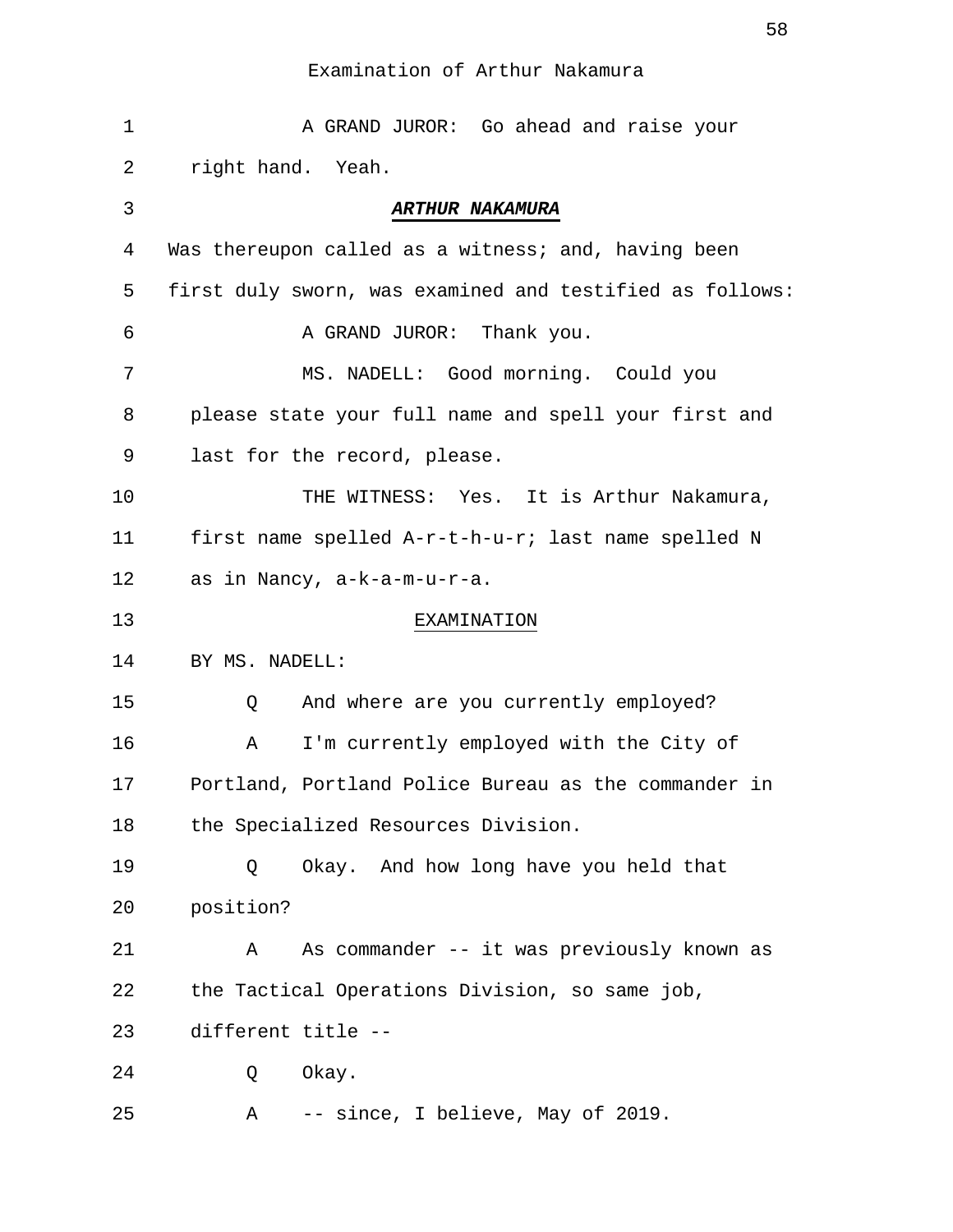| 1  | A GRAND JUROR: Go ahead and raise your                   |
|----|----------------------------------------------------------|
| 2  | right hand. Yeah.                                        |
| 3  | ARTHUR NAKAMURA                                          |
| 4  | Was thereupon called as a witness; and, having been      |
| 5  | first duly sworn, was examined and testified as follows: |
| 6  | A GRAND JUROR: Thank you.                                |
| 7  | MS. NADELL: Good morning. Could you                      |
| 8  | please state your full name and spell your first and     |
| 9  | last for the record, please.                             |
| 10 | THE WITNESS: Yes. It is Arthur Nakamura,                 |
| 11 | first name spelled A-r-t-h-u-r; last name spelled N      |
| 12 | as in Nancy, a-k-a-m-u-r-a.                              |
| 13 | EXAMINATION                                              |
| 14 | BY MS. NADELL:                                           |
| 15 | And where are you currently employed?<br>Q               |
| 16 | I'm currently employed with the City of<br>A             |
| 17 | Portland, Portland Police Bureau as the commander in     |
| 18 | the Specialized Resources Division.                      |
| 19 | Okay. And how long have you held that<br>Q               |
| 20 | position?                                                |
| 21 | As commander -- it was previously known as<br>Α          |
| 22 | the Tactical Operations Division, so same job,           |
| 23 | different title --                                       |
| 24 | Okay.<br>Q                                               |
| 25 | -- since, I believe, May of 2019.<br>Α                   |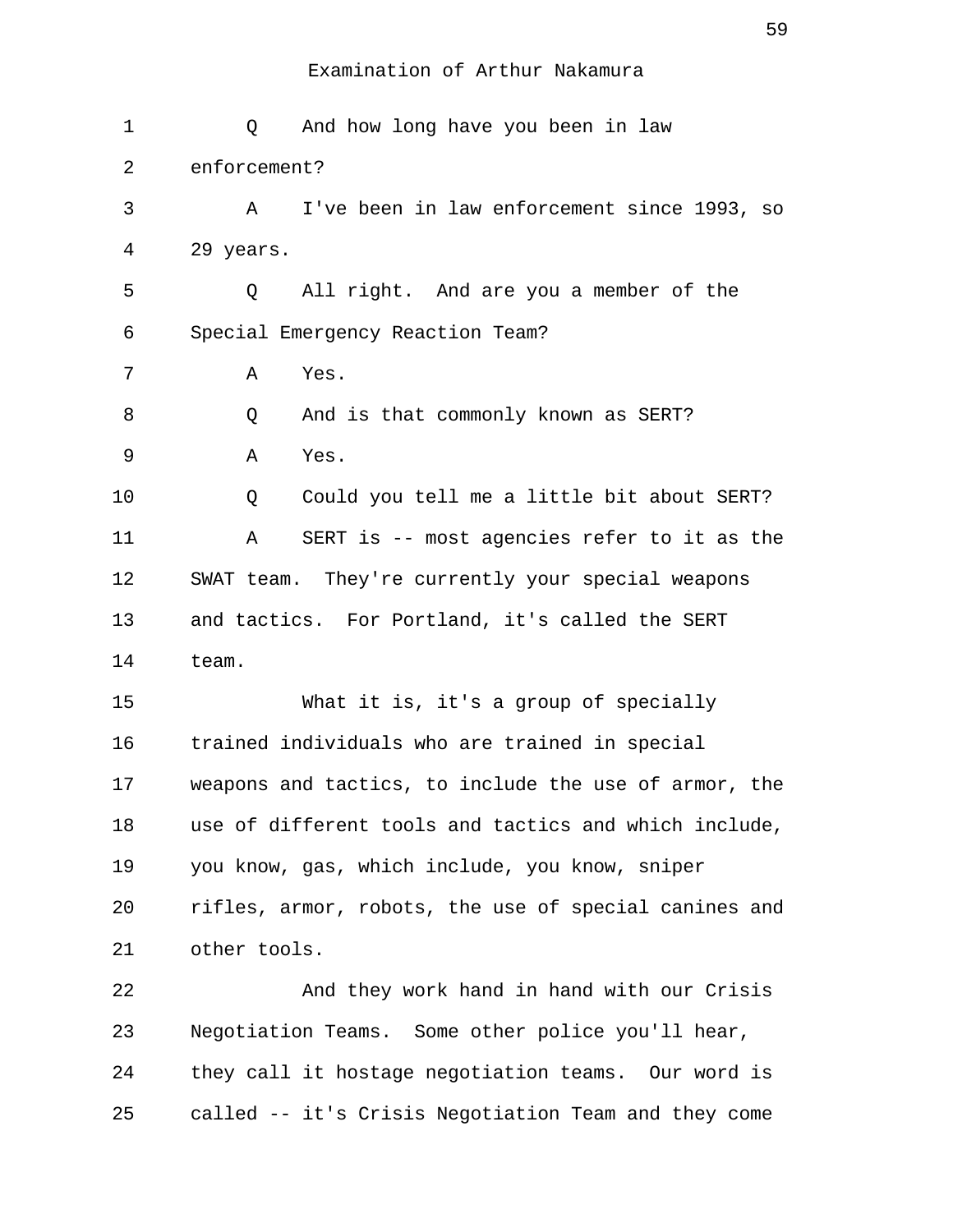| 1  | And how long have you been in law<br>Q                |
|----|-------------------------------------------------------|
| 2  | enforcement?                                          |
| 3  | I've been in law enforcement since 1993, so<br>А      |
| 4  | 29 years.                                             |
| 5  | All right. And are you a member of the<br>Q           |
| 6  | Special Emergency Reaction Team?                      |
| 7  | Α<br>Yes.                                             |
| 8  | And is that commonly known as SERT?<br>Q              |
| 9  | Yes.<br>Α                                             |
| 10 | Could you tell me a little bit about SERT?<br>Q       |
| 11 | SERT is -- most agencies refer to it as the<br>Α      |
| 12 | SWAT team. They're currently your special weapons     |
| 13 | and tactics. For Portland, it's called the SERT       |
| 14 | team.                                                 |
| 15 | What it is, it's a group of specially                 |
| 16 | trained individuals who are trained in special        |
| 17 | weapons and tactics, to include the use of armor, the |
| 18 | use of different tools and tactics and which include, |
| 19 | you know, gas, which include, you know, sniper        |
| 20 | rifles, armor, robots, the use of special canines and |
| 21 | other tools.                                          |
| 22 | And they work hand in hand with our Crisis            |
| 23 | Negotiation Teams. Some other police you'll hear,     |
| 24 | they call it hostage negotiation teams. Our word is   |
| 25 | called -- it's Crisis Negotiation Team and they come  |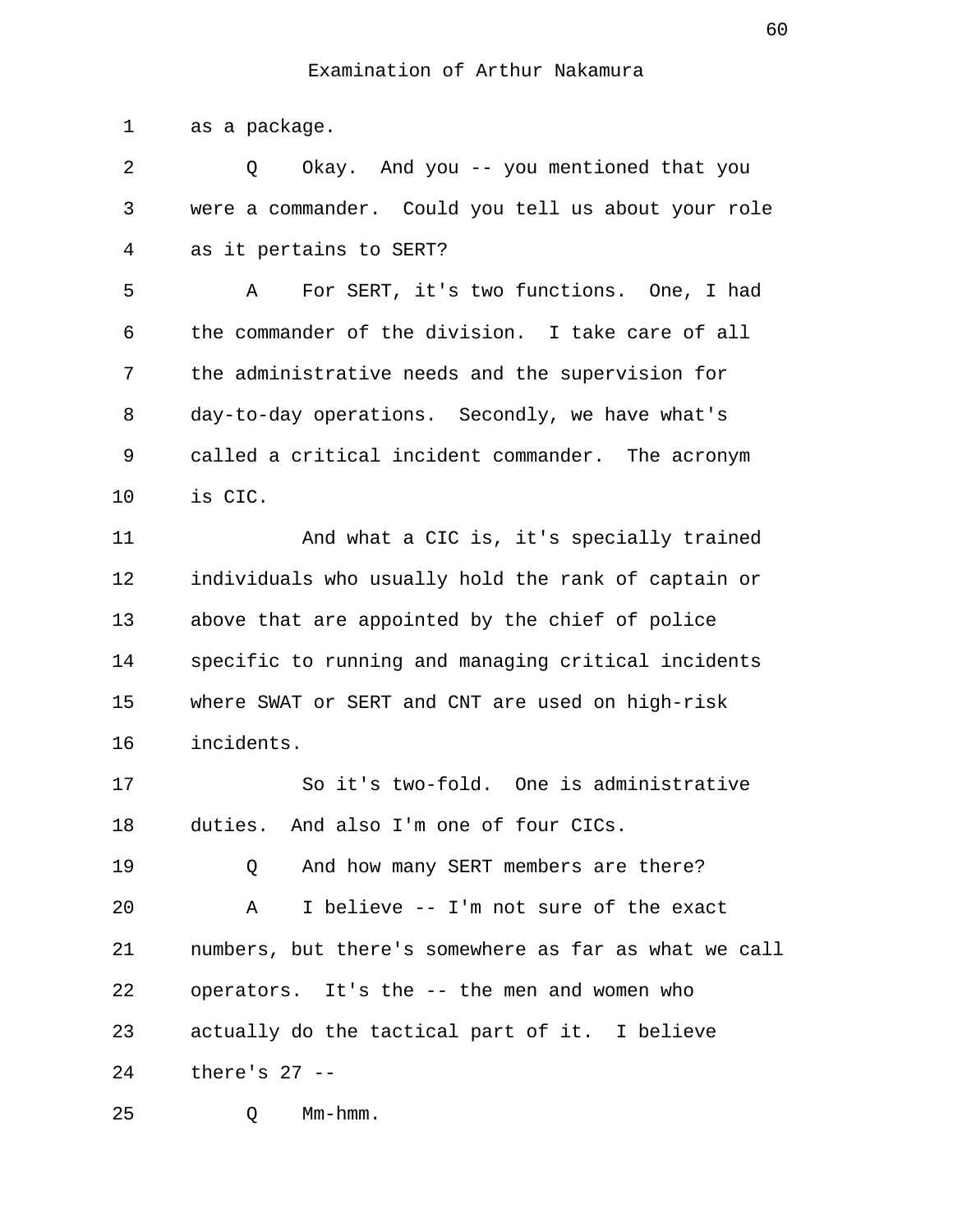1 as a package.

 2 Q Okay. And you -- you mentioned that you 3 were a commander. Could you tell us about your role 4 as it pertains to SERT?

 5 A For SERT, it's two functions. One, I had 6 the commander of the division. I take care of all 7 the administrative needs and the supervision for 8 day-to-day operations. Secondly, we have what's 9 called a critical incident commander. The acronym 10 is CIC.

11 And what a CIC is, it's specially trained 12 individuals who usually hold the rank of captain or 13 above that are appointed by the chief of police 14 specific to running and managing critical incidents 15 where SWAT or SERT and CNT are used on high-risk 16 incidents.

17 So it's two-fold. One is administrative 18 duties. And also I'm one of four CICs.

19 0 And how many SERT members are there? 20 A I believe -- I'm not sure of the exact 21 numbers, but there's somewhere as far as what we call 22 operators. It's the -- the men and women who 23 actually do the tactical part of it. I believe 24 there's 27 --

25 Q Mm-hmm.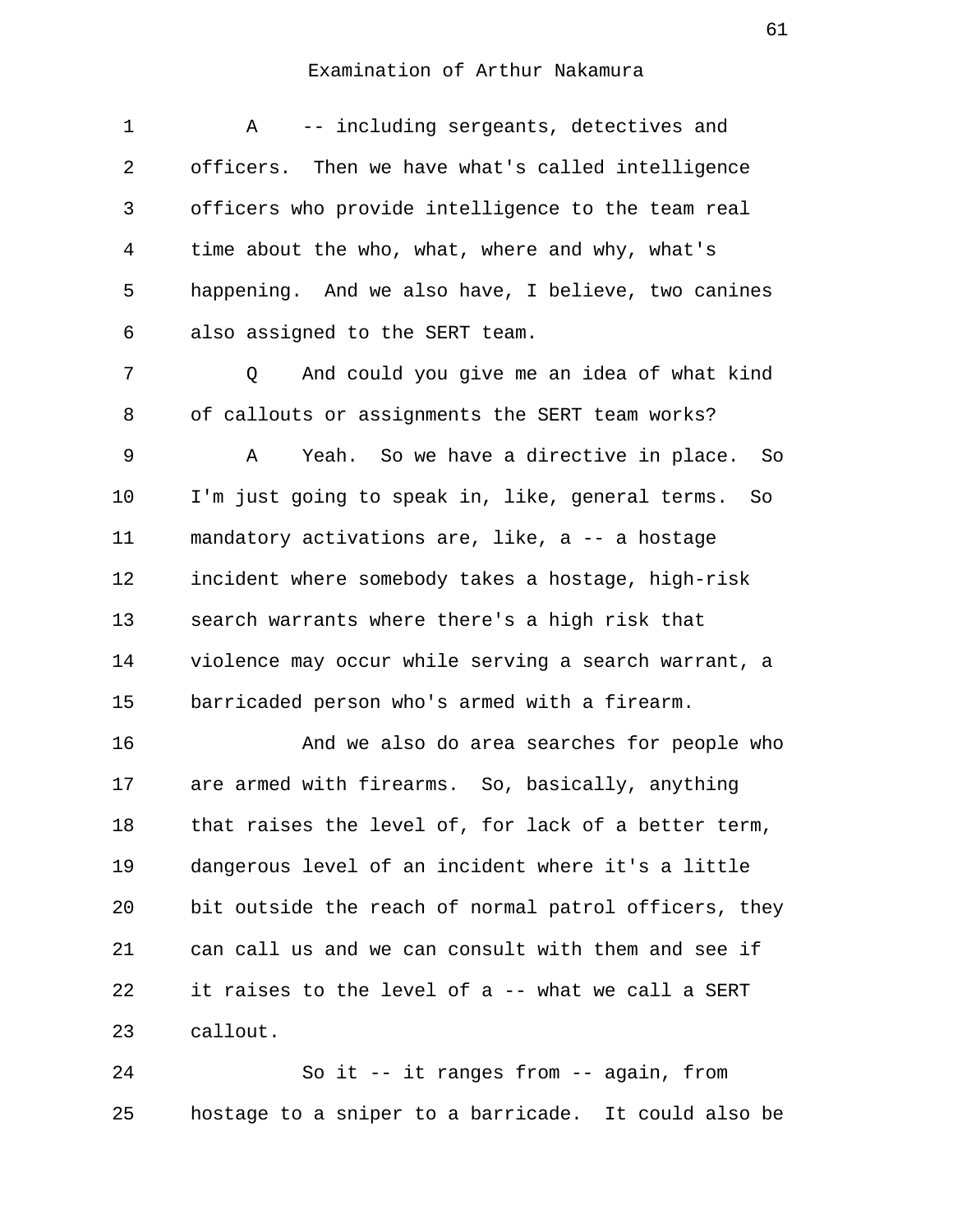1 A -- including sergeants, detectives and 2 officers. Then we have what's called intelligence 3 officers who provide intelligence to the team real 4 time about the who, what, where and why, what's 5 happening. And we also have, I believe, two canines 6 also assigned to the SERT team.

 7 Q And could you give me an idea of what kind 8 of callouts or assignments the SERT team works?

 9 A Yeah. So we have a directive in place. So 10 I'm just going to speak in, like, general terms. So 11 mandatory activations are, like, a -- a hostage 12 incident where somebody takes a hostage, high-risk 13 search warrants where there's a high risk that 14 violence may occur while serving a search warrant, a 15 barricaded person who's armed with a firearm.

16 And we also do area searches for people who 17 are armed with firearms. So, basically, anything 18 that raises the level of, for lack of a better term, 19 dangerous level of an incident where it's a little 20 bit outside the reach of normal patrol officers, they 21 can call us and we can consult with them and see if 22 it raises to the level of a -- what we call a SERT 23 callout.

24 So it -- it ranges from -- again, from 25 hostage to a sniper to a barricade. It could also be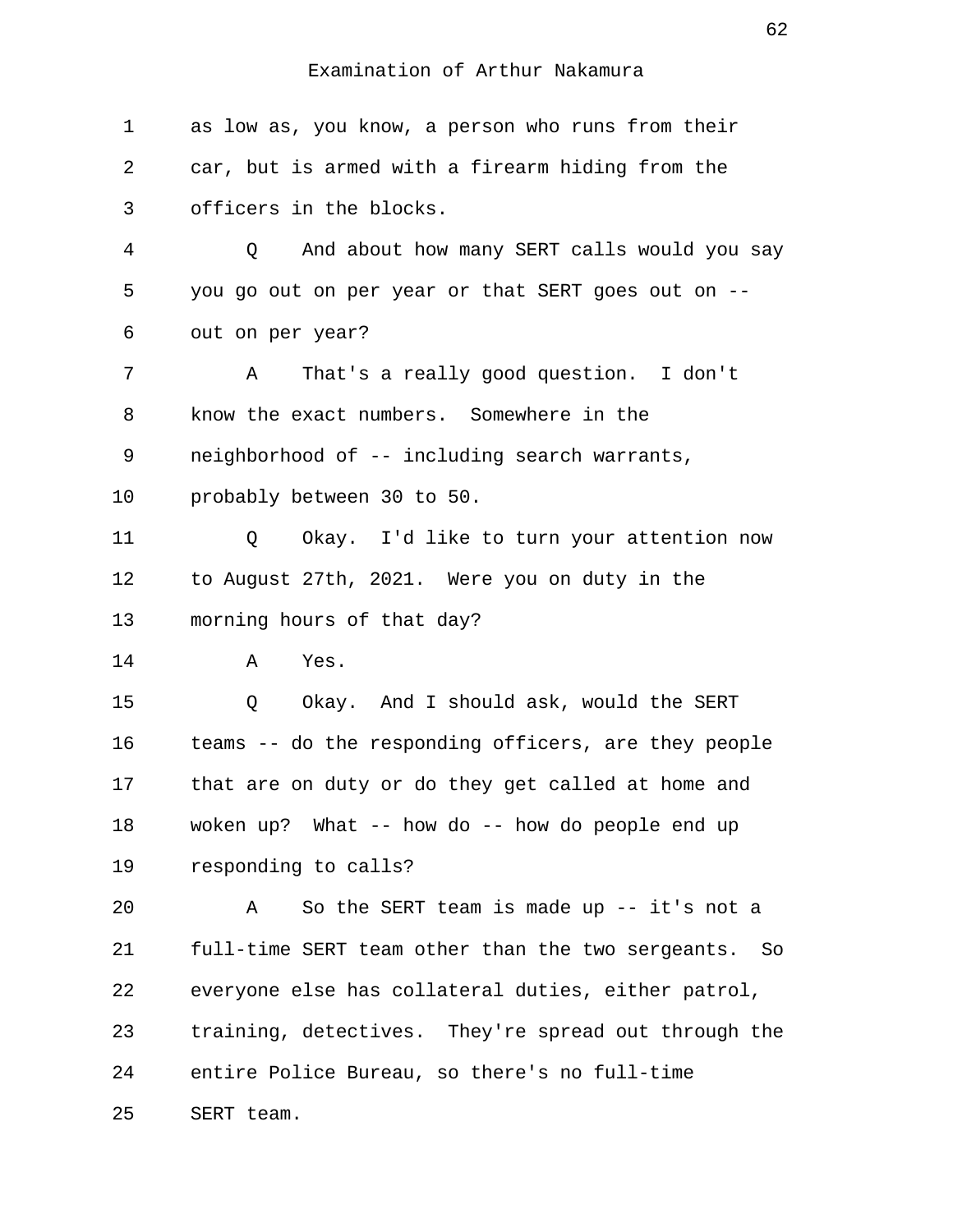| $\mathbf 1$ | as low as, you know, a person who runs from their         |
|-------------|-----------------------------------------------------------|
| 2           | car, but is armed with a firearm hiding from the          |
| 3           | officers in the blocks.                                   |
| 4           | And about how many SERT calls would you say<br>Q          |
| 5           | you go out on per year or that SERT goes out on --        |
| 6           | out on per year?                                          |
| 7           | That's a really good question. I don't<br>Α               |
| 8           | know the exact numbers. Somewhere in the                  |
| 9           | neighborhood of -- including search warrants,             |
| 10          | probably between 30 to 50.                                |
| 11          | Okay. I'd like to turn your attention now<br>Q            |
| 12          | to August 27th, 2021. Were you on duty in the             |
| 13          | morning hours of that day?                                |
| 14          | Α<br>Yes.                                                 |
| 15          | Okay. And I should ask, would the SERT<br>Q               |
| 16          | teams -- do the responding officers, are they people      |
| 17          | that are on duty or do they get called at home and        |
| 18          | woken up? What -- how do -- how do people end up          |
| 19          | responding to calls?                                      |
| 20          | So the SERT team is made up $--$ it's not a<br>Α          |
| 21          | full-time SERT team other than the two sergeants.<br>- So |
| 22          | everyone else has collateral duties, either patrol,       |
| 23          | training, detectives. They're spread out through the      |
| 24          | entire Police Bureau, so there's no full-time             |
| 25          | SERT team.                                                |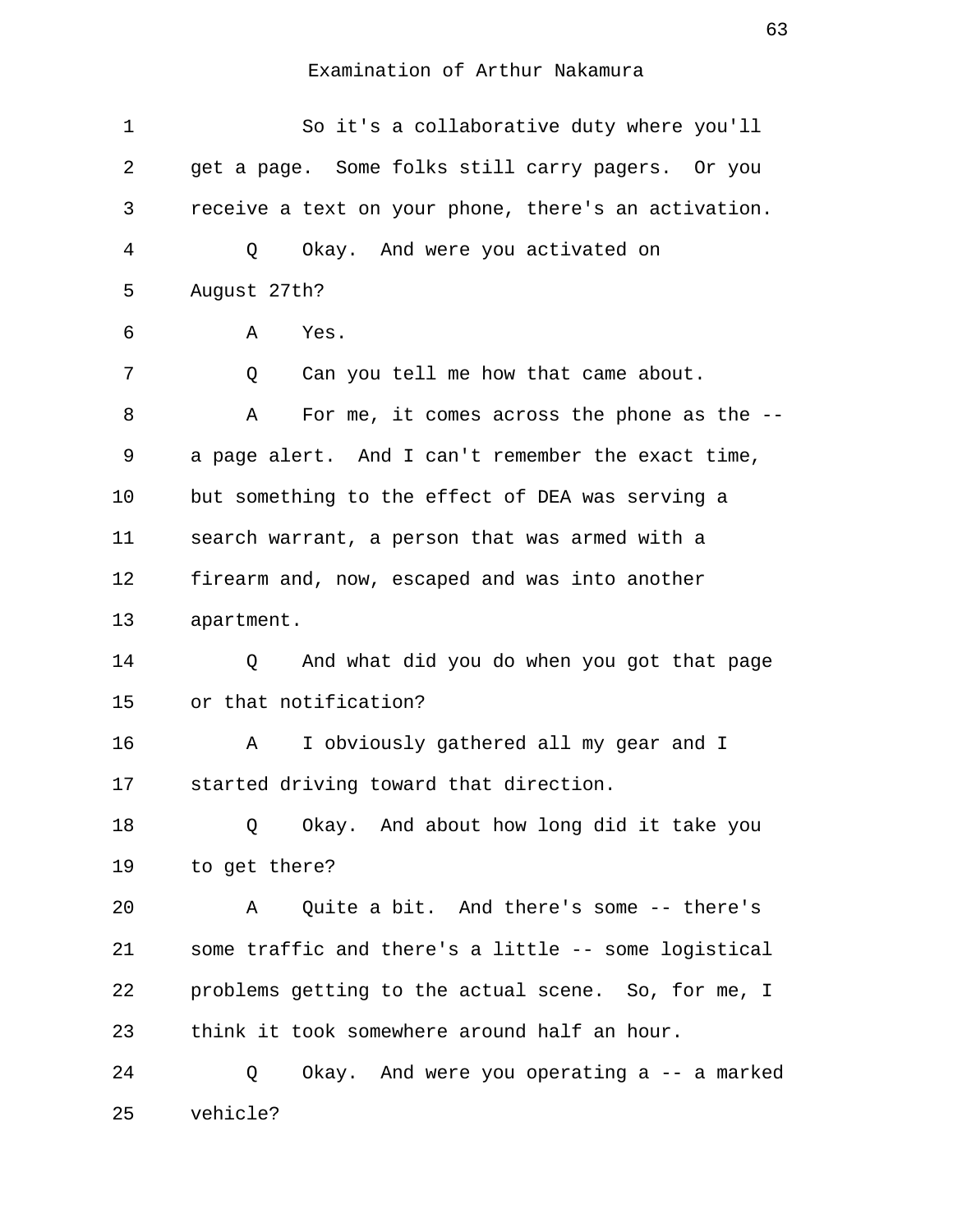| $\mathbf 1$ | So it's a collaborative duty where you'll            |
|-------------|------------------------------------------------------|
| 2           | get a page. Some folks still carry pagers. Or you    |
| 3           | receive a text on your phone, there's an activation. |
| 4           | Okay. And were you activated on<br>Q                 |
| 5           | August 27th?                                         |
| 6           | Α<br>Yes.                                            |
| 7           | Can you tell me how that came about.<br>Q            |
| 8           | For me, it comes across the phone as the $-$ -<br>Α  |
| 9           | a page alert. And I can't remember the exact time,   |
| 10          | but something to the effect of DEA was serving a     |
| 11          | search warrant, a person that was armed with a       |
| 12          | firearm and, now, escaped and was into another       |
| 13          | apartment.                                           |
| 14          | And what did you do when you got that page<br>Q      |
| 15          | or that notification?                                |
| 16          | I obviously gathered all my gear and I<br>A          |
| 17          | started driving toward that direction.               |
| 18          | Okay. And about how long did it take you<br>Q        |
| 19          | to get there?                                        |
| 20          | Quite a bit. And there's some -- there's<br>Α        |
| 21          | some traffic and there's a little -- some logistical |
| 22          | problems getting to the actual scene. So, for me, I  |
| 23          | think it took somewhere around half an hour.         |
| 24          | Okay. And were you operating a -- a marked<br>Q      |
| 25          | vehicle?                                             |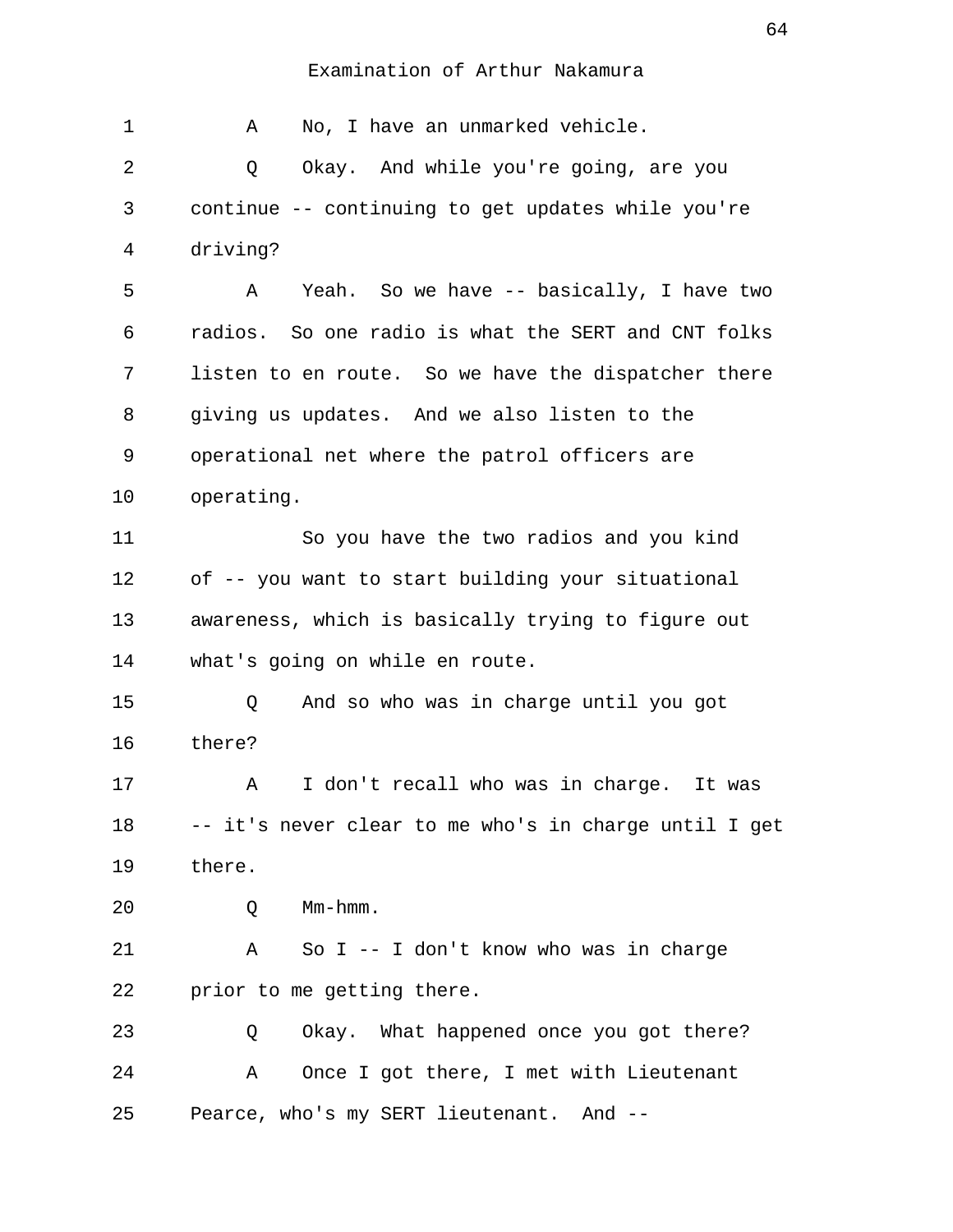| 1  | No, I have an unmarked vehicle.<br>Α                  |
|----|-------------------------------------------------------|
| 2  | Okay. And while you're going, are you<br>Q            |
| 3  | continue -- continuing to get updates while you're    |
| 4  | driving?                                              |
| 5  | Yeah. So we have -- basically, I have two<br>Α        |
| 6  | radios. So one radio is what the SERT and CNT folks   |
| 7  | listen to en route. So we have the dispatcher there   |
| 8  | giving us updates. And we also listen to the          |
| 9  | operational net where the patrol officers are         |
| 10 | operating.                                            |
| 11 | So you have the two radios and you kind               |
| 12 | of -- you want to start building your situational     |
| 13 | awareness, which is basically trying to figure out    |
| 14 | what's going on while en route.                       |
| 15 | And so who was in charge until you got<br>Q           |
| 16 | there?                                                |
| 17 | I don't recall who was in charge. It was<br>Α         |
| 18 | -- it's never clear to me who's in charge until I get |
| 19 | there.                                                |
| 20 | $Mm-hmm$ .<br>Q                                       |
| 21 | So $I$ -- I don't know who was in charge<br>Α         |
| 22 | prior to me getting there.                            |
| 23 | Okay. What happened once you got there?<br>Q          |
| 24 | Once I got there, I met with Lieutenant<br>Α          |
| 25 | Pearce, who's my SERT lieutenant. And --              |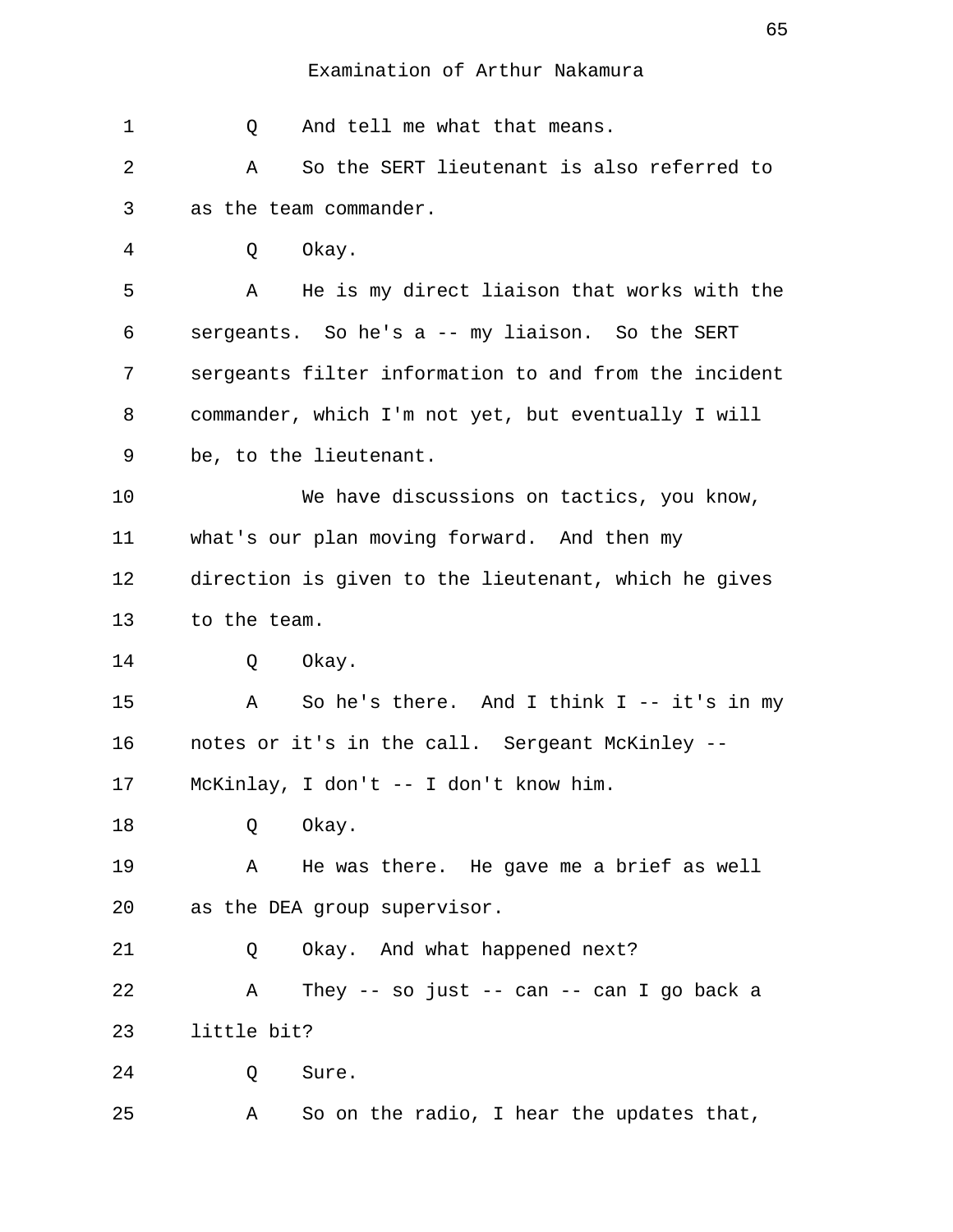| 1  | And tell me what that means.<br>Q                     |
|----|-------------------------------------------------------|
| 2  | So the SERT lieutenant is also referred to<br>Α       |
| 3  | as the team commander.                                |
| 4  | Okay.<br>Q                                            |
| 5  | He is my direct liaison that works with the<br>Α      |
| 6  | sergeants. So he's a -- my liaison. So the SERT       |
| 7  | sergeants filter information to and from the incident |
| 8  | commander, which I'm not yet, but eventually I will   |
| 9  | be, to the lieutenant.                                |
| 10 | We have discussions on tactics, you know,             |
| 11 | what's our plan moving forward. And then my           |
| 12 | direction is given to the lieutenant, which he gives  |
| 13 | to the team.                                          |
| 14 | Okay.<br>Q                                            |
| 15 | So he's there. And I think $I$ -- it's in my<br>Α     |
| 16 | notes or it's in the call. Sergeant McKinley --       |
| 17 | McKinlay, I don't -- I don't know him.                |
| 18 | Okay.<br>Q                                            |
| 19 | He was there. He gave me a brief as well<br>A         |
| 20 | as the DEA group supervisor.                          |
| 21 | Okay. And what happened next?<br>Q                    |
| 22 | They -- so just -- can -- can I go back a<br>Α        |
| 23 | little bit?                                           |
| 24 | Sure.<br>Q                                            |
| 25 | So on the radio, I hear the updates that,<br>Α        |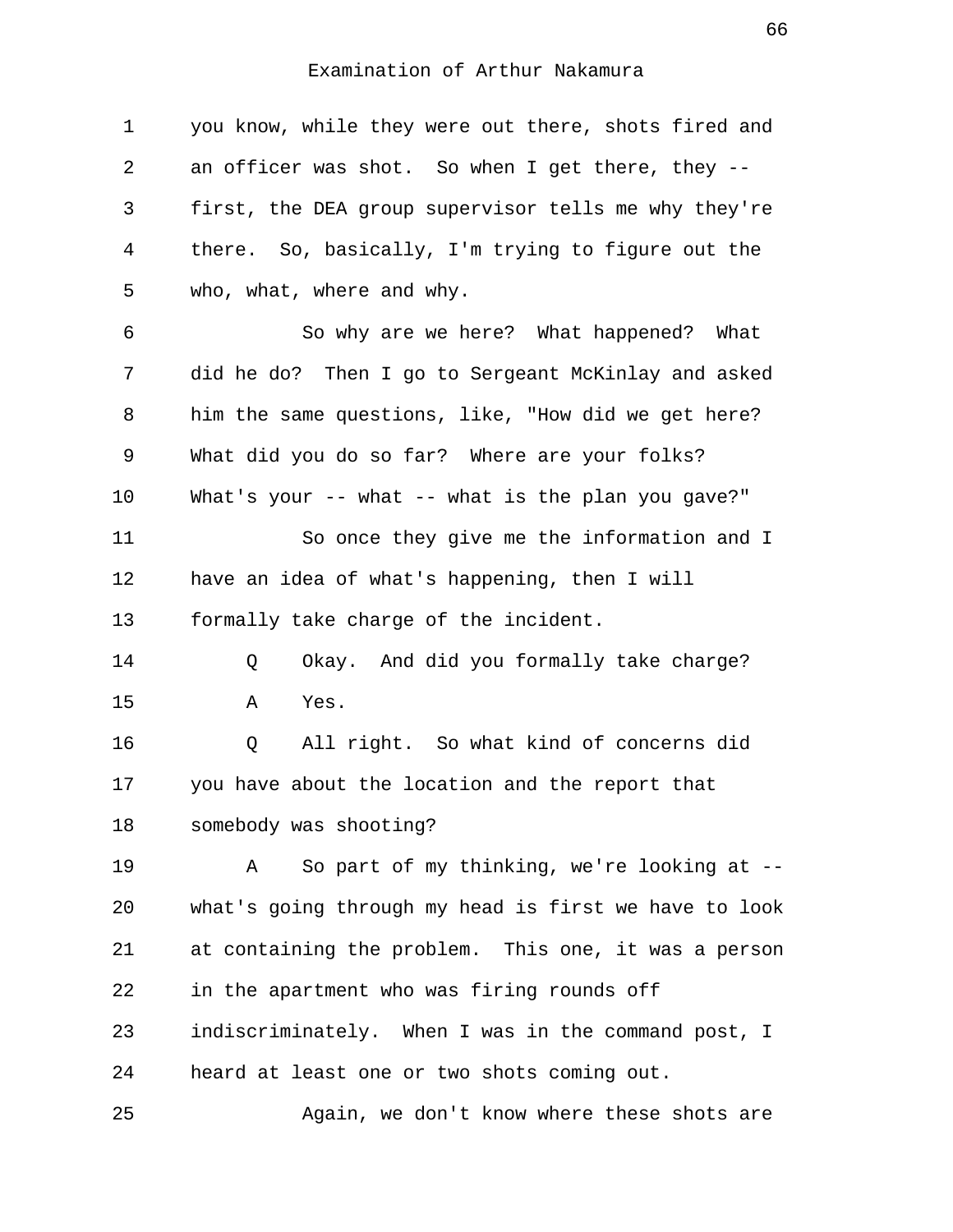| 1  | you know, while they were out there, shots fired and  |
|----|-------------------------------------------------------|
| 2  | an officer was shot. So when I get there, they --     |
| 3  | first, the DEA group supervisor tells me why they're  |
| 4  | there. So, basically, I'm trying to figure out the    |
| 5  | who, what, where and why.                             |
| 6  | So why are we here? What happened? What               |
| 7  | did he do? Then I go to Sergeant McKinlay and asked   |
| 8  | him the same questions, like, "How did we get here?   |
| 9  | What did you do so far? Where are your folks?         |
| 10 | What's your -- what -- what is the plan you gave?"    |
| 11 | So once they give me the information and I            |
| 12 | have an idea of what's happening, then I will         |
| 13 | formally take charge of the incident.                 |
| 14 | Okay. And did you formally take charge?<br>Q          |
| 15 | Yes.<br>Α                                             |
| 16 | All right. So what kind of concerns did<br>Q          |
| 17 | you have about the location and the report that       |
| 18 | somebody was shooting?                                |
| 19 | So part of my thinking, we're looking at --<br>Α      |
| 20 | what's going through my head is first we have to look |
| 21 | at containing the problem. This one, it was a person  |
| 22 | in the apartment who was firing rounds off            |
| 23 | indiscriminately. When I was in the command post, I   |
| 24 | heard at least one or two shots coming out.           |
| 25 | Again, we don't know where these shots are            |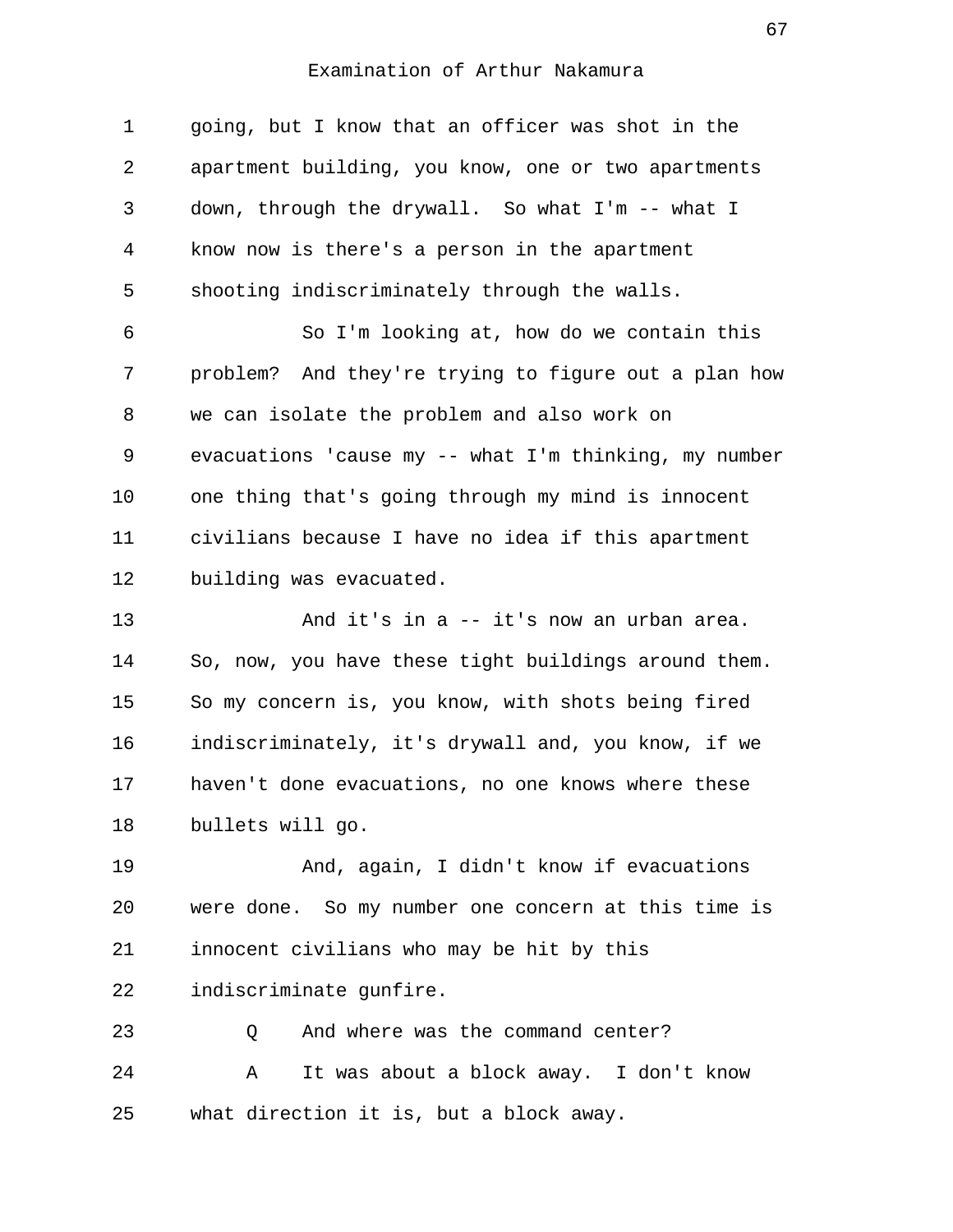| 1  | going, but I know that an officer was shot in the       |
|----|---------------------------------------------------------|
| 2  | apartment building, you know, one or two apartments     |
| 3  | down, through the drywall. So what I'm -- what I        |
| 4  | know now is there's a person in the apartment           |
| 5  | shooting indiscriminately through the walls.            |
| 6  | So I'm looking at, how do we contain this               |
| 7  | problem? And they're trying to figure out a plan how    |
| 8  | we can isolate the problem and also work on             |
| 9  | evacuations 'cause my -- what $I'm$ thinking, my number |
| 10 | one thing that's going through my mind is innocent      |
| 11 | civilians because I have no idea if this apartment      |
| 12 | building was evacuated.                                 |
| 13 | And it's in a -- it's now an urban area.                |
| 14 | So, now, you have these tight buildings around them.    |
| 15 | So my concern is, you know, with shots being fired      |
| 16 | indiscriminately, it's drywall and, you know, if we     |
| 17 | haven't done evacuations, no one knows where these      |
| 18 | bullets will go.                                        |
| 19 | And, again, I didn't know if evacuations                |
| 20 | were done. So my number one concern at this time is     |
| 21 | innocent civilians who may be hit by this               |
| 22 | indiscriminate gunfire.                                 |
| 23 | And where was the command center?<br>Q                  |

24 A It was about a block away. I don't know 25 what direction it is, but a block away.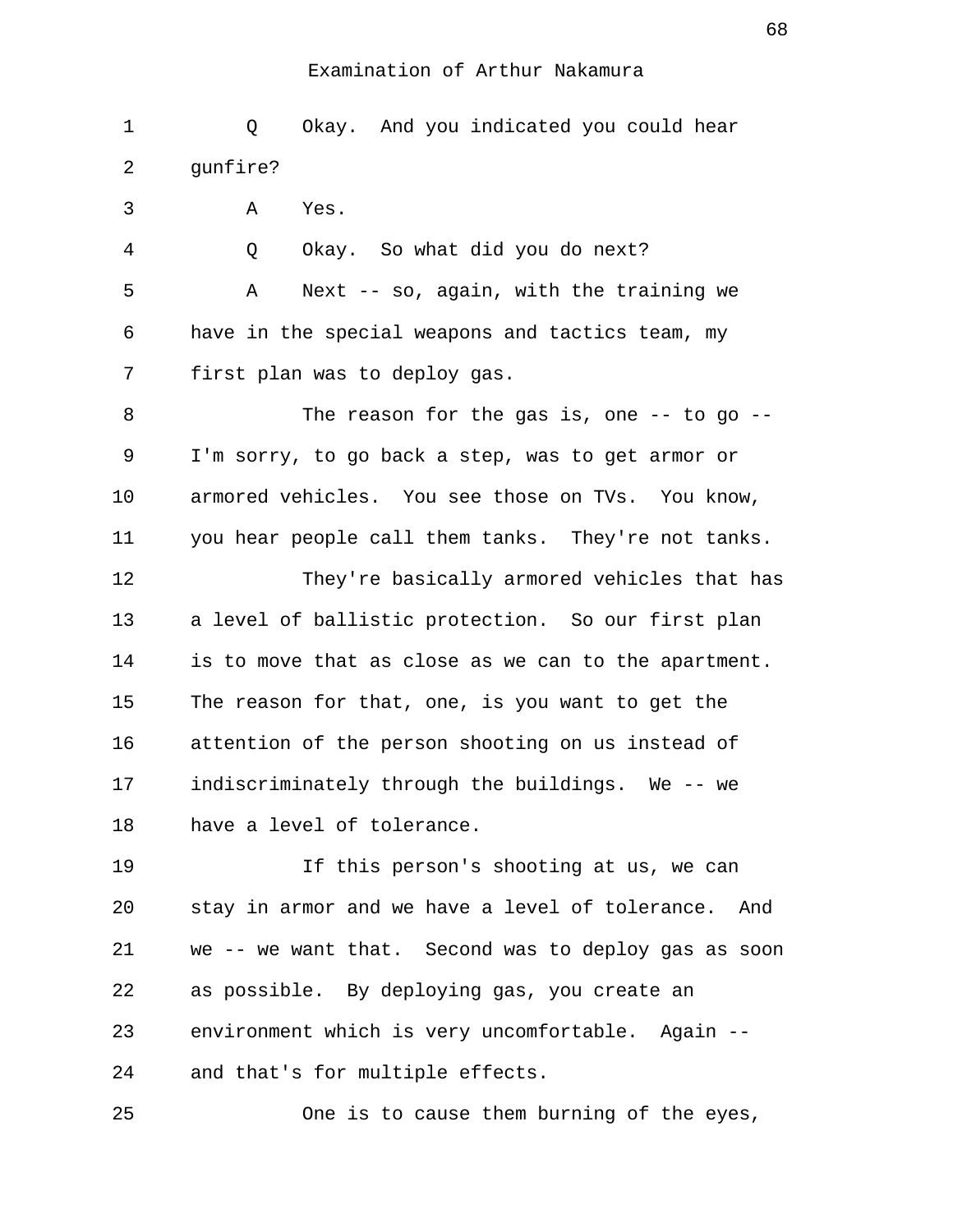1 Q Okay. And you indicated you could hear 2 gunfire? 3 A Yes. 4 Q Okay. So what did you do next? 5 A Next -- so, again, with the training we 6 have in the special weapons and tactics team, my 7 first plan was to deploy gas. 8 The reason for the gas is, one -- to go -- 9 I'm sorry, to go back a step, was to get armor or 10 armored vehicles. You see those on TVs. You know, 11 you hear people call them tanks. They're not tanks. 12 They're basically armored vehicles that has 13 a level of ballistic protection. So our first plan 14 is to move that as close as we can to the apartment. 15 The reason for that, one, is you want to get the 16 attention of the person shooting on us instead of 17 indiscriminately through the buildings. We -- we 18 have a level of tolerance. 19 If this person's shooting at us, we can 20 stay in armor and we have a level of tolerance. And 21 we -- we want that. Second was to deploy gas as soon 22 as possible. By deploying gas, you create an 23 environment which is very uncomfortable. Again -- 24 and that's for multiple effects.

25 One is to cause them burning of the eyes,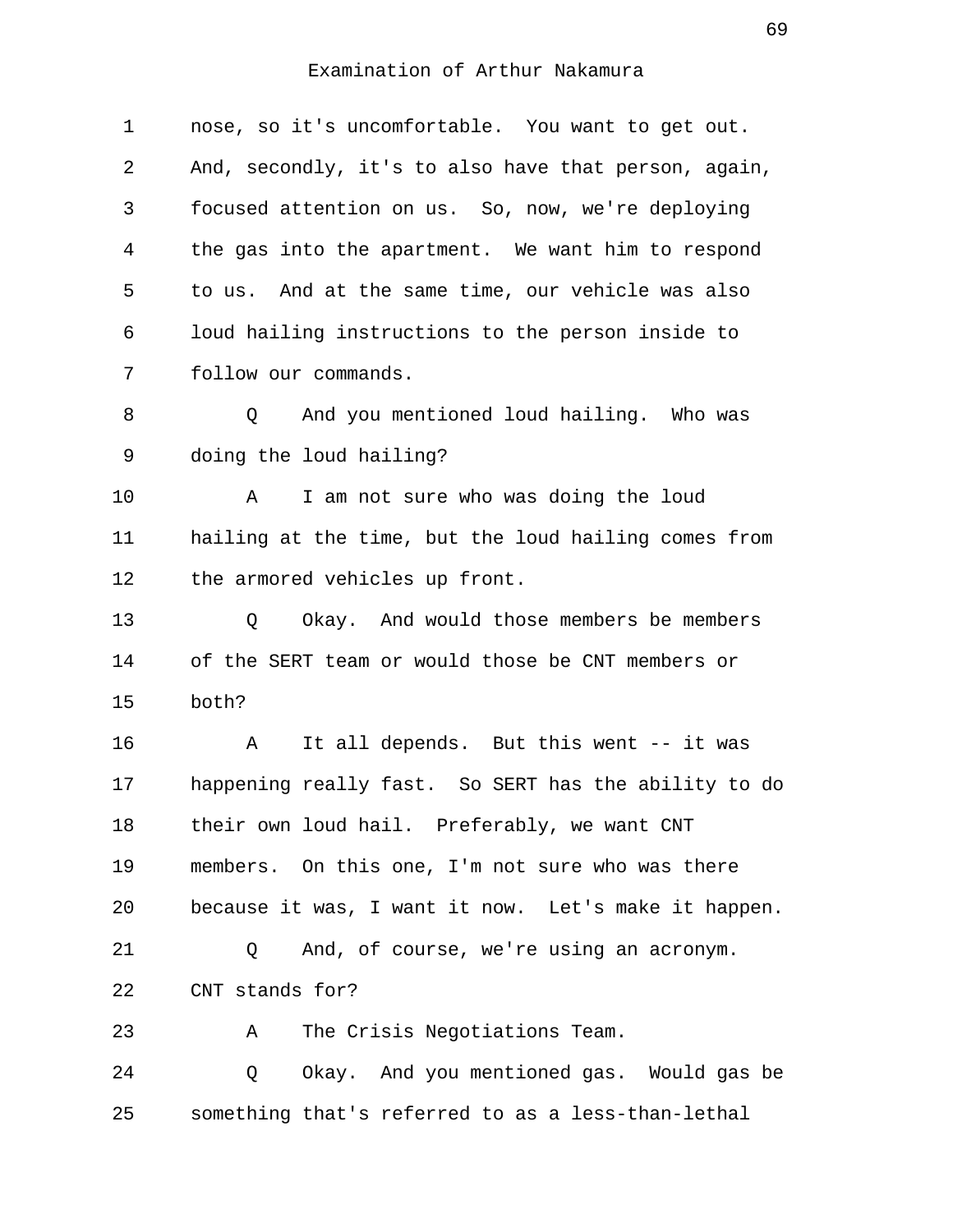| 1  | nose, so it's uncomfortable. You want to get out.    |
|----|------------------------------------------------------|
| 2  | And, secondly, it's to also have that person, again, |
| 3  | focused attention on us. So, now, we're deploying    |
| 4  | the gas into the apartment. We want him to respond   |
| 5  | to us. And at the same time, our vehicle was also    |
| 6  | loud hailing instructions to the person inside to    |
| 7  | follow our commands.                                 |
| 8  | And you mentioned loud hailing. Who was<br>Q         |
| 9  | doing the loud hailing?                              |
| 10 | I am not sure who was doing the loud<br>A            |
| 11 | hailing at the time, but the loud hailing comes from |
| 12 | the armored vehicles up front.                       |
| 13 | Okay. And would those members be members<br>Q        |
| 14 | of the SERT team or would those be CNT members or    |
| 15 | both?                                                |
| 16 | It all depends. But this went -- it was<br>A         |
| 17 | happening really fast. So SERT has the ability to do |
| 18 | their own loud hail. Preferably, we want CNT         |
| 19 | members. On this one, I'm not sure who was there     |
| 20 | because it was, I want it now. Let's make it happen. |
| 21 | And, of course, we're using an acronym.<br>Q         |
| 22 | CNT stands for?                                      |
| 23 | The Crisis Negotiations Team.<br>Α                   |
| 24 | Okay. And you mentioned gas. Would gas be<br>Q       |
| 25 | something that's referred to as a less-than-lethal   |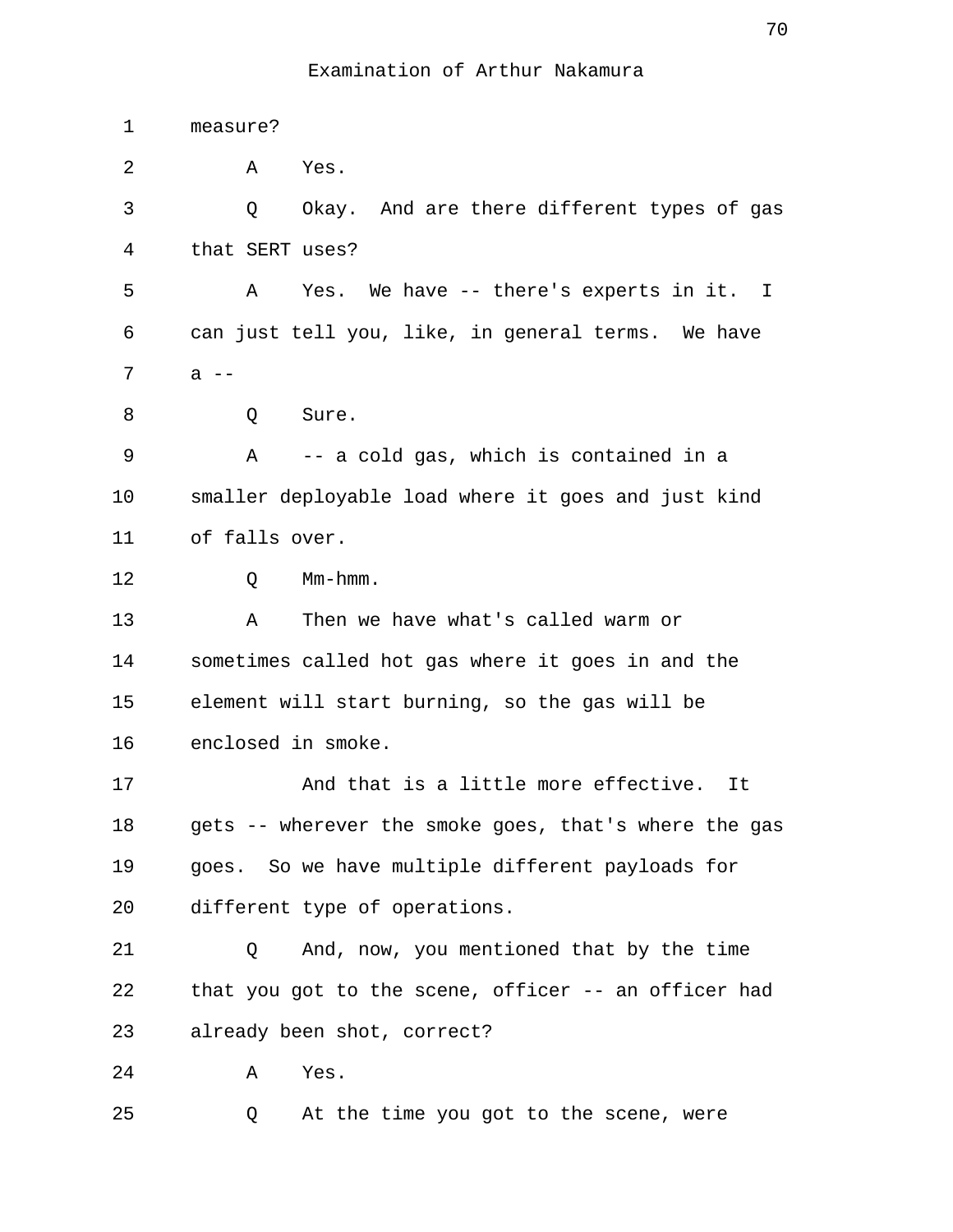| 1  | measure?                                              |
|----|-------------------------------------------------------|
| 2  | Yes.<br>A                                             |
| 3  | Okay. And are there different types of gas<br>Q       |
| 4  | that SERT uses?                                       |
| 5  | Yes. We have -- there's experts in it. I<br>A         |
| 6  | can just tell you, like, in general terms. We have    |
| 7  | $a$ --                                                |
| 8  | Q<br>Sure.                                            |
| 9  | -- a cold gas, which is contained in a<br>Α           |
| 10 | smaller deployable load where it goes and just kind   |
| 11 | of falls over.                                        |
| 12 | $Mm-hmm$ .<br>Q                                       |
| 13 | Then we have what's called warm or<br>Α               |
| 14 | sometimes called hot gas where it goes in and the     |
| 15 | element will start burning, so the gas will be        |
| 16 | enclosed in smoke.                                    |
| 17 | And that is a little more effective.<br>It            |
| 18 | gets -- wherever the smoke goes, that's where the gas |
| 19 | goes. So we have multiple different payloads for      |
| 20 | different type of operations.                         |
| 21 | And, now, you mentioned that by the time<br>Q         |
| 22 | that you got to the scene, officer -- an officer had  |
| 23 | already been shot, correct?                           |
| 24 | Yes.<br>Α                                             |
| 25 | At the time you got to the scene, were<br>Q           |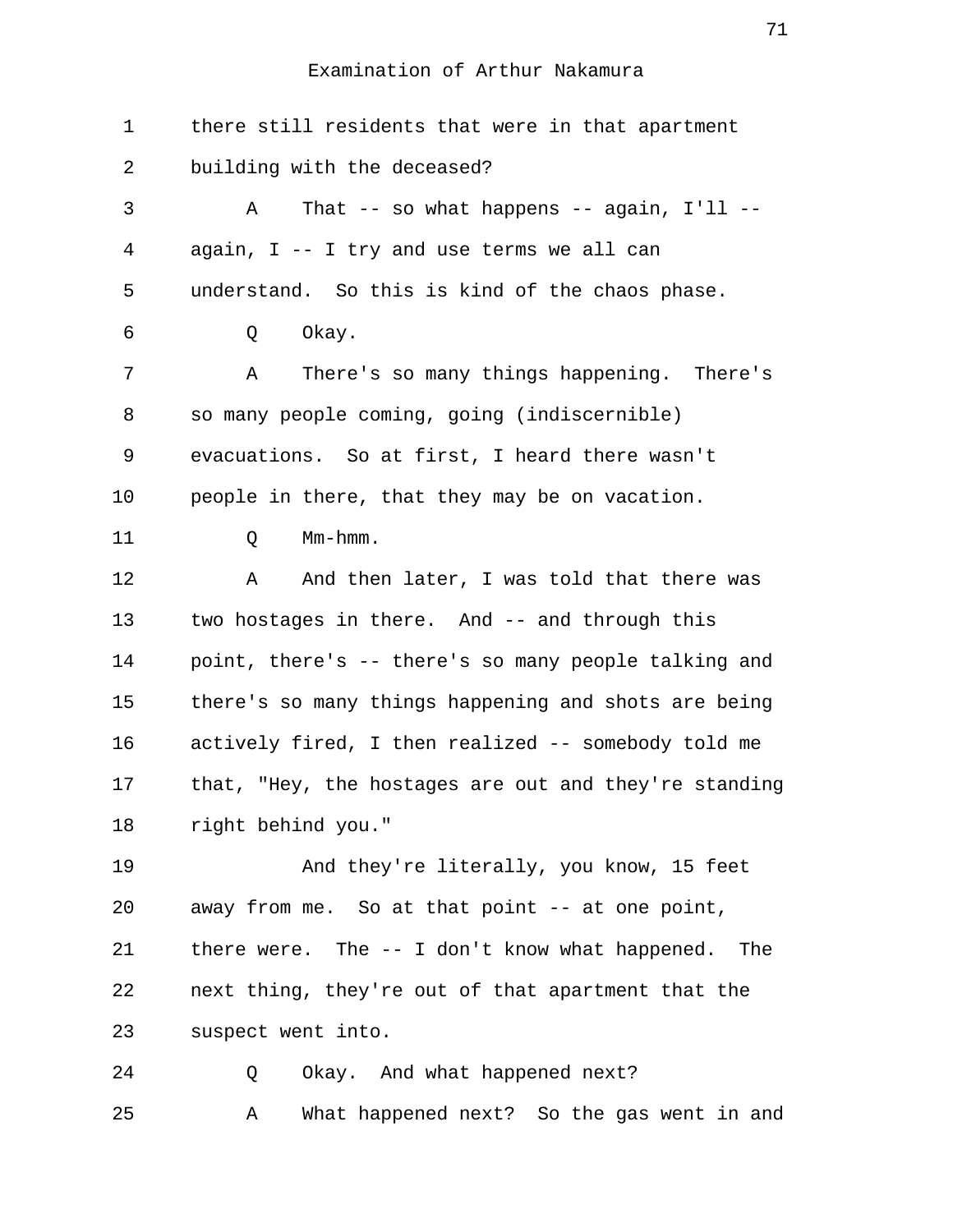1 there still residents that were in that apartment 2 building with the deceased? 3 A That -- so what happens -- again, I'll -- 4 again, I -- I try and use terms we all can 5 understand. So this is kind of the chaos phase. 6 Q Okay. 7 A There's so many things happening. There's 8 so many people coming, going (indiscernible) 9 evacuations. So at first, I heard there wasn't 10 people in there, that they may be on vacation. 11 Q Mm-hmm. 12 A And then later, I was told that there was 13 two hostages in there. And -- and through this 14 point, there's -- there's so many people talking and 15 there's so many things happening and shots are being 16 actively fired, I then realized -- somebody told me 17 that, "Hey, the hostages are out and they're standing 18 right behind you." 19 And they're literally, you know, 15 feet 20 away from me. So at that point -- at one point, 21 there were. The -- I don't know what happened. The 22 next thing, they're out of that apartment that the 23 suspect went into. 24 Q Okay. And what happened next? 25 A What happened next? So the gas went in and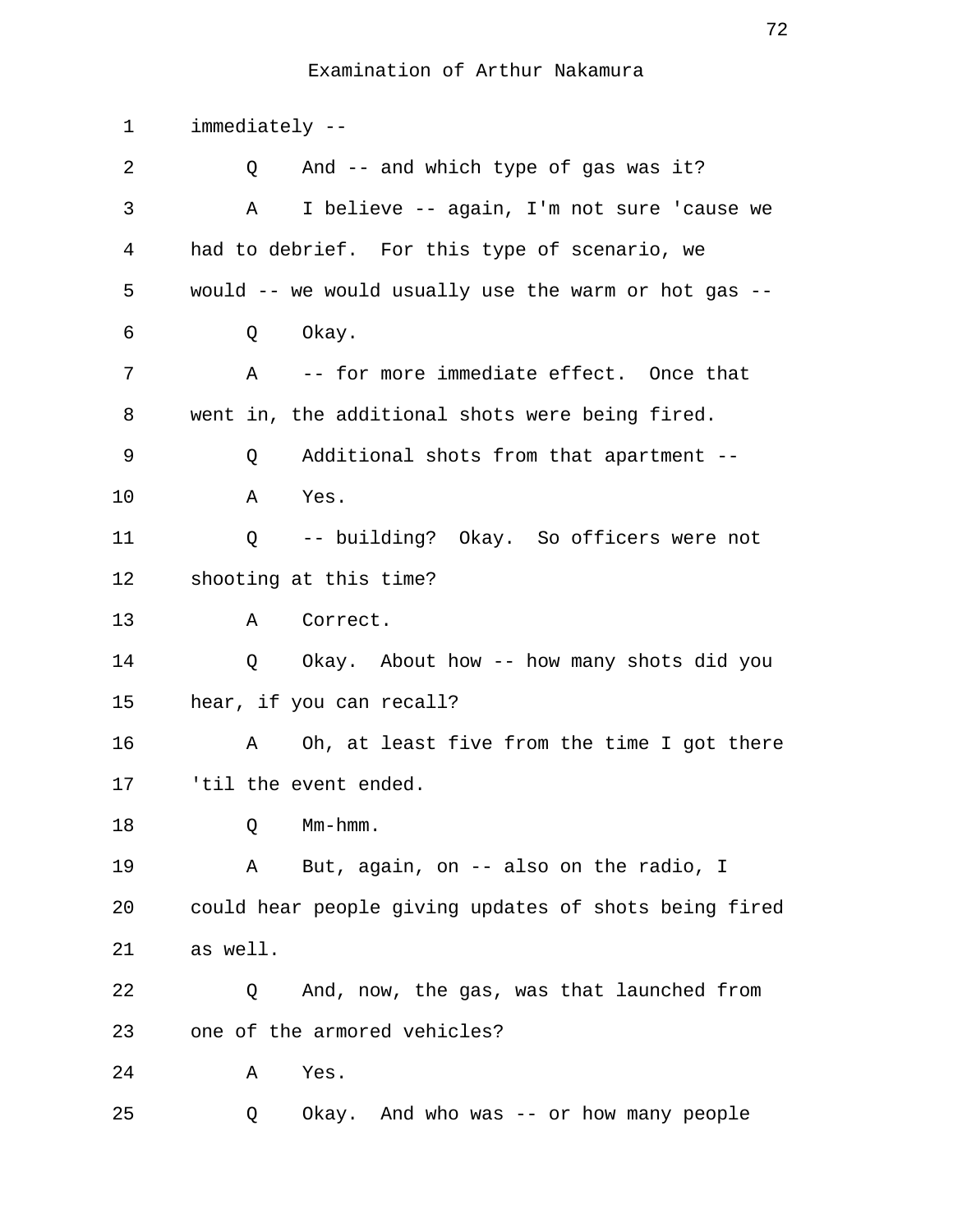| $\mathbf 1$ | immediately --                                          |
|-------------|---------------------------------------------------------|
| 2           | And -- and which type of gas was it?<br>Q               |
| 3           | I believe -- again, I'm not sure 'cause we<br>Α         |
| 4           | had to debrief. For this type of scenario, we           |
| 5           | would -- we would usually use the warm or hot gas --    |
| 6           | Okay.<br>Q                                              |
| 7           | -- for more immediate effect. Once that<br>$\mathbf{A}$ |
| 8           | went in, the additional shots were being fired.         |
| 9           | Additional shots from that apartment --<br>Q            |
| 10          | Yes.<br>Α                                               |
| 11          | Q -- building? Okay. So officers were not               |
| 12          | shooting at this time?                                  |
| 13          | Correct.<br>A                                           |
| 14          | Q<br>Okay. About how -- how many shots did you          |
| 15          | hear, if you can recall?                                |
| 16          | Oh, at least five from the time I got there<br>A        |
| 17          | 'til the event ended.                                   |
| 18          | Mm-hmm.<br>Q                                            |
| 19          | But, again, on -- also on the radio, I<br>Α             |
| 20          | could hear people giving updates of shots being fired   |
| 21          | as well.                                                |
| 22          | And, now, the gas, was that launched from<br>Q          |
| 23          | one of the armored vehicles?                            |
| 24          | Α<br>Yes.                                               |
| 25          | Okay. And who was -- or how many people<br>Q            |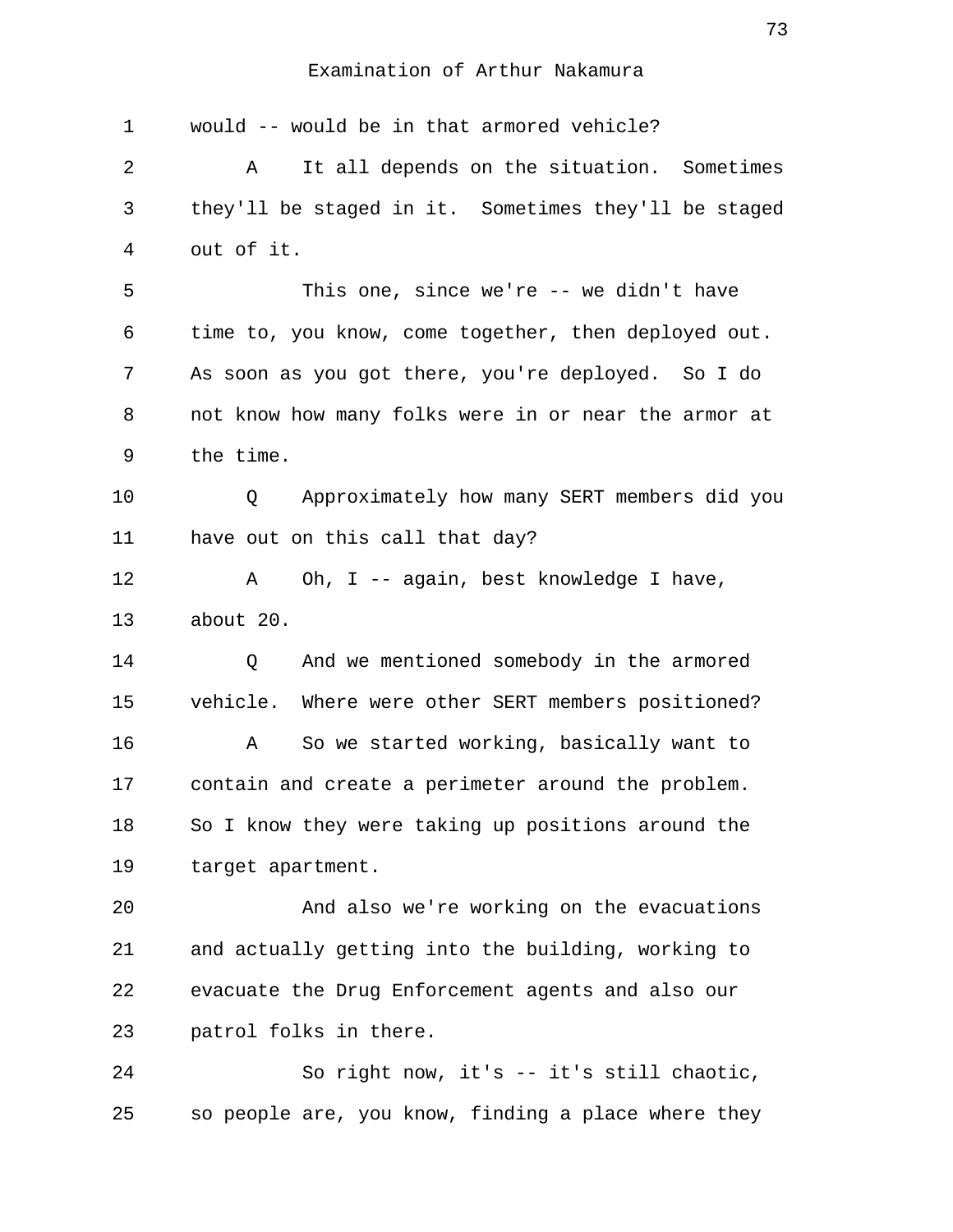| 1  | would -- would be in that armored vehicle?            |
|----|-------------------------------------------------------|
| 2  | It all depends on the situation. Sometimes<br>Α       |
| 3  | they'll be staged in it. Sometimes they'll be staged  |
| 4  | out of it.                                            |
| 5  | This one, since we're $-$ we didn't have              |
| 6  | time to, you know, come together, then deployed out.  |
| 7  | As soon as you got there, you're deployed. So I do    |
| 8  | not know how many folks were in or near the armor at  |
| 9  | the time.                                             |
| 10 | Approximately how many SERT members did you<br>Q      |
| 11 | have out on this call that day?                       |
| 12 | Oh, I -- again, best knowledge I have,<br>Α           |
| 13 | about 20.                                             |
| 14 | And we mentioned somebody in the armored<br>Q         |
| 15 | vehicle.<br>Where were other SERT members positioned? |
| 16 | So we started working, basically want to<br>Α         |
| 17 | contain and create a perimeter around the problem.    |
| 18 | So I know they were taking up positions around the    |
| 19 | target apartment.                                     |
| 20 | And also we're working on the evacuations             |
| 21 | and actually getting into the building, working to    |
| 22 | evacuate the Drug Enforcement agents and also our     |
| 23 | patrol folks in there.                                |
| 24 | So right now, it's -- it's still chaotic,             |

25 so people are, you know, finding a place where they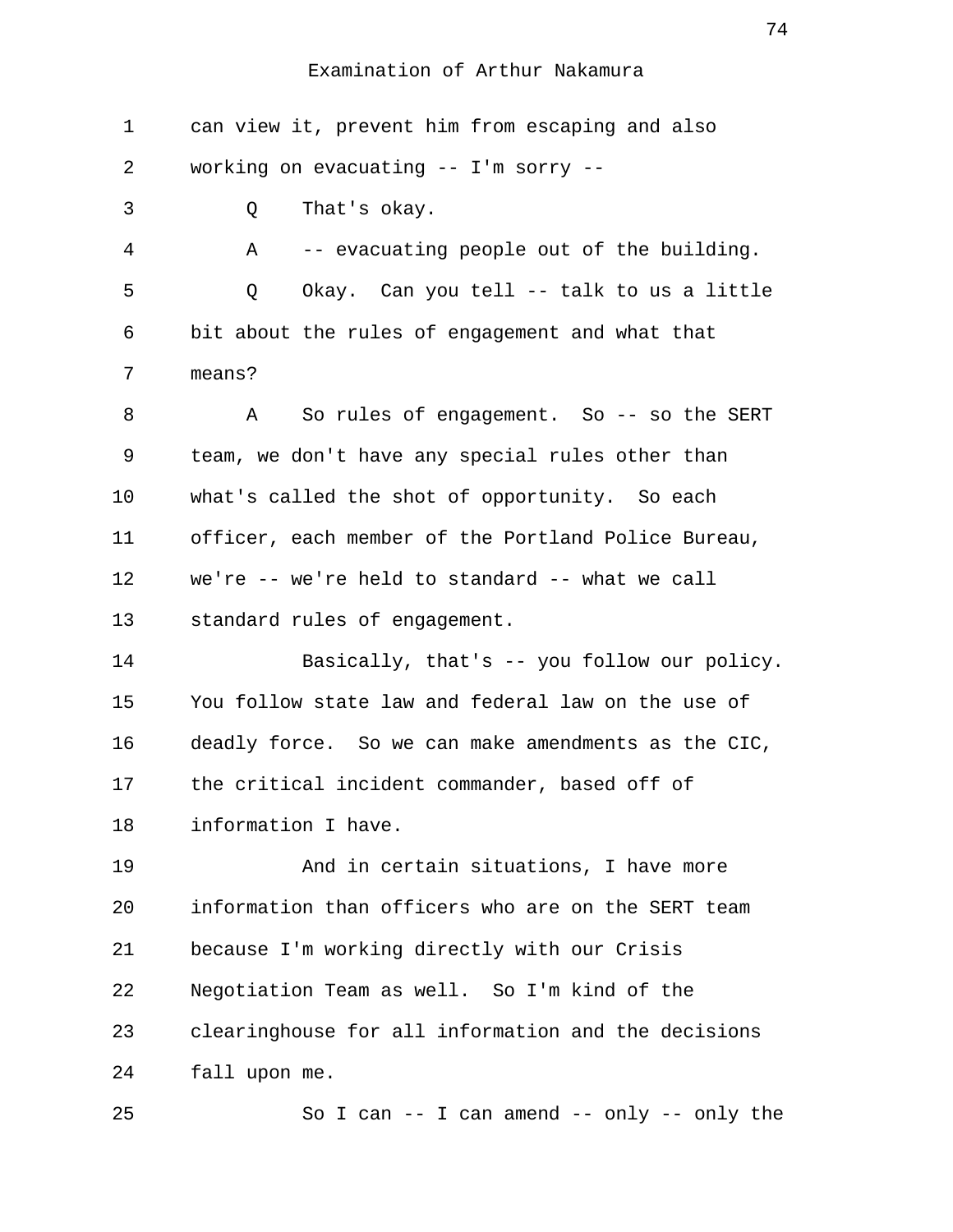1 can view it, prevent him from escaping and also 2 working on evacuating -- I'm sorry -- 3 Q That's okay. 4 A -- evacuating people out of the building. 5 Q Okay. Can you tell -- talk to us a little 6 bit about the rules of engagement and what that 7 means? 8 A So rules of engagement. So -- so the SERT 9 team, we don't have any special rules other than 10 what's called the shot of opportunity. So each 11 officer, each member of the Portland Police Bureau, 12 we're -- we're held to standard -- what we call 13 standard rules of engagement. 14 Basically, that's -- you follow our policy. 15 You follow state law and federal law on the use of 16 deadly force. So we can make amendments as the CIC, 17 the critical incident commander, based off of 18 information I have. 19 And in certain situations, I have more 20 information than officers who are on the SERT team 21 because I'm working directly with our Crisis 22 Negotiation Team as well. So I'm kind of the 23 clearinghouse for all information and the decisions 24 fall upon me. 25 So I can -- I can amend -- only -- only the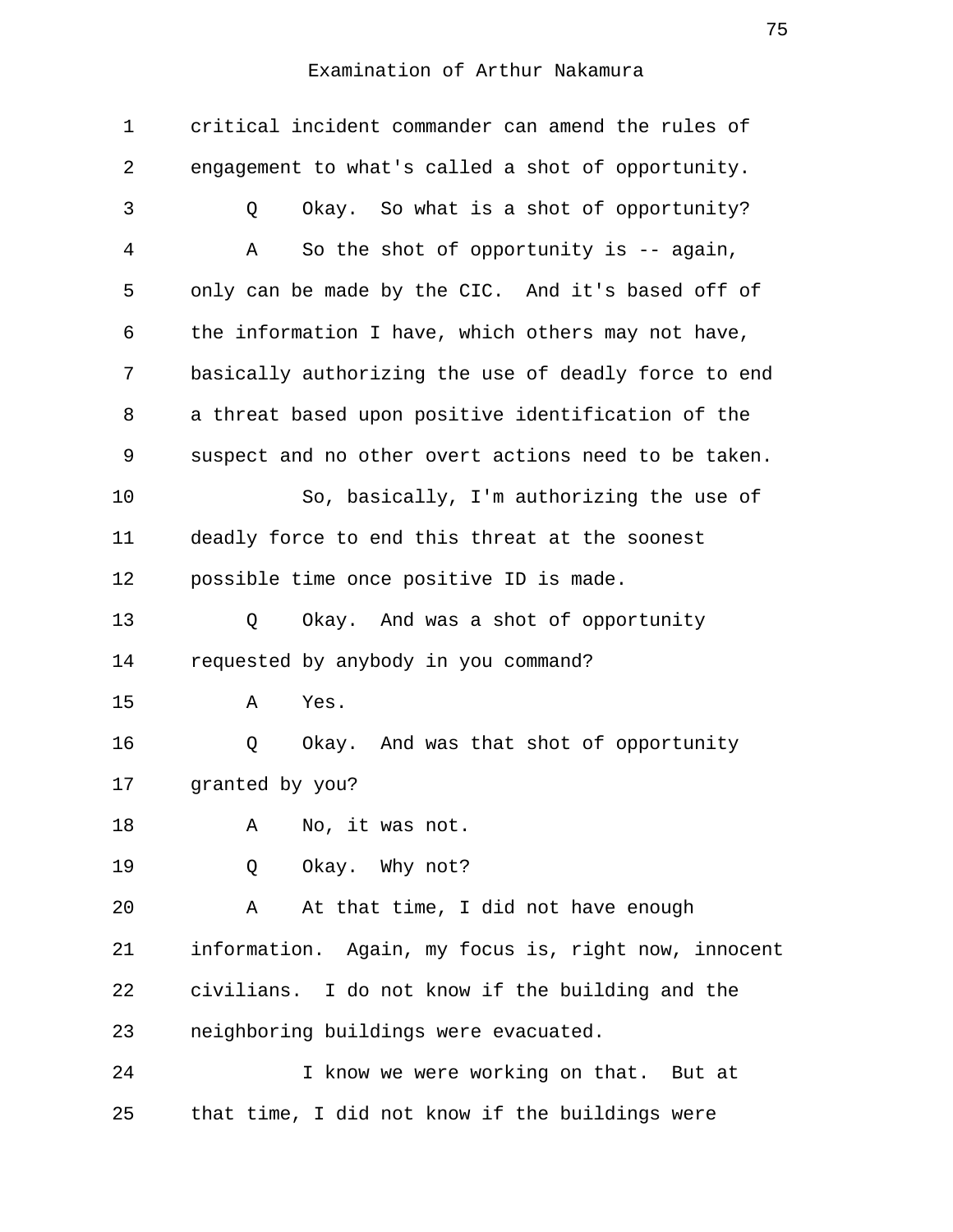| 1  | critical incident commander can amend the rules of   |
|----|------------------------------------------------------|
| 2  | engagement to what's called a shot of opportunity.   |
| 3  | Okay. So what is a shot of opportunity?<br>Q         |
| 4  | So the shot of opportunity is $-$ again,<br>Α        |
| 5  | only can be made by the CIC. And it's based off of   |
| 6  | the information I have, which others may not have,   |
| 7  | basically authorizing the use of deadly force to end |
| 8  | a threat based upon positive identification of the   |
| 9  | suspect and no other overt actions need to be taken. |
| 10 | So, basically, I'm authorizing the use of            |
| 11 | deadly force to end this threat at the soonest       |
| 12 | possible time once positive ID is made.              |
| 13 | Okay. And was a shot of opportunity<br>Q             |
| 14 | requested by anybody in you command?                 |
| 15 | Yes.<br>Α                                            |
| 16 | Okay. And was that shot of opportunity<br>Q          |
| 17 | granted by you?                                      |
| 18 | No, it was not.<br>Α                                 |
| 19 | Okay. Why not?<br>Q                                  |
| 20 | At that time, I did not have enough<br>Α             |
| 21 | information. Again, my focus is, right now, innocent |
| 22 | civilians. I do not know if the building and the     |
| 23 | neighboring buildings were evacuated.                |
| 24 | I know we were working on that. But at               |
| 25 | that time, I did not know if the buildings were      |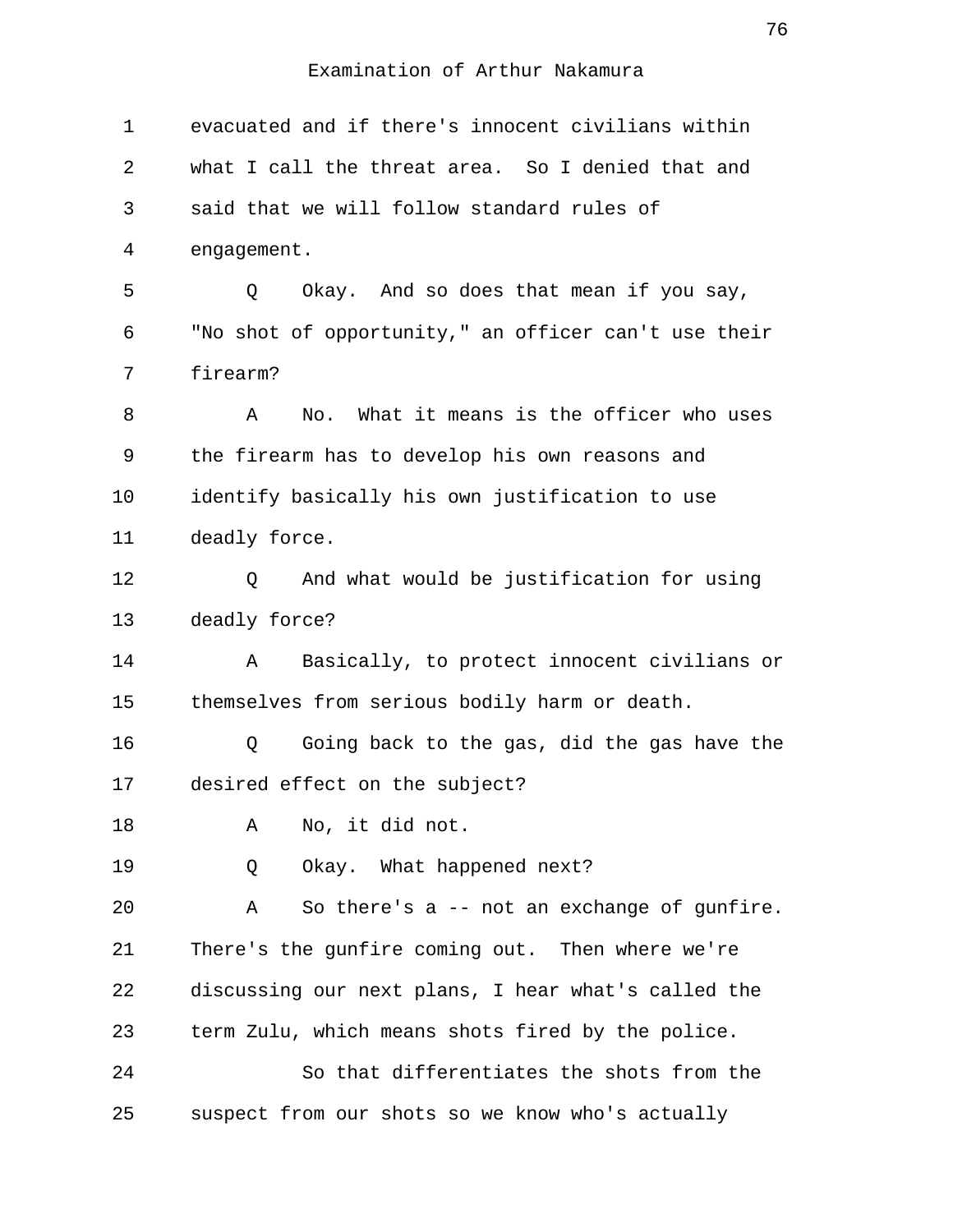| $\mathbf 1$ | evacuated and if there's innocent civilians within   |
|-------------|------------------------------------------------------|
| 2           | what I call the threat area. So I denied that and    |
| 3           | said that we will follow standard rules of           |
| 4           | engagement.                                          |
| 5           | Okay. And so does that mean if you say,<br>Q         |
| 6           | "No shot of opportunity," an officer can't use their |
| 7           | firearm?                                             |
| 8           | No. What it means is the officer who uses<br>A       |
| 9           | the firearm has to develop his own reasons and       |
| 10          | identify basically his own justification to use      |
| 11          | deadly force.                                        |
| 12          | And what would be justification for using<br>Q       |
| 13          | deadly force?                                        |
| 14          | Basically, to protect innocent civilians or<br>Α     |
| 15          | themselves from serious bodily harm or death.        |
| 16          | Going back to the gas, did the gas have the<br>Q     |
| 17          | desired effect on the subject?                       |
| 18          | No, it did not.<br>Α                                 |
| 19          | Okay. What happened next?<br>Q                       |
| 20          | So there's a -- not an exchange of gunfire.<br>Α     |
| 21          | There's the gunfire coming out. Then where we're     |
| 22          | discussing our next plans, I hear what's called the  |
| 23          | term Zulu, which means shots fired by the police.    |
| 24          | So that differentiates the shots from the            |
| 25          | suspect from our shots so we know who's actually     |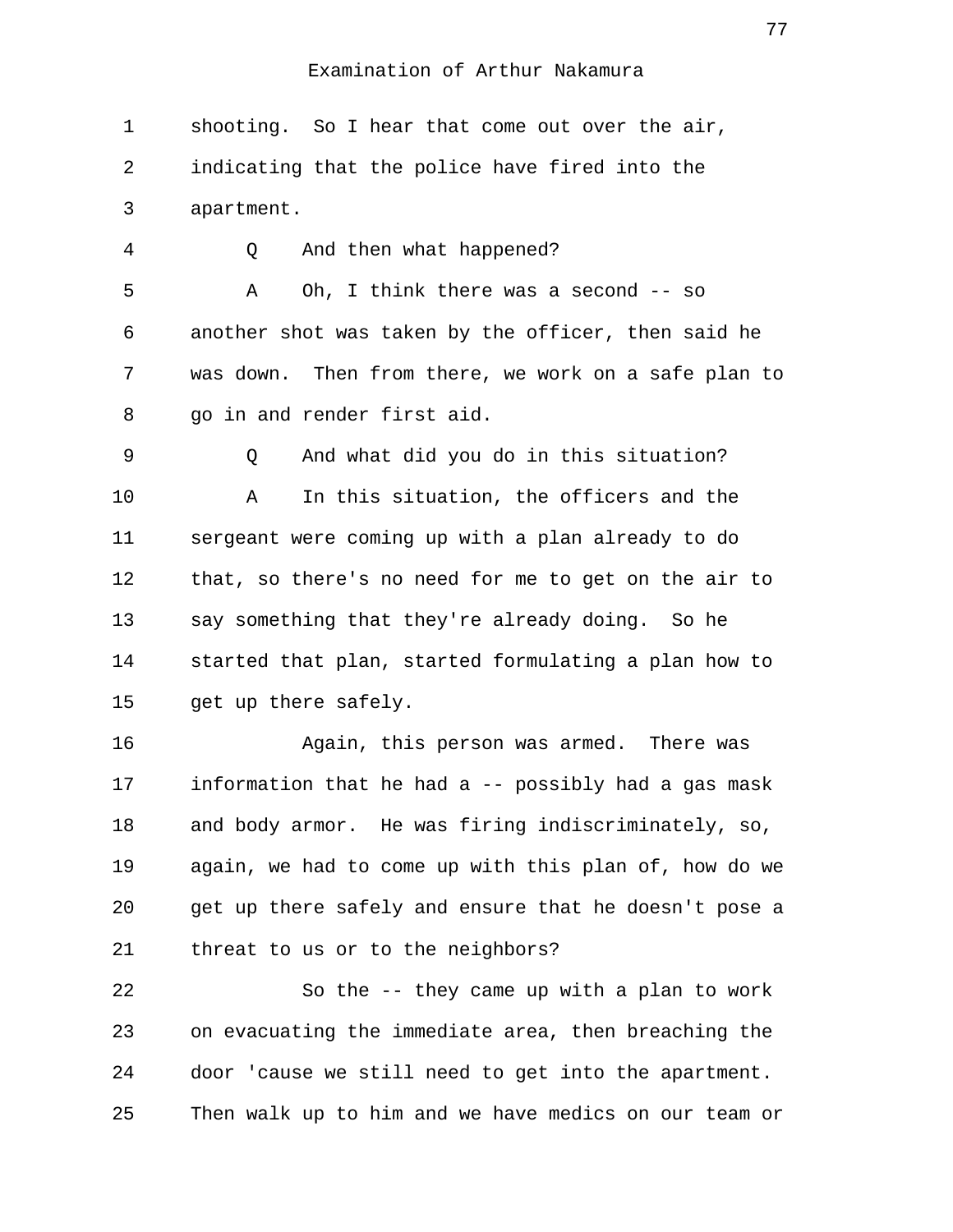1 shooting. So I hear that come out over the air, 2 indicating that the police have fired into the 3 apartment.

4 Q And then what happened?

 5 A Oh, I think there was a second -- so 6 another shot was taken by the officer, then said he 7 was down. Then from there, we work on a safe plan to 8 go in and render first aid.

 9 Q And what did you do in this situation? 10 A In this situation, the officers and the 11 sergeant were coming up with a plan already to do 12 that, so there's no need for me to get on the air to 13 say something that they're already doing. So he 14 started that plan, started formulating a plan how to 15 get up there safely.

16 Again, this person was armed. There was 17 information that he had a -- possibly had a gas mask 18 and body armor. He was firing indiscriminately, so, 19 again, we had to come up with this plan of, how do we 20 get up there safely and ensure that he doesn't pose a 21 threat to us or to the neighbors?

22 So the -- they came up with a plan to work 23 on evacuating the immediate area, then breaching the 24 door 'cause we still need to get into the apartment. 25 Then walk up to him and we have medics on our team or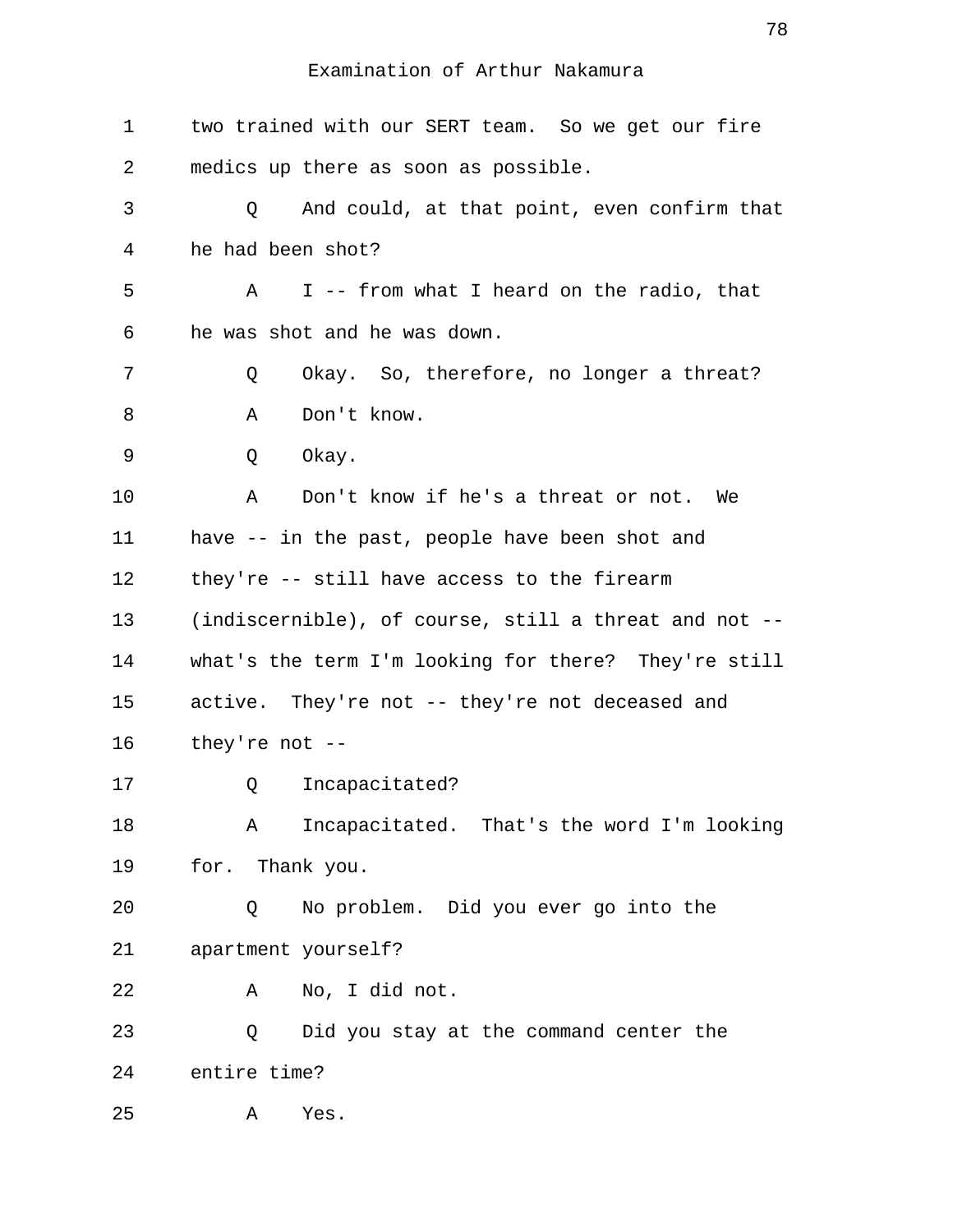| $\mathbf 1$    | two trained with our SERT team. So we get our fire    |
|----------------|-------------------------------------------------------|
| 2              | medics up there as soon as possible.                  |
| 3              | And could, at that point, even confirm that<br>Q      |
| $\overline{4}$ | he had been shot?                                     |
| 5              | I -- from what I heard on the radio, that<br>A        |
| 6              | he was shot and he was down.                          |
| 7              | Okay. So, therefore, no longer a threat?<br>Q         |
| 8              | Don't know.<br>Α                                      |
| 9              | Q<br>Okay.                                            |
| 10             | Don't know if he's a threat or not. We<br>Α           |
| 11             | have -- in the past, people have been shot and        |
| 12             | they're -- still have access to the firearm           |
| 13             | (indiscernible), of course, still a threat and not -- |
| 14             | what's the term I'm looking for there? They're still  |
| 15             | active. They're not -- they're not deceased and       |
| 16             | they're not $--$                                      |
| 17             | Incapacitated?<br>Q                                   |
| 18             | Incapacitated. That's the word I'm looking<br>Α       |
| 19             | for. Thank you.                                       |
| 20             | No problem. Did you ever go into the<br>Q             |
| 21             | apartment yourself?                                   |
| 22             | No, I did not.<br>Α                                   |
| 23             | Did you stay at the command center the<br>Q           |
| 24             | entire time?                                          |
| 25             | Yes.<br>Α                                             |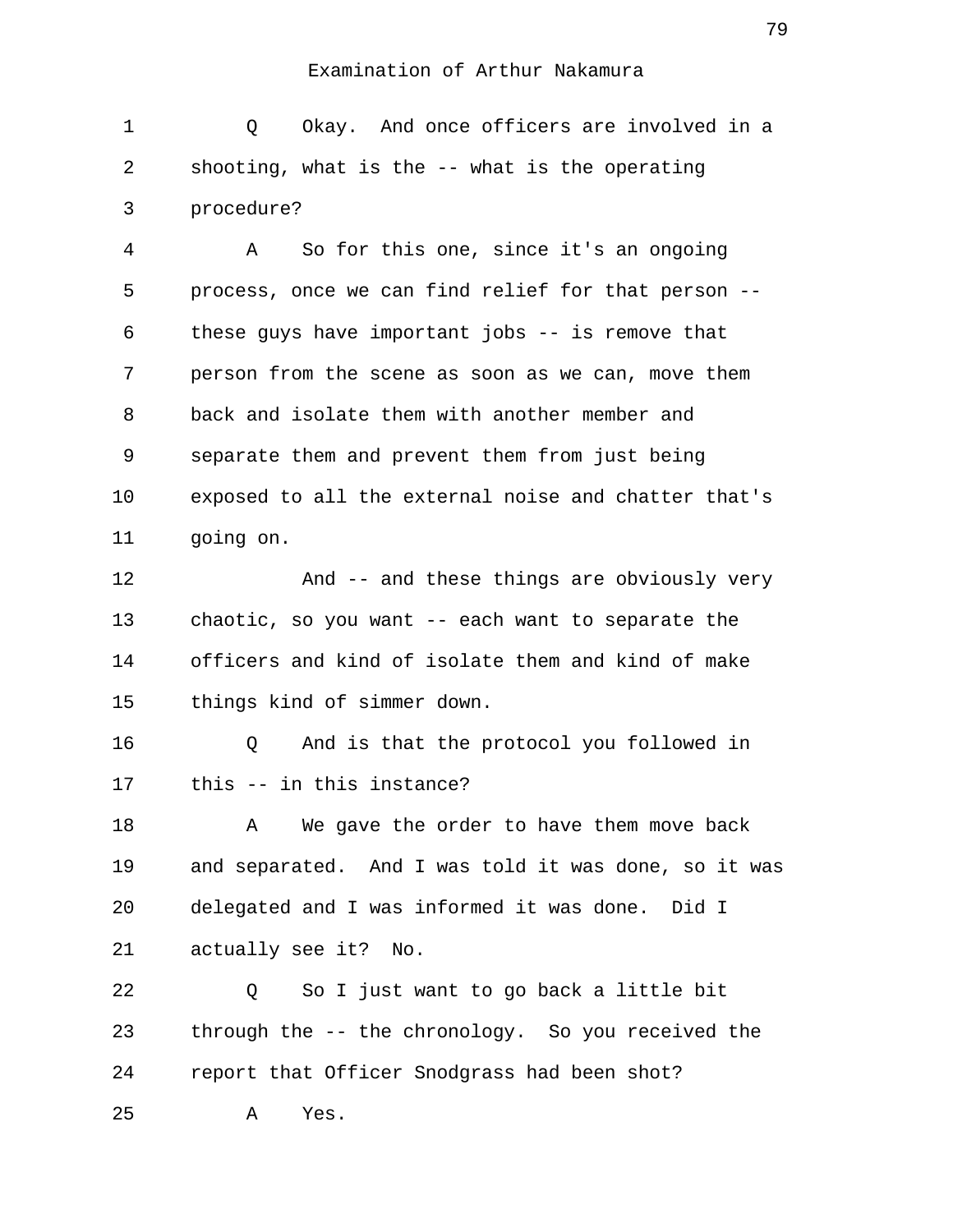1 0 Okay. And once officers are involved in a 2 shooting, what is the -- what is the operating 3 procedure?

 4 A So for this one, since it's an ongoing 5 process, once we can find relief for that person -- 6 these guys have important jobs -- is remove that 7 person from the scene as soon as we can, move them 8 back and isolate them with another member and 9 separate them and prevent them from just being 10 exposed to all the external noise and chatter that's 11 going on.

12 And -- and these things are obviously very 13 chaotic, so you want -- each want to separate the 14 officers and kind of isolate them and kind of make 15 things kind of simmer down.

16 Q And is that the protocol you followed in 17 this -- in this instance?

18 A We gave the order to have them move back 19 and separated. And I was told it was done, so it was 20 delegated and I was informed it was done. Did I 21 actually see it? No.

22 Q So I just want to go back a little bit 23 through the -- the chronology. So you received the 24 report that Officer Snodgrass had been shot? 25 A Yes.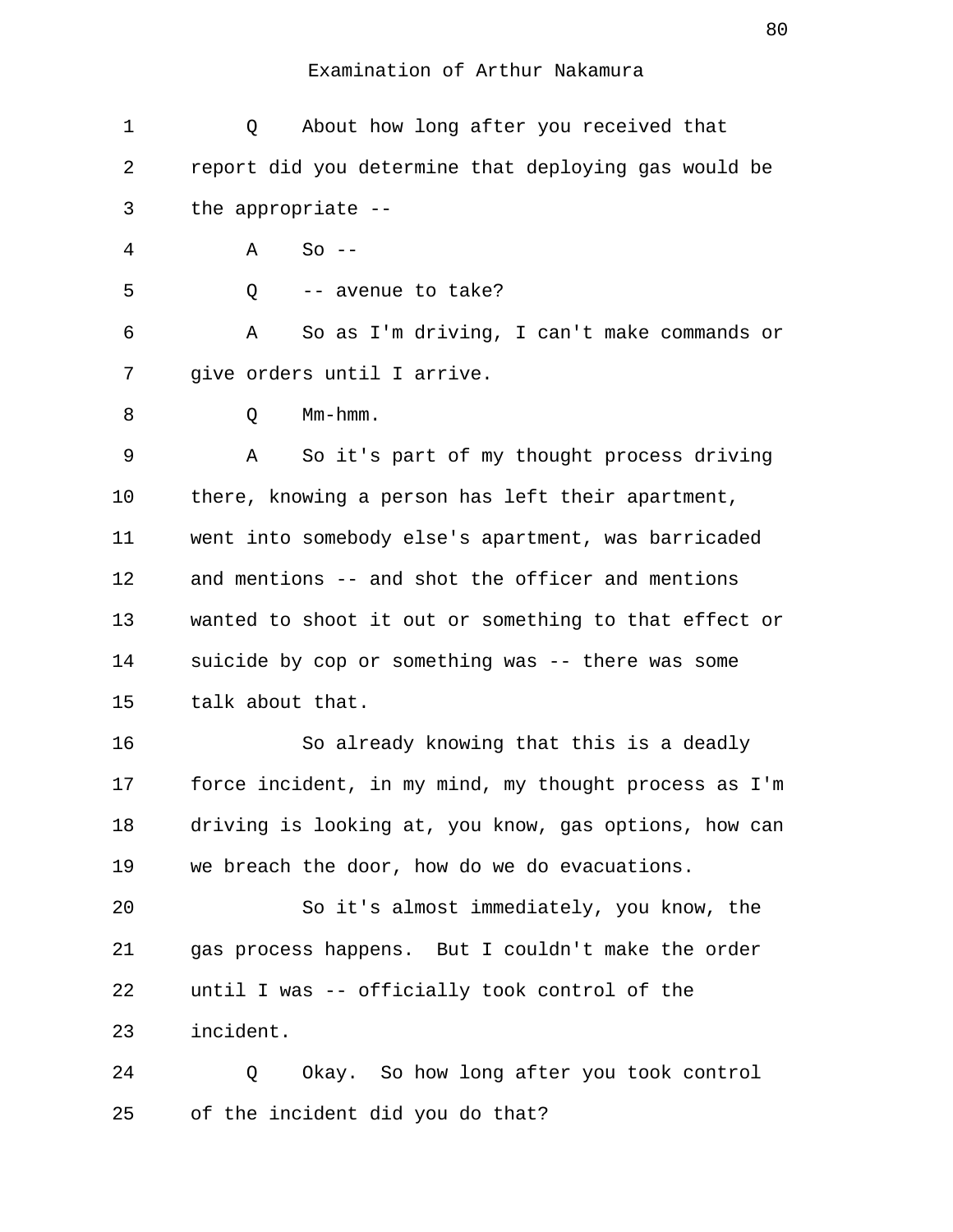| $\mathbf 1$ | About how long after you received that<br>Q           |
|-------------|-------------------------------------------------------|
| 2           | report did you determine that deploying gas would be  |
| 3           | the appropriate --                                    |
| 4           | $So --$<br>Α                                          |
| 5           | -- avenue to take?<br>Q                               |
| 6           | So as I'm driving, I can't make commands or<br>Α      |
| 7           | give orders until I arrive.                           |
| 8           | $Mm-hmm$ .<br>Q                                       |
| 9           | So it's part of my thought process driving<br>Α       |
| 10          | there, knowing a person has left their apartment,     |
| 11          | went into somebody else's apartment, was barricaded   |
| 12          | and mentions -- and shot the officer and mentions     |
| 13          | wanted to shoot it out or something to that effect or |
| 14          | suicide by cop or something was -- there was some     |
| 15          | talk about that.                                      |
| 16          | So already knowing that this is a deadly              |
| 17          | force incident, in my mind, my thought process as I'm |
| 18          | driving is looking at, you know, gas options, how can |
| 19          | we breach the door, how do we do evacuations.         |
| 20          | So it's almost immediately, you know, the             |
| 21          | gas process happens. But I couldn't make the order    |
| 22          | until I was -- officially took control of the         |
| 23          | incident.                                             |
| 24          | Okay. So how long after you took control<br>Q         |

25 of the incident did you do that?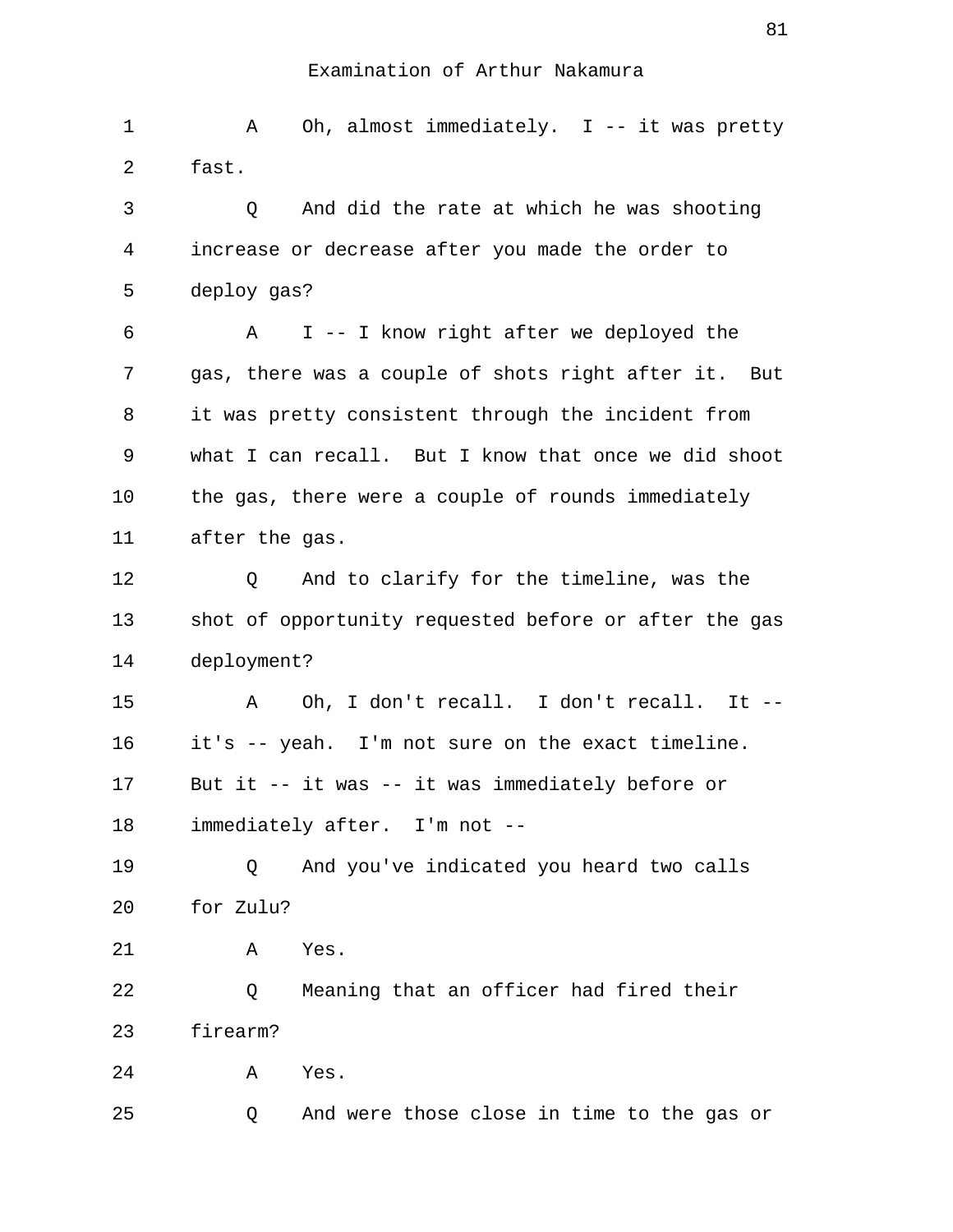| 1  | Oh, almost immediately. I -- it was pretty<br>Α       |
|----|-------------------------------------------------------|
| 2  | fast.                                                 |
| 3  | And did the rate at which he was shooting<br>Q        |
| 4  | increase or decrease after you made the order to      |
| 5  | deploy gas?                                           |
| 6  | I -- I know right after we deployed the<br>A          |
| 7  | gas, there was a couple of shots right after it. But  |
| 8  | it was pretty consistent through the incident from    |
| 9  | what I can recall. But I know that once we did shoot  |
| 10 | the gas, there were a couple of rounds immediately    |
| 11 | after the gas.                                        |
| 12 | And to clarify for the timeline, was the<br>Q         |
| 13 | shot of opportunity requested before or after the gas |
| 14 | deployment?                                           |
| 15 | Oh, I don't recall. I don't recall. It --<br>Α        |
| 16 | it's -- yeah. I'm not sure on the exact timeline.     |
| 17 | But it -- it was -- it was immediately before or      |
| 18 | immediately after. I'm not --                         |
| 19 | And you've indicated you heard two calls<br>Q         |
| 20 | for Zulu?                                             |
| 21 | Yes.<br>Α                                             |
| 22 | Meaning that an officer had fired their<br>Q          |
| 23 | firearm?                                              |
| 24 | Α<br>Yes.                                             |
| 25 | And were those close in time to the gas or<br>Q       |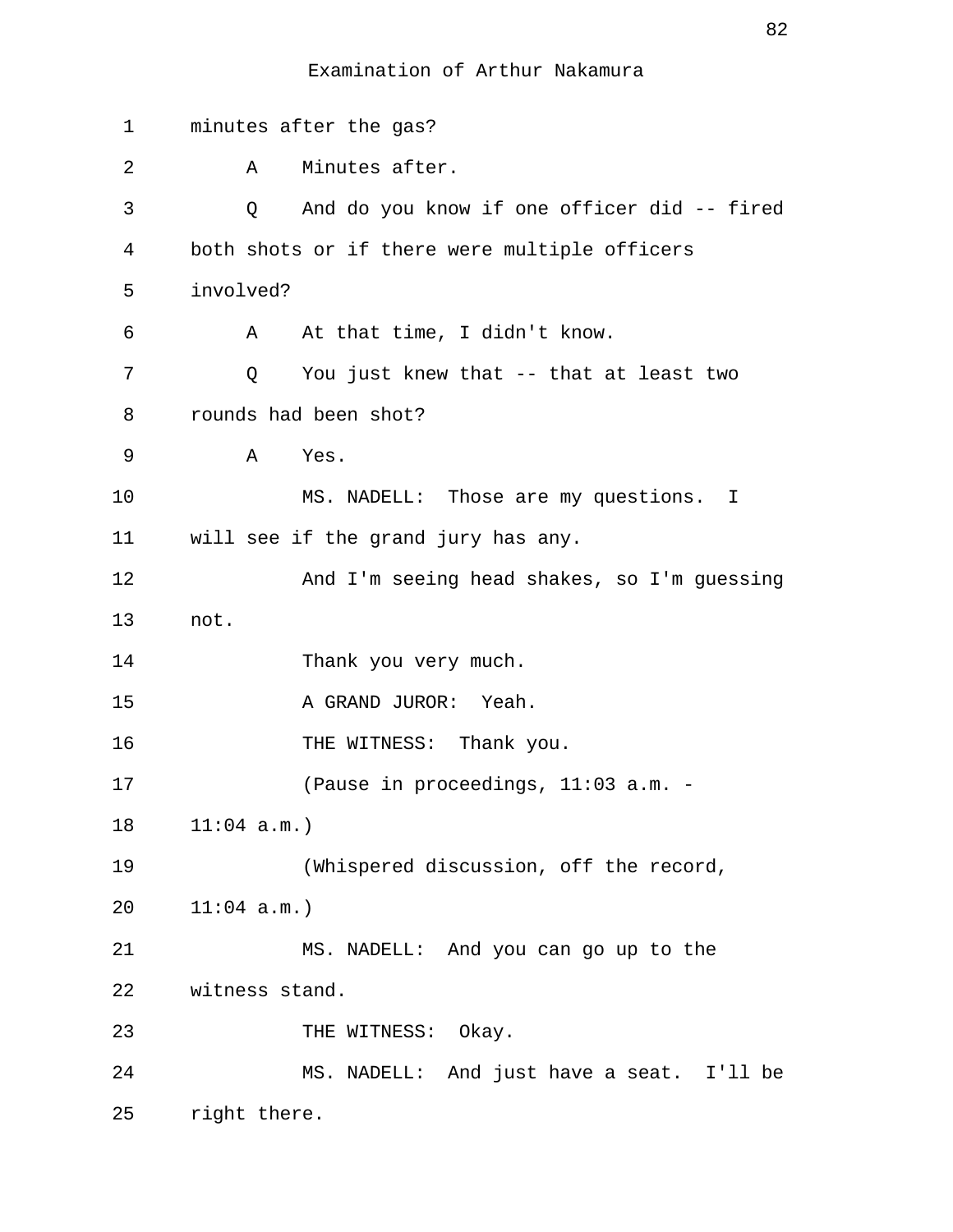| 1  | minutes after the gas?                           |
|----|--------------------------------------------------|
| 2  | Minutes after.<br>A                              |
| 3  | And do you know if one officer did -- fired<br>Q |
| 4  | both shots or if there were multiple officers    |
| 5  | involved?                                        |
| 6  | At that time, I didn't know.<br>A                |
| 7  | You just knew that -- that at least two<br>Q     |
| 8  | rounds had been shot?                            |
| 9  | Yes.<br>Α                                        |
| 10 | MS. NADELL: Those are my questions. I            |
| 11 | will see if the grand jury has any.              |
| 12 | And I'm seeing head shakes, so I'm guessing      |
| 13 | not.                                             |
| 14 | Thank you very much.                             |
| 15 | A GRAND JUROR: Yeah.                             |
| 16 | THE WITNESS: Thank you.                          |
| 17 | (Pause in proceedings, 11:03 a.m. -              |
| 18 | $11:04$ a.m.)                                    |
| 19 | (Whispered discussion, off the record,           |
| 20 | $11:04$ a.m.)                                    |
| 21 | MS. NADELL: And you can go up to the             |
| 22 | witness stand.                                   |
| 23 | THE WITNESS: Okay.                               |
| 24 | MS. NADELL: And just have a seat. I'll be        |
| 25 | right there.                                     |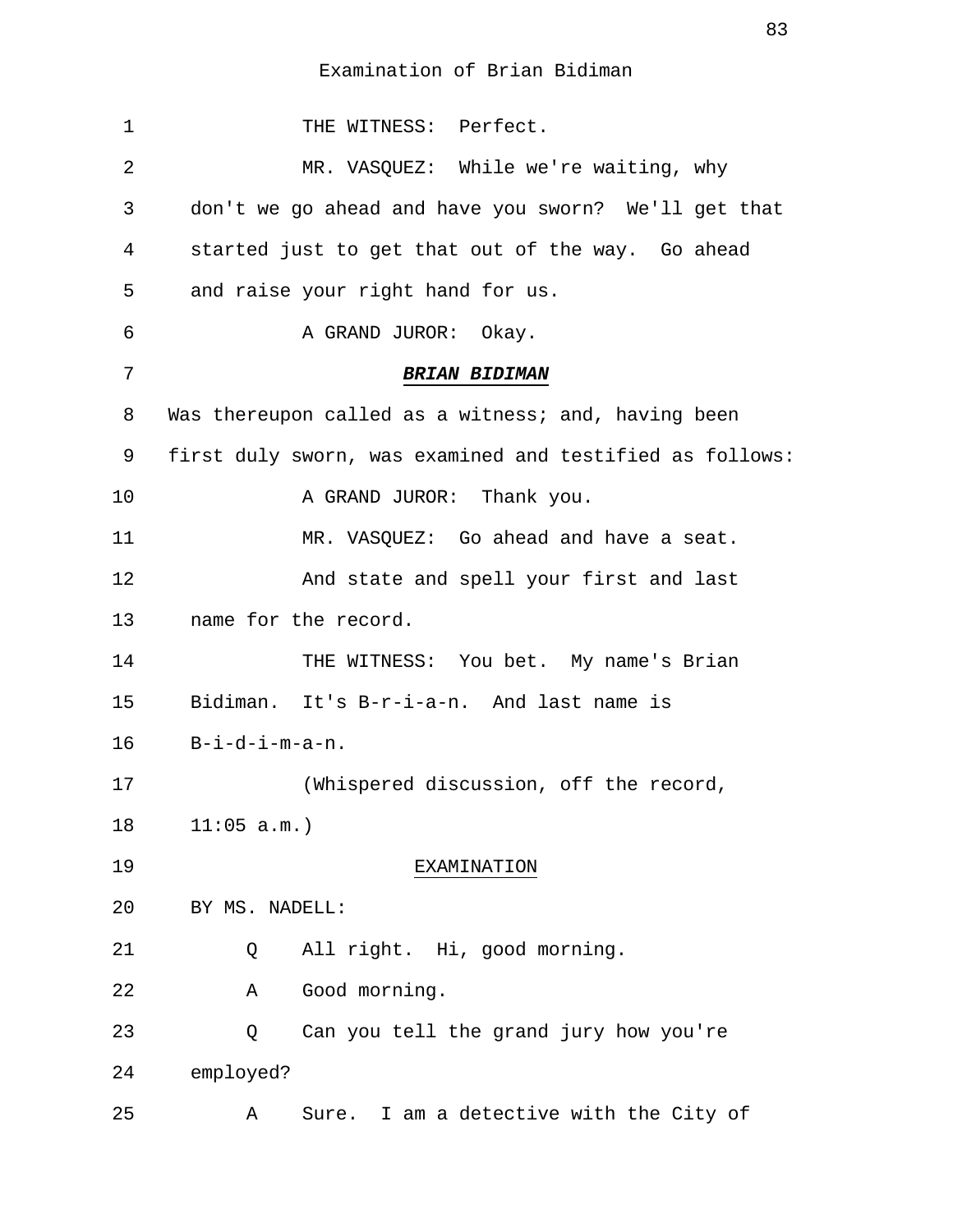| $\mathbf 1$ | THE WITNESS: Perfect.                                    |
|-------------|----------------------------------------------------------|
| 2           | MR. VASQUEZ: While we're waiting, why                    |
| 3           | don't we go ahead and have you sworn? We'll get that     |
| 4           | started just to get that out of the way. Go ahead        |
| 5           | and raise your right hand for us.                        |
| 6           | A GRAND JUROR:<br>Okay.                                  |
| 7           | <b>BRIAN BIDIMAN</b>                                     |
| 8           | Was thereupon called as a witness; and, having been      |
| 9           | first duly sworn, was examined and testified as follows: |
| 10          | A GRAND JUROR: Thank you.                                |
| 11          | MR. VASQUEZ: Go ahead and have a seat.                   |
| 12          | And state and spell your first and last                  |
| 13          | name for the record.                                     |
| 14          | THE WITNESS: You bet. My name's Brian                    |
| 15          | Bidiman. It's B-r-i-a-n. And last name is                |
| 16          | $B-i-d-i-m-a-n.$                                         |
| 17          | (Whispered discussion, off the record,                   |
| 18          | 11:05 a.m.                                               |
| 19          | EXAMINATION                                              |
| 20          | BY MS. NADELL:                                           |
| 21          | All right. Hi, good morning.<br>Q                        |
| 22          | Good morning.<br>Α                                       |
| 23          | Can you tell the grand jury how you're<br>Q              |
| 24          | employed?                                                |
| 25          | Sure. I am a detective with the City of<br>Α             |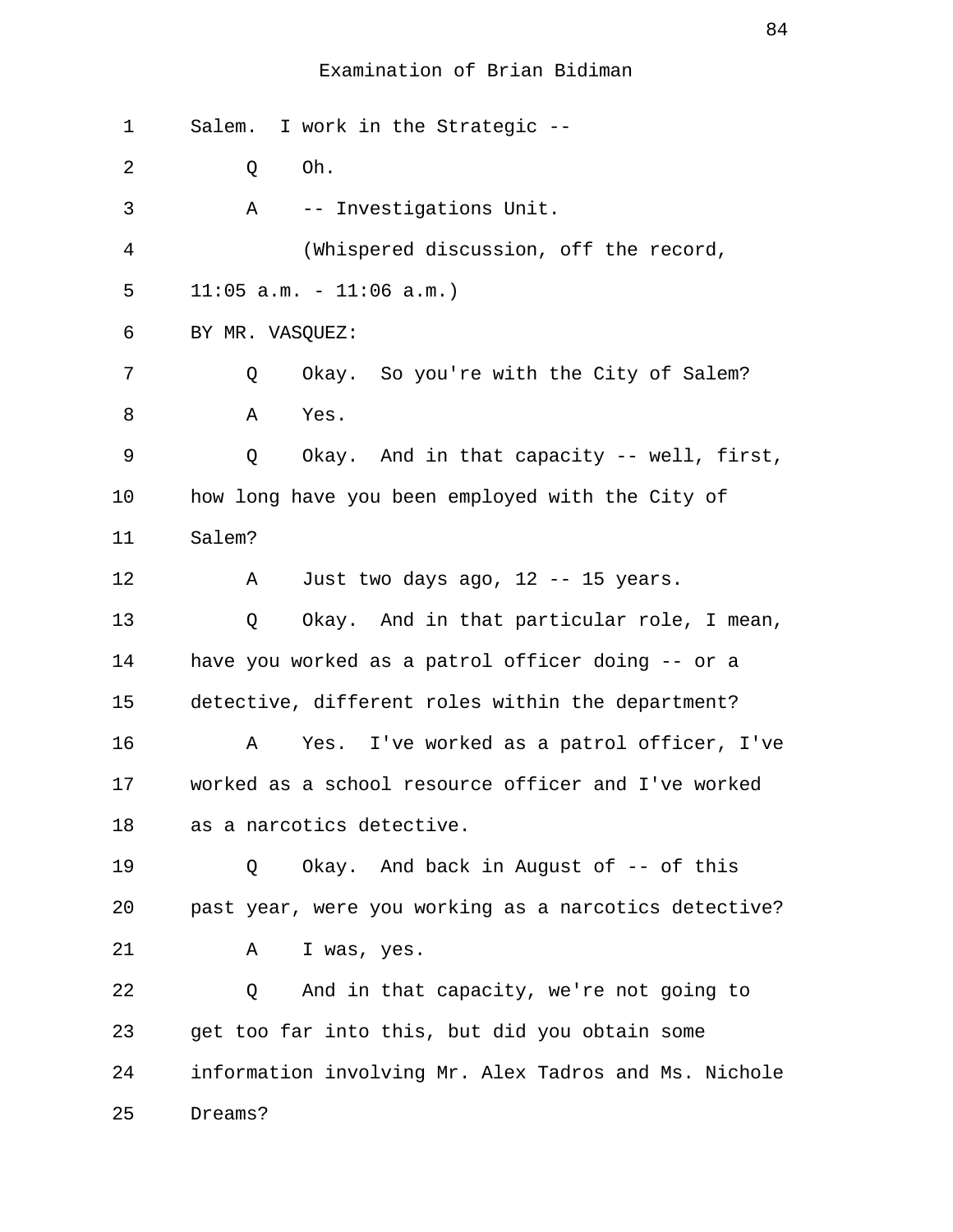| 1  | Salem. I work in the Strategic --                     |
|----|-------------------------------------------------------|
| 2  | Oh.<br>Q                                              |
| 3  | -- Investigations Unit.<br>A                          |
| 4  | (Whispered discussion, off the record,                |
| 5  | $11:05$ a.m. - $11:06$ a.m.)                          |
| 6  | BY MR. VASQUEZ:                                       |
| 7  | Okay. So you're with the City of Salem?<br>Q          |
| 8  | Yes.<br>Α                                             |
| 9  | Okay. And in that capacity -- well, first,<br>Q       |
| 10 | how long have you been employed with the City of      |
| 11 | Salem?                                                |
| 12 | Just two days ago, 12 -- 15 years.<br>Α               |
| 13 | Okay. And in that particular role, I mean,<br>Q       |
| 14 | have you worked as a patrol officer doing -- or a     |
| 15 | detective, different roles within the department?     |
| 16 | Yes. I've worked as a patrol officer, I've<br>Α       |
| 17 | worked as a school resource officer and I've worked   |
| 18 | as a narcotics detective.                             |
| 19 | Okay. And back in August of -- of this<br>Q           |
| 20 | past year, were you working as a narcotics detective? |
| 21 | Α<br>I was, yes.                                      |
| 22 | And in that capacity, we're not going to<br>Q         |
| 23 | get too far into this, but did you obtain some        |
| 24 | information involving Mr. Alex Tadros and Ms. Nichole |
| 25 | Dreams?                                               |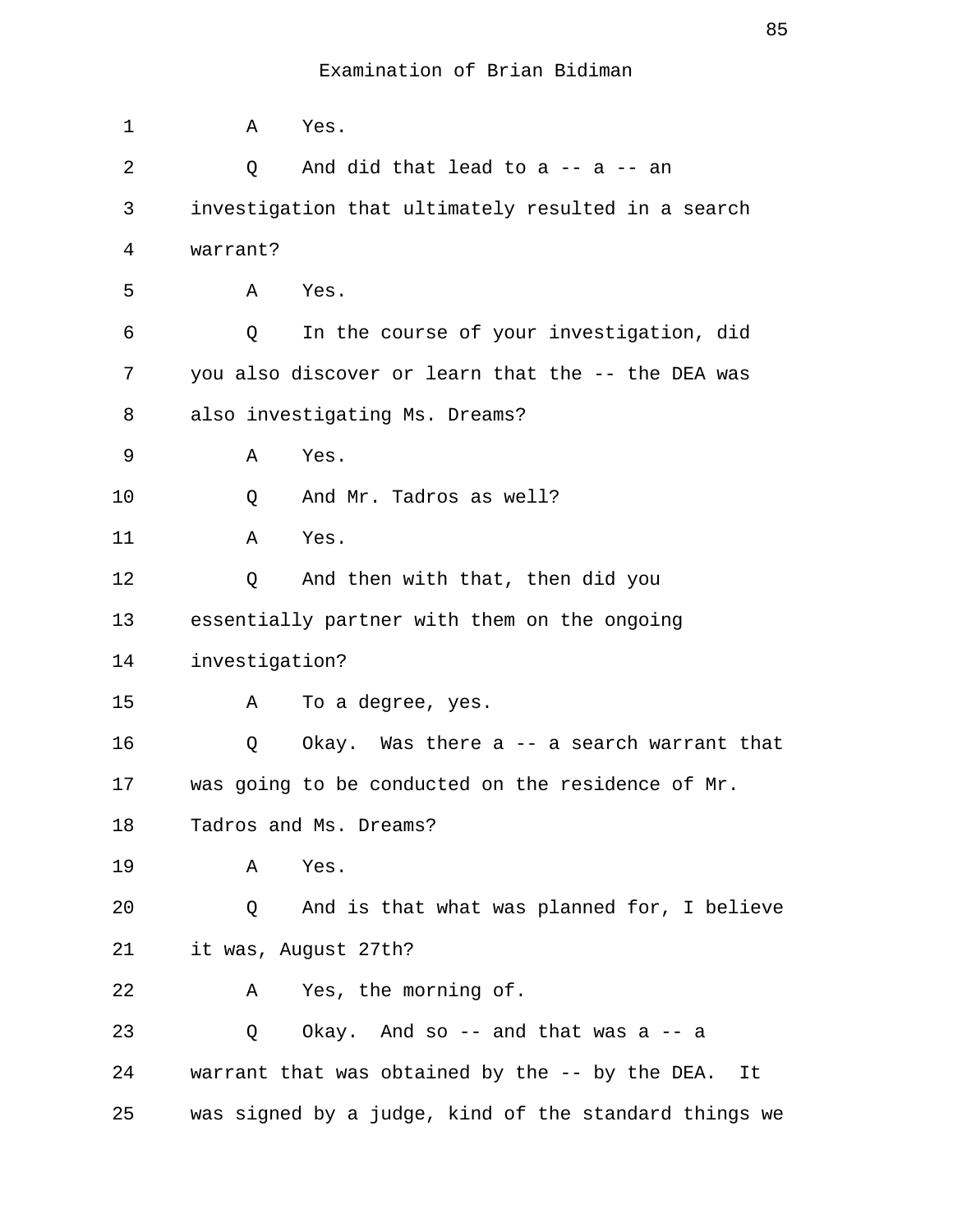| 1  | Α              | Yes.                                                  |
|----|----------------|-------------------------------------------------------|
| 2  | Q              | And did that lead to a $-$ a $-$ an                   |
| 3  |                | investigation that ultimately resulted in a search    |
| 4  | warrant?       |                                                       |
| 5  | Α              | Yes.                                                  |
| 6  | Q              | In the course of your investigation, did              |
| 7  |                | you also discover or learn that the -- the DEA was    |
| 8  |                | also investigating Ms. Dreams?                        |
| 9  | Α              | Yes.                                                  |
| 10 | Q              | And Mr. Tadros as well?                               |
| 11 | Α              | Yes.                                                  |
| 12 | Q              | And then with that, then did you                      |
| 13 |                | essentially partner with them on the ongoing          |
| 14 | investigation? |                                                       |
| 15 | Α              | To a degree, yes.                                     |
| 16 | Q              | Okay. Was there $a$ -- a search warrant that          |
| 17 |                | was going to be conducted on the residence of Mr.     |
| 18 |                | Tadros and Ms. Dreams?                                |
| 19 | Α              | Yes.                                                  |
| 20 | Q              | And is that what was planned for, I believe           |
| 21 |                | it was, August 27th?                                  |
| 22 | A              | Yes, the morning of.                                  |
| 23 | Q              | Okay. And so $-$ and that was a $-$ a                 |
| 24 |                | warrant that was obtained by the -- by the DEA. It    |
| 25 |                | was signed by a judge, kind of the standard things we |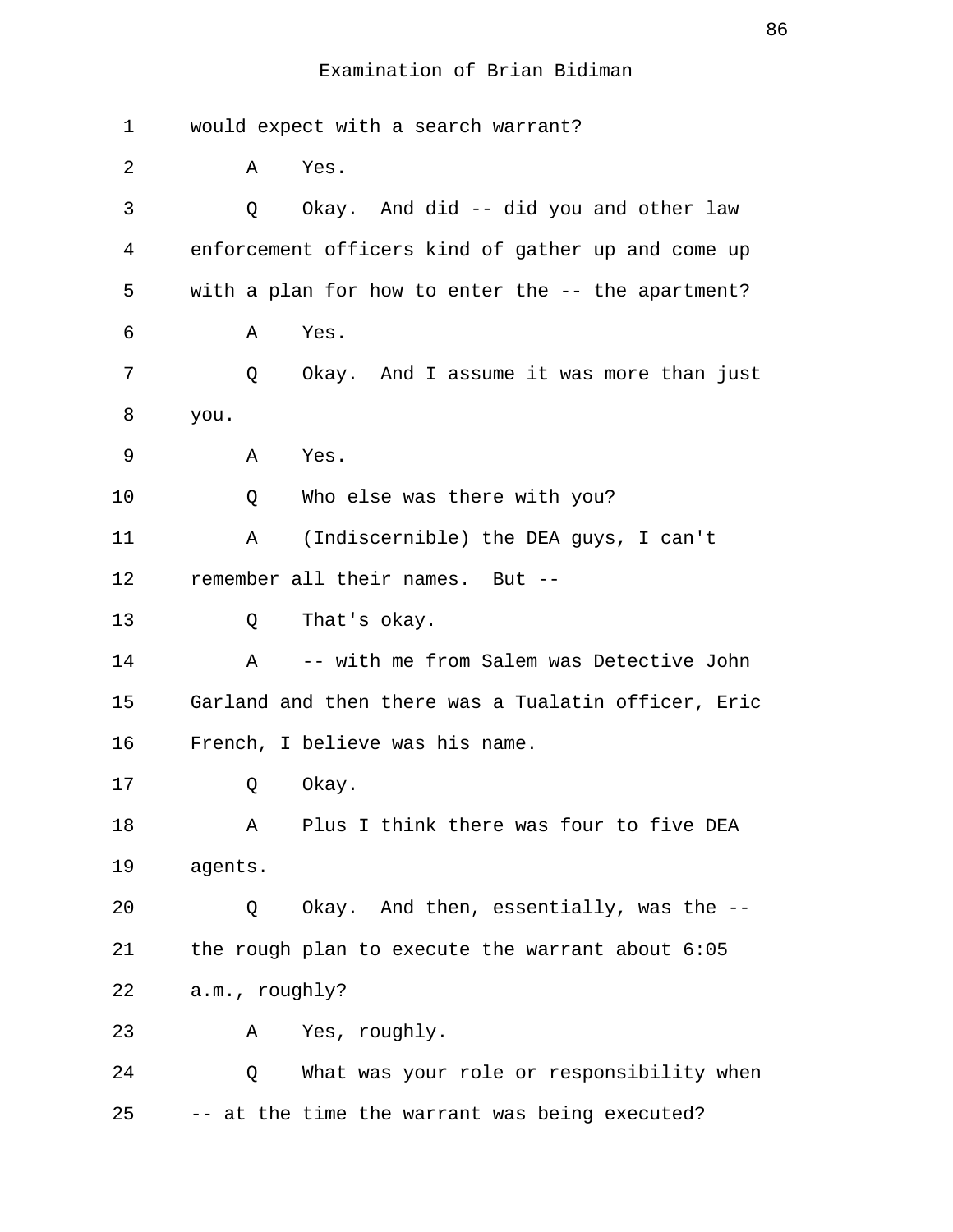| 1  | would expect with a search warrant?                 |
|----|-----------------------------------------------------|
| 2  | Α<br>Yes.                                           |
| 3  | Okay. And did -- did you and other law<br>Q         |
| 4  | enforcement officers kind of gather up and come up  |
| 5  | with a plan for how to enter the -- the apartment?  |
| 6  | Α<br>Yes.                                           |
| 7  | Okay. And I assume it was more than just<br>Q       |
| 8  | you.                                                |
| 9  | Yes.<br>Α                                           |
| 10 | Who else was there with you?<br>Q                   |
| 11 | (Indiscernible) the DEA guys, I can't<br>Α          |
| 12 | remember all their names. But --                    |
| 13 | That's okay.<br>Q                                   |
| 14 | -- with me from Salem was Detective John<br>Α       |
| 15 | Garland and then there was a Tualatin officer, Eric |
| 16 | French, I believe was his name.                     |
| 17 | Okay.<br>Q                                          |
| 18 | Plus I think there was four to five DEA<br>Α        |
| 19 | agents.                                             |
| 20 | Okay. And then, essentially, was the --<br>Q        |
| 21 | the rough plan to execute the warrant about 6:05    |
| 22 | a.m., roughly?                                      |
| 23 | Yes, roughly.<br>A                                  |
| 24 | What was your role or responsibility when<br>Q      |
| 25 | -- at the time the warrant was being executed?      |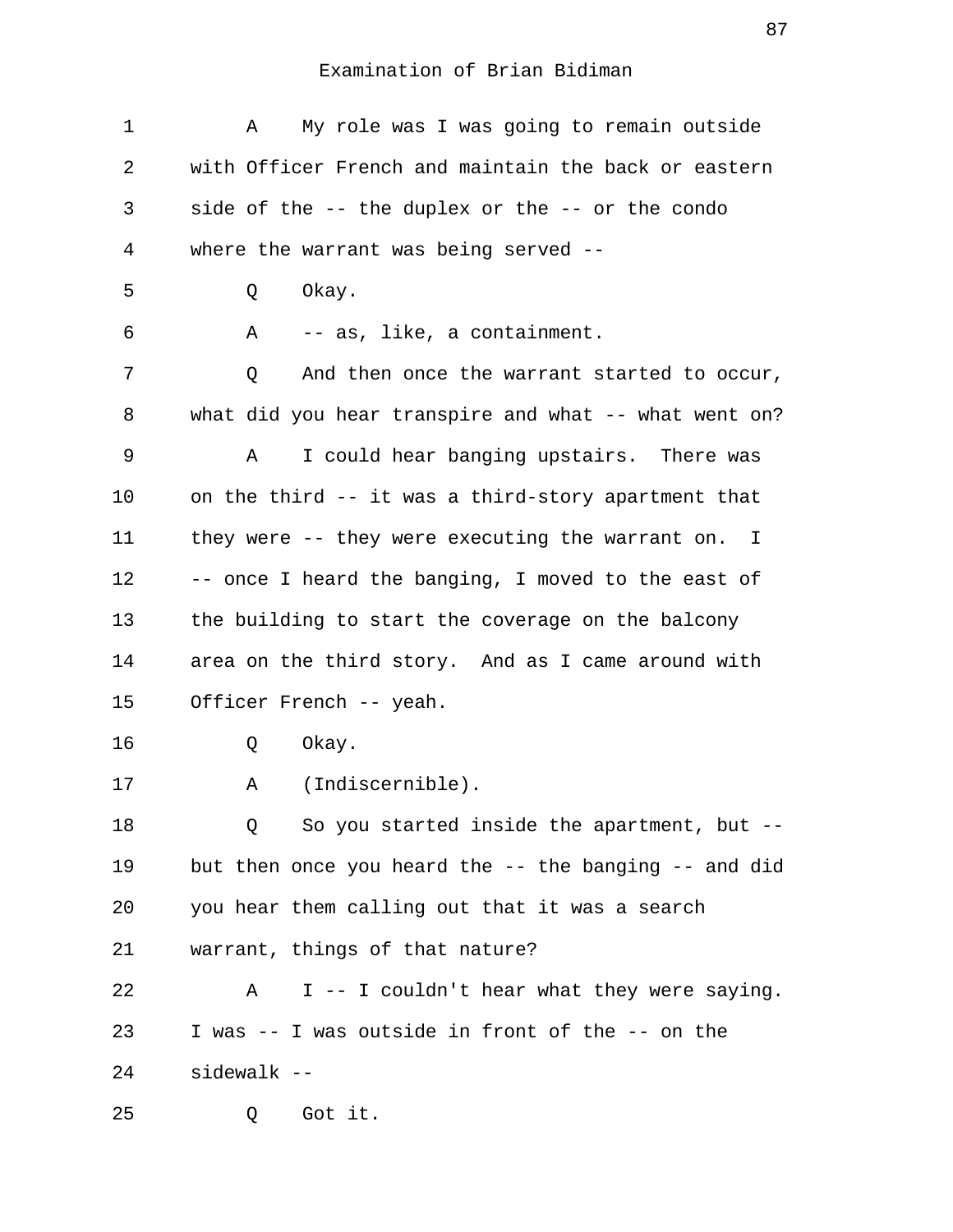| 1              | My role was I was going to remain outside<br>Α        |
|----------------|-------------------------------------------------------|
| $\overline{2}$ | with Officer French and maintain the back or eastern  |
| 3              | side of the -- the duplex or the -- or the condo      |
| 4              | where the warrant was being served --                 |
| 5              | Okay.<br>Q                                            |
| 6              | Α<br>-- as, like, a containment.                      |
| 7              | And then once the warrant started to occur,<br>Q      |
| 8              | what did you hear transpire and what -- what went on? |
| 9              | I could hear banging upstairs. There was<br>Α         |
| 10             | on the third -- it was a third-story apartment that   |
| 11             | they were -- they were executing the warrant on. I    |
| 12             | -- once I heard the banging, I moved to the east of   |
| 13             | the building to start the coverage on the balcony     |
| 14             | area on the third story. And as I came around with    |
| 15             | Officer French -- yeah.                               |
| 16             | Okay.<br>Q                                            |
| 17             | (Indiscernible).<br>Α                                 |
| 18             | So you started inside the apartment, but --<br>O.     |
| 19             | but then once you heard the -- the banging -- and did |
| 20             | you hear them calling out that it was a search        |
| 21             | warrant, things of that nature?                       |
| 22             | I -- I couldn't hear what they were saying.<br>Α      |
| 23             | I was -- I was outside in front of the -- on the      |
| 24             | sidewalk --                                           |
| 25             | Got it.<br>Q                                          |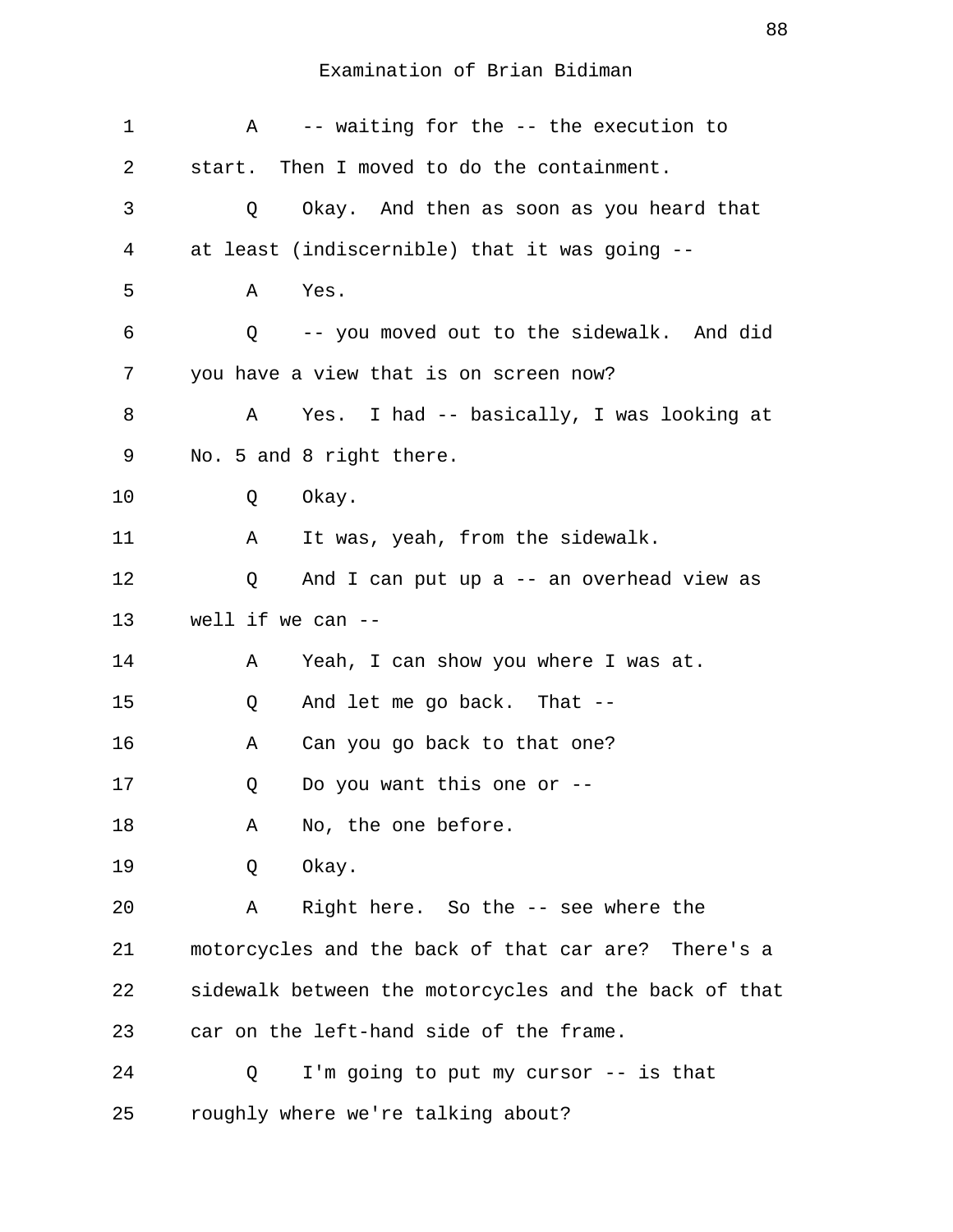| $\mathbf 1$ | -- waiting for the -- the execution to<br>Α           |
|-------------|-------------------------------------------------------|
| 2           | start. Then I moved to do the containment.            |
| 3           | Okay. And then as soon as you heard that<br>Q         |
| 4           | at least (indiscernible) that it was going --         |
| 5           | Α<br>Yes.                                             |
| 6           | -- you moved out to the sidewalk. And did<br>Q        |
| 7           | you have a view that is on screen now?                |
| 8           | Yes. I had -- basically, I was looking at<br>Α        |
| 9           | No. 5 and 8 right there.                              |
| 10          | Okay.<br>Q                                            |
| 11          | It was, yeah, from the sidewalk.<br>Α                 |
| 12          | And I can put up a -- an overhead view as<br>Q        |
| 13          | well if we can $-$                                    |
| 14          | Yeah, I can show you where I was at.<br>Α             |
| 15          | And let me go back. That --<br>Q                      |
| 16          | Can you go back to that one?<br>Α                     |
| 17          | Do you want this one or $-$ -<br>Q                    |
| 18          | No, the one before.<br>Α                              |
| 19          | Okay.<br>Q                                            |
| 20          | Right here. So the -- see where the<br>Α              |
| 21          | motorcycles and the back of that car are? There's a   |
| 22          | sidewalk between the motorcycles and the back of that |
| 23          | car on the left-hand side of the frame.               |
| 24          | I'm going to put my cursor -- is that<br>Q            |
| 25          | roughly where we're talking about?                    |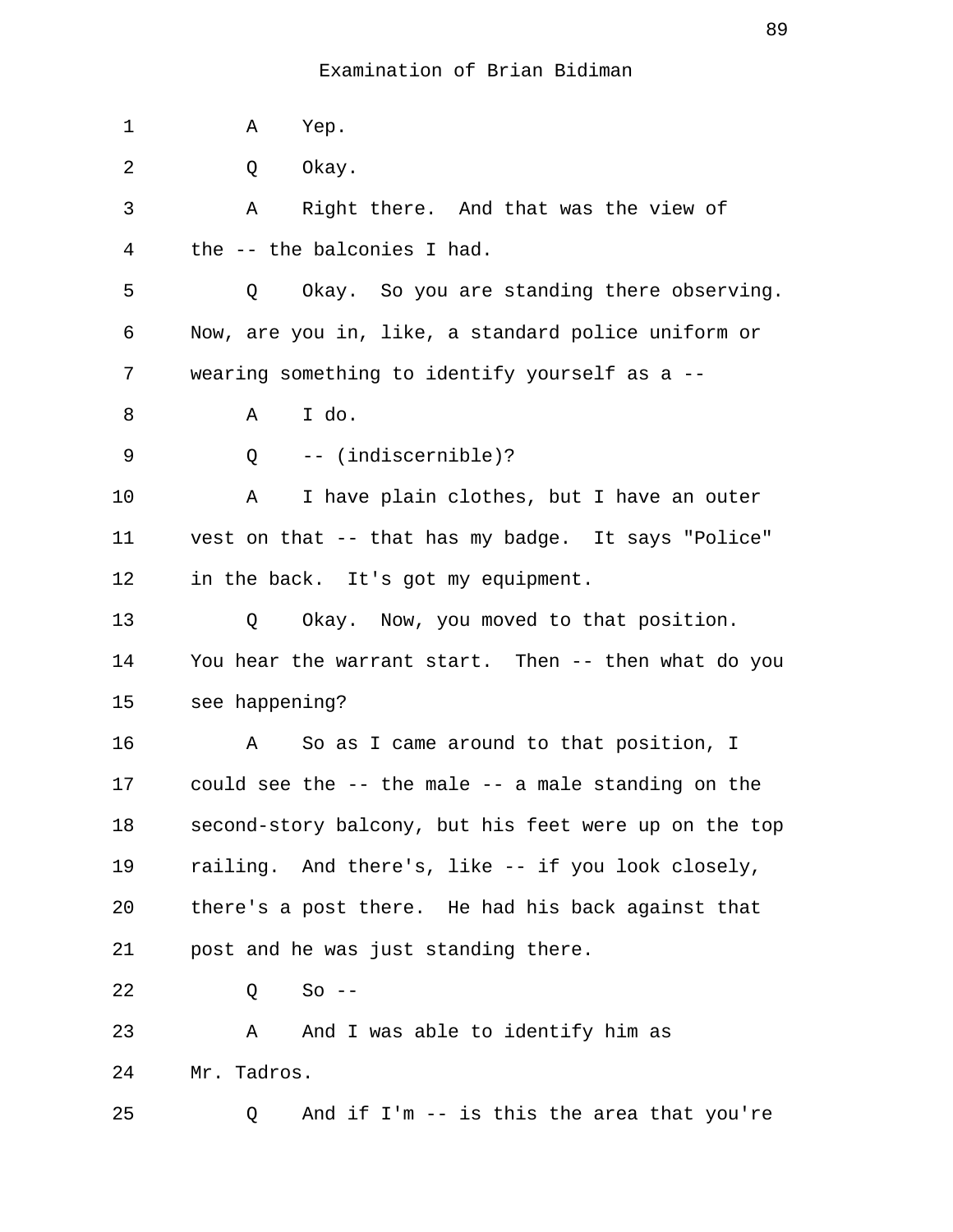| 1  | Α<br>Yep.                                             |
|----|-------------------------------------------------------|
| 2  | Okay.<br>Q                                            |
| 3  | Right there. And that was the view of<br>Α            |
| 4  | the -- the balconies I had.                           |
| 5  | Okay. So you are standing there observing.<br>Q       |
| 6  | Now, are you in, like, a standard police uniform or   |
| 7  | wearing something to identify yourself as a --        |
| 8  | I do.<br>Α                                            |
| 9  | -- (indiscernible)?<br>Q                              |
| 10 | I have plain clothes, but I have an outer<br>Α        |
| 11 | vest on that -- that has my badge. It says "Police"   |
| 12 | in the back. It's got my equipment.                   |
| 13 | Okay. Now, you moved to that position.<br>Q           |
| 14 | You hear the warrant start. Then -- then what do you  |
| 15 | see happening?                                        |
| 16 | So as I came around to that position, I<br>Α          |
| 17 | could see the -- the male -- a male standing on the   |
| 18 | second-story balcony, but his feet were up on the top |
| 19 | railing. And there's, like -- if you look closely,    |
| 20 | there's a post there. He had his back against that    |
| 21 | post and he was just standing there.                  |
| 22 | $So$ --<br>Q                                          |
| 23 | And I was able to identify him as<br>Α                |
| 24 | Mr. Tadros.                                           |
| 25 | And if I'm -- is this the area that you're<br>Q       |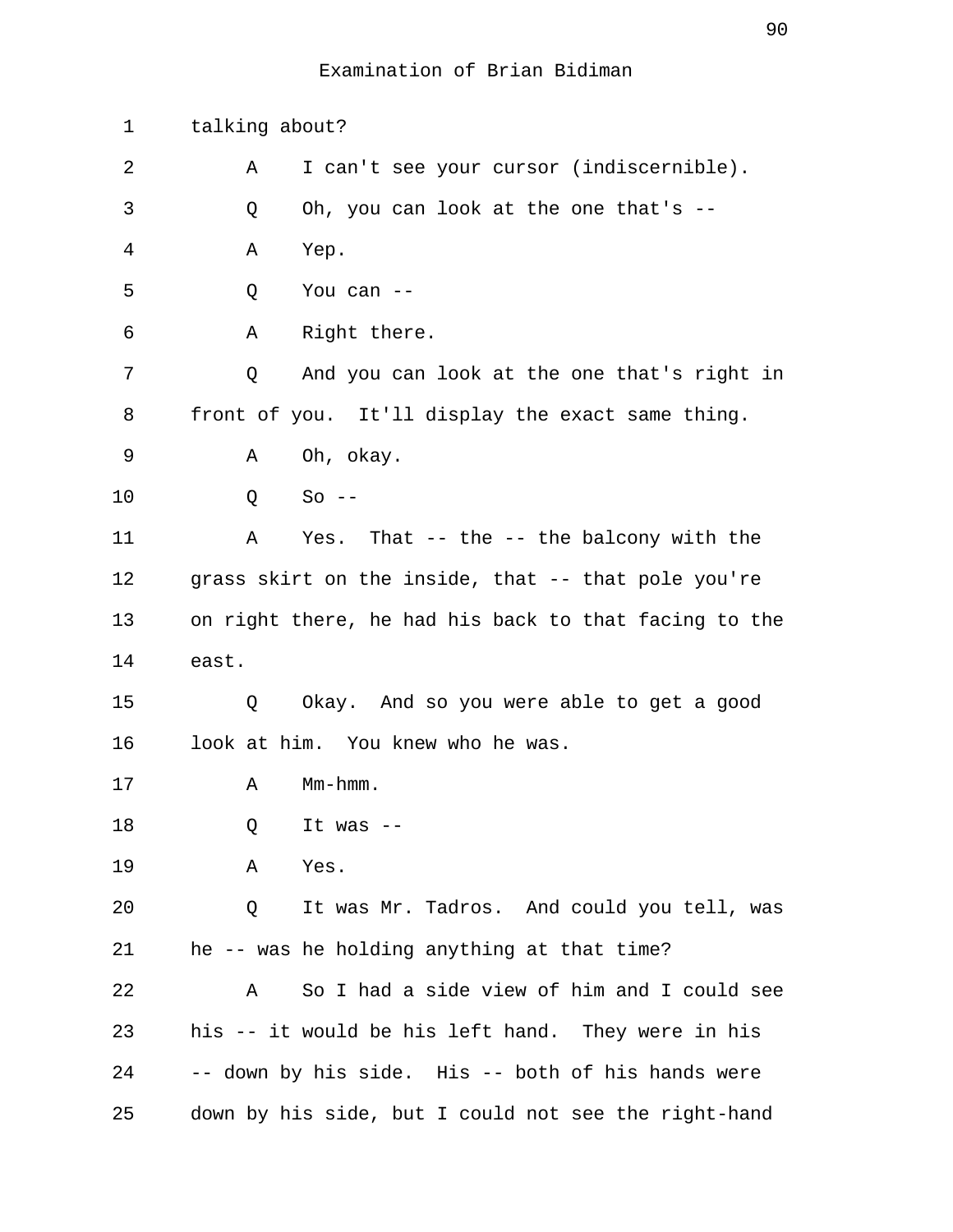| 1  | talking about?                                        |
|----|-------------------------------------------------------|
| 2  | I can't see your cursor (indiscernible).<br>Α         |
| 3  | Oh, you can look at the one that's --<br>Q            |
| 4  | Yep.<br>Α                                             |
| 5  | You can --<br>Q                                       |
| 6  | Right there.<br>Α                                     |
| 7  | And you can look at the one that's right in<br>Q      |
| 8  | front of you. It'll display the exact same thing.     |
| 9  | Oh, okay.<br>Α                                        |
| 10 | Q<br>$So --$                                          |
| 11 | Yes. That -- the -- the balcony with the<br>Α         |
| 12 | grass skirt on the inside, that -- that pole you're   |
| 13 | on right there, he had his back to that facing to the |
| 14 | east.                                                 |
| 15 | Okay. And so you were able to get a good<br>Q         |
| 16 | look at him. You knew who he was.                     |
| 17 | $Mm-hmm$ .<br>Α                                       |
| 18 | Q<br>It was $--$                                      |
| 19 | Yes.<br>Α                                             |
| 20 | It was Mr. Tadros. And could you tell, was<br>Q       |
| 21 | he -- was he holding anything at that time?           |
| 22 | So I had a side view of him and I could see<br>Α      |
| 23 | his -- it would be his left hand. They were in his    |
| 24 | -- down by his side. His -- both of his hands were    |
| 25 | down by his side, but I could not see the right-hand  |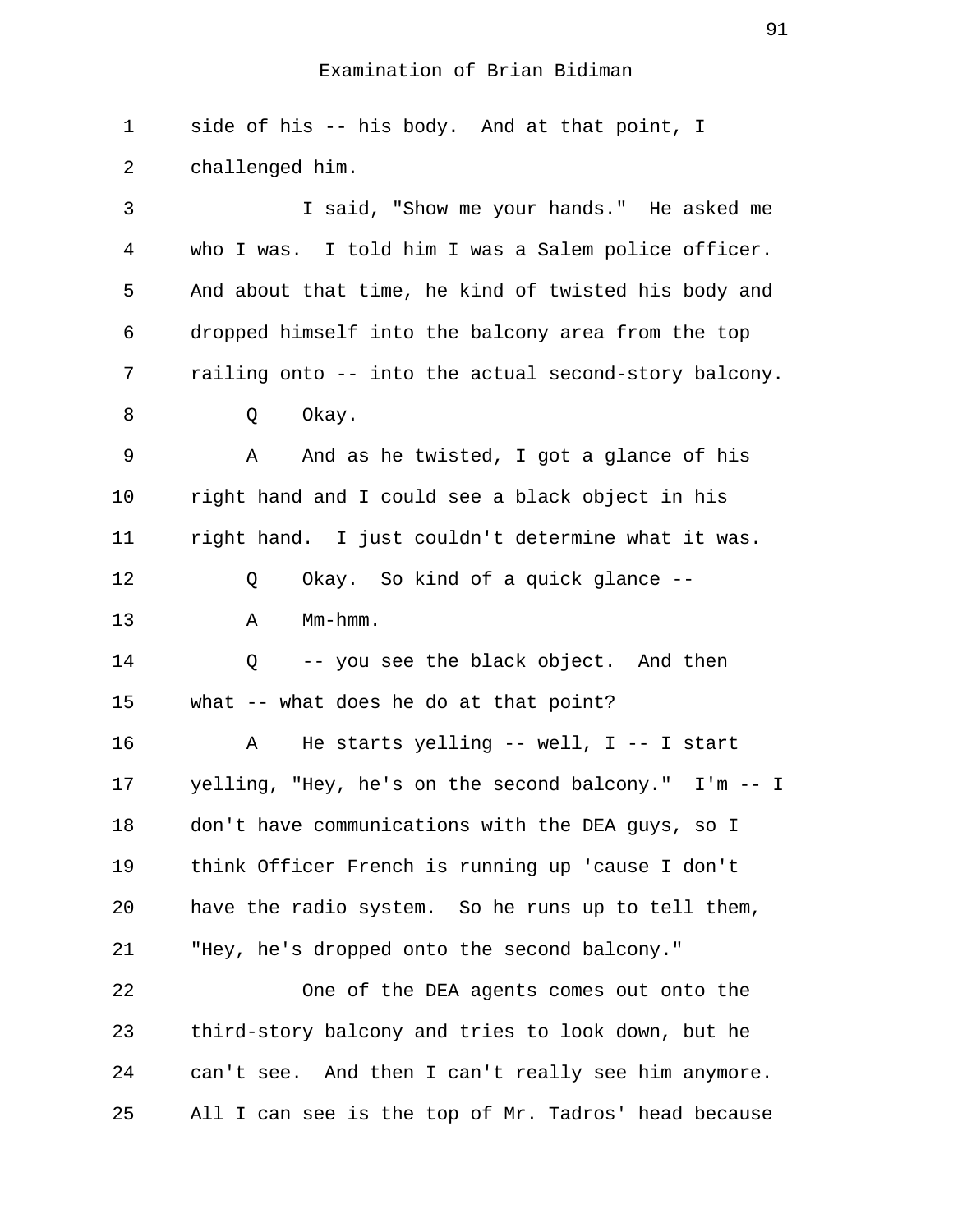1 side of his -- his body. And at that point, I 2 challenged him. 3 I said, "Show me your hands." He asked me 4 who I was. I told him I was a Salem police officer. 5 And about that time, he kind of twisted his body and 6 dropped himself into the balcony area from the top 7 railing onto -- into the actual second-story balcony. 8 O Okay. 9 A And as he twisted, I got a glance of his 10 right hand and I could see a black object in his 11 right hand. I just couldn't determine what it was. 12 Q Okay. So kind of a quick glance -- 13 A Mm-hmm. 14 Q -- you see the black object. And then 15 what -- what does he do at that point? 16 A He starts yelling -- well, I -- I start 17 yelling, "Hey, he's on the second balcony." I'm -- I 18 don't have communications with the DEA guys, so I 19 think Officer French is running up 'cause I don't 20 have the radio system. So he runs up to tell them, 21 "Hey, he's dropped onto the second balcony." 22 One of the DEA agents comes out onto the 23 third-story balcony and tries to look down, but he 24 can't see. And then I can't really see him anymore. 25 All I can see is the top of Mr. Tadros' head because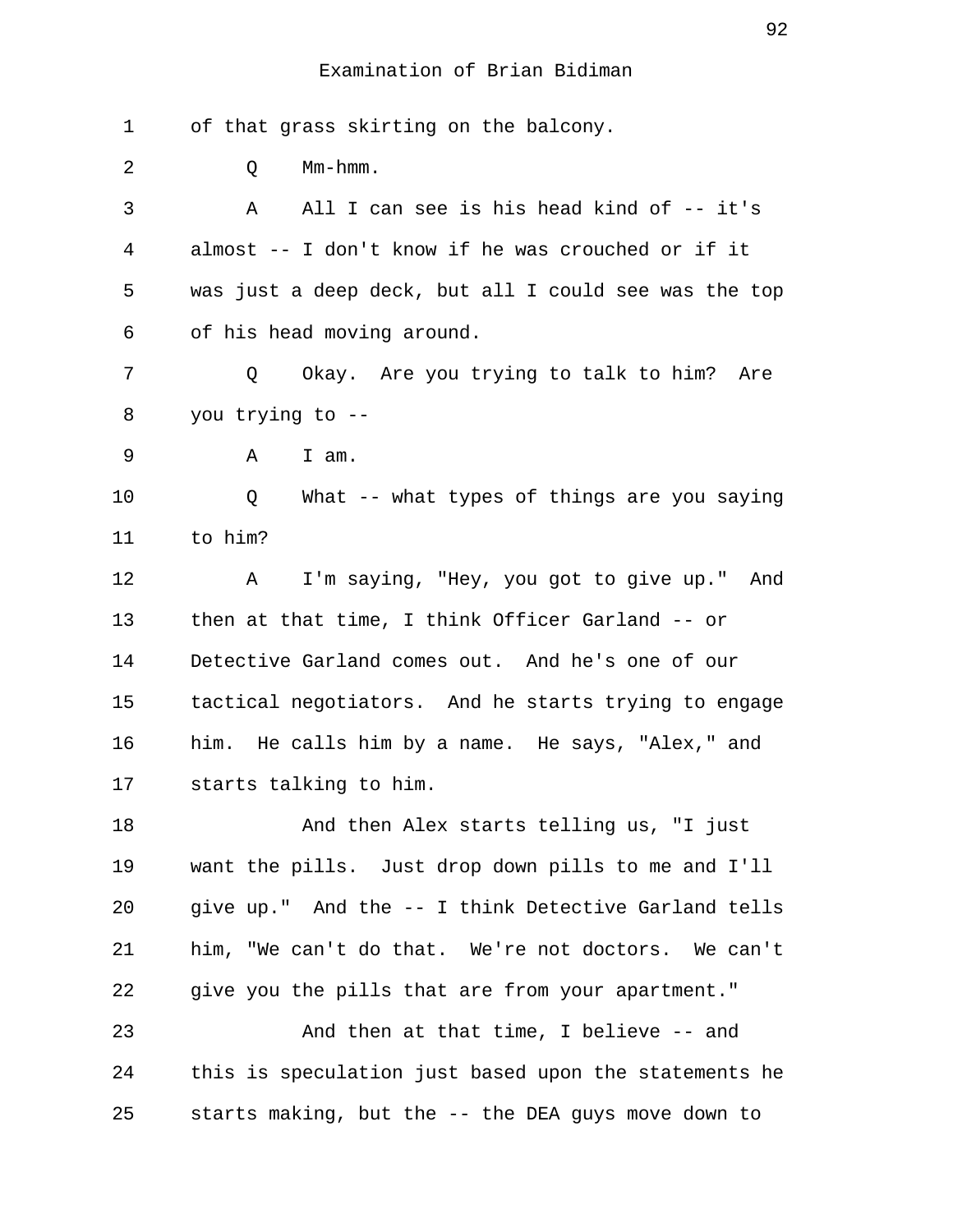1 of that grass skirting on the balcony. 2 O Mm-hmm. 3 A All I can see is his head kind of -- it's 4 almost -- I don't know if he was crouched or if it 5 was just a deep deck, but all I could see was the top 6 of his head moving around. 7 Q Okay. Are you trying to talk to him? Are 8 you trying to -- 9 A I am. 10 Q What -- what types of things are you saying 11 to him? 12 A I'm saying, "Hey, you got to give up." And 13 then at that time, I think Officer Garland -- or 14 Detective Garland comes out. And he's one of our 15 tactical negotiators. And he starts trying to engage 16 him. He calls him by a name. He says, "Alex," and 17 starts talking to him. 18 And then Alex starts telling us, "I just 19 want the pills. Just drop down pills to me and I'll 20 give up." And the -- I think Detective Garland tells 21 him, "We can't do that. We're not doctors. We can't 22 give you the pills that are from your apartment." 23 And then at that time, I believe -- and 24 this is speculation just based upon the statements he 25 starts making, but the -- the DEA guys move down to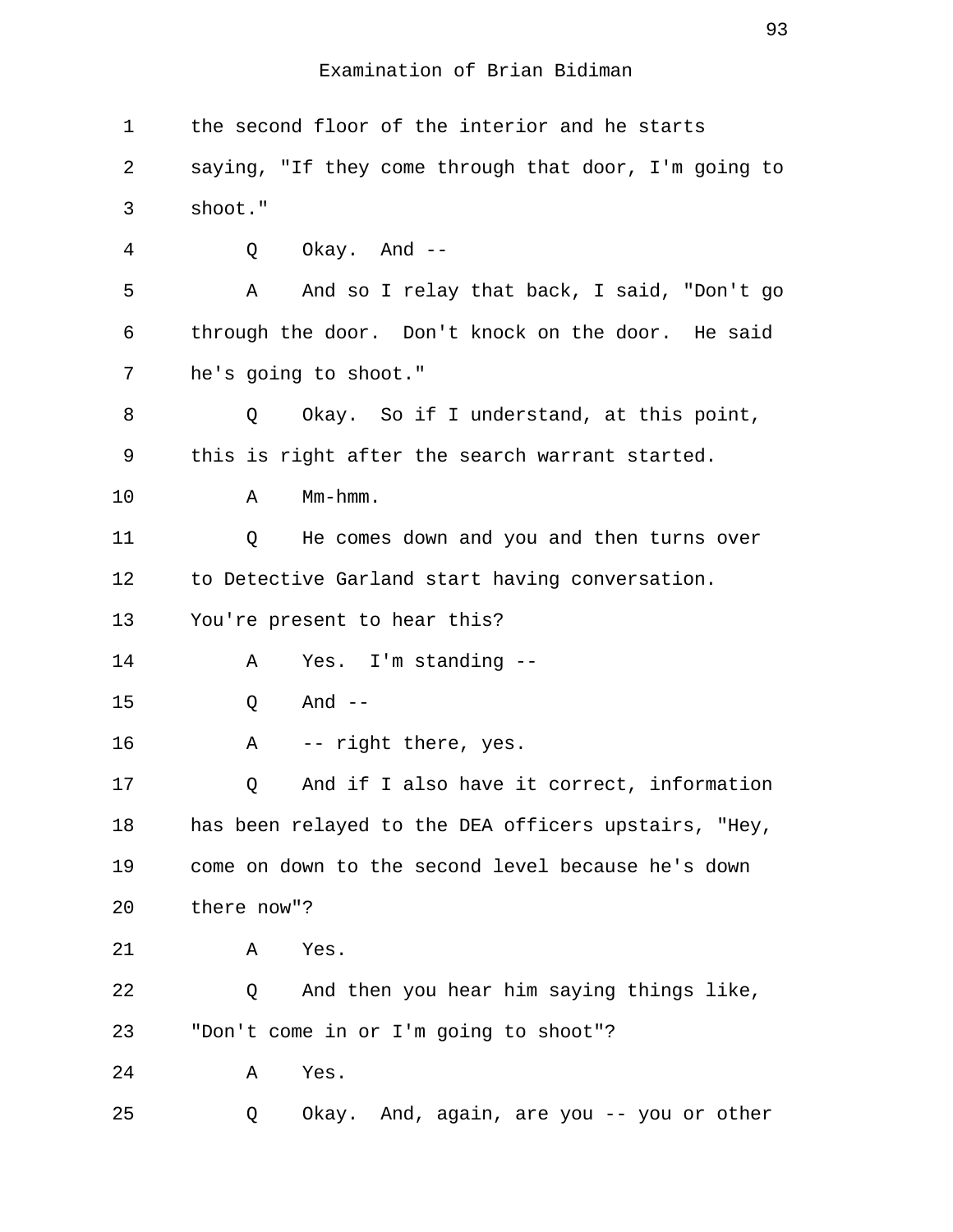| 1       | the second floor of the interior and he starts        |
|---------|-------------------------------------------------------|
| 2       | saying, "If they come through that door, I'm going to |
| 3       | shoot."                                               |
| 4       | Okay. And --<br>Q                                     |
| 5       | Α<br>And so I relay that back, I said, "Don't go      |
| 6       | through the door. Don't knock on the door. He said    |
| 7       | he's going to shoot."                                 |
| 8       | Okay. So if I understand, at this point,<br>Q         |
| 9       | this is right after the search warrant started.       |
| $10 \,$ | Mm-hmm.<br>Α                                          |
| 11      | He comes down and you and then turns over<br>Q        |
| 12      | to Detective Garland start having conversation.       |
| 13      | You're present to hear this?                          |
| 14      | Yes. I'm standing --<br>Α                             |
| 15      | And $--$<br>Q                                         |
| 16      | -- right there, yes.<br>Α                             |
| 17      | And if I also have it correct, information<br>Q       |
| 18      | has been relayed to the DEA officers upstairs, "Hey,  |
| 19      | come on down to the second level because he's down    |
| 20      | there now"?                                           |
| 21      | Yes.<br>Α                                             |
| 22      | And then you hear him saying things like,<br>Q        |
| 23      | "Don't come in or I'm going to shoot"?                |
| 24      | Yes.<br>Α                                             |
| 25      | Okay. And, again, are you -- you or other<br>Q        |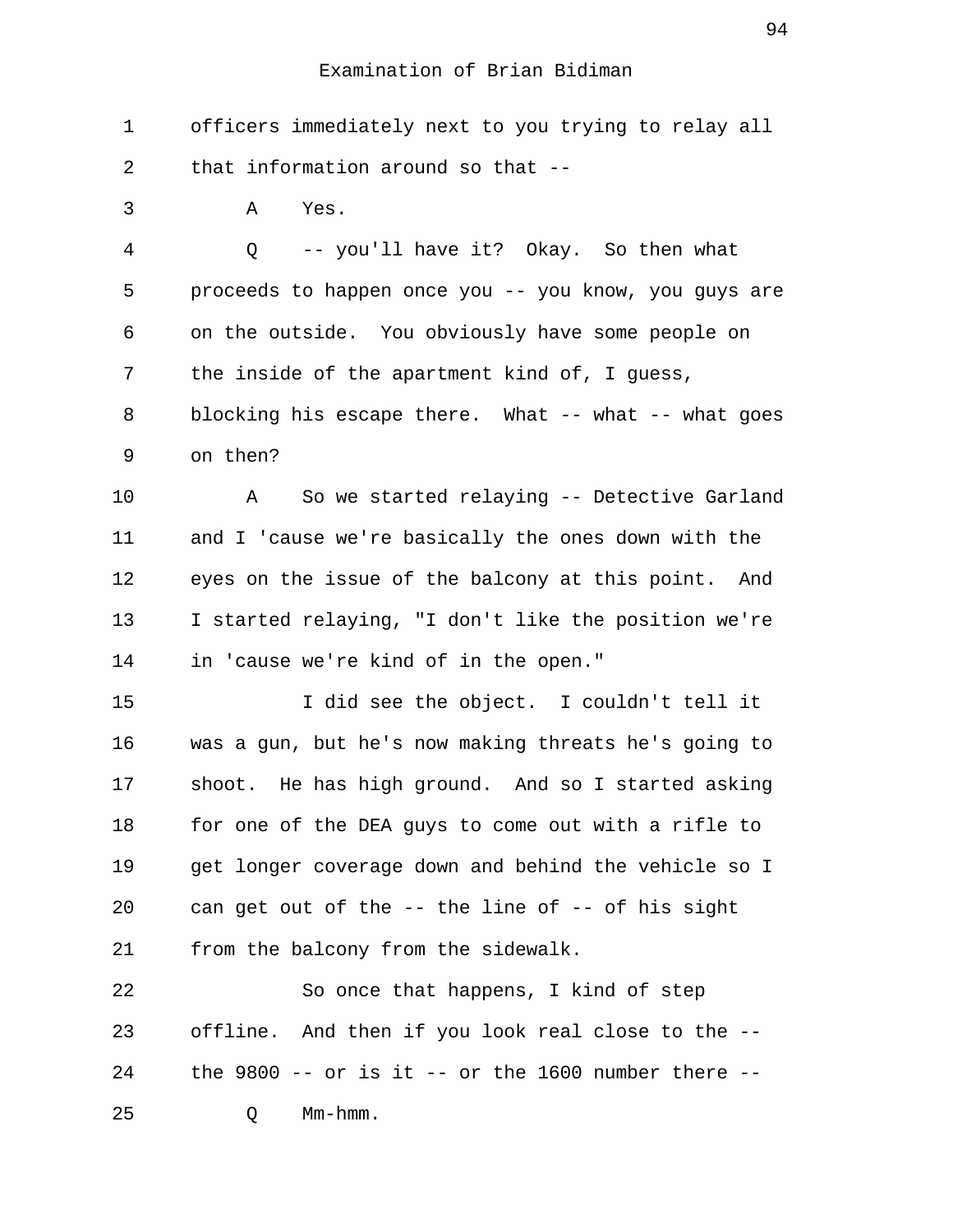1 officers immediately next to you trying to relay all 2 that information around so that --

3 A Yes.

 4 Q -- you'll have it? Okay. So then what 5 proceeds to happen once you -- you know, you guys are 6 on the outside. You obviously have some people on 7 the inside of the apartment kind of, I guess, 8 blocking his escape there. What -- what -- what goes 9 on then?

10 A So we started relaying -- Detective Garland 11 and I 'cause we're basically the ones down with the 12 eyes on the issue of the balcony at this point. And 13 I started relaying, "I don't like the position we're 14 in 'cause we're kind of in the open."

15 I did see the object. I couldn't tell it 16 was a gun, but he's now making threats he's going to 17 shoot. He has high ground. And so I started asking 18 for one of the DEA guys to come out with a rifle to 19 get longer coverage down and behind the vehicle so I 20 can get out of the -- the line of -- of his sight 21 from the balcony from the sidewalk.

22 So once that happens, I kind of step 23 offline. And then if you look real close to the -- 24 the 9800 -- or is it -- or the 1600 number there -- 25 Q Mm-hmm.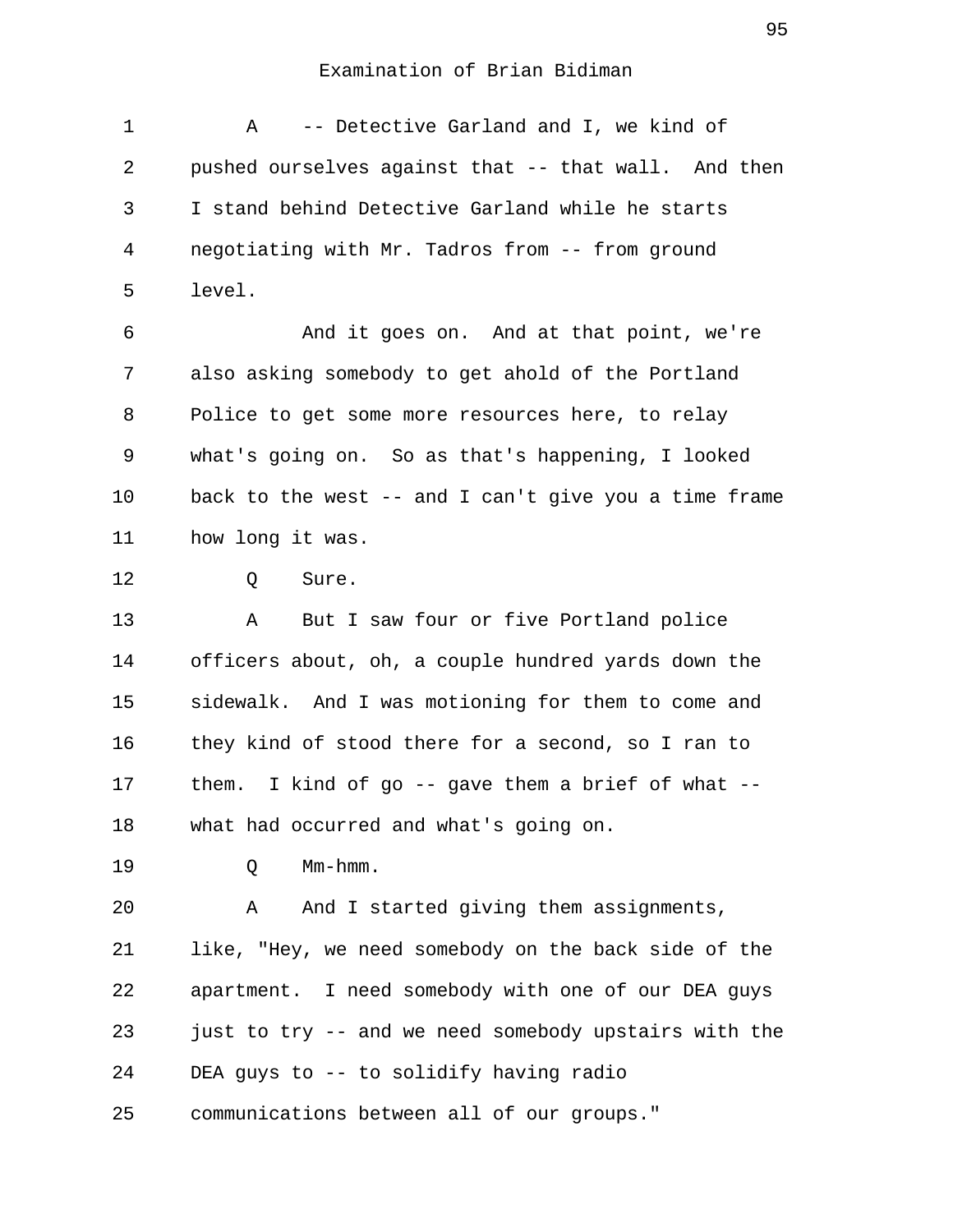1 A -- Detective Garland and I, we kind of 2 pushed ourselves against that -- that wall. And then 3 I stand behind Detective Garland while he starts 4 negotiating with Mr. Tadros from -- from ground 5 level. 6 And it goes on. And at that point, we're 7 also asking somebody to get ahold of the Portland 8 Police to get some more resources here, to relay

 9 what's going on. So as that's happening, I looked 10 back to the west -- and I can't give you a time frame 11 how long it was.

12 Q Sure.

13 A But I saw four or five Portland police 14 officers about, oh, a couple hundred yards down the 15 sidewalk. And I was motioning for them to come and 16 they kind of stood there for a second, so I ran to 17 them. I kind of go -- gave them a brief of what -- 18 what had occurred and what's going on.

19 Q Mm-hmm.

20 A And I started giving them assignments, 21 like, "Hey, we need somebody on the back side of the 22 apartment. I need somebody with one of our DEA guys 23 just to try -- and we need somebody upstairs with the 24 DEA guys to -- to solidify having radio

25 communications between all of our groups."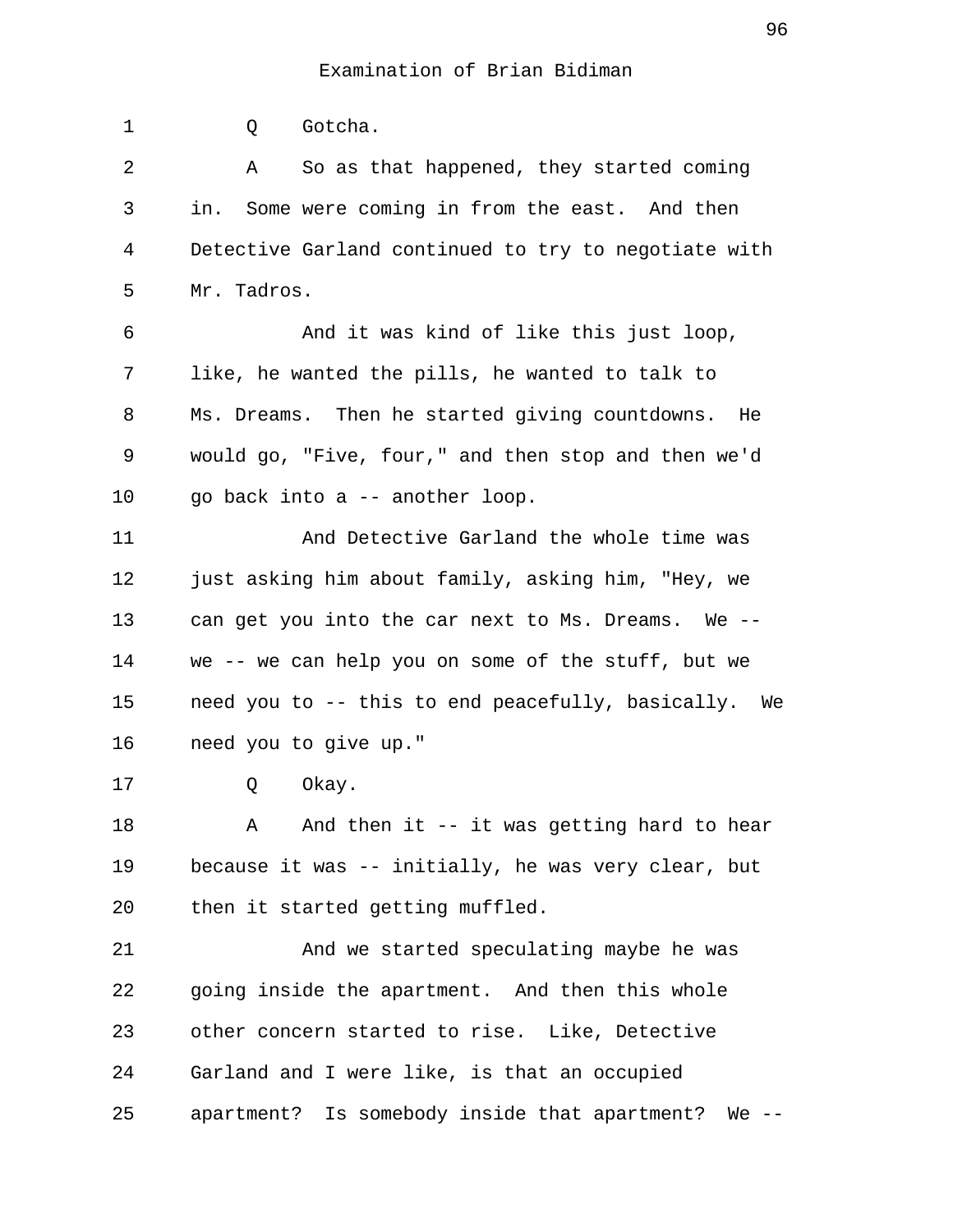1 0 Gotcha. 2 A So as that happened, they started coming 3 in. Some were coming in from the east. And then 4 Detective Garland continued to try to negotiate with 5 Mr. Tadros. 6 And it was kind of like this just loop, 7 like, he wanted the pills, he wanted to talk to 8 Ms. Dreams. Then he started giving countdowns. He 9 would go, "Five, four," and then stop and then we'd 10 go back into a -- another loop. 11 And Detective Garland the whole time was 12 just asking him about family, asking him, "Hey, we 13 can get you into the car next to Ms. Dreams. We -- 14 we -- we can help you on some of the stuff, but we 15 need you to -- this to end peacefully, basically. We 16 need you to give up." 17 Q Okay. 18 A And then it -- it was getting hard to hear 19 because it was -- initially, he was very clear, but 20 then it started getting muffled. 21 And we started speculating maybe he was 22 going inside the apartment. And then this whole 23 other concern started to rise. Like, Detective 24 Garland and I were like, is that an occupied 25 apartment? Is somebody inside that apartment? We --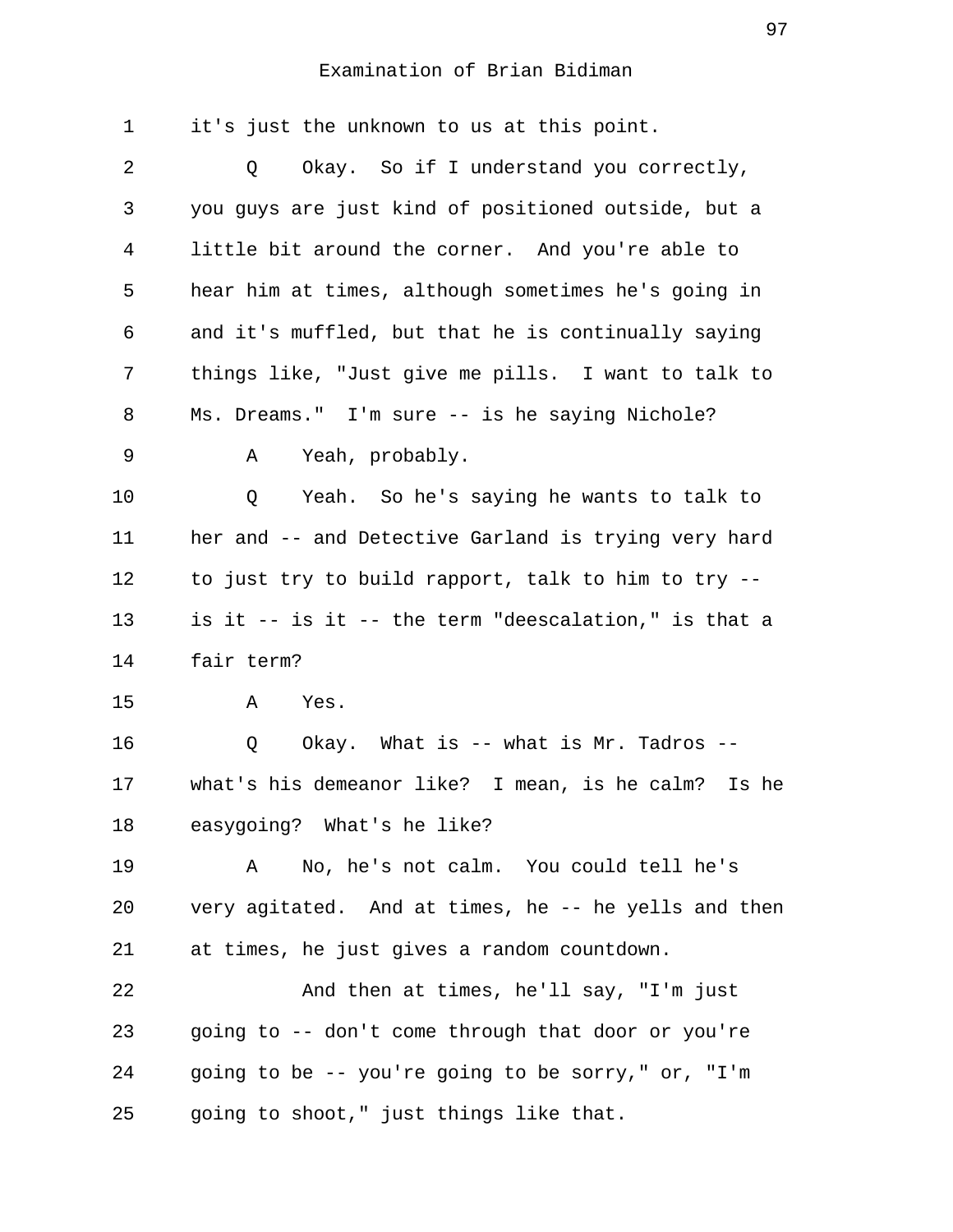| 1  | it's just the unknown to us at this point.           |
|----|------------------------------------------------------|
| 2  | Okay. So if I understand you correctly,<br>Q         |
| 3  | you guys are just kind of positioned outside, but a  |
| 4  | little bit around the corner. And you're able to     |
| 5  | hear him at times, although sometimes he's going in  |
| 6  | and it's muffled, but that he is continually saying  |
| 7  | things like, "Just give me pills. I want to talk to  |
| 8  | Ms. Dreams." I'm sure -- is he saying Nichole?       |
| 9  | Yeah, probably.<br>Α                                 |
| 10 | Yeah. So he's saying he wants to talk to<br>Q        |
| 11 | her and -- and Detective Garland is trying very hard |
| 12 | to just try to build rapport, talk to him to try --  |
| 13 | is it -- is it -- the term "deescalation," is that a |
| 14 | fair term?                                           |
| 15 | Α<br>Yes.                                            |
| 16 | Okay. What is -- what is Mr. Tadros --<br>Q          |
| 17 | what's his demeanor like? I mean, is he calm? Is he  |
| 18 | easygoing? What's he like?                           |
| 19 | No, he's not calm. You could tell he's<br>Α          |
| 20 | very agitated. And at times, he -- he yells and then |
| 21 | at times, he just gives a random countdown.          |
| 22 | And then at times, he'll say, "I'm just              |
| 23 | going to -- don't come through that door or you're   |
| 24 | going to be -- you're going to be sorry," or, "I'm   |
| 25 | going to shoot," just things like that.              |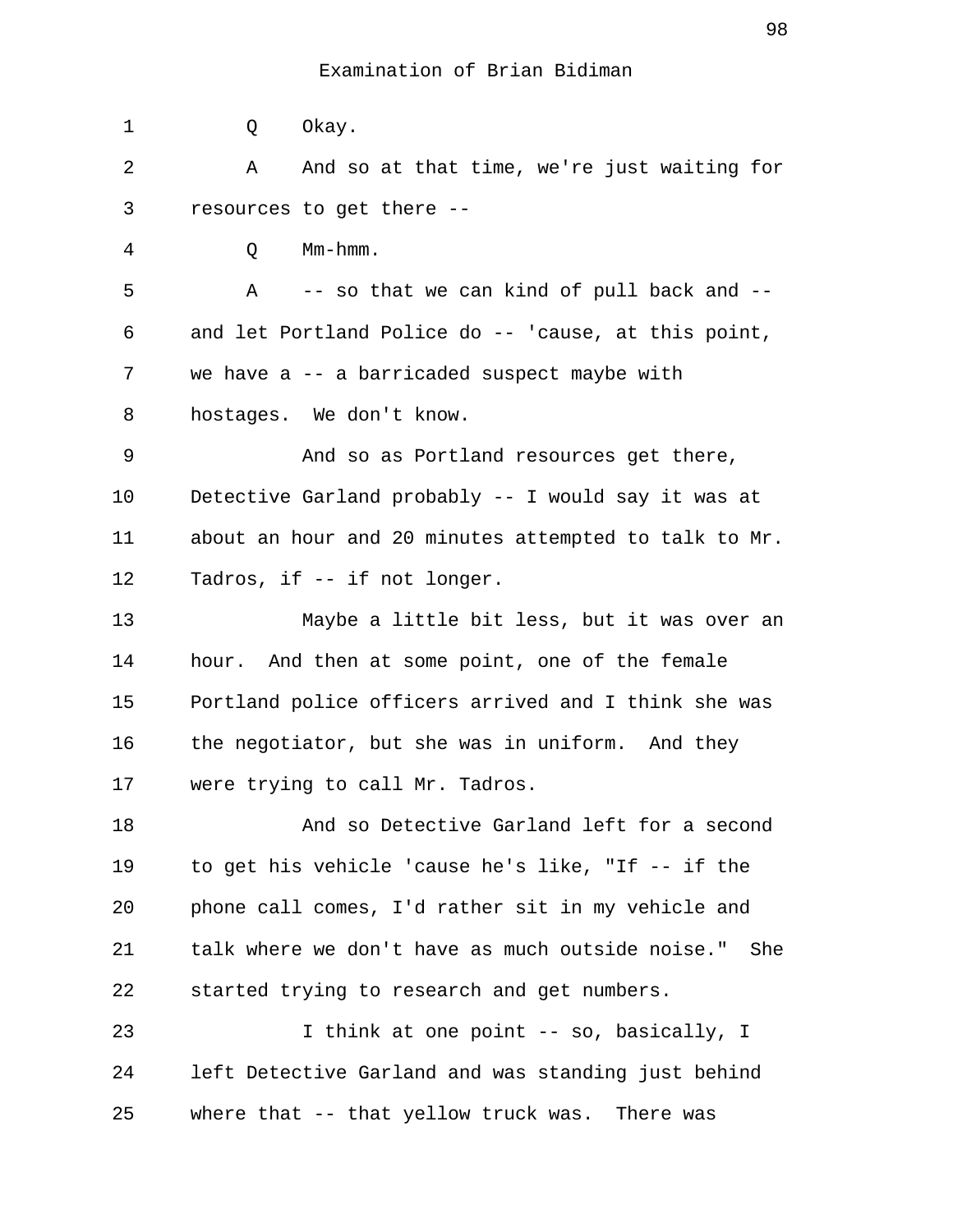1 Q Okay. 2 A And so at that time, we're just waiting for 3 resources to get there -- 4 Q Mm-hmm. 5 A -- so that we can kind of pull back and -- 6 and let Portland Police do -- 'cause, at this point, 7 we have a -- a barricaded suspect maybe with 8 hostages. We don't know. 9 And so as Portland resources get there, 10 Detective Garland probably -- I would say it was at 11 about an hour and 20 minutes attempted to talk to Mr. 12 Tadros, if -- if not longer. 13 Maybe a little bit less, but it was over an 14 hour. And then at some point, one of the female 15 Portland police officers arrived and I think she was 16 the negotiator, but she was in uniform. And they 17 were trying to call Mr. Tadros. 18 And so Detective Garland left for a second 19 to get his vehicle 'cause he's like, "If -- if the 20 phone call comes, I'd rather sit in my vehicle and 21 talk where we don't have as much outside noise." She 22 started trying to research and get numbers. 23 1 think at one point -- so, basically, I 24 left Detective Garland and was standing just behind 25 where that -- that yellow truck was. There was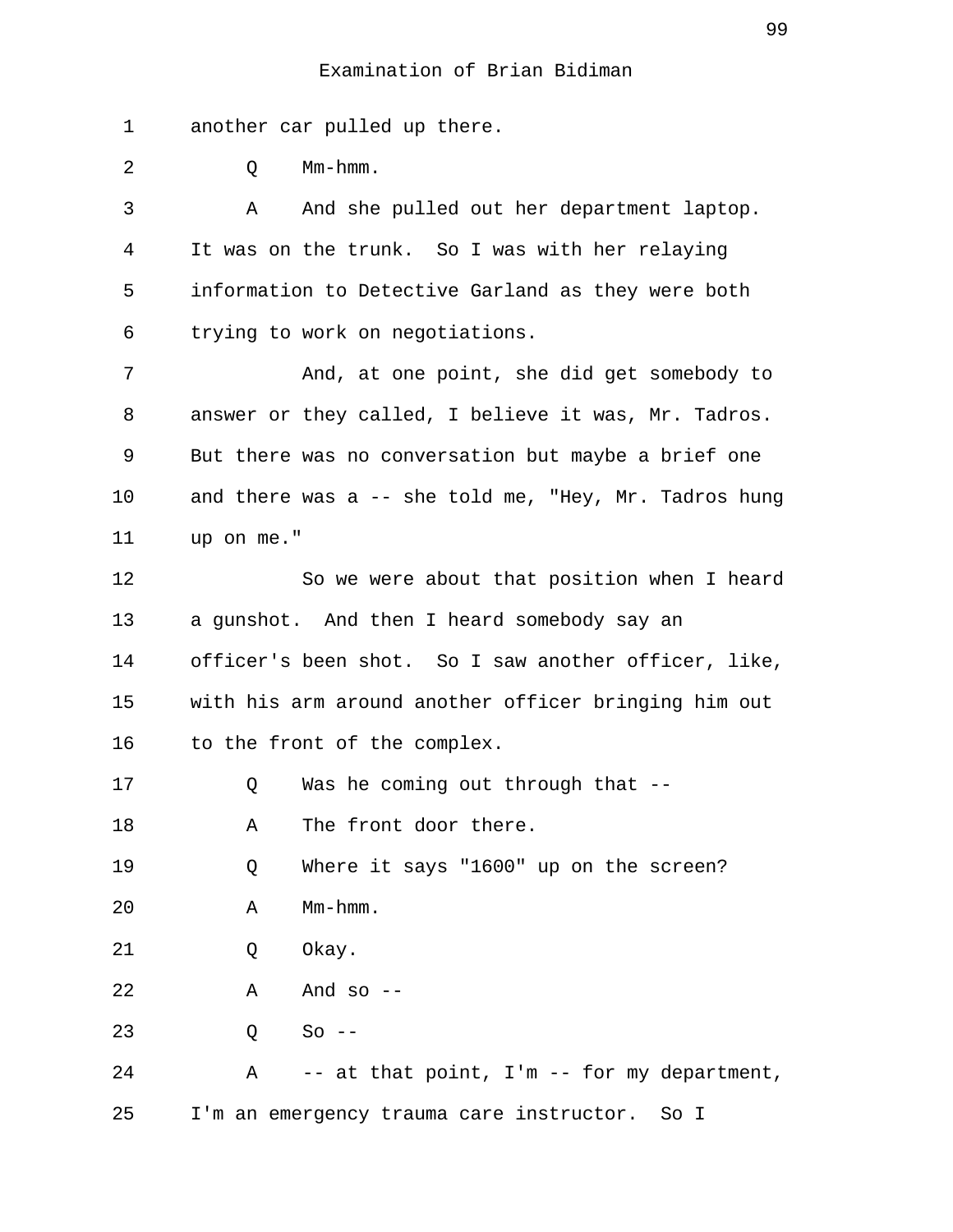1 another car pulled up there.

| 2  | Mm-hmm.<br>Q                                          |
|----|-------------------------------------------------------|
| 3  | And she pulled out her department laptop.<br>Α        |
| 4  | It was on the trunk. So I was with her relaying       |
| 5  | information to Detective Garland as they were both    |
| 6  | trying to work on negotiations.                       |
| 7  | And, at one point, she did get somebody to            |
| 8  | answer or they called, I believe it was, Mr. Tadros.  |
| 9  | But there was no conversation but maybe a brief one   |
| 10 | and there was a -- she told me, "Hey, Mr. Tadros hung |
| 11 | up on me."                                            |
| 12 | So we were about that position when I heard           |
| 13 | a gunshot. And then I heard somebody say an           |
| 14 | officer's been shot. So I saw another officer, like,  |
| 15 | with his arm around another officer bringing him out  |
| 16 | to the front of the complex.                          |
| 17 | Was he coming out through that --<br>Q                |
| 18 | The front door there.<br>Α                            |
| 19 | Where it says "1600" up on the screen?<br>Q           |
| 20 | Mm-hmm.<br>Α                                          |
| 21 | Okay.<br>Q                                            |
| 22 | And so $--$<br>Α                                      |
| 23 | $So --$<br>Q                                          |
| 24 | -- at that point, I'm -- for my department,<br>Α      |
| 25 | I'm an emergency trauma care instructor.<br>So I      |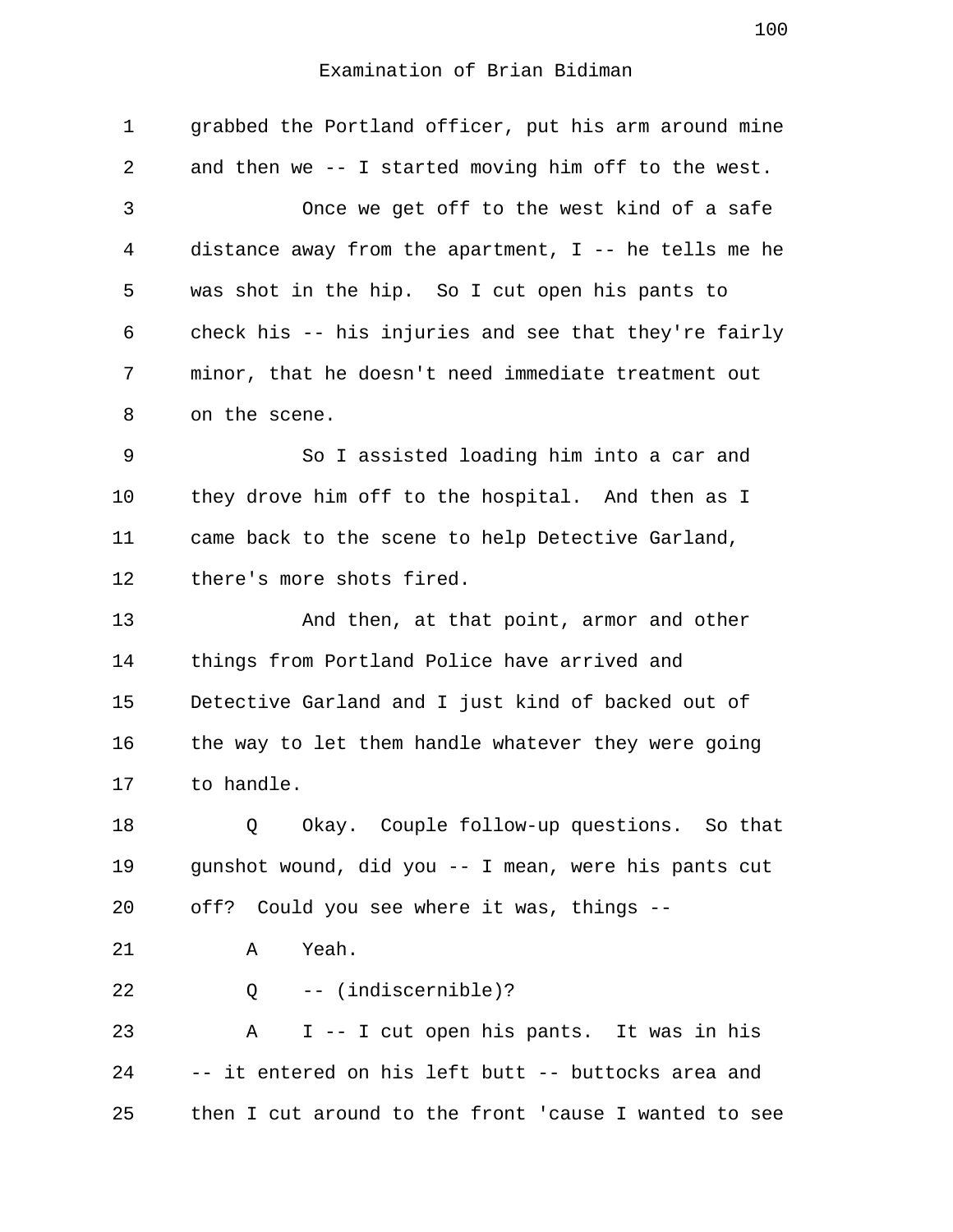| 1  | grabbed the Portland officer, put his arm around mine   |
|----|---------------------------------------------------------|
| 2  | and then we -- I started moving him off to the west.    |
| 3  | Once we get off to the west kind of a safe              |
| 4  | distance away from the apartment, $I$ -- he tells me he |
| 5  | was shot in the hip. So I cut open his pants to         |
| 6  | check his -- his injuries and see that they're fairly   |
| 7  | minor, that he doesn't need immediate treatment out     |
| 8  | on the scene.                                           |
| 9  | So I assisted loading him into a car and                |
| 10 | they drove him off to the hospital. And then as I       |
| 11 | came back to the scene to help Detective Garland,       |
| 12 | there's more shots fired.                               |
| 13 | And then, at that point, armor and other                |
| 14 | things from Portland Police have arrived and            |
| 15 | Detective Garland and I just kind of backed out of      |
| 16 | the way to let them handle whatever they were going     |
| 17 | to handle.                                              |
| 18 | Okay. Couple follow-up questions. So that<br>Q          |
| 19 | gunshot wound, did you -- I mean, were his pants cut    |
| 20 | off? Could you see where it was, things --              |
| 21 | Yeah.<br>Α                                              |
| 22 | $Q$ -- (indiscernible)?                                 |
| 23 | I -- I cut open his pants. It was in his<br>Α           |
| 24 | -- it entered on his left butt -- buttocks area and     |
| 25 | then I cut around to the front 'cause I wanted to see   |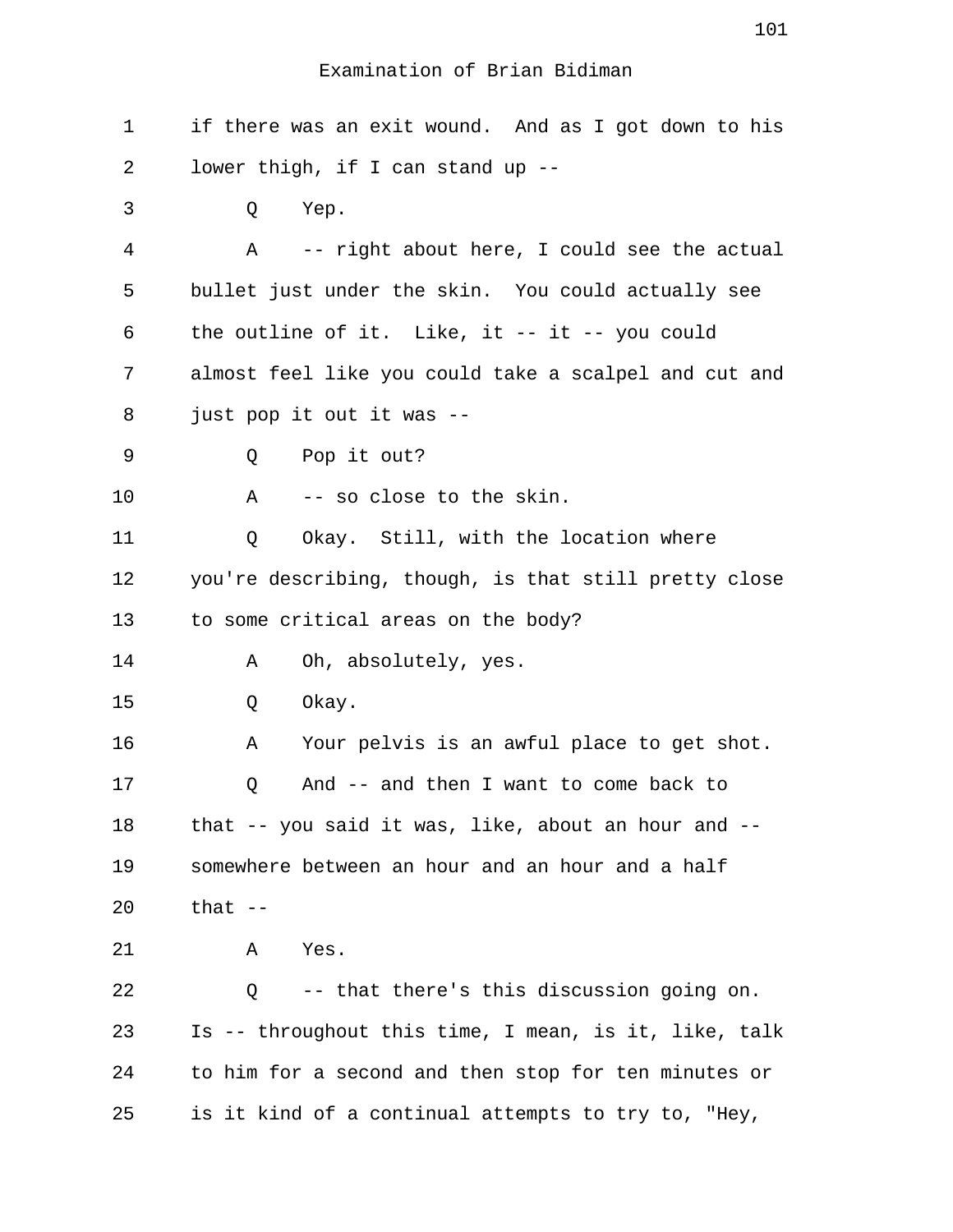1 if there was an exit wound. And as I got down to his 2 lower thigh, if I can stand up -- 3 Q Yep. 4 A -- right about here, I could see the actual 5 bullet just under the skin. You could actually see 6 the outline of it. Like, it -- it -- you could 7 almost feel like you could take a scalpel and cut and 8 just pop it out it was -- 9 Q Pop it out? 10 A -- so close to the skin. 11 Q Okay. Still, with the location where 12 you're describing, though, is that still pretty close 13 to some critical areas on the body? 14 A Oh, absolutely, yes. 15 O Okay. 16 A Your pelvis is an awful place to get shot. 17 Q And -- and then I want to come back to 18 that -- you said it was, like, about an hour and -- 19 somewhere between an hour and an hour and a half 20 that -- 21 A Yes. 22 Q -- that there's this discussion going on. 23 Is -- throughout this time, I mean, is it, like, talk 24 to him for a second and then stop for ten minutes or 25 is it kind of a continual attempts to try to, "Hey,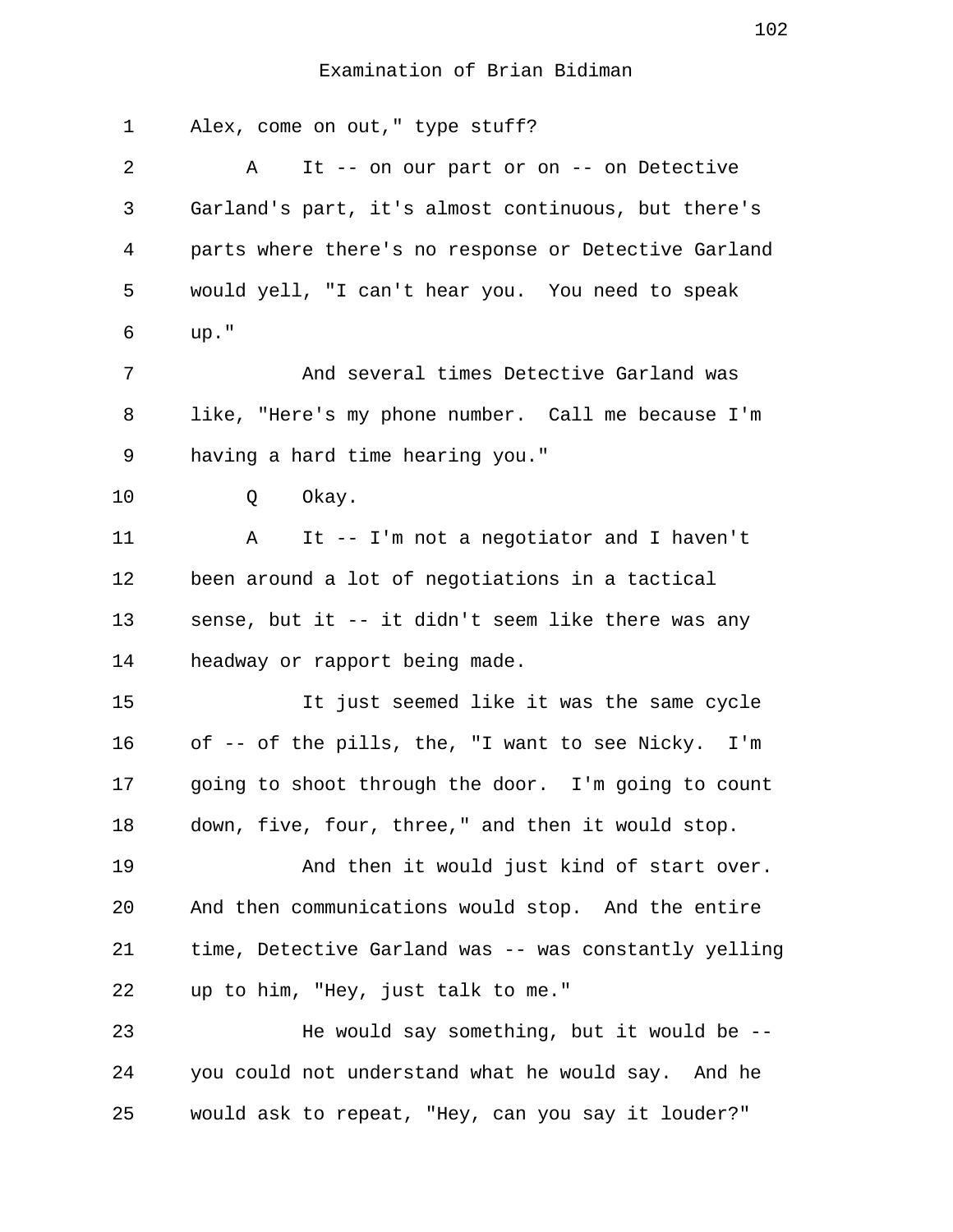1 Alex, come on out," type stuff? 2 A It -- on our part or on -- on Detective 3 Garland's part, it's almost continuous, but there's 4 parts where there's no response or Detective Garland 5 would yell, "I can't hear you. You need to speak 6 up." 7 And several times Detective Garland was 8 like, "Here's my phone number. Call me because I'm 9 having a hard time hearing you." 10 Q Okay. 11 A It -- I'm not a negotiator and I haven't 12 been around a lot of negotiations in a tactical 13 sense, but it -- it didn't seem like there was any 14 headway or rapport being made. 15 It just seemed like it was the same cycle 16 of -- of the pills, the, "I want to see Nicky. I'm 17 going to shoot through the door. I'm going to count 18 down, five, four, three," and then it would stop. 19 And then it would just kind of start over. 20 And then communications would stop. And the entire 21 time, Detective Garland was -- was constantly yelling 22 up to him, "Hey, just talk to me." 23 He would say something, but it would be -- 24 you could not understand what he would say. And he 25 would ask to repeat, "Hey, can you say it louder?"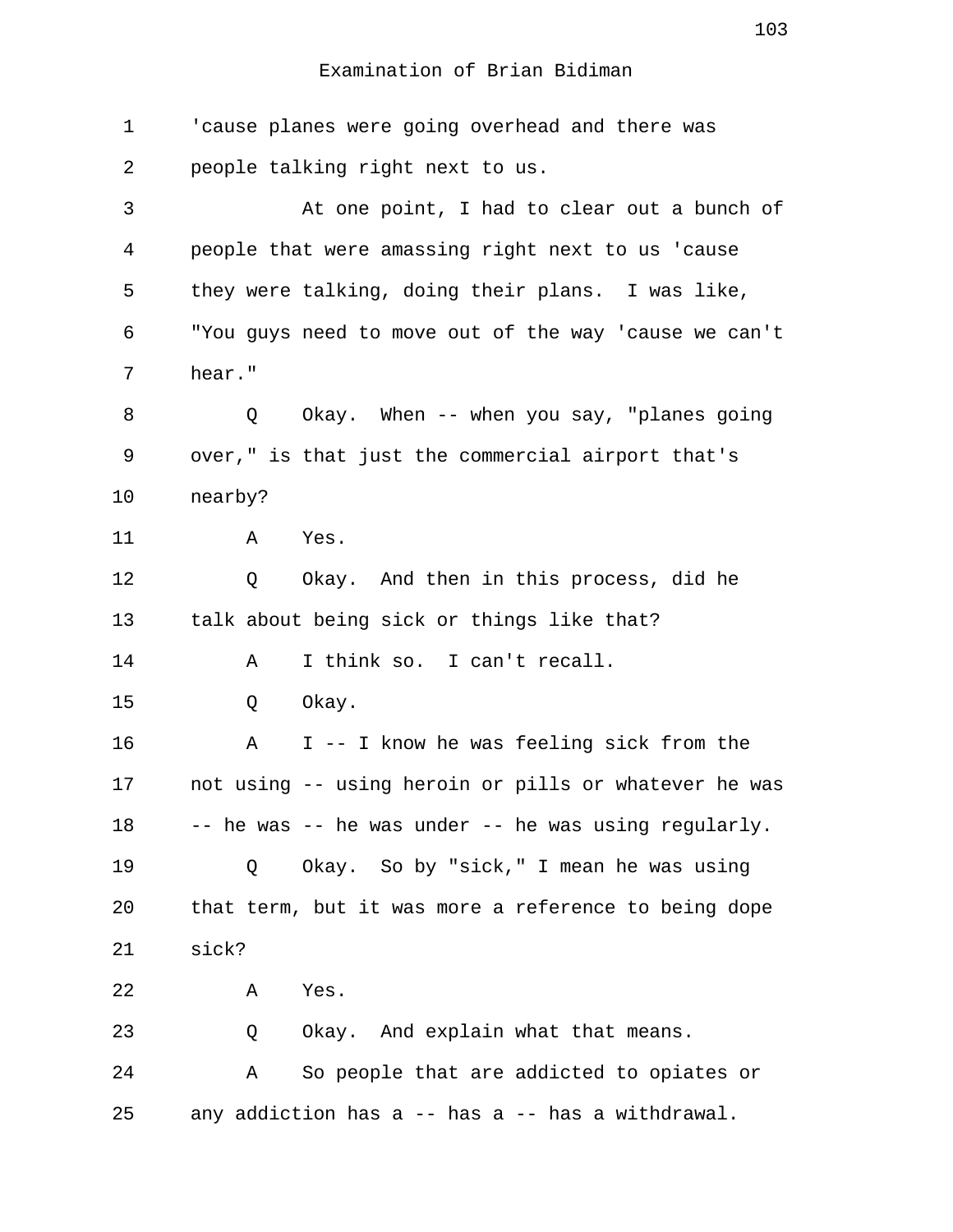| $\mathbf 1$    | 'cause planes were going overhead and there was       |
|----------------|-------------------------------------------------------|
| 2              | people talking right next to us.                      |
| 3              | At one point, I had to clear out a bunch of           |
| $\overline{4}$ | people that were amassing right next to us 'cause     |
| 5              | they were talking, doing their plans. I was like,     |
| 6              | "You guys need to move out of the way 'cause we can't |
| 7              | hear."                                                |
| 8              | Okay. When -- when you say, "planes going<br>Q        |
| 9              | over," is that just the commercial airport that's     |
| 10             | nearby?                                               |
| 11             | Α<br>Yes.                                             |
| 12             | Okay. And then in this process, did he<br>Q           |
| 13             | talk about being sick or things like that?            |
| 14             | I think so. I can't recall.<br>Α                      |
| 15             | Okay.<br>Q                                            |
| 16             | I -- I know he was feeling sick from the<br>Α         |
| 17             | not using -- using heroin or pills or whatever he was |
| 18             | -- he was -- he was under -- he was using regularly.  |
| 19             | Okay. So by "sick," I mean he was using<br>Q          |
| 20             | that term, but it was more a reference to being dope  |
| 21             | sick?                                                 |
| 22             | Yes.<br>Α                                             |
| 23             | Okay. And explain what that means.<br>Q               |
| 24             | So people that are addicted to opiates or<br>Α        |
| 25             | any addiction has a -- has a -- has a withdrawal.     |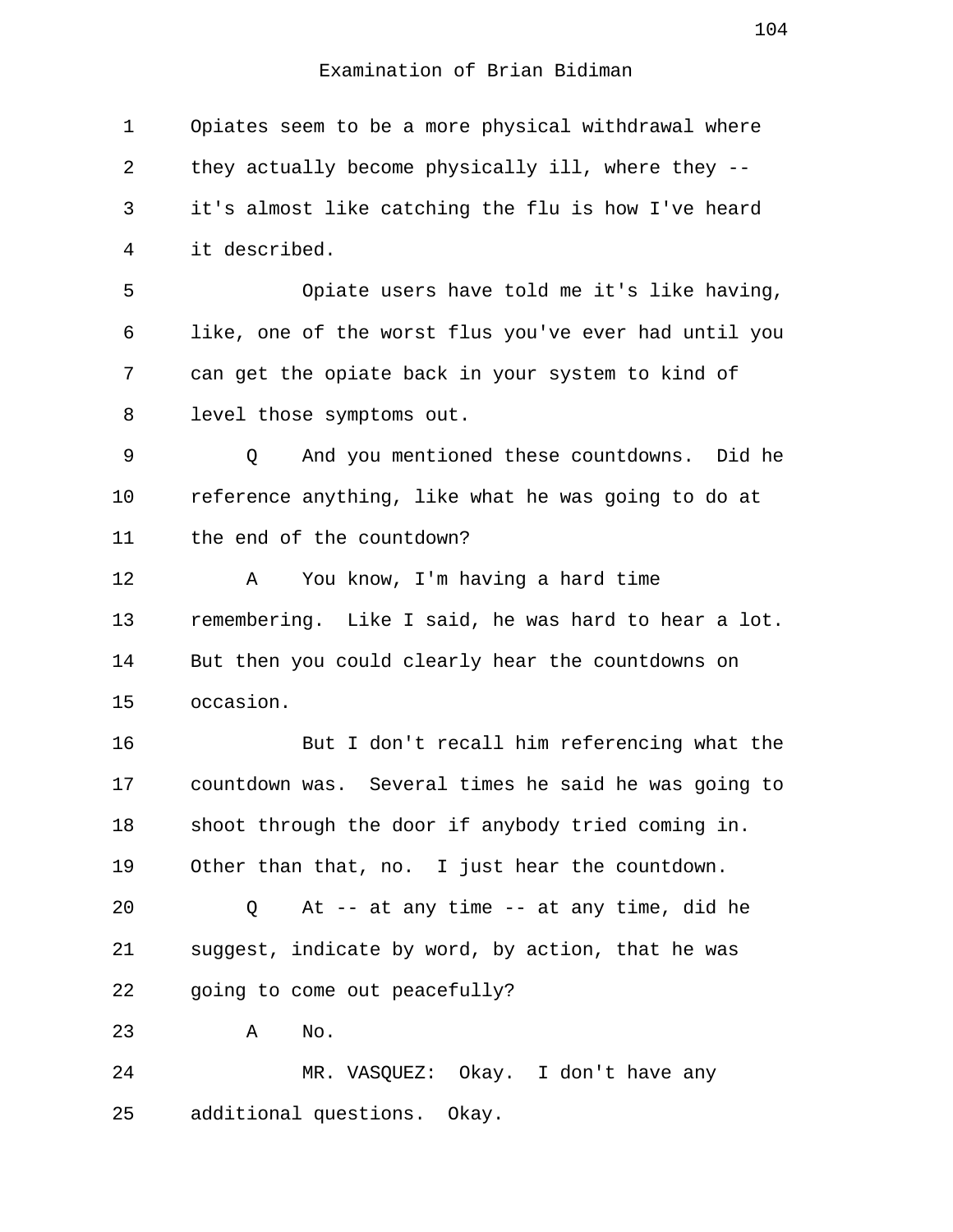1 Opiates seem to be a more physical withdrawal where 2 they actually become physically ill, where they -- 3 it's almost like catching the flu is how I've heard 4 it described. 5 Opiate users have told me it's like having, 6 like, one of the worst flus you've ever had until you 7 can get the opiate back in your system to kind of 8 level those symptoms out. 9 Q And you mentioned these countdowns. Did he 10 reference anything, like what he was going to do at 11 the end of the countdown? 12 A You know, I'm having a hard time 13 remembering. Like I said, he was hard to hear a lot. 14 But then you could clearly hear the countdowns on 15 occasion. 16 But I don't recall him referencing what the 17 countdown was. Several times he said he was going to 18 shoot through the door if anybody tried coming in. 19 Other than that, no. I just hear the countdown. 20 Q At -- at any time -- at any time, did he 21 suggest, indicate by word, by action, that he was 22 going to come out peacefully? 23 A No. 24 MR. VASQUEZ: Okay. I don't have any 25 additional questions. Okay.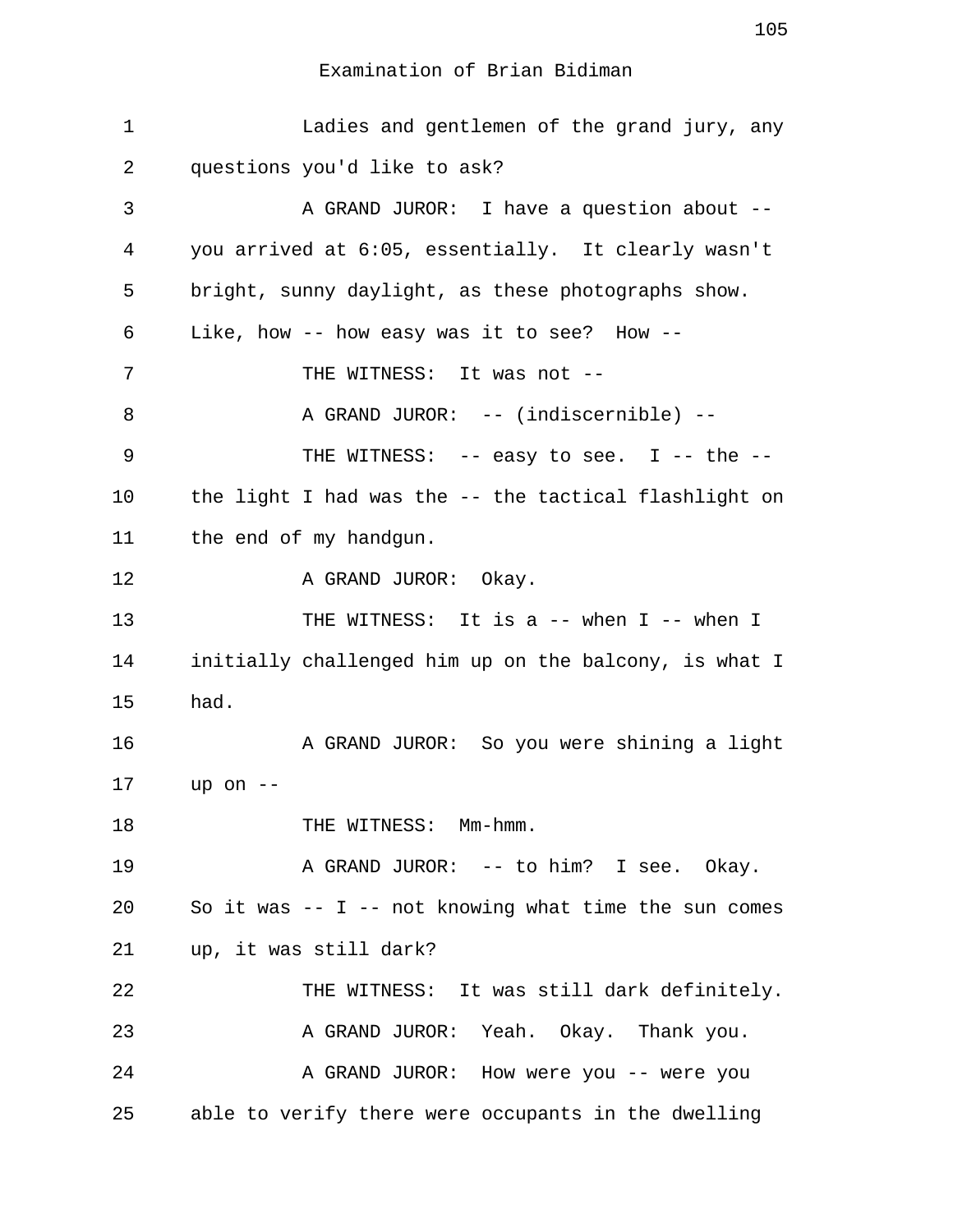1 Ladies and gentlemen of the grand jury, any 2 questions you'd like to ask? 3 A GRAND JUROR: I have a question about -- 4 you arrived at 6:05, essentially. It clearly wasn't 5 bright, sunny daylight, as these photographs show. 6 Like, how -- how easy was it to see? How -- 7 THE WITNESS: It was not --8 A GRAND JUROR: -- (indiscernible) --9 THE WITNESS: -- easy to see. I -- the --10 the light I had was the -- the tactical flashlight on 11 the end of my handgun. 12 A GRAND JUROR: Okay. 13 THE WITNESS: It is a -- when I -- when I 14 initially challenged him up on the balcony, is what I 15 had. 16 A GRAND JUROR: So you were shining a light 17 up on -- 18 THE WITNESS: Mm-hmm. 19 A GRAND JUROR: -- to him? I see. Okay. 20 So it was -- I -- not knowing what time the sun comes 21 up, it was still dark? 22 THE WITNESS: It was still dark definitely. 23 A GRAND JUROR: Yeah. Okay. Thank you. 24 A GRAND JUROR: How were you -- were you 25 able to verify there were occupants in the dwelling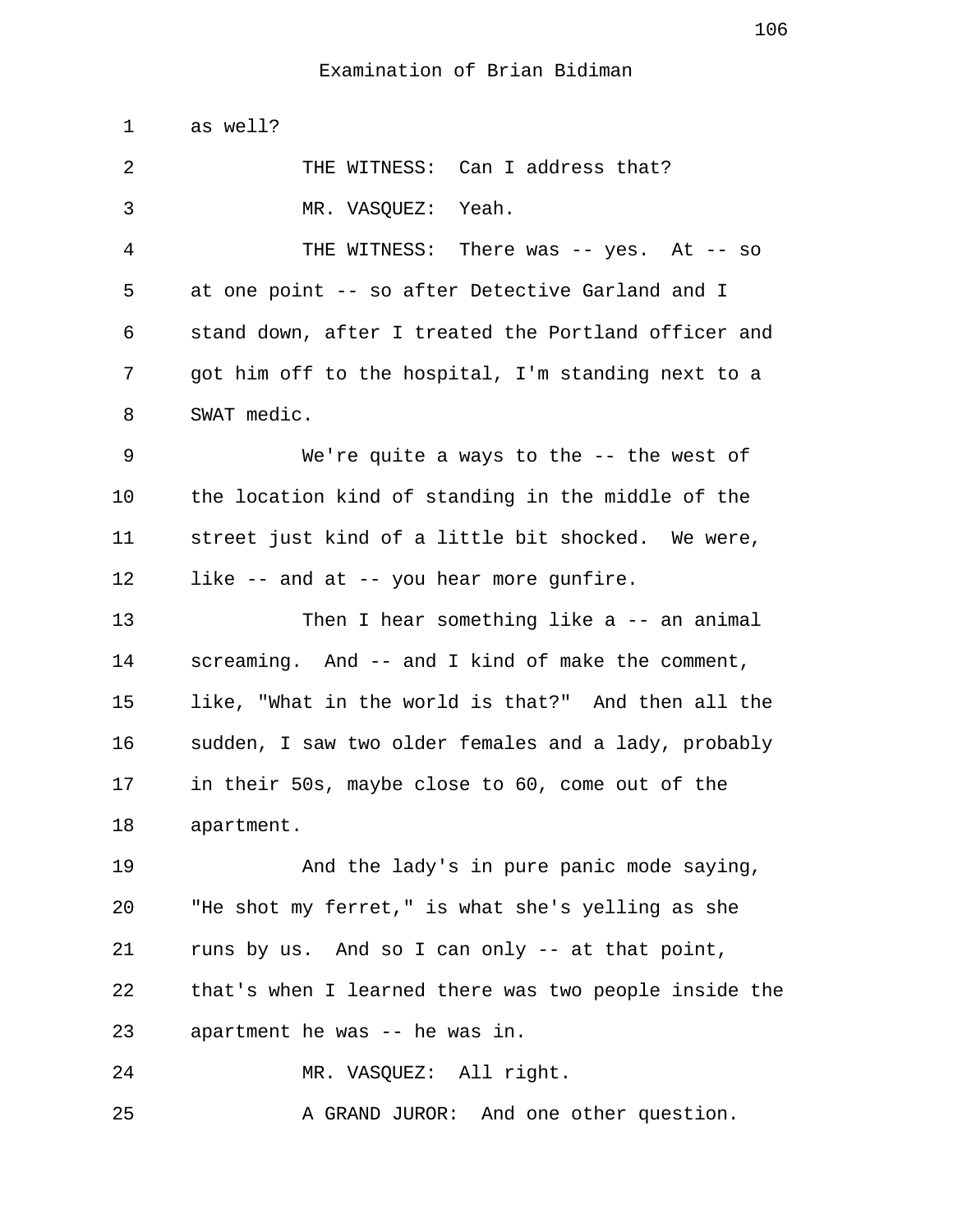1 as well? 2 THE WITNESS: Can I address that? 3 MR. VASQUEZ: Yeah. 4 THE WITNESS: There was -- yes. At -- so 5 at one point -- so after Detective Garland and I 6 stand down, after I treated the Portland officer and 7 got him off to the hospital, I'm standing next to a 8 SWAT medic. 9 We're quite a ways to the -- the west of 10 the location kind of standing in the middle of the 11 street just kind of a little bit shocked. We were, 12 like -- and at -- you hear more gunfire. 13 Then I hear something like a -- an animal 14 screaming. And -- and I kind of make the comment, 15 like, "What in the world is that?" And then all the 16 sudden, I saw two older females and a lady, probably 17 in their 50s, maybe close to 60, come out of the 18 apartment. 19 And the lady's in pure panic mode saying, 20 "He shot my ferret," is what she's yelling as she 21 runs by us. And so I can only -- at that point, 22 that's when I learned there was two people inside the 23 apartment he was -- he was in. 24 MR. VASQUEZ: All right. 25 A GRAND JUROR: And one other question.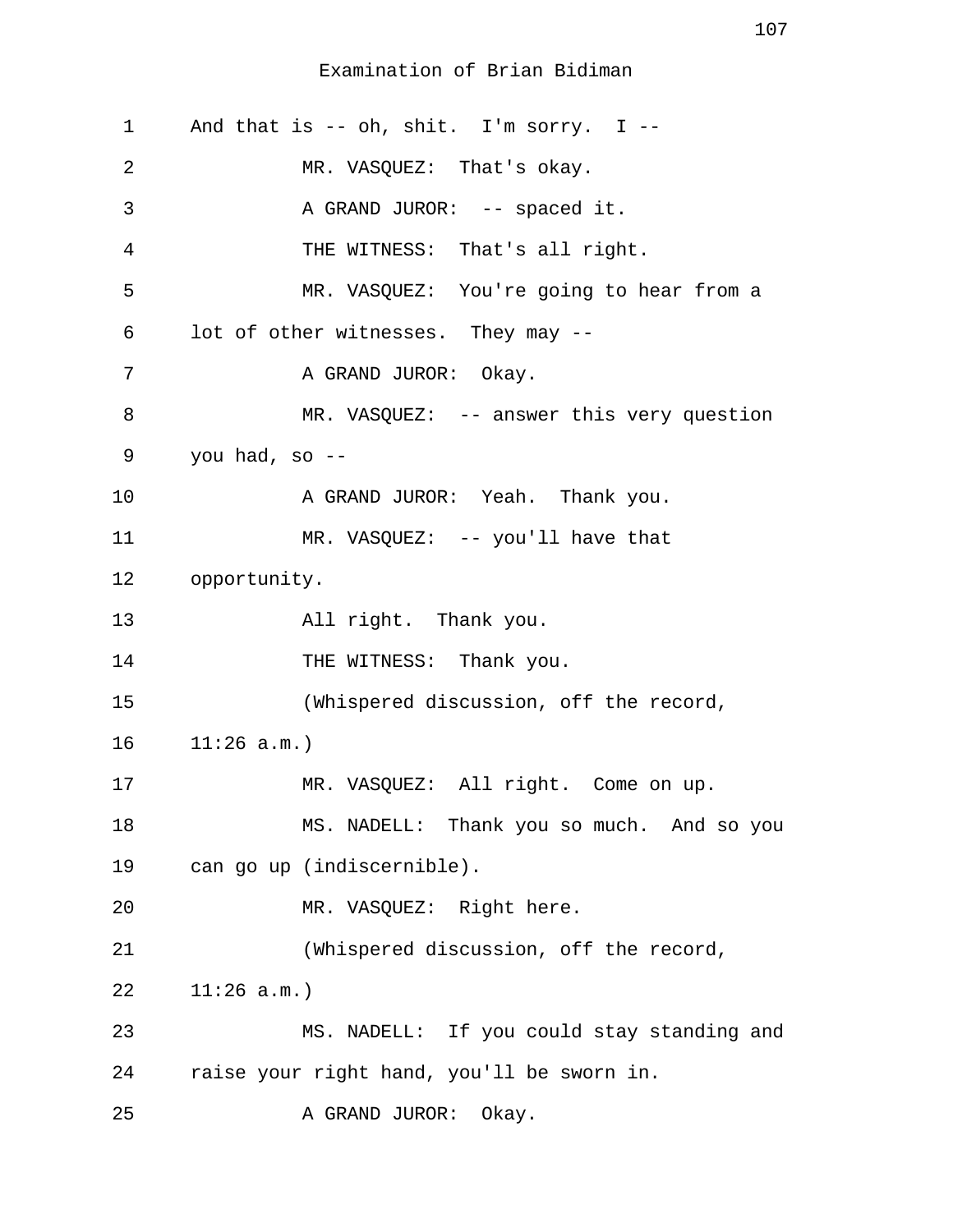| $\mathbf 1$ | And that is -- oh, shit. I'm sorry. I --   |
|-------------|--------------------------------------------|
| 2           | MR. VASQUEZ: That's okay.                  |
| 3           | A GRAND JUROR: -- spaced it.               |
| 4           | THE WITNESS: That's all right.             |
| 5           | MR. VASQUEZ: You're going to hear from a   |
| 6           | lot of other witnesses. They may --        |
| 7           | A GRAND JUROR: Okay.                       |
| 8           | MR. VASQUEZ: -- answer this very question  |
| 9           | you had, so $-$ -                          |
| 10          | A GRAND JUROR: Yeah. Thank you.            |
| 11          | MR. VASQUEZ: -- you'll have that           |
| 12          | opportunity.                               |
| 13          | All right. Thank you.                      |
| 14          | THE WITNESS: Thank you.                    |
| 15          | (Whispered discussion, off the record,     |
| 16          | 11:26 a.m.                                 |
| 17          | MR. VASQUEZ: All right. Come on up.        |
| 18          | MS. NADELL: Thank you so much. And so you  |
| 19          | can go up (indiscernible).                 |
| 20          | MR. VASQUEZ: Right here.                   |
| 21          | (Whispered discussion, off the record,     |
| 22          | 11:26 a.m.                                 |
| 23          | MS. NADELL: If you could stay standing and |
| 24          | raise your right hand, you'll be sworn in. |
| 25          | A GRAND JUROR:<br>Okay.                    |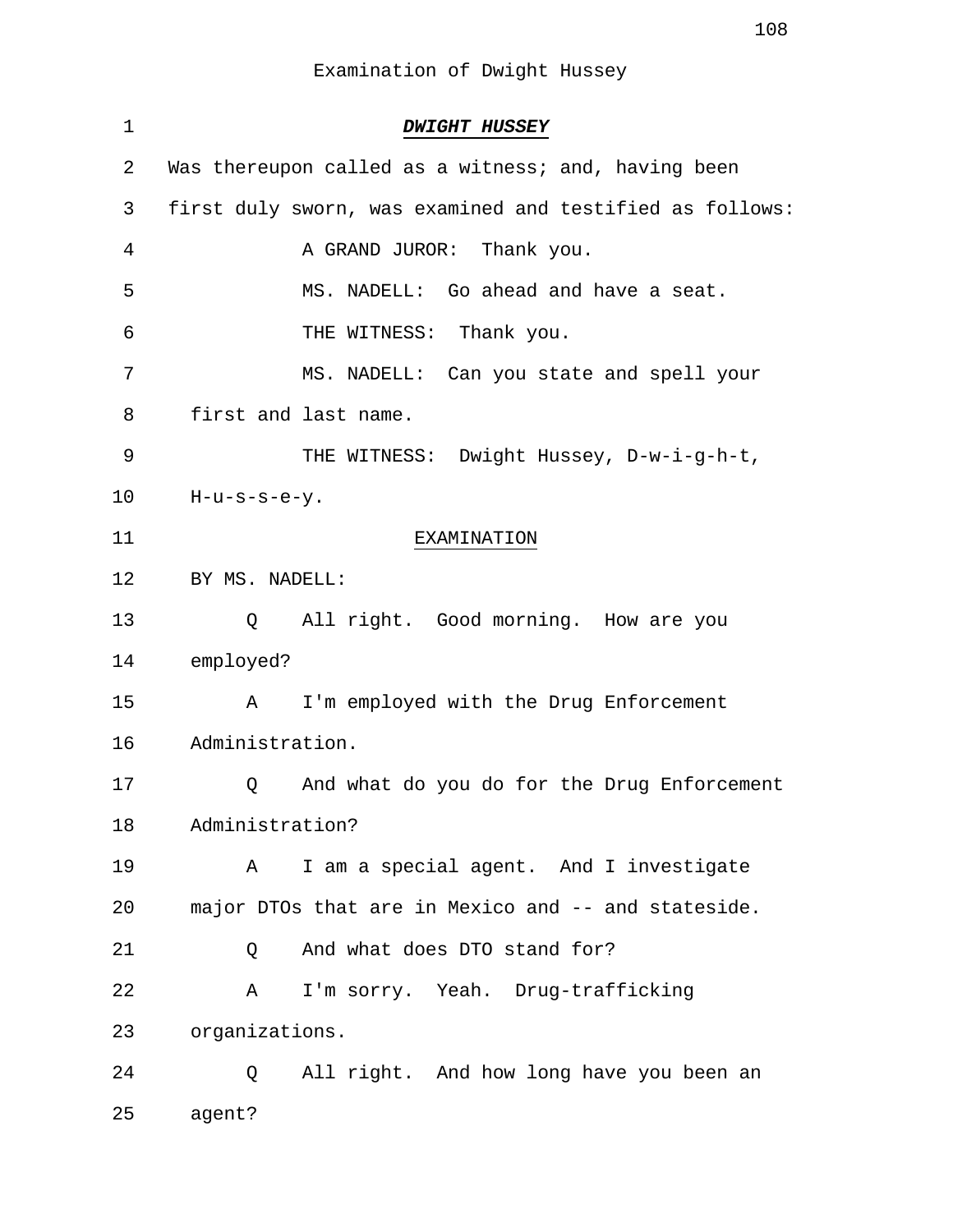Examination of Dwight Hussey

| $\mathbf 1$ | <b>DWIGHT HUSSEY</b>                                     |
|-------------|----------------------------------------------------------|
| 2           | Was thereupon called as a witness; and, having been      |
| 3           | first duly sworn, was examined and testified as follows: |
| 4           | A GRAND JUROR: Thank you.                                |
| 5           | MS. NADELL: Go ahead and have a seat.                    |
| 6           | THE WITNESS: Thank you.                                  |
| 7           | MS. NADELL: Can you state and spell your                 |
| 8           | first and last name.                                     |
| 9           | THE WITNESS: Dwight Hussey, D-w-i-g-h-t,                 |
| 10          | $H-u-s-s-e-y.$                                           |
| 11          | EXAMINATION                                              |
| 12          | BY MS. NADELL:                                           |
| 13          | All right. Good morning. How are you<br>Q                |
| 14          | employed?                                                |
| 15          | I'm employed with the Drug Enforcement<br>A              |
| 16          | Administration.                                          |
| 17          | And what do you do for the Drug Enforcement<br>Q         |
| 18          | Administration?                                          |
| 19          | I am a special agent. And I investigate<br>A             |
| 20          | major DTOs that are in Mexico and -- and stateside.      |
| 21          | And what does DTO stand for?<br>Q                        |
| 22          | I'm sorry. Yeah. Drug-trafficking<br>A                   |
| 23          | organizations.                                           |
| 24          | All right. And how long have you been an<br>Q            |
| 25          | agent?                                                   |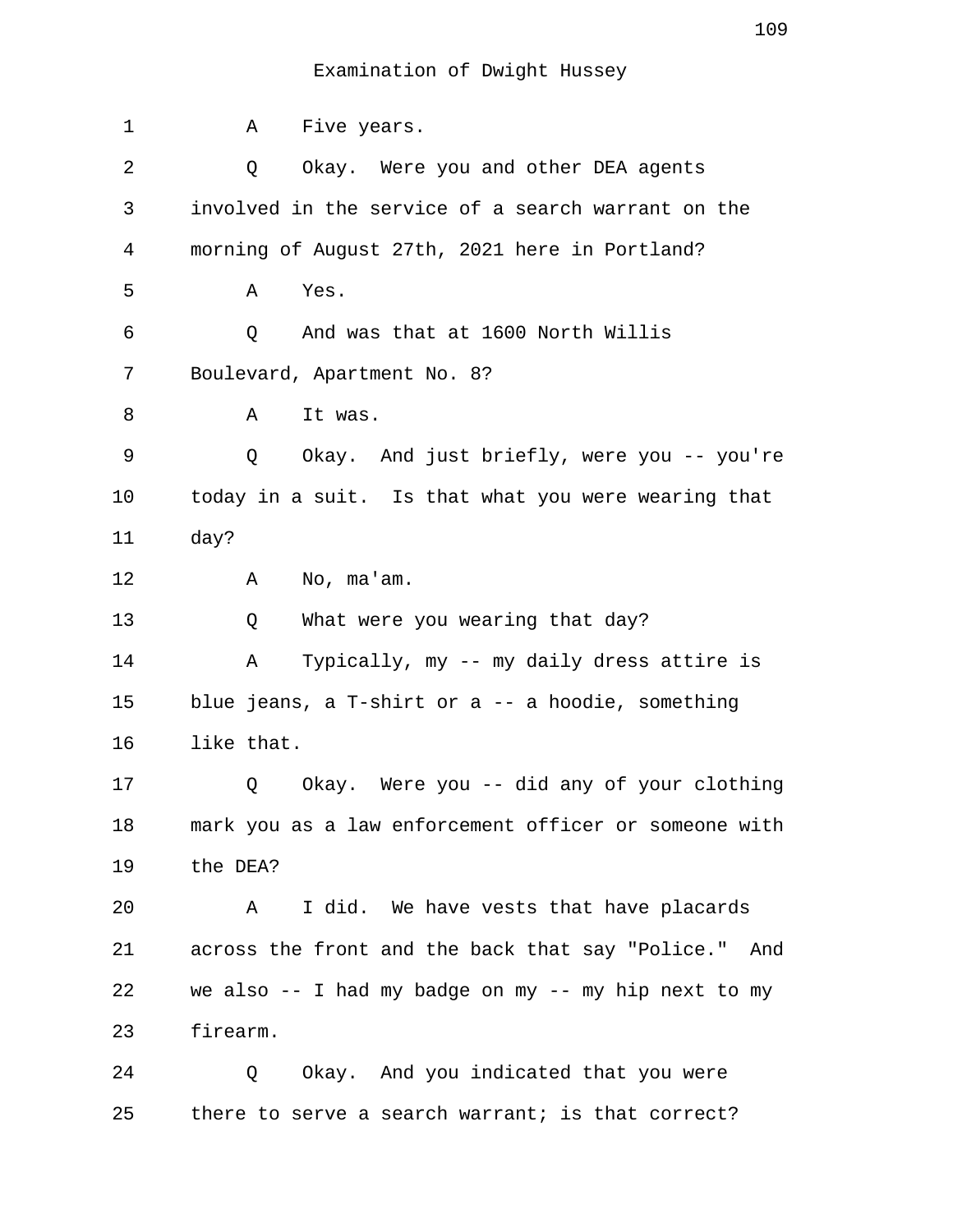| $\mathbf 1$ | Five years.<br>Α                                        |
|-------------|---------------------------------------------------------|
| 2           | Okay. Were you and other DEA agents<br>Q                |
| 3           | involved in the service of a search warrant on the      |
| 4           | morning of August 27th, 2021 here in Portland?          |
| 5           | Yes.<br>Α                                               |
| 6           | And was that at 1600 North Willis<br>Q                  |
| 7           | Boulevard, Apartment No. 8?                             |
| 8           | It was.<br>Α                                            |
| 9           | Q<br>Okay. And just briefly, were you -- you're         |
| 10          | today in a suit. Is that what you were wearing that     |
| 11          | day?                                                    |
| 12          | No, ma'am.<br>Α                                         |
| 13          | What were you wearing that day?<br>Q                    |
| 14          | Α<br>Typically, my -- my daily dress attire is          |
| 15          | blue jeans, a T-shirt or a -- a hoodie, something       |
| 16          | like that.                                              |
| 17          | Okay. Were you -- did any of your clothing<br>Q         |
| 18          | mark you as a law enforcement officer or someone with   |
| 19          | the DEA?                                                |
| 20          | I did. We have vests that have placards<br>Α            |
| 21          | across the front and the back that say "Police."<br>And |
| 22          | we also -- I had my badge on my -- my hip next to my    |
| 23          | firearm.                                                |
| 24          | Okay. And you indicated that you were<br>Q              |

25 there to serve a search warrant; is that correct?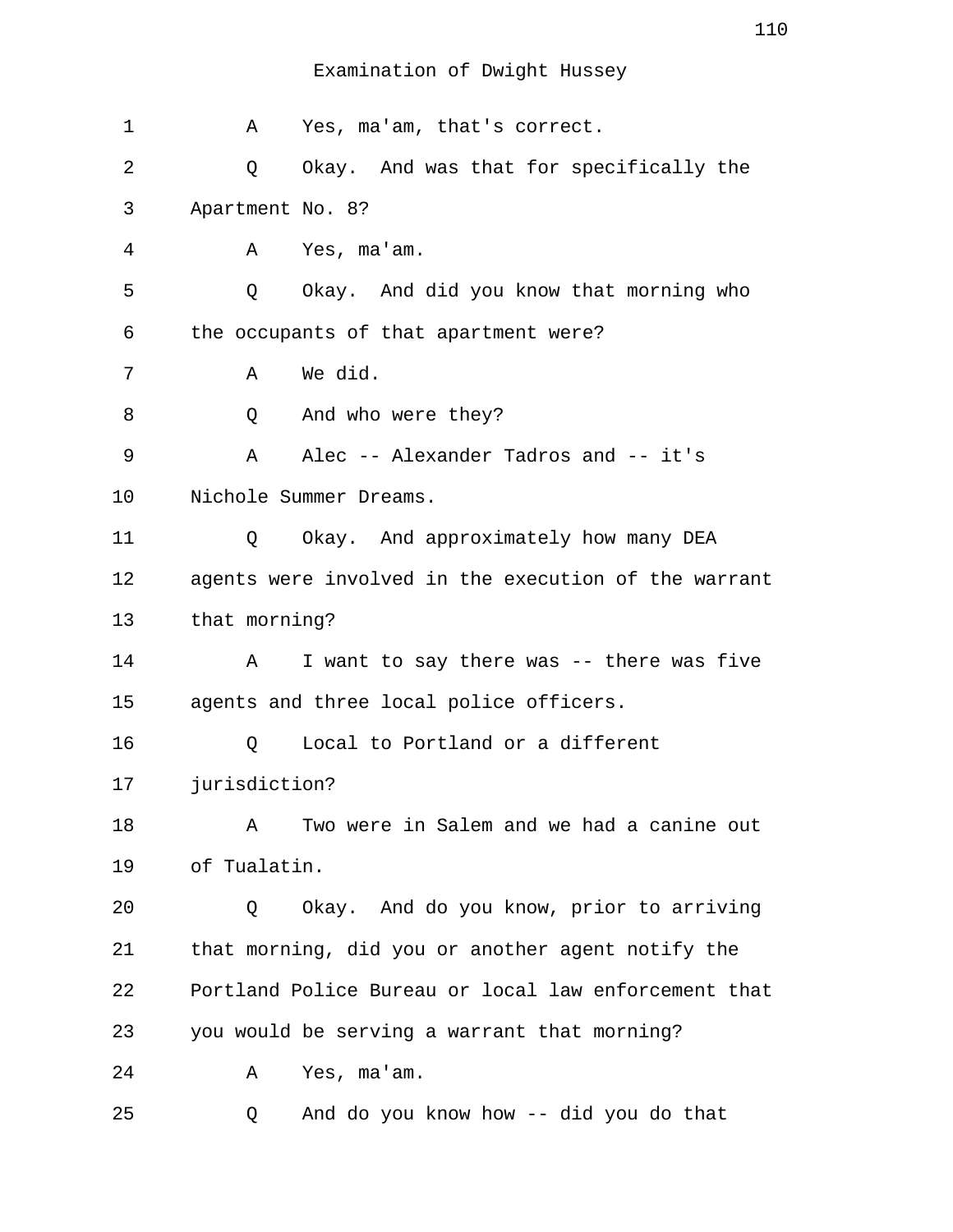| 1  | Α                | Yes, ma'am, that's correct.                          |
|----|------------------|------------------------------------------------------|
| 2  | Q                | Okay. And was that for specifically the              |
| 3  | Apartment No. 8? |                                                      |
| 4  | Α                | Yes, ma'am.                                          |
| 5  | Q                | Okay. And did you know that morning who              |
| 6  |                  | the occupants of that apartment were?                |
| 7  | Α                | We did.                                              |
| 8  | Q                | And who were they?                                   |
| 9  | A                | Alec -- Alexander Tadros and -- it's                 |
| 10 |                  | Nichole Summer Dreams.                               |
| 11 | Q                | Okay. And approximately how many DEA                 |
| 12 |                  | agents were involved in the execution of the warrant |
| 13 | that morning?    |                                                      |
| 14 | Α                | I want to say there was -- there was five            |
| 15 |                  | agents and three local police officers.              |
| 16 | Q                | Local to Portland or a different                     |
| 17 | jurisdiction?    |                                                      |
| 18 | Α                | Two were in Salem and we had a canine out            |
| 19 | of Tualatin.     |                                                      |
| 20 | Q                | Okay. And do you know, prior to arriving             |
| 21 |                  | that morning, did you or another agent notify the    |
| 22 |                  | Portland Police Bureau or local law enforcement that |
| 23 |                  | you would be serving a warrant that morning?         |
| 24 | Α                | Yes, ma'am.                                          |
| 25 | O.               | And do you know how -- did you do that               |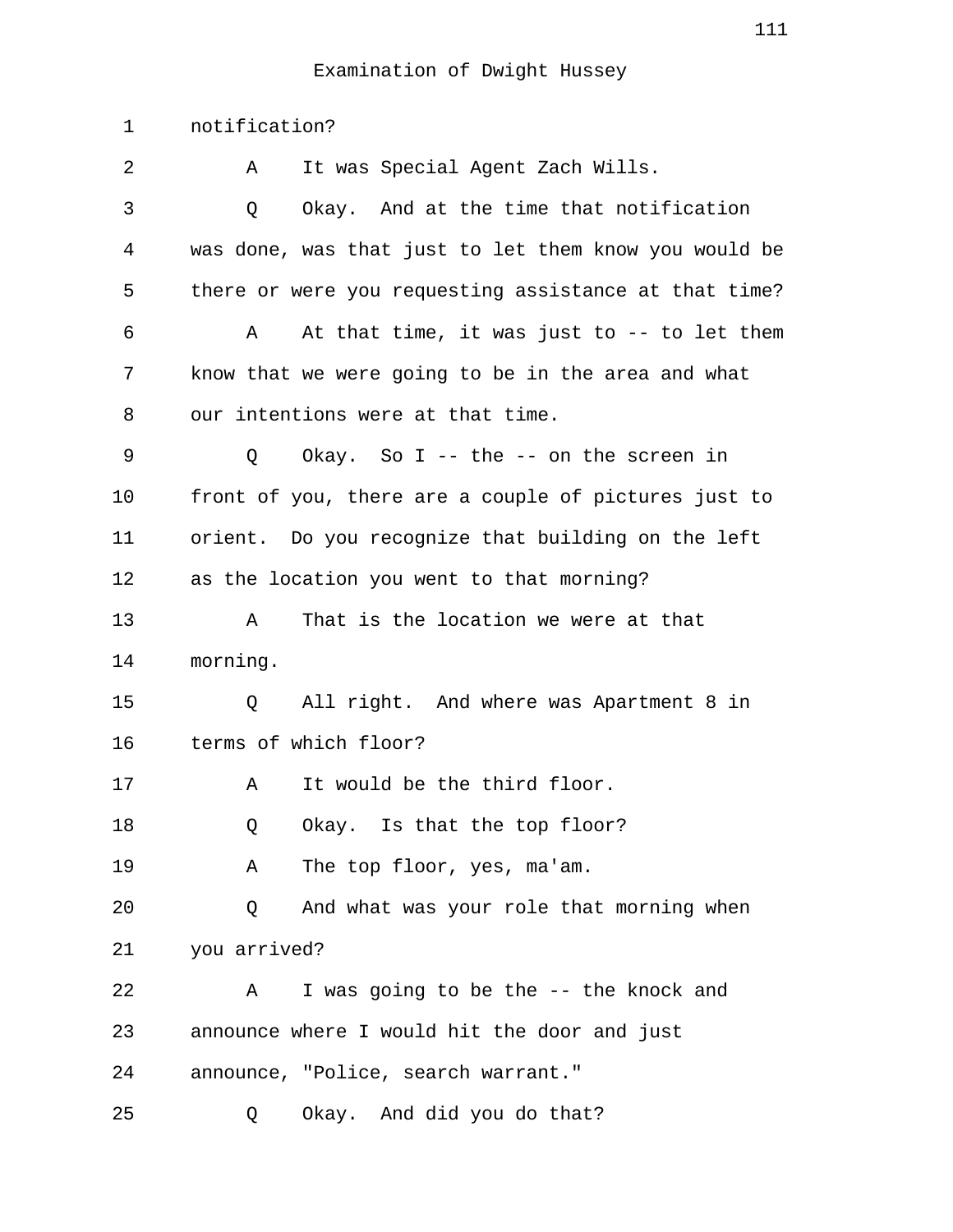1 notification? 2 A It was Special Agent Zach Wills. 3 Q Okay. And at the time that notification 4 was done, was that just to let them know you would be 5 there or were you requesting assistance at that time? 6 A At that time, it was just to -- to let them 7 know that we were going to be in the area and what 8 our intentions were at that time. 9 Q Okay. So I -- the -- on the screen in 10 front of you, there are a couple of pictures just to 11 orient. Do you recognize that building on the left 12 as the location you went to that morning? 13 A That is the location we were at that 14 morning. 15 Q All right. And where was Apartment 8 in 16 terms of which floor? 17 A It would be the third floor. 18 Q Okay. Is that the top floor? 19 A The top floor, yes, ma'am. 20 Q And what was your role that morning when 21 you arrived? 22 A I was going to be the -- the knock and 23 announce where I would hit the door and just 24 announce, "Police, search warrant." 25 Q Okay. And did you do that?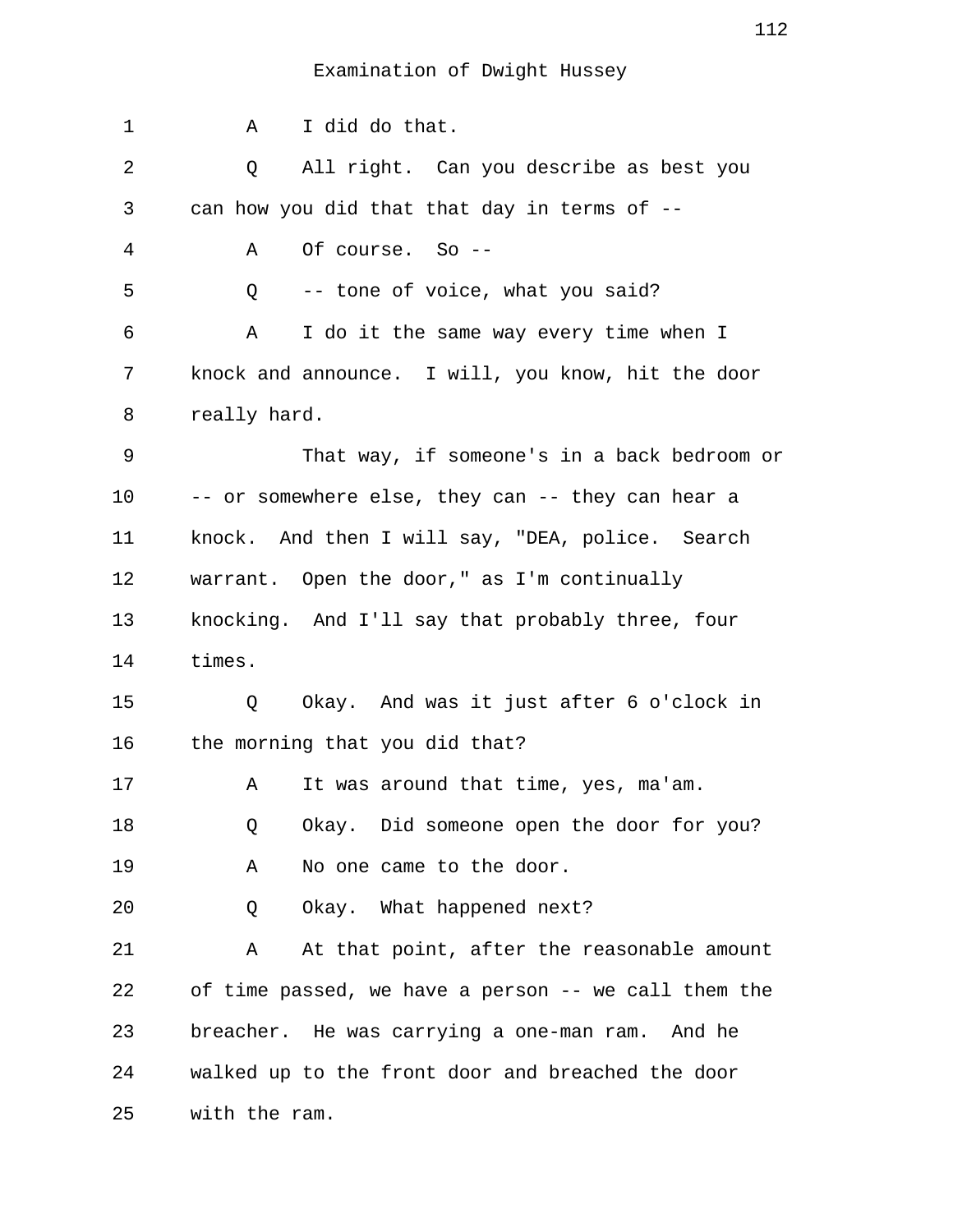| 1  | I did do that.<br>A                                  |
|----|------------------------------------------------------|
| 2  | All right. Can you describe as best you<br>Q         |
| 3  | can how you did that that day in terms of --         |
| 4  | Of course. So --<br>Α                                |
| 5  | -- tone of voice, what you said?<br>Q                |
| 6  | Α<br>I do it the same way every time when I          |
| 7  | knock and announce. I will, you know, hit the door   |
| 8  | really hard.                                         |
| 9  | That way, if someone's in a back bedroom or          |
| 10 | -- or somewhere else, they can -- they can hear a    |
| 11 | knock. And then I will say, "DEA, police. Search     |
| 12 | warrant. Open the door," as I'm continually          |
| 13 | knocking. And I'll say that probably three, four     |
| 14 | times.                                               |
| 15 | Okay. And was it just after 6 o'clock in<br>Q        |
| 16 | the morning that you did that?                       |
| 17 | It was around that time, yes, ma'am.<br>Α            |
| 18 | Okay. Did someone open the door for you?<br>Q        |
| 19 | No one came to the door.<br>Α                        |
| 20 | Okay. What happened next?<br>Q                       |
| 21 | At that point, after the reasonable amount<br>Α      |
| 22 | of time passed, we have a person -- we call them the |
| 23 | breacher. He was carrying a one-man ram. And he      |
| 24 | walked up to the front door and breached the door    |
| 25 | with the ram.                                        |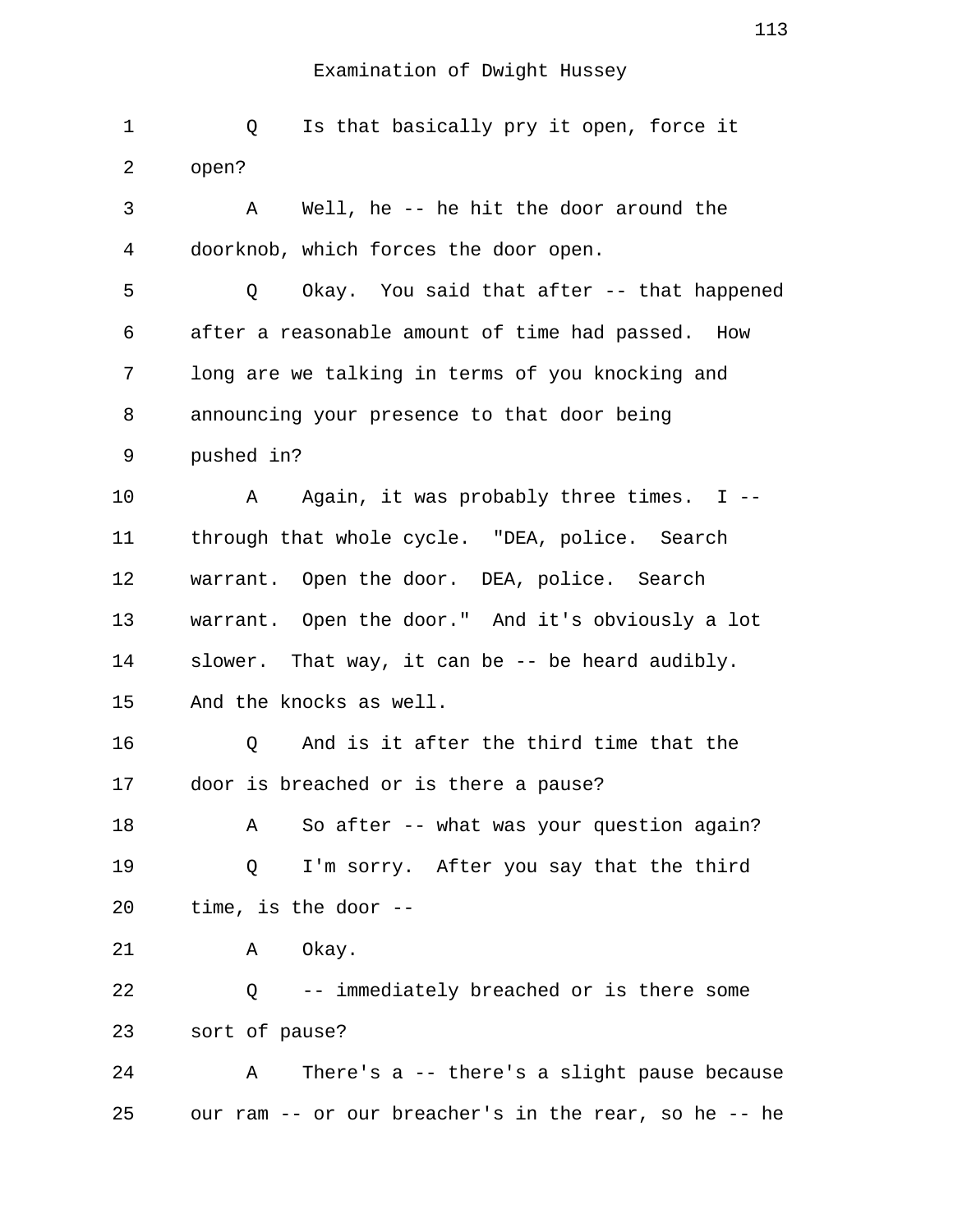| 1  | Is that basically pry it open, force it<br>Q          |
|----|-------------------------------------------------------|
| 2  | open?                                                 |
| 3  | Well, he -- he hit the door around the<br>Α           |
| 4  | doorknob, which forces the door open.                 |
| 5  | Okay. You said that after -- that happened<br>Q       |
| 6  | after a reasonable amount of time had passed. How     |
| 7  | long are we talking in terms of you knocking and      |
| 8  | announcing your presence to that door being           |
| 9  | pushed in?                                            |
| 10 | Again, it was probably three times. $I$ --<br>A       |
| 11 | through that whole cycle. "DEA, police. Search        |
| 12 | warrant. Open the door. DEA, police. Search           |
| 13 | warrant. Open the door." And it's obviously a lot     |
| 14 | slower. That way, it can be -- be heard audibly.      |
| 15 | And the knocks as well.                               |
| 16 | And is it after the third time that the<br>Q          |
| 17 | door is breached or is there a pause?                 |
| 18 | So after -- what was your question again?<br>Α        |
| 19 | I'm sorry. After you say that the third<br>Q          |
| 20 | time, is the door --                                  |
| 21 | Okay.<br>Α                                            |
| 22 | -- immediately breached or is there some<br>Q         |
| 23 | sort of pause?                                        |
| 24 | There's a -- there's a slight pause because<br>Α      |
| 25 | our ram -- or our breacher's in the rear, so he -- he |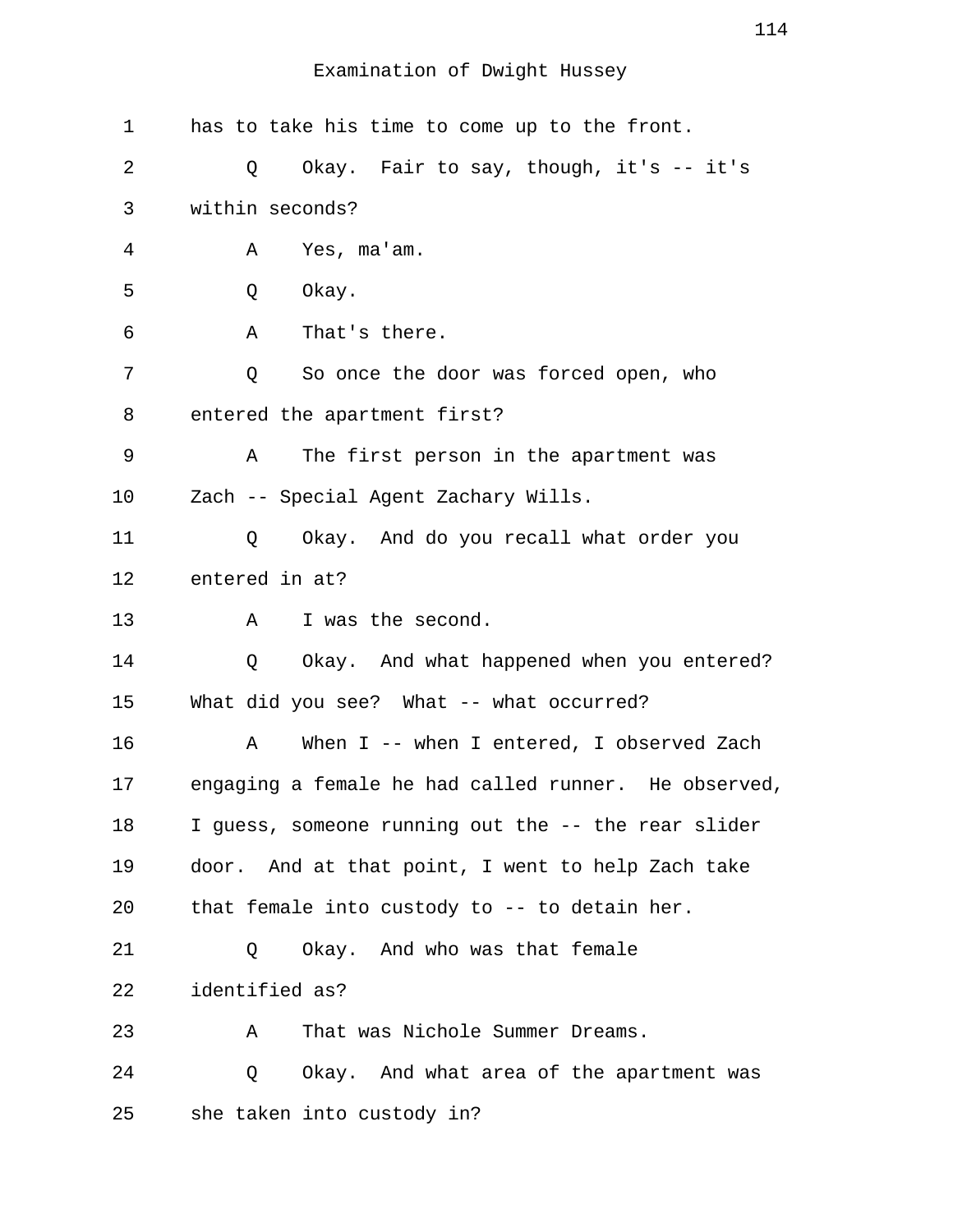| 1  | has to take his time to come up to the front.        |
|----|------------------------------------------------------|
| 2  | Okay. Fair to say, though, it's -- it's<br>Q         |
| 3  | within seconds?                                      |
| 4  | Yes, ma'am.<br>Α                                     |
| 5  | Okay.<br>Q                                           |
| 6  | That's there.<br>Α                                   |
| 7  | So once the door was forced open, who<br>Q           |
| 8  | entered the apartment first?                         |
| 9  | The first person in the apartment was<br>Α           |
| 10 | Zach -- Special Agent Zachary Wills.                 |
| 11 | Okay. And do you recall what order you<br>Q          |
| 12 | entered in at?                                       |
| 13 | I was the second.<br>Α                               |
| 14 | Okay. And what happened when you entered?<br>Q       |
| 15 | What did you see? What -- what occurred?             |
| 16 | When I -- when I entered, I observed Zach<br>Α       |
| 17 | engaging a female he had called runner. He observed, |
| 18 | I guess, someone running out the -- the rear slider  |
| 19 | door. And at that point, I went to help Zach take    |
| 20 | that female into custody to -- to detain her.        |
| 21 | Okay. And who was that female<br>Q                   |
| 22 | identified as?                                       |
| 23 | That was Nichole Summer Dreams.<br>Α                 |
| 24 | Okay. And what area of the apartment was<br>Q        |
| 25 | she taken into custody in?                           |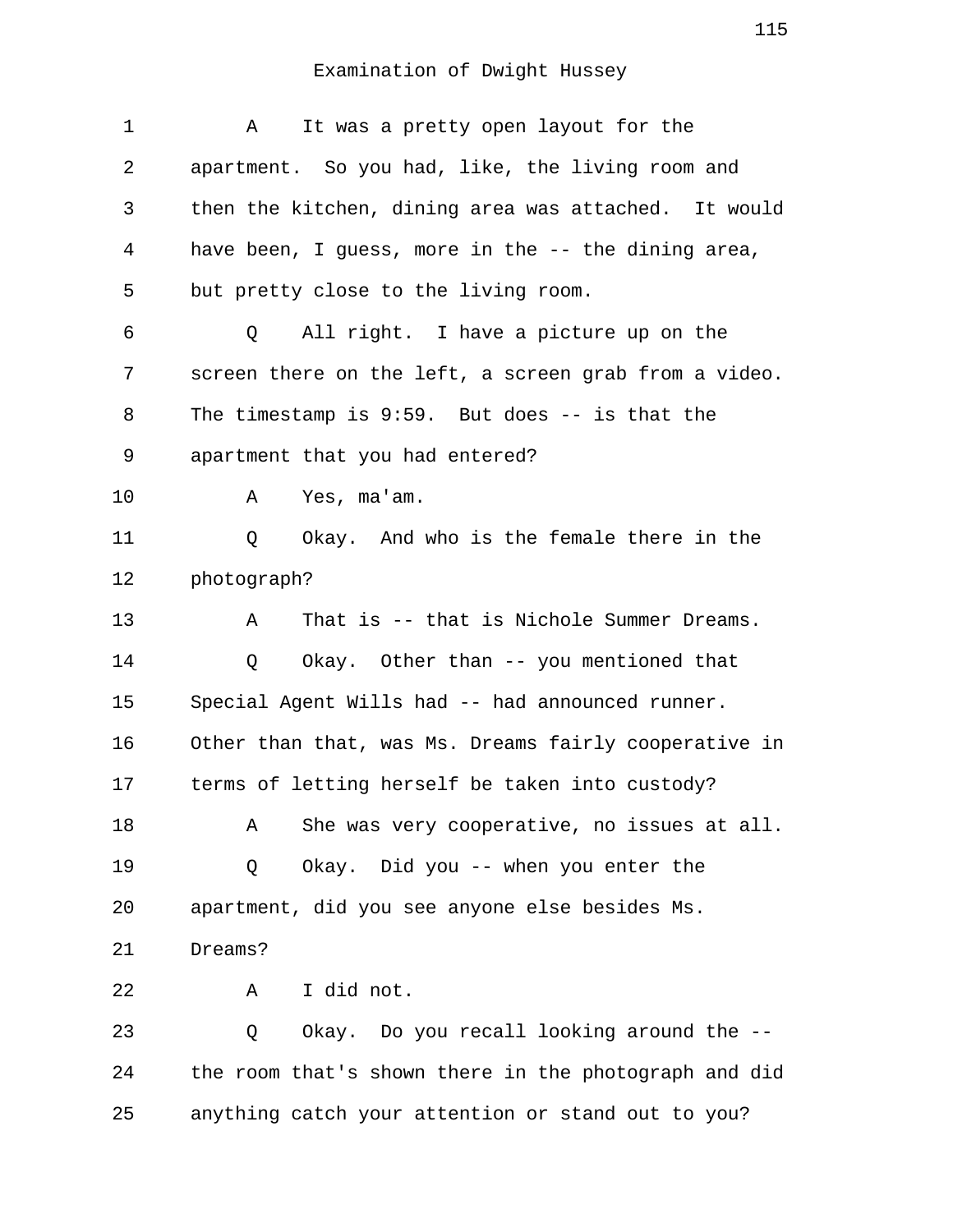| $\mathbf 1$ | It was a pretty open layout for the<br>Α              |
|-------------|-------------------------------------------------------|
| 2           | apartment. So you had, like, the living room and      |
| 3           | then the kitchen, dining area was attached. It would  |
| 4           | have been, I guess, more in the -- the dining area,   |
| 5           | but pretty close to the living room.                  |
| 6           | All right. I have a picture up on the<br>Q            |
| 7           | screen there on the left, a screen grab from a video. |
| 8           | The timestamp is $9:59$ . But does $-$ is that the    |
| 9           | apartment that you had entered?                       |
| 10          | Yes, ma'am.<br>A                                      |
| 11          | Okay. And who is the female there in the<br>Q         |
| 12          | photograph?                                           |
| 13          | That is -- that is Nichole Summer Dreams.<br>Α        |
| 14          | Okay. Other than -- you mentioned that<br>Q           |
| 15          | Special Agent Wills had -- had announced runner.      |
| 16          | Other than that, was Ms. Dreams fairly cooperative in |
| 17          | terms of letting herself be taken into custody?       |
| 18          | She was very cooperative, no issues at all.<br>Α      |
| 19          | Okay. Did you -- when you enter the<br>Q              |
| 20          | apartment, did you see anyone else besides Ms.        |
| 21          | Dreams?                                               |
| 22          | I did not.<br>Α                                       |
| 23          | Okay. Do you recall looking around the --<br>Q        |
| 24          | the room that's shown there in the photograph and did |
| 25          | anything catch your attention or stand out to you?    |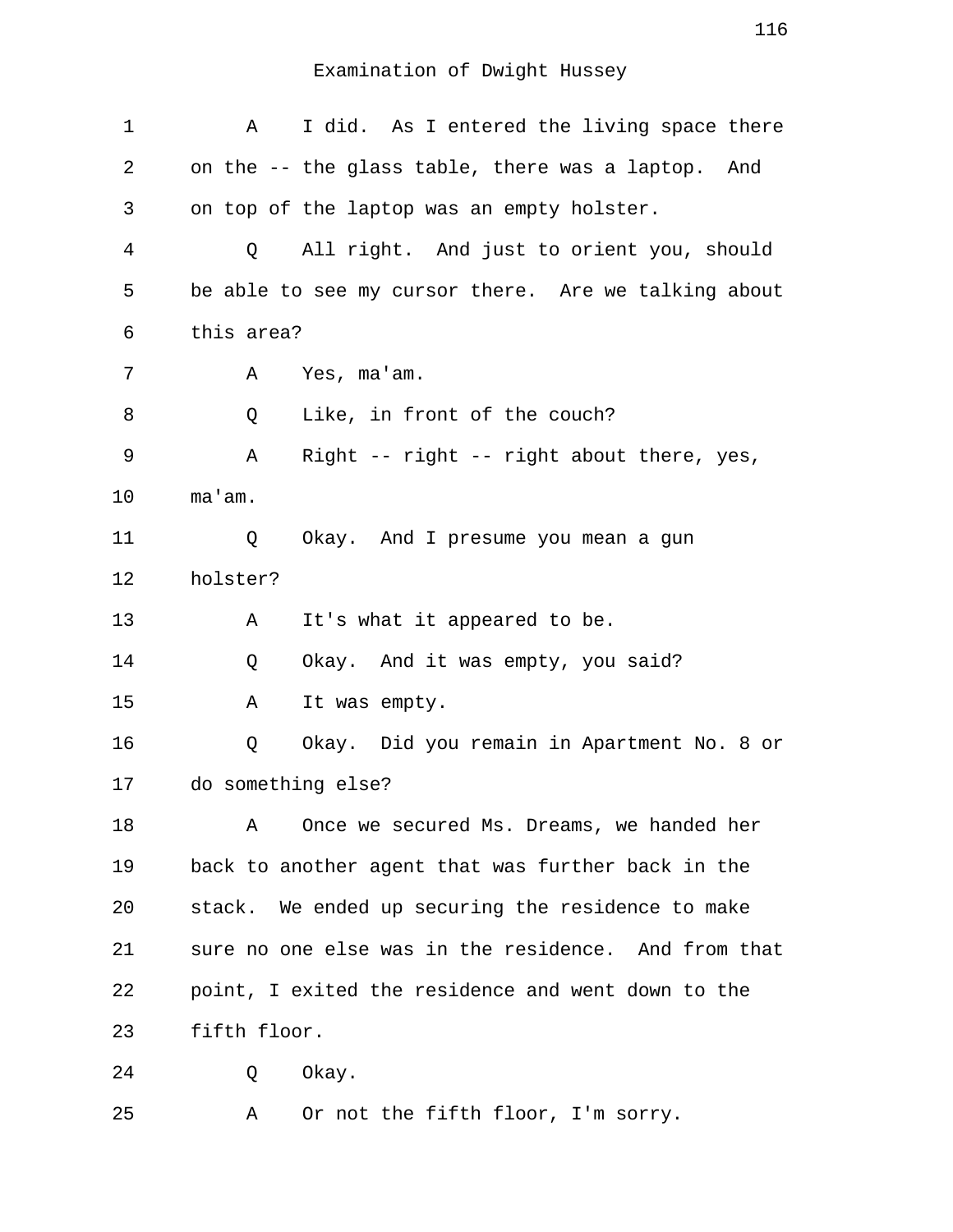| 1  | I did. As I entered the living space there<br>Α       |
|----|-------------------------------------------------------|
| 2  | on the -- the glass table, there was a laptop.<br>And |
| 3  | on top of the laptop was an empty holster.            |
| 4  | All right. And just to orient you, should<br>Q        |
| 5  | be able to see my cursor there. Are we talking about  |
| 6  | this area?                                            |
| 7  | Yes, ma'am.<br>Α                                      |
| 8  | Like, in front of the couch?<br>Q                     |
| 9  | Right -- right -- right about there, yes,<br>Α        |
| 10 | ma'am.                                                |
| 11 | Okay. And I presume you mean a gun<br>Q               |
| 12 | holster?                                              |
| 13 | It's what it appeared to be.<br>Α                     |
| 14 | Okay. And it was empty, you said?<br>Q                |
| 15 | It was empty.<br>Α                                    |
| 16 | Okay. Did you remain in Apartment No. 8 or<br>Q       |
| 17 | do something else?                                    |
| 18 | Once we secured Ms. Dreams, we handed her<br>Α        |
| 19 | back to another agent that was further back in the    |
| 20 | stack. We ended up securing the residence to make     |
| 21 | sure no one else was in the residence. And from that  |
| 22 | point, I exited the residence and went down to the    |
| 23 | fifth floor.                                          |
| 24 | Okay.<br>Q                                            |
| 25 | Or not the fifth floor, I'm sorry.<br>Α               |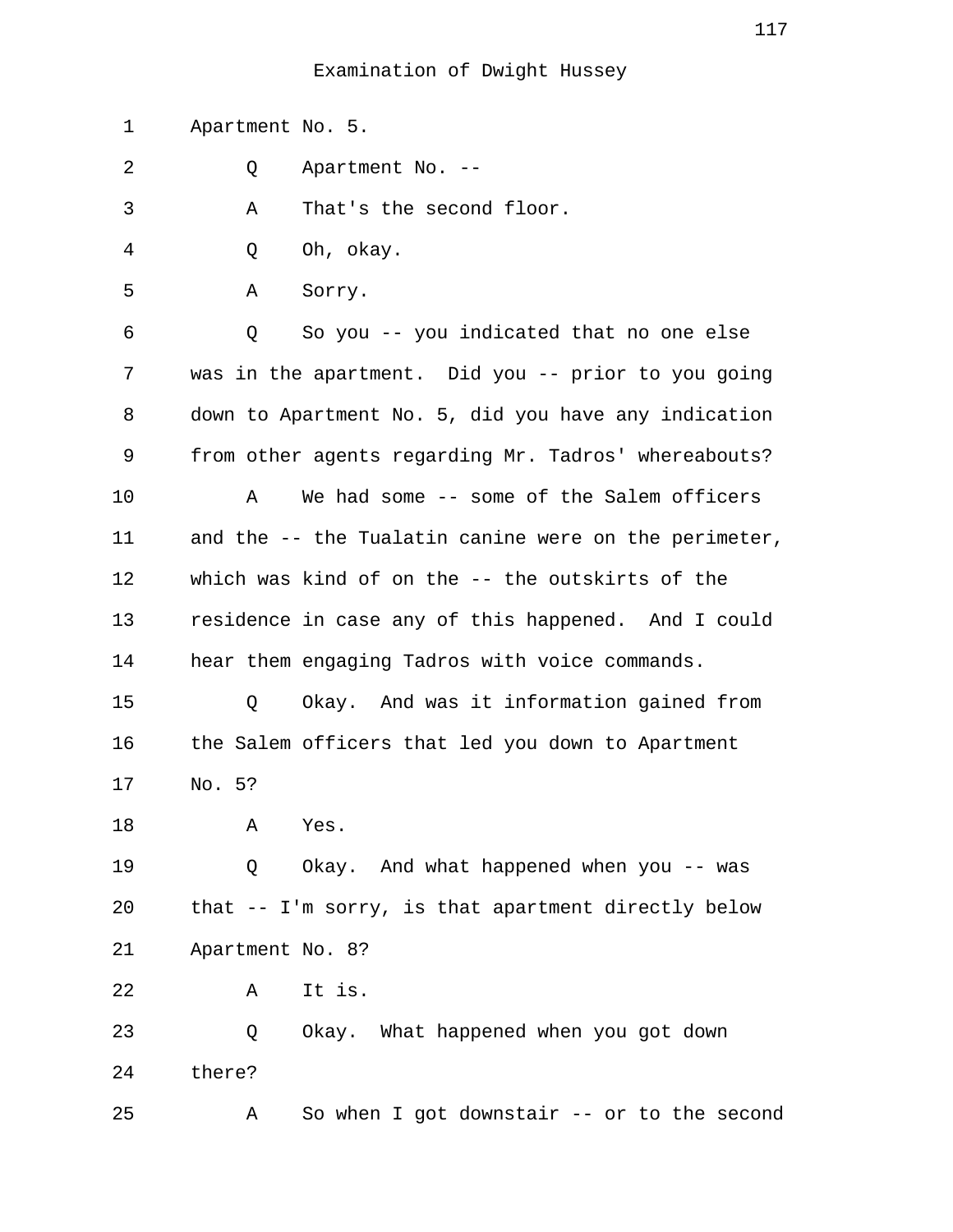1 Apartment No. 5.

2 Q Apartment No. --

3 A That's the second floor.

- 4 Q Oh, okay.
- 5 A Sorry.

 6 Q So you -- you indicated that no one else 7 was in the apartment. Did you -- prior to you going 8 down to Apartment No. 5, did you have any indication 9 from other agents regarding Mr. Tadros' whereabouts? 10 A We had some -- some of the Salem officers 11 and the -- the Tualatin canine were on the perimeter, 12 which was kind of on the -- the outskirts of the 13 residence in case any of this happened. And I could 14 hear them engaging Tadros with voice commands.

15 Q Okay. And was it information gained from 16 the Salem officers that led you down to Apartment 17 No. 5?

18 A Yes.

19 Q Okay. And what happened when you -- was 20 that -- I'm sorry, is that apartment directly below 21 Apartment No. 8?

22 A It is.

23 Q Okay. What happened when you got down 24 there?

25 A So when I got downstair -- or to the second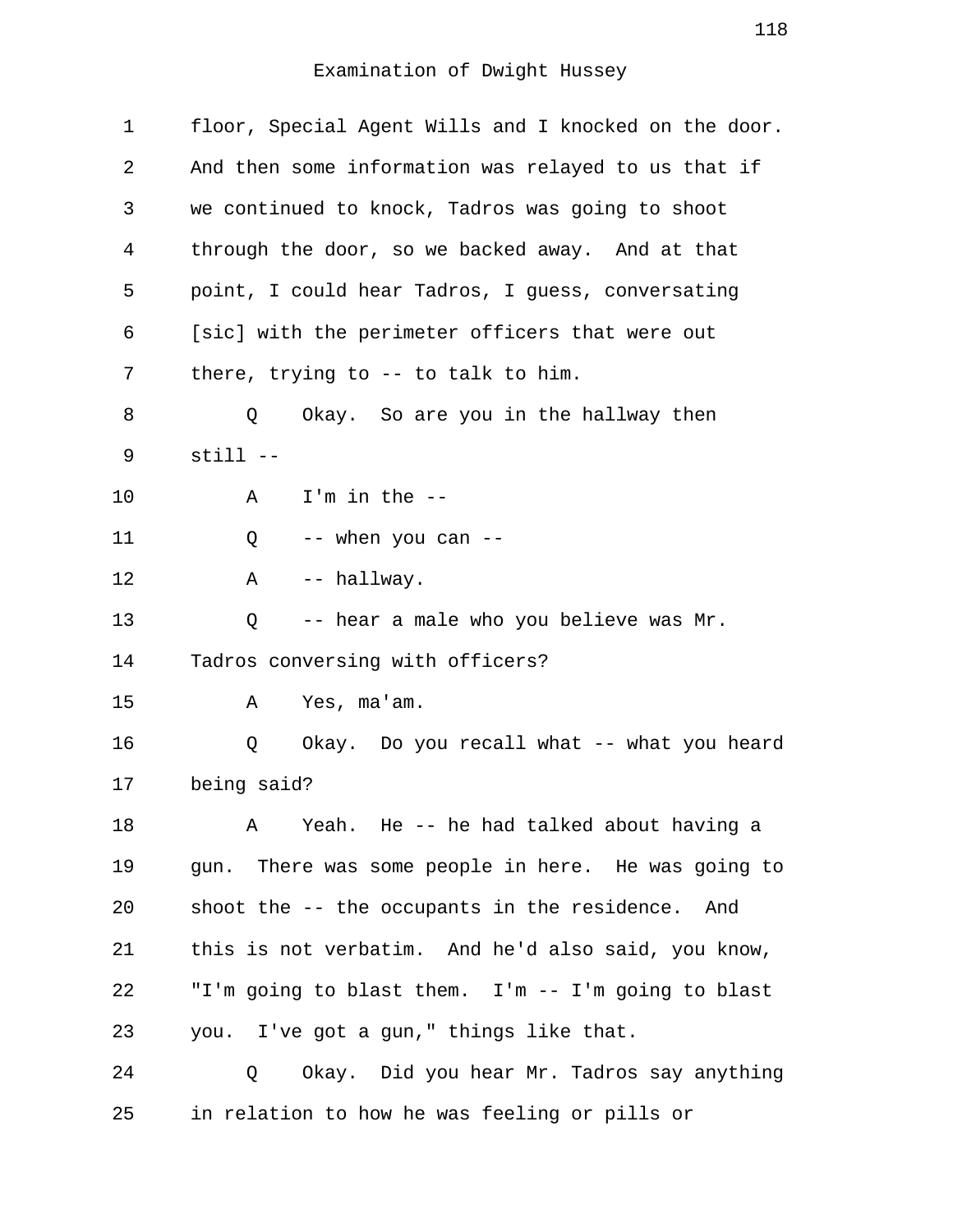| $\mathbf 1$ | floor, Special Agent Wills and I knocked on the door.   |
|-------------|---------------------------------------------------------|
| 2           | And then some information was relayed to us that if     |
| 3           | we continued to knock, Tadros was going to shoot        |
| 4           | through the door, so we backed away. And at that        |
| 5           | point, I could hear Tadros, I guess, conversating       |
| 6           | [sic] with the perimeter officers that were out         |
| 7           | there, trying to $-$ to talk to him.                    |
| 8           | Okay. So are you in the hallway then<br>Q               |
| 9           | $still --$                                              |
| 10          | $I'm$ in the $-$ -<br>Α                                 |
| 11          | -- when you can --<br>Q                                 |
| 12          | -- hallway.<br>Α                                        |
| 13          | -- hear a male who you believe was Mr.<br>Q             |
| 14          | Tadros conversing with officers?                        |
| 15          | Yes, ma'am.<br>Α                                        |
| 16          | Okay. Do you recall what -- what you heard<br>Q         |
| 17          | being said?                                             |
| 18          | Yeah. He -- he had talked about having a<br>$\mathbb A$ |
| 19          | gun. There was some people in here. He was going to     |
| 20          | shoot the -- the occupants in the residence. And        |
| 21          | this is not verbatim. And he'd also said, you know,     |
| 22          | "I'm going to blast them. I'm -- I'm going to blast     |
| 23          | you. I've got a gun," things like that.                 |
| 24          | Okay. Did you hear Mr. Tadros say anything<br>Q         |
| 25          | in relation to how he was feeling or pills or           |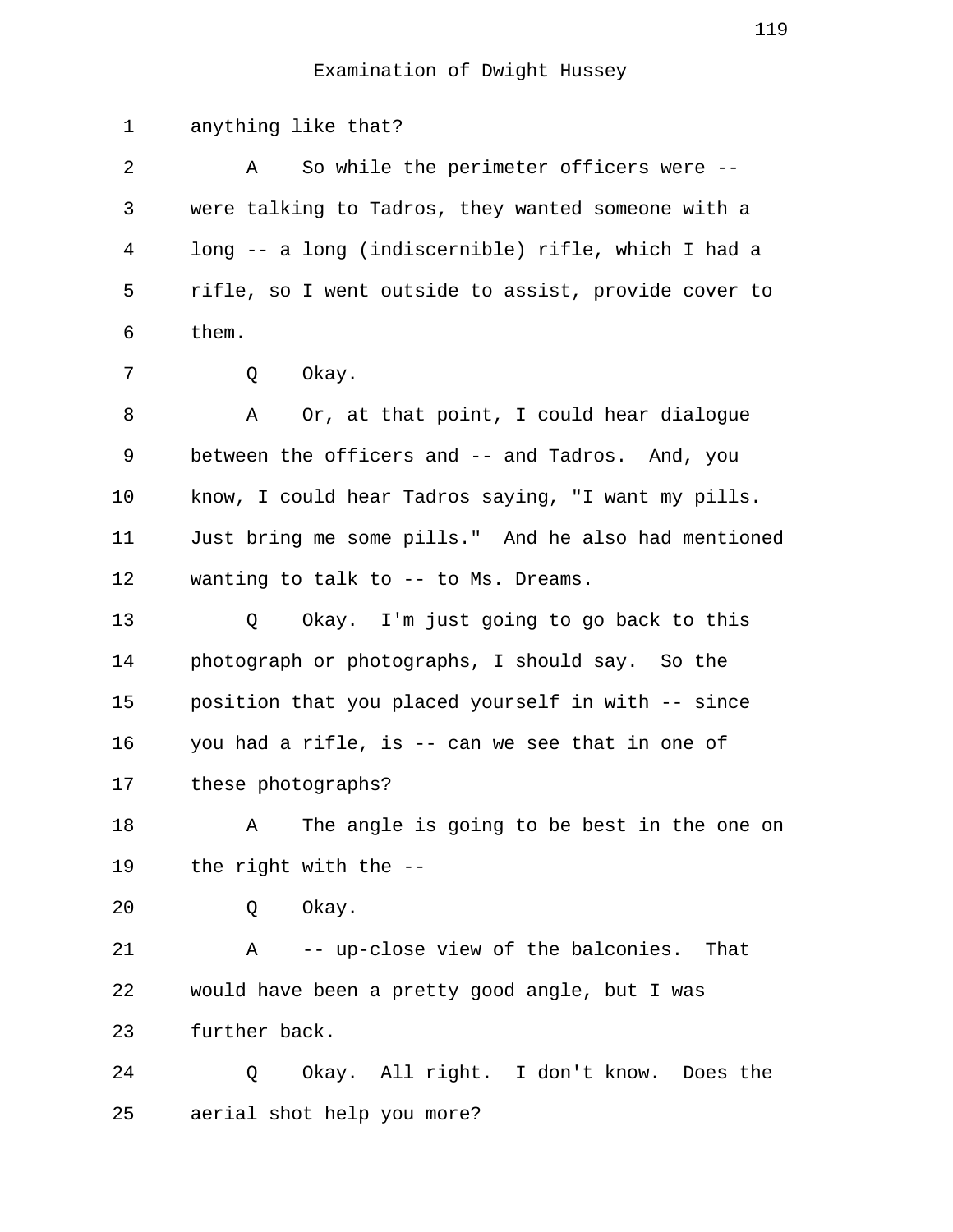1 anything like that? 2 A So while the perimeter officers were -- 3 were talking to Tadros, they wanted someone with a 4 long -- a long (indiscernible) rifle, which I had a 5 rifle, so I went outside to assist, provide cover to 6 them. 7 0 Okay. 8 A Or, at that point, I could hear dialogue 9 between the officers and -- and Tadros. And, you 10 know, I could hear Tadros saying, "I want my pills. 11 Just bring me some pills." And he also had mentioned 12 wanting to talk to -- to Ms. Dreams. 13 Q Okay. I'm just going to go back to this 14 photograph or photographs, I should say. So the 15 position that you placed yourself in with -- since 16 you had a rifle, is -- can we see that in one of 17 these photographs? 18 A The angle is going to be best in the one on 19 the right with the -- 20 Q Okay. 21 A -- up-close view of the balconies. That 22 would have been a pretty good angle, but I was 23 further back. 24 Q Okay. All right. I don't know. Does the 25 aerial shot help you more?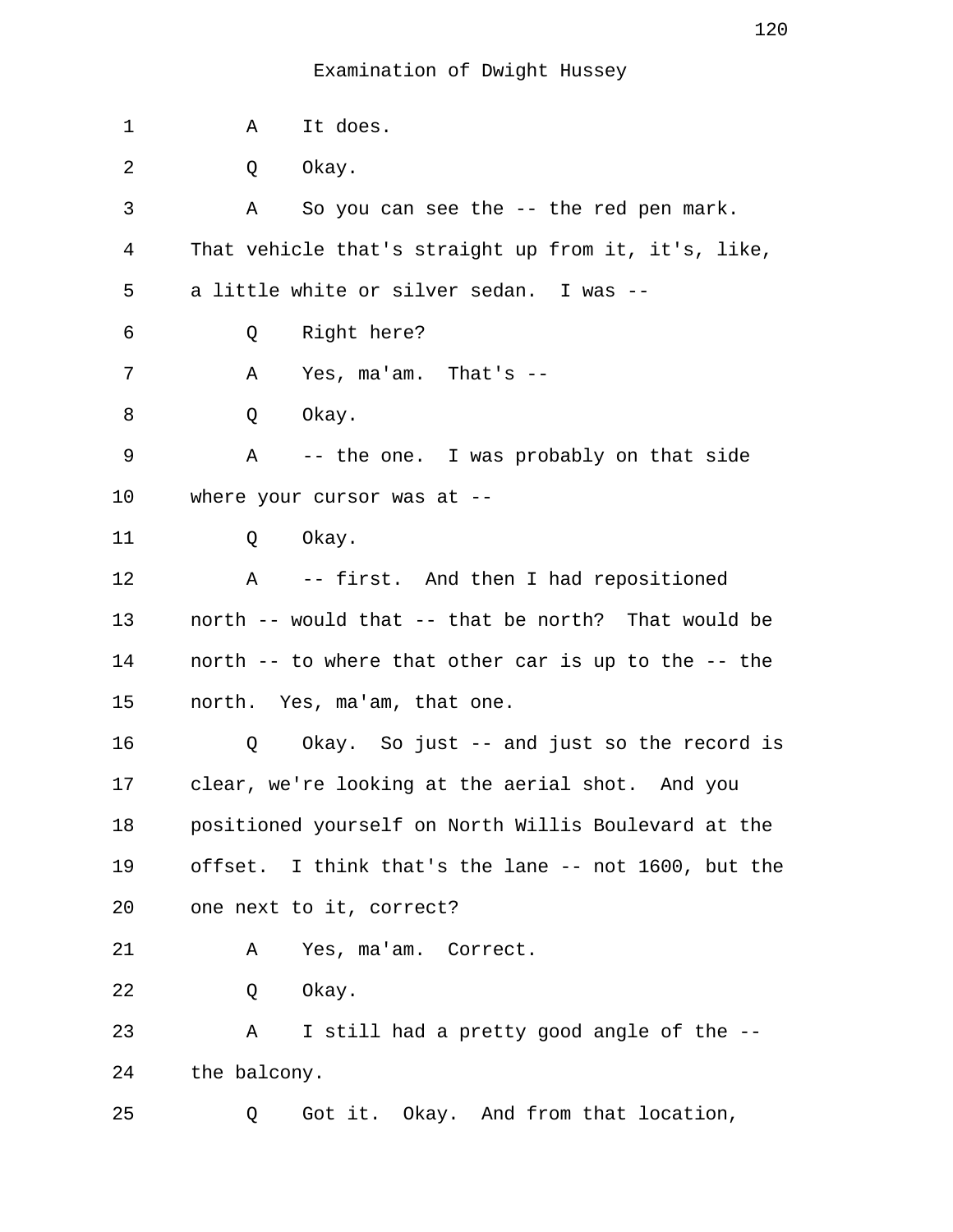| 1  | It does.<br>Α                                           |
|----|---------------------------------------------------------|
| 2  | Okay.<br>Q                                              |
| 3  | So you can see the -- the red pen mark.<br>A            |
| 4  | That vehicle that's straight up from it, it's, like,    |
| 5  | a little white or silver sedan. I was --                |
| 6  | Right here?<br>Q                                        |
| 7  | Yes, $ma'am.$ That's $-$<br>Α                           |
| 8  | Q<br>Okay.                                              |
| 9  | Α<br>-- the one. I was probably on that side            |
| 10 | where your cursor was at $-$ -                          |
| 11 | Okay.<br>Q                                              |
| 12 | A -- first. And then I had repositioned                 |
| 13 | north -- would that -- that be north? That would be     |
| 14 | north -- to where that other car is up to the -- the    |
| 15 | north. Yes, ma'am, that one.                            |
| 16 | Okay. So just -- and just so the record is<br>Q         |
| 17 | clear, we're looking at the aerial shot. And you        |
| 18 | positioned yourself on North Willis Boulevard at the    |
| 19 | I think that's the lane -- not 1600, but the<br>offset. |
| 20 | one next to it, correct?                                |
| 21 | Yes, ma'am. Correct.<br>Α                               |
| 22 | Okay.<br>Q                                              |
| 23 | I still had a pretty good angle of the --<br>Α          |
| 24 | the balcony.                                            |
| 25 | Got it. Okay. And from that location,<br>Q              |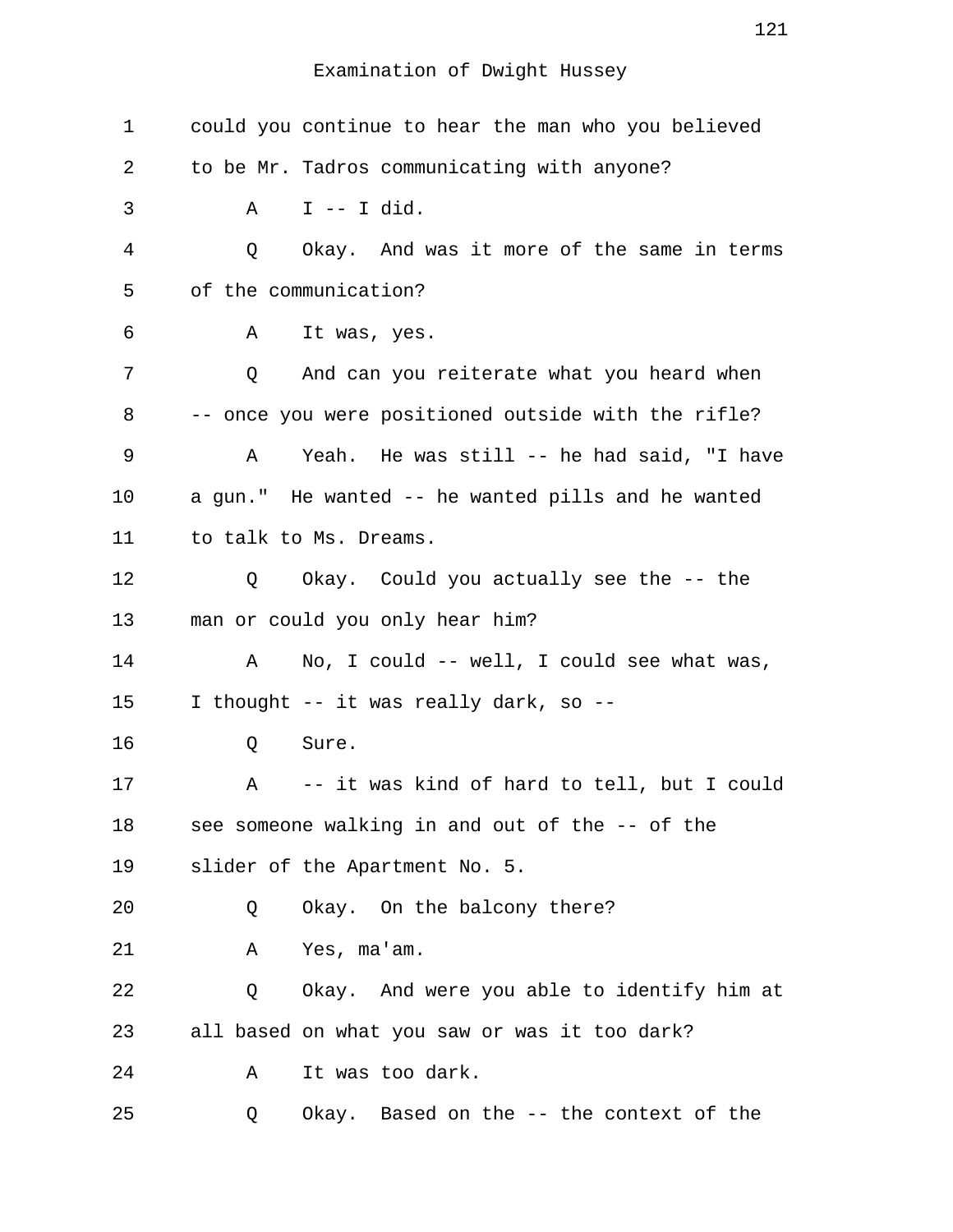| 1  | could you continue to hear the man who you believed |
|----|-----------------------------------------------------|
| 2  | to be Mr. Tadros communicating with anyone?         |
| 3  | $I$ -- I did.<br>Α                                  |
| 4  | Okay. And was it more of the same in terms<br>Q     |
| 5  | of the communication?                               |
| 6  | It was, yes.<br>Α                                   |
| 7  | And can you reiterate what you heard when<br>Q      |
| 8  | -- once you were positioned outside with the rifle? |
| 9  | Yeah. He was still -- he had said, "I have<br>Α     |
| 10 | a gun." He wanted -- he wanted pills and he wanted  |
| 11 | to talk to Ms. Dreams.                              |
| 12 | Okay. Could you actually see the -- the<br>Q        |
| 13 | man or could you only hear him?                     |
| 14 | No, I could -- well, I could see what was,<br>Α     |
| 15 | I thought -- it was really dark, so --              |
| 16 | Q<br>Sure.                                          |
| 17 | A<br>-- it was kind of hard to tell, but I could    |
| 18 | see someone walking in and out of the -- of the     |
| 19 | slider of the Apartment No. 5.                      |
| 20 | Okay. On the balcony there?<br>Q                    |
| 21 | Yes, ma'am.<br>Α                                    |
| 22 | Okay. And were you able to identify him at<br>Q     |
| 23 | all based on what you saw or was it too dark?       |
| 24 | It was too dark.<br>Α                               |
| 25 | Okay. Based on the -- the context of the<br>Q       |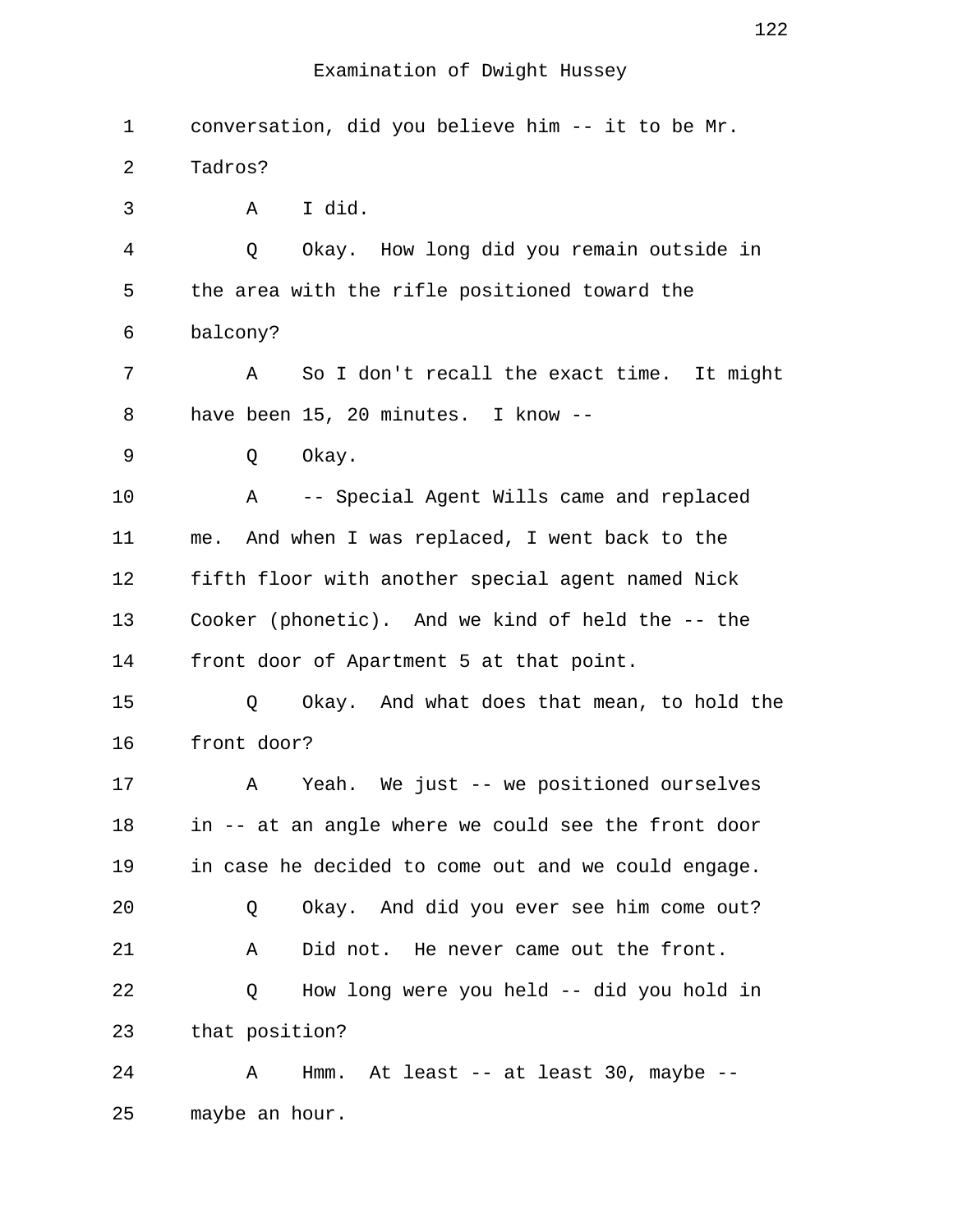| 1  | conversation, did you believe him -- it to be Mr.   |
|----|-----------------------------------------------------|
| 2  | Tadros?                                             |
|    |                                                     |
| 3  | I did.<br>A                                         |
| 4  | Okay. How long did you remain outside in<br>Q       |
| 5  | the area with the rifle positioned toward the       |
| 6  | balcony?                                            |
| 7  | So I don't recall the exact time. It might<br>Α     |
| 8  | have been 15, 20 minutes. I know --                 |
| 9  | Okay.<br>Q                                          |
| 10 | -- Special Agent Wills came and replaced<br>Α       |
| 11 | me. And when I was replaced, I went back to the     |
| 12 | fifth floor with another special agent named Nick   |
| 13 | Cooker (phonetic). And we kind of held the -- the   |
| 14 | front door of Apartment 5 at that point.            |
| 15 | Okay. And what does that mean, to hold the<br>Q     |
| 16 | front door?                                         |
| 17 | Yeah. We just -- we positioned ourselves<br>A       |
| 18 | in -- at an angle where we could see the front door |
| 19 | in case he decided to come out and we could engage. |
| 20 | Okay. And did you ever see him come out?<br>Q       |
| 21 | Did not. He never came out the front.<br>Α          |
| 22 | How long were you held -- did you hold in<br>Q      |
| 23 | that position?                                      |
| 24 | Hmm. At least $--$ at least 30, maybe $--$<br>Α     |
| 25 | maybe an hour.                                      |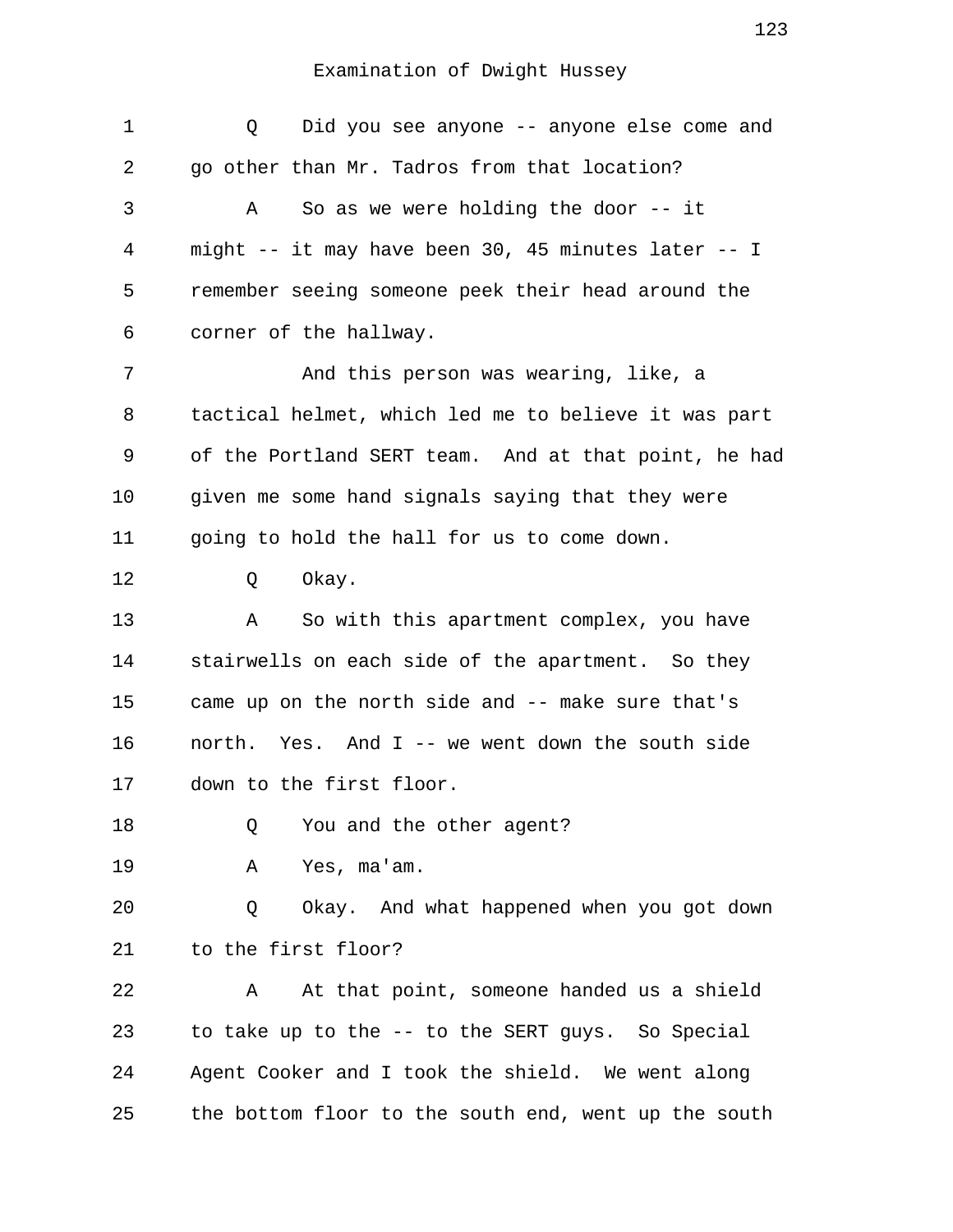| 1  | Did you see anyone -- anyone else come and<br>Q         |
|----|---------------------------------------------------------|
| 2  | go other than Mr. Tadros from that location?            |
| 3  | So as we were holding the door $-$ - it<br>A            |
| 4  | might $--$ it may have been 30, 45 minutes later $--$ I |
| 5  | remember seeing someone peek their head around the      |
| 6  | corner of the hallway.                                  |
| 7  | And this person was wearing, like, a                    |
| 8  | tactical helmet, which led me to believe it was part    |
| 9  | of the Portland SERT team. And at that point, he had    |
| 10 | given me some hand signals saying that they were        |
| 11 | going to hold the hall for us to come down.             |
| 12 | Okay.<br>Q                                              |
| 13 | So with this apartment complex, you have<br>Α           |
| 14 | stairwells on each side of the apartment. So they       |
| 15 | came up on the north side and -- make sure that's       |
| 16 | north. Yes. And I -- we went down the south side        |
| 17 | down to the first floor.                                |
| 18 | You and the other agent?<br>Q                           |
| 19 | Yes, ma'am.<br>Α                                        |
| 20 | Okay. And what happened when you got down<br>Q          |
| 21 | to the first floor?                                     |
| 22 | At that point, someone handed us a shield<br>Α          |
| 23 | to take up to the -- to the SERT guys. So Special       |
| 24 | Agent Cooker and I took the shield. We went along       |
| 25 | the bottom floor to the south end, went up the south    |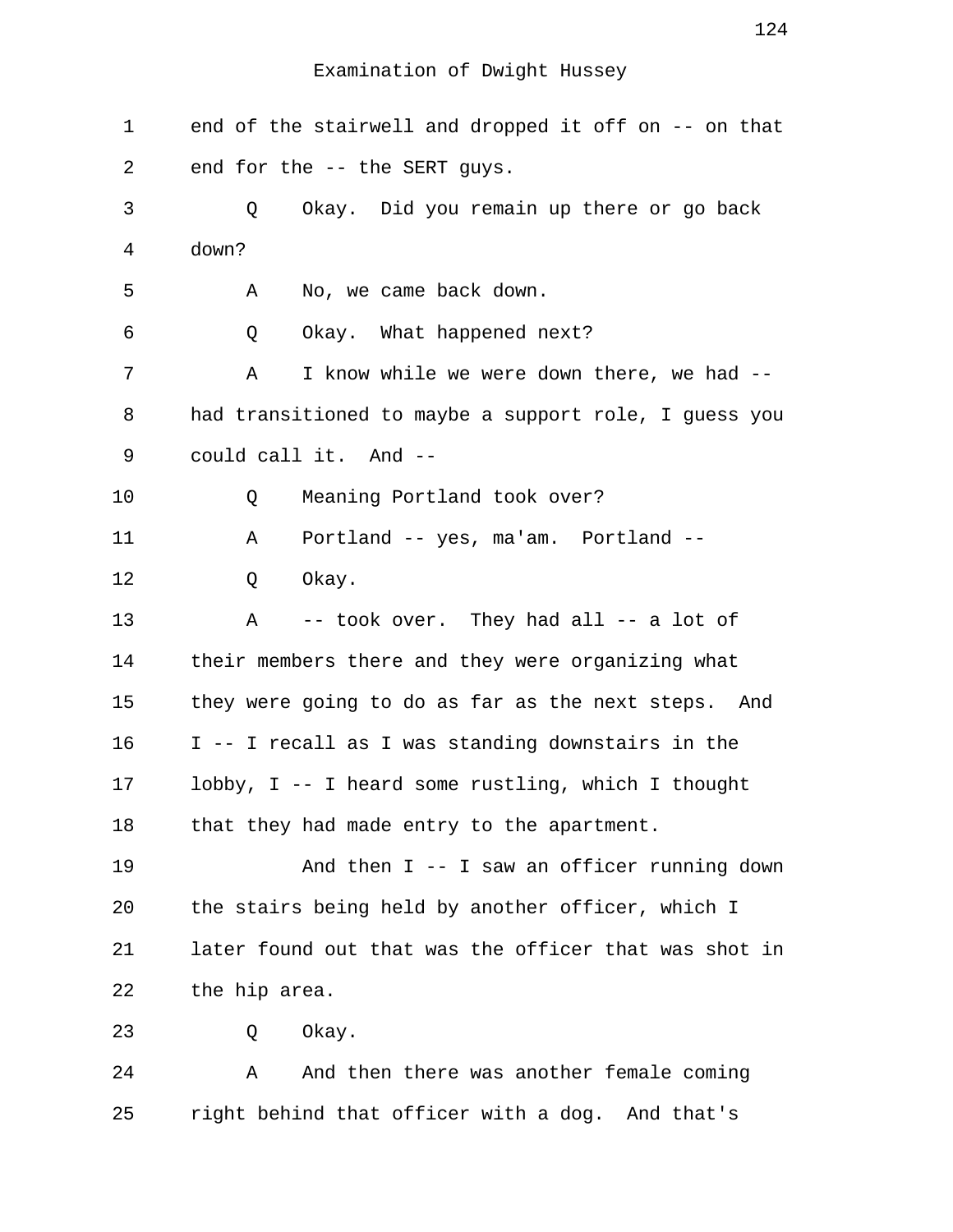1 end of the stairwell and dropped it off on -- on that 2 end for the -- the SERT guys. 3 Q Okay. Did you remain up there or go back 4 down? 5 A No, we came back down. 6 Q Okay. What happened next? 7 A I know while we were down there, we had -- 8 had transitioned to maybe a support role, I guess you 9 could call it. And -- 10 Q Meaning Portland took over? 11 A Portland -- yes, ma'am. Portland -- 12 Q Okay. 13 A -- took over. They had all -- a lot of 14 their members there and they were organizing what 15 they were going to do as far as the next steps. And 16 I -- I recall as I was standing downstairs in the 17 lobby, I -- I heard some rustling, which I thought 18 that they had made entry to the apartment. 19 And then I -- I saw an officer running down 20 the stairs being held by another officer, which I 21 later found out that was the officer that was shot in 22 the hip area. 23 O Okay. 24 A And then there was another female coming 25 right behind that officer with a dog. And that's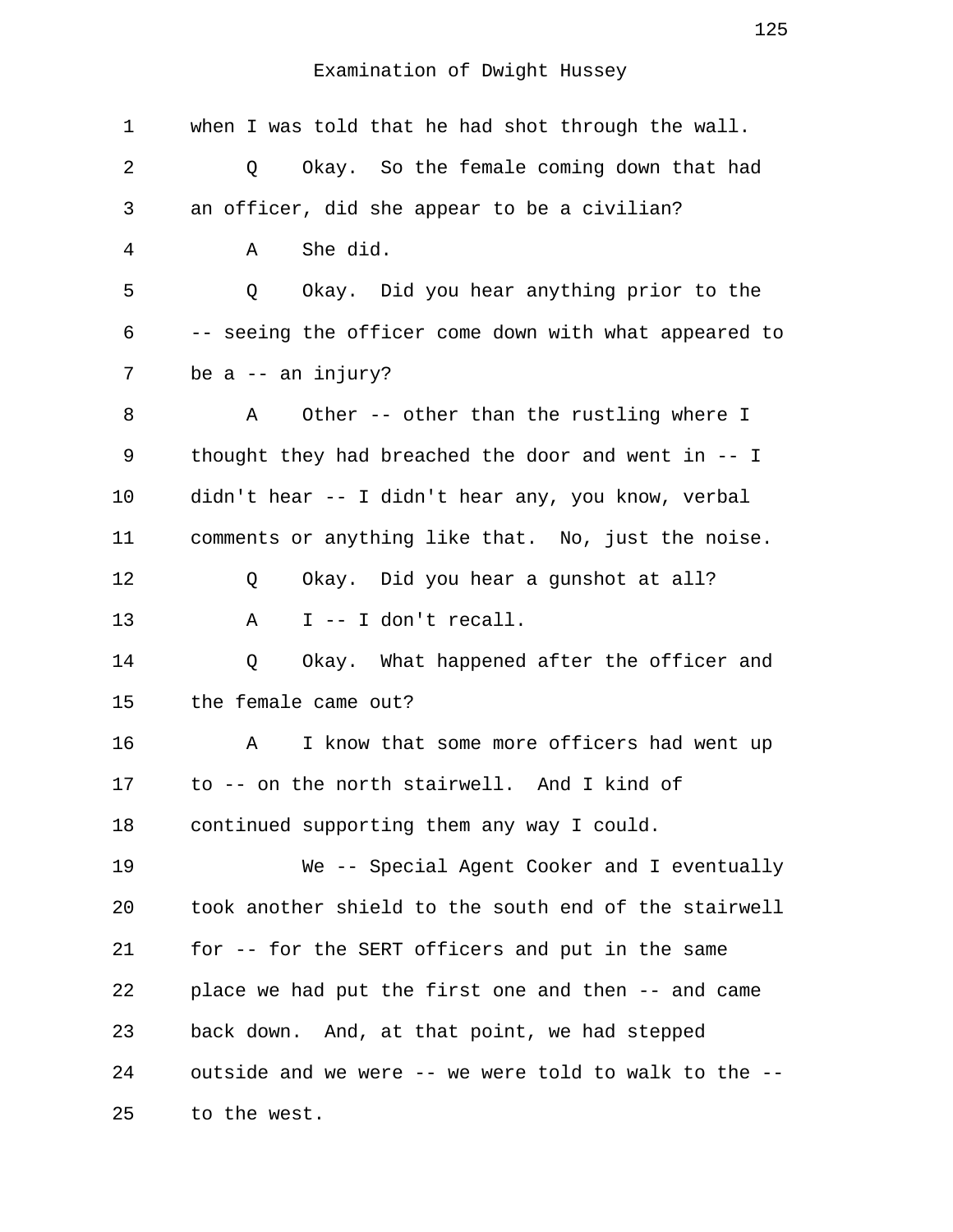| 1  | when I was told that he had shot through the wall.     |
|----|--------------------------------------------------------|
| 2  | Okay. So the female coming down that had<br>Q          |
| 3  | an officer, did she appear to be a civilian?           |
| 4  | She did.<br>Α                                          |
| 5  | Okay. Did you hear anything prior to the<br>Q          |
| 6  | -- seeing the officer come down with what appeared to  |
| 7  | be $a$ -- an injury?                                   |
| 8  | Other -- other than the rustling where I<br>Α          |
| 9  | thought they had breached the door and went in $-$ - I |
| 10 | didn't hear -- I didn't hear any, you know, verbal     |
| 11 | comments or anything like that. No, just the noise.    |
| 12 | Okay. Did you hear a gunshot at all?<br>Q              |
| 13 | I -- I don't recall.<br>Α                              |
| 14 | Q<br>Okay. What happened after the officer and         |
| 15 | the female came out?                                   |
| 16 | I know that some more officers had went up<br>Α        |
| 17 | to -- on the north stairwell. And I kind of            |
| 18 | continued supporting them any way I could.             |
| 19 | We -- Special Agent Cooker and I eventually            |
| 20 | took another shield to the south end of the stairwell  |
| 21 | for -- for the SERT officers and put in the same       |
| 22 | place we had put the first one and then -- and came    |
| 23 | back down. And, at that point, we had stepped          |
| 24 | outside and we were -- we were told to walk to the --  |
| 25 | to the west.                                           |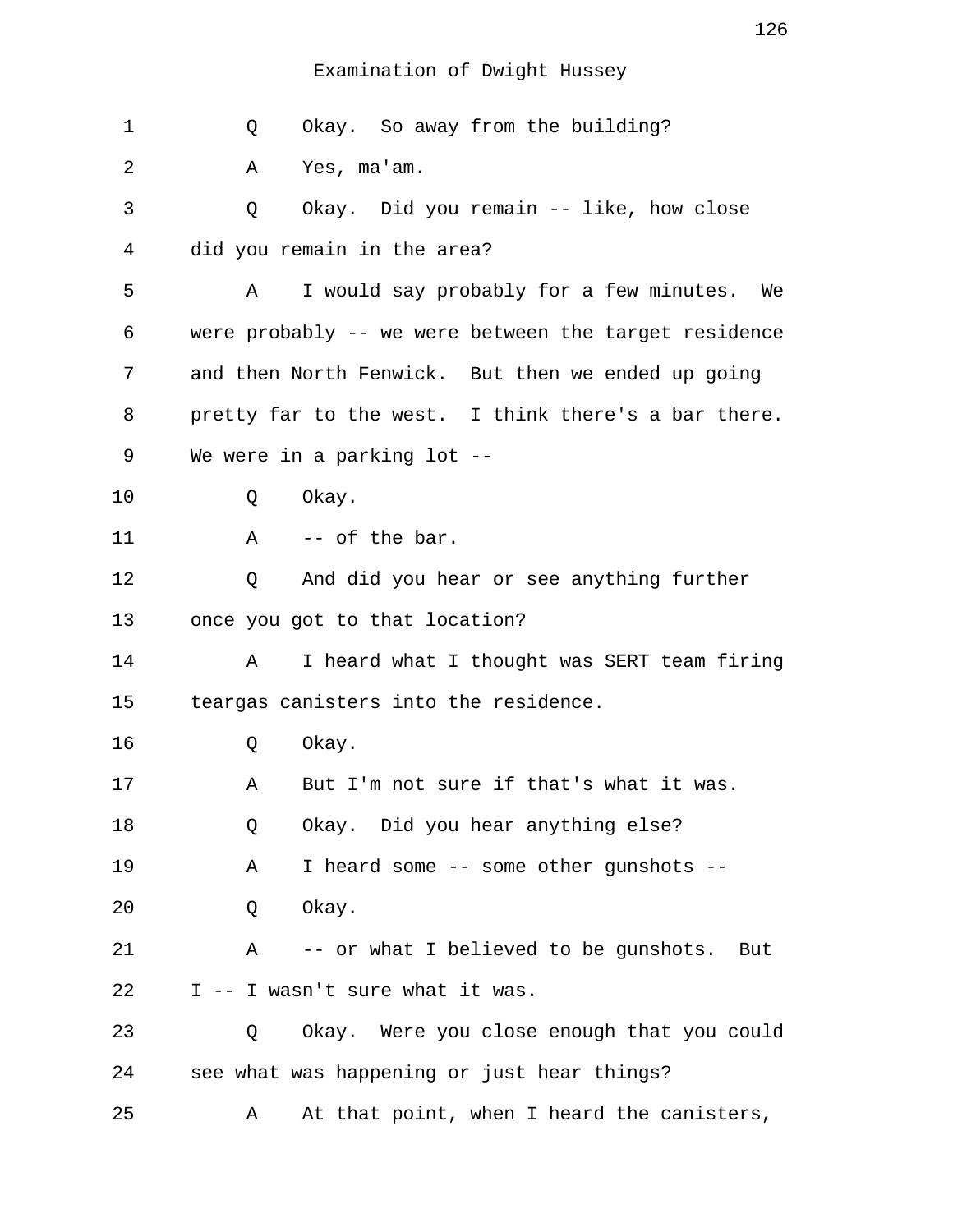| 1  | Okay. So away from the building?<br>Q                 |
|----|-------------------------------------------------------|
| 2  | Yes, ma'am.<br>Α                                      |
| 3  | Okay. Did you remain -- like, how close<br>Q          |
| 4  | did you remain in the area?                           |
| 5  | I would say probably for a few minutes. We<br>Α       |
| 6  | were probably -- we were between the target residence |
| 7  | and then North Fenwick. But then we ended up going    |
| 8  | pretty far to the west. I think there's a bar there.  |
| 9  | We were in a parking lot --                           |
| 10 | Okay.<br>Q                                            |
| 11 | -- of the bar.<br>$\mathbf{A}$                        |
| 12 | And did you hear or see anything further<br>Q         |
| 13 | once you got to that location?                        |
| 14 | I heard what I thought was SERT team firing<br>Α      |
| 15 | teargas canisters into the residence.                 |
| 16 | Okay.<br>Q                                            |
| 17 | But I'm not sure if that's what it was.<br>Α          |
| 18 | Okay. Did you hear anything else?<br>Q                |
| 19 | I heard some -- some other gunshots --<br>Α           |
| 20 | Okay.<br>Q                                            |
| 21 | -- or what I believed to be gunshots. But<br>Α        |
| 22 | I -- I wasn't sure what it was.                       |
| 23 | Okay. Were you close enough that you could<br>Q       |
| 24 | see what was happening or just hear things?           |
| 25 | At that point, when I heard the canisters,<br>Α       |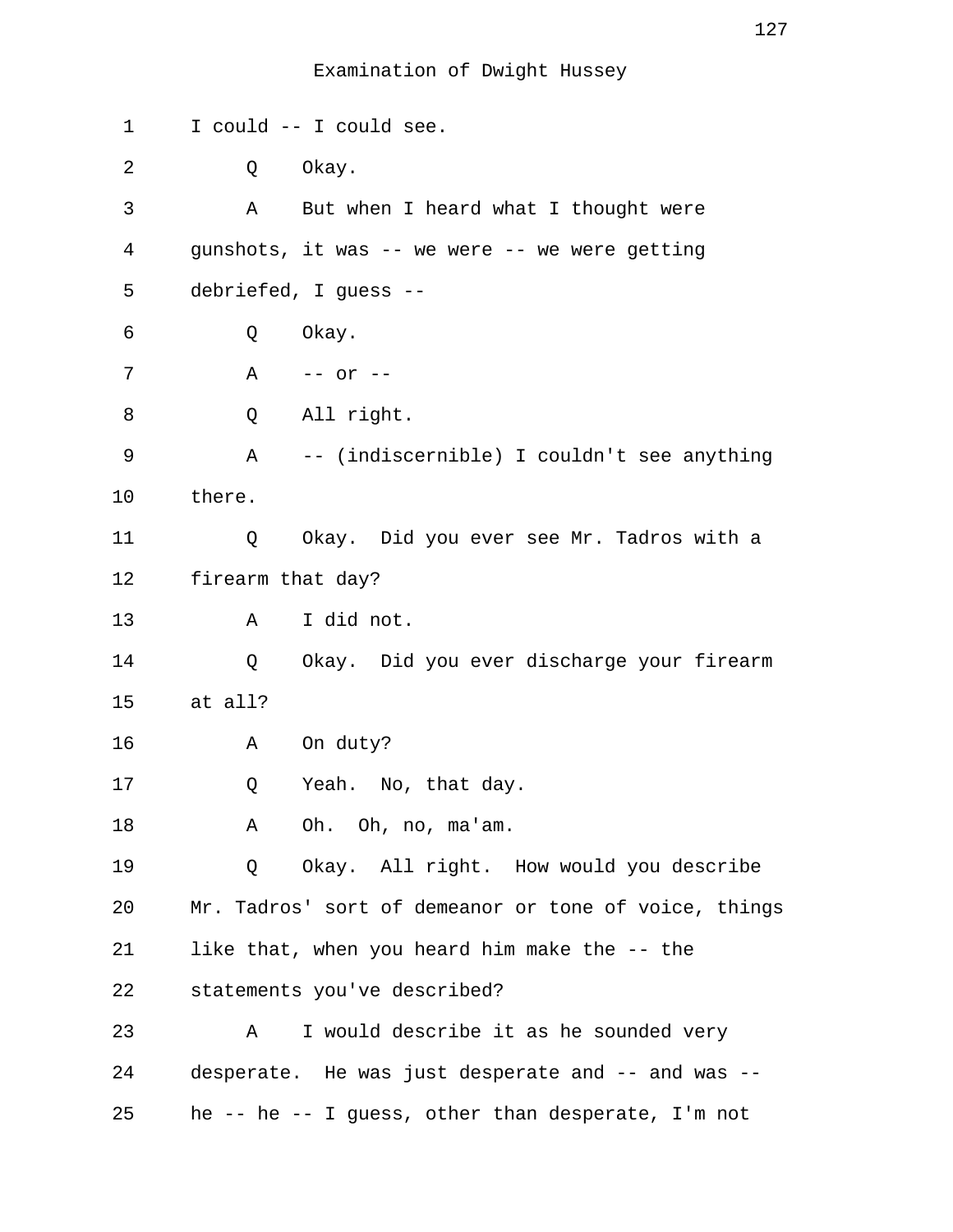| 1  | I could -- I could see.                               |
|----|-------------------------------------------------------|
| 2  | Okay.<br>Q                                            |
| 3  | But when I heard what I thought were<br>Α             |
| 4  | gunshots, it was -- we were -- we were getting        |
| 5  | debriefed, I guess --                                 |
| 6  | Okay.<br>Q                                            |
| 7  | A -- or --                                            |
| 8  | All right.<br>Q                                       |
| 9  | A -- (indiscernible) I couldn't see anything          |
| 10 | there.                                                |
| 11 | Okay. Did you ever see Mr. Tadros with a<br>Q         |
| 12 | firearm that day?                                     |
| 13 | I did not.<br>Α                                       |
| 14 | Okay. Did you ever discharge your firearm<br>Q        |
| 15 | at all?                                               |
| 16 | On duty?<br>Α                                         |
| 17 | Yeah. No, that day.<br>Q                              |
| 18 | Oh. Oh, no, ma'am.<br>Α                               |
| 19 | Okay. All right. How would you describe<br>Q          |
| 20 | Mr. Tadros' sort of demeanor or tone of voice, things |
| 21 | like that, when you heard him make the -- the         |
| 22 | statements you've described?                          |
| 23 | I would describe it as he sounded very<br>Α           |
| 24 | desperate. He was just desperate and -- and was --    |
| 25 | he -- he -- I guess, other than desperate, I'm not    |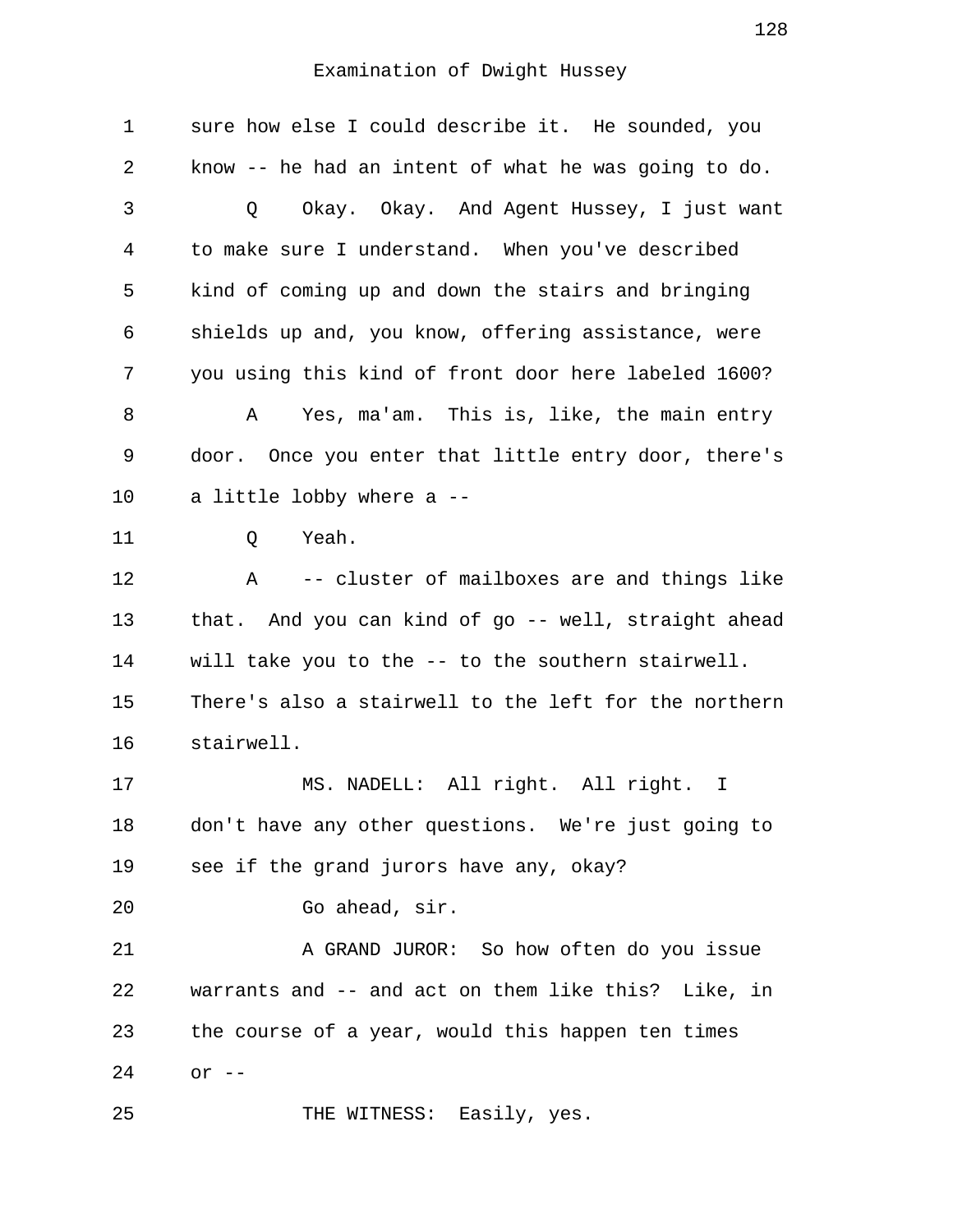| $\mathbf 1$ | sure how else I could describe it. He sounded, you    |
|-------------|-------------------------------------------------------|
| 2           | know -- he had an intent of what he was going to do.  |
| 3           | Okay. Okay. And Agent Hussey, I just want<br>Q        |
| 4           | to make sure I understand. When you've described      |
| 5           | kind of coming up and down the stairs and bringing    |
| 6           | shields up and, you know, offering assistance, were   |
| 7           | you using this kind of front door here labeled 1600?  |
| 8           | Yes, ma'am. This is, like, the main entry<br>A        |
| 9           | door. Once you enter that little entry door, there's  |
| 10          | a little lobby where a --                             |
| 11          | Yeah.<br>Q                                            |
| 12          | -- cluster of mailboxes are and things like<br>Α      |
| 13          | that. And you can kind of go -- well, straight ahead  |
| 14          | will take you to the -- to the southern stairwell.    |
| 15          | There's also a stairwell to the left for the northern |
| 16          | stairwell.                                            |
| 17          | MS. NADELL: All right. All right. I                   |
| 18          | don't have any other questions. We're just going to   |
| 19          | see if the grand jurors have any, okay?               |
| 20          | Go ahead, sir.                                        |
| 21          | A GRAND JUROR: So how often do you issue              |
| 22          | warrants and -- and act on them like this? Like, in   |
| 23          | the course of a year, would this happen ten times     |
| 24          | $or --$                                               |
| 25          | THE WITNESS: Easily, yes.                             |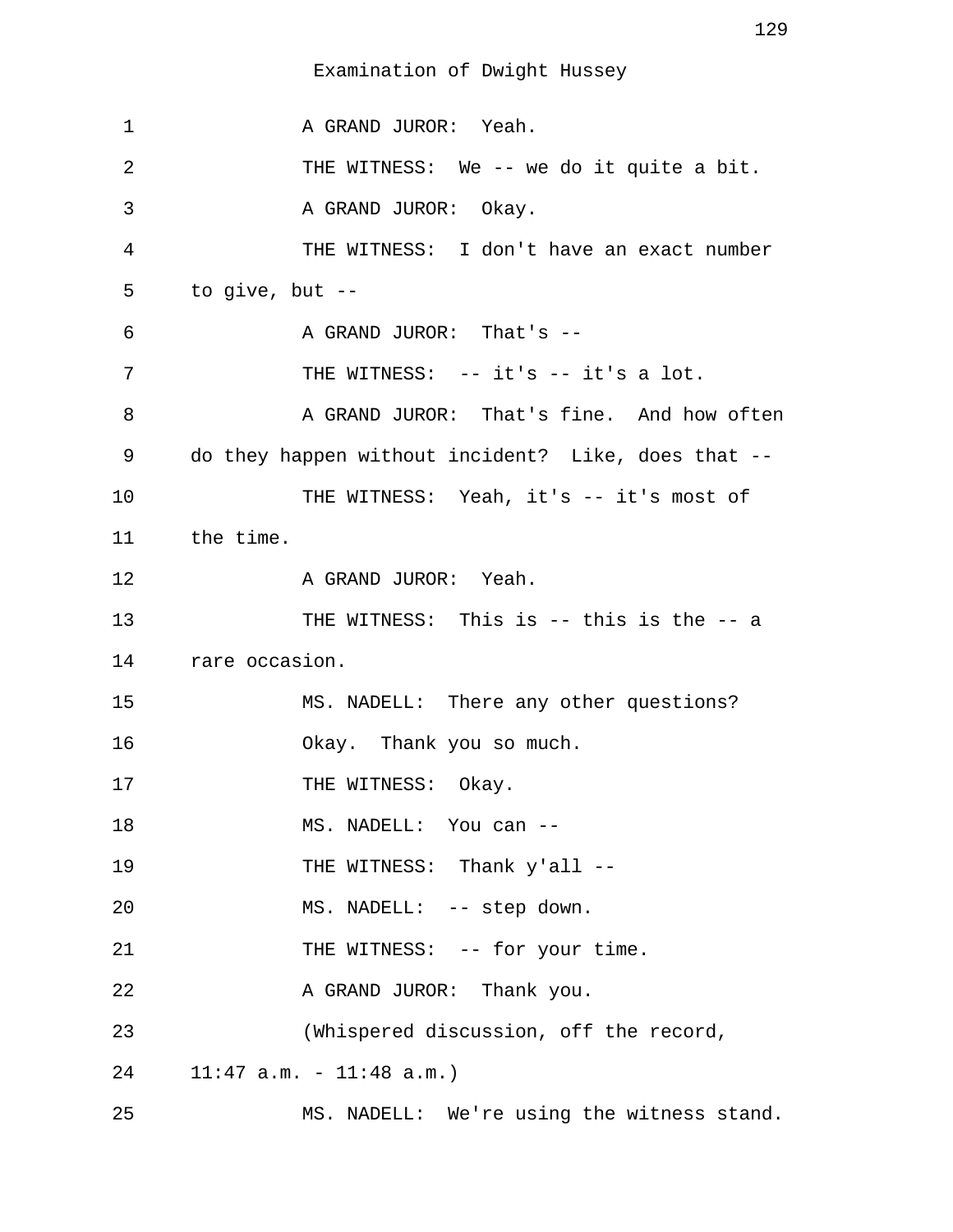1 A GRAND JUROR: Yeah. 2 THE WITNESS: We -- we do it quite a bit. 3 A GRAND JUROR: Okay. 4 THE WITNESS: I don't have an exact number 5 to give, but -- 6 A GRAND JUROR: That's --7 THE WITNESS: -- it's -- it's a lot. 8 A GRAND JUROR: That's fine. And how often 9 do they happen without incident? Like, does that -- 10 THE WITNESS: Yeah, it's -- it's most of 11 the time. 12 A GRAND JUROR: Yeah. 13 THE WITNESS: This is -- this is the -- a 14 rare occasion. 15 MS. NADELL: There any other questions? 16 Okay. Thank you so much. 17 THE WITNESS: Okay. 18 MS. NADELL: You can --19 THE WITNESS: Thank y'all --20 MS. NADELL: -- step down. 21 THE WITNESS: -- for your time. 22 A GRAND JUROR: Thank you. 23 (Whispered discussion, off the record, 24 11:47 a.m. - 11:48 a.m.) 25 MS. NADELL: We're using the witness stand.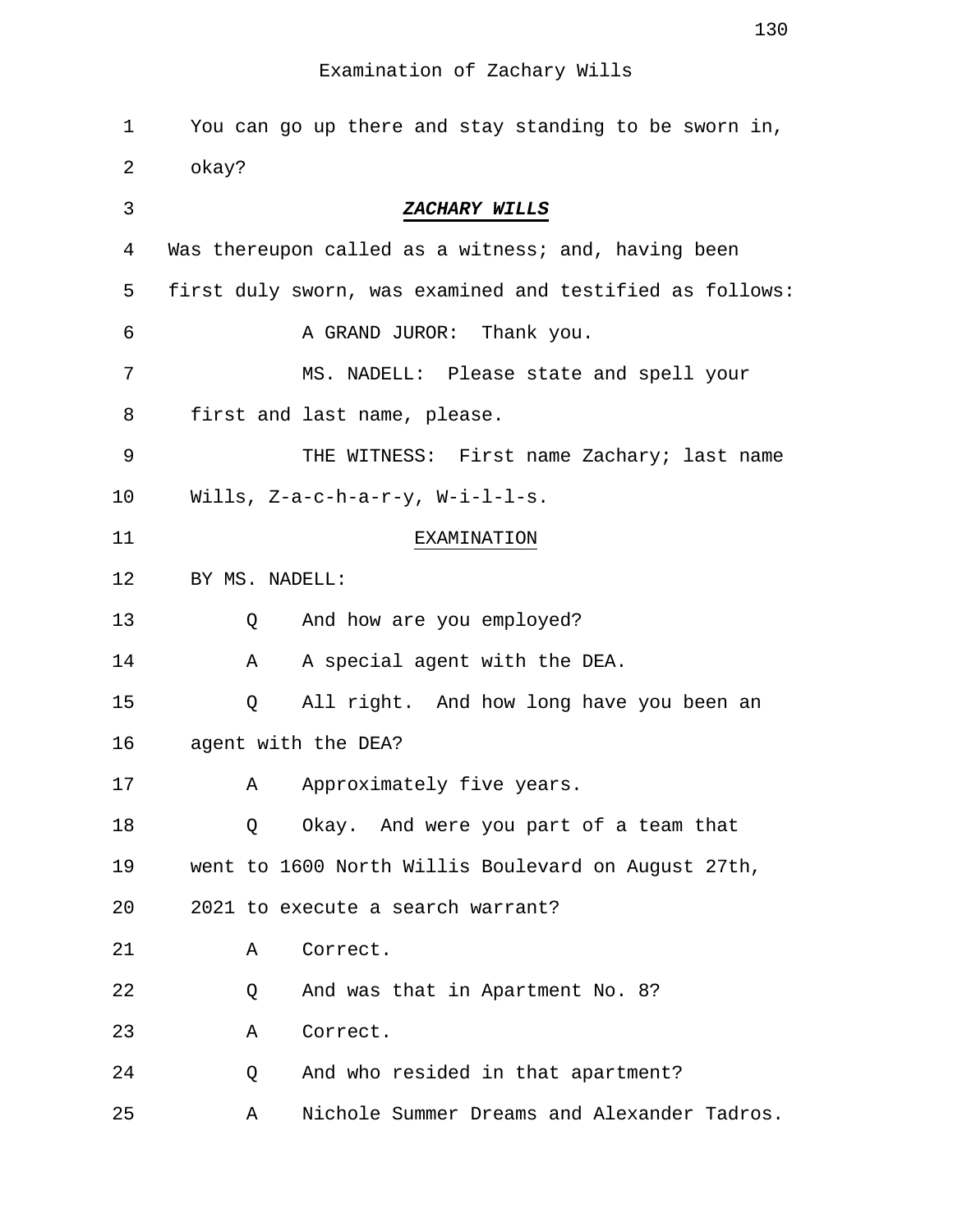| 1  | You can go up there and stay standing to be sworn in,    |
|----|----------------------------------------------------------|
| 2  | okay?                                                    |
| 3  | ZACHARY WILLS                                            |
| 4  | Was thereupon called as a witness; and, having been      |
| 5  | first duly sworn, was examined and testified as follows: |
| 6  | A GRAND JUROR: Thank you.                                |
| 7  | MS. NADELL: Please state and spell your                  |
| 8  | first and last name, please.                             |
| 9  | THE WITNESS: First name Zachary; last name               |
| 10 | Wills, $Z-a-c-h-a-r-y$ , $W-i-l-l-s$ .                   |
| 11 | <b>EXAMINATION</b>                                       |
| 12 | BY MS. NADELL:                                           |
| 13 | And how are you employed?<br>Q                           |
| 14 | A special agent with the DEA.<br>Α                       |
| 15 | All right. And how long have you been an<br>Q            |
| 16 | agent with the DEA?                                      |
| 17 | Approximately five years.<br>Α                           |
| 18 | Okay. And were you part of a team that<br>Q              |
| 19 | went to 1600 North Willis Boulevard on August 27th,      |
| 20 | 2021 to execute a search warrant?                        |
| 21 | Correct.<br>Α                                            |
| 22 | And was that in Apartment No. 8?<br>Q                    |
| 23 | Correct.<br>Α                                            |
| 24 | And who resided in that apartment?<br>Q                  |
| 25 | Nichole Summer Dreams and Alexander Tadros.<br>Α         |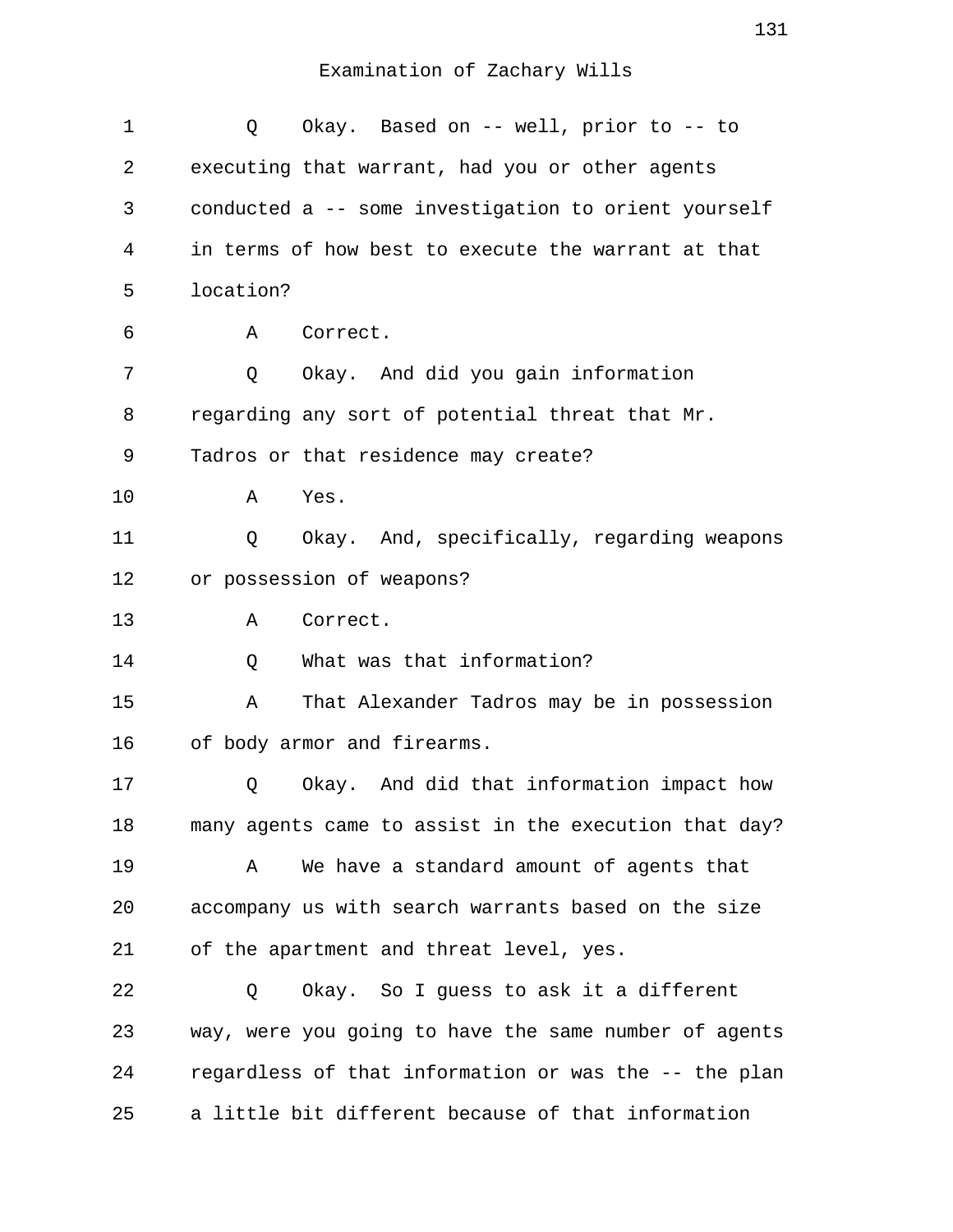| $\mathbf 1$ | Okay. Based on -- well, prior to -- to<br>Q           |
|-------------|-------------------------------------------------------|
| 2           | executing that warrant, had you or other agents       |
| 3           | conducted a -- some investigation to orient yourself  |
| 4           | in terms of how best to execute the warrant at that   |
| 5           | location?                                             |
| 6           | Correct.<br>A                                         |
| 7           | Okay. And did you gain information<br>Q               |
| 8           | regarding any sort of potential threat that Mr.       |
| 9           | Tadros or that residence may create?                  |
| 10          | Yes.<br>Α                                             |
| 11          | Okay. And, specifically, regarding weapons<br>Q       |
| 12          | or possession of weapons?                             |
| 13          | Correct.<br>Α                                         |
| 14          | What was that information?<br>Q                       |
| 15          | That Alexander Tadros may be in possession<br>Α       |
| 16          | of body armor and firearms.                           |
| 17          | Okay. And did that information impact how<br>Q        |
| 18          | many agents came to assist in the execution that day? |
| 19          | We have a standard amount of agents that<br>Α         |
| 20          | accompany us with search warrants based on the size   |
| 21          | of the apartment and threat level, yes.               |
| 22          | Okay. So I guess to ask it a different<br>Q           |
| 23          | way, were you going to have the same number of agents |
| 24          | regardless of that information or was the -- the plan |
| 25          | a little bit different because of that information    |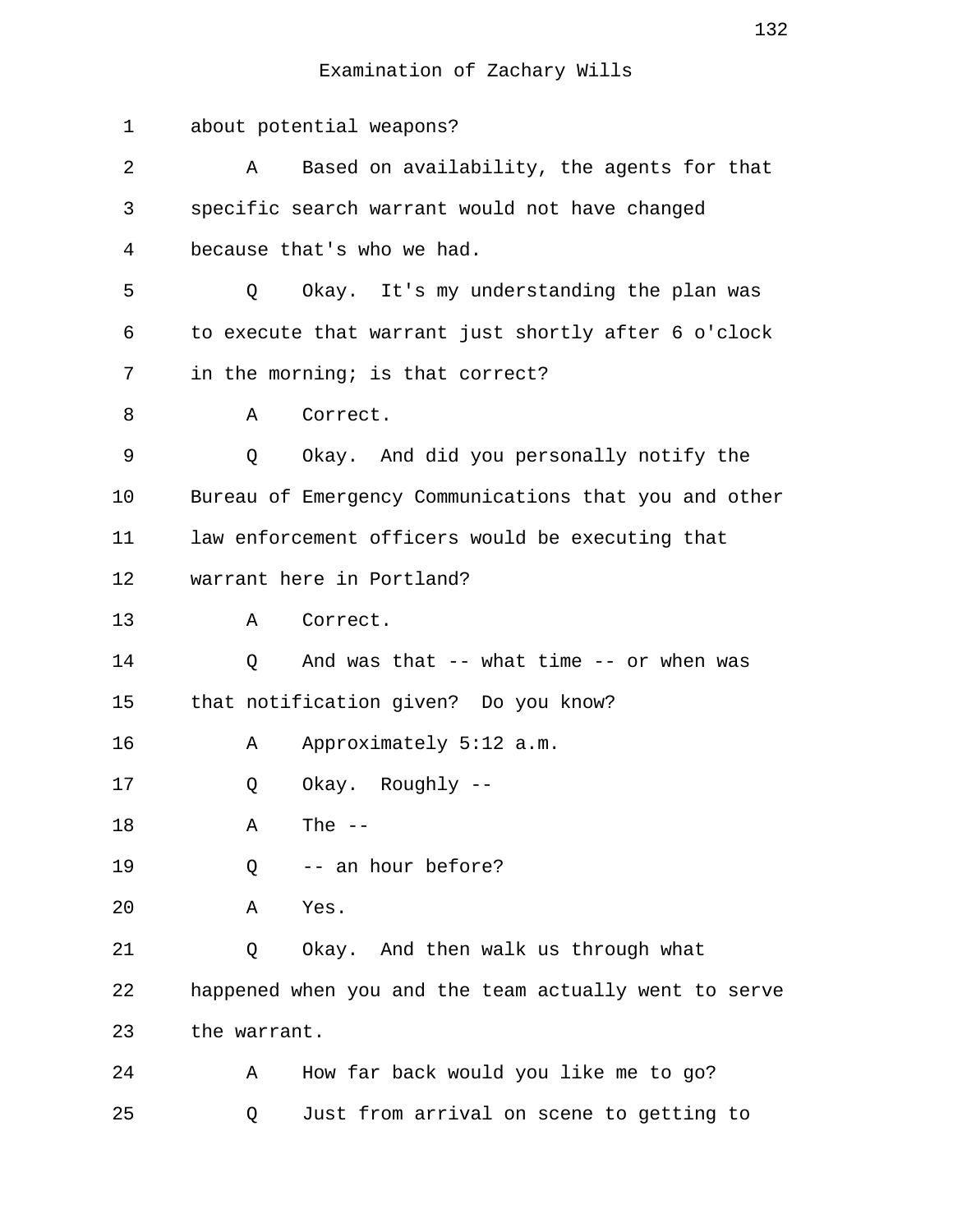| $\mathbf 1$ | about potential weapons?                              |
|-------------|-------------------------------------------------------|
| 2           | Based on availability, the agents for that<br>Α       |
| 3           | specific search warrant would not have changed        |
| 4           | because that's who we had.                            |
| 5           | Okay. It's my understanding the plan was<br>Q         |
| 6           | to execute that warrant just shortly after 6 o'clock  |
| 7           | in the morning; is that correct?                      |
| 8           | Correct.<br>Α                                         |
| 9           | Okay. And did you personally notify the<br>Q          |
| 10          | Bureau of Emergency Communications that you and other |
| 11          | law enforcement officers would be executing that      |
| 12          | warrant here in Portland?                             |
| 13          | Correct.<br>Α                                         |
| 14          | And was that -- what time -- or when was<br>Q         |
| 15          | that notification given? Do you know?                 |
| 16          | Approximately 5:12 a.m.<br>A                          |
| 17          | Okay. Roughly --<br>Q                                 |
| 18          | The $--$<br>Α                                         |
| 19          | -- an hour before?<br>Q                               |
| 20          | Yes.<br>Α                                             |
| 21          | Okay. And then walk us through what<br>Q              |
| 22          | happened when you and the team actually went to serve |
| 23          | the warrant.                                          |
| 24          | How far back would you like me to go?<br>Α            |
| 25          | Just from arrival on scene to getting to<br>Q         |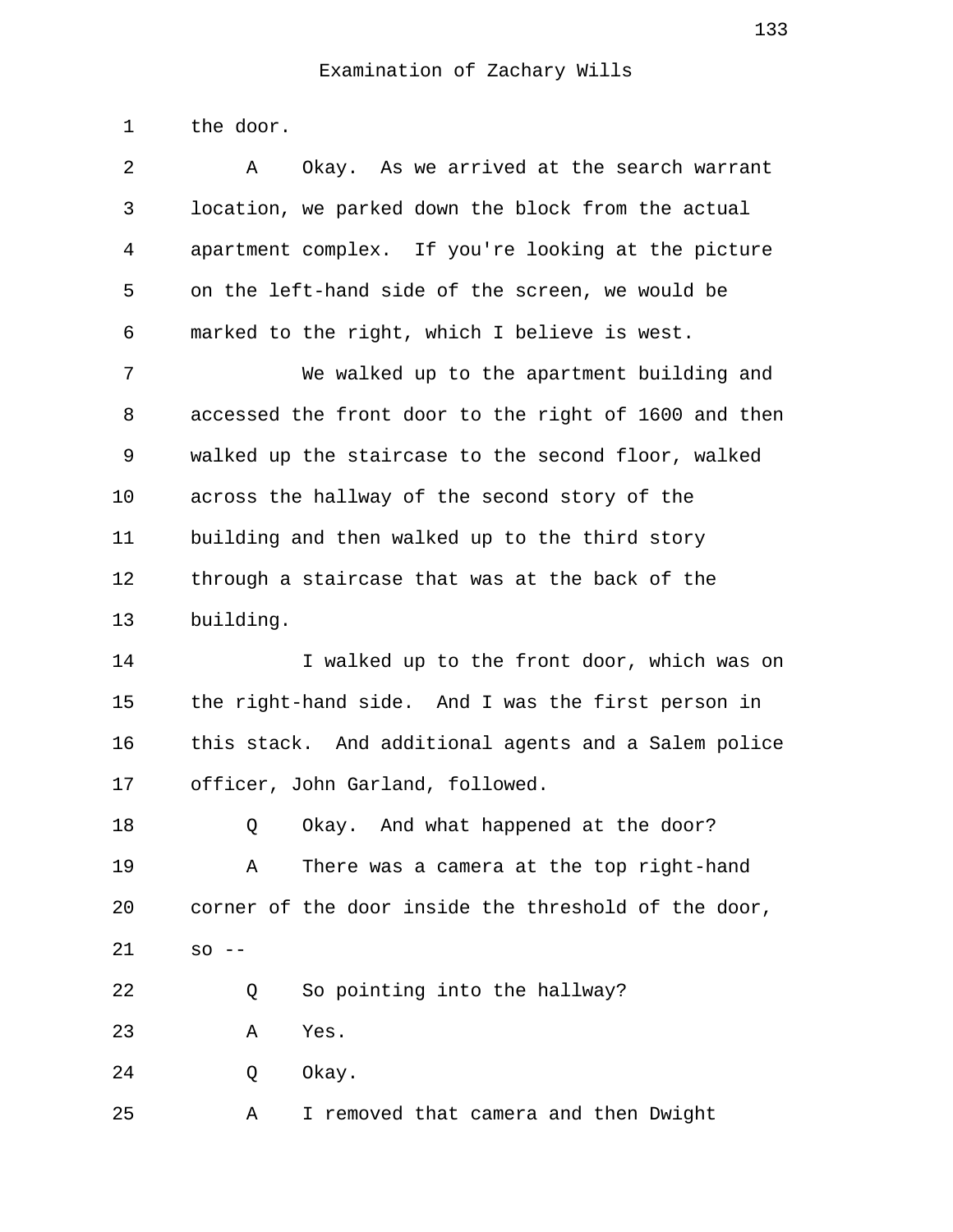1 the door.

| 2  | Okay. As we arrived at the search warrant<br>Α        |
|----|-------------------------------------------------------|
| 3  | location, we parked down the block from the actual    |
| 4  | apartment complex. If you're looking at the picture   |
| 5  | on the left-hand side of the screen, we would be      |
| 6  | marked to the right, which I believe is west.         |
| 7  | We walked up to the apartment building and            |
| 8  | accessed the front door to the right of 1600 and then |
| 9  | walked up the staircase to the second floor, walked   |
| 10 | across the hallway of the second story of the         |
| 11 | building and then walked up to the third story        |
| 12 | through a staircase that was at the back of the       |
| 13 | building.                                             |
| 14 | I walked up to the front door, which was on           |
| 15 | the right-hand side. And I was the first person in    |
| 16 | this stack. And additional agents and a Salem police  |
| 17 | officer, John Garland, followed.                      |
| 18 | Okay. And what happened at the door?<br>Q             |
| 19 | There was a camera at the top right-hand<br>Α         |
| 20 | corner of the door inside the threshold of the door,  |
| 21 | SO<br>$\qquad \qquad -$                               |
| 22 | So pointing into the hallway?<br>Q                    |
| 23 | Yes.<br>Α                                             |
| 24 | Okay.<br>Q                                            |

25 A I removed that camera and then Dwight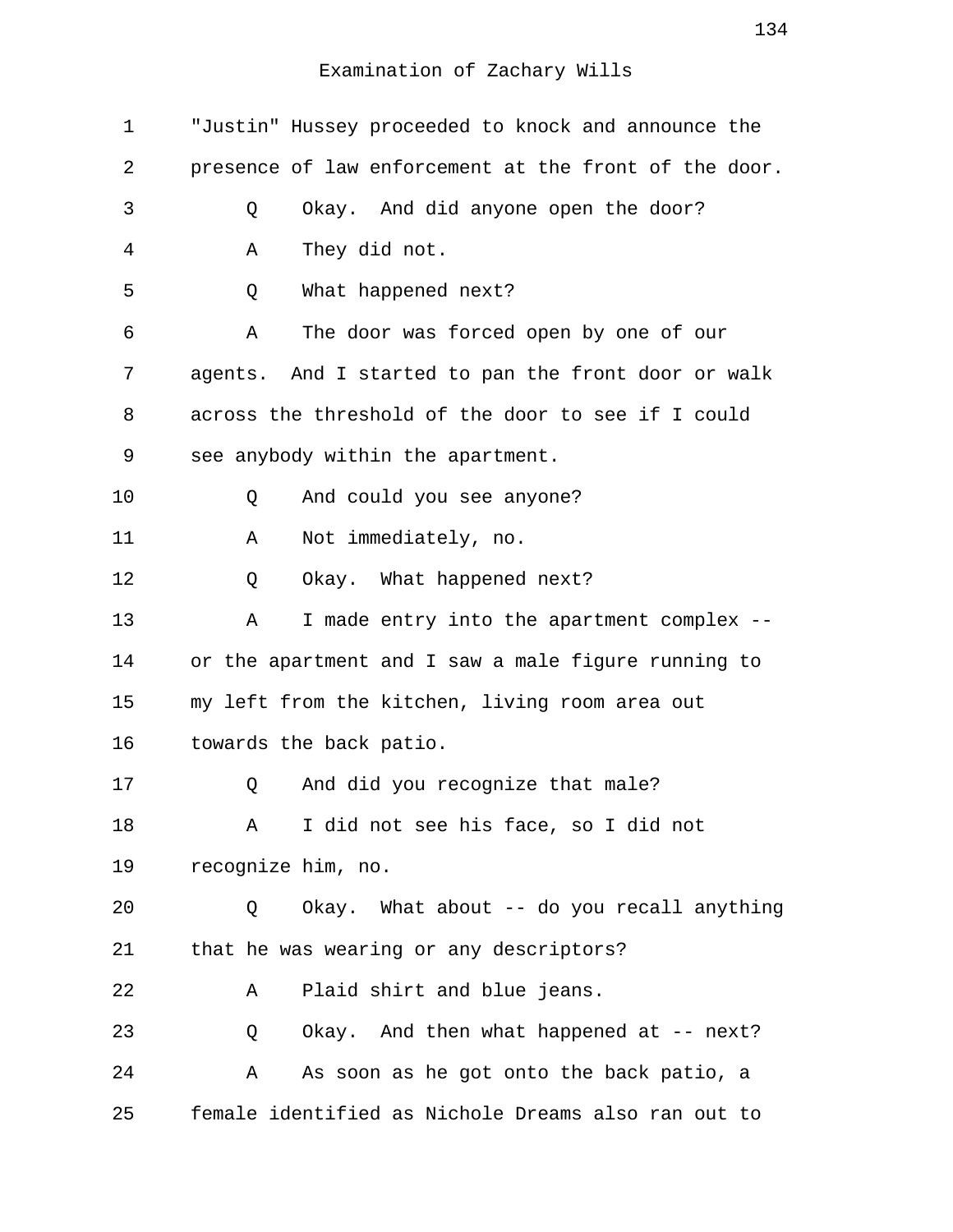| 1  | "Justin" Hussey proceeded to knock and announce the   |
|----|-------------------------------------------------------|
| 2  | presence of law enforcement at the front of the door. |
| 3  | Okay. And did anyone open the door?<br>Q              |
| 4  | They did not.<br>Α                                    |
| 5  | Q<br>What happened next?                              |
| 6  | The door was forced open by one of our<br>Α           |
| 7  | agents. And I started to pan the front door or walk   |
| 8  | across the threshold of the door to see if I could    |
| 9  | see anybody within the apartment.                     |
| 10 | And could you see anyone?<br>Q                        |
| 11 | Not immediately, no.<br>Α                             |
| 12 | Okay. What happened next?<br>Q                        |
| 13 | I made entry into the apartment complex --<br>Α       |
| 14 | or the apartment and I saw a male figure running to   |
| 15 | my left from the kitchen, living room area out        |
| 16 | towards the back patio.                               |
| 17 | And did you recognize that male?<br>Q                 |
| 18 | I did not see his face, so I did not<br>Α             |
| 19 | recognize him, no.                                    |
| 20 | Okay. What about -- do you recall anything<br>Q       |
| 21 | that he was wearing or any descriptors?               |
| 22 | Plaid shirt and blue jeans.<br>Α                      |
| 23 | Okay. And then what happened at -- next?<br>Q         |
| 24 | As soon as he got onto the back patio, a<br>Α         |
| 25 | female identified as Nichole Dreams also ran out to   |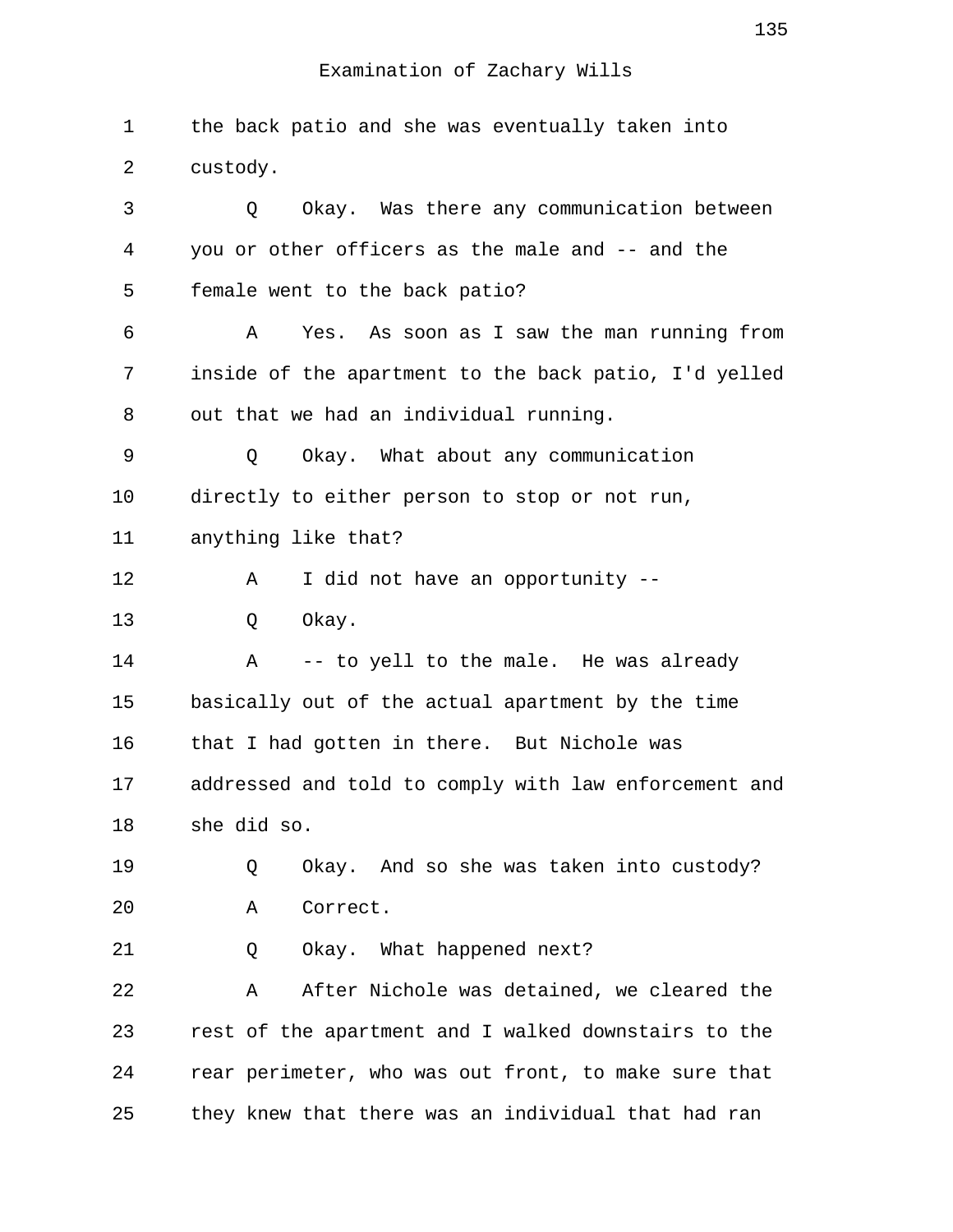1 the back patio and she was eventually taken into 2 custody. 3 Q Okay. Was there any communication between 4 you or other officers as the male and -- and the 5 female went to the back patio? 6 A Yes. As soon as I saw the man running from 7 inside of the apartment to the back patio, I'd yelled 8 out that we had an individual running. 9 Q Okay. What about any communication 10 directly to either person to stop or not run, 11 anything like that? 12 A I did not have an opportunity --13 O Okay. 14 A -- to yell to the male. He was already 15 basically out of the actual apartment by the time 16 that I had gotten in there. But Nichole was 17 addressed and told to comply with law enforcement and 18 she did so. 19 Q Okay. And so she was taken into custody? 20 A Correct. 21 Q Okay. What happened next? 22 A After Nichole was detained, we cleared the 23 rest of the apartment and I walked downstairs to the 24 rear perimeter, who was out front, to make sure that 25 they knew that there was an individual that had ran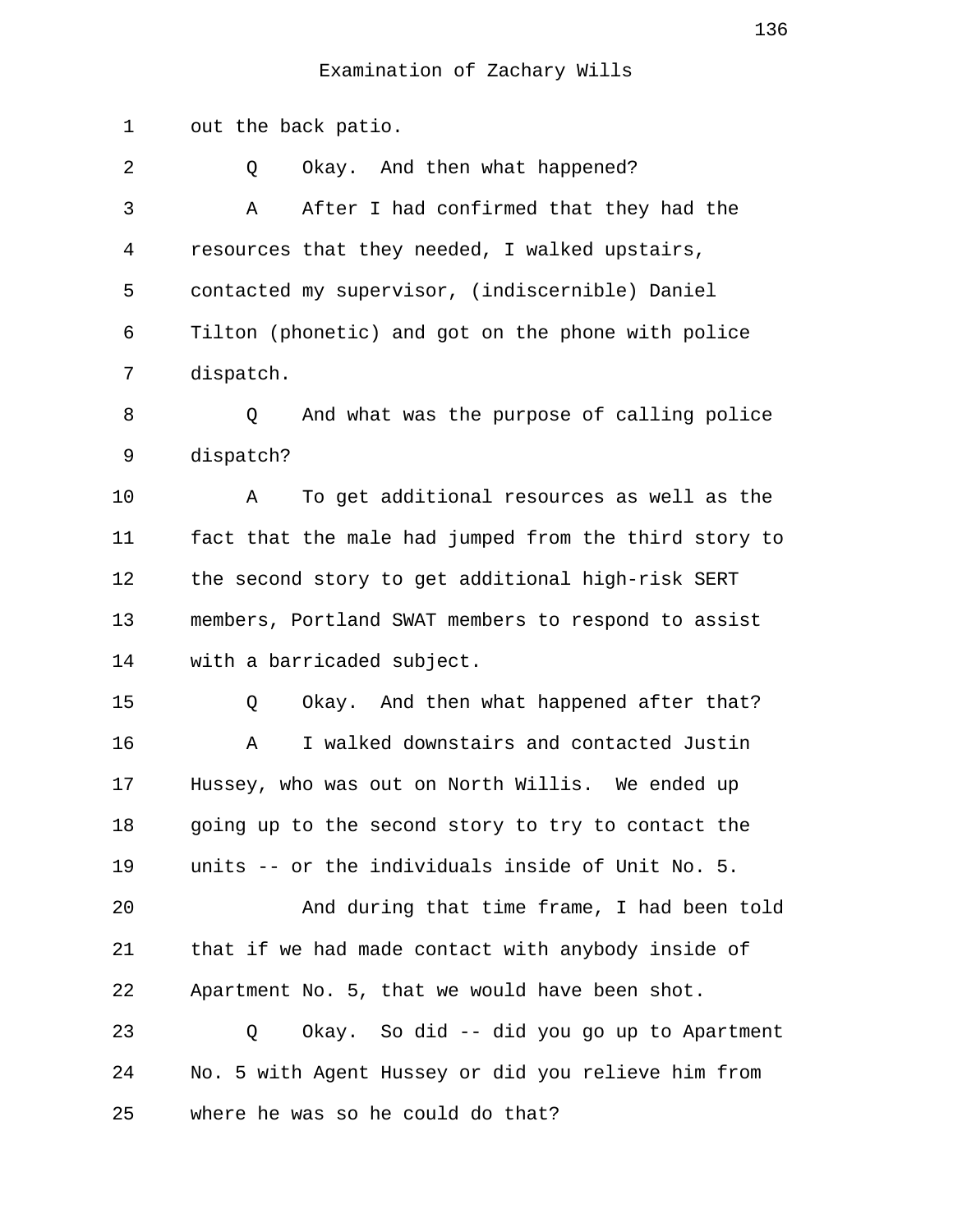1 out the back patio. 2 0 Okay. And then what happened? 3 A After I had confirmed that they had the 4 resources that they needed, I walked upstairs, 5 contacted my supervisor, (indiscernible) Daniel 6 Tilton (phonetic) and got on the phone with police 7 dispatch. 8 Q And what was the purpose of calling police 9 dispatch? 10 A To get additional resources as well as the 11 fact that the male had jumped from the third story to 12 the second story to get additional high-risk SERT 13 members, Portland SWAT members to respond to assist 14 with a barricaded subject. 15 Q Okay. And then what happened after that? 16 A I walked downstairs and contacted Justin 17 Hussey, who was out on North Willis. We ended up 18 going up to the second story to try to contact the 19 units -- or the individuals inside of Unit No. 5. 20 And during that time frame, I had been told 21 that if we had made contact with anybody inside of 22 Apartment No. 5, that we would have been shot. 23 Q Okay. So did -- did you go up to Apartment 24 No. 5 with Agent Hussey or did you relieve him from 25 where he was so he could do that?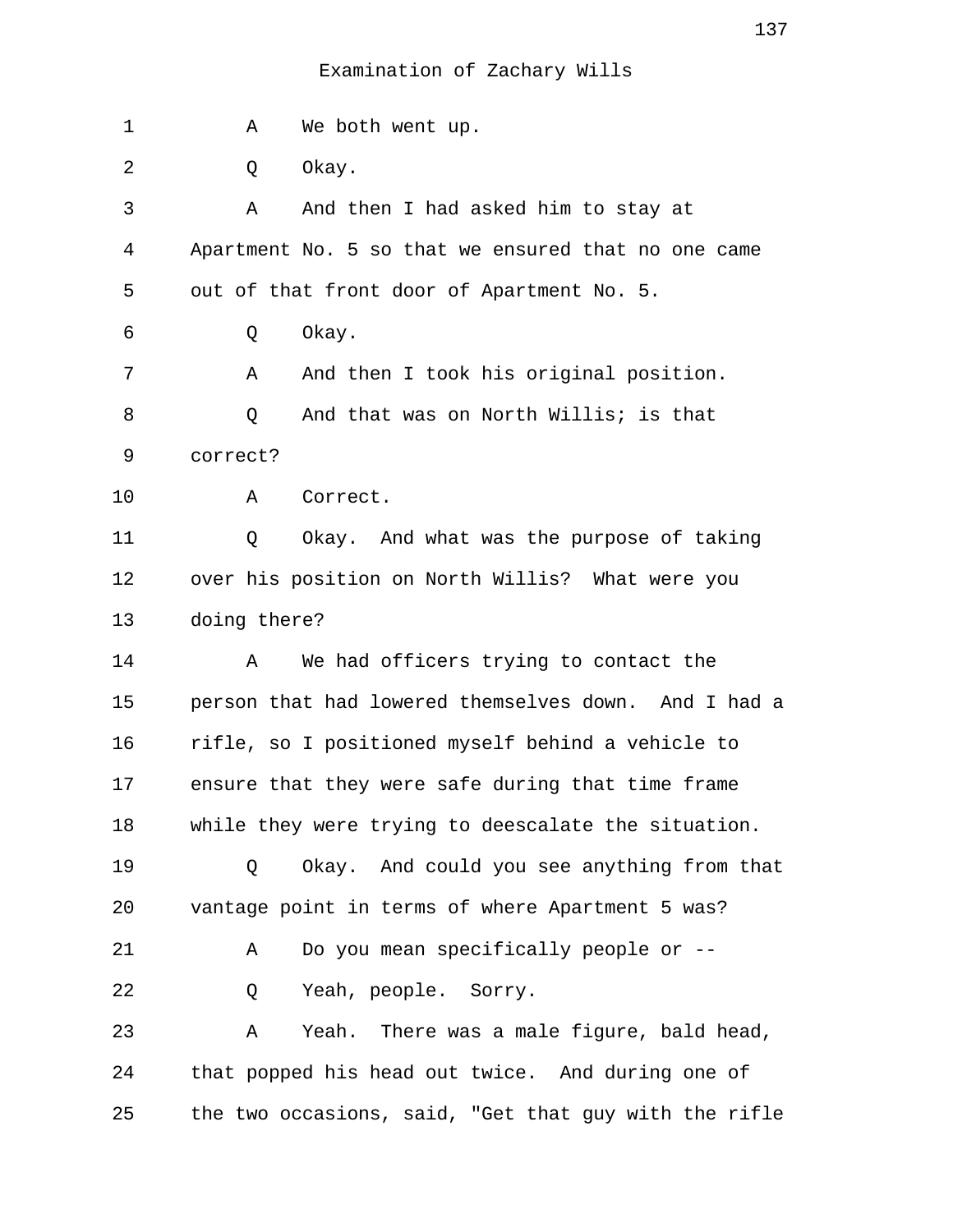| $\mathbf 1$ | We both went up.<br>Α                                 |
|-------------|-------------------------------------------------------|
| 2           | Okay.<br>Q                                            |
| 3           | And then I had asked him to stay at<br>Α              |
| 4           | Apartment No. 5 so that we ensured that no one came   |
| 5           | out of that front door of Apartment No. 5.            |
| 6           | Okay.<br>Q                                            |
| 7           | And then I took his original position.<br>Α           |
| 8           | And that was on North Willis; is that<br>Q            |
| 9           | correct?                                              |
| 10          | A<br>Correct.                                         |
| 11          | Okay. And what was the purpose of taking<br>Q         |
| 12          | over his position on North Willis? What were you      |
| 13          | doing there?                                          |
| 14          | We had officers trying to contact the<br>Α            |
| 15          | person that had lowered themselves down. And I had a  |
| 16          | rifle, so I positioned myself behind a vehicle to     |
| 17          | ensure that they were safe during that time frame     |
| 18          | while they were trying to deescalate the situation.   |
| 19          | Okay. And could you see anything from that<br>Q       |
| 20          | vantage point in terms of where Apartment 5 was?      |
| 21          | Do you mean specifically people or --<br>Α            |
| 22          | Yeah, people. Sorry.<br>Q                             |
| 23          | Yeah. There was a male figure, bald head,<br>Α        |
| 24          | that popped his head out twice. And during one of     |
| 25          | the two occasions, said, "Get that guy with the rifle |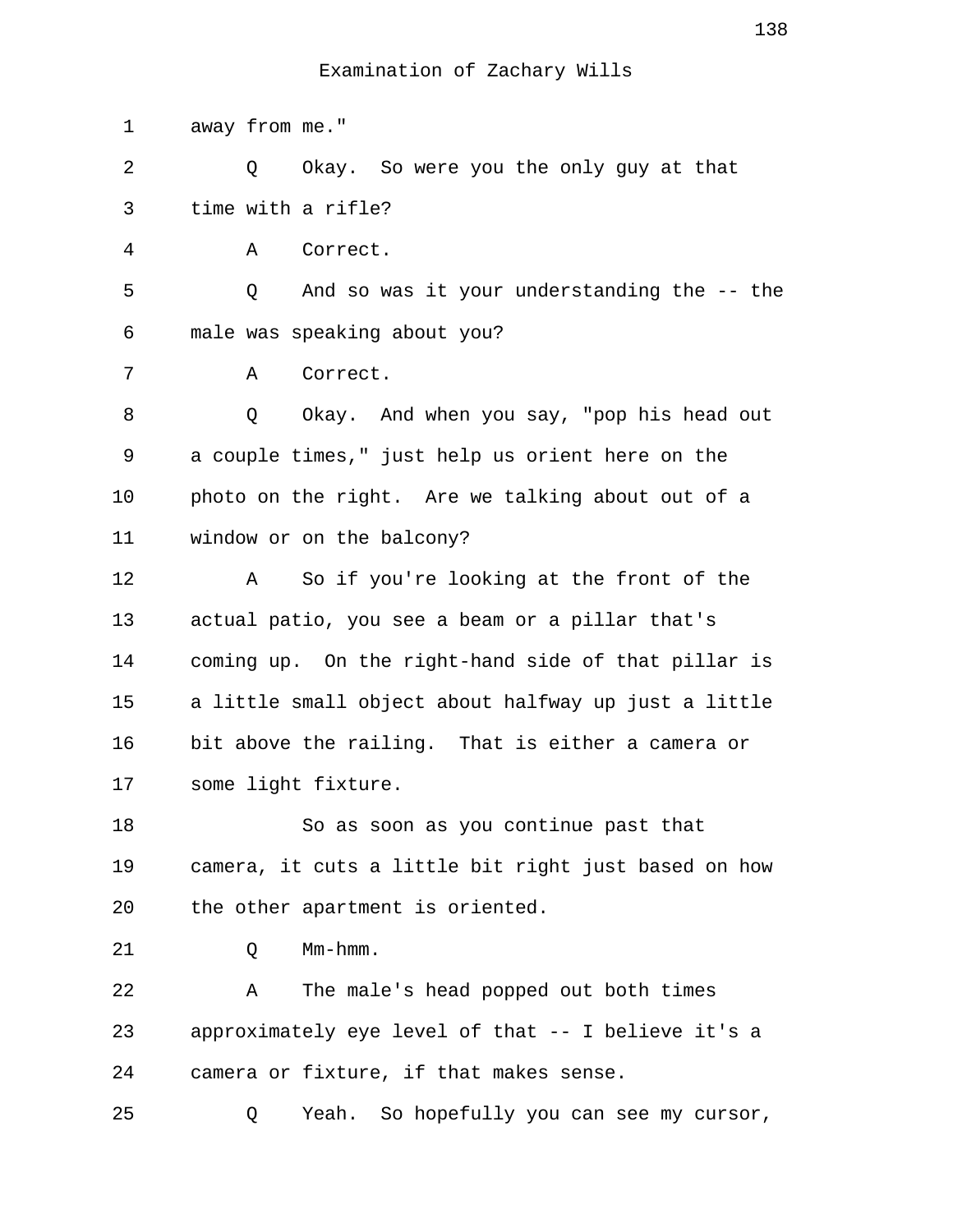1 away from me." 2 Q Okay. So were you the only guy at that 3 time with a rifle? 4 A Correct. 5 Q And so was it your understanding the -- the 6 male was speaking about you? 7 A Correct. 8 Q Okay. And when you say, "pop his head out 9 a couple times," just help us orient here on the 10 photo on the right. Are we talking about out of a 11 window or on the balcony? 12 A So if you're looking at the front of the 13 actual patio, you see a beam or a pillar that's 14 coming up. On the right-hand side of that pillar is 15 a little small object about halfway up just a little 16 bit above the railing. That is either a camera or 17 some light fixture. 18 So as soon as you continue past that 19 camera, it cuts a little bit right just based on how 20 the other apartment is oriented. 21 Q Mm-hmm. 22 A The male's head popped out both times 23 approximately eye level of that -- I believe it's a 24 camera or fixture, if that makes sense. 25 Q Yeah. So hopefully you can see my cursor,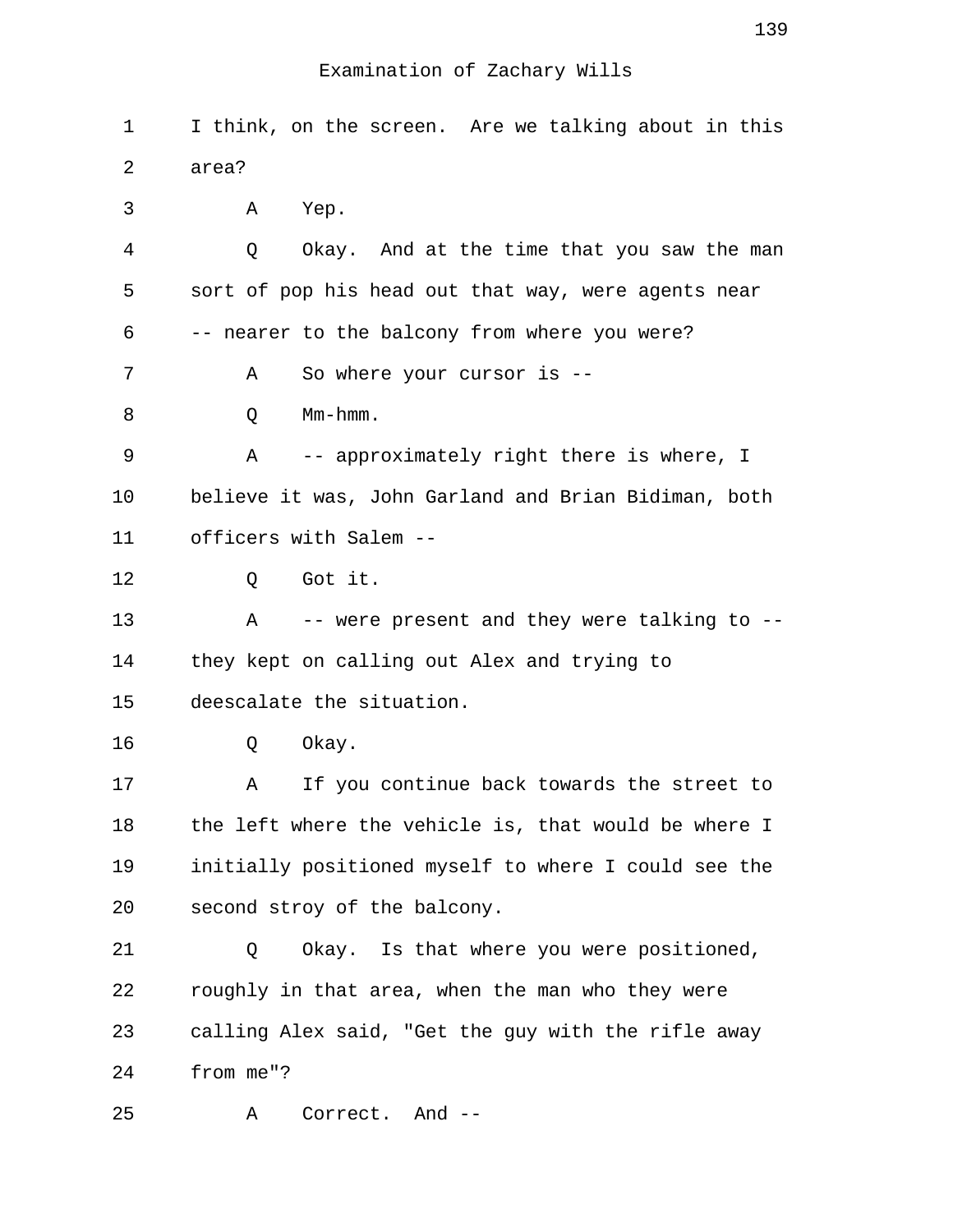1 I think, on the screen. Are we talking about in this 2 area? 3 A Yep. 4 Q Okay. And at the time that you saw the man 5 sort of pop his head out that way, were agents near 6 -- nearer to the balcony from where you were? 7 A So where your cursor is -- 8 O Mm-hmm. 9 A -- approximately right there is where, I 10 believe it was, John Garland and Brian Bidiman, both 11 officers with Salem -- 12 Q Got it. 13 A -- were present and they were talking to -- 14 they kept on calling out Alex and trying to 15 deescalate the situation. 16 Q Okay. 17 A If you continue back towards the street to 18 the left where the vehicle is, that would be where I 19 initially positioned myself to where I could see the 20 second stroy of the balcony. 21 Q Okay. Is that where you were positioned, 22 roughly in that area, when the man who they were 23 calling Alex said, "Get the guy with the rifle away 24 from me"? 25 A Correct. And --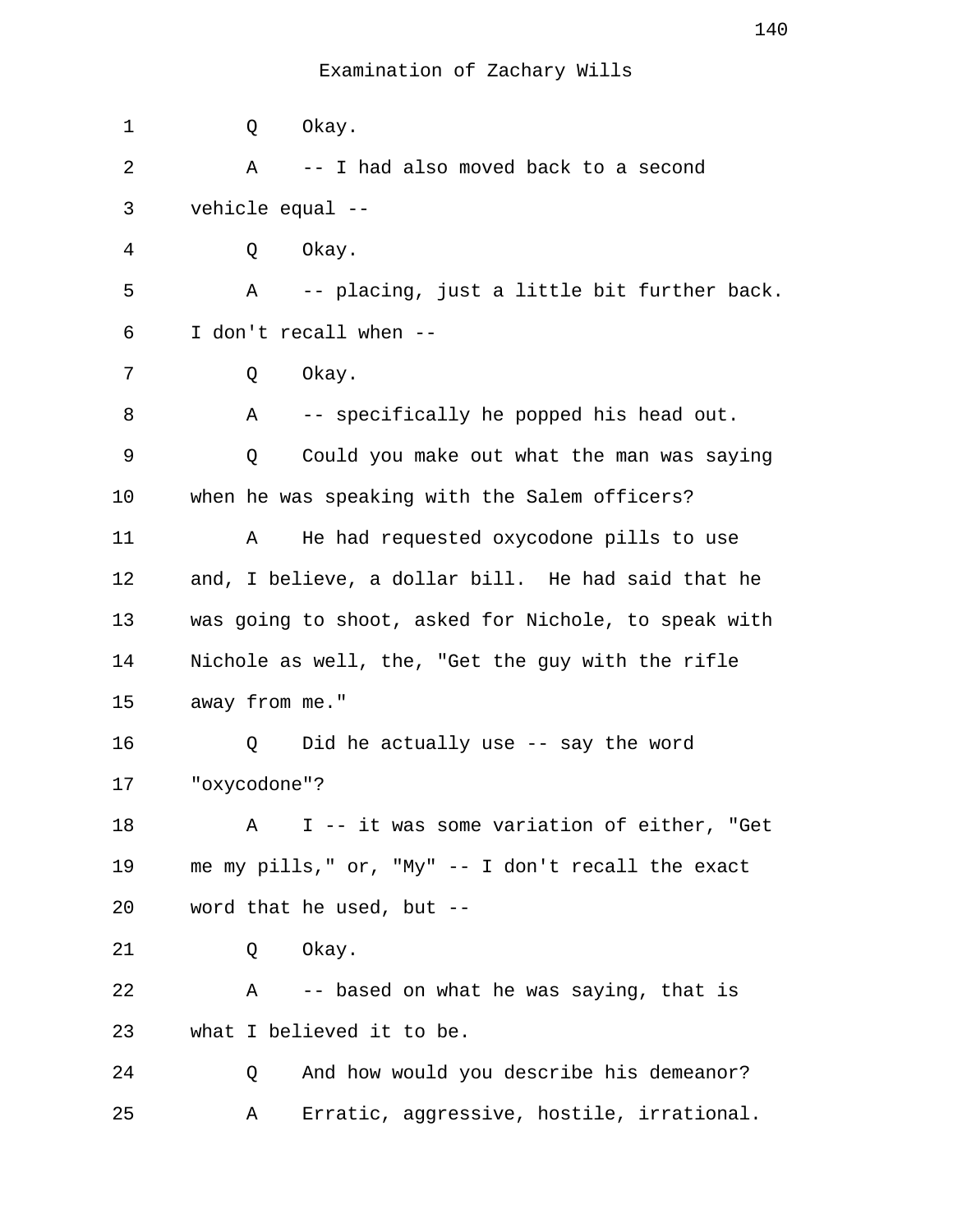| 1  | Q              | Okay.                                                |
|----|----------------|------------------------------------------------------|
| 2  | Α              | -- I had also moved back to a second                 |
| 3  |                | vehicle equal --                                     |
| 4  | Q              | Okay.                                                |
| 5  | Α              | -- placing, just a little bit further back.          |
| 6  |                | I don't recall when --                               |
| 7  | Q              | Okay.                                                |
| 8  | Α              | -- specifically he popped his head out.              |
| 9  | Q              | Could you make out what the man was saying           |
| 10 |                | when he was speaking with the Salem officers?        |
| 11 | Α              | He had requested oxycodone pills to use              |
| 12 |                | and, I believe, a dollar bill. He had said that he   |
| 13 |                | was going to shoot, asked for Nichole, to speak with |
| 14 |                | Nichole as well, the, "Get the guy with the rifle    |
| 15 | away from me." |                                                      |
| 16 | Q              | Did he actually use -- say the word                  |
| 17 | "oxycodone"?   |                                                      |
| 18 | Α              | I -- it was some variation of either, "Get           |
| 19 |                | me my pills," or, "My" -- I don't recall the exact   |
| 20 |                | word that he used, but --                            |
| 21 | Q              | Okay.                                                |
| 22 | Α              | -- based on what he was saying, that is              |
| 23 |                | what I believed it to be.                            |
| 24 | Q              | And how would you describe his demeanor?             |
| 25 | Α              | Erratic, aggressive, hostile, irrational.            |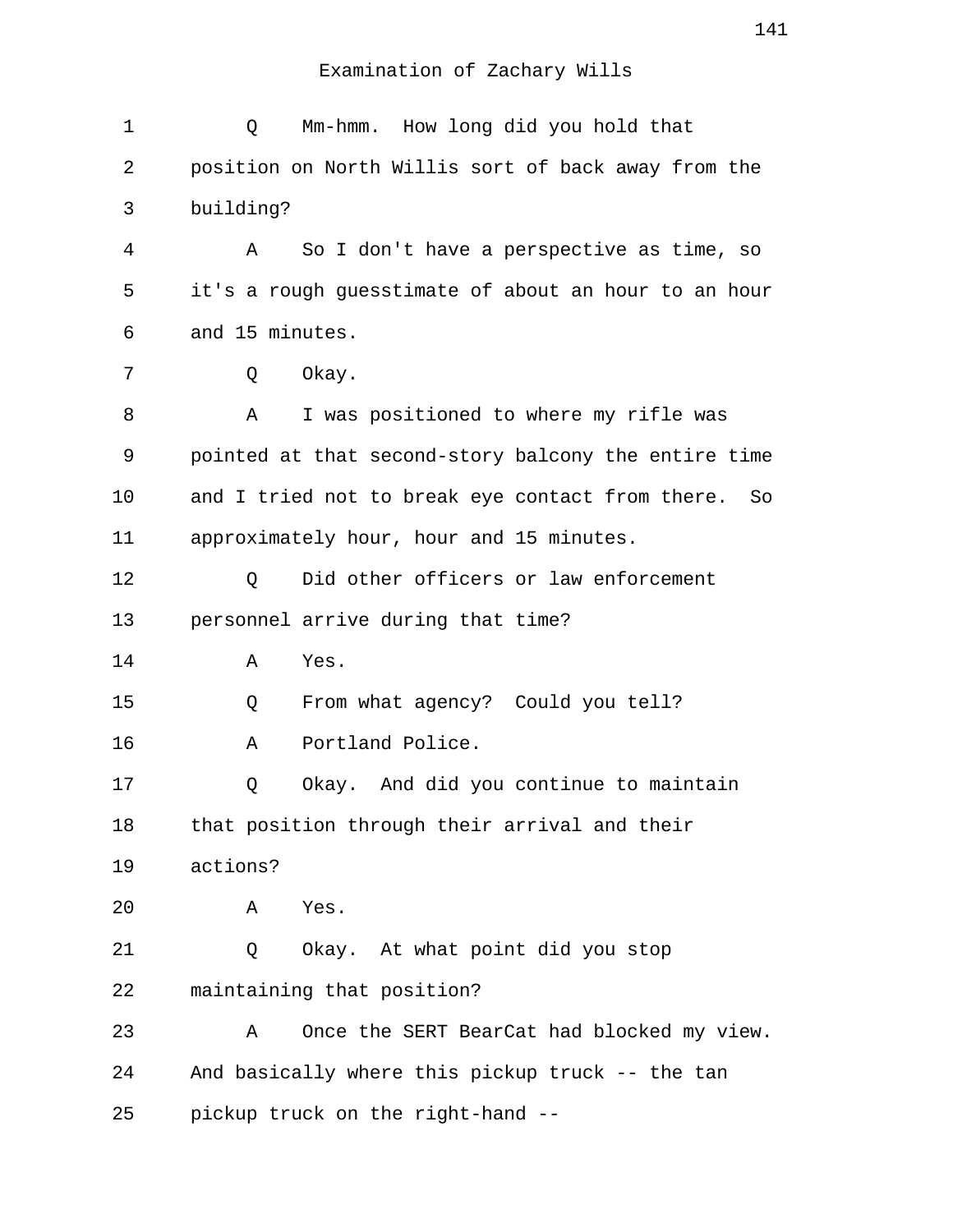| 1  | Mm-hmm. How long did you hold that<br>Q                |
|----|--------------------------------------------------------|
| 2  | position on North Willis sort of back away from the    |
| 3  | building?                                              |
| 4  | So I don't have a perspective as time, so<br>Α         |
| 5  | it's a rough guesstimate of about an hour to an hour   |
| 6  | and 15 minutes.                                        |
| 7  | Okay.<br>Q                                             |
| 8  | I was positioned to where my rifle was<br>Α            |
| 9  | pointed at that second-story balcony the entire time   |
| 10 | and I tried not to break eye contact from there.<br>So |
| 11 | approximately hour, hour and 15 minutes.               |
| 12 | Did other officers or law enforcement<br>Q             |
| 13 | personnel arrive during that time?                     |
| 14 | Yes.<br>Α                                              |
| 15 | From what agency? Could you tell?<br>Q                 |
| 16 | Portland Police.<br>Α                                  |
| 17 | Okay. And did you continue to maintain<br>Q            |
| 18 | that position through their arrival and their          |
| 19 | actions?                                               |
| 20 | Α<br>Yes.                                              |
| 21 | Okay. At what point did you stop<br>Q                  |
| 22 | maintaining that position?                             |
| 23 | Once the SERT BearCat had blocked my view.<br>Α        |
| 24 | And basically where this pickup truck -- the tan       |
| 25 | pickup truck on the right-hand --                      |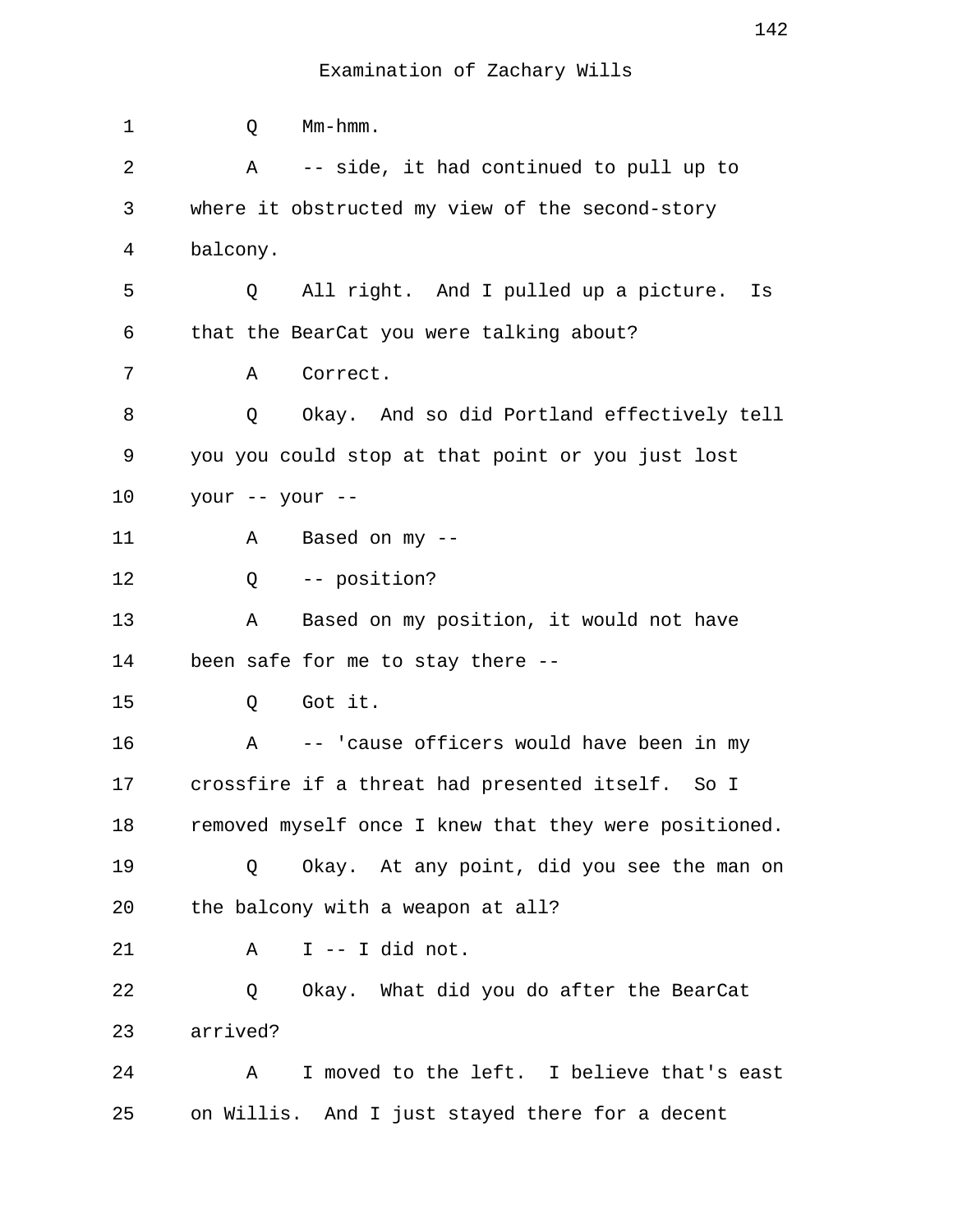| 1  | Q               | Mm-hmm.                                               |
|----|-----------------|-------------------------------------------------------|
| 2  | Α               | -- side, it had continued to pull up to               |
| 3  |                 | where it obstructed my view of the second-story       |
| 4  | balcony.        |                                                       |
| 5  | Q               | All right. And I pulled up a picture.<br>Is           |
| 6  |                 | that the BearCat you were talking about?              |
| 7  | Α               | Correct.                                              |
| 8  | Q               | Okay. And so did Portland effectively tell            |
| 9  |                 | you you could stop at that point or you just lost     |
| 10 | your -- your -- |                                                       |
| 11 | Α               | Based on $my$ --                                      |
| 12 | Q               | -- position?                                          |
| 13 | Α               | Based on my position, it would not have               |
| 14 |                 | been safe for me to stay there --                     |
| 15 | Q               | Got it.                                               |
| 16 | A               | -- 'cause officers would have been in my              |
| 17 |                 | crossfire if a threat had presented itself. So I      |
| 18 |                 | removed myself once I knew that they were positioned. |
| 19 | Q               | Okay. At any point, did you see the man on            |
| 20 |                 | the balcony with a weapon at all?                     |
| 21 | Α               | I -- I did not.                                       |
| 22 | Q               | Okay. What did you do after the BearCat               |
| 23 | arrived?        |                                                       |
| 24 | Α               | I moved to the left. I believe that's east            |
| 25 |                 | on Willis. And I just stayed there for a decent       |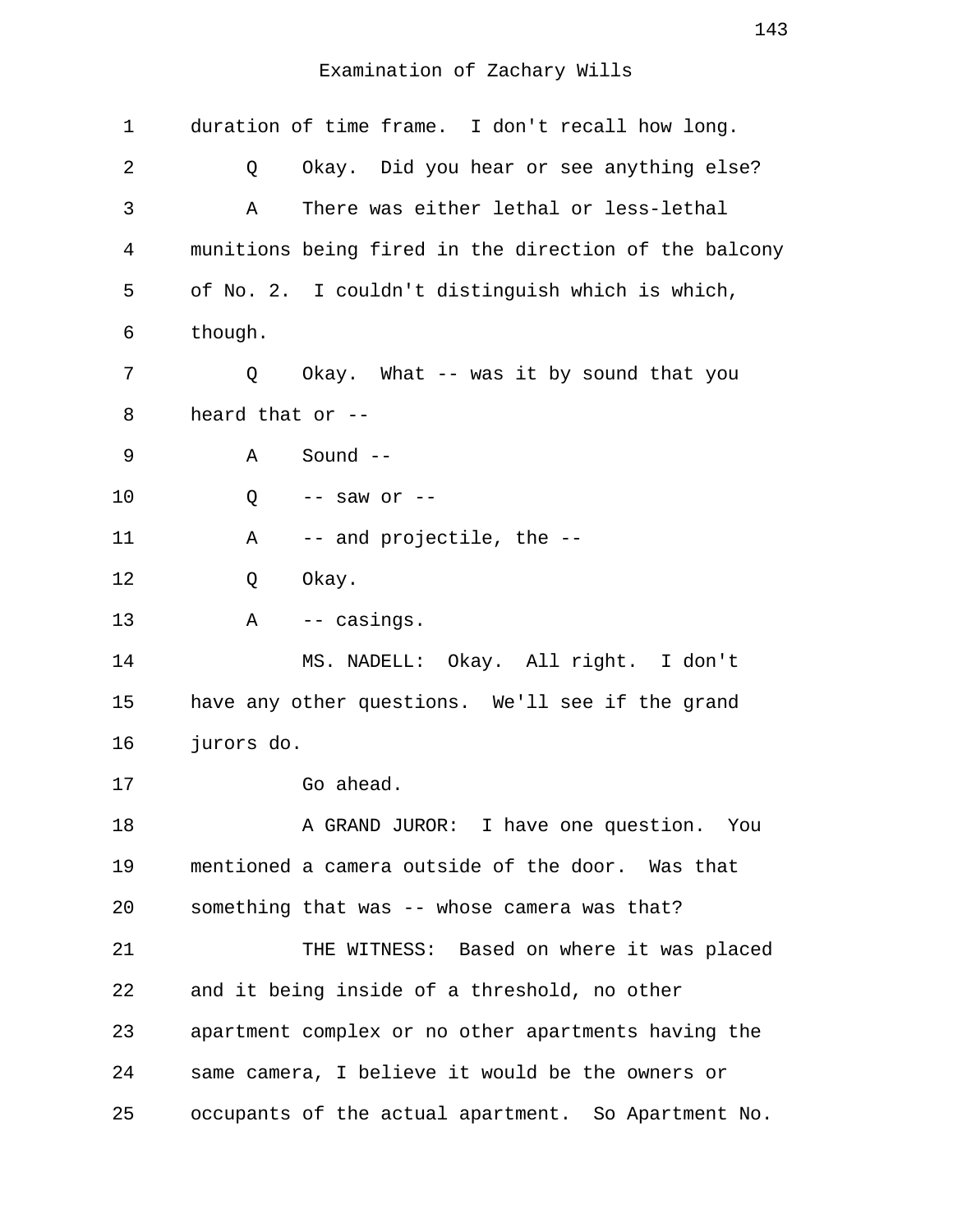| 1  | duration of time frame. I don't recall how long.      |
|----|-------------------------------------------------------|
| 2  | Okay. Did you hear or see anything else?<br>Q         |
| 3  | There was either lethal or less-lethal<br>Α           |
| 4  | munitions being fired in the direction of the balcony |
| 5  | of No. 2. I couldn't distinguish which is which,      |
| 6  | though.                                               |
| 7  | Okay. What -- was it by sound that you<br>Q           |
| 8  | heard that or --                                      |
| 9  | Sound $--$<br>Α                                       |
| 10 | Q<br>$--$ saw or $--$                                 |
| 11 | -- and projectile, the --<br>Α                        |
| 12 | Okay.<br>Q                                            |
| 13 | -- casings.<br>Α                                      |
| 14 | MS. NADELL: Okay. All right. I don't                  |
| 15 | have any other questions. We'll see if the grand      |
| 16 | jurors do.                                            |
| 17 | Go ahead.                                             |
| 18 | A GRAND JUROR: I have one question. You               |
| 19 | mentioned a camera outside of the door. Was that      |
| 20 | something that was -- whose camera was that?          |
| 21 | THE WITNESS: Based on where it was placed             |
| 22 | and it being inside of a threshold, no other          |
| 23 | apartment complex or no other apartments having the   |
| 24 | same camera, I believe it would be the owners or      |
| 25 | occupants of the actual apartment. So Apartment No.   |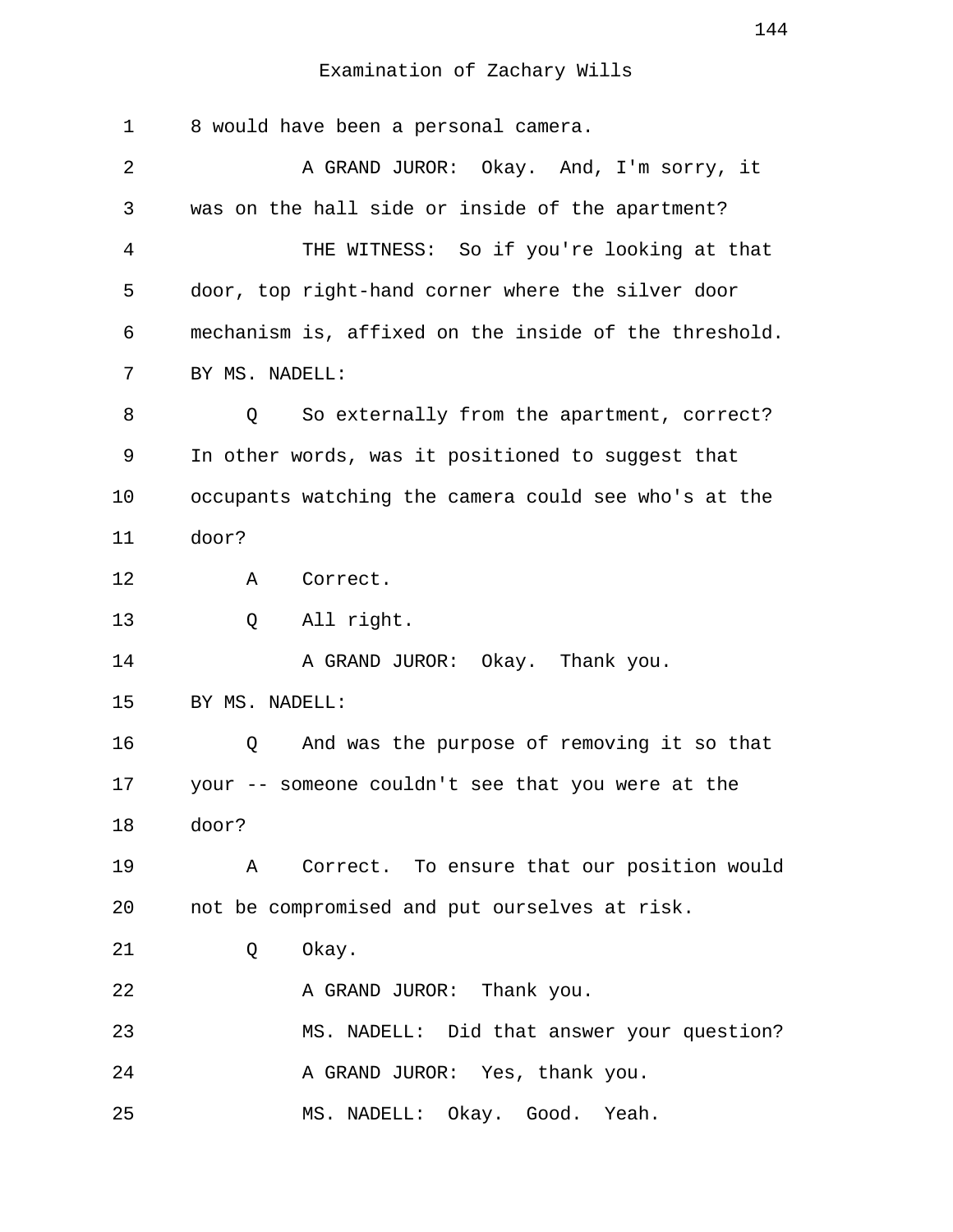| 1  | 8 would have been a personal camera.                  |
|----|-------------------------------------------------------|
| 2  | A GRAND JUROR: Okay. And, I'm sorry, it               |
| 3  | was on the hall side or inside of the apartment?      |
| 4  | THE WITNESS: So if you're looking at that             |
| 5  | door, top right-hand corner where the silver door     |
| 6  | mechanism is, affixed on the inside of the threshold. |
| 7  | BY MS. NADELL:                                        |
| 8  | So externally from the apartment, correct?<br>Q       |
| 9  | In other words, was it positioned to suggest that     |
| 10 | occupants watching the camera could see who's at the  |
| 11 | door?                                                 |
| 12 | Correct.<br>Α                                         |
| 13 | All right.<br>Q                                       |
| 14 | A GRAND JUROR: Okay. Thank you.                       |
| 15 | BY MS. NADELL:                                        |
| 16 | And was the purpose of removing it so that<br>Q       |
| 17 | your -- someone couldn't see that you were at the     |
| 18 | door?                                                 |
| 19 | Correct. To ensure that our position would<br>Α       |
| 20 | not be compromised and put ourselves at risk.         |
| 21 | Okay.<br>Q                                            |
| 22 | A GRAND JUROR: Thank you.                             |
| 23 | MS. NADELL: Did that answer your question?            |
| 24 | A GRAND JUROR: Yes, thank you.                        |
| 25 | MS. NADELL: Okay. Good. Yeah.                         |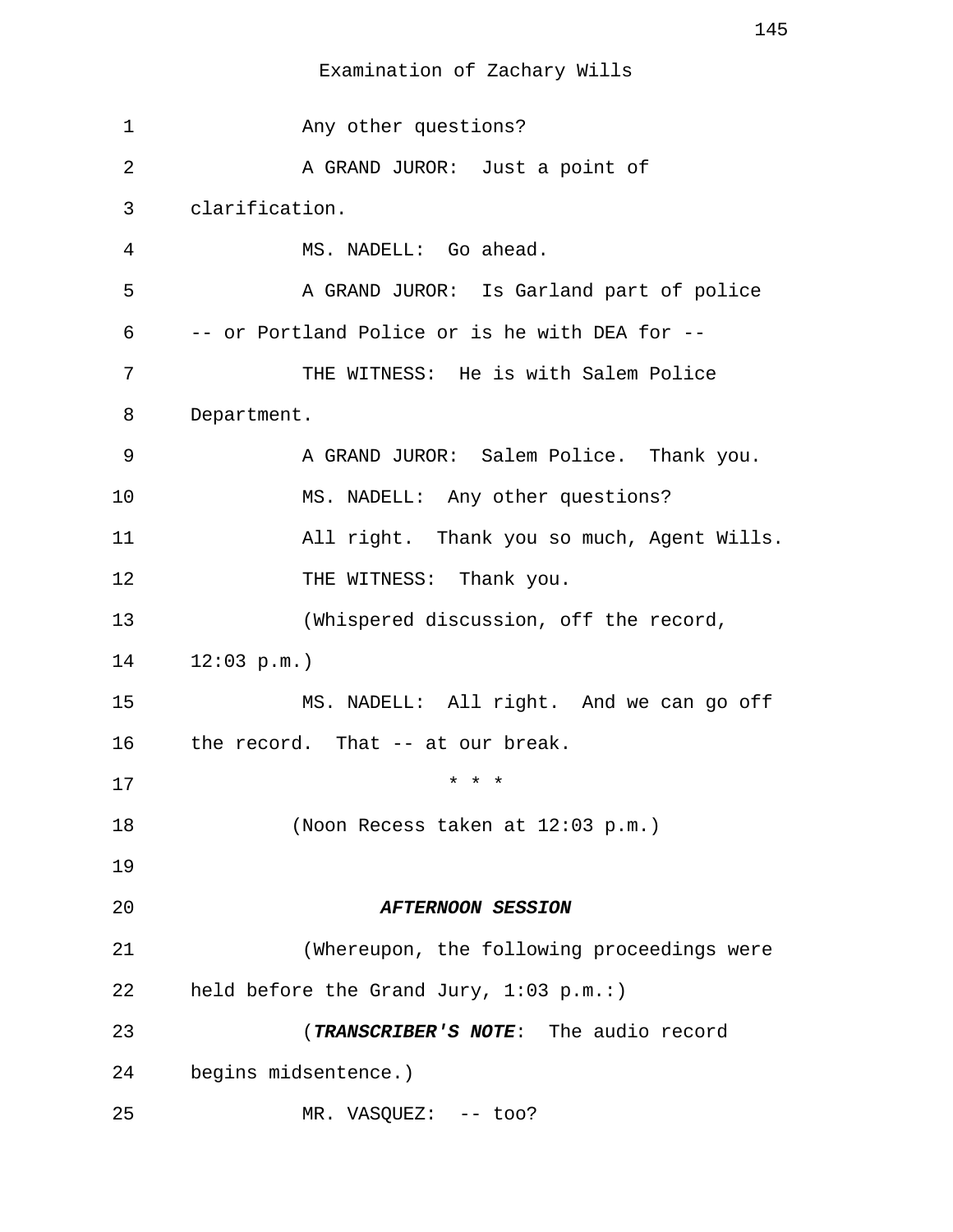Examination of Zachary Wills

 1 Any other questions? 2 A GRAND JUROR: Just a point of 3 clarification. 4 MS. NADELL: Go ahead. 5 A GRAND JUROR: Is Garland part of police 6 -- or Portland Police or is he with DEA for -- 7 THE WITNESS: He is with Salem Police 8 Department. 9 A GRAND JUROR: Salem Police. Thank you. 10 MS. NADELL: Any other questions? 11 All right. Thank you so much, Agent Wills. 12 THE WITNESS: Thank you. 13 (Whispered discussion, off the record, 14 12:03 p.m.) 15 MS. NADELL: All right. And we can go off 16 the record. That -- at our break. 17 \* \* \* 18 (Noon Recess taken at 12:03 p.m.) 19 20 **AFTERNOON SESSION** 21 (Whereupon, the following proceedings were 22 held before the Grand Jury, 1:03 p.m.:) 23 (**TRANSCRIBER'S NOTE**: The audio record 24 begins midsentence.) 25 MR. VASQUEZ: -- too?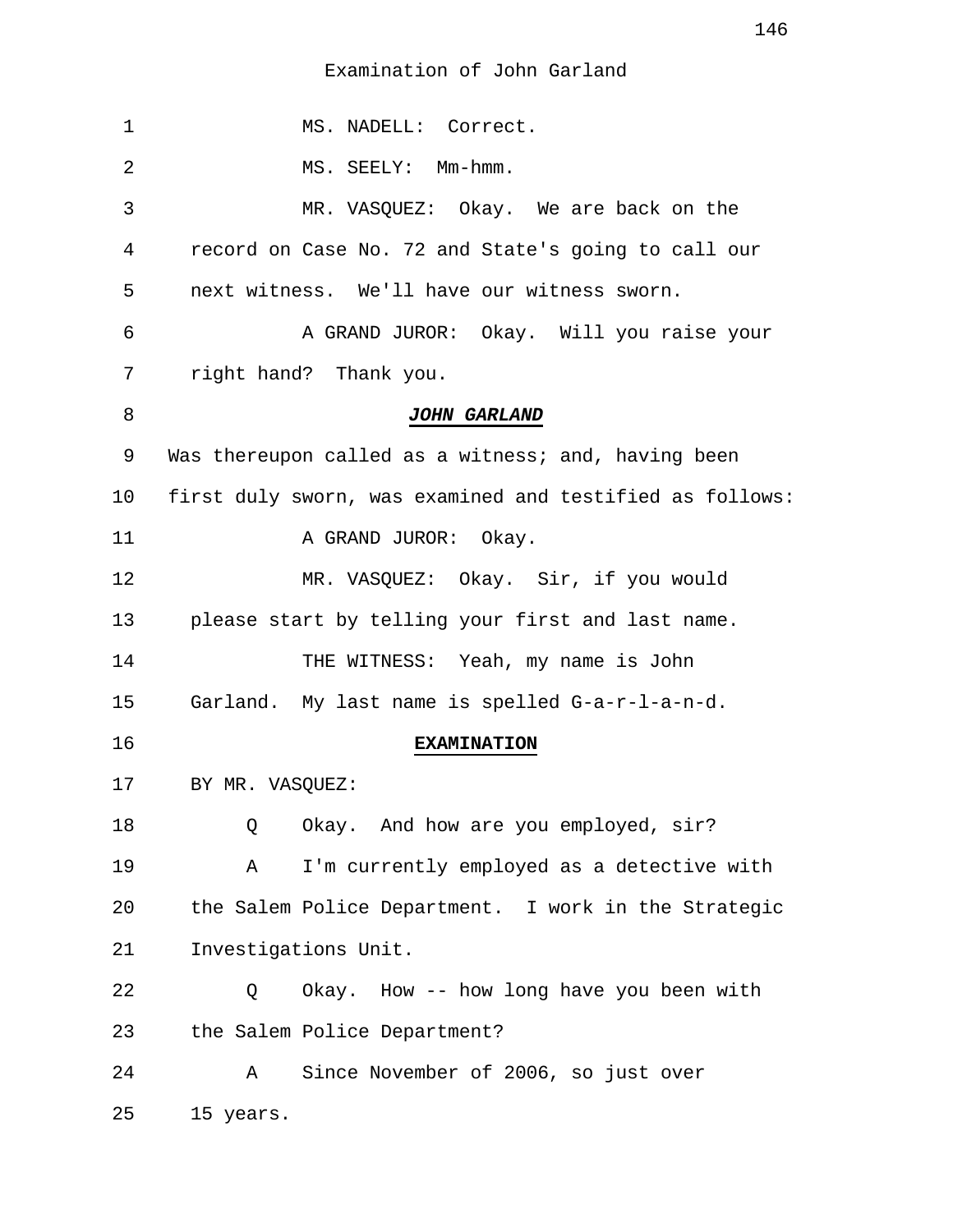1 MS. NADELL: Correct. 2 MS. SEELY: Mm-hmm. 3 MR. VASQUEZ: Okay. We are back on the 4 record on Case No. 72 and State's going to call our 5 next witness. We'll have our witness sworn. 6 A GRAND JUROR: Okay. Will you raise your 7 right hand? Thank you. 8 **JOHN GARLAND** 9 Was thereupon called as a witness; and, having been 10 first duly sworn, was examined and testified as follows: 11 A GRAND JUROR: Okay. 12 MR. VASQUEZ: Okay. Sir, if you would 13 please start by telling your first and last name. 14 THE WITNESS: Yeah, my name is John 15 Garland. My last name is spelled G-a-r-l-a-n-d. 16 **EXAMINATION** 17 BY MR. VASQUEZ: 18 Q Okay. And how are you employed, sir? 19 A I'm currently employed as a detective with 20 the Salem Police Department. I work in the Strategic 21 Investigations Unit. 22 Q Okay. How -- how long have you been with 23 the Salem Police Department? 24 A Since November of 2006, so just over 25 15 years.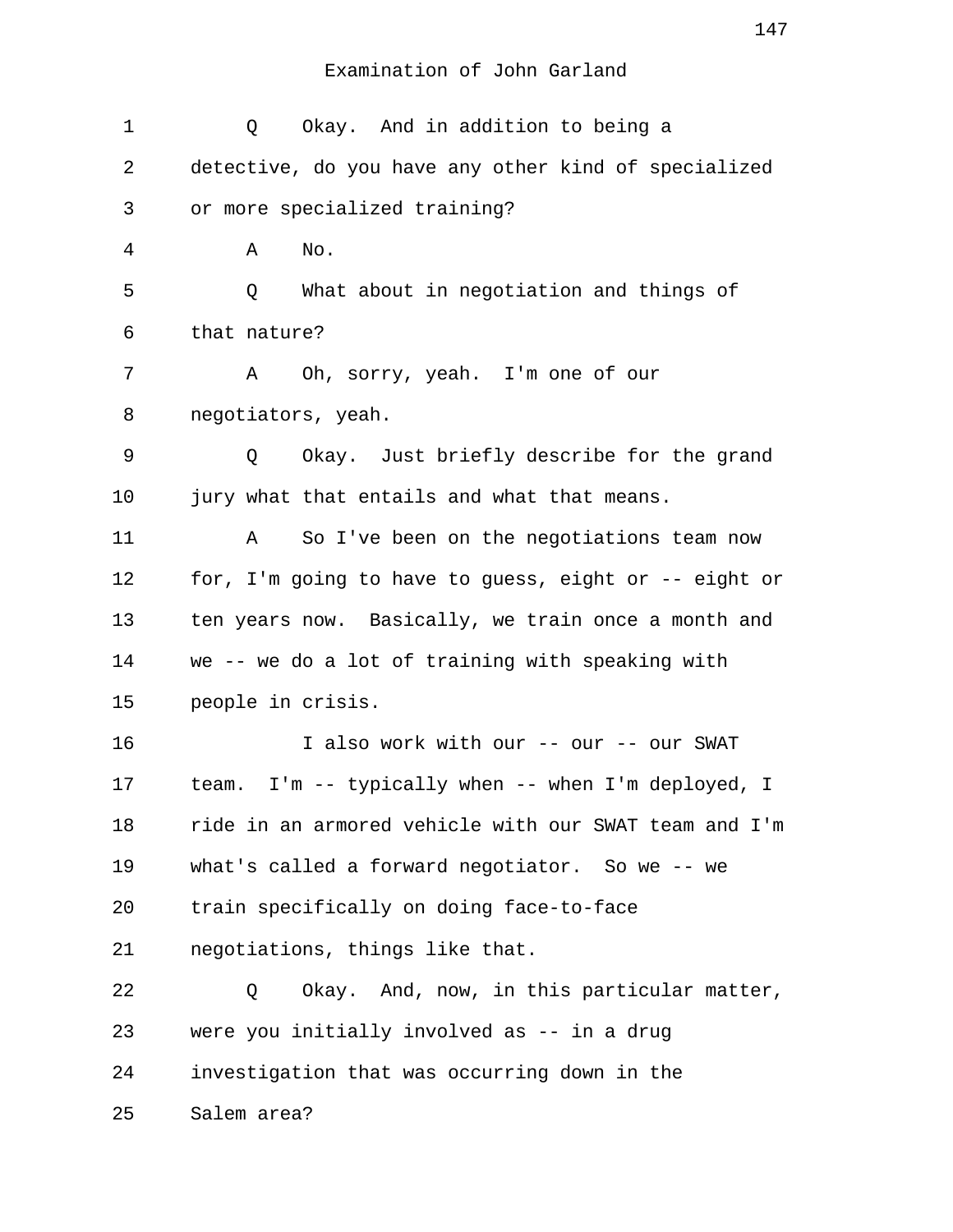| 1  | Okay. And in addition to being a<br>Q                  |
|----|--------------------------------------------------------|
| 2  | detective, do you have any other kind of specialized   |
| 3  | or more specialized training?                          |
| 4  | No.<br>Α                                               |
| 5  | What about in negotiation and things of<br>Q           |
| 6  | that nature?                                           |
| 7  | Oh, sorry, yeah. I'm one of our<br>A                   |
| 8  | negotiators, yeah.                                     |
| 9  | Okay. Just briefly describe for the grand<br>Q         |
| 10 | jury what that entails and what that means.            |
| 11 | So I've been on the negotiations team now<br>A         |
| 12 | for, I'm going to have to guess, eight or -- eight or  |
| 13 | ten years now. Basically, we train once a month and    |
| 14 | we -- we do a lot of training with speaking with       |
| 15 | people in crisis.                                      |
| 16 | I also work with our -- our -- our SWAT                |
| 17 | I'm -- typically when -- when I'm deployed, I<br>team. |
| 18 | ride in an armored vehicle with our SWAT team and I'm  |
| 19 | what's called a forward negotiator. So we -- we        |
| 20 | train specifically on doing face-to-face               |
| 21 | negotiations, things like that.                        |
| 22 | Okay. And, now, in this particular matter,<br>Q        |
| 23 | were you initially involved as -- in a drug            |
| 24 | investigation that was occurring down in the           |
| 25 | Salem area?                                            |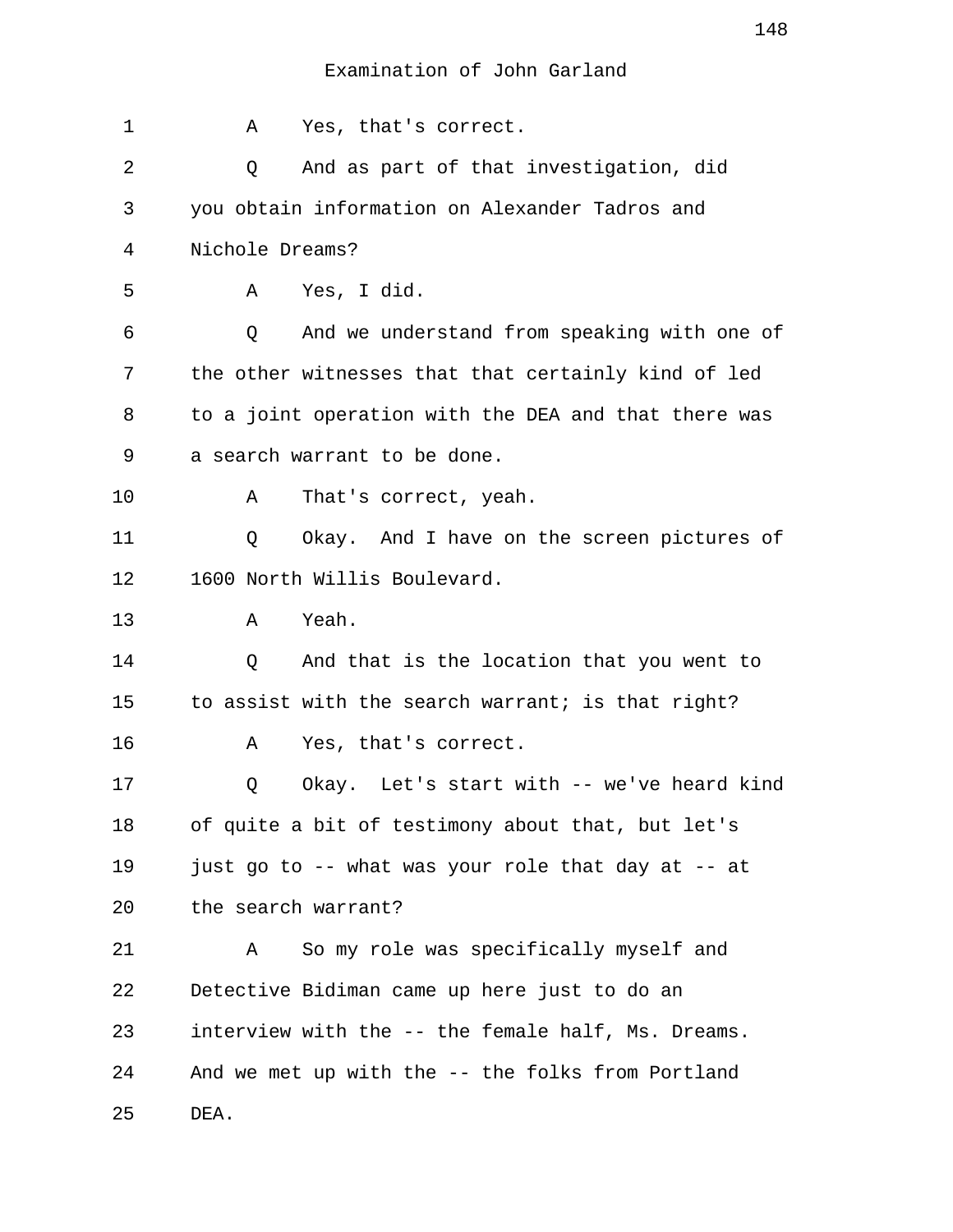1 A Yes, that's correct. 2 Q And as part of that investigation, did 3 you obtain information on Alexander Tadros and 4 Nichole Dreams? 5 A Yes, I did. 6 Q And we understand from speaking with one of 7 the other witnesses that that certainly kind of led 8 to a joint operation with the DEA and that there was 9 a search warrant to be done. 10 A That's correct, yeah. 11 Q Okay. And I have on the screen pictures of 12 1600 North Willis Boulevard. 13 A Yeah. 14 Q And that is the location that you went to 15 to assist with the search warrant; is that right? 16 A Yes, that's correct. 17 Q Okay. Let's start with -- we've heard kind 18 of quite a bit of testimony about that, but let's 19 just go to -- what was your role that day at -- at 20 the search warrant? 21 A So my role was specifically myself and 22 Detective Bidiman came up here just to do an 23 interview with the -- the female half, Ms. Dreams. 24 And we met up with the -- the folks from Portland 25 DEA.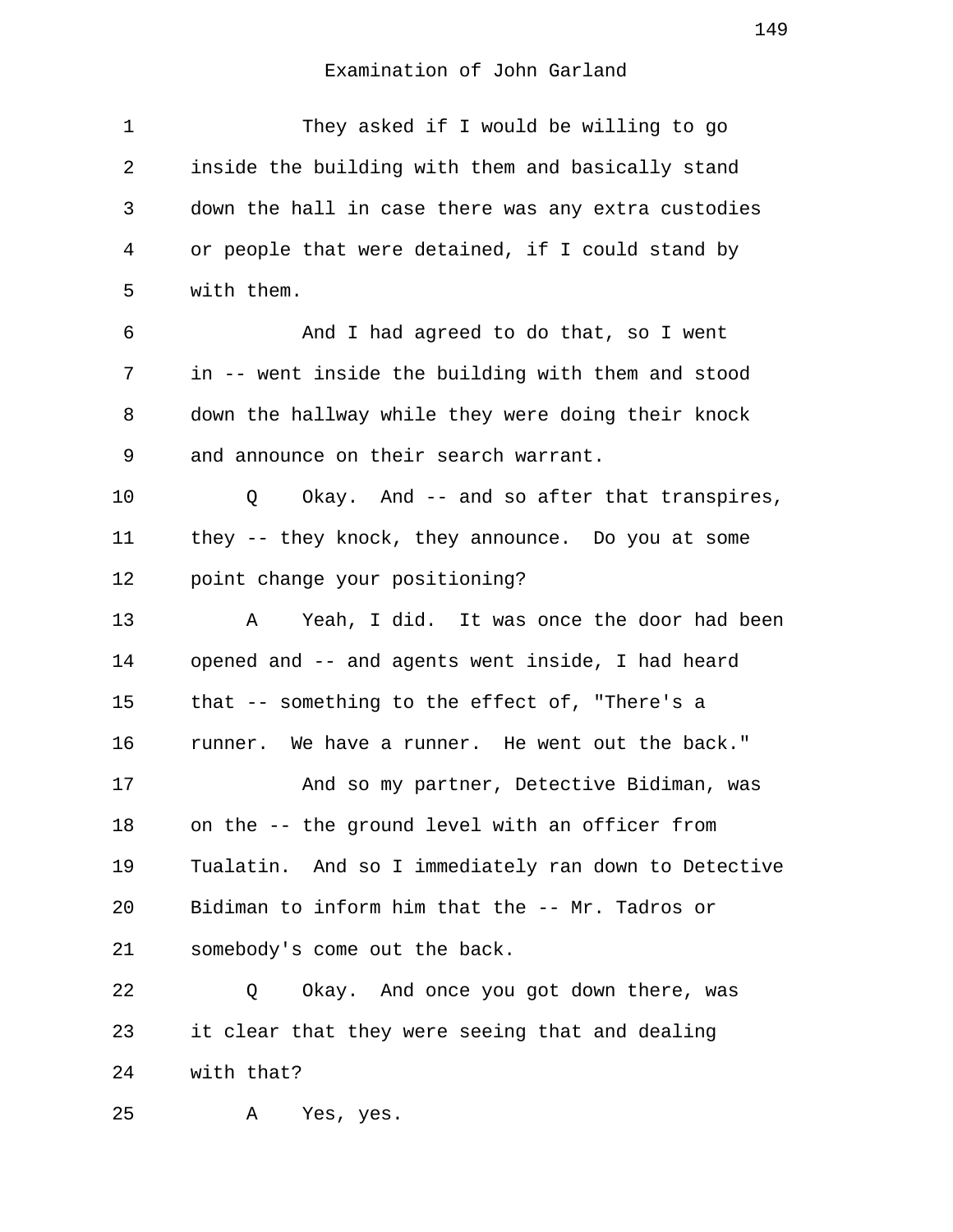| 1  | They asked if I would be willing to go               |
|----|------------------------------------------------------|
| 2  | inside the building with them and basically stand    |
| 3  | down the hall in case there was any extra custodies  |
| 4  | or people that were detained, if I could stand by    |
| 5  | with them.                                           |
| 6  | And I had agreed to do that, so I went               |
| 7  | in -- went inside the building with them and stood   |
| 8  | down the hallway while they were doing their knock   |
| 9  | and announce on their search warrant.                |
| 10 | Q<br>Okay. And -- and so after that transpires,      |
| 11 | they -- they knock, they announce. Do you at some    |
| 12 | point change your positioning?                       |
| 13 | Yeah, I did. It was once the door had been<br>Α      |
| 14 | opened and -- and agents went inside, I had heard    |
| 15 | that -- something to the effect of, "There's a       |
| 16 | runner. We have a runner. He went out the back."     |
| 17 | And so my partner, Detective Bidiman, was            |
| 18 | on the -- the ground level with an officer from      |
| 19 | Tualatin. And so I immediately ran down to Detective |
| 20 | Bidiman to inform him that the -- Mr. Tadros or      |
| 21 | somebody's come out the back.                        |
| 22 | Okay. And once you got down there, was<br>Q          |
| 23 | it clear that they were seeing that and dealing      |
| 24 | with that?                                           |
| 25 | Yes, yes.<br>Α                                       |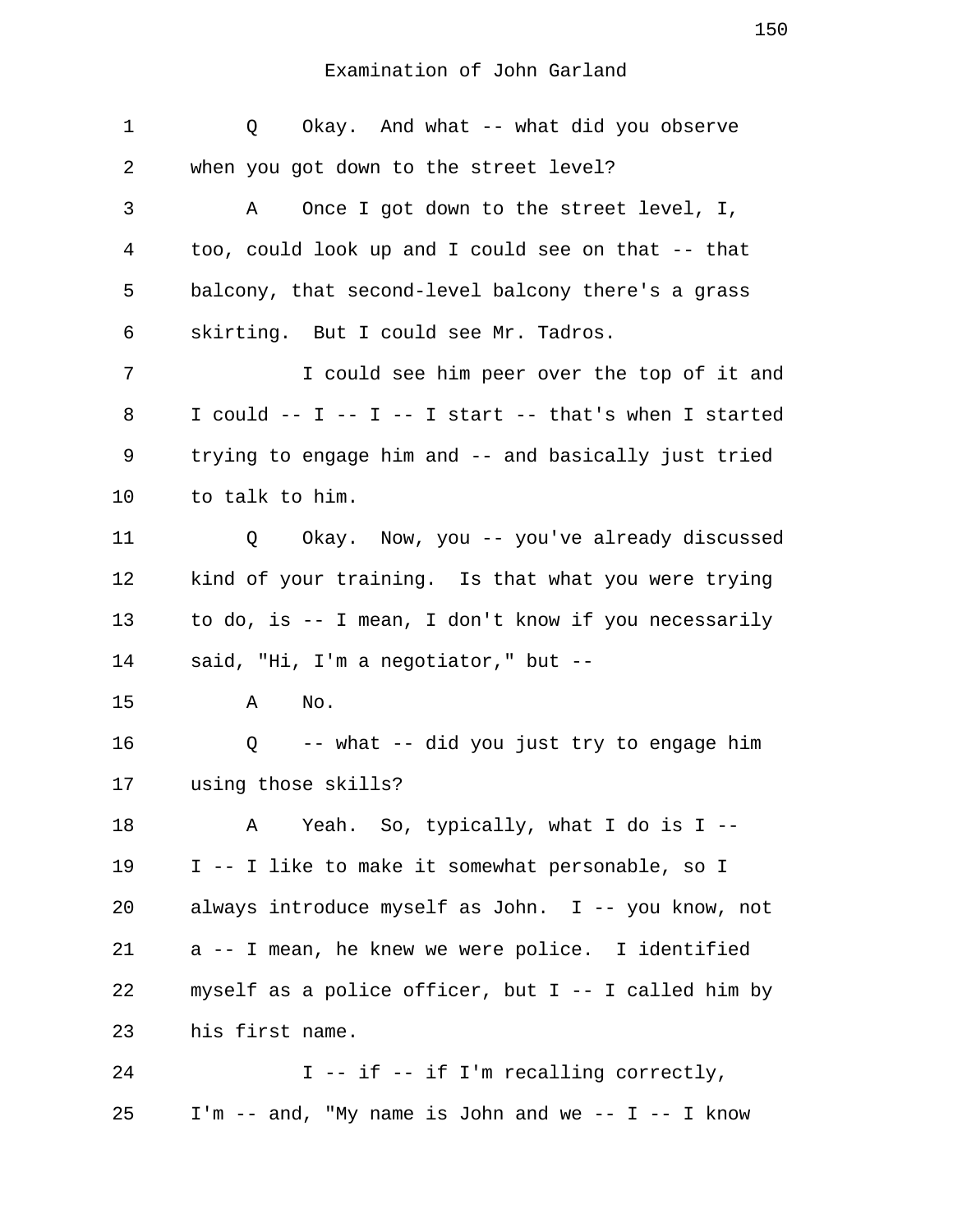| 1  | Okay. And what -- what did you observe<br>Q                   |
|----|---------------------------------------------------------------|
| 2  | when you got down to the street level?                        |
| 3  | Once I got down to the street level, I,<br>Α                  |
| 4  | too, could look up and I could see on that -- that            |
| 5  | balcony, that second-level balcony there's a grass            |
| 6  | skirting. But I could see Mr. Tadros.                         |
| 7  | I could see him peer over the top of it and                   |
| 8  | I could $--$ I $--$ I $--$ I start $--$ that's when I started |
| 9  | trying to engage him and -- and basically just tried          |
| 10 | to talk to him.                                               |
| 11 | Okay. Now, you -- you've already discussed<br>Q               |
| 12 | kind of your training. Is that what you were trying           |
| 13 | to do, is -- I mean, I don't know if you necessarily          |
| 14 | said, "Hi, I'm a negotiator," but --                          |
| 15 | No.<br>Α                                                      |
| 16 | -- what -- did you just try to engage him<br>Q                |
| 17 | using those skills?                                           |
| 18 | Yeah. So, typically, what I do is I --<br>Α                   |
| 19 | I -- I like to make it somewhat personable, so I              |
| 20 | always introduce myself as John. I -- you know, not           |
| 21 | a -- I mean, he knew we were police. I identified             |
| 22 | myself as a police officer, but $I$ -- I called him by        |
| 23 | his first name.                                               |
| 24 | I -- if -- if I'm recalling correctly,                        |
| 25 | I'm -- and, "My name is John and we -- I -- I know            |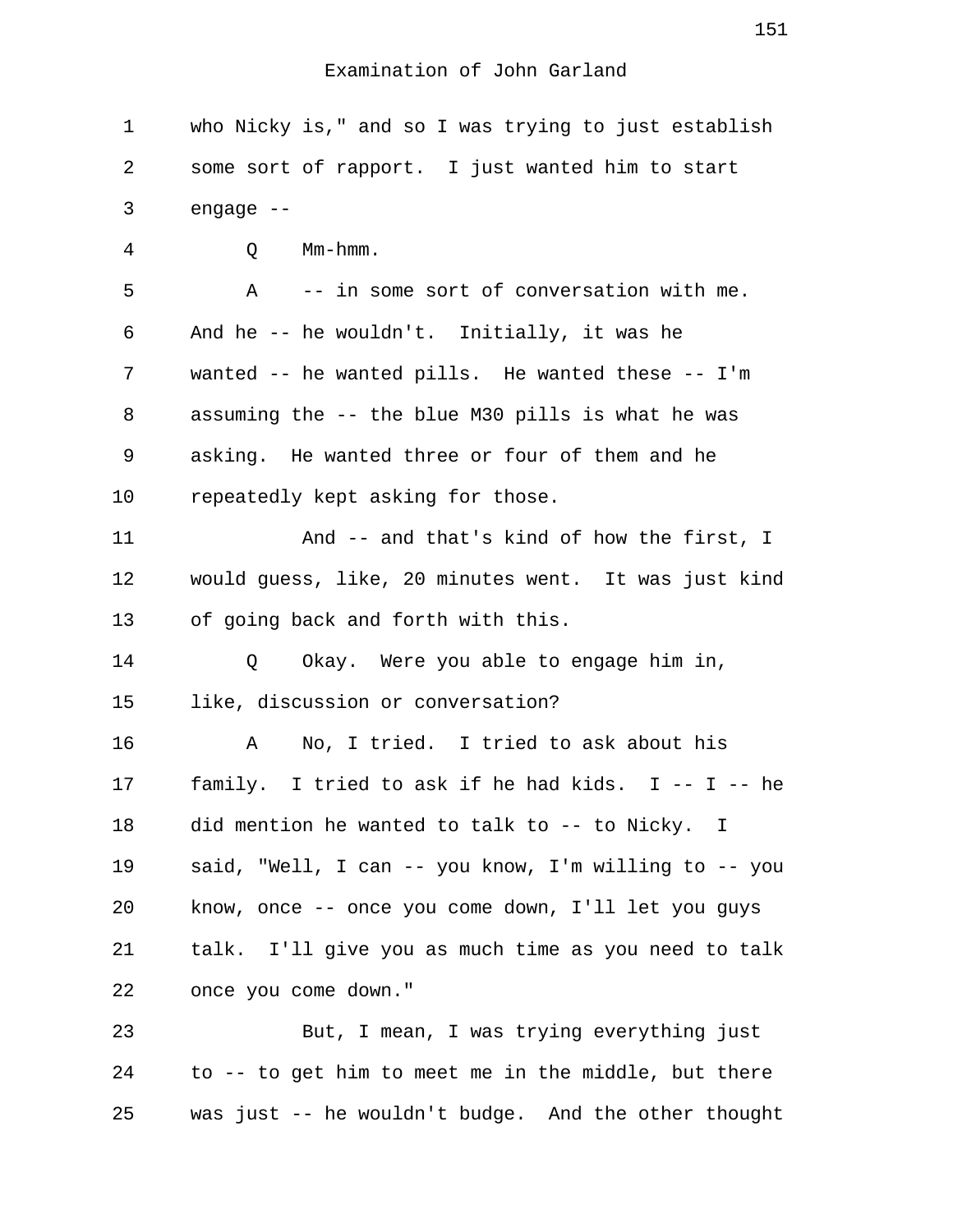1 who Nicky is," and so I was trying to just establish 2 some sort of rapport. I just wanted him to start 3 engage -- 4 Q Mm-hmm. 5 A -- in some sort of conversation with me. 6 And he -- he wouldn't. Initially, it was he 7 wanted -- he wanted pills. He wanted these -- I'm 8 assuming the -- the blue M30 pills is what he was 9 asking. He wanted three or four of them and he 10 repeatedly kept asking for those. 11 And -- and that's kind of how the first, I 12 would guess, like, 20 minutes went. It was just kind 13 of going back and forth with this. 14 O Okay. Were you able to engage him in, 15 like, discussion or conversation? 16 A No, I tried. I tried to ask about his 17 family. I tried to ask if he had kids. I -- I -- he 18 did mention he wanted to talk to -- to Nicky. I 19 said, "Well, I can -- you know, I'm willing to -- you 20 know, once -- once you come down, I'll let you guys 21 talk. I'll give you as much time as you need to talk 22 once you come down." 23 But, I mean, I was trying everything just 24 to -- to get him to meet me in the middle, but there 25 was just -- he wouldn't budge. And the other thought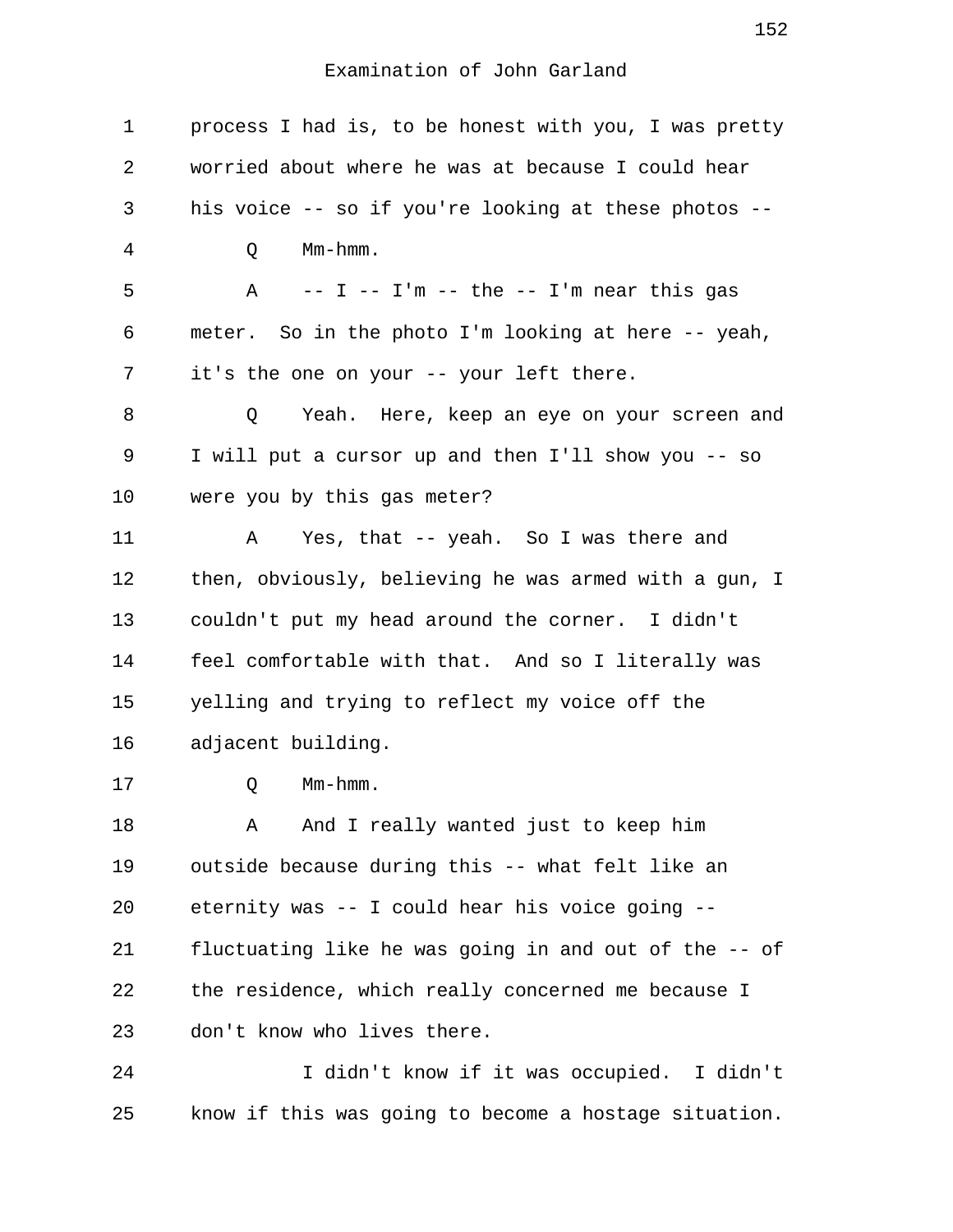| 1  | process I had is, to be honest with you, I was pretty |
|----|-------------------------------------------------------|
| 2  | worried about where he was at because I could hear    |
| 3  | his voice -- so if you're looking at these photos --  |
| 4  | $Mm-hmm$ .<br>Q                                       |
| 5  | A $-$ I $-$ I'm $-$ the $-$ I'm near this gas         |
| 6  | meter. So in the photo I'm looking at here -- yeah,   |
| 7  | it's the one on your -- your left there.              |
| 8  | Yeah. Here, keep an eye on your screen and<br>Q       |
| 9  | I will put a cursor up and then I'll show you -- so   |
| 10 | were you by this gas meter?                           |
| 11 | Yes, that -- yeah. So I was there and<br>Α            |
| 12 | then, obviously, believing he was armed with a gun, I |
| 13 | couldn't put my head around the corner. I didn't      |
| 14 | feel comfortable with that. And so I literally was    |
| 15 | yelling and trying to reflect my voice off the        |
| 16 | adjacent building.                                    |
| 17 | Mm-hmm.<br>Q                                          |
| 18 | And I really wanted just to keep him<br>Α             |
| 19 | outside because during this -- what felt like an      |
| 20 | eternity was -- I could hear his voice going --       |
| 21 | fluctuating like he was going in and out of the -- of |
| 22 | the residence, which really concerned me because I    |
| 23 | don't know who lives there.                           |
| 24 | I didn't know if it was occupied. I didn't            |

25 know if this was going to become a hostage situation.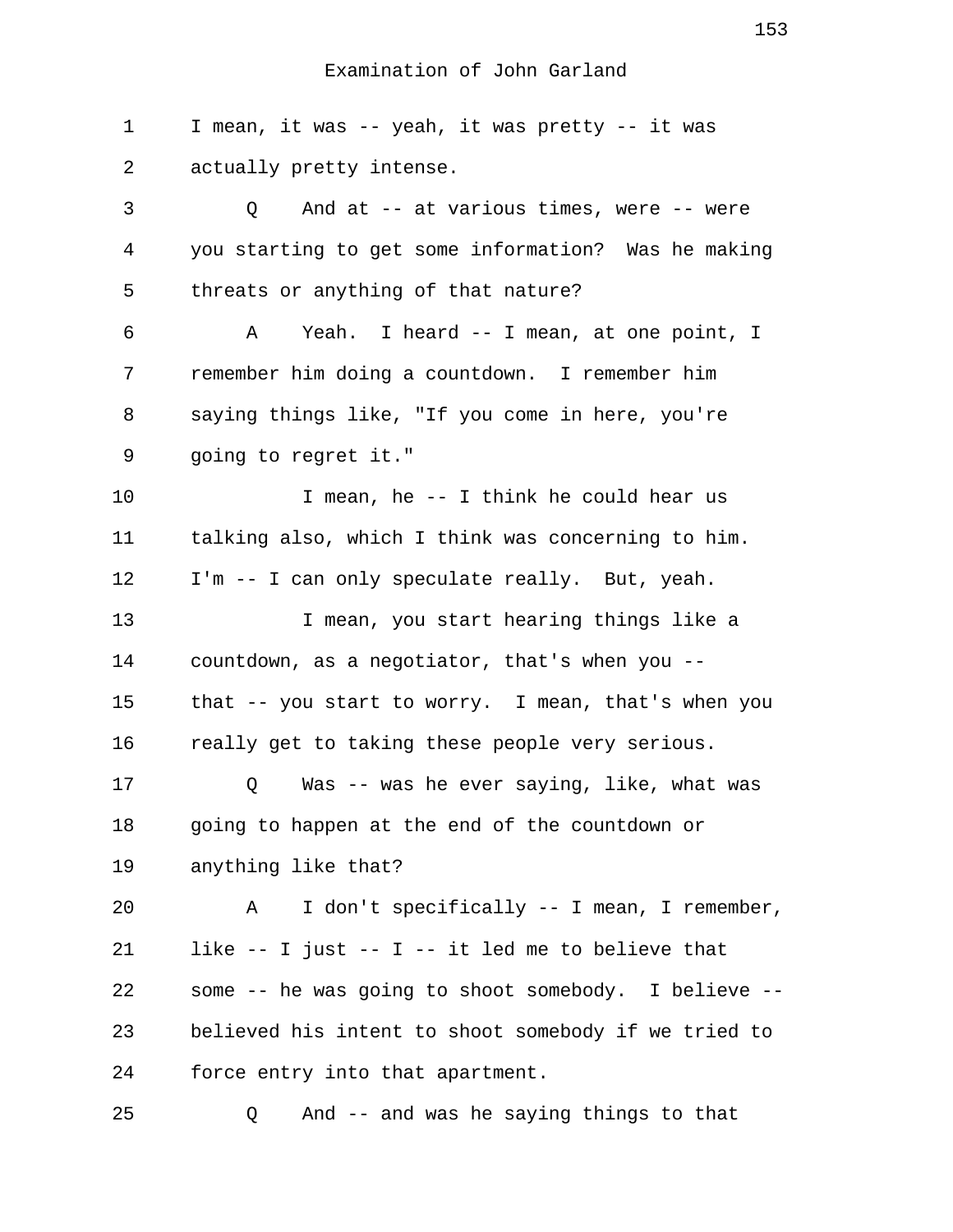1 I mean, it was -- yeah, it was pretty -- it was 2 actually pretty intense.

 3 Q And at -- at various times, were -- were 4 you starting to get some information? Was he making 5 threats or anything of that nature? 6 A Yeah. I heard -- I mean, at one point, I 7 remember him doing a countdown. I remember him 8 saying things like, "If you come in here, you're 9 going to regret it." 10 I mean, he -- I think he could hear us 11 talking also, which I think was concerning to him. 12 I'm -- I can only speculate really. But, yeah. 13 I mean, you start hearing things like a 14 countdown, as a negotiator, that's when you -- 15 that -- you start to worry. I mean, that's when you 16 really get to taking these people very serious. 17 Q Was -- was he ever saying, like, what was 18 going to happen at the end of the countdown or 19 anything like that? 20 A I don't specifically -- I mean, I remember, 21 like -- I just -- I -- it led me to believe that 22 some -- he was going to shoot somebody. I believe -- 23 believed his intent to shoot somebody if we tried to 24 force entry into that apartment.

25 Q And -- and was he saying things to that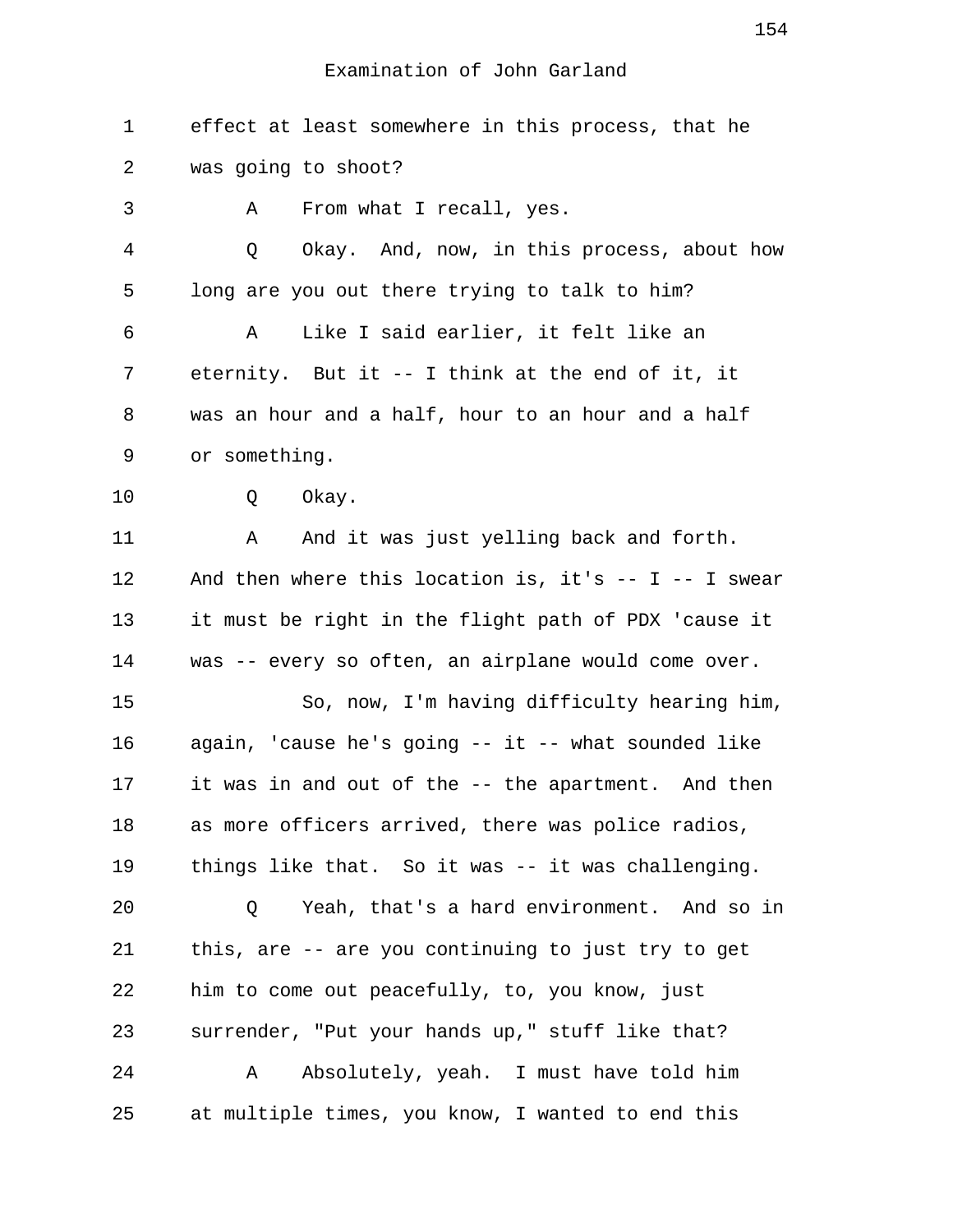1 effect at least somewhere in this process, that he 2 was going to shoot? 3 A From what I recall, yes. 4 Q Okay. And, now, in this process, about how 5 long are you out there trying to talk to him? 6 A Like I said earlier, it felt like an 7 eternity. But it -- I think at the end of it, it 8 was an hour and a half, hour to an hour and a half 9 or something. 10 Q Okay. 11 A And it was just yelling back and forth. 12 And then where this location is, it's -- I -- I swear 13 it must be right in the flight path of PDX 'cause it 14 was -- every so often, an airplane would come over. 15 So, now, I'm having difficulty hearing him, 16 again, 'cause he's going -- it -- what sounded like 17 it was in and out of the -- the apartment. And then 18 as more officers arrived, there was police radios, 19 things like that. So it was -- it was challenging. 20 Q Yeah, that's a hard environment. And so in 21 this, are -- are you continuing to just try to get 22 him to come out peacefully, to, you know, just 23 surrender, "Put your hands up," stuff like that? 24 A Absolutely, yeah. I must have told him 25 at multiple times, you know, I wanted to end this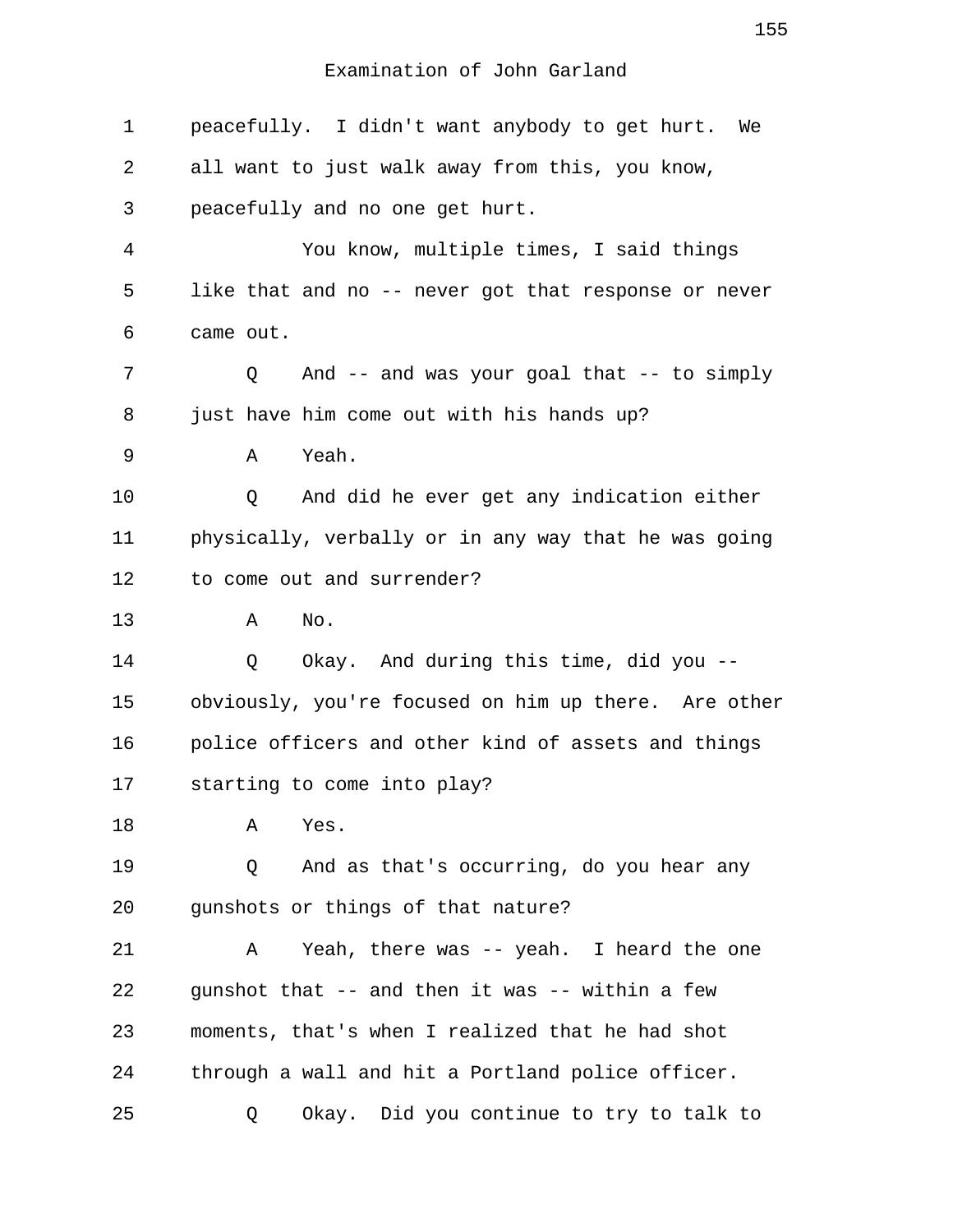| $\mathbf 1$    | peacefully. I didn't want anybody to get hurt. We    |
|----------------|------------------------------------------------------|
| 2              | all want to just walk away from this, you know,      |
| 3              | peacefully and no one get hurt.                      |
| $\overline{4}$ | You know, multiple times, I said things              |
| 5              | like that and no -- never got that response or never |
| 6              | came out.                                            |
| 7              | And $--$ and was your goal that $--$ to simply<br>Q  |
| 8              | just have him come out with his hands up?            |
| 9              | Yeah.<br>Α                                           |
| 10             | And did he ever get any indication either<br>Q       |
| 11             | physically, verbally or in any way that he was going |
| 12             | to come out and surrender?                           |
| 13             | No.<br>Α                                             |
| 14             | Okay. And during this time, did you --<br>Q          |
| 15             | obviously, you're focused on him up there. Are other |
| 16             | police officers and other kind of assets and things  |
| 17             | starting to come into play?                          |
| 18             | Α<br>Yes.                                            |
| 19             | And as that's occurring, do you hear any<br>Q        |
| 20             | gunshots or things of that nature?                   |
| 21             | Yeah, there was -- yeah. I heard the one<br>Α        |
| 22             | gunshot that -- and then it was -- within a few      |
| 23             | moments, that's when I realized that he had shot     |
| 24             | through a wall and hit a Portland police officer.    |
| 25             | Okay. Did you continue to try to talk to<br>Q        |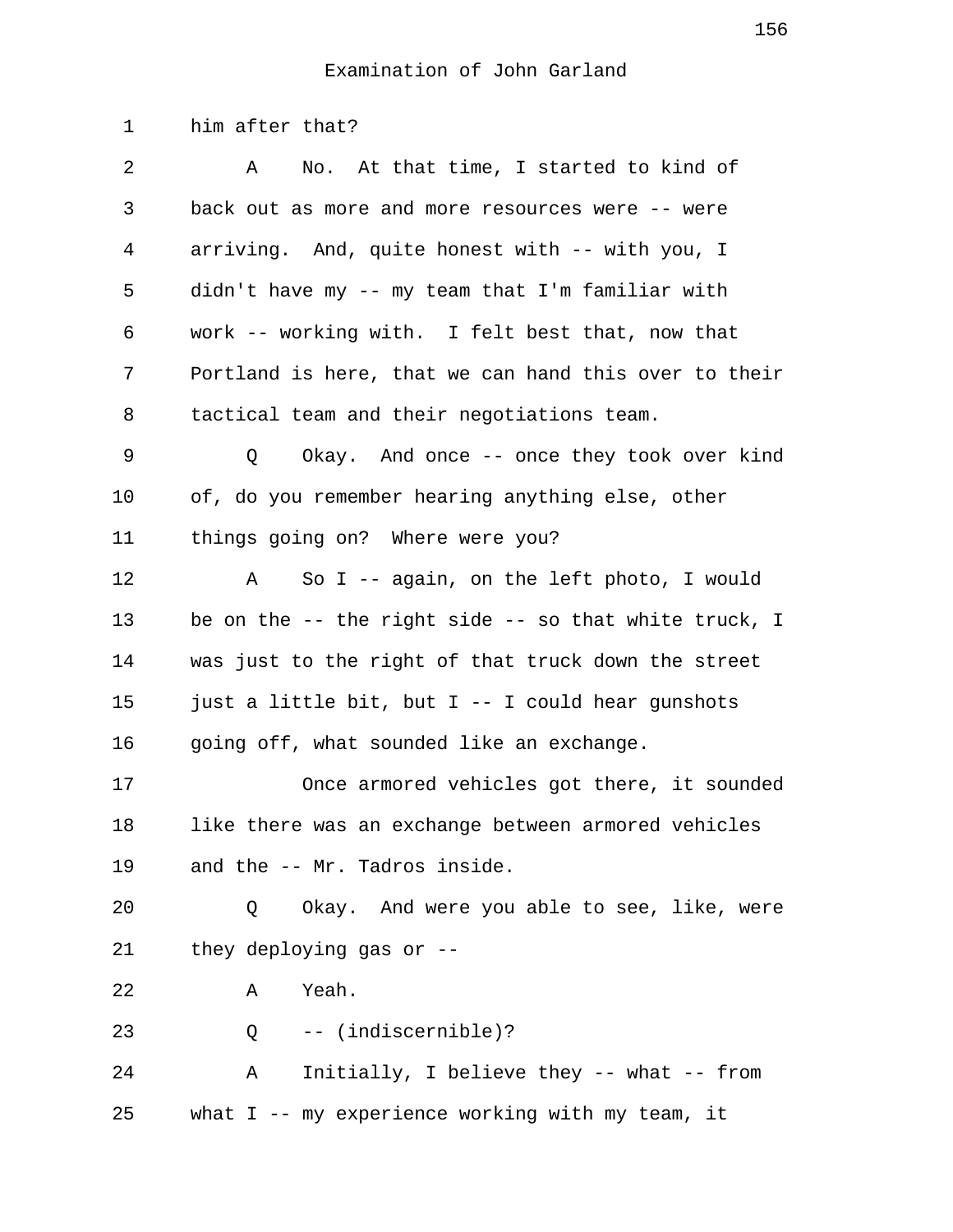1 him after that? 2 A No. At that time, I started to kind of 3 back out as more and more resources were -- were 4 arriving. And, quite honest with -- with you, I 5 didn't have my -- my team that I'm familiar with 6 work -- working with. I felt best that, now that 7 Portland is here, that we can hand this over to their 8 tactical team and their negotiations team. 9 Q Okay. And once -- once they took over kind 10 of, do you remember hearing anything else, other 11 things going on? Where were you? 12 A So I -- again, on the left photo, I would 13 be on the -- the right side -- so that white truck, I 14 was just to the right of that truck down the street 15 just a little bit, but I -- I could hear gunshots 16 going off, what sounded like an exchange. 17 Once armored vehicles got there, it sounded 18 like there was an exchange between armored vehicles 19 and the -- Mr. Tadros inside. 20 Q Okay. And were you able to see, like, were 21 they deploying gas or -- 22 A Yeah. 23 Q -- (indiscernible)? 24 A Initially, I believe they -- what -- from 25 what I -- my experience working with my team, it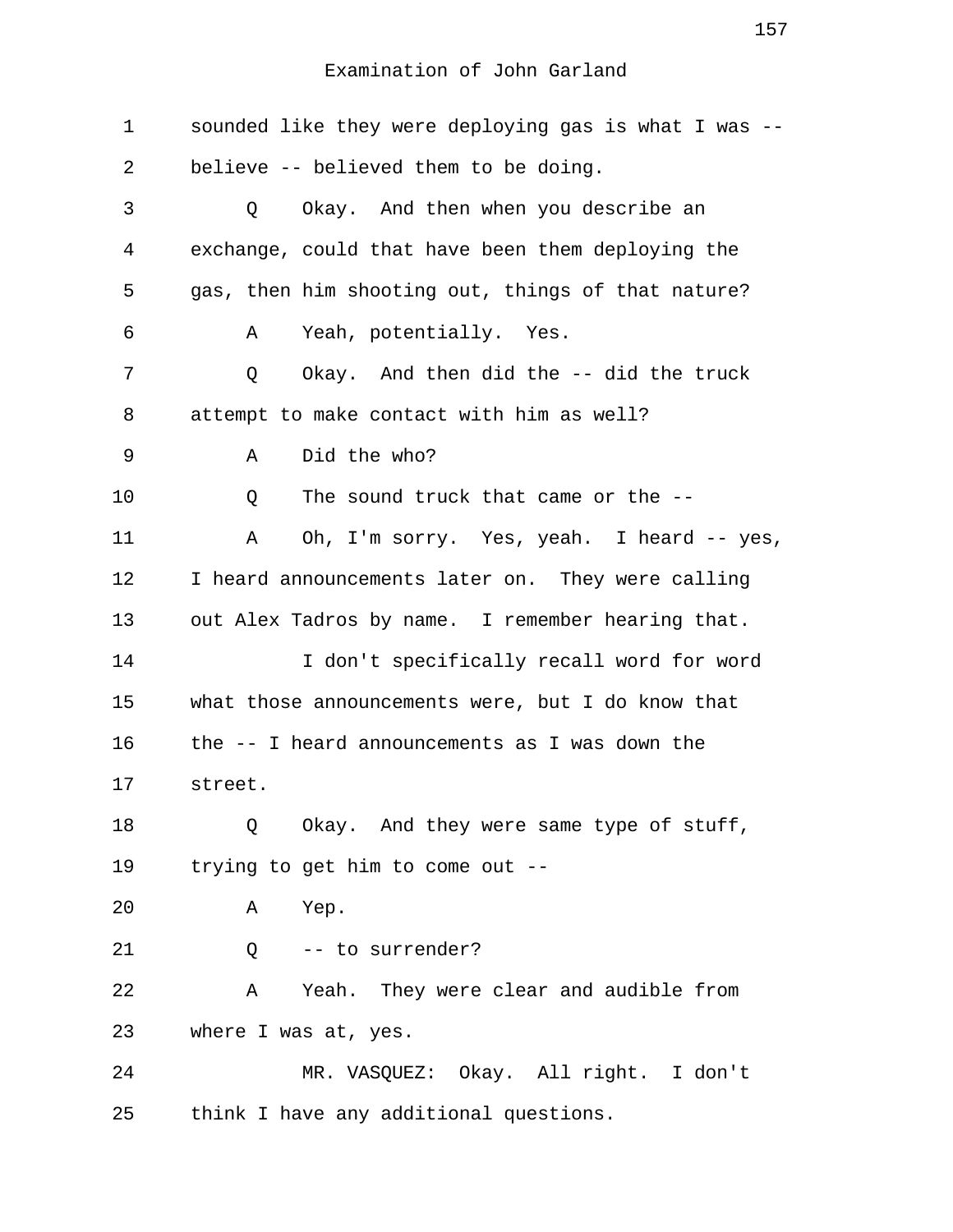| $\mathbf 1$ | sounded like they were deploying gas is what I was -- |
|-------------|-------------------------------------------------------|
| 2           | believe -- believed them to be doing.                 |
| 3           | Okay. And then when you describe an<br>Q              |
| 4           | exchange, could that have been them deploying the     |
| 5           | gas, then him shooting out, things of that nature?    |
| 6           | Yeah, potentially. Yes.<br>Α                          |
| 7           | Okay. And then did the -- did the truck<br>Q          |
| 8           | attempt to make contact with him as well?             |
| 9           | Did the who?<br>Α                                     |
| 10          | The sound truck that came or the --<br>Q              |
| 11          | Oh, I'm sorry. Yes, yeah. I heard -- yes,<br>Α        |
| 12          | I heard announcements later on. They were calling     |
| 13          | out Alex Tadros by name. I remember hearing that.     |
| 14          | I don't specifically recall word for word             |
| 15          | what those announcements were, but I do know that     |
| 16          | the -- I heard announcements as I was down the        |
| 17          | street.                                               |
| 18          | Okay. And they were same type of stuff,<br>Q          |
| 19          | trying to get him to come out --                      |
| 20          | Yep.<br>Α                                             |
| 21          | -- to surrender?<br>$Q \qquad \qquad$                 |
| 22          | Yeah. They were clear and audible from<br>Α           |
| 23          | where I was at, yes.                                  |
| 24          | MR. VASQUEZ: Okay. All right. I don't                 |
| 25          | think I have any additional questions.                |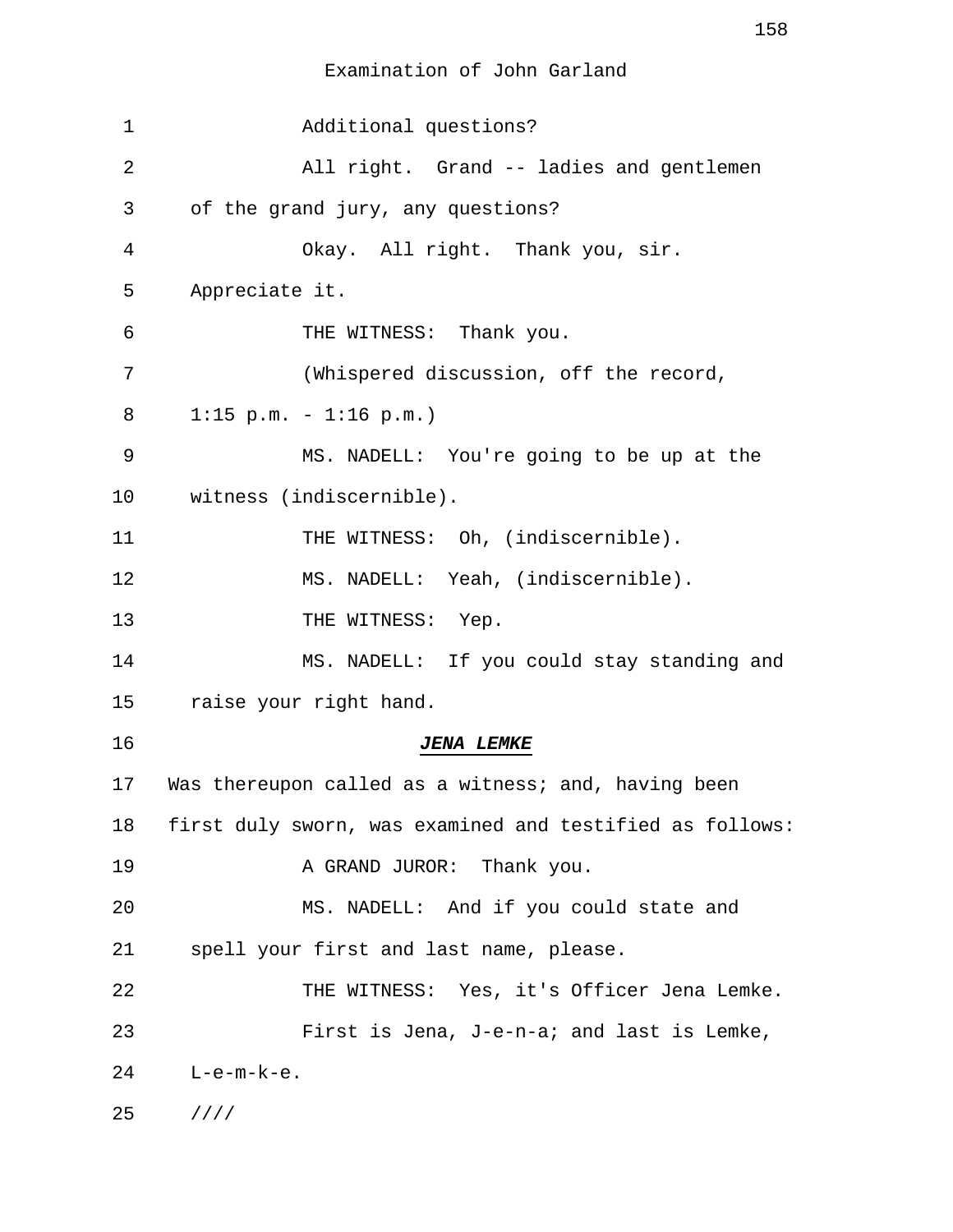| 1  | Additional questions?                                    |
|----|----------------------------------------------------------|
| 2  | All right. Grand -- ladies and gentlemen                 |
| 3  | of the grand jury, any questions?                        |
| 4  | Okay. All right. Thank you, sir.                         |
| 5  | Appreciate it.                                           |
| 6  | THE WITNESS: Thank you.                                  |
| 7  | (Whispered discussion, off the record,                   |
| 8  | $1:15$ p.m. - $1:16$ p.m.)                               |
| 9  | MS. NADELL: You're going to be up at the                 |
| 10 | witness (indiscernible).                                 |
| 11 | THE WITNESS: Oh, (indiscernible).                        |
| 12 | MS. NADELL: Yeah, (indiscernible).                       |
| 13 | THE WITNESS: Yep.                                        |
| 14 | MS. NADELL: If you could stay standing and               |
| 15 | raise your right hand.                                   |
| 16 | <b>JENA LEMKE</b>                                        |
| 17 | Was thereupon called as a witness; and, having been      |
| 18 | first duly sworn, was examined and testified as follows: |
| 19 | A GRAND JUROR: Thank you.                                |
| 20 | MS. NADELL: And if you could state and                   |
| 21 | spell your first and last name, please.                  |
| 22 | THE WITNESS: Yes, it's Officer Jena Lemke.               |
| 23 | First is Jena, J-e-n-a; and last is Lemke,               |
| 24 | $L-e-m-k-e.$                                             |
| 25 | 1111                                                     |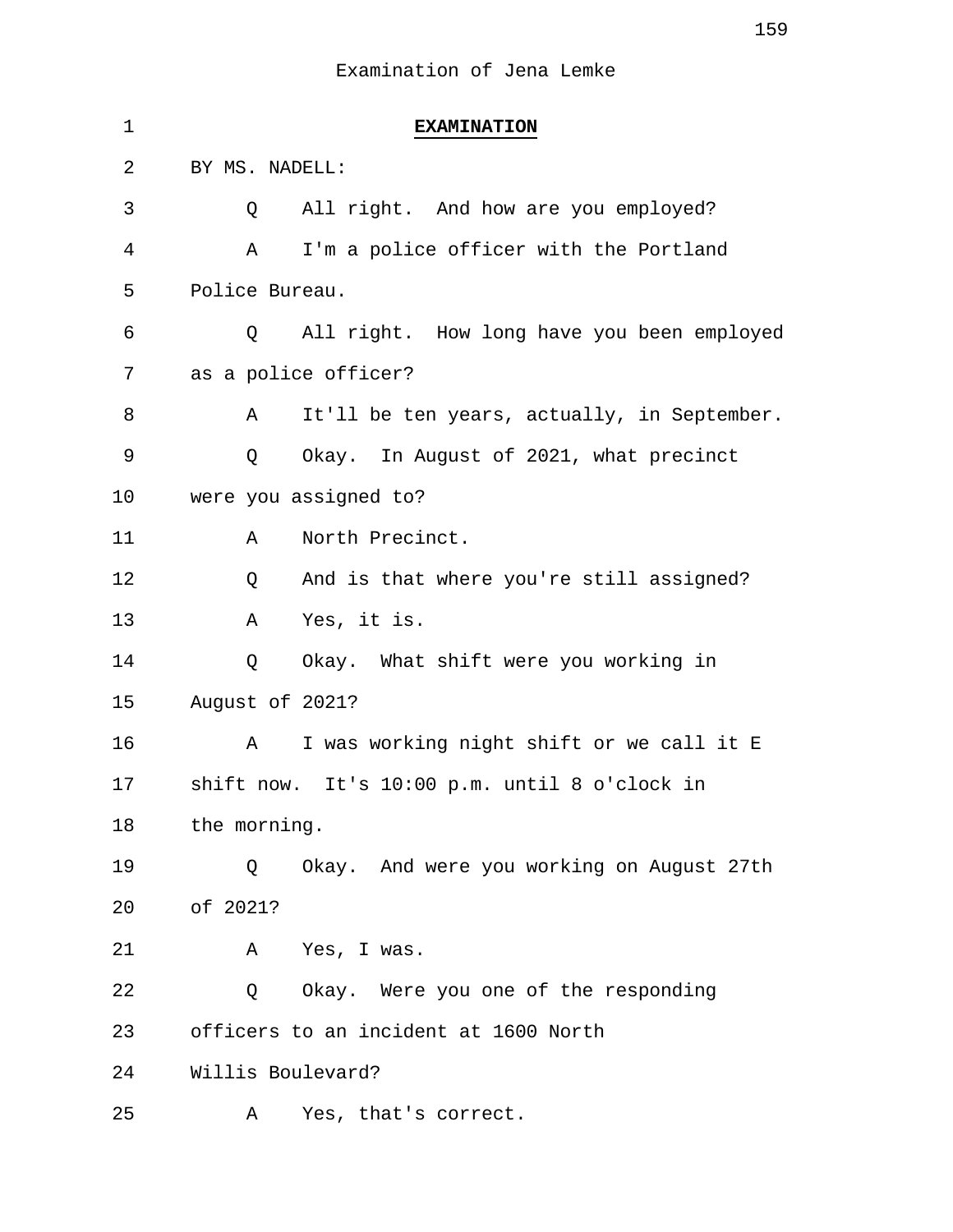| 1  | <b>EXAMINATION</b>                               |
|----|--------------------------------------------------|
| 2  | BY MS. NADELL:                                   |
| 3  | All right. And how are you employed?<br>Q        |
| 4  | I'm a police officer with the Portland<br>Α      |
| 5  | Police Bureau.                                   |
| 6  | All right. How long have you been employed<br>Q  |
| 7  | as a police officer?                             |
| 8  | It'll be ten years, actually, in September.<br>Α |
| 9  | Okay. In August of 2021, what precinct<br>Q      |
| 10 | were you assigned to?                            |
| 11 | North Precinct.<br>Α                             |
| 12 | And is that where you're still assigned?<br>Q    |
| 13 | Yes, it is.<br>Α                                 |
| 14 | Okay. What shift were you working in<br>Q        |
| 15 | August of 2021?                                  |
| 16 | I was working night shift or we call it E<br>Α   |
| 17 | shift now. It's 10:00 p.m. until 8 o'clock in    |
| 18 | the morning.                                     |
| 19 | Okay. And were you working on August 27th<br>Q   |
| 20 | of 2021?                                         |
| 21 | Yes, I was.<br>A                                 |
| 22 | Okay. Were you one of the responding<br>Q        |
| 23 | officers to an incident at 1600 North            |
| 24 | Willis Boulevard?                                |
| 25 | Yes, that's correct.<br>Α                        |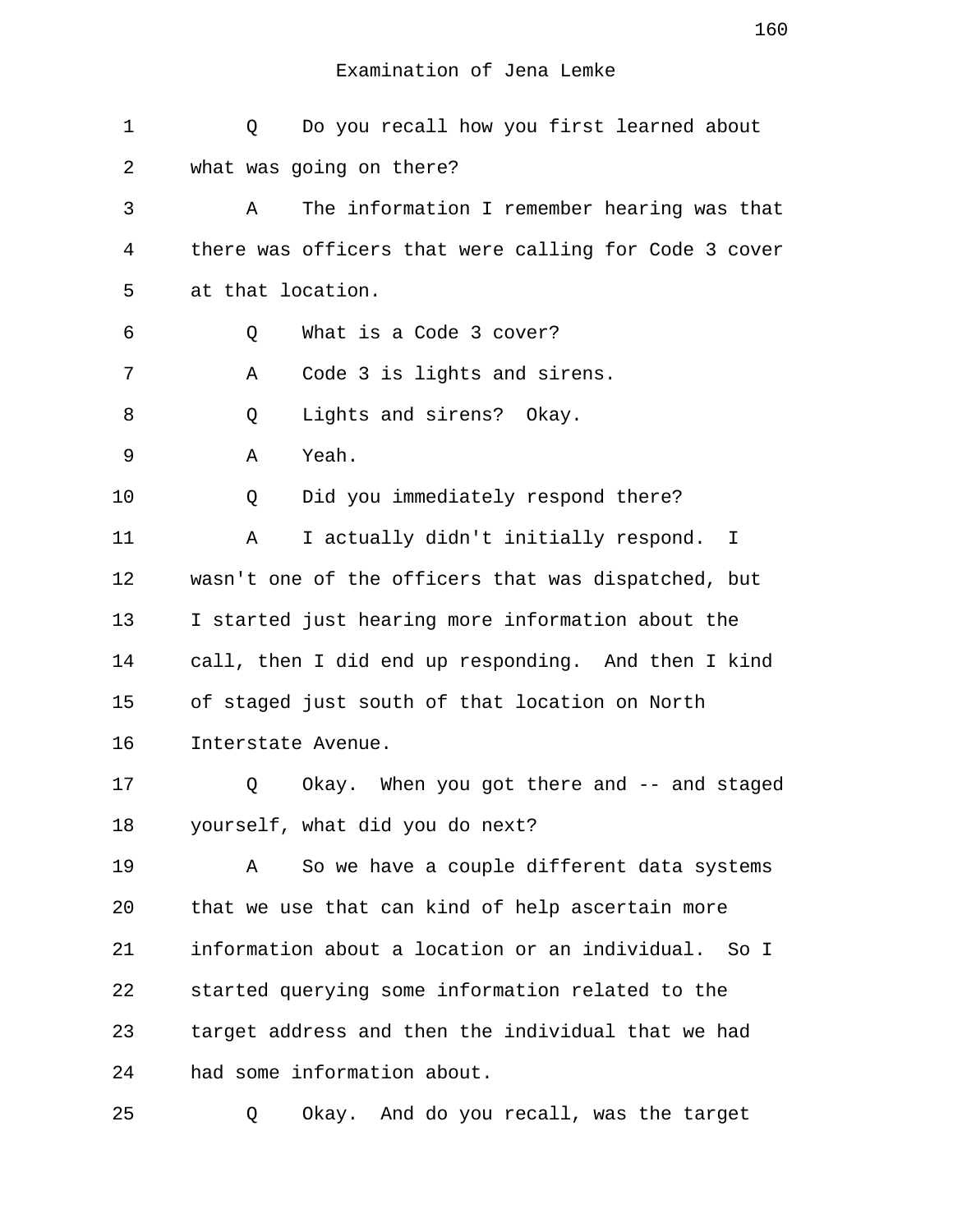| $\mathbf 1$ | Do you recall how you first learned about<br>Q        |
|-------------|-------------------------------------------------------|
| 2           | what was going on there?                              |
| 3           | The information I remember hearing was that<br>Α      |
| 4           | there was officers that were calling for Code 3 cover |
| 5           | at that location.                                     |
| 6           | What is a Code 3 cover?<br>Q                          |
| 7           | Code 3 is lights and sirens.<br>Α                     |
| 8           | Lights and sirens? Okay.<br>Q                         |
| 9           | Yeah.<br>Α                                            |
| 10          | Did you immediately respond there?<br>Q               |
| 11          | I actually didn't initially respond. I<br>Α           |
| 12          | wasn't one of the officers that was dispatched, but   |
| 13          | I started just hearing more information about the     |
| 14          | call, then I did end up responding. And then I kind   |
| 15          | of staged just south of that location on North        |
| 16          | Interstate Avenue.                                    |
| 17          | Okay. When you got there and -- and staged<br>Q       |
| 18          | yourself, what did you do next?                       |
| 19          | So we have a couple different data systems<br>Α       |
| 20          | that we use that can kind of help ascertain more      |
| 21          | information about a location or an individual. So I   |
| 22          | started querying some information related to the      |
| 23          | target address and then the individual that we had    |
| 24          | had some information about.                           |

25 Q Okay. And do you recall, was the target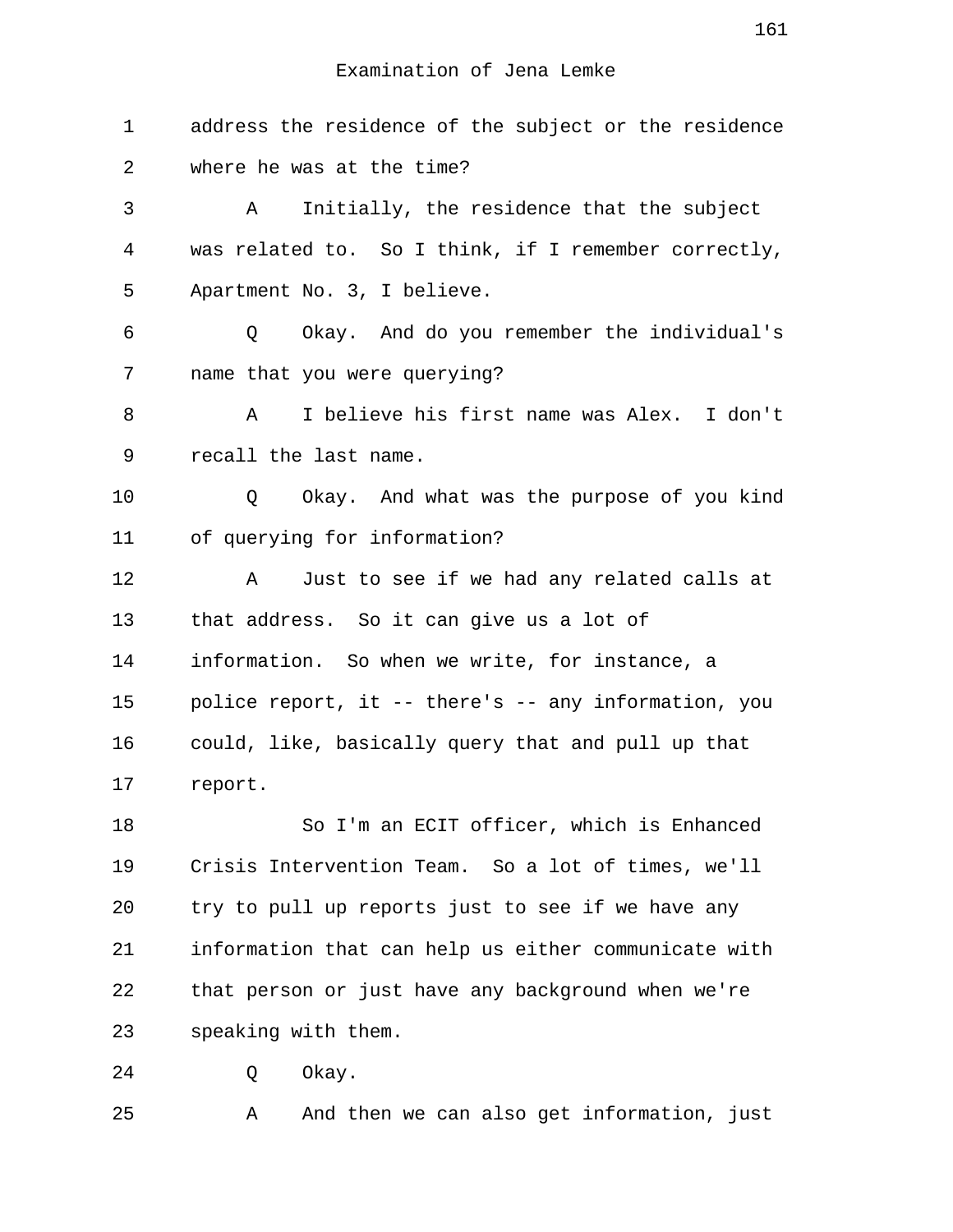1 address the residence of the subject or the residence 2 where he was at the time? 3 A Initially, the residence that the subject 4 was related to. So I think, if I remember correctly, 5 Apartment No. 3, I believe. 6 Q Okay. And do you remember the individual's 7 name that you were querying? 8 A I believe his first name was Alex. I don't 9 recall the last name. 10 Q Okay. And what was the purpose of you kind 11 of querying for information? 12 A Just to see if we had any related calls at 13 that address. So it can give us a lot of 14 information. So when we write, for instance, a 15 police report, it -- there's -- any information, you 16 could, like, basically query that and pull up that 17 report. 18 So I'm an ECIT officer, which is Enhanced 19 Crisis Intervention Team. So a lot of times, we'll 20 try to pull up reports just to see if we have any 21 information that can help us either communicate with 22 that person or just have any background when we're 23 speaking with them. 24 O Okay. 25 A And then we can also get information, just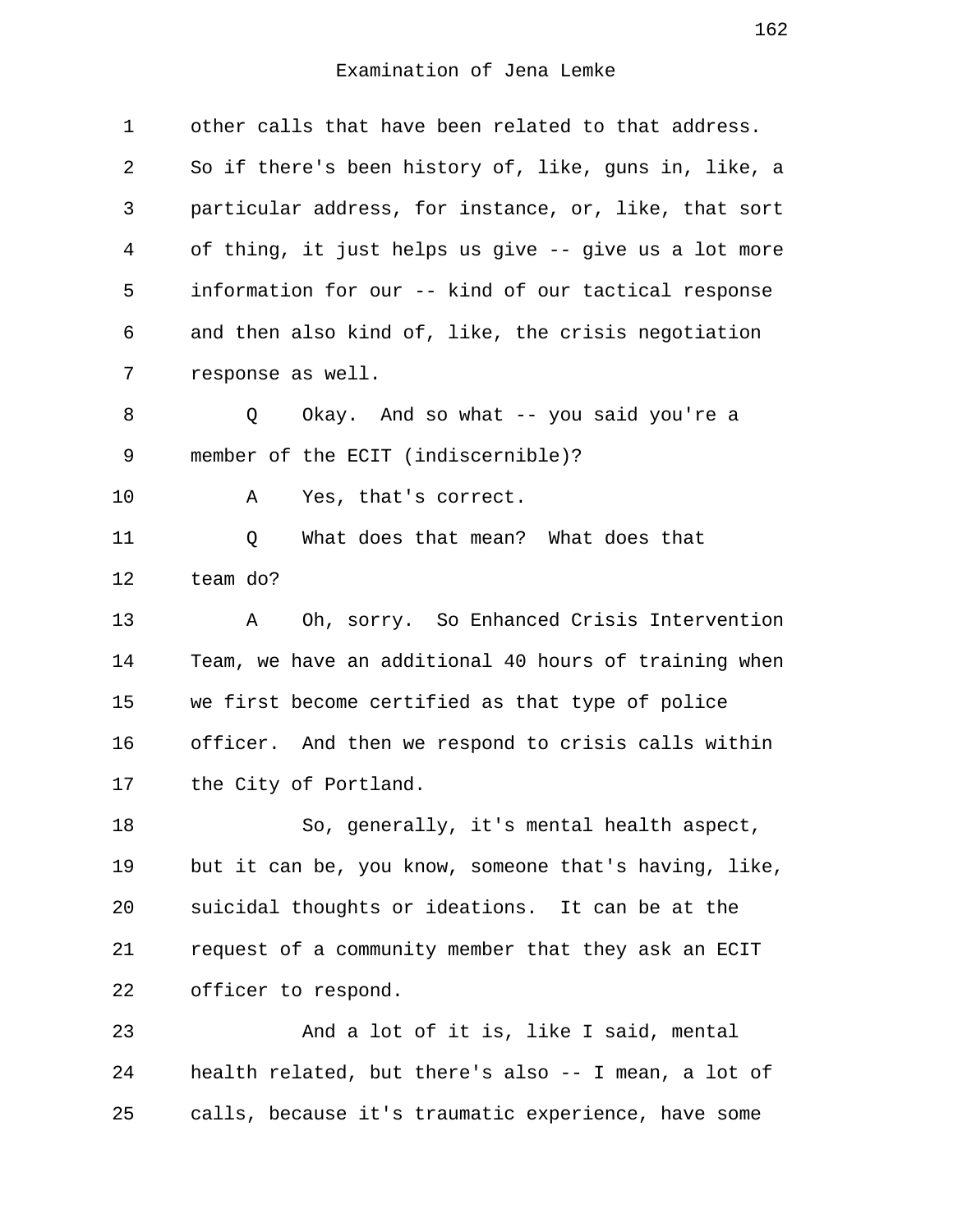| $\mathbf 1$    | other calls that have been related to that address.   |
|----------------|-------------------------------------------------------|
| 2              | So if there's been history of, like, guns in, like, a |
| 3              | particular address, for instance, or, like, that sort |
| $\overline{4}$ | of thing, it just helps us give -- give us a lot more |
| 5              | information for our -- kind of our tactical response  |
| 6              | and then also kind of, like, the crisis negotiation   |
| 7              | response as well.                                     |
| 8              | Okay. And so what -- you said you're a<br>Q           |
| 9              | member of the ECIT (indiscernible)?                   |
| 10             | Yes, that's correct.<br>Α                             |
| 11             | What does that mean? What does that<br>Q              |
| 12             | team do?                                              |
| 13             | Oh, sorry. So Enhanced Crisis Intervention<br>Α       |
| 14             | Team, we have an additional 40 hours of training when |
| 15             | we first become certified as that type of police      |
| 16             | officer. And then we respond to crisis calls within   |
| 17             | the City of Portland.                                 |
| 18             | So, generally, it's mental health aspect,             |
| 19             | but it can be, you know, someone that's having, like, |
| 20             | suicidal thoughts or ideations. It can be at the      |
| 21             | request of a community member that they ask an ECIT   |
| 22             | officer to respond.                                   |
| 23             | And a lot of it is, like I said, mental               |
| 24             | health related, but there's also -- I mean, a lot of  |
| 25             | calls, because it's traumatic experience, have some   |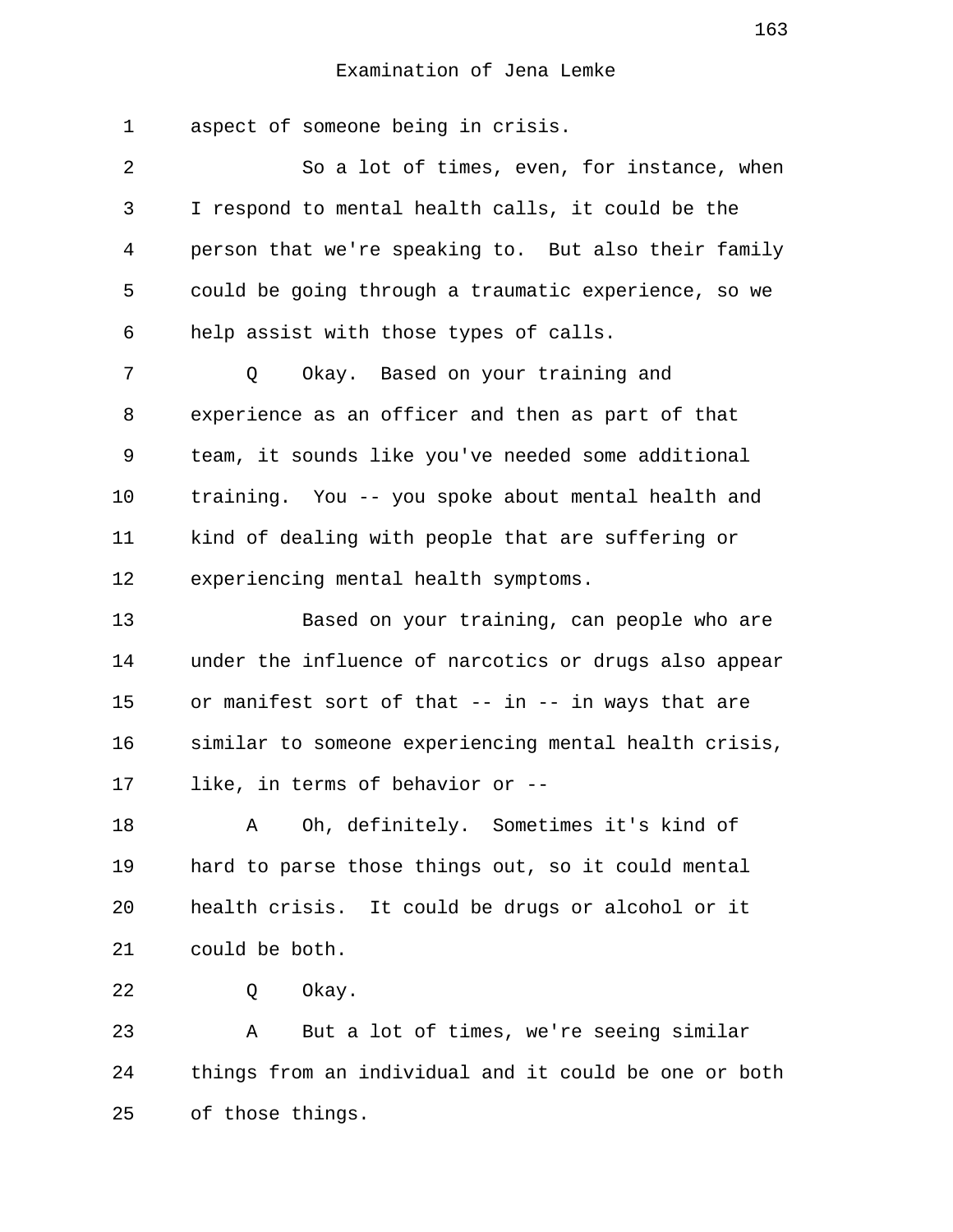1 aspect of someone being in crisis. 2 So a lot of times, even, for instance, when 3 I respond to mental health calls, it could be the 4 person that we're speaking to. But also their family 5 could be going through a traumatic experience, so we 6 help assist with those types of calls. 7 Q Okay. Based on your training and 8 experience as an officer and then as part of that 9 team, it sounds like you've needed some additional 10 training. You -- you spoke about mental health and 11 kind of dealing with people that are suffering or 12 experiencing mental health symptoms. 13 Based on your training, can people who are 14 under the influence of narcotics or drugs also appear 15 or manifest sort of that -- in -- in ways that are 16 similar to someone experiencing mental health crisis, 17 like, in terms of behavior or -- 18 A Oh, definitely. Sometimes it's kind of 19 hard to parse those things out, so it could mental 20 health crisis. It could be drugs or alcohol or it 21 could be both. 22 O Okay. 23 A But a lot of times, we're seeing similar 24 things from an individual and it could be one or both 25 of those things.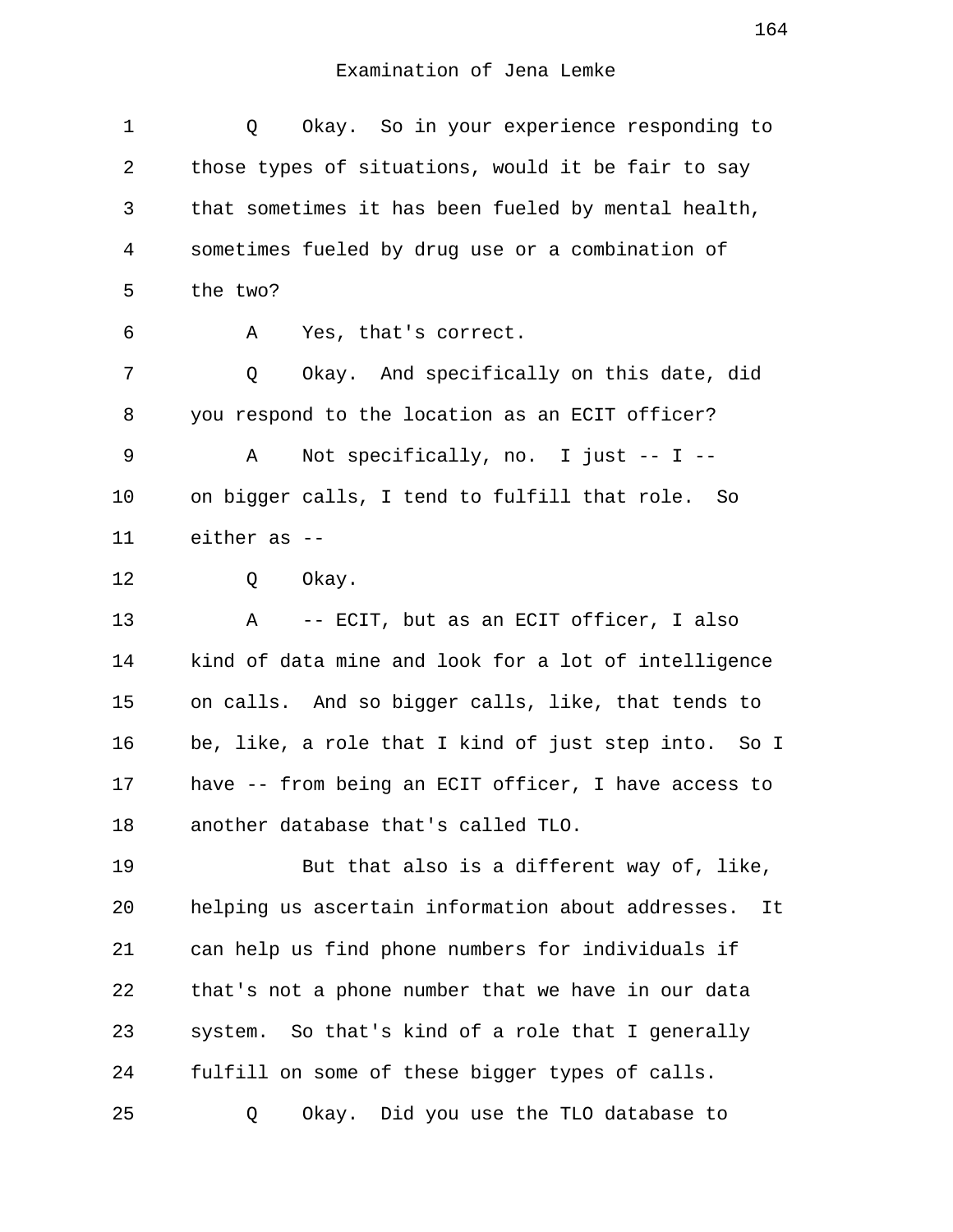| 1  | Okay. So in your experience responding to<br>Q          |
|----|---------------------------------------------------------|
| 2  | those types of situations, would it be fair to say      |
| 3  | that sometimes it has been fueled by mental health,     |
| 4  | sometimes fueled by drug use or a combination of        |
| 5  | the two?                                                |
| 6  | Yes, that's correct.<br>А                               |
| 7  | Okay. And specifically on this date, did<br>Q           |
| 8  | you respond to the location as an ECIT officer?         |
| 9  | Not specifically, no. I just $-$ - I $-$<br>A           |
| 10 | on bigger calls, I tend to fulfill that role. So        |
| 11 | either as --                                            |
| 12 | Okay.<br>Q                                              |
| 13 | -- ECIT, but as an ECIT officer, I also<br>A            |
| 14 | kind of data mine and look for a lot of intelligence    |
| 15 | on calls. And so bigger calls, like, that tends to      |
| 16 | be, like, a role that I kind of just step into. So I    |
| 17 | have -- from being an ECIT officer, I have access to    |
| 18 | another database that's called TLO.                     |
| 19 | But that also is a different way of, like,              |
| 20 | helping us ascertain information about addresses.<br>It |
| 21 | can help us find phone numbers for individuals if       |
| 22 | that's not a phone number that we have in our data      |
| 23 | system. So that's kind of a role that I generally       |
| 24 | fulfill on some of these bigger types of calls.         |
| 25 | Okay. Did you use the TLO database to<br>Q              |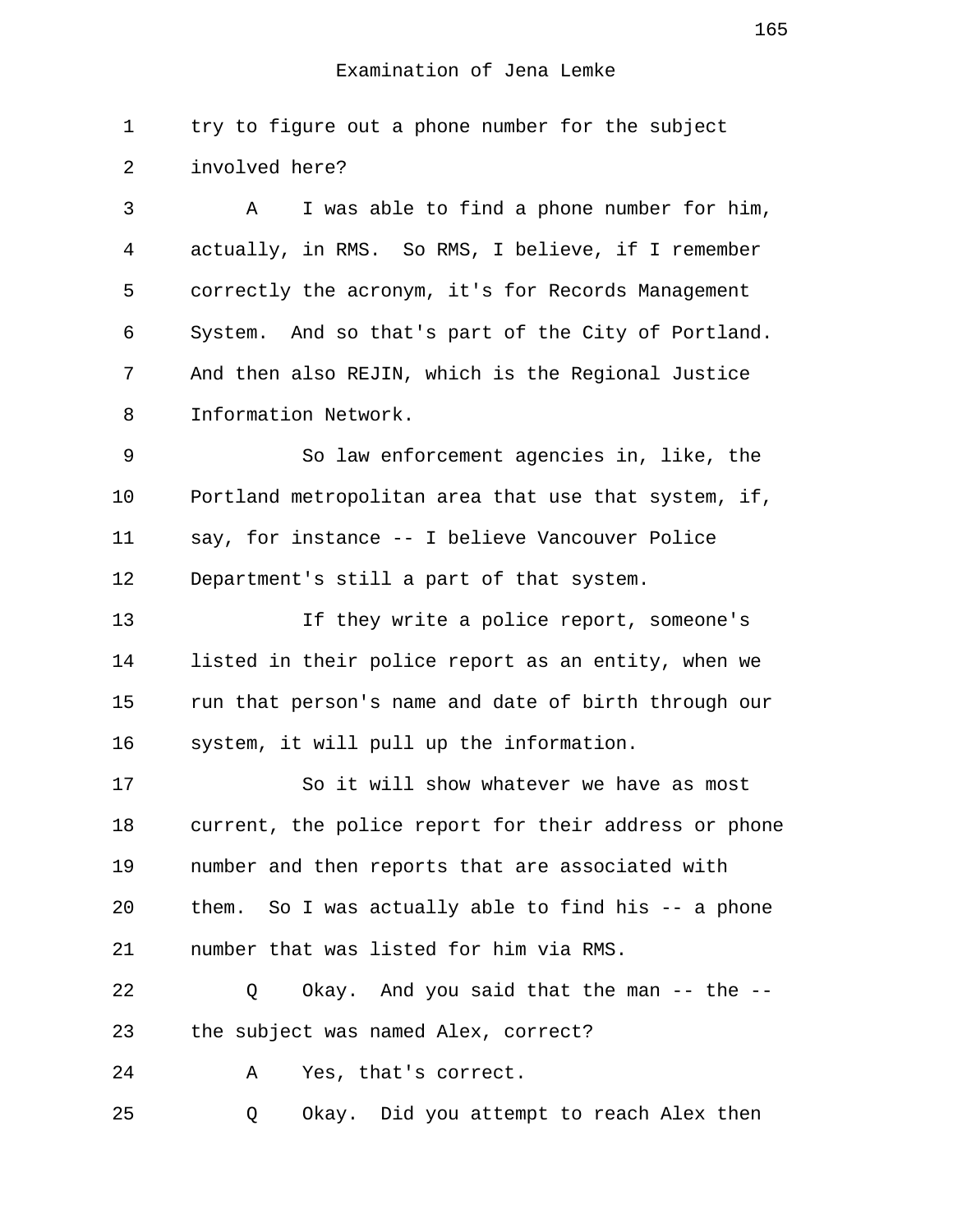1 try to figure out a phone number for the subject 2 involved here?

 3 A I was able to find a phone number for him, 4 actually, in RMS. So RMS, I believe, if I remember 5 correctly the acronym, it's for Records Management 6 System. And so that's part of the City of Portland. 7 And then also REJIN, which is the Regional Justice 8 Information Network.

 9 So law enforcement agencies in, like, the 10 Portland metropolitan area that use that system, if, 11 say, for instance -- I believe Vancouver Police 12 Department's still a part of that system.

13 If they write a police report, someone's 14 listed in their police report as an entity, when we 15 run that person's name and date of birth through our 16 system, it will pull up the information.

17 So it will show whatever we have as most 18 current, the police report for their address or phone 19 number and then reports that are associated with 20 them. So I was actually able to find his -- a phone 21 number that was listed for him via RMS.

22 Q Okay. And you said that the man -- the -- 23 the subject was named Alex, correct?

24 A Yes, that's correct.

25 Q Okay. Did you attempt to reach Alex then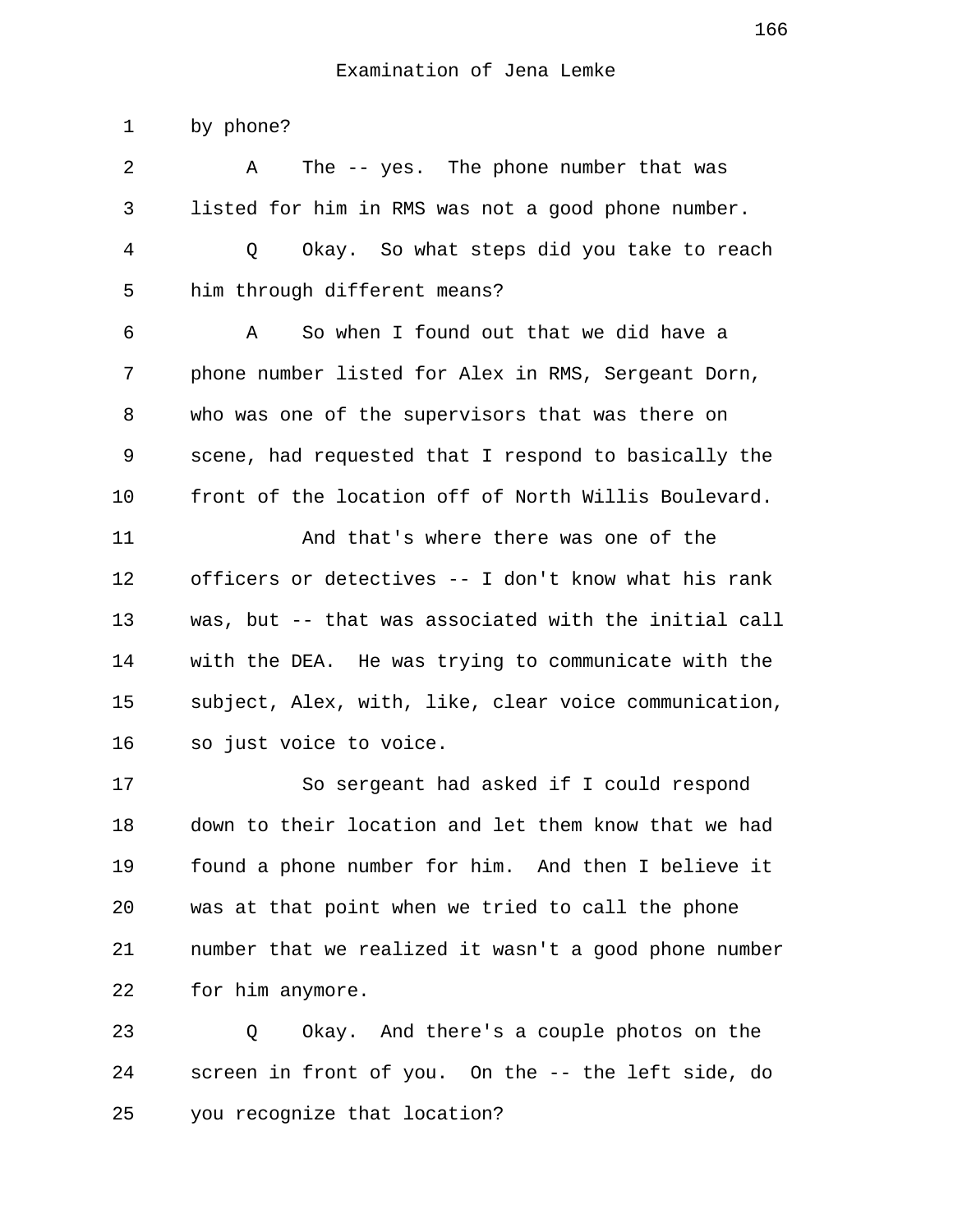1 by phone?

| 2  | The -- yes. The phone number that was<br>Α            |
|----|-------------------------------------------------------|
| 3  | listed for him in RMS was not a good phone number.    |
| 4  | Okay. So what steps did you take to reach<br>Q        |
| 5  | him through different means?                          |
| 6  | So when I found out that we did have a<br>Α           |
| 7  | phone number listed for Alex in RMS, Sergeant Dorn,   |
| 8  | who was one of the supervisors that was there on      |
| 9  | scene, had requested that I respond to basically the  |
| 10 | front of the location off of North Willis Boulevard.  |
| 11 | And that's where there was one of the                 |
| 12 | officers or detectives -- I don't know what his rank  |
| 13 | was, but -- that was associated with the initial call |
| 14 | with the DEA. He was trying to communicate with the   |
| 15 | subject, Alex, with, like, clear voice communication, |
| 16 | so just voice to voice.                               |
| 17 | So sergeant had asked if I could respond              |
| 18 | down to their location and let them know that we had  |
| 19 | found a phone number for him. And then I believe it   |
| 20 | was at that point when we tried to call the phone     |
| 21 | number that we realized it wasn't a good phone number |
| 22 | for him anymore.                                      |
| 23 | Okay. And there's a couple photos on the<br>Q         |
| 24 | screen in front of you. On the -- the left side, do   |

25 you recognize that location?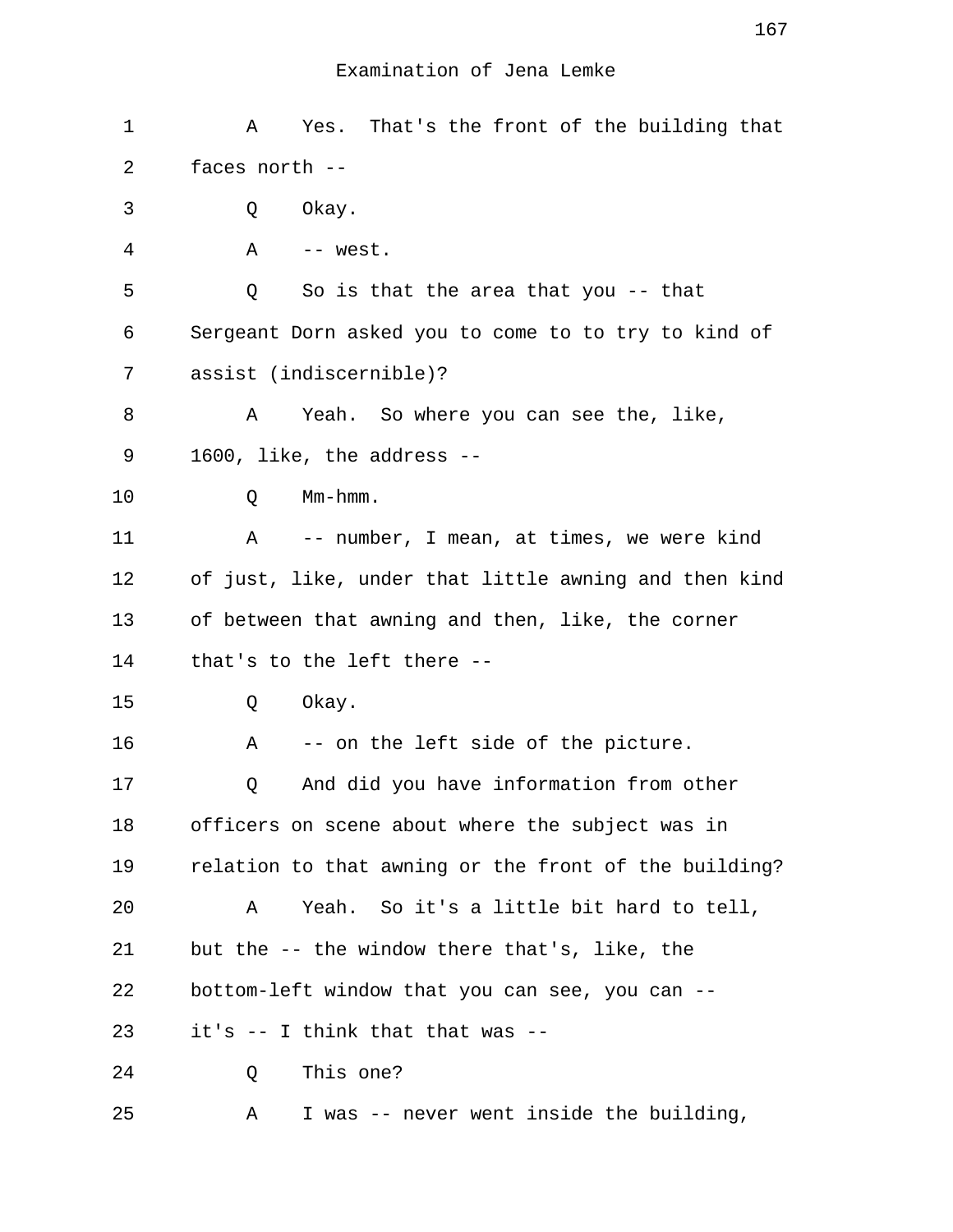| 1  | Yes. That's the front of the building that<br>A       |
|----|-------------------------------------------------------|
| 2  | faces north --                                        |
| 3  | Okay.<br>Q                                            |
| 4  | Α<br>-- west.                                         |
| 5  | So is that the area that you $-$ - that<br>Q          |
| 6  | Sergeant Dorn asked you to come to to try to kind of  |
| 7  | assist (indiscernible)?                               |
| 8  | Yeah. So where you can see the, like,<br>A            |
| 9  | 1600, like, the address --                            |
| 10 | Mm-hmm.<br>Q                                          |
| 11 | A -- number, I mean, at times, we were kind           |
| 12 | of just, like, under that little awning and then kind |
| 13 | of between that awning and then, like, the corner     |
| 14 | that's to the left there --                           |
| 15 | Okay.<br>Q                                            |
| 16 | -- on the left side of the picture.<br>Α              |
| 17 | And did you have information from other<br>Q          |
| 18 | officers on scene about where the subject was in      |
| 19 | relation to that awning or the front of the building? |
| 20 | Yeah. So it's a little bit hard to tell,<br>A         |
| 21 | but the -- the window there that's, like, the         |
| 22 | bottom-left window that you can see, you can --       |
| 23 | it's -- I think that that was --                      |
| 24 | This one?<br>Q                                        |
| 25 | I was -- never went inside the building,<br>Α         |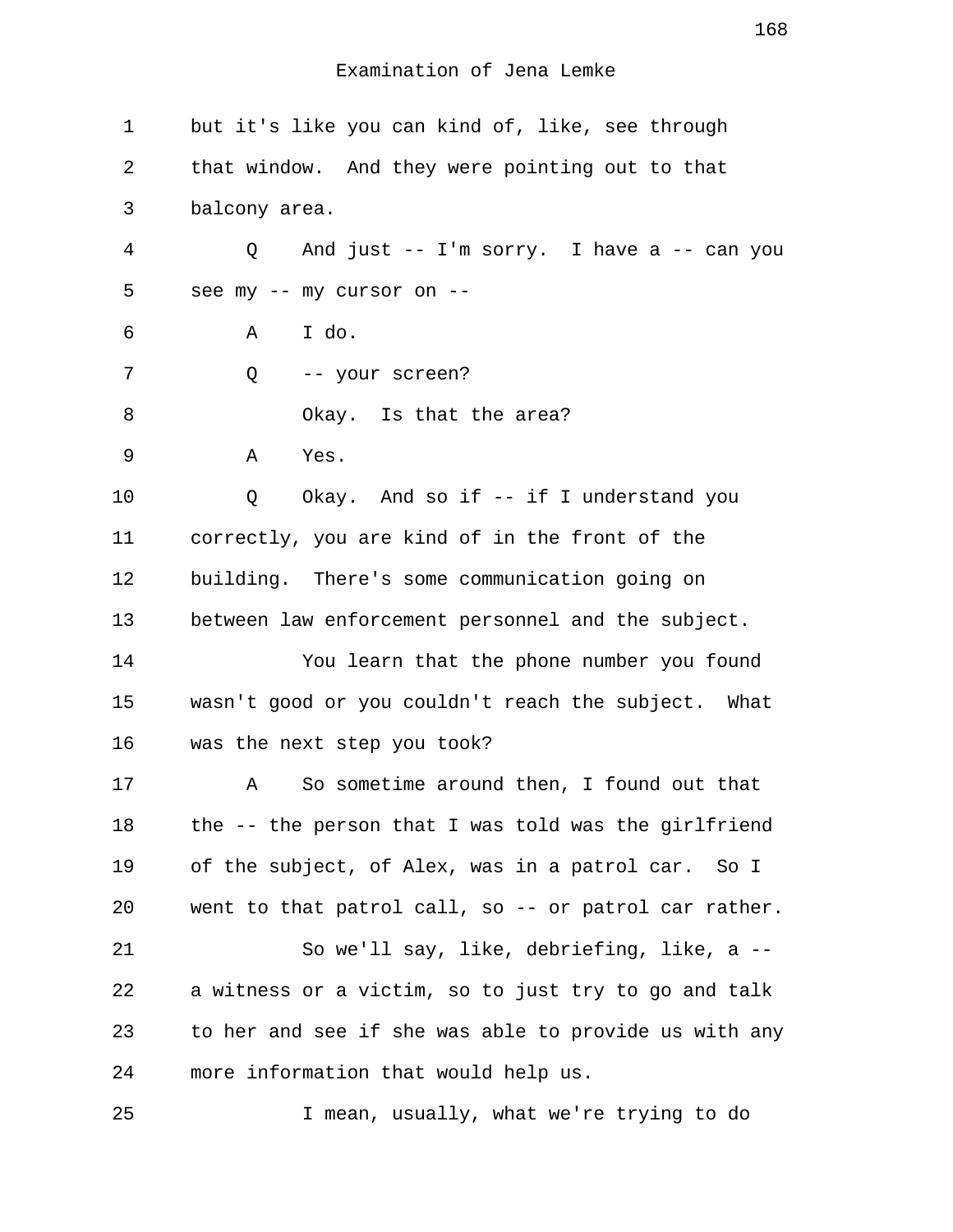| $\mathbf 1$    | but it's like you can kind of, like, see through      |
|----------------|-------------------------------------------------------|
| 2              | that window. And they were pointing out to that       |
| 3              | balcony area.                                         |
| $\overline{4}$ | And just -- I'm sorry. I have a -- can you<br>Q       |
| 5              | see my -- my cursor on --                             |
| 6              | I do.<br>Α                                            |
| 7              | -- your screen?<br>Q                                  |
| 8              | Okay. Is that the area?                               |
| 9              | Yes.<br>Α                                             |
| 10             | Okay. And so if -- if I understand you<br>Q           |
| 11             | correctly, you are kind of in the front of the        |
| 12             | building. There's some communication going on         |
| 13             | between law enforcement personnel and the subject.    |
| 14             | You learn that the phone number you found             |
| 15             | wasn't good or you couldn't reach the subject. What   |
| 16             | was the next step you took?                           |
| 17             | So sometime around then, I found out that<br>Α        |
| 18             | the -- the person that I was told was the girlfriend  |
| 19             | of the subject, of Alex, was in a patrol car. So I    |
| 20             | went to that patrol call, so -- or patrol car rather. |
| 21             | So we'll say, like, debriefing, like, a --            |
| 22             | a witness or a victim, so to just try to go and talk  |
| 23             | to her and see if she was able to provide us with any |
| 24             | more information that would help us.                  |
| 25             | I mean, usually, what we're trying to do              |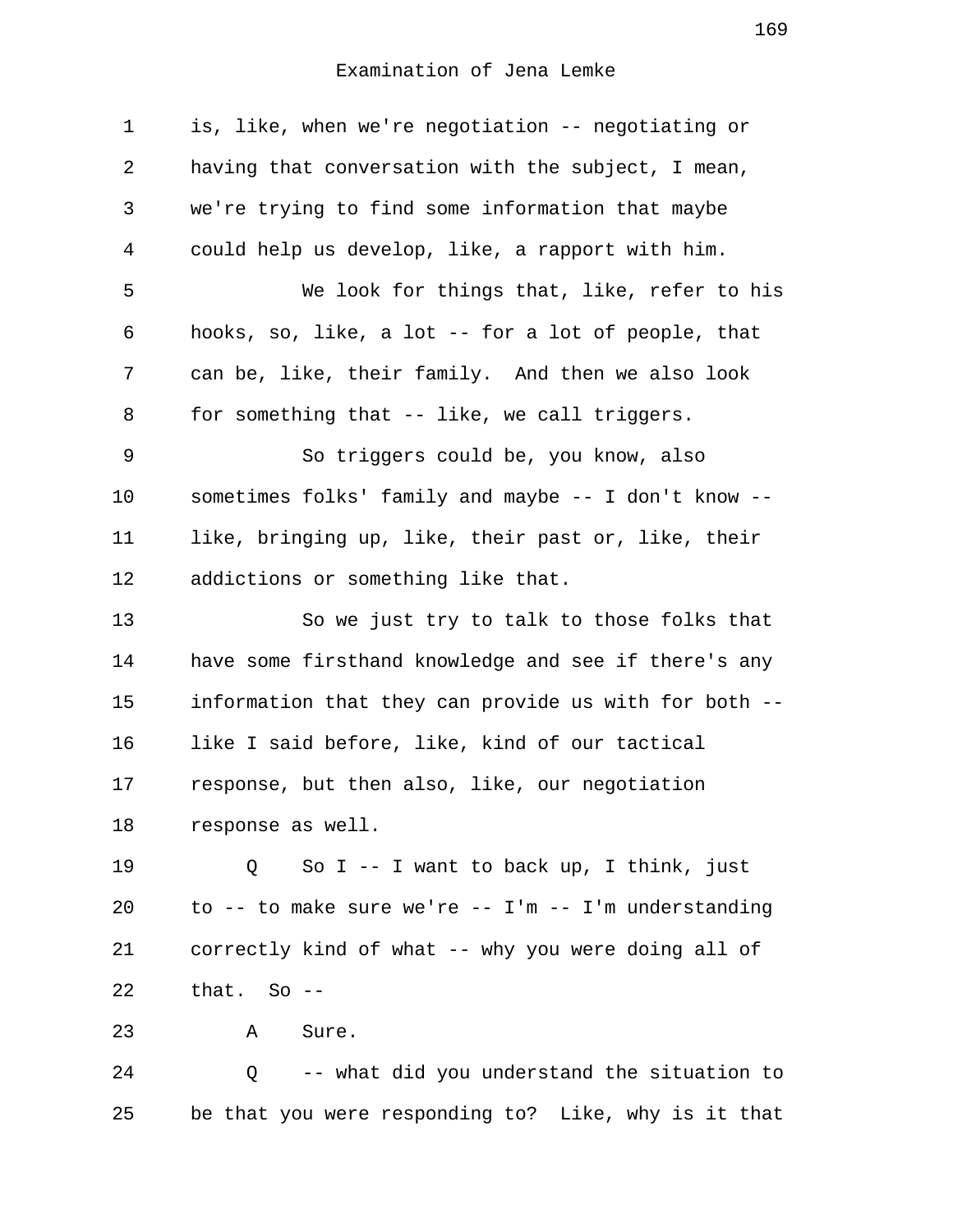| $\mathbf 1$ | is, like, when we're negotiation -- negotiating or      |
|-------------|---------------------------------------------------------|
| 2           | having that conversation with the subject, I mean,      |
| 3           | we're trying to find some information that maybe        |
| 4           | could help us develop, like, a rapport with him.        |
| 5           | We look for things that, like, refer to his             |
| 6           | hooks, so, like, a lot -- for a lot of people, that     |
| 7           | can be, like, their family. And then we also look       |
| 8           | for something that -- like, we call triggers.           |
| 9           | So triggers could be, you know, also                    |
| 10          | sometimes folks' family and maybe -- I don't know --    |
| 11          | like, bringing up, like, their past or, like, their     |
| 12          | addictions or something like that.                      |
| 13          | So we just try to talk to those folks that              |
| 14          | have some firsthand knowledge and see if there's any    |
| 15          | information that they can provide us with for both --   |
| 16          | like I said before, like, kind of our tactical          |
| 17          | response, but then also, like, our negotiation          |
| 18          | response as well.                                       |
| 19          | So I -- I want to back up, I think, just<br>Q           |
| 20          | to -- to make sure we're -- $I'm - - I'm$ understanding |
| 21          | correctly kind of what -- why you were doing all of     |
| 22          | that. So $-$                                            |
| 23          | Sure.<br>A                                              |
| 24          | -- what did you understand the situation to<br>Q        |
| 25          | be that you were responding to? Like, why is it that    |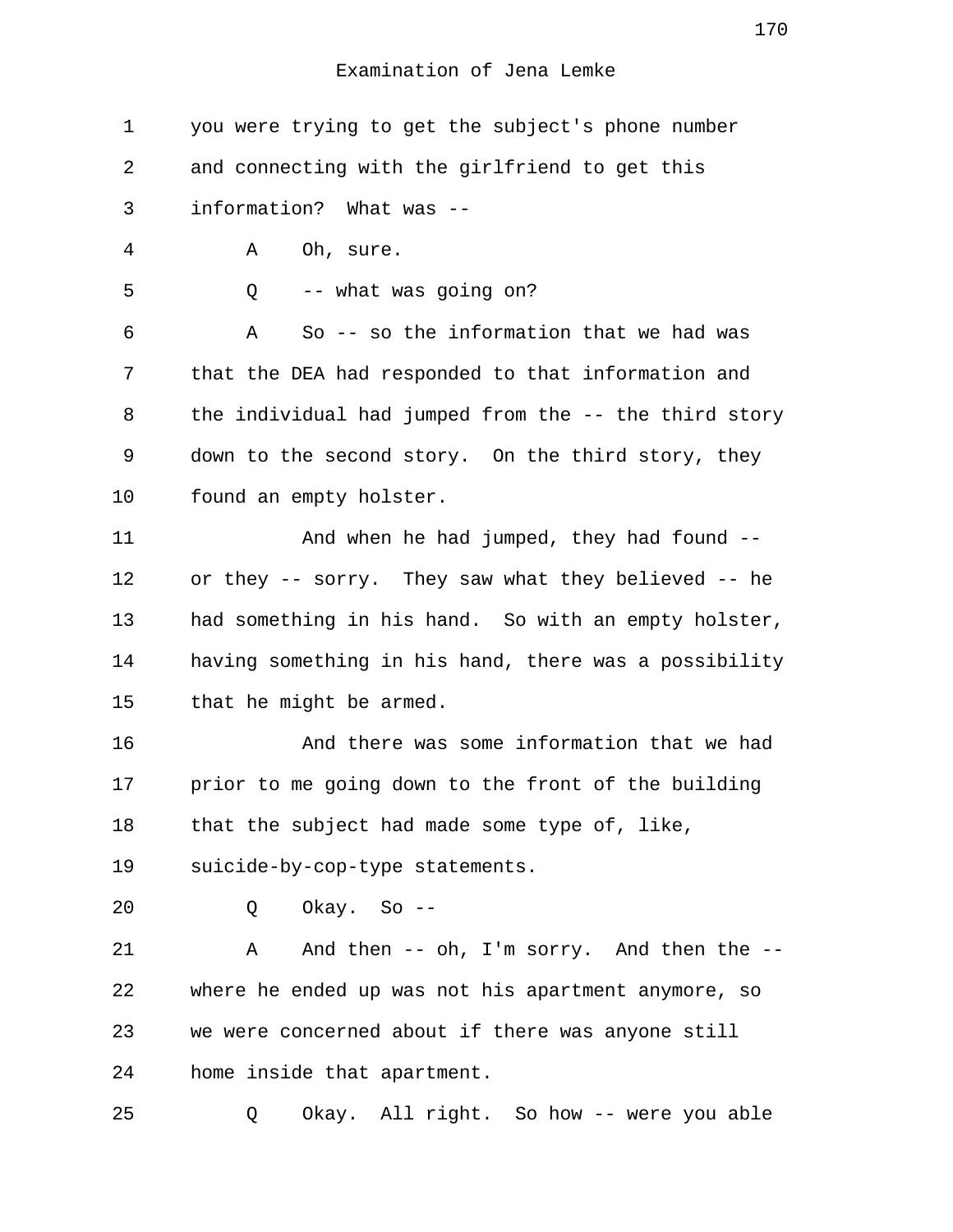| 1  | you were trying to get the subject's phone number     |
|----|-------------------------------------------------------|
| 2  | and connecting with the girlfriend to get this        |
| 3  | information? What was --                              |
| 4  | Α<br>Oh, sure.                                        |
| 5  | -- what was going on?<br>Q                            |
| 6  | So -- so the information that we had was<br>Α         |
| 7  | that the DEA had responded to that information and    |
| 8  | the individual had jumped from the -- the third story |
| 9  | down to the second story. On the third story, they    |
| 10 | found an empty holster.                               |
| 11 | And when he had jumped, they had found --             |
| 12 | or they -- sorry. They saw what they believed -- he   |
| 13 | had something in his hand. So with an empty holster,  |
| 14 | having something in his hand, there was a possibility |
| 15 | that he might be armed.                               |
| 16 | And there was some information that we had            |
| 17 | prior to me going down to the front of the building   |
| 18 | that the subject had made some type of, like,         |
| 19 | suicide-by-cop-type statements.                       |
| 20 | Okay. So --<br>Q                                      |
| 21 | And then -- oh, I'm sorry. And then the --<br>Α       |
| 22 | where he ended up was not his apartment anymore, so   |
| 23 | we were concerned about if there was anyone still     |
| 24 | home inside that apartment.                           |
| 25 | Okay. All right. So how -- were you able<br>Q         |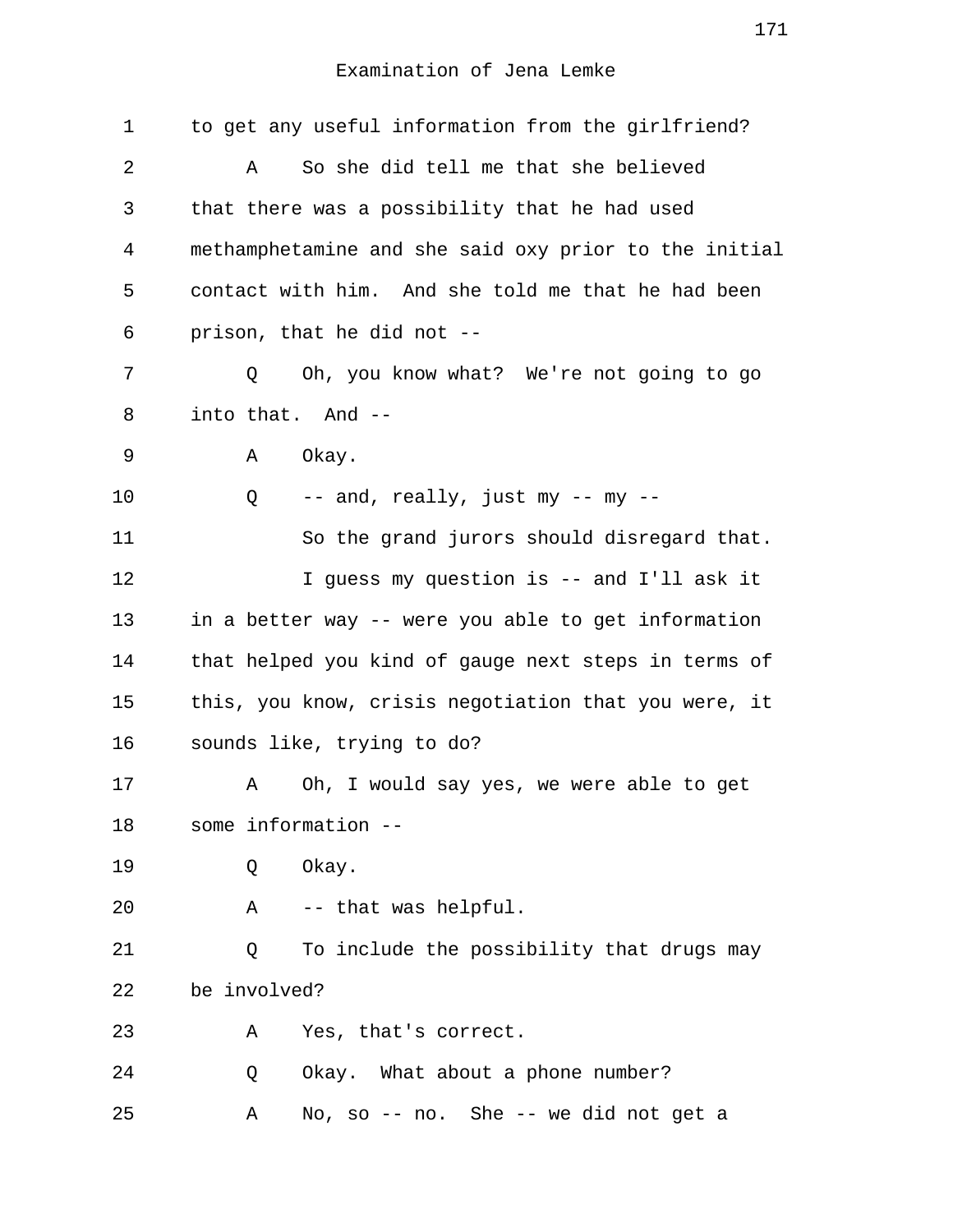| 1  |              |             | to get any useful information from the girlfriend?    |
|----|--------------|-------------|-------------------------------------------------------|
| 2  |              | Α           | So she did tell me that she believed                  |
| 3  |              |             | that there was a possibility that he had used         |
| 4  |              |             | methamphetamine and she said oxy prior to the initial |
| 5  |              |             | contact with him. And she told me that he had been    |
| 6  |              |             | prison, that he did not --                            |
| 7  |              | Q           | Oh, you know what? We're not going to go              |
| 8  |              |             | into that. And --                                     |
| 9  |              | Α           | Okay.                                                 |
| 10 |              | Q           | -- and, really, just my -- my --                      |
| 11 |              |             | So the grand jurors should disregard that.            |
| 12 |              |             | I guess my question is -- and I'll ask it             |
| 13 |              |             | in a better way -- were you able to get information   |
| 14 |              |             | that helped you kind of gauge next steps in terms of  |
| 15 |              |             | this, you know, crisis negotiation that you were, it  |
| 16 |              |             | sounds like, trying to do?                            |
| 17 |              | Α           | Oh, I would say yes, we were able to get              |
| 18 |              |             | some information --                                   |
| 19 |              | Q           | Okay.                                                 |
| 20 |              | $\mathbb A$ | -- that was helpful.                                  |
| 21 |              | Q           | To include the possibility that drugs may             |
| 22 | be involved? |             |                                                       |
| 23 |              | Α           | Yes, that's correct.                                  |
| 24 |              | Q           | Okay. What about a phone number?                      |
| 25 |              | Α           | No, so -- no. She -- we did not get a                 |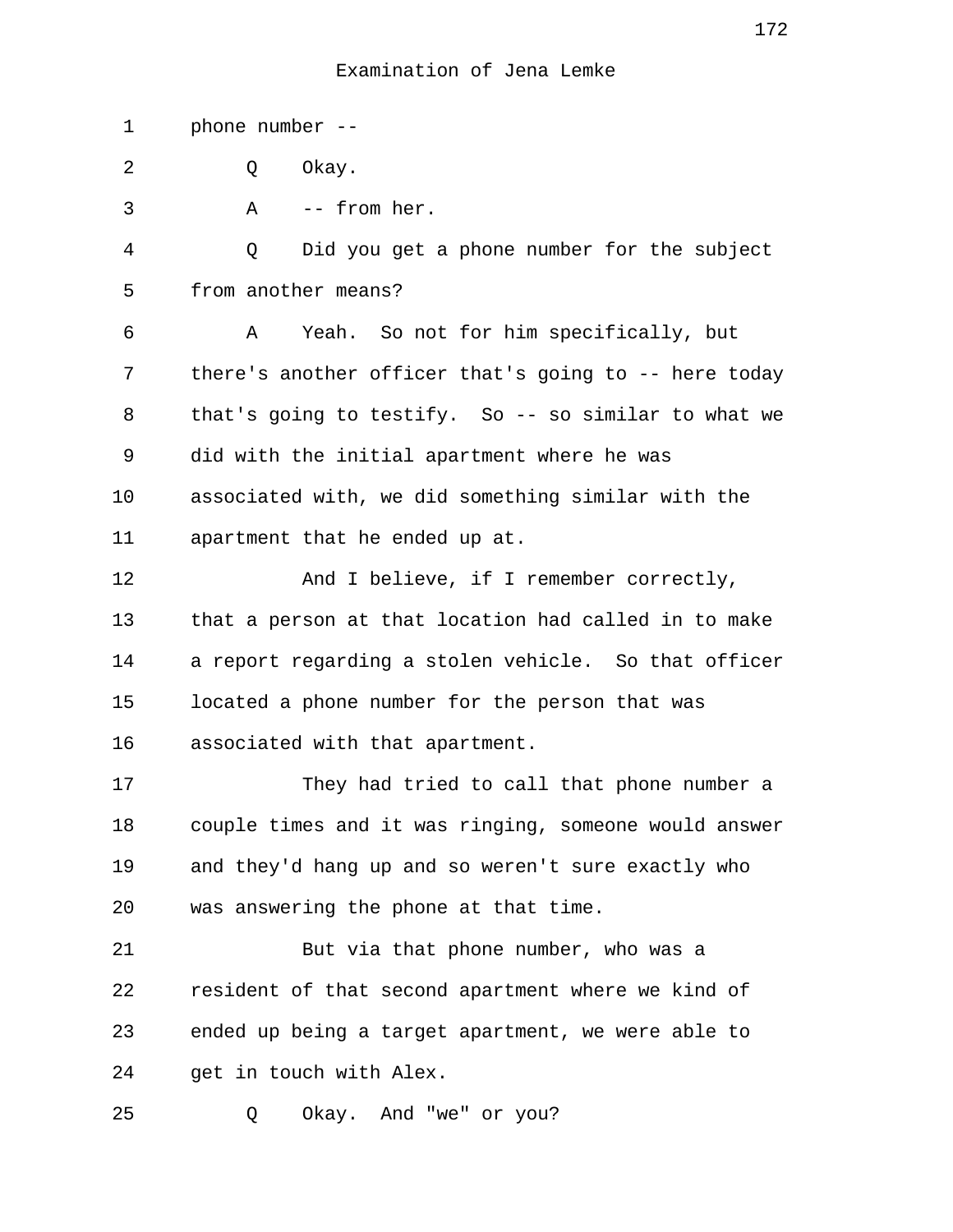1 phone number -- 2 0 Okay. 3 A -- from her. 4 Q Did you get a phone number for the subject 5 from another means? 6 A Yeah. So not for him specifically, but 7 there's another officer that's going to -- here today 8 that's going to testify. So -- so similar to what we 9 did with the initial apartment where he was 10 associated with, we did something similar with the 11 apartment that he ended up at. 12 And I believe, if I remember correctly, 13 that a person at that location had called in to make 14 a report regarding a stolen vehicle. So that officer 15 located a phone number for the person that was 16 associated with that apartment. 17 They had tried to call that phone number a 18 couple times and it was ringing, someone would answer 19 and they'd hang up and so weren't sure exactly who 20 was answering the phone at that time. 21 But via that phone number, who was a 22 resident of that second apartment where we kind of 23 ended up being a target apartment, we were able to 24 get in touch with Alex. 25 Q Okay. And "we" or you?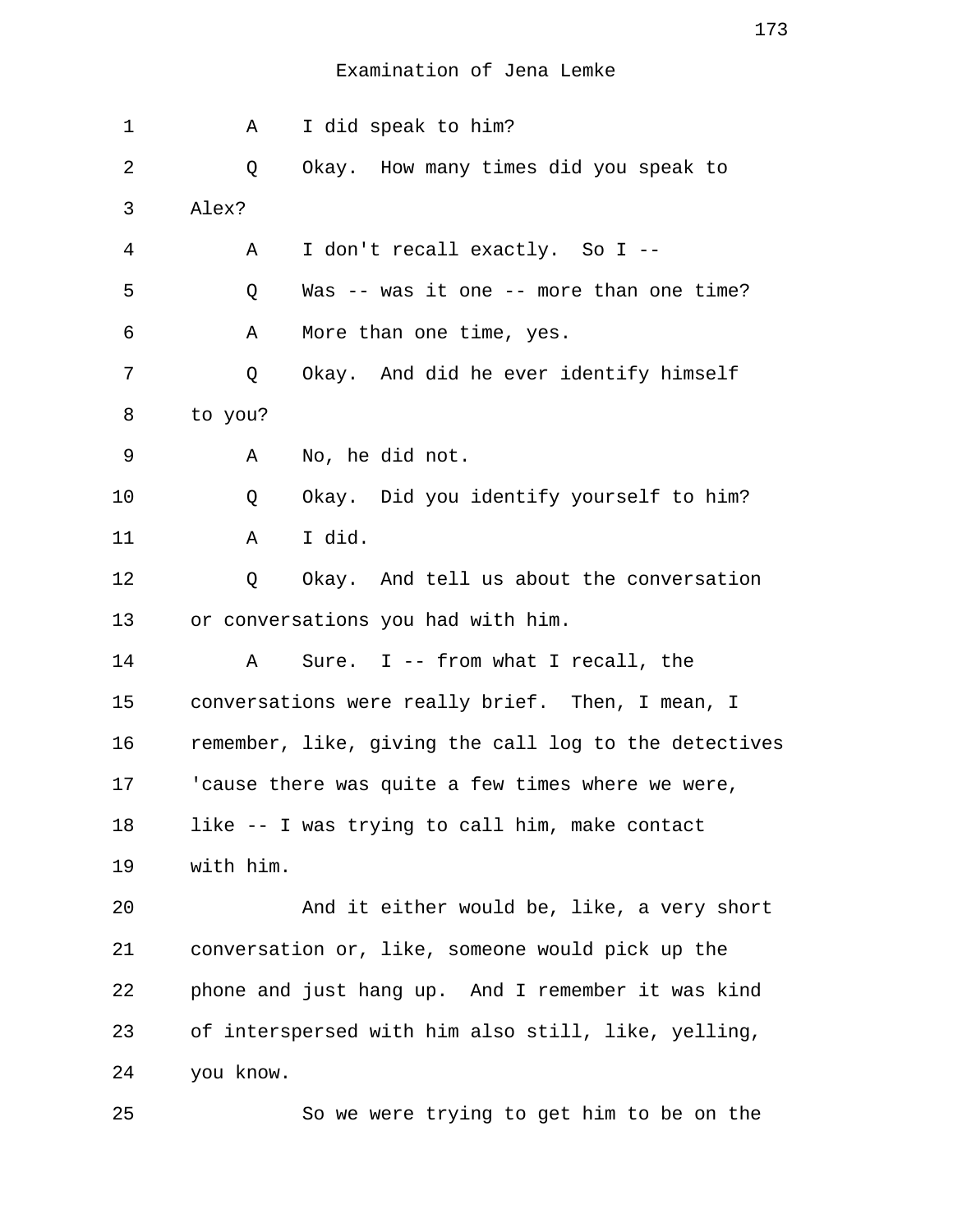| 1  | Α         | I did speak to him?                                   |
|----|-----------|-------------------------------------------------------|
| 2  | Q         | Okay. How many times did you speak to                 |
| 3  | Alex?     |                                                       |
| 4  | Α         | I don't recall exactly. So I --                       |
| 5  | Q         | Was -- was it one -- more than one time?              |
| 6  | Α         | More than one time, yes.                              |
| 7  | Q         | Okay. And did he ever identify himself                |
| 8  | to you?   |                                                       |
| 9  | Α         | No, he did not.                                       |
| 10 | Q         | Okay. Did you identify yourself to him?               |
| 11 | Α         | I did.                                                |
| 12 | Q         | Okay. And tell us about the conversation              |
| 13 |           | or conversations you had with him.                    |
| 14 | A         | Sure. I -- from what I recall, the                    |
| 15 |           | conversations were really brief. Then, I mean, I      |
| 16 |           | remember, like, giving the call log to the detectives |
| 17 |           | 'cause there was quite a few times where we were,     |
| 18 |           | like -- I was trying to call him, make contact        |
| 19 | with him. |                                                       |
| 20 |           | And it either would be, like, a very short            |
| 21 |           | conversation or, like, someone would pick up the      |
| 22 |           | phone and just hang up. And I remember it was kind    |
| 23 |           | of interspersed with him also still, like, yelling,   |
| 24 | you know. |                                                       |
| 25 |           | So we were trying to get him to be on the             |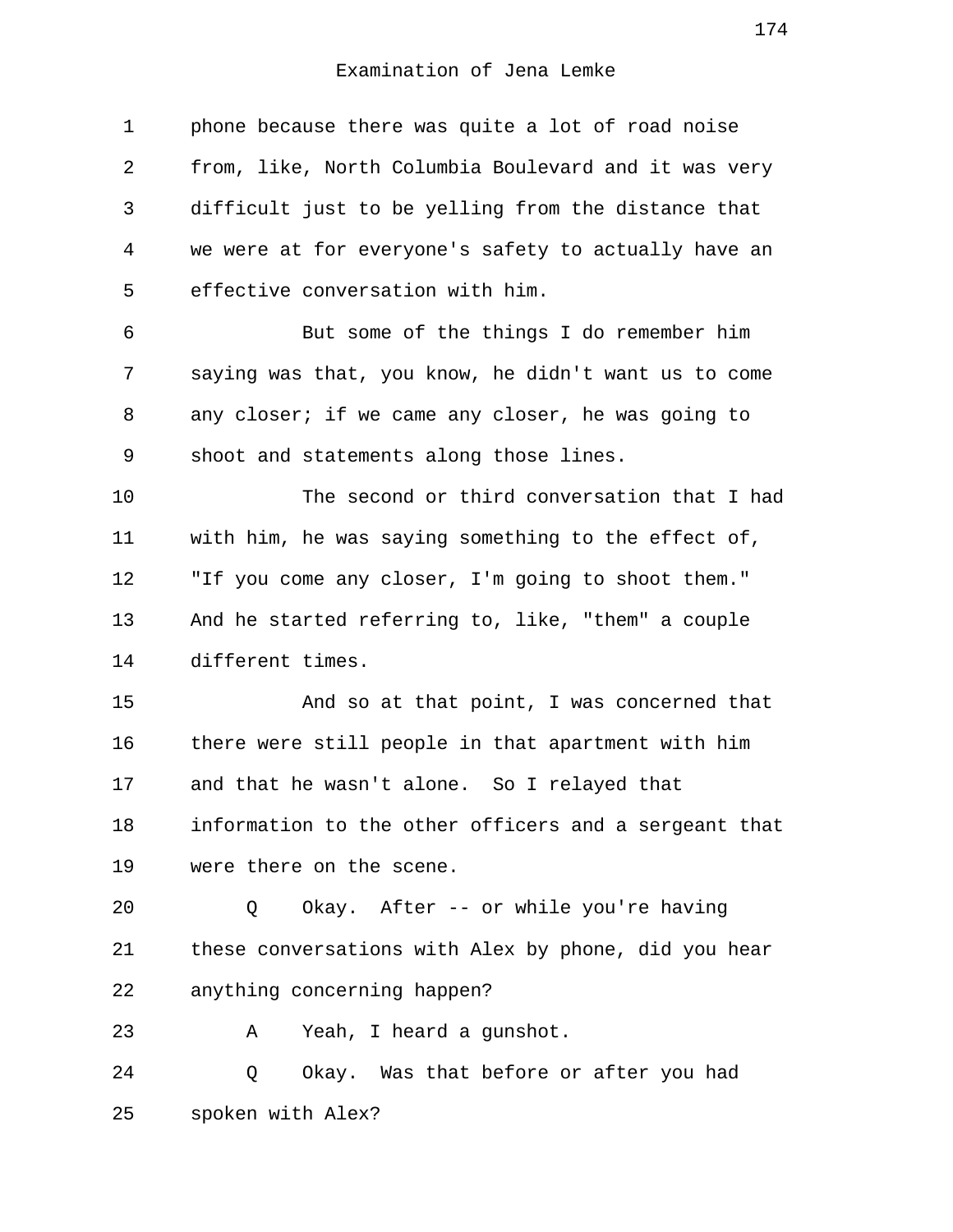1 phone because there was quite a lot of road noise 2 from, like, North Columbia Boulevard and it was very 3 difficult just to be yelling from the distance that 4 we were at for everyone's safety to actually have an 5 effective conversation with him. 6 But some of the things I do remember him 7 saying was that, you know, he didn't want us to come 8 any closer; if we came any closer, he was going to 9 shoot and statements along those lines. 10 The second or third conversation that I had 11 with him, he was saying something to the effect of, 12 "If you come any closer, I'm going to shoot them." 13 And he started referring to, like, "them" a couple 14 different times. 15 And so at that point, I was concerned that 16 there were still people in that apartment with him 17 and that he wasn't alone. So I relayed that 18 information to the other officers and a sergeant that 19 were there on the scene. 20 Q Okay. After -- or while you're having 21 these conversations with Alex by phone, did you hear 22 anything concerning happen? 23 A Yeah, I heard a gunshot. 24 Q Okay. Was that before or after you had 25 spoken with Alex?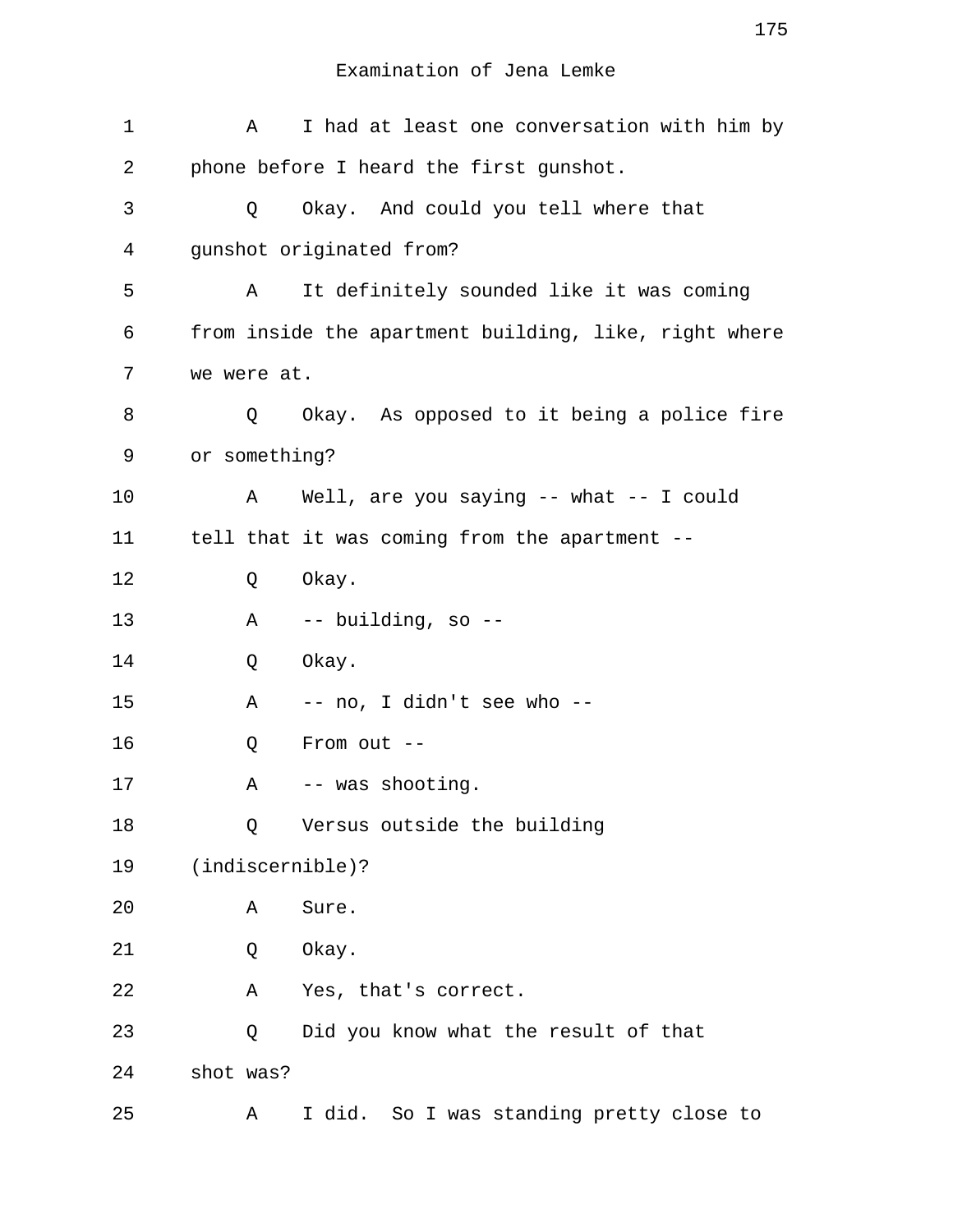| 1  | Α             | I had at least one conversation with him by           |
|----|---------------|-------------------------------------------------------|
| 2  |               | phone before I heard the first gunshot.               |
| 3  | Q             | Okay. And could you tell where that                   |
| 4  |               | gunshot originated from?                              |
| 5  | A             | It definitely sounded like it was coming              |
| 6  |               | from inside the apartment building, like, right where |
| 7  | we were at.   |                                                       |
| 8  | Q             | Okay. As opposed to it being a police fire            |
| 9  | or something? |                                                       |
| 10 | A             | Well, are you saying -- what -- I could               |
| 11 |               | tell that it was coming from the apartment --         |
| 12 | Q             | Okay.                                                 |
| 13 | Α             | -- building, so --                                    |
| 14 | Q             | Okay.                                                 |
| 15 | Α             | -- no, I didn't see who --                            |
| 16 | Q             | From out $--$                                         |
| 17 | Α             | -- was shooting.                                      |
| 18 | Q             | Versus outside the building                           |
| 19 |               | $(indiscernible)$ ?                                   |
| 20 | Α             | Sure.                                                 |
| 21 | Q             | Okay.                                                 |
| 22 | Α             | Yes, that's correct.                                  |
| 23 | Q             | Did you know what the result of that                  |
| 24 | shot was?     |                                                       |
| 25 | Α             | I did. So I was standing pretty close to              |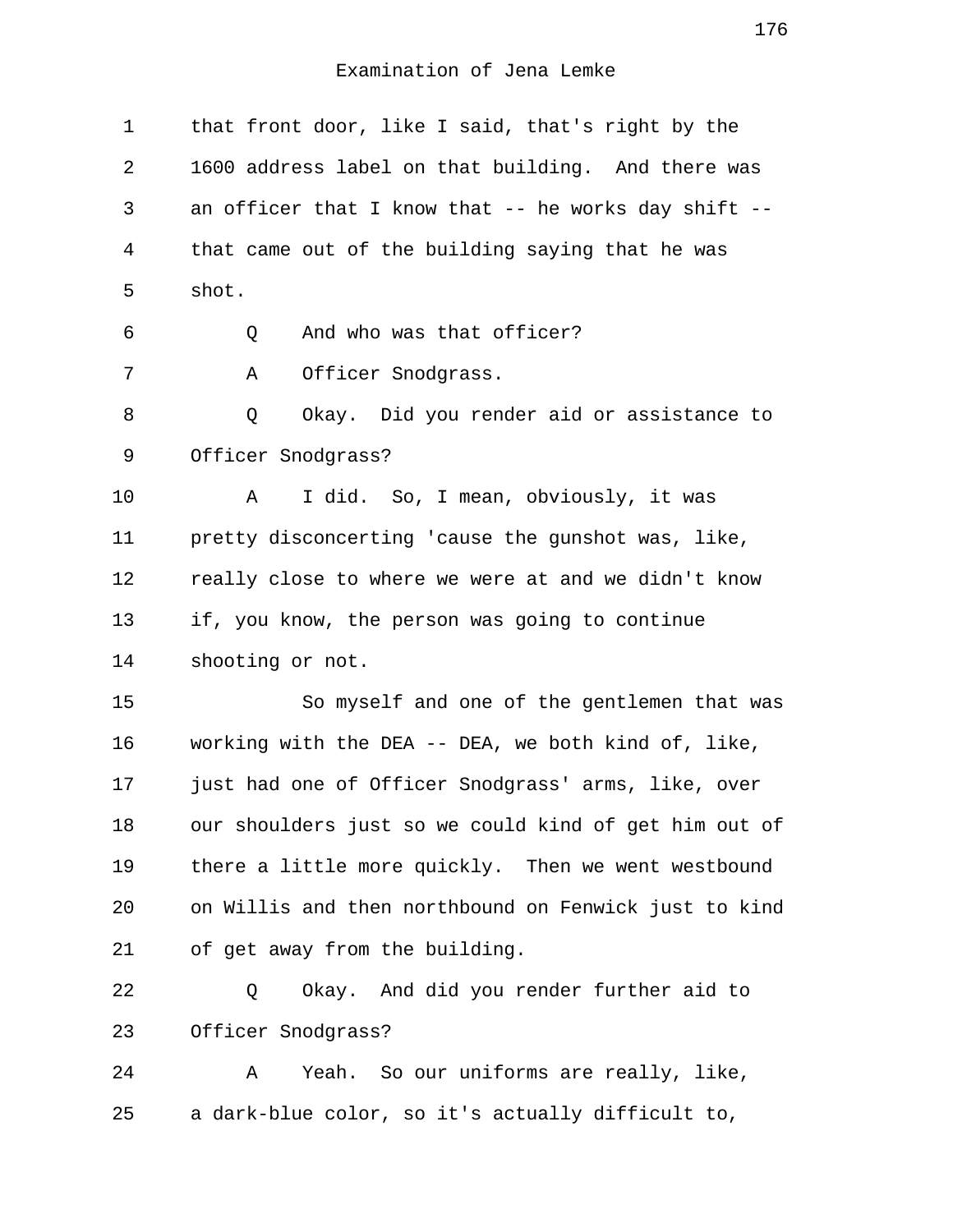1 that front door, like I said, that's right by the 2 1600 address label on that building. And there was 3 an officer that I know that -- he works day shift -- 4 that came out of the building saying that he was 5 shot. 6 Q And who was that officer? 7 A Officer Snodgrass. 8 0 Okay. Did you render aid or assistance to 9 Officer Snodgrass? 10 A I did. So, I mean, obviously, it was 11 pretty disconcerting 'cause the gunshot was, like, 12 really close to where we were at and we didn't know 13 if, you know, the person was going to continue 14 shooting or not. 15 So myself and one of the gentlemen that was 16 working with the DEA -- DEA, we both kind of, like, 17 just had one of Officer Snodgrass' arms, like, over 18 our shoulders just so we could kind of get him out of 19 there a little more quickly. Then we went westbound 20 on Willis and then northbound on Fenwick just to kind 21 of get away from the building. 22 Q Okay. And did you render further aid to 23 Officer Snodgrass? 24 A Yeah. So our uniforms are really, like, 25 a dark-blue color, so it's actually difficult to,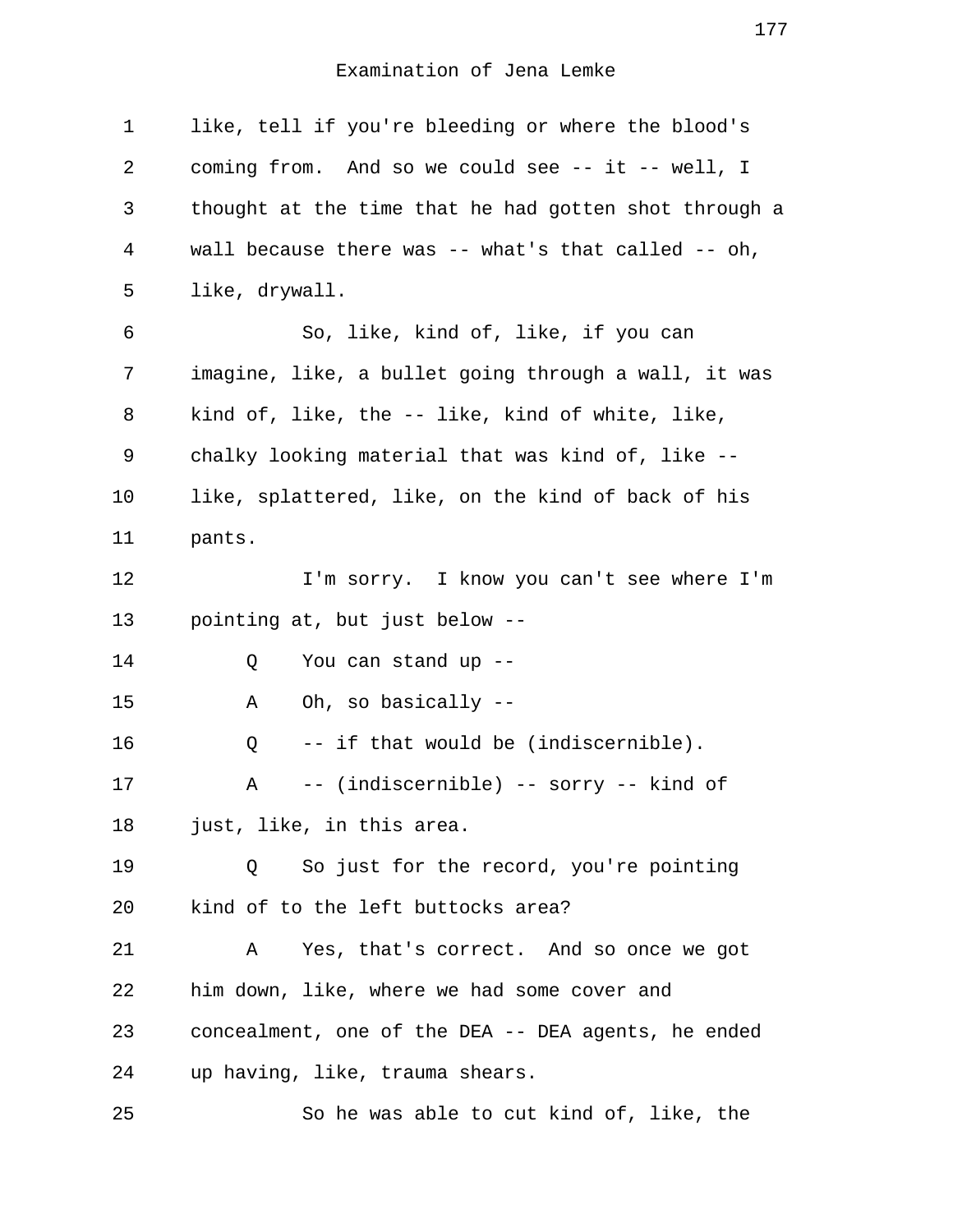1 like, tell if you're bleeding or where the blood's 2 coming from. And so we could see -- it -- well, I 3 thought at the time that he had gotten shot through a 4 wall because there was -- what's that called -- oh, 5 like, drywall. 6 So, like, kind of, like, if you can 7 imagine, like, a bullet going through a wall, it was 8 kind of, like, the -- like, kind of white, like, 9 chalky looking material that was kind of, like -- 10 like, splattered, like, on the kind of back of his 11 pants. 12 I'm sorry. I know you can't see where I'm 13 pointing at, but just below -- 14 Q You can stand up -- 15 A Oh, so basically -- 16 Q -- if that would be (indiscernible). 17 A -- (indiscernible) -- sorry -- kind of 18 just, like, in this area. 19 Q So just for the record, you're pointing 20 kind of to the left buttocks area? 21 A Yes, that's correct. And so once we got 22 him down, like, where we had some cover and 23 concealment, one of the DEA -- DEA agents, he ended 24 up having, like, trauma shears. 25 So he was able to cut kind of, like, the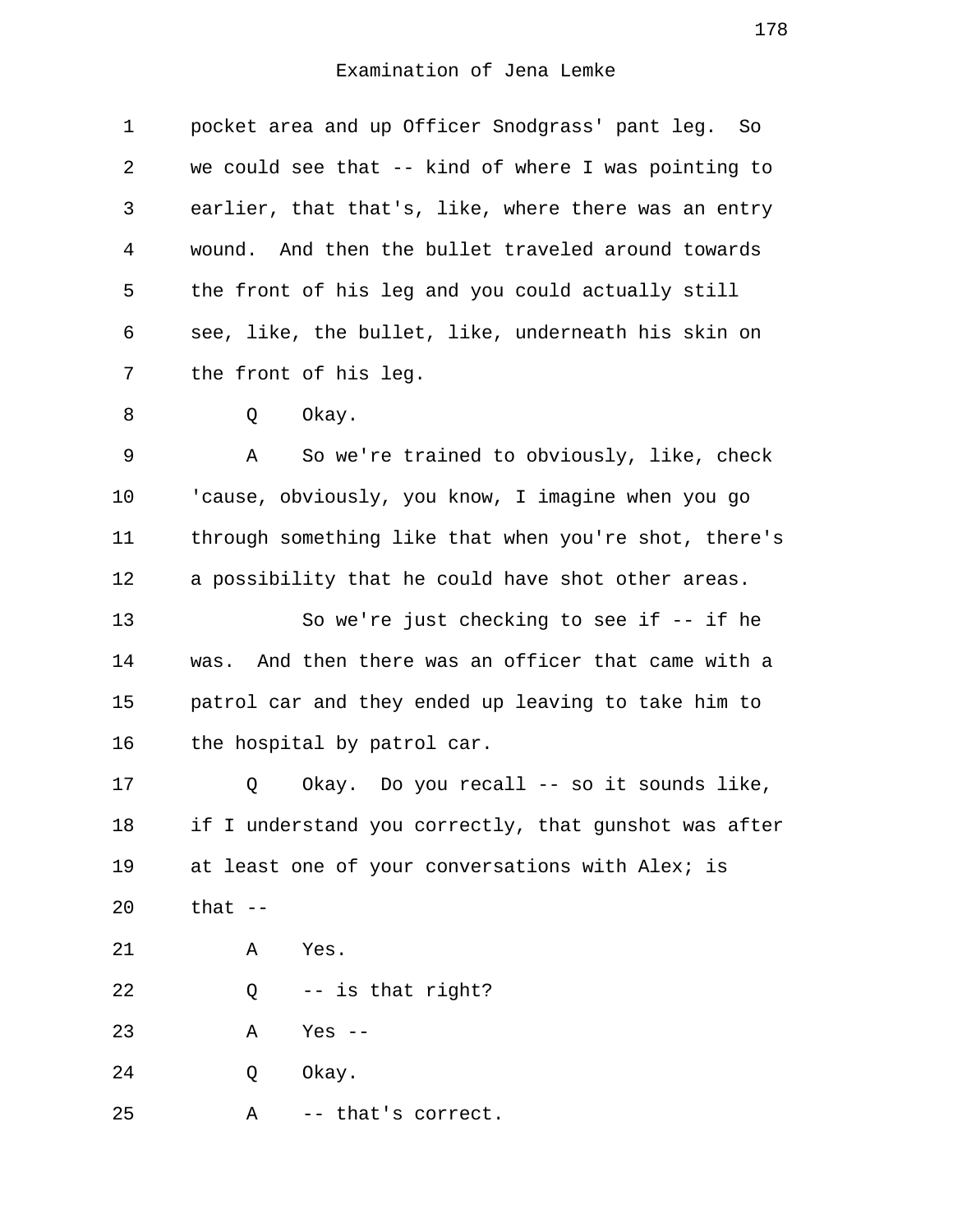1 pocket area and up Officer Snodgrass' pant leg. So 2 we could see that -- kind of where I was pointing to 3 earlier, that that's, like, where there was an entry 4 wound. And then the bullet traveled around towards 5 the front of his leg and you could actually still 6 see, like, the bullet, like, underneath his skin on 7 the front of his leg.

8 O Okay.

 9 A So we're trained to obviously, like, check 10 'cause, obviously, you know, I imagine when you go 11 through something like that when you're shot, there's 12 a possibility that he could have shot other areas.

13 So we're just checking to see if -- if he 14 was. And then there was an officer that came with a 15 patrol car and they ended up leaving to take him to 16 the hospital by patrol car.

17 Q Okay. Do you recall -- so it sounds like, 18 if I understand you correctly, that gunshot was after 19 at least one of your conversations with Alex; is 20 that --

21 A Yes.

22 Q -- is that right?

23 A Yes --

24 O Okay.

25 A -- that's correct.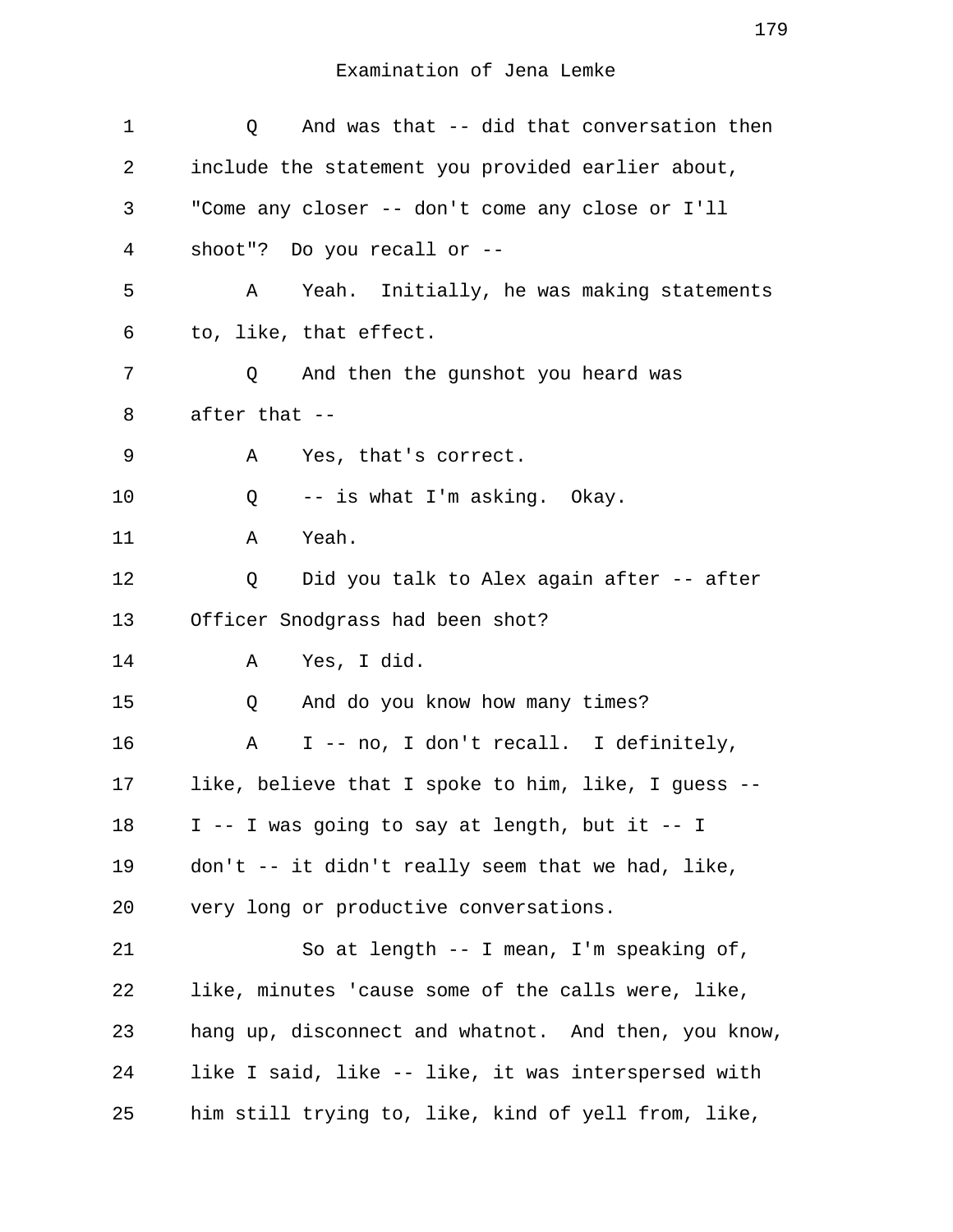| 1  | Q And was that -- did that conversation then          |
|----|-------------------------------------------------------|
| 2  | include the statement you provided earlier about,     |
| 3  | "Come any closer -- don't come any close or I'll      |
| 4  | shoot"? Do you recall or $-$ -                        |
| 5  | Yeah. Initially, he was making statements<br>A        |
| 6  | to, like, that effect.                                |
| 7  | And then the gunshot you heard was<br>Q               |
| 8  | after that --                                         |
| 9  | Α<br>Yes, that's correct.                             |
| 10 | -- is what I'm asking. Okay.<br>Q                     |
| 11 | Yeah.<br>A                                            |
| 12 | Did you talk to Alex again after -- after<br>Q        |
| 13 | Officer Snodgrass had been shot?                      |
| 14 | Yes, I did.<br>Α                                      |
| 15 | And do you know how many times?<br>Q                  |
| 16 | I -- no, I don't recall. I definitely,<br>$\mathbb A$ |
| 17 | like, believe that I spoke to him, like, I guess --   |
| 18 | I -- I was going to say at length, but it -- I        |
| 19 | don't -- it didn't really seem that we had, like,     |
| 20 | very long or productive conversations.                |
| 21 | So at length -- I mean, I'm speaking of,              |
| 22 | like, minutes 'cause some of the calls were, like,    |
| 23 | hang up, disconnect and whatnot. And then, you know,  |
| 24 | like I said, like -- like, it was interspersed with   |
| 25 | him still trying to, like, kind of yell from, like,   |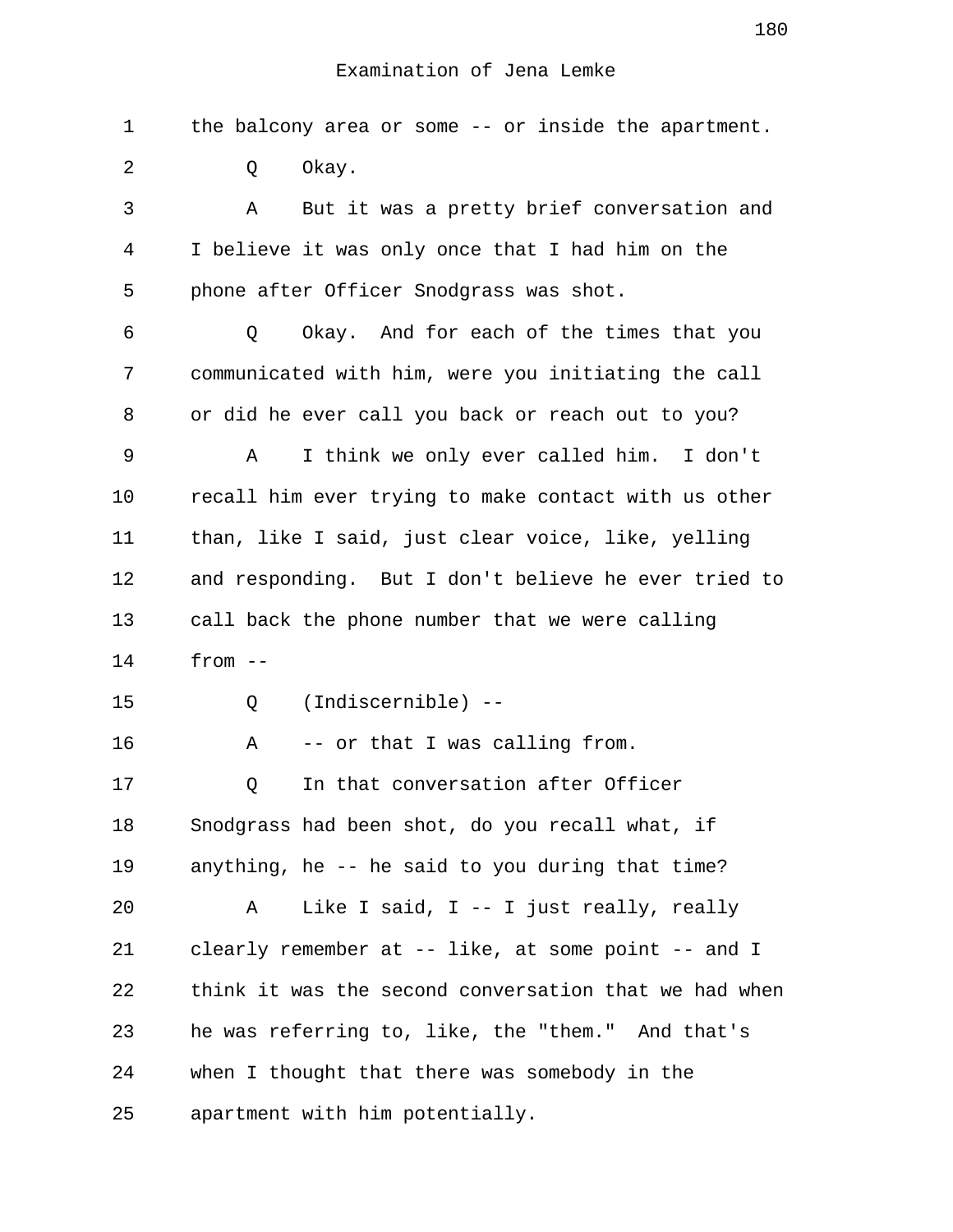1 the balcony area or some -- or inside the apartment. 2 0 Okay. 3 A But it was a pretty brief conversation and 4 I believe it was only once that I had him on the 5 phone after Officer Snodgrass was shot. 6 Q Okay. And for each of the times that you 7 communicated with him, were you initiating the call 8 or did he ever call you back or reach out to you? 9 A I think we only ever called him. I don't 10 recall him ever trying to make contact with us other 11 than, like I said, just clear voice, like, yelling 12 and responding. But I don't believe he ever tried to 13 call back the phone number that we were calling 14 from -- 15 Q (Indiscernible) -- 16 A -- or that I was calling from. 17 0 In that conversation after Officer 18 Snodgrass had been shot, do you recall what, if 19 anything, he -- he said to you during that time? 20 A Like I said, I -- I just really, really 21 clearly remember at -- like, at some point -- and I 22 think it was the second conversation that we had when 23 he was referring to, like, the "them." And that's 24 when I thought that there was somebody in the 25 apartment with him potentially.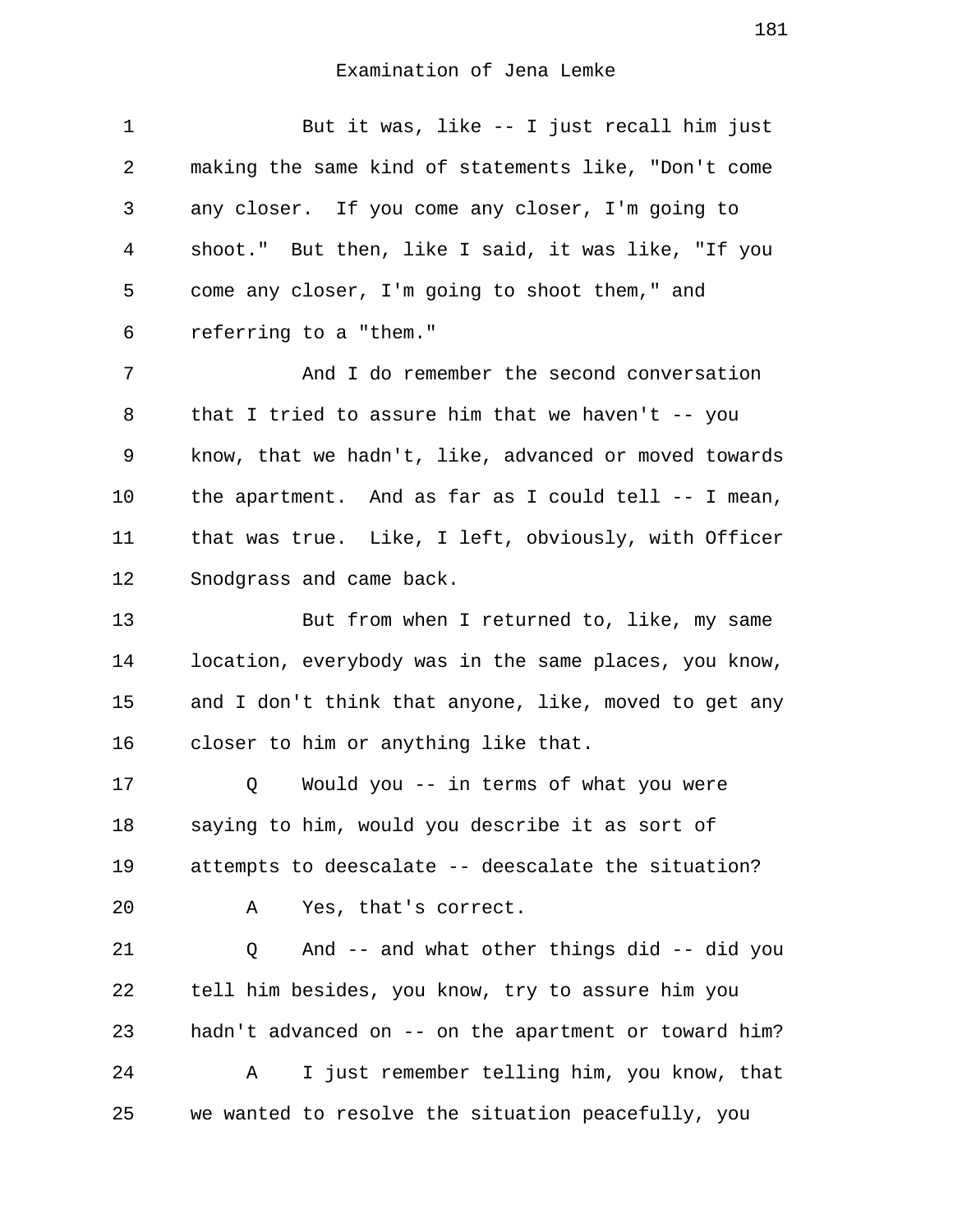| $\mathbf{1}$   | But it was, like -- I just recall him just            |
|----------------|-------------------------------------------------------|
| 2              | making the same kind of statements like, "Don't come  |
| 3              | any closer. If you come any closer, I'm going to      |
| $\overline{4}$ | shoot." But then, like I said, it was like, "If you   |
| 5              | come any closer, I'm going to shoot them," and        |
| 6              | referring to a "them."                                |
| 7              | And I do remember the second conversation             |
| 8              | that I tried to assure him that we haven't $-$ - you  |
| 9              | know, that we hadn't, like, advanced or moved towards |
| 10             | the apartment. And as far as I could tell -- I mean,  |
| 11             | that was true. Like, I left, obviously, with Officer  |
| 12             | Snodgrass and came back.                              |
| 13             | But from when I returned to, like, my same            |
| 14             | location, everybody was in the same places, you know, |
| 15             | and I don't think that anyone, like, moved to get any |
| 16             | closer to him or anything like that.                  |
| 17             | Would you -- in terms of what you were<br>Q           |
| 18             | saying to him, would you describe it as sort of       |
| 19             | attempts to deescalate -- deescalate the situation?   |
| 20             | Yes, that's correct.<br>Α                             |
| 21             | And -- and what other things did -- did you<br>Q      |
| 22             | tell him besides, you know, try to assure him you     |
| 23             | hadn't advanced on -- on the apartment or toward him? |
| 24             | I just remember telling him, you know, that<br>Α      |
| 25             | we wanted to resolve the situation peacefully, you    |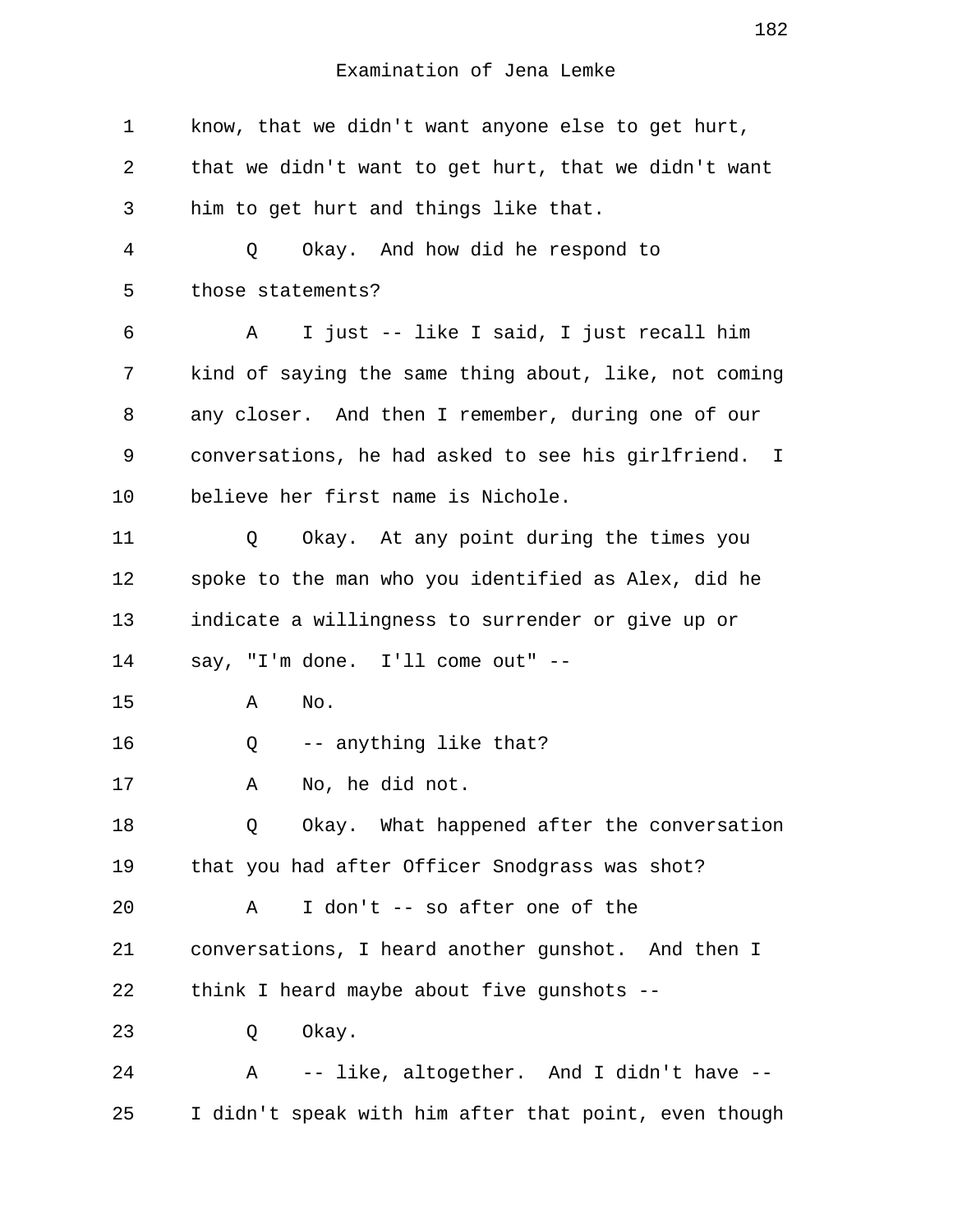1 know, that we didn't want anyone else to get hurt, 2 that we didn't want to get hurt, that we didn't want 3 him to get hurt and things like that. 4 Q Okay. And how did he respond to 5 those statements? 6 A I just -- like I said, I just recall him 7 kind of saying the same thing about, like, not coming 8 any closer. And then I remember, during one of our 9 conversations, he had asked to see his girlfriend. I 10 believe her first name is Nichole. 11 Q Okay. At any point during the times you 12 spoke to the man who you identified as Alex, did he 13 indicate a willingness to surrender or give up or 14 say, "I'm done. I'll come out" -- 15 A No. 16 Q -- anything like that? 17 A No, he did not. 18 Q Okay. What happened after the conversation 19 that you had after Officer Snodgrass was shot? 20 A I don't -- so after one of the 21 conversations, I heard another gunshot. And then I 22 think I heard maybe about five gunshots -- 23 O Okay. 24 A -- like, altogether. And I didn't have -- 25 I didn't speak with him after that point, even though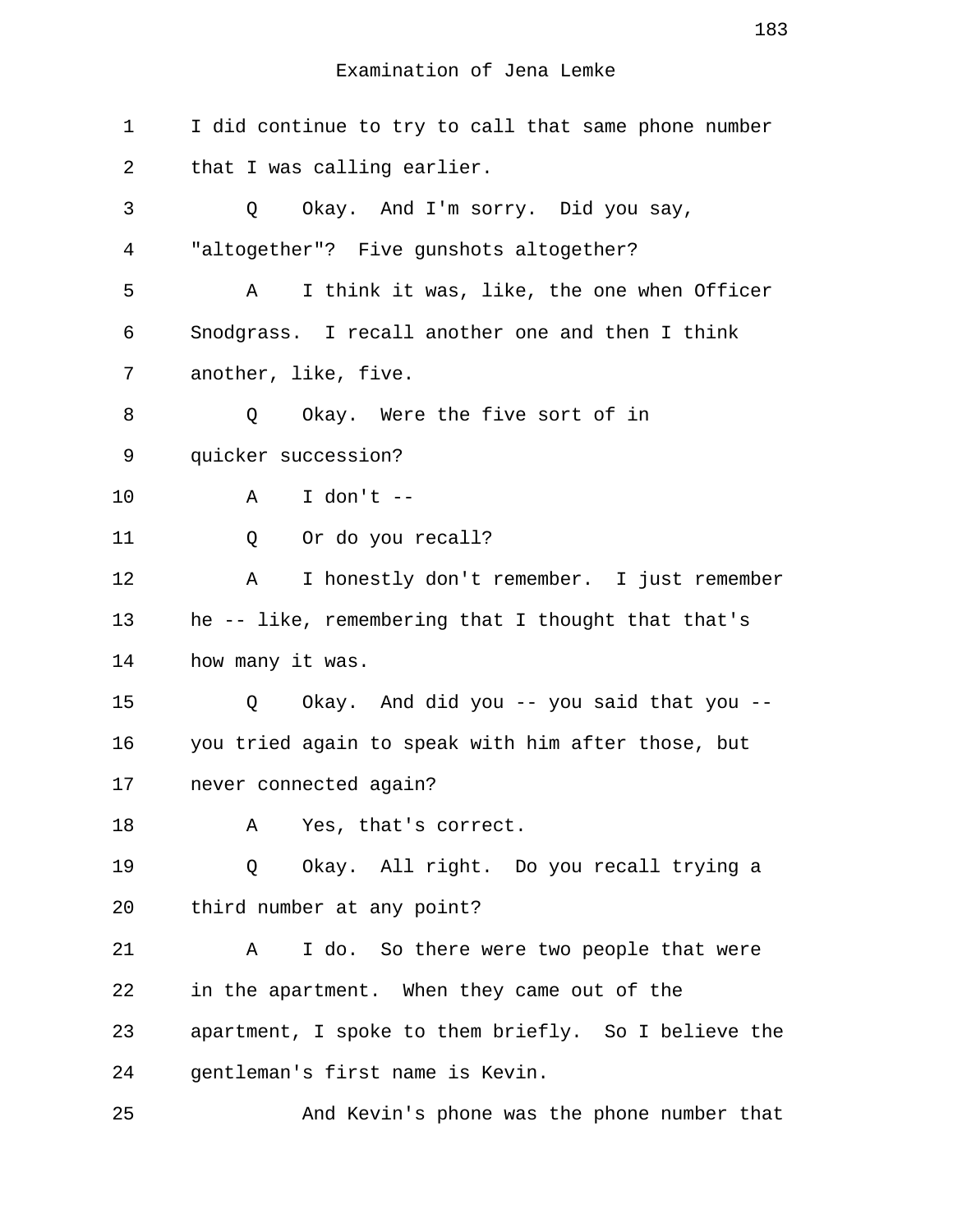1 I did continue to try to call that same phone number 2 that I was calling earlier. 3 Q Okay. And I'm sorry. Did you say, 4 "altogether"? Five gunshots altogether? 5 A I think it was, like, the one when Officer 6 Snodgrass. I recall another one and then I think 7 another, like, five. 8 0 Okay. Were the five sort of in 9 quicker succession? 10 A I don't -- 11 0 Or do you recall? 12 A I honestly don't remember. I just remember 13 he -- like, remembering that I thought that that's 14 how many it was. 15 Q Okay. And did you -- you said that you -- 16 you tried again to speak with him after those, but 17 never connected again? 18 A Yes, that's correct. 19 Q Okay. All right. Do you recall trying a 20 third number at any point? 21 A I do. So there were two people that were 22 in the apartment. When they came out of the 23 apartment, I spoke to them briefly. So I believe the 24 gentleman's first name is Kevin. 25 And Kevin's phone was the phone number that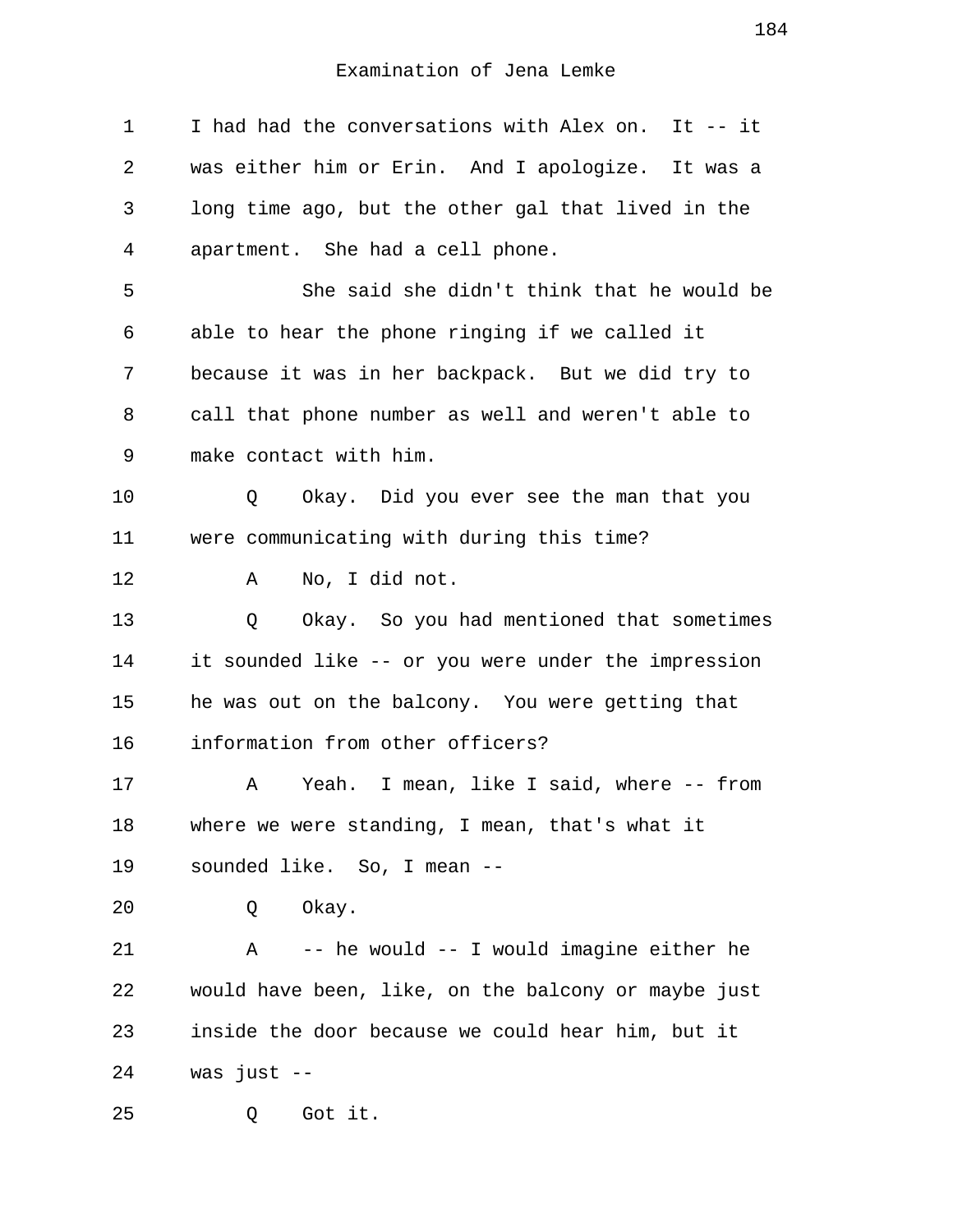1 I had had the conversations with Alex on. It -- it 2 was either him or Erin. And I apologize. It was a 3 long time ago, but the other gal that lived in the 4 apartment. She had a cell phone. 5 She said she didn't think that he would be 6 able to hear the phone ringing if we called it 7 because it was in her backpack. But we did try to 8 call that phone number as well and weren't able to 9 make contact with him. 10 Q Okay. Did you ever see the man that you 11 were communicating with during this time? 12 A No, I did not. 13 Q Okay. So you had mentioned that sometimes 14 it sounded like -- or you were under the impression 15 he was out on the balcony. You were getting that 16 information from other officers? 17 A Yeah. I mean, like I said, where -- from 18 where we were standing, I mean, that's what it 19 sounded like. So, I mean -- 20 Q Okay. 21 A -- he would -- I would imagine either he 22 would have been, like, on the balcony or maybe just 23 inside the door because we could hear him, but it 24 was just -- 25 Q Got it.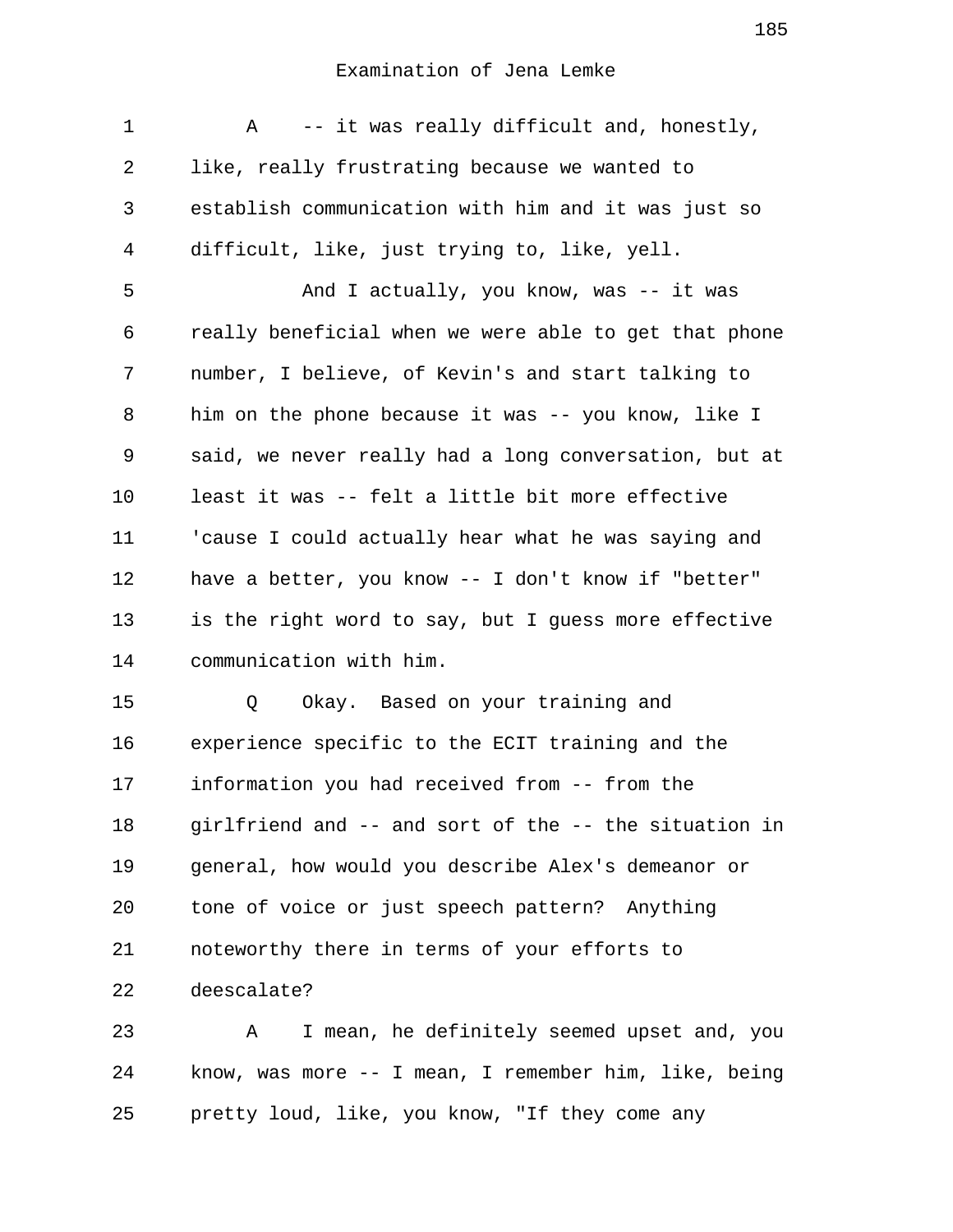| 1  | -- it was really difficult and, honestly,<br>Α        |
|----|-------------------------------------------------------|
| 2  | like, really frustrating because we wanted to         |
| 3  | establish communication with him and it was just so   |
| 4  | difficult, like, just trying to, like, yell.          |
| 5  | And I actually, you know, was -- it was               |
| 6  | really beneficial when we were able to get that phone |
| 7  | number, I believe, of Kevin's and start talking to    |
| 8  | him on the phone because it was -- you know, like I   |
| 9  | said, we never really had a long conversation, but at |
| 10 | least it was -- felt a little bit more effective      |
| 11 | 'cause I could actually hear what he was saying and   |
| 12 | have a better, you know -- I don't know if "better"   |
| 13 | is the right word to say, but I guess more effective  |
| 14 | communication with him.                               |
| 15 | Okay. Based on your training and<br>Q                 |
| 16 | experience specific to the ECIT training and the      |
| 17 | information you had received from -- from the         |
| 18 | girlfriend and -- and sort of the -- the situation in |
| 19 | general, how would you describe Alex's demeanor or    |
| 20 | tone of voice or just speech pattern? Anything        |
| 21 | noteworthy there in terms of your efforts to          |
| 22 | deescalate?                                           |
| つつ | ho dofinitaly goomed                                  |

23 A I mean, he definitely seemed upset and, you 24 know, was more -- I mean, I remember him, like, being 25 pretty loud, like, you know, "If they come any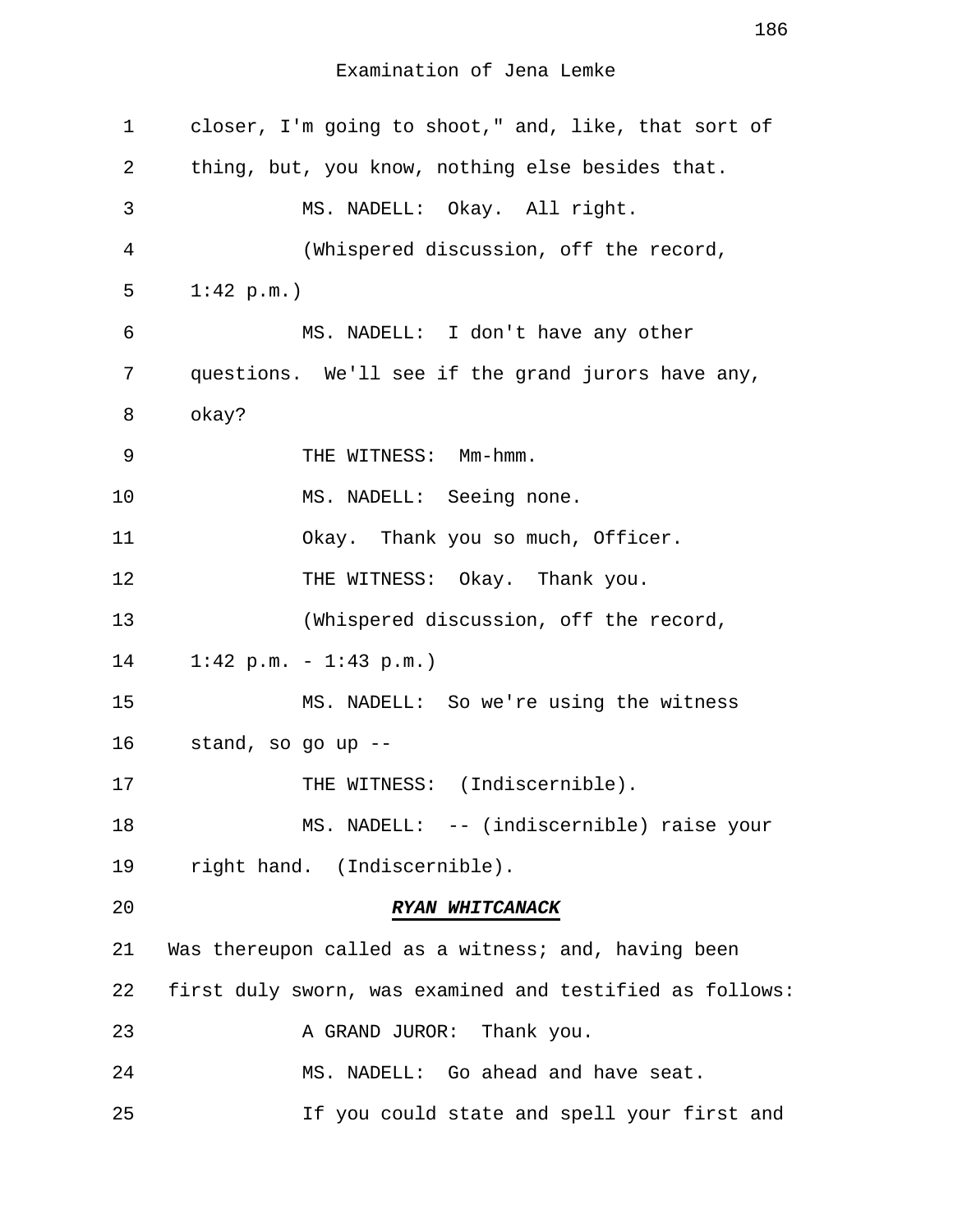| $\mathbf 1$ | closer, I'm going to shoot," and, like, that sort of     |
|-------------|----------------------------------------------------------|
| 2           | thing, but, you know, nothing else besides that.         |
| 3           | MS. NADELL: Okay. All right.                             |
| 4           | (Whispered discussion, off the record,                   |
| 5           | 1:42 p.m.                                                |
| 6           | MS. NADELL: I don't have any other                       |
| 7           | questions. We'll see if the grand jurors have any,       |
| 8           | okay?                                                    |
| 9           | THE WITNESS: Mm-hmm.                                     |
| 10          | MS. NADELL: Seeing none.                                 |
| 11          | Okay. Thank you so much, Officer.                        |
| 12          | THE WITNESS: Okay. Thank you.                            |
| 13          | (Whispered discussion, off the record,                   |
| 14          | $1:42$ p.m. - $1:43$ p.m.)                               |
| 15          | MS. NADELL: So we're using the witness                   |
| 16          | stand, so go up --                                       |
| 17          | THE WITNESS: (Indiscernible).                            |
| 18          | MS. NADELL: -- (indiscernible) raise your                |
| 19          | right hand. (Indiscernible).                             |
| 20          | RYAN WHITCANACK                                          |
| 21          | Was thereupon called as a witness; and, having been      |
| 22          | first duly sworn, was examined and testified as follows: |
| 23          | A GRAND JUROR: Thank you.                                |
| 24          | MS. NADELL: Go ahead and have seat.                      |
| 25          | If you could state and spell your first and              |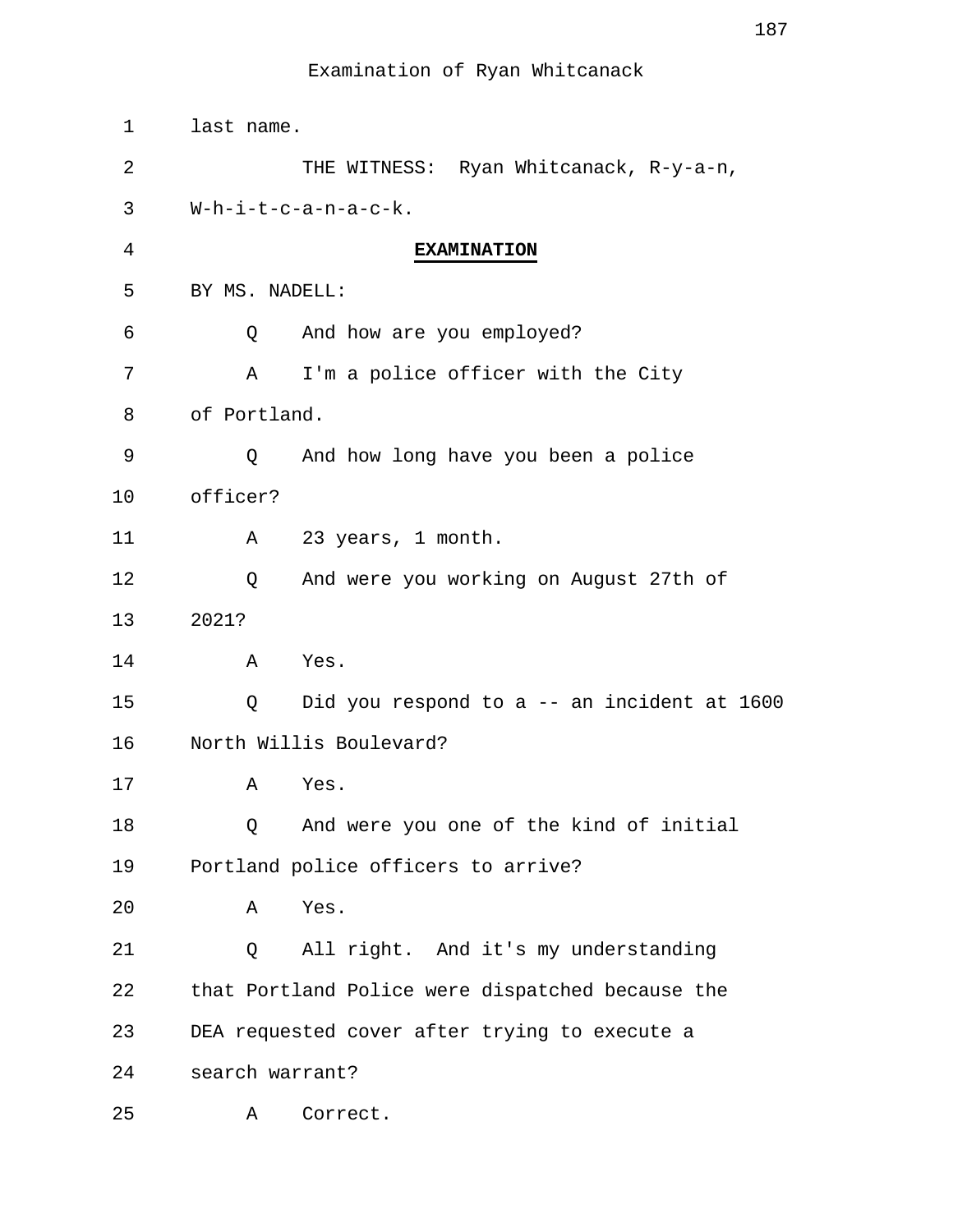| 1  | last name.                                       |
|----|--------------------------------------------------|
| 2  | THE WITNESS: Ryan Whitcanack, R-y-a-n,           |
| 3  | $W-h-i-t-c-a-n-a-c-k.$                           |
| 4  | <b>EXAMINATION</b>                               |
| 5  | BY MS. NADELL:                                   |
| 6  | And how are you employed?<br>Q                   |
| 7  | I'm a police officer with the City<br>Α          |
| 8  | of Portland.                                     |
| 9  | And how long have you been a police<br>Q         |
| 10 | officer?                                         |
| 11 | 23 years, 1 month.<br>Α                          |
| 12 | And were you working on August 27th of<br>Q      |
| 13 | 2021?                                            |
| 14 | Yes.<br>Α                                        |
| 15 | Did you respond to a -- an incident at 1600<br>Q |
| 16 | North Willis Boulevard?                          |
| 17 | Α<br>Yes.                                        |
| 18 | And were you one of the kind of initial<br>Q     |
| 19 | Portland police officers to arrive?              |
| 20 | Yes.<br>Α                                        |
| 21 | All right. And it's my understanding<br>Q        |
| 22 | that Portland Police were dispatched because the |
| 23 | DEA requested cover after trying to execute a    |
| 24 | search warrant?                                  |
| 25 | Correct.<br>Α                                    |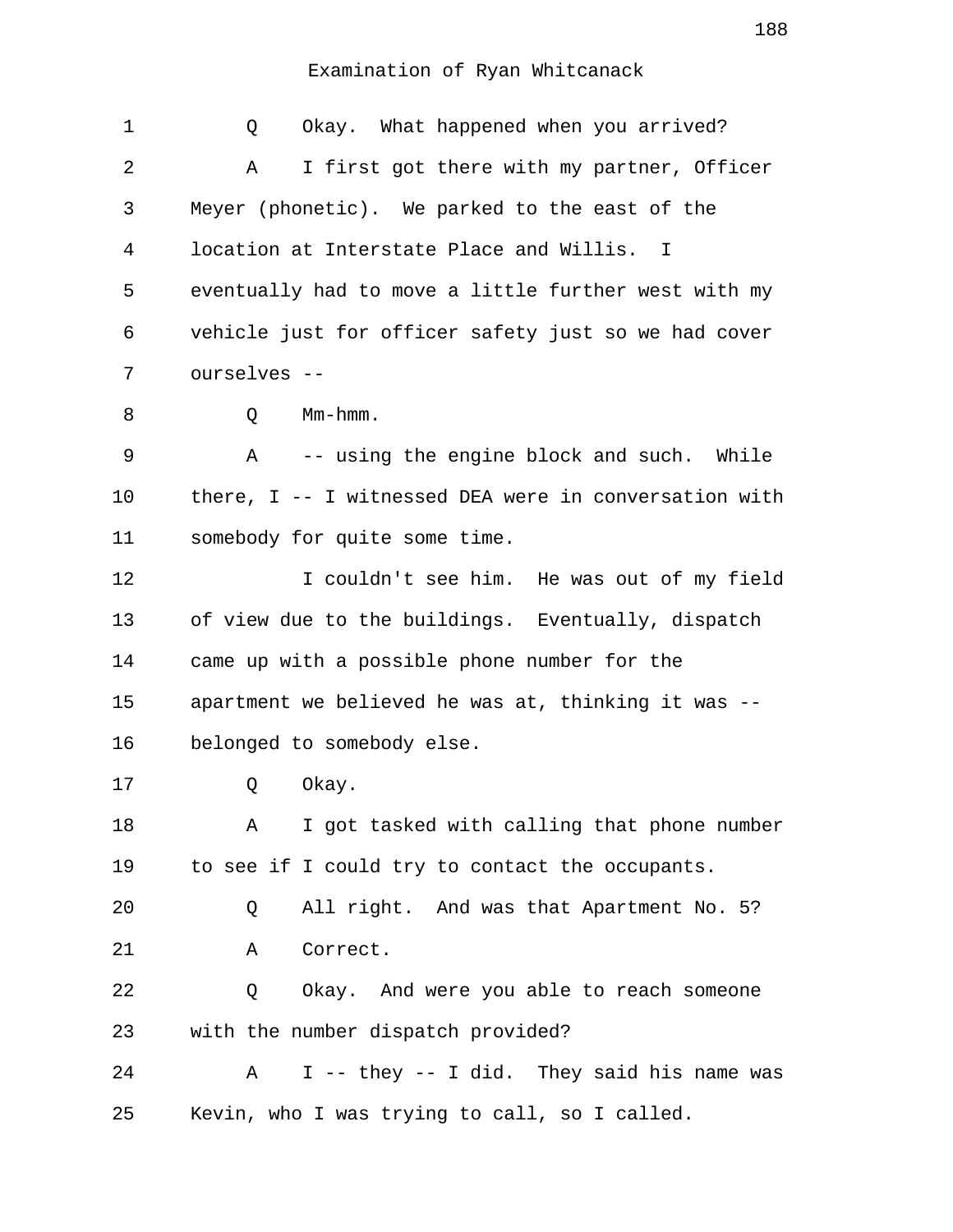| 1  | Okay. What happened when you arrived?<br>Q               |
|----|----------------------------------------------------------|
| 2  | I first got there with my partner, Officer<br>Α          |
| 3  | Meyer (phonetic). We parked to the east of the           |
| 4  | location at Interstate Place and Willis. I               |
| 5  | eventually had to move a little further west with my     |
| 6  | vehicle just for officer safety just so we had cover     |
| 7  | ourselves --                                             |
| 8  | Mm-hmm.<br>Q                                             |
| 9  | -- using the engine block and such. While<br>$\mathbb A$ |
| 10 | there, I -- I witnessed DEA were in conversation with    |
| 11 | somebody for quite some time.                            |
| 12 | I couldn't see him. He was out of my field               |
| 13 | of view due to the buildings. Eventually, dispatch       |
| 14 | came up with a possible phone number for the             |
| 15 | apartment we believed he was at, thinking it was --      |
| 16 | belonged to somebody else.                               |
| 17 | Q<br>Okay.                                               |
| 18 | I got tasked with calling that phone number<br>Α         |
| 19 | to see if I could try to contact the occupants.          |
| 20 | All right. And was that Apartment No. 5?<br>Q            |
| 21 | Correct.<br>Α                                            |
| 22 | Q<br>Okay. And were you able to reach someone            |
| 23 | with the number dispatch provided?                       |
| 24 | I -- they -- I did. They said his name was<br>Α          |
| 25 | Kevin, who I was trying to call, so I called.            |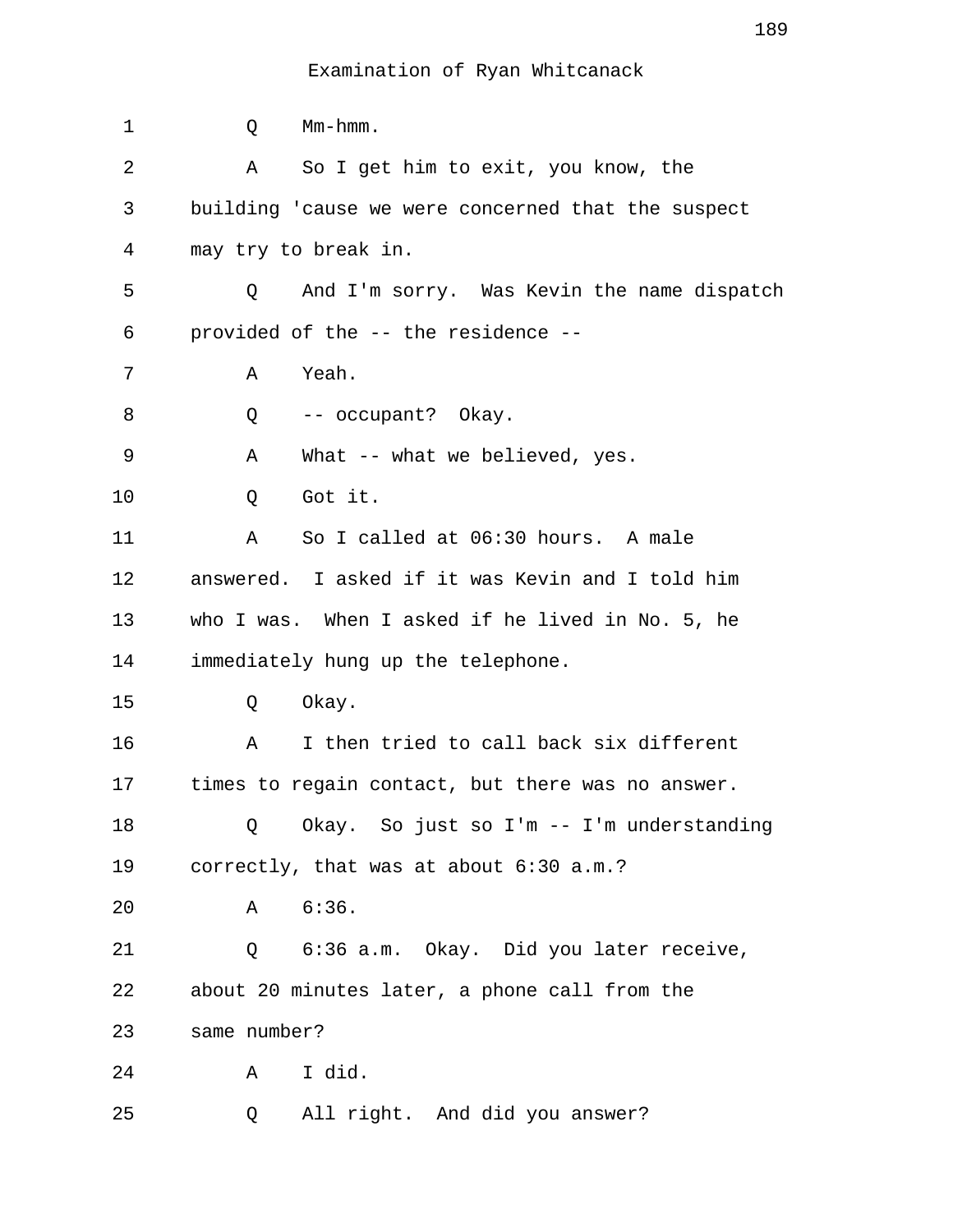| $\mathbf 1$ | Mm-hmm.<br>Q                                       |
|-------------|----------------------------------------------------|
| 2           | So I get him to exit, you know, the<br>Α           |
| 3           | building 'cause we were concerned that the suspect |
| 4           | may try to break in.                               |
| 5           | And I'm sorry. Was Kevin the name dispatch<br>Q    |
| 6           | provided of the -- the residence --                |
| 7           | Yeah.<br>Α                                         |
| 8           | -- occupant? Okay.<br>Q                            |
| 9           | What -- what we believed, yes.<br>Α                |
| 10          | Got it.<br>Q                                       |
| 11          | So I called at 06:30 hours. A male<br>Α            |
| 12          | answered. I asked if it was Kevin and I told him   |
| 13          | who I was. When I asked if he lived in No. 5, he   |
| 14          | immediately hung up the telephone.                 |
| 15          | Okay.<br>Q                                         |
| 16          | I then tried to call back six different<br>Α       |
| 17          | times to regain contact, but there was no answer.  |
| 18          | Okay. So just so I'm -- I'm understanding<br>Q     |
| 19          | correctly, that was at about 6:30 a.m.?            |
| 20          | 6:36.<br>Α                                         |
| 21          | Q 6:36 a.m. Okay. Did you later receive,           |
| 22          | about 20 minutes later, a phone call from the      |
| 23          | same number?                                       |
| 24          | I did.<br>Α                                        |
| 25          | All right. And did you answer?<br>Q                |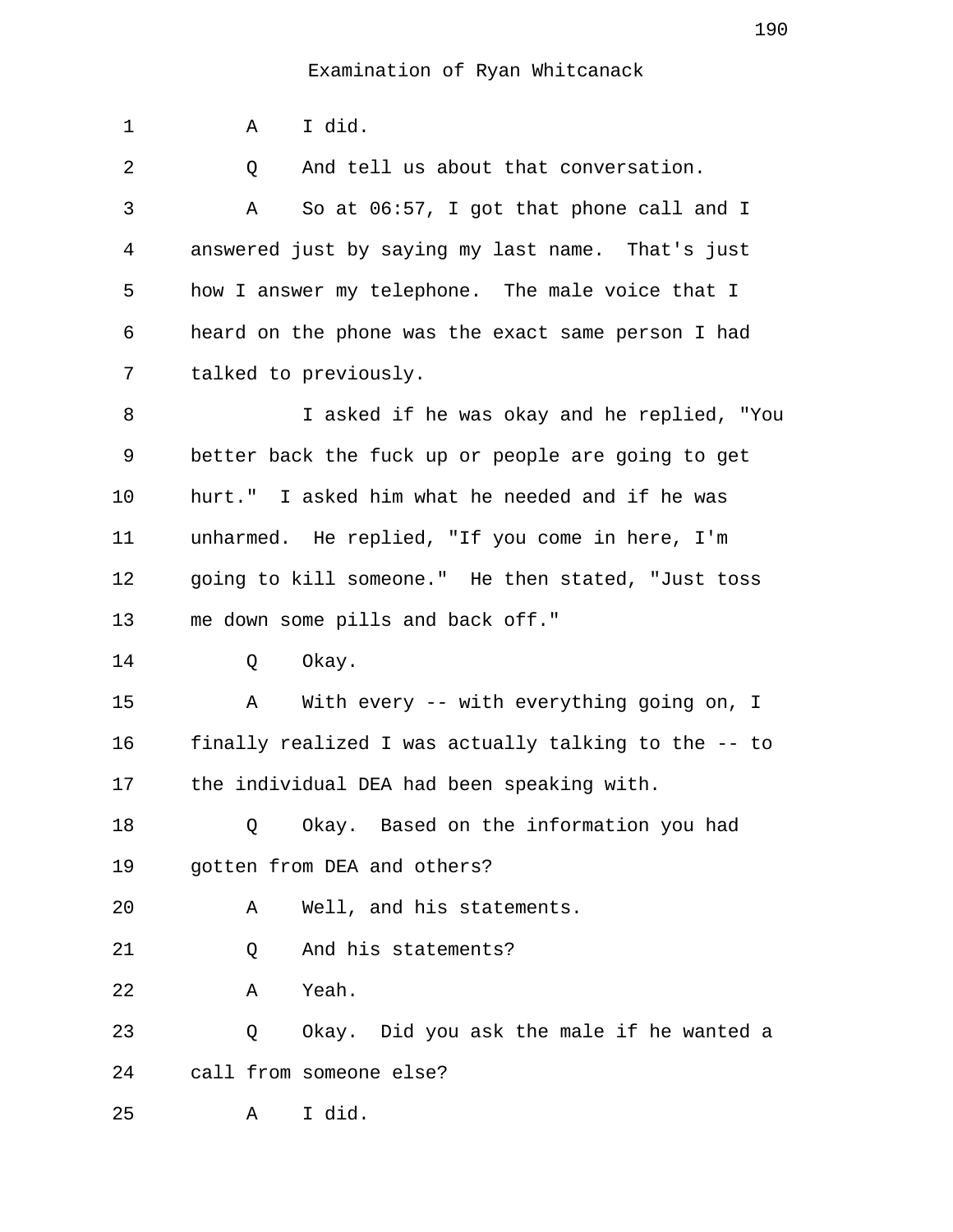1 A I did. 2 0 And tell us about that conversation. 3 A So at 06:57, I got that phone call and I 4 answered just by saying my last name. That's just 5 how I answer my telephone. The male voice that I 6 heard on the phone was the exact same person I had 7 talked to previously. 8 I asked if he was okay and he replied, "You 9 better back the fuck up or people are going to get 10 hurt." I asked him what he needed and if he was 11 unharmed. He replied, "If you come in here, I'm 12 going to kill someone." He then stated, "Just toss 13 me down some pills and back off." 14 O Okay. 15 A With every -- with everything going on, I 16 finally realized I was actually talking to the -- to 17 the individual DEA had been speaking with. 18 Q Okay. Based on the information you had 19 gotten from DEA and others? 20 A Well, and his statements. 21 Q And his statements? 22 A Yeah. 23 Q Okay. Did you ask the male if he wanted a 24 call from someone else? 25 A I did.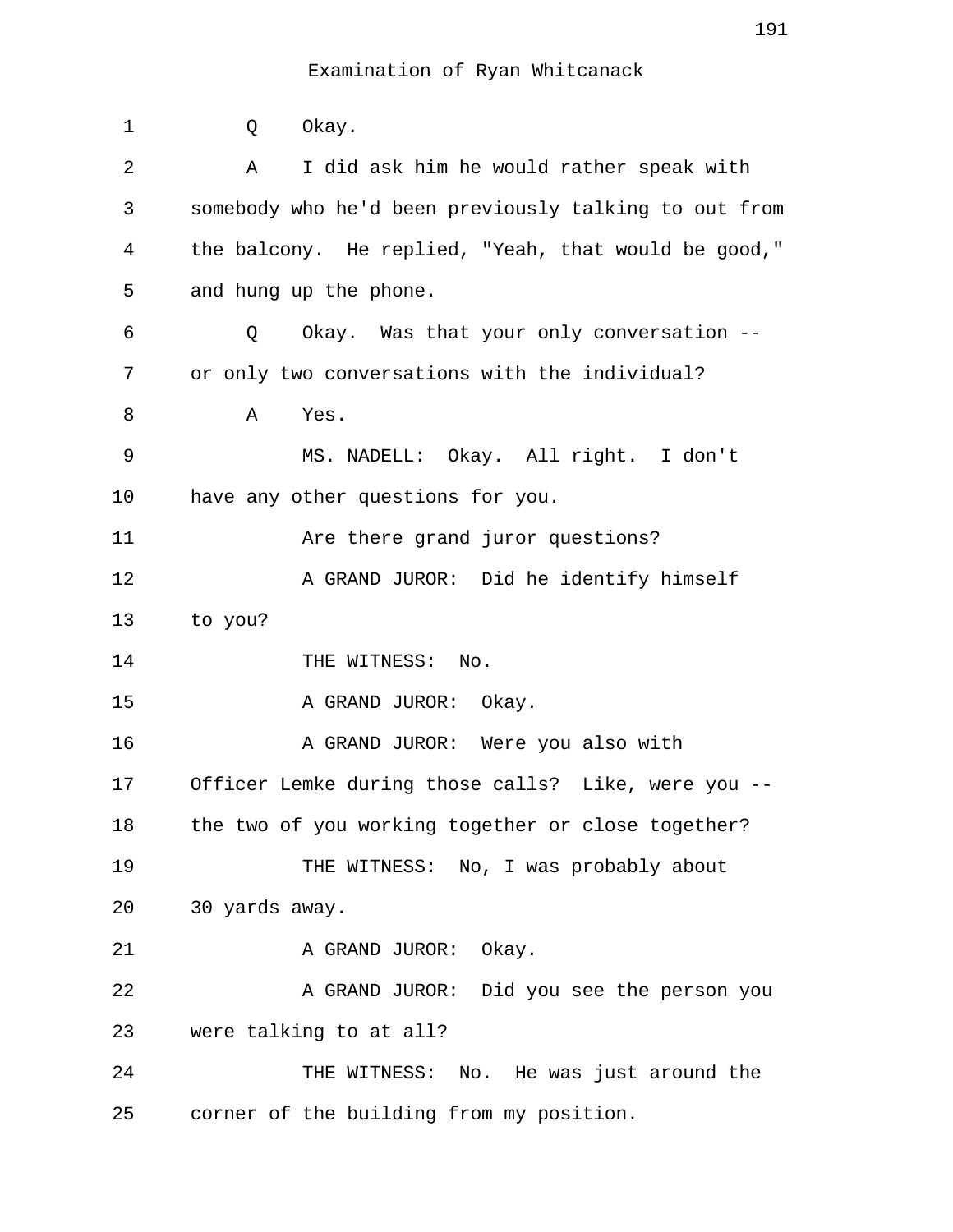| $\mathbf 1$ | Okay.<br>Q                                            |
|-------------|-------------------------------------------------------|
| 2           | I did ask him he would rather speak with<br>Α         |
| 3           | somebody who he'd been previously talking to out from |
| 4           | the balcony. He replied, "Yeah, that would be good,"  |
| 5           | and hung up the phone.                                |
| 6           | Okay. Was that your only conversation --<br>Q         |
| 7           | or only two conversations with the individual?        |
| 8           | Α<br>Yes.                                             |
| 9           | MS. NADELL: Okay. All right. I don't                  |
| 10          | have any other questions for you.                     |
| 11          | Are there grand juror questions?                      |
| 12          | A GRAND JUROR: Did he identify himself                |
| 13          | to you?                                               |
| 14          | THE WITNESS: No.                                      |
| 15          | A GRAND JUROR: Okay.                                  |
| 16          | A GRAND JUROR: Were you also with                     |
| 17          | Officer Lemke during those calls? Like, were you      |
| 18          | the two of you working together or close together?    |
| 19          | THE WITNESS: No, I was probably about                 |
| 20          | 30 yards away.                                        |
| 21          | A GRAND JUROR: Okay.                                  |
| 22          | A GRAND JUROR: Did you see the person you             |
| 23          | were talking to at all?                               |
| 24          | THE WITNESS: No. He was just around the               |
| 25          | corner of the building from my position.              |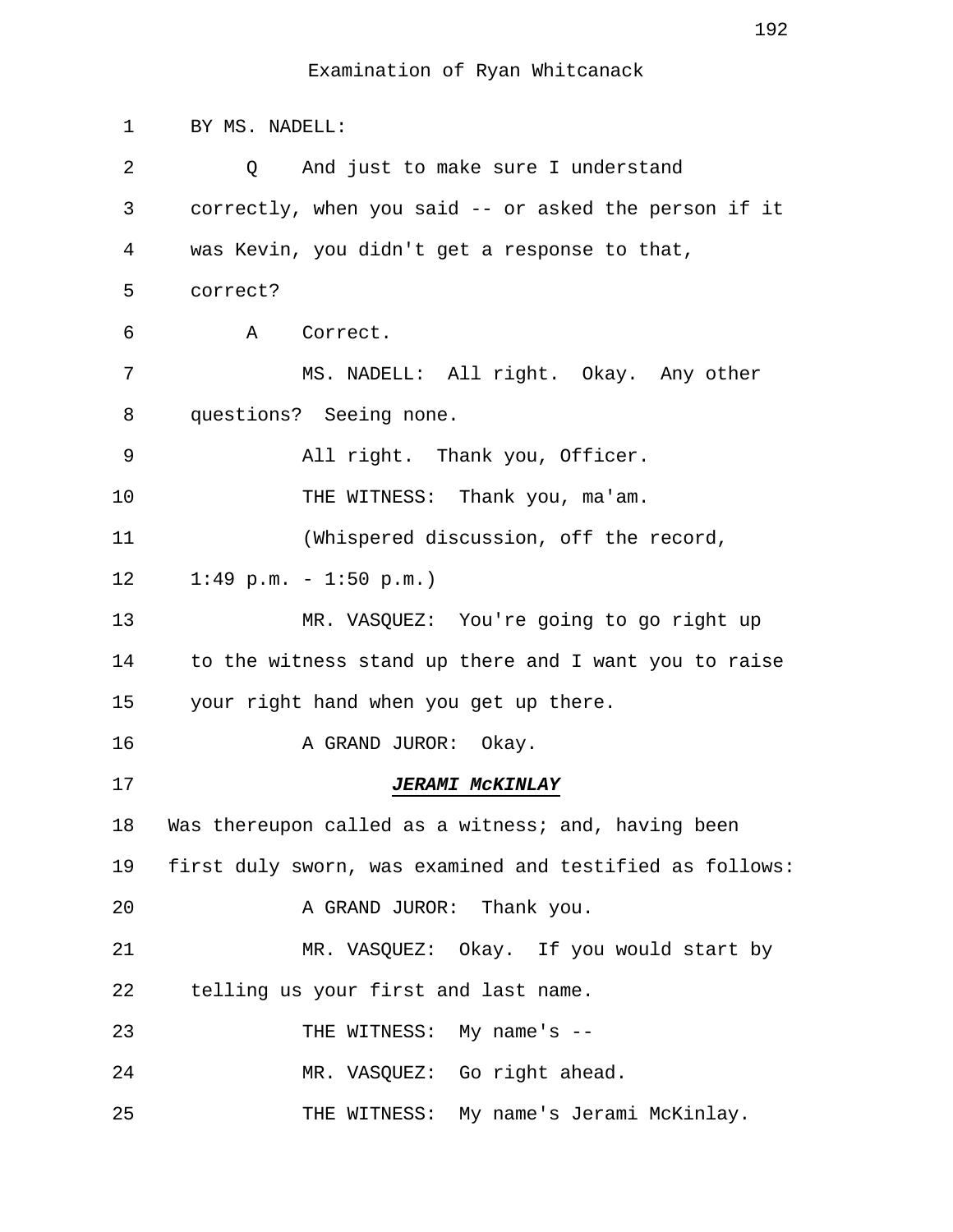1 BY MS. NADELL: 2 0 And just to make sure I understand 3 correctly, when you said -- or asked the person if it 4 was Kevin, you didn't get a response to that, 5 correct? 6 A Correct. 7 MS. NADELL: All right. Okay. Any other 8 questions? Seeing none. 9 All right. Thank you, Officer. 10 THE WITNESS: Thank you, ma'am. 11 (Whispered discussion, off the record, 12 1:49 p.m. - 1:50 p.m.) 13 MR. VASQUEZ: You're going to go right up 14 to the witness stand up there and I want you to raise 15 your right hand when you get up there. 16 A GRAND JUROR: Okay. 17 **JERAMI McKINLAY** 18 Was thereupon called as a witness; and, having been 19 first duly sworn, was examined and testified as follows: 20 A GRAND JUROR: Thank you. 21 MR. VASQUEZ: Okay. If you would start by 22 telling us your first and last name. 23 THE WITNESS: My name's --24 MR. VASQUEZ: Go right ahead. 25 THE WITNESS: My name's Jerami McKinlay.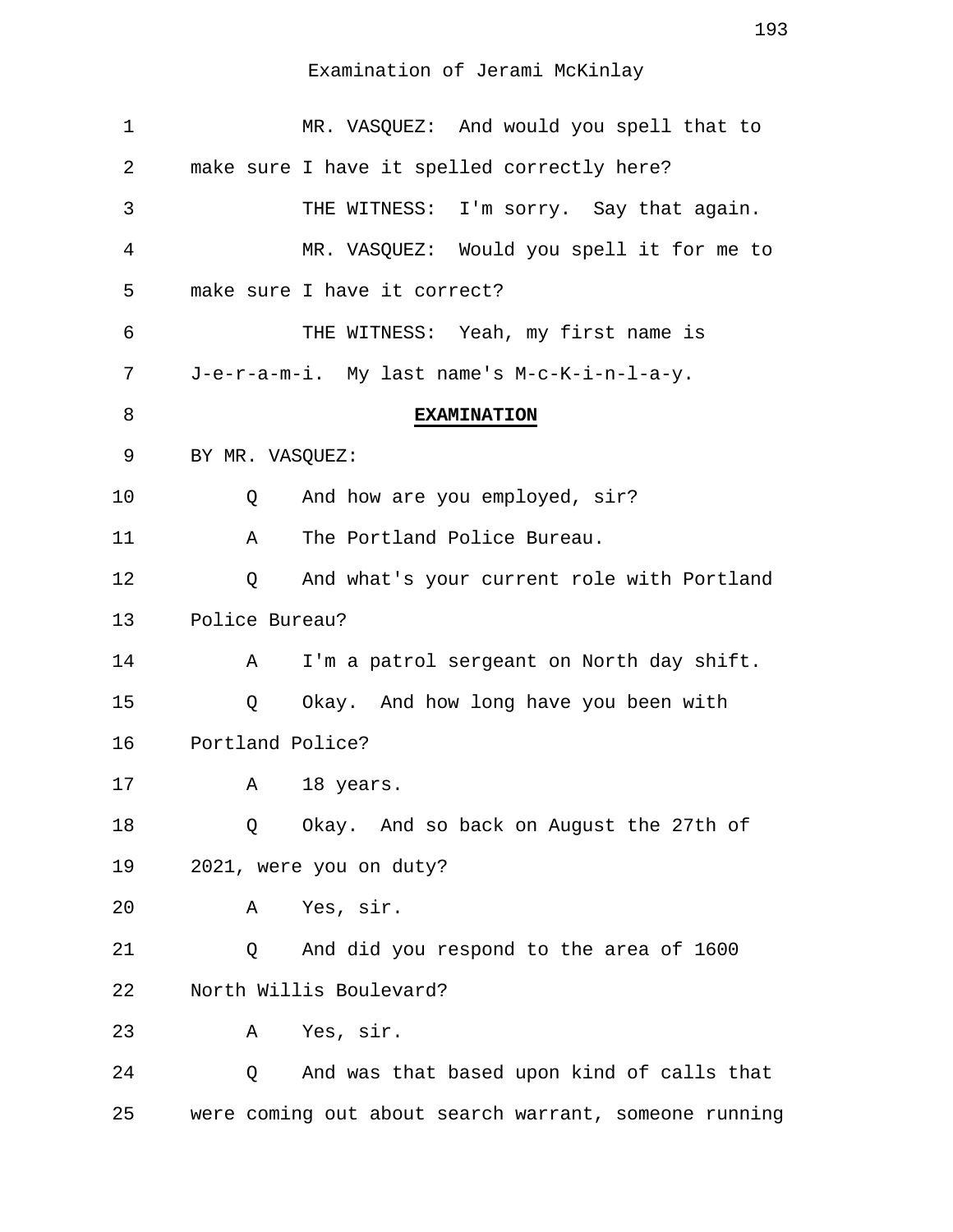| $\mathbf 1$ | MR. VASQUEZ: And would you spell that to              |
|-------------|-------------------------------------------------------|
| 2           | make sure I have it spelled correctly here?           |
| 3           | THE WITNESS: I'm sorry. Say that again.               |
| 4           | MR. VASQUEZ: Would you spell it for me to             |
| 5           | make sure I have it correct?                          |
| 6           | THE WITNESS: Yeah, my first name is                   |
| 7           | J-e-r-a-m-i. My last name's M-c-K-i-n-l-a-y.          |
| 8           | <b>EXAMINATION</b>                                    |
| 9           | BY MR. VASQUEZ:                                       |
| 10          | And how are you employed, sir?<br>Q                   |
| 11          | The Portland Police Bureau.<br>Α                      |
| 12          | And what's your current role with Portland<br>Q       |
| 13          | Police Bureau?                                        |
| 14          | I'm a patrol sergeant on North day shift.<br>Α        |
| 15          | Q<br>Okay. And how long have you been with            |
| 16          | Portland Police?                                      |
| 17          | A 18 years.                                           |
| 18          | Okay. And so back on August the 27th of<br>Q          |
| 19          | 2021, were you on duty?                               |
| 20          | Yes, sir.<br>Α                                        |
| 21          | And did you respond to the area of 1600<br>Q          |
| 22          | North Willis Boulevard?                               |
| 23          | Yes, sir.<br>Α                                        |
| 24          | And was that based upon kind of calls that<br>Q       |
| 25          | were coming out about search warrant, someone running |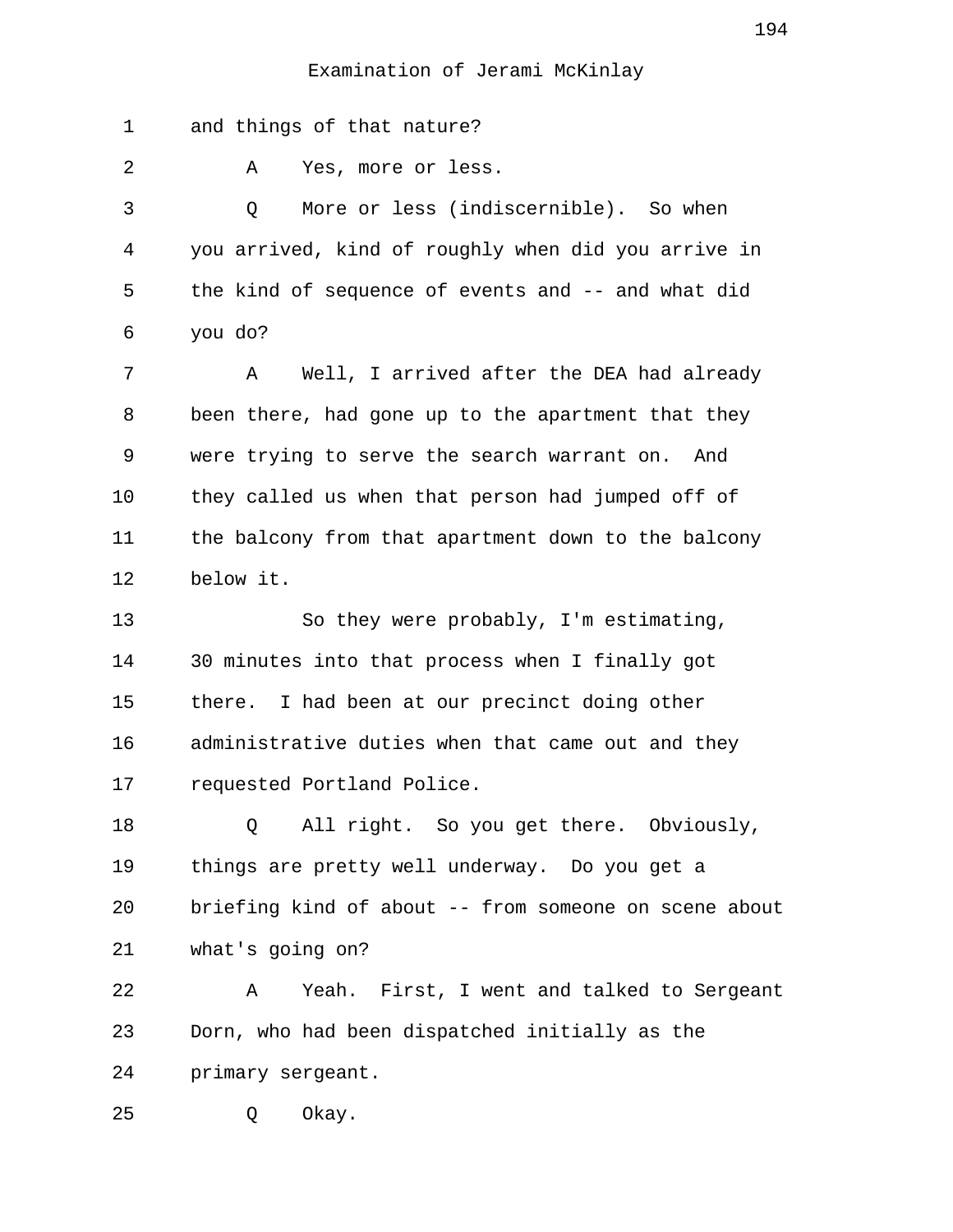1 and things of that nature? 2 A Yes, more or less. 3 Q More or less (indiscernible). So when 4 you arrived, kind of roughly when did you arrive in 5 the kind of sequence of events and -- and what did 6 you do? 7 A Well, I arrived after the DEA had already 8 been there, had gone up to the apartment that they 9 were trying to serve the search warrant on. And 10 they called us when that person had jumped off of 11 the balcony from that apartment down to the balcony 12 below it. 13 So they were probably, I'm estimating, 14 30 minutes into that process when I finally got 15 there. I had been at our precinct doing other 16 administrative duties when that came out and they 17 requested Portland Police. 18 Q All right. So you get there. Obviously, 19 things are pretty well underway. Do you get a 20 briefing kind of about -- from someone on scene about 21 what's going on? 22 A Yeah. First, I went and talked to Sergeant 23 Dorn, who had been dispatched initially as the 24 primary sergeant. 25 Q Okay.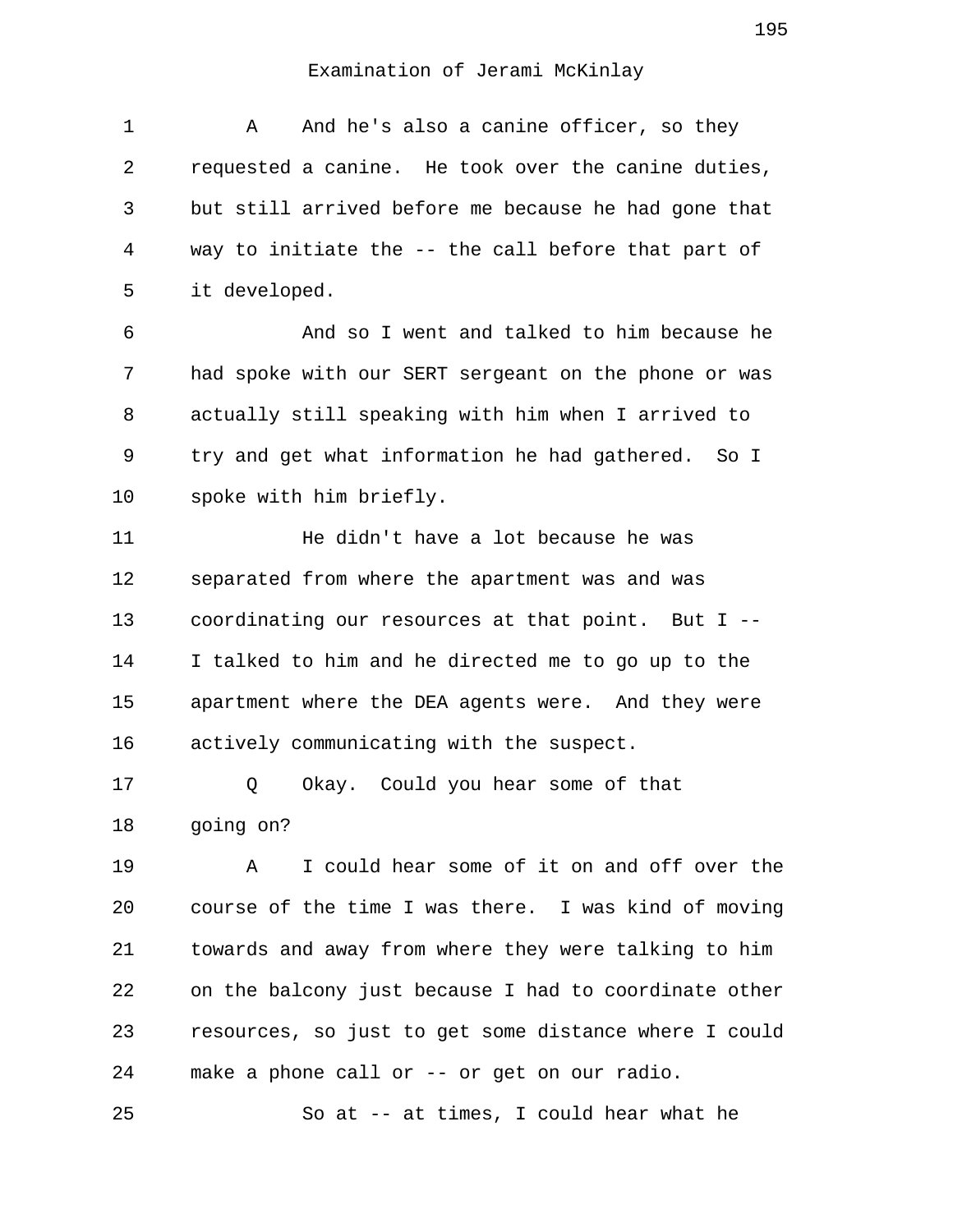| $\mathbf{1}$ | And he's also a canine officer, so they<br>Α         |
|--------------|------------------------------------------------------|
| 2            | requested a canine. He took over the canine duties,  |
| 3            | but still arrived before me because he had gone that |
| 4            | way to initiate the -- the call before that part of  |
| 5            | it developed.                                        |
| 6            | And so I went and talked to him because he           |
| 7            | had spoke with our SERT sergeant on the phone or was |
| 8            | actually still speaking with him when I arrived to   |
| 9            | try and get what information he had gathered. So I   |
| 10           | spoke with him briefly.                              |
| 11           | He didn't have a lot because he was                  |
| 12           | separated from where the apartment was and was       |
| 13           | coordinating our resources at that point. But I --   |
| 14           | I talked to him and he directed me to go up to the   |
| 15           | apartment where the DEA agents were. And they were   |
| 16           | actively communicating with the suspect.             |
| 17           | Okay. Could you hear some of that<br>Q               |
| 18           | going on?                                            |
| 19           | I could hear some of it on and off over the<br>Α     |
| 20           | course of the time I was there. I was kind of moving |
| 21           | towards and away from where they were talking to him |

22 on the balcony just because I had to coordinate other 23 resources, so just to get some distance where I could 24 make a phone call or -- or get on our radio.

25 So at -- at times, I could hear what he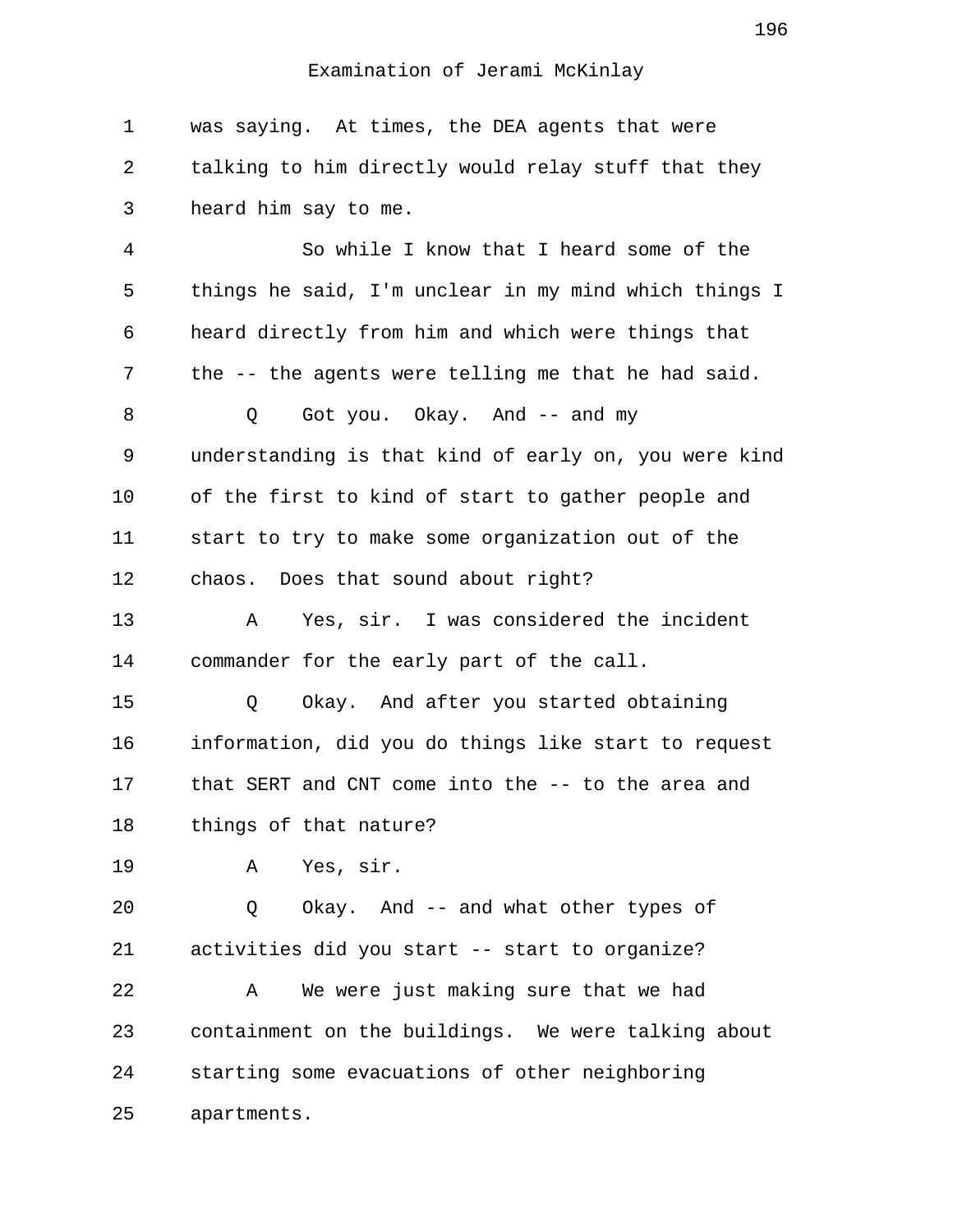1 was saying. At times, the DEA agents that were 2 talking to him directly would relay stuff that they 3 heard him say to me. 4 So while I know that I heard some of the 5 things he said, I'm unclear in my mind which things I 6 heard directly from him and which were things that 7 the -- the agents were telling me that he had said. 8 0 Got you. Okay. And -- and my 9 understanding is that kind of early on, you were kind 10 of the first to kind of start to gather people and 11 start to try to make some organization out of the 12 chaos. Does that sound about right? 13 A Yes, sir. I was considered the incident 14 commander for the early part of the call. 15 Q Okay. And after you started obtaining 16 information, did you do things like start to request 17 that SERT and CNT come into the -- to the area and 18 things of that nature? 19 A Yes, sir. 20 Q Okay. And -- and what other types of 21 activities did you start -- start to organize? 22 A We were just making sure that we had 23 containment on the buildings. We were talking about 24 starting some evacuations of other neighboring 25 apartments.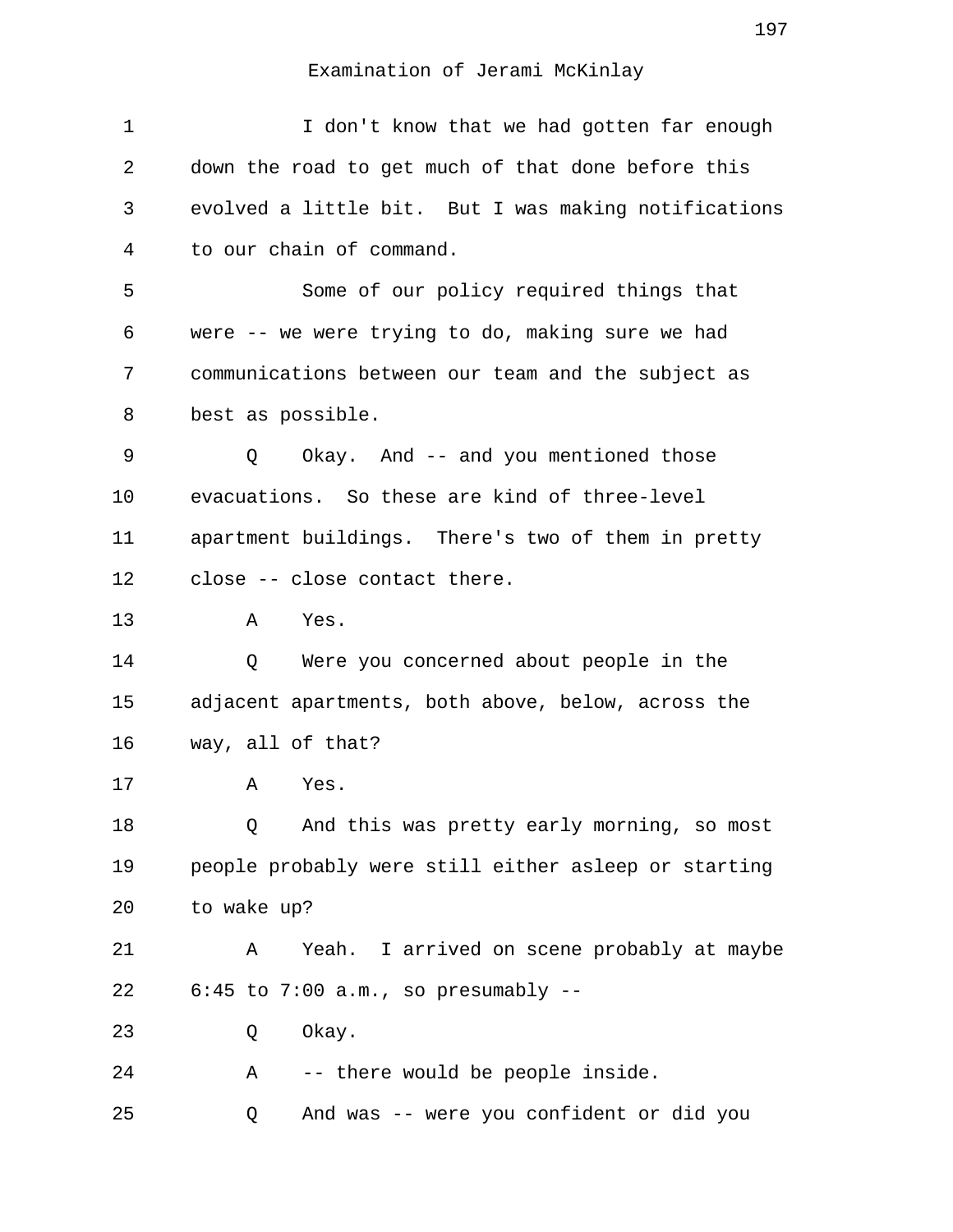| $\mathbf 1$ | I don't know that we had gotten far enough           |
|-------------|------------------------------------------------------|
| 2           | down the road to get much of that done before this   |
| 3           | evolved a little bit. But I was making notifications |
| 4           | to our chain of command.                             |
| 5           | Some of our policy required things that              |
| 6           | were -- we were trying to do, making sure we had     |
| 7           | communications between our team and the subject as   |
| 8           | best as possible.                                    |
| 9           | Okay. And -- and you mentioned those<br>Q            |
| 10          | evacuations. So these are kind of three-level        |
| 11          | apartment buildings. There's two of them in pretty   |
| 12          | close -- close contact there.                        |
| 13          | Yes.<br>Α                                            |
| 14          | Were you concerned about people in the<br>Q          |
| 15          | adjacent apartments, both above, below, across the   |
| 16          | way, all of that?                                    |
| 17          | Yes.<br>Α                                            |
| 18          | And this was pretty early morning, so most<br>Q      |
| 19          | people probably were still either asleep or starting |
| 20          | to wake up?                                          |
| 21          | Yeah. I arrived on scene probably at maybe<br>Α      |
| 22          | $6:45$ to $7:00$ a.m., so presumably --              |
| 23          | Okay.<br>Q                                           |
| 24          | -- there would be people inside.<br>Α                |
| 25          | And was -- were you confident or did you<br>Q        |
|             |                                                      |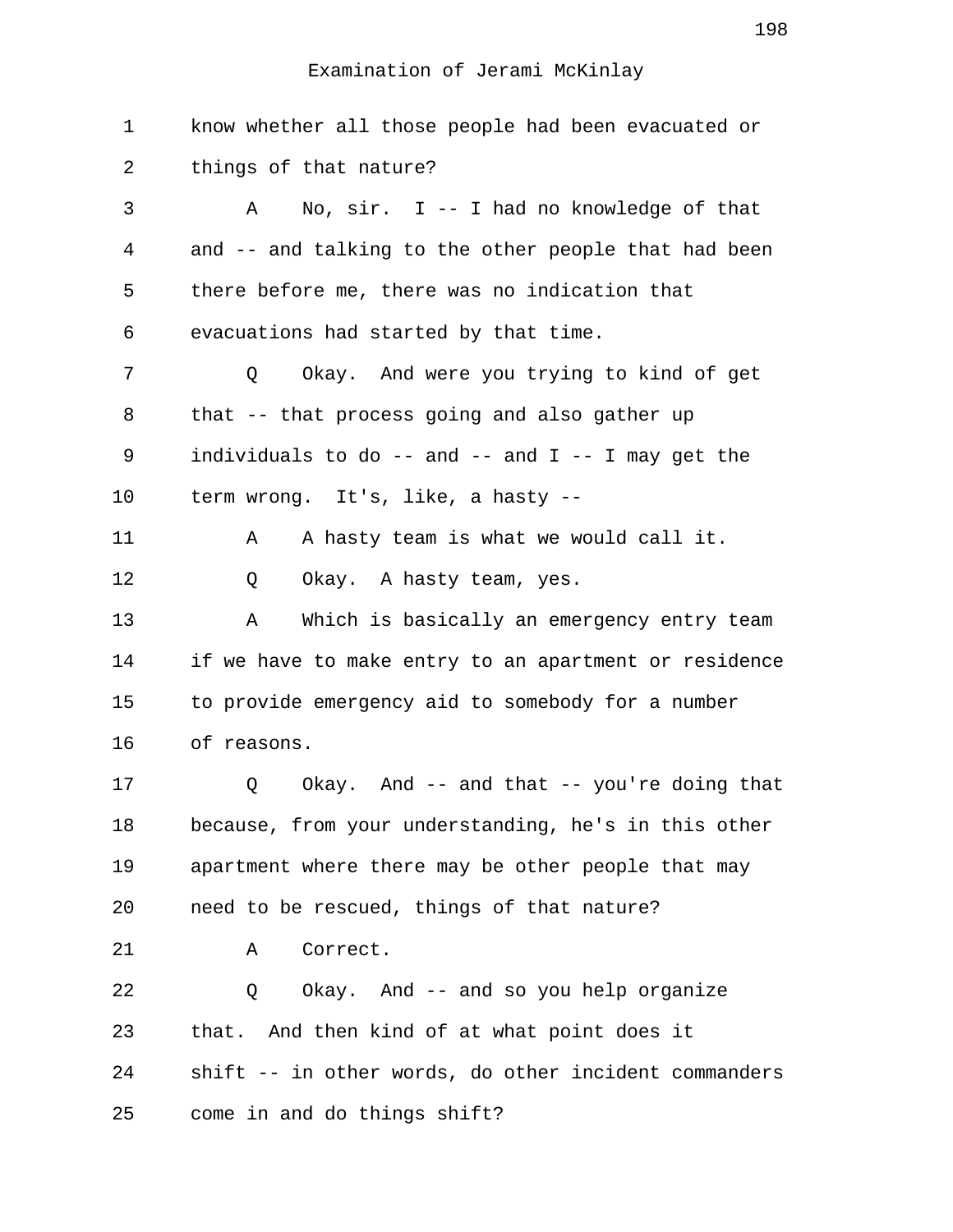1 know whether all those people had been evacuated or 2 things of that nature? 3 A No, sir. I -- I had no knowledge of that 4 and -- and talking to the other people that had been 5 there before me, there was no indication that 6 evacuations had started by that time. 7 Q Okay. And were you trying to kind of get 8 that -- that process going and also gather up 9 individuals to do  $-$  and  $-$  and  $I$   $-$  I may get the 10 term wrong. It's, like, a hasty -- 11 A A hasty team is what we would call it. 12 Q Okay. A hasty team, yes. 13 A Which is basically an emergency entry team 14 if we have to make entry to an apartment or residence 15 to provide emergency aid to somebody for a number 16 of reasons. 17 Q Okay. And -- and that -- you're doing that 18 because, from your understanding, he's in this other 19 apartment where there may be other people that may 20 need to be rescued, things of that nature? 21 A Correct. 22 Q Okay. And -- and so you help organize 23 that. And then kind of at what point does it 24 shift -- in other words, do other incident commanders 25 come in and do things shift?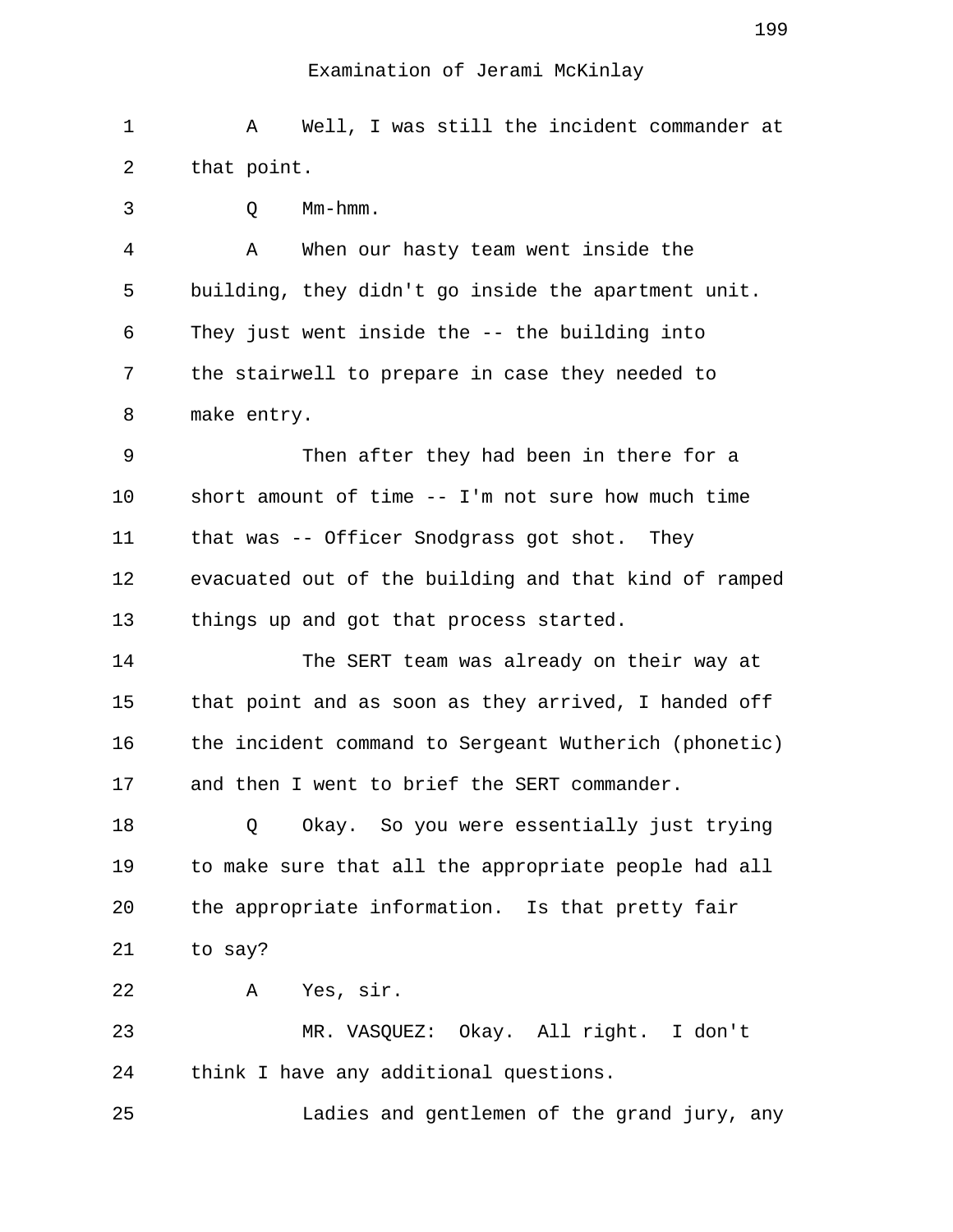1 A Well, I was still the incident commander at 2 that point.

3 Q Mm-hmm.

 4 A When our hasty team went inside the 5 building, they didn't go inside the apartment unit. 6 They just went inside the -- the building into 7 the stairwell to prepare in case they needed to 8 make entry.

 9 Then after they had been in there for a 10 short amount of time -- I'm not sure how much time 11 that was -- Officer Snodgrass got shot. They 12 evacuated out of the building and that kind of ramped 13 things up and got that process started.

14 The SERT team was already on their way at 15 that point and as soon as they arrived, I handed off 16 the incident command to Sergeant Wutherich (phonetic) 17 and then I went to brief the SERT commander.

18 Q Okay. So you were essentially just trying 19 to make sure that all the appropriate people had all 20 the appropriate information. Is that pretty fair 21 to say?

22 A Yes, sir.

23 MR. VASQUEZ: Okay. All right. I don't 24 think I have any additional questions.

25 Ladies and gentlemen of the grand jury, any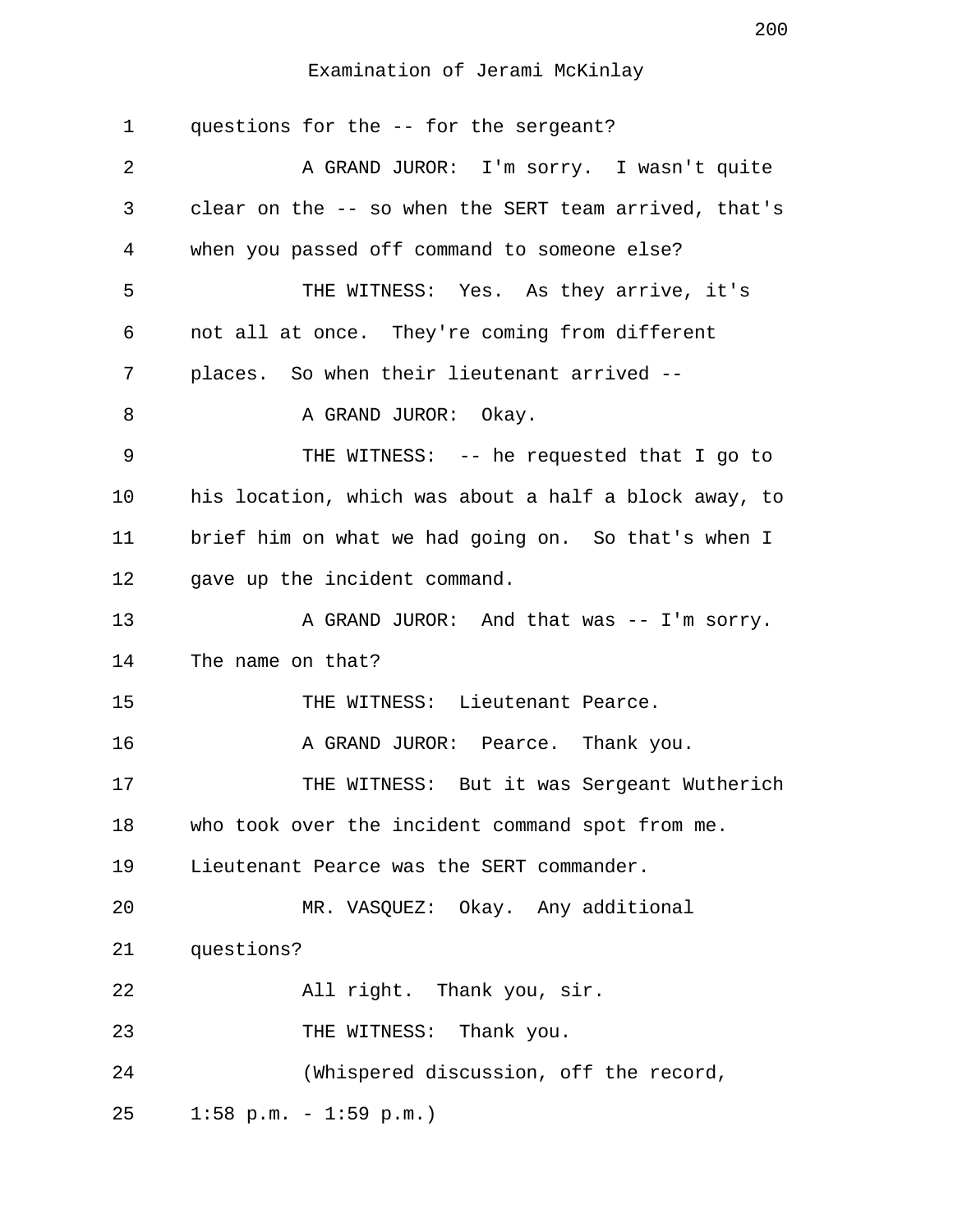| $\mathbf 1$ | questions for the -- for the sergeant?                |
|-------------|-------------------------------------------------------|
| 2           | A GRAND JUROR: I'm sorry. I wasn't quite              |
| 3           | clear on the -- so when the SERT team arrived, that's |
| 4           | when you passed off command to someone else?          |
| 5           | THE WITNESS: Yes. As they arrive, it's                |
| 6           | not all at once. They're coming from different        |
| 7           | places. So when their lieutenant arrived --           |
| 8           | A GRAND JUROR: Okay.                                  |
| 9           | THE WITNESS: -- he requested that I go to             |
| 10          | his location, which was about a half a block away, to |
| 11          | brief him on what we had going on. So that's when I   |
| 12          | gave up the incident command.                         |
| 13          | A GRAND JUROR: And that was -- I'm sorry.             |
| 14          | The name on that?                                     |
| 15          | THE WITNESS: Lieutenant Pearce.                       |
| 16          | A GRAND JUROR: Pearce. Thank you.                     |
| 17          | THE WITNESS: But it was Sergeant Wutherich            |
| 18          | who took over the incident command spot from me.      |
| 19          | Lieutenant Pearce was the SERT commander.             |
| 20          | MR. VASQUEZ: Okay. Any additional                     |
| 21          | questions?                                            |
| 22          | All right. Thank you, sir.                            |
| 23          | THE WITNESS: Thank you.                               |
| 24          | (Whispered discussion, off the record,                |
| 25          | $1:58$ p.m. - $1:59$ p.m.)                            |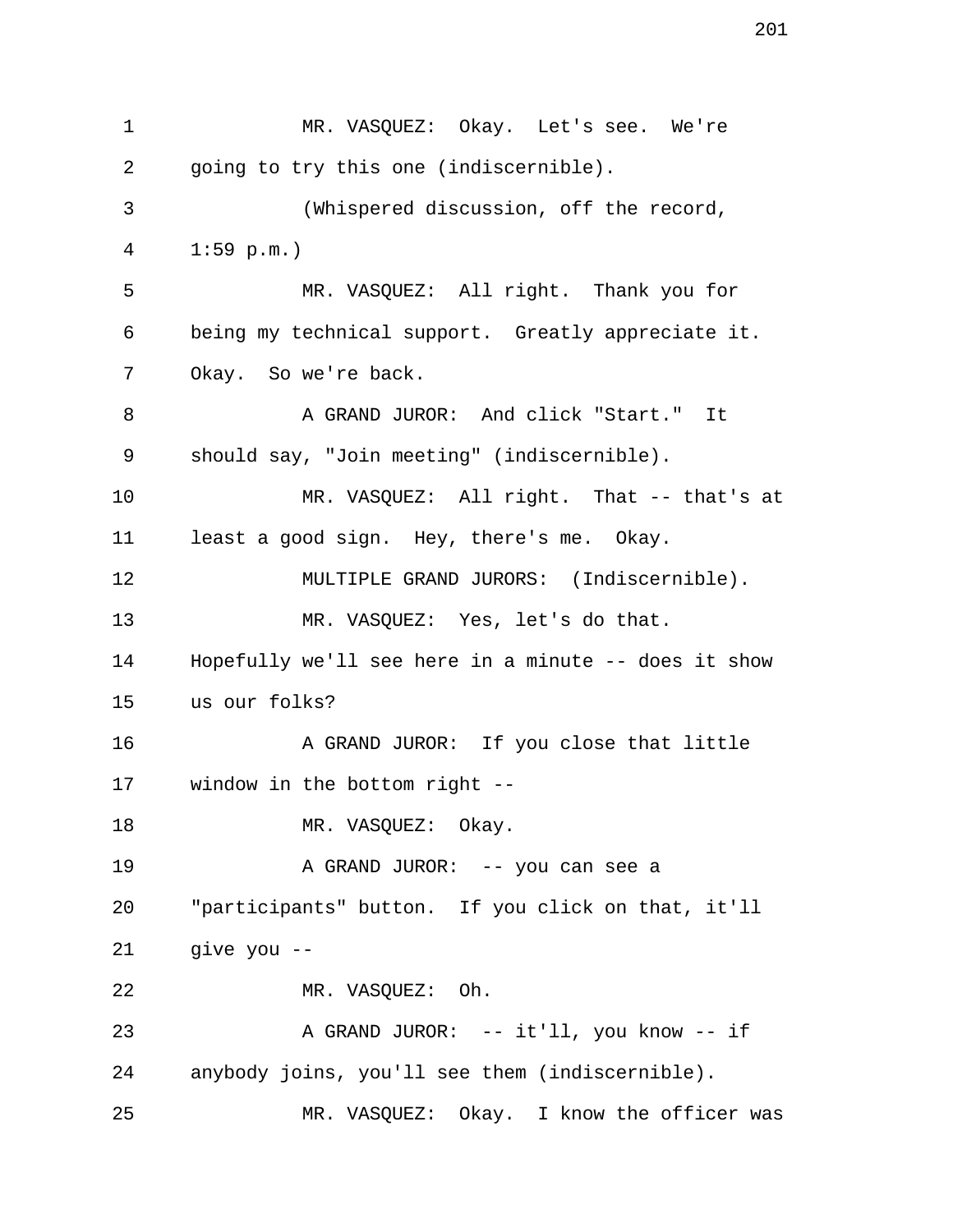1 MR. VASQUEZ: Okay. Let's see. We're 2 going to try this one (indiscernible). 3 (Whispered discussion, off the record, 4 1:59 p.m.) 5 MR. VASQUEZ: All right. Thank you for 6 being my technical support. Greatly appreciate it. 7 Okay. So we're back. 8 A GRAND JUROR: And click "Start." It 9 should say, "Join meeting" (indiscernible). 10 MR. VASQUEZ: All right. That -- that's at 11 least a good sign. Hey, there's me. Okay. 12 MULTIPLE GRAND JURORS: (Indiscernible). 13 MR. VASQUEZ: Yes, let's do that. 14 Hopefully we'll see here in a minute -- does it show 15 us our folks? 16 A GRAND JUROR: If you close that little 17 window in the bottom right -- 18 MR. VASQUEZ: Okay. 19 A GRAND JUROR: -- you can see a 20 "participants" button. If you click on that, it'll 21 give you -- 22 MR. VASQUEZ: Oh. 23 A GRAND JUROR: -- it'll, you know -- if 24 anybody joins, you'll see them (indiscernible). 25 MR. VASQUEZ: Okay. I know the officer was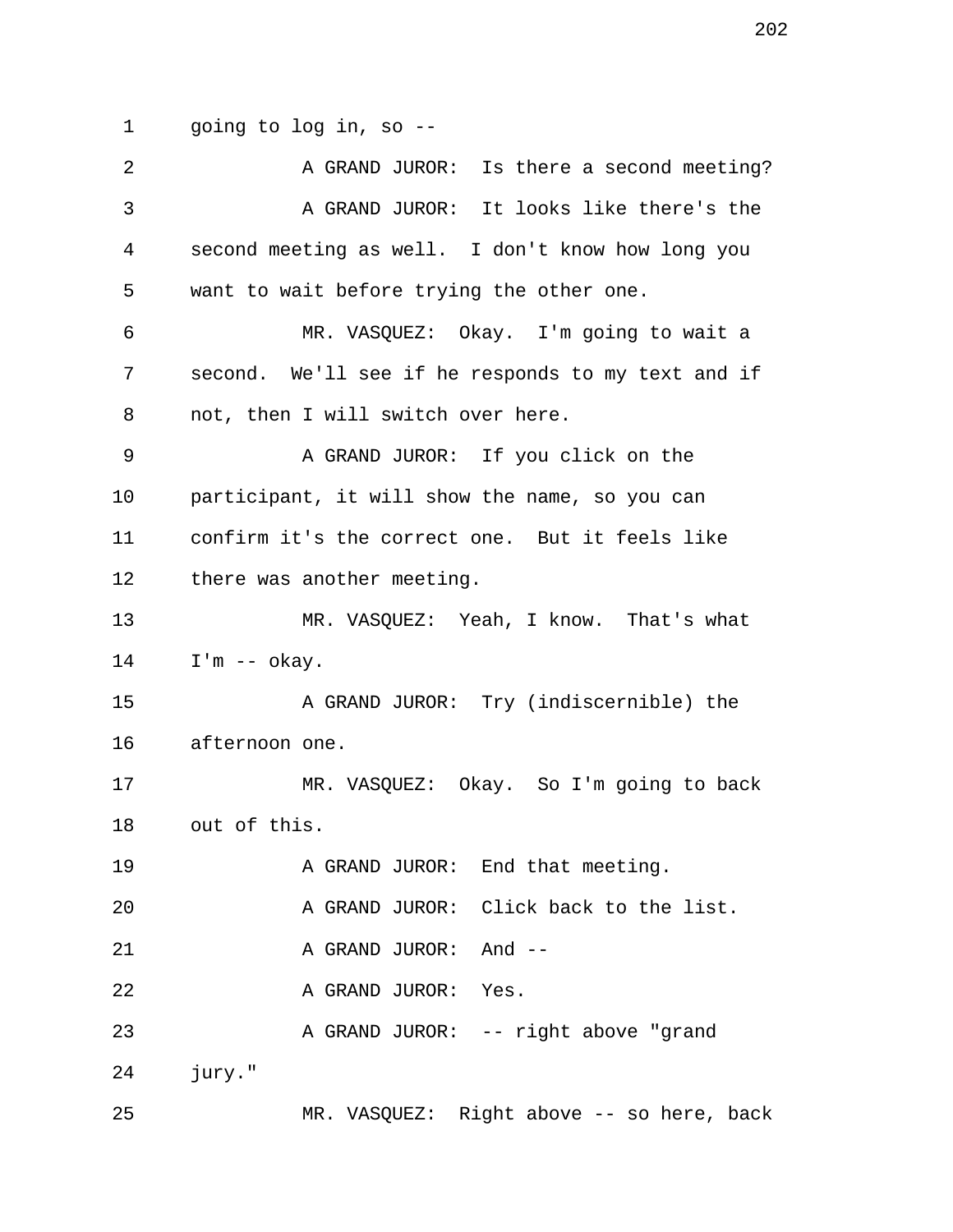1 going to log in, so --

| 2  | A GRAND JUROR: Is there a second meeting?          |
|----|----------------------------------------------------|
| 3  | A GRAND JUROR: It looks like there's the           |
| 4  | second meeting as well. I don't know how long you  |
| 5  | want to wait before trying the other one.          |
| 6  | MR. VASQUEZ: Okay. I'm going to wait a             |
| 7  | second. We'll see if he responds to my text and if |
| 8  | not, then I will switch over here.                 |
| 9  | A GRAND JUROR: If you click on the                 |
| 10 | participant, it will show the name, so you can     |
| 11 | confirm it's the correct one. But it feels like    |
| 12 | there was another meeting.                         |
| 13 | MR. VASQUEZ: Yeah, I know. That's what             |
| 14 | $I'm -- okay.$                                     |
| 15 | A GRAND JUROR: Try (indiscernible) the             |
| 16 | afternoon one.                                     |
| 17 | MR. VASQUEZ: Okay. So I'm going to back            |
| 18 | out of this.                                       |
| 19 | A GRAND JUROR: End that meeting.                   |
| 20 | A GRAND JUROR: Click back to the list.             |
| 21 | A GRAND JUROR: And --                              |
| 22 | A GRAND JUROR: Yes.                                |
| 23 | A GRAND JUROR: -- right above "grand               |
| 24 | jury."                                             |
| 25 | MR. VASQUEZ: Right above -- so here, back          |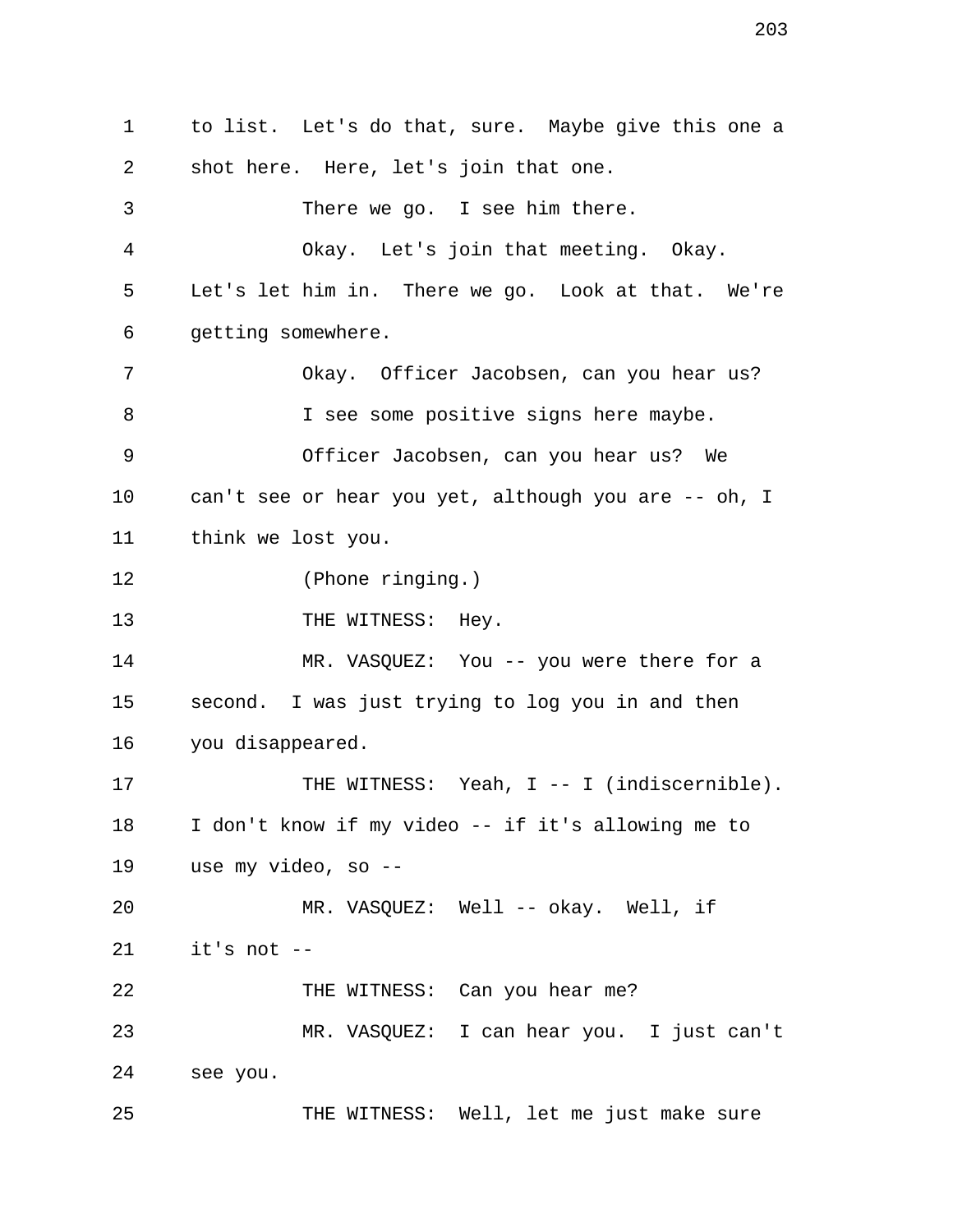1 to list. Let's do that, sure. Maybe give this one a 2 shot here. Here, let's join that one. 3 There we go. I see him there. 4 Okay. Let's join that meeting. Okay. 5 Let's let him in. There we go. Look at that. We're 6 getting somewhere. 7 Okay. Officer Jacobsen, can you hear us? 8 I see some positive signs here maybe. 9 Officer Jacobsen, can you hear us? We 10 can't see or hear you yet, although you are -- oh, I 11 think we lost you. 12 (Phone ringing.) 13 THE WITNESS: Hey. 14 MR. VASQUEZ: You -- you were there for a 15 second. I was just trying to log you in and then 16 you disappeared. 17 THE WITNESS: Yeah, I -- I (indiscernible). 18 I don't know if my video -- if it's allowing me to 19 use my video, so -- 20 MR. VASQUEZ: Well -- okay. Well, if 21 it's not -- 22 THE WITNESS: Can you hear me? 23 MR. VASQUEZ: I can hear you. I just can't 24 see you. 25 THE WITNESS: Well, let me just make sure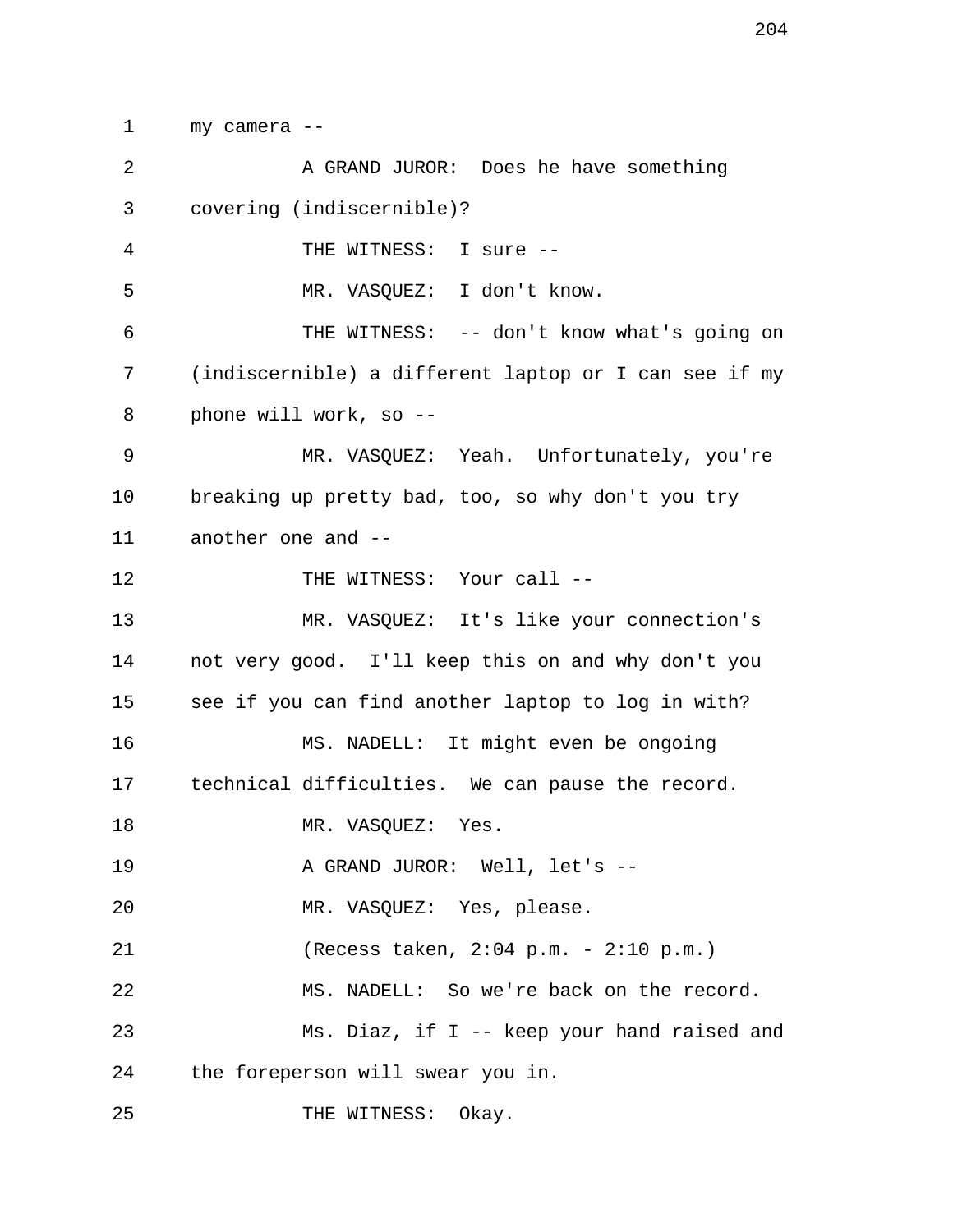1 my camera -- 2 A GRAND JUROR: Does he have something 3 covering (indiscernible)? 4 THE WITNESS: I sure -- 5 MR. VASQUEZ: I don't know. 6 THE WITNESS: -- don't know what's going on 7 (indiscernible) a different laptop or I can see if my 8 phone will work, so -- 9 MR. VASQUEZ: Yeah. Unfortunately, you're 10 breaking up pretty bad, too, so why don't you try 11 another one and -- 12 THE WITNESS: Your call --13 MR. VASQUEZ: It's like your connection's 14 not very good. I'll keep this on and why don't you 15 see if you can find another laptop to log in with? 16 MS. NADELL: It might even be ongoing 17 technical difficulties. We can pause the record. 18 MR. VASQUEZ: Yes. 19 A GRAND JUROR: Well, let's --20 MR. VASQUEZ: Yes, please. 21 (Recess taken, 2:04 p.m. - 2:10 p.m.) 22 MS. NADELL: So we're back on the record. 23 Ms. Diaz, if I -- keep your hand raised and 24 the foreperson will swear you in. 25 THE WITNESS: Okay.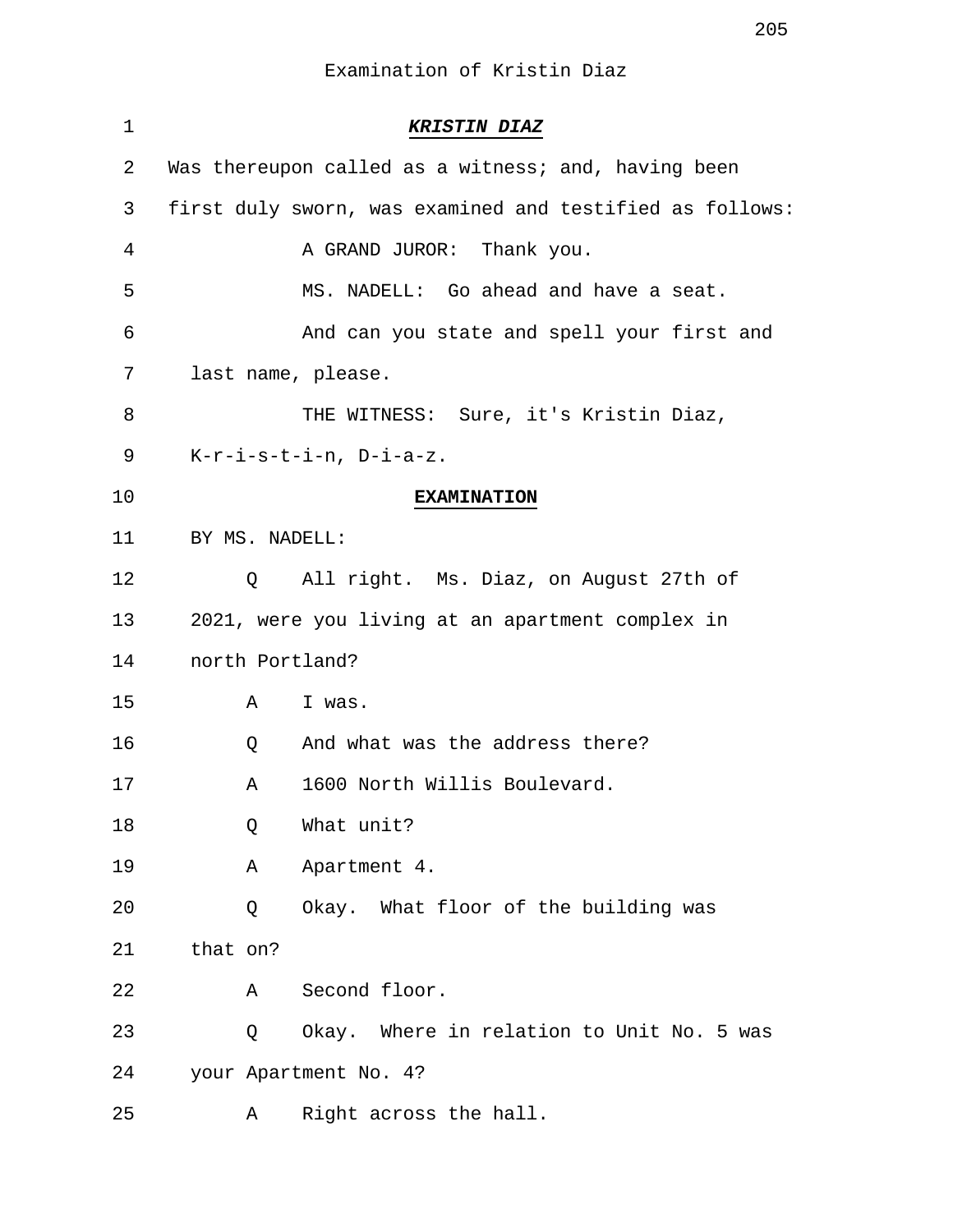| $\mathbf 1$ |                    | <b>KRISTIN DIAZ</b>                                      |
|-------------|--------------------|----------------------------------------------------------|
| 2           |                    | Was thereupon called as a witness; and, having been      |
| 3           |                    | first duly sworn, was examined and testified as follows: |
| 4           |                    | A GRAND JUROR: Thank you.                                |
| 5           |                    | MS. NADELL: Go ahead and have a seat.                    |
| 6           |                    | And can you state and spell your first and               |
| 7           | last name, please. |                                                          |
| 8           |                    | THE WITNESS: Sure, it's Kristin Diaz,                    |
| 9           |                    | $K-r-i-s-t-i-n$ , $D-i-a-z$ .                            |
| 10          |                    | <b>EXAMINATION</b>                                       |
| 11          | BY MS. NADELL:     |                                                          |
| 12          | Q                  | All right. Ms. Diaz, on August 27th of                   |
| 13          |                    | 2021, were you living at an apartment complex in         |
| 14          | north Portland?    |                                                          |
| 15          | A                  | I was.                                                   |
| 16          | Q                  | And what was the address there?                          |
| 17          | Α                  | 1600 North Willis Boulevard.                             |
| 18          | Q                  | What unit?                                               |
| 19          | Α                  | Apartment 4.                                             |
| 20          | Q                  | Okay. What floor of the building was                     |
| 21          | that on?           |                                                          |
| 22          | Α                  | Second floor.                                            |
| 23          | Q                  | Okay. Where in relation to Unit No. 5 was                |
| 24          |                    | your Apartment No. 4?                                    |
| 25          | A                  | Right across the hall.                                   |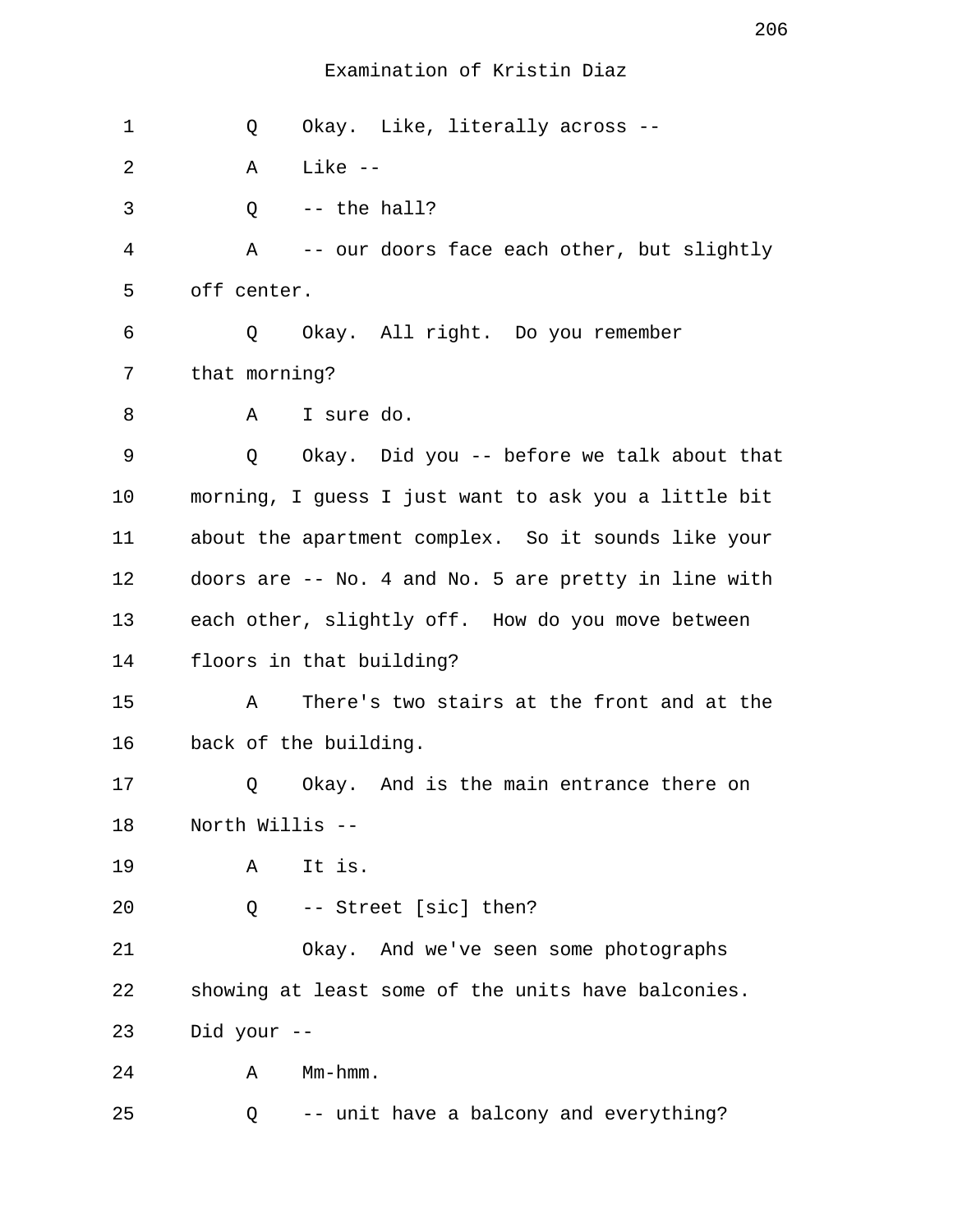1 Q Okay. Like, literally across -- 2 A Like --  $3 \qquad \qquad$  0 -- the hall? 4 A -- our doors face each other, but slightly 5 off center. 6 Q Okay. All right. Do you remember 7 that morning? 8 A I sure do. 9 Q Okay. Did you -- before we talk about that 10 morning, I guess I just want to ask you a little bit 11 about the apartment complex. So it sounds like your 12 doors are -- No. 4 and No. 5 are pretty in line with 13 each other, slightly off. How do you move between 14 floors in that building? 15 A There's two stairs at the front and at the 16 back of the building. 17 Q Okay. And is the main entrance there on 18 North Willis -- 19 A It is. 20 Q -- Street [sic] then? 21 Okay. And we've seen some photographs 22 showing at least some of the units have balconies. 23 Did your -- 24 A Mm-hmm. 25 Q -- unit have a balcony and everything?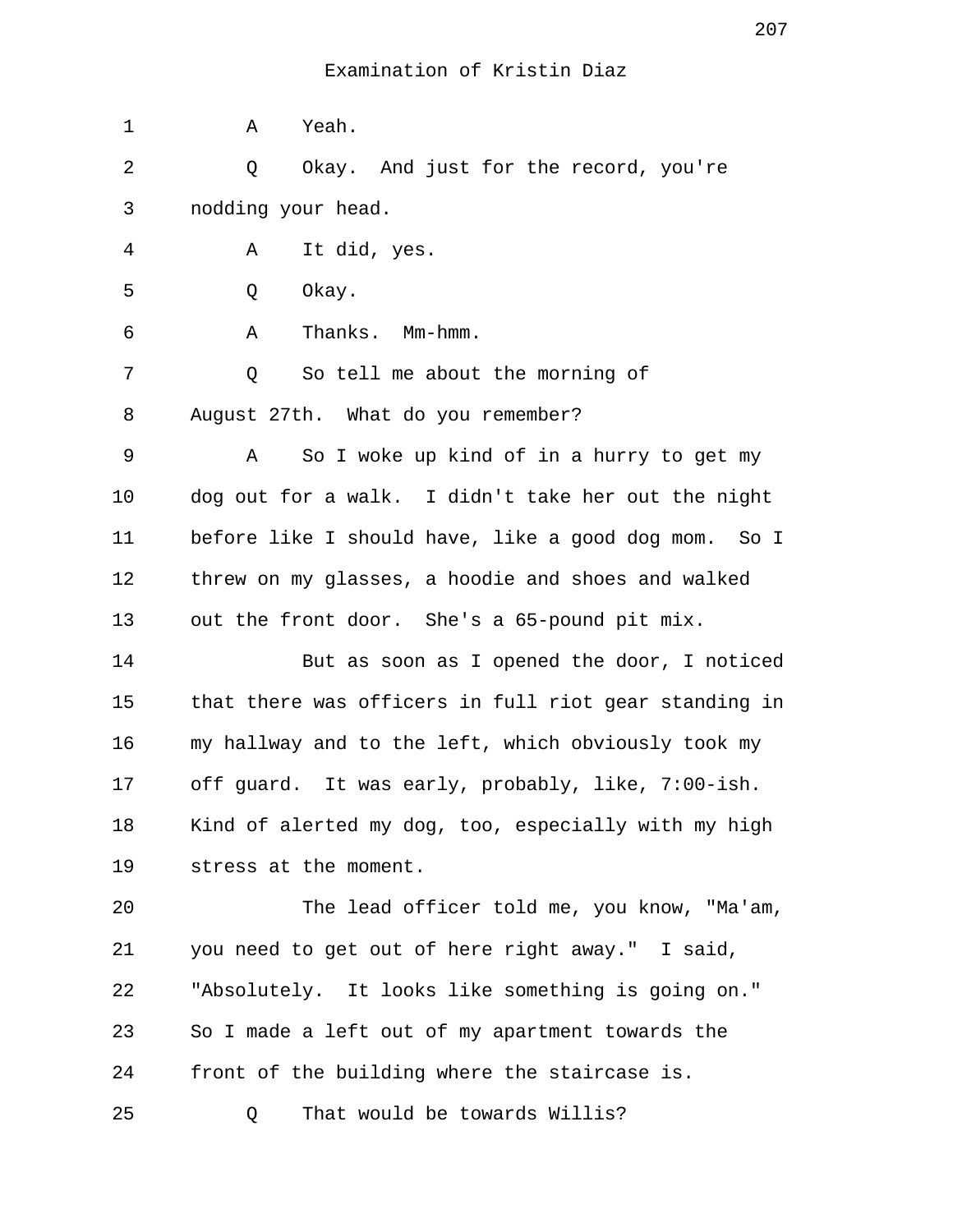| 1  | Yeah.<br>Α                                            |
|----|-------------------------------------------------------|
| 2  | Okay. And just for the record, you're<br>Q            |
| 3  | nodding your head.                                    |
| 4  | It did, yes.<br>Α                                     |
| 5  | Okay.<br>Q                                            |
| 6  | Thanks. Mm-hmm.<br>Α                                  |
| 7  | So tell me about the morning of<br>Q                  |
| 8  | August 27th. What do you remember?                    |
| 9  | So I woke up kind of in a hurry to get my<br>Α        |
| 10 | dog out for a walk. I didn't take her out the night   |
| 11 | before like I should have, like a good dog mom. So I  |
| 12 | threw on my glasses, a hoodie and shoes and walked    |
| 13 | out the front door. She's a 65-pound pit mix.         |
| 14 | But as soon as I opened the door, I noticed           |
| 15 | that there was officers in full riot gear standing in |
| 16 | my hallway and to the left, which obviously took my   |
| 17 | off guard. It was early, probably, like, 7:00-ish.    |
| 18 | Kind of alerted my dog, too, especially with my high  |
| 19 | stress at the moment.                                 |
| 20 | The lead officer told me, you know, "Ma'am,           |
| 21 | you need to get out of here right away." I said,      |
| 22 | "Absolutely. It looks like something is going on."    |
| 23 | So I made a left out of my apartment towards the      |
| 24 | front of the building where the staircase is.         |
| 25 | That would be towards Willis?<br>Q                    |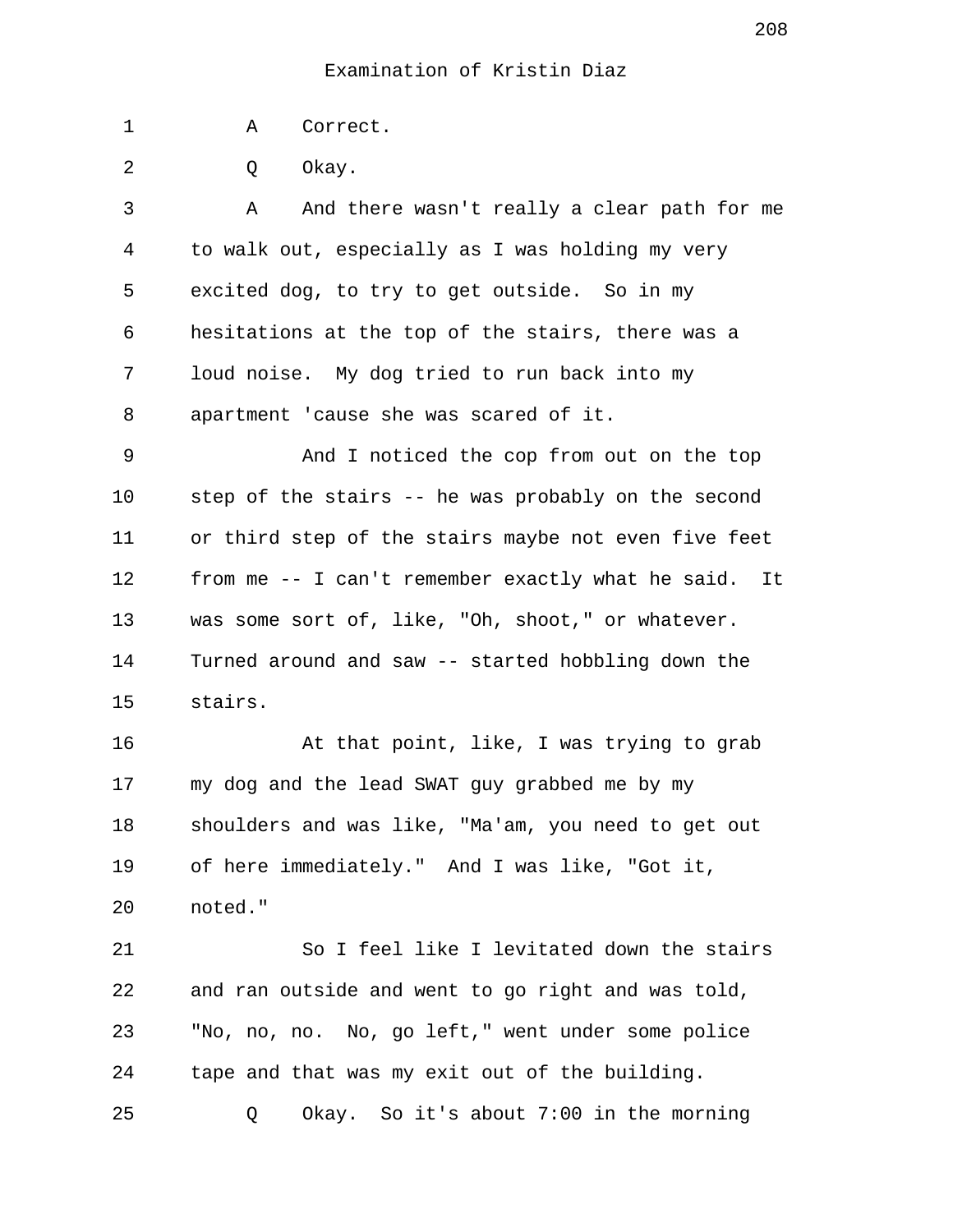1 A Correct.

2 0 Okay.

 3 A And there wasn't really a clear path for me 4 to walk out, especially as I was holding my very 5 excited dog, to try to get outside. So in my 6 hesitations at the top of the stairs, there was a 7 loud noise. My dog tried to run back into my 8 apartment 'cause she was scared of it.

 9 And I noticed the cop from out on the top 10 step of the stairs -- he was probably on the second 11 or third step of the stairs maybe not even five feet 12 from me -- I can't remember exactly what he said. It 13 was some sort of, like, "Oh, shoot," or whatever. 14 Turned around and saw -- started hobbling down the 15 stairs.

16 At that point, like, I was trying to grab 17 my dog and the lead SWAT guy grabbed me by my 18 shoulders and was like, "Ma'am, you need to get out 19 of here immediately." And I was like, "Got it, 20 noted."

21 So I feel like I levitated down the stairs 22 and ran outside and went to go right and was told, 23 "No, no, no. No, go left," went under some police 24 tape and that was my exit out of the building. 25 Q Okay. So it's about 7:00 in the morning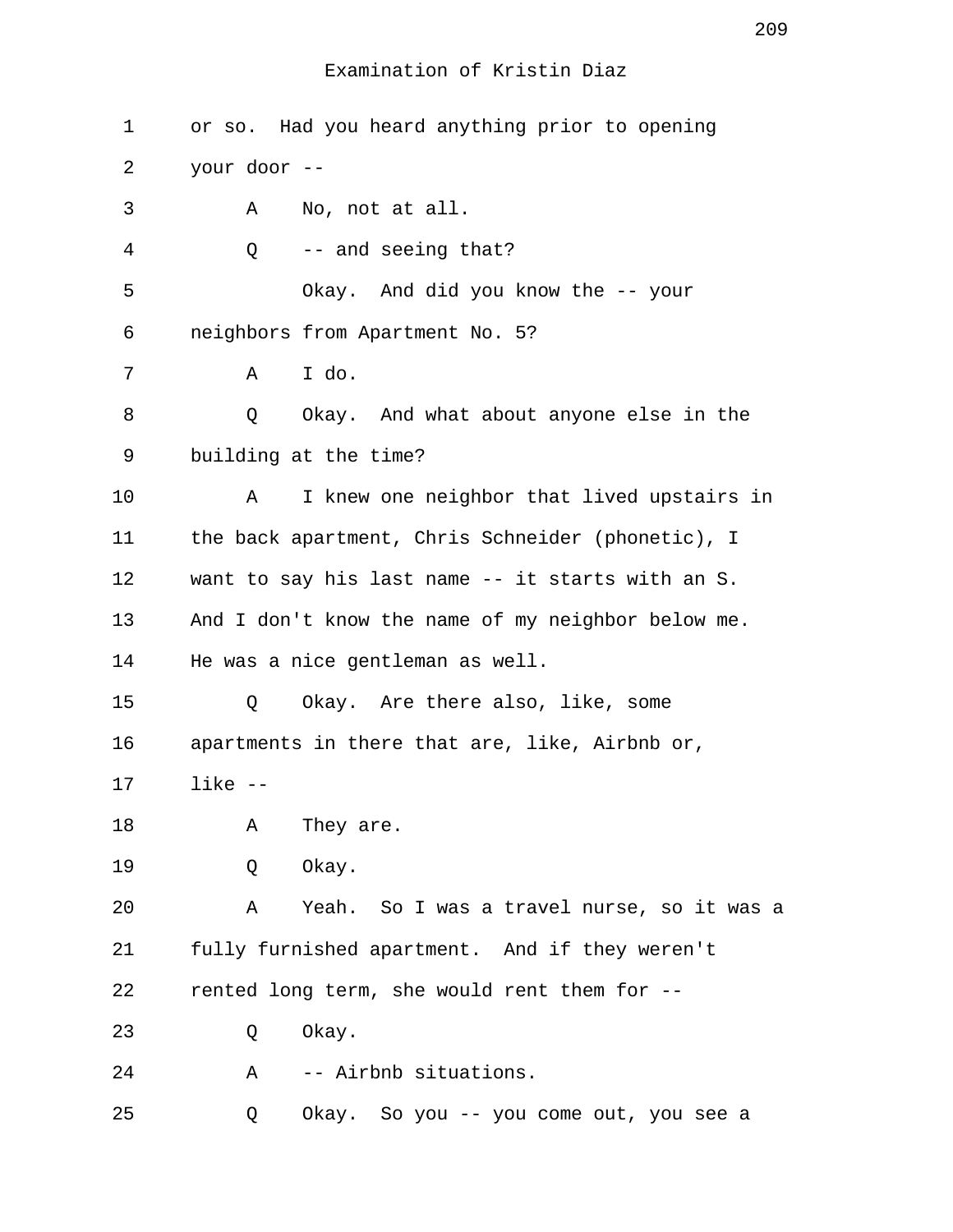| $\mathbf 1$ | or so. Had you heard anything prior to opening     |
|-------------|----------------------------------------------------|
| 2           | your door --                                       |
| 3           | No, not at all.<br>Α                               |
| 4           | -- and seeing that?<br>Q                           |
| 5           | Okay. And did you know the -- your                 |
| 6           | neighbors from Apartment No. 5?                    |
| 7           | I do.<br>A                                         |
| 8           | Q<br>Okay. And what about anyone else in the       |
| 9           | building at the time?                              |
| 10          | I knew one neighbor that lived upstairs in<br>А    |
| 11          | the back apartment, Chris Schneider (phonetic), I  |
| 12          | want to say his last name -- it starts with an S.  |
| 13          | And I don't know the name of my neighbor below me. |
| 14          | He was a nice gentleman as well.                   |
| 15          | Okay. Are there also, like, some<br>Q              |
| 16          | apartments in there that are, like, Airbnb or,     |
| 17          | $like - -$                                         |
| 18          | They are.<br>Α                                     |
| 19          | Okay.<br>Q                                         |
| 20          | Yeah. So I was a travel nurse, so it was a<br>Α    |
| 21          | fully furnished apartment. And if they weren't     |
| 22          | rented long term, she would rent them for --       |
| 23          | Okay.<br>Q                                         |
| 24          | -- Airbnb situations.<br>A                         |
| 25          | Okay. So you -- you come out, you see a<br>Q       |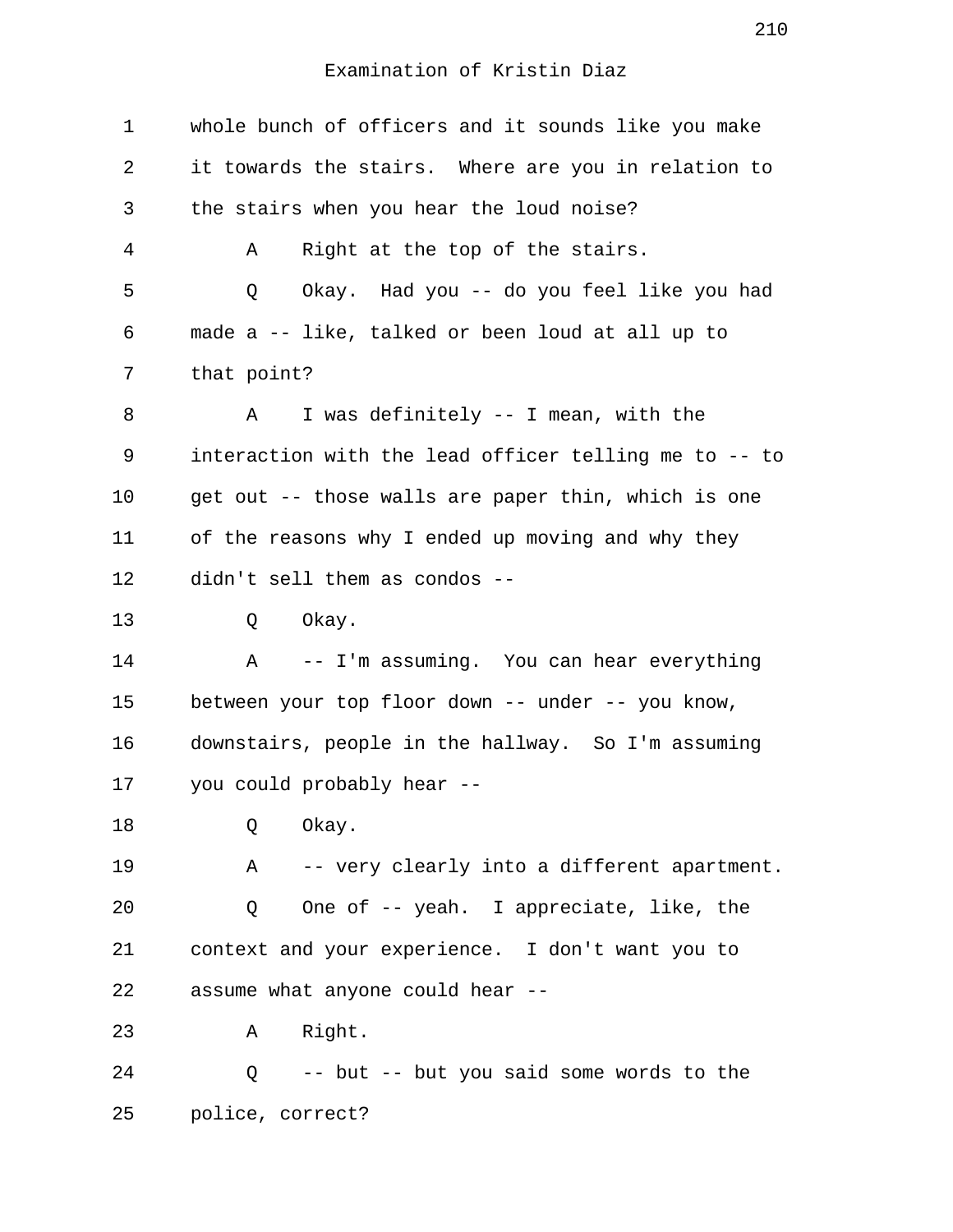| 1  | whole bunch of officers and it sounds like you make   |
|----|-------------------------------------------------------|
| 2  | it towards the stairs. Where are you in relation to   |
| 3  | the stairs when you hear the loud noise?              |
| 4  | Right at the top of the stairs.<br>Α                  |
| 5  | Okay. Had you -- do you feel like you had<br>Q        |
| 6  | made a -- like, talked or been loud at all up to      |
| 7  | that point?                                           |
| 8  | I was definitely -- I mean, with the<br>Α             |
| 9  | interaction with the lead officer telling me to -- to |
| 10 | get out -- those walls are paper thin, which is one   |
| 11 | of the reasons why I ended up moving and why they     |
| 12 | didn't sell them as condos --                         |
| 13 | Okay.<br>Q                                            |
| 14 | -- I'm assuming. You can hear everything<br>Α         |
| 15 | between your top floor down -- under -- you know,     |
| 16 | downstairs, people in the hallway. So I'm assuming    |
| 17 | you could probably hear --                            |
| 18 | Okay.<br>Q                                            |
| 19 | -- very clearly into a different apartment.<br>Α      |
| 20 | One of -- yeah. I appreciate, like, the<br>Q          |
| 21 | context and your experience. I don't want you to      |
| 22 | assume what anyone could hear --                      |
| 23 | A Right.                                              |
| 24 | Q -- but -- but you said some words to the            |
| 25 | police, correct?                                      |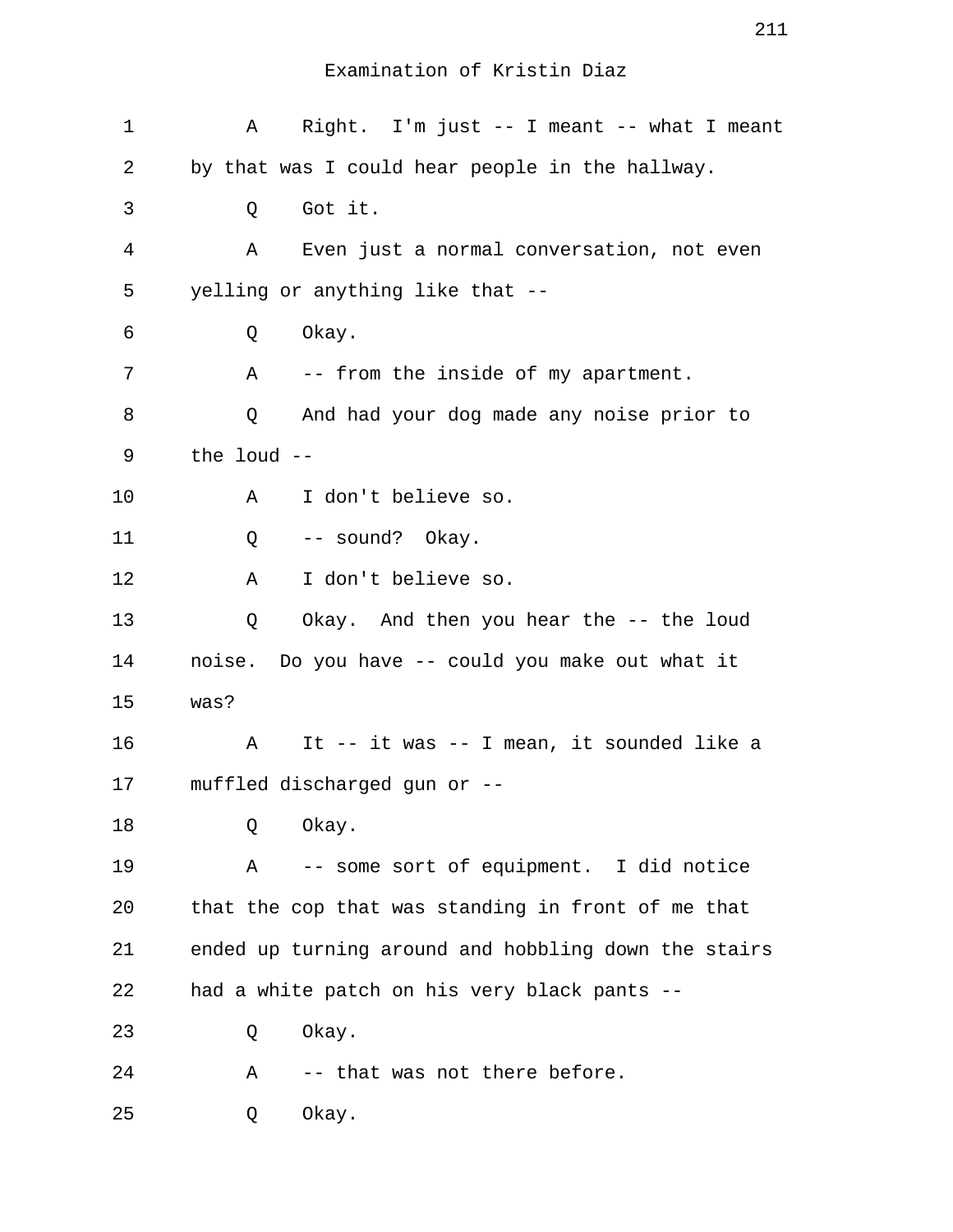| 1  | Right. I'm just $--$ I meant $--$ what I meant<br>A  |
|----|------------------------------------------------------|
| 2  | by that was I could hear people in the hallway.      |
| 3  | Got it.<br>Q                                         |
| 4  | Even just a normal conversation, not even<br>A       |
| 5  | yelling or anything like that --                     |
| 6  | Okay.<br>Q                                           |
| 7  | A<br>-- from the inside of my apartment.             |
| 8  | And had your dog made any noise prior to<br>Q        |
| 9  | the loud --                                          |
| 10 | I don't believe so.<br>A                             |
| 11 | -- sound? Okay.<br>Q                                 |
| 12 | I don't believe so.<br>Α                             |
| 13 | Okay. And then you hear the -- the loud<br>Q         |
| 14 | noise. Do you have -- could you make out what it     |
| 15 | was?                                                 |
| 16 | It -- it was -- I mean, it sounded like a<br>Α       |
| 17 | muffled discharged gun or --                         |
| 18 | Okay.<br>Q                                           |
| 19 | -- some sort of equipment. I did notice<br>Α         |
| 20 | that the cop that was standing in front of me that   |
| 21 | ended up turning around and hobbling down the stairs |
| 22 | had a white patch on his very black pants --         |
| 23 | Okay.<br>Q                                           |
| 24 | -- that was not there before.<br>Α                   |
| 25 | Okay.<br>Q                                           |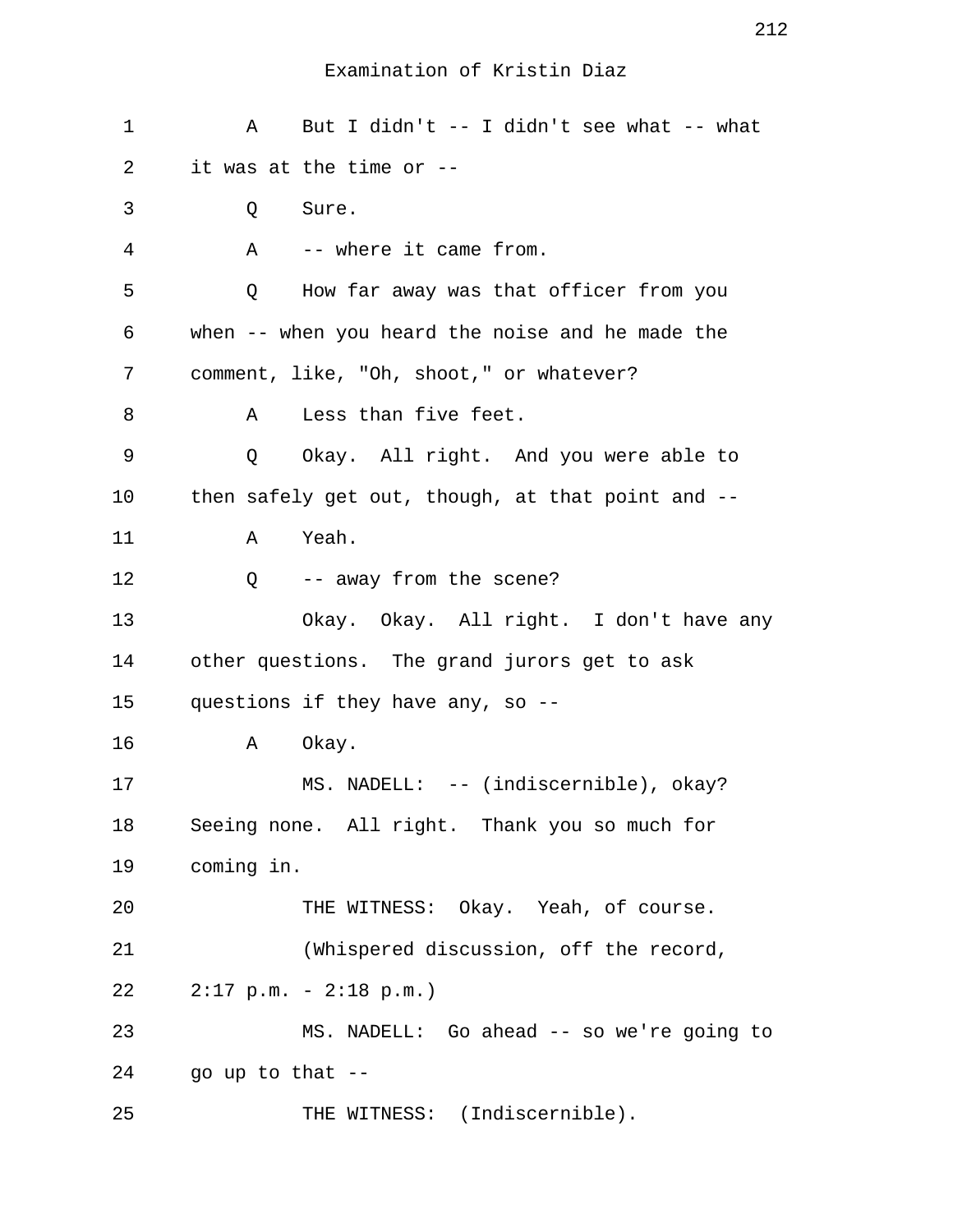| 1       | But I didn't -- I didn't see what -- what<br>Α    |
|---------|---------------------------------------------------|
| 2       | it was at the time or --                          |
| 3       | Q<br>Sure.                                        |
| 4       | -- where it came from.<br>Α                       |
| 5       | How far away was that officer from you<br>Q       |
| 6       | when -- when you heard the noise and he made the  |
| 7       | comment, like, "Oh, shoot," or whatever?          |
| 8       | Less than five feet.<br>A                         |
| 9       | Okay. All right. And you were able to<br>Q        |
| $10 \,$ | then safely get out, though, at that point and -- |
| 11      | Yeah.<br>Α                                        |
| 12      | -- away from the scene?<br>Q                      |
| 13      | Okay. Okay. All right. I don't have any           |
| 14      | other questions. The grand jurors get to ask      |
| 15      | questions if they have any, so --                 |
| 16      | Okay.<br>Α                                        |
| 17      | MS. NADELL: -- (indiscernible), okay?             |
| 18      | Seeing none. All right. Thank you so much for     |
| 19      | coming in.                                        |
| 20      | THE WITNESS: Okay. Yeah, of course.               |
| 21      | (Whispered discussion, off the record,            |
| 22      | $2:17$ p.m. - $2:18$ p.m.)                        |
| 23      | MS. NADELL: Go ahead -- so we're going to         |
| 24      | go up to that --                                  |
| 25      | THE WITNESS: (Indiscernible).                     |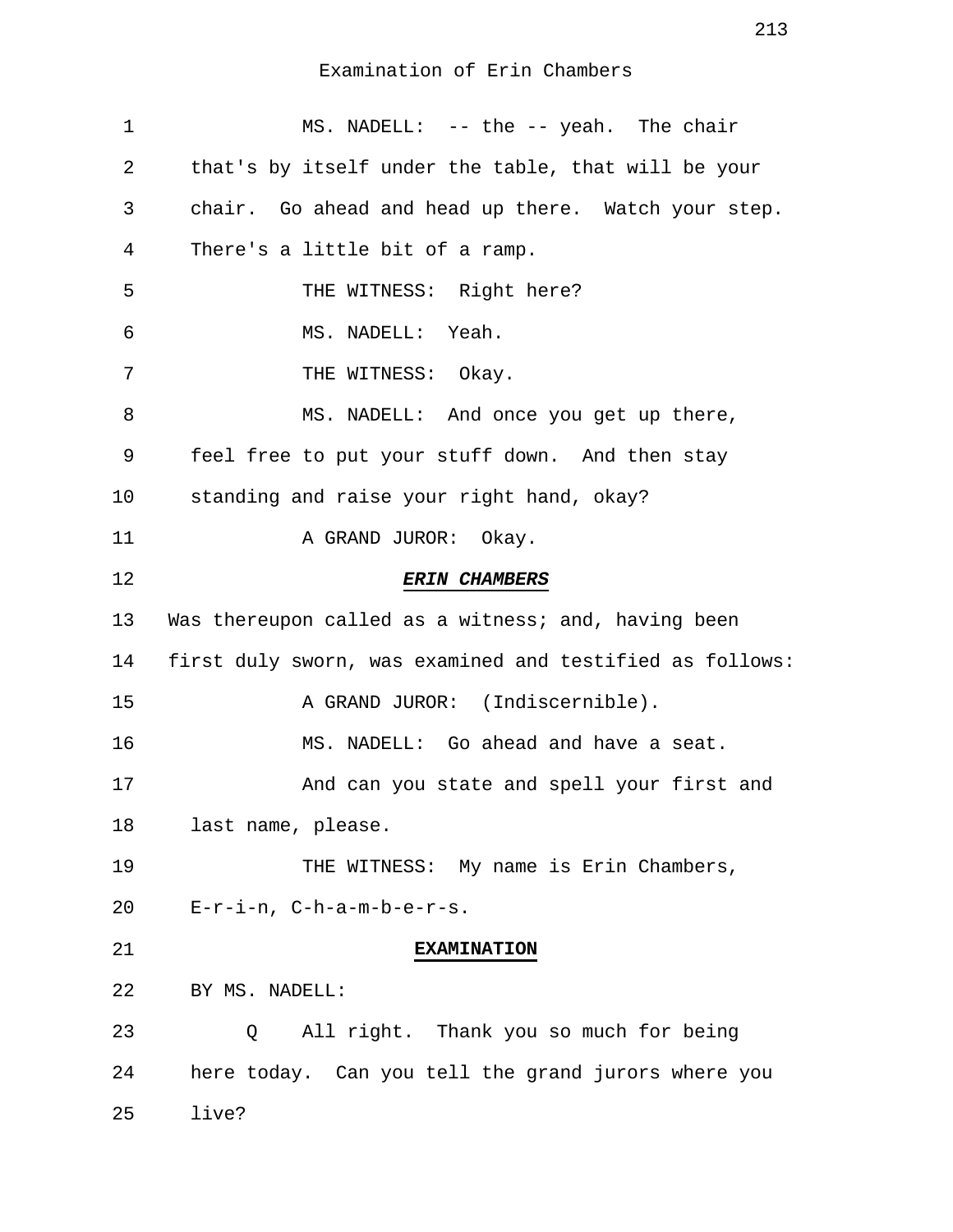| 1  | MS. NADELL: -- the -- yeah. The chair                    |
|----|----------------------------------------------------------|
| 2  | that's by itself under the table, that will be your      |
| 3  | chair. Go ahead and head up there. Watch your step.      |
| 4  | There's a little bit of a ramp.                          |
| 5  | THE WITNESS: Right here?                                 |
| 6  | MS. NADELL: Yeah.                                        |
| 7  | THE WITNESS: Okay.                                       |
| 8  | MS. NADELL: And once you get up there,                   |
| 9  | feel free to put your stuff down. And then stay          |
| 10 | standing and raise your right hand, okay?                |
| 11 | A GRAND JUROR: Okay.                                     |
| 12 | <b>ERIN CHAMBERS</b>                                     |
| 13 | Was thereupon called as a witness; and, having been      |
| 14 | first duly sworn, was examined and testified as follows: |
| 15 | A GRAND JUROR: (Indiscernible).                          |
| 16 | MS. NADELL: Go ahead and have a seat.                    |
| 17 | And can you state and spell your first and               |
| 18 | last name, please.                                       |
| 19 | THE WITNESS: My name is Erin Chambers,                   |
| 20 | $E-r-i-n$ , $C-h-a-m-b-e-r-s$ .                          |
| 21 | <b>EXAMINATION</b>                                       |
| 22 | BY MS. NADELL:                                           |
| 23 | All right. Thank you so much for being<br>Q              |
| 24 | here today. Can you tell the grand jurors where you      |
| 25 | live?                                                    |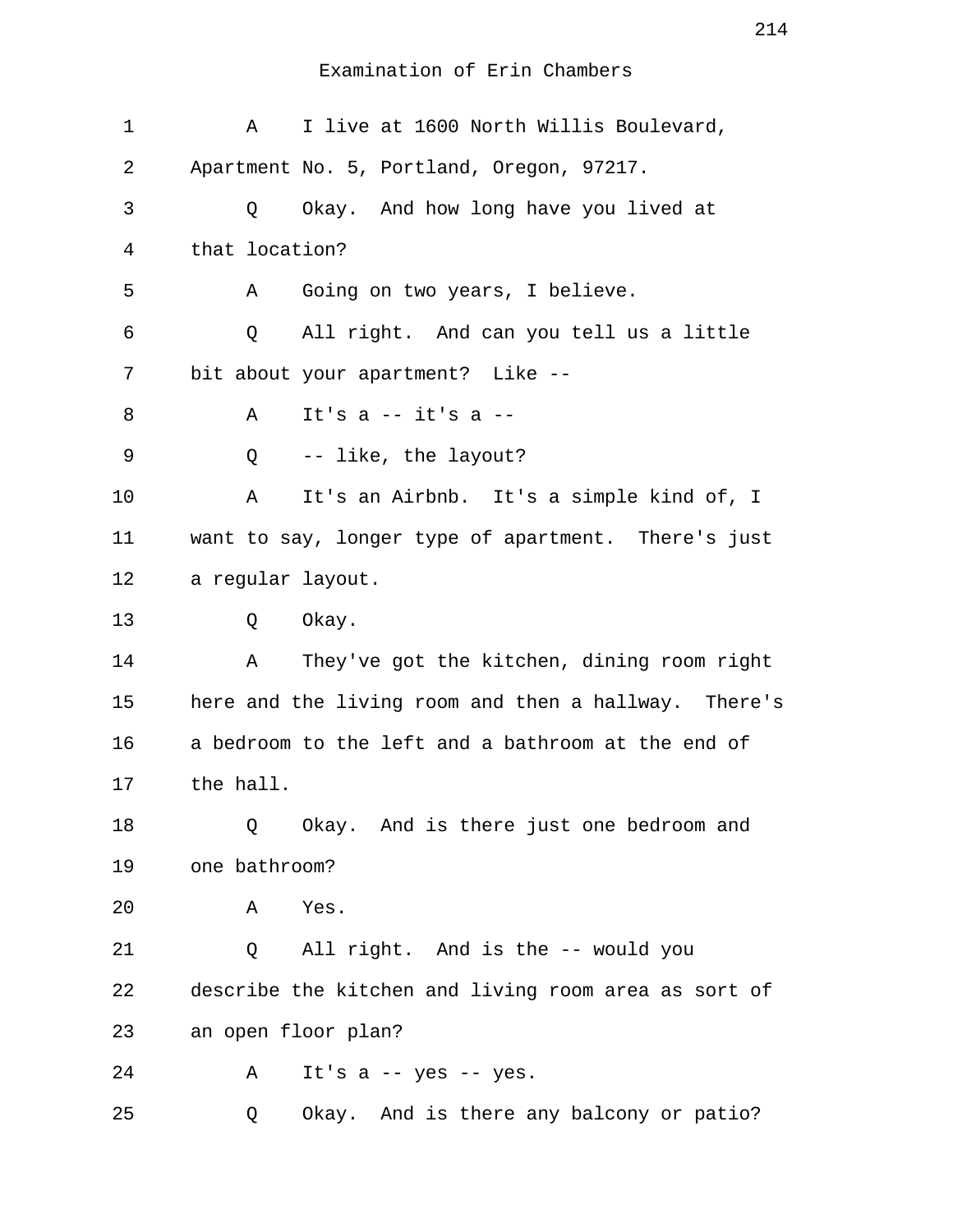| $\mathbf 1$ | Α                 | I live at 1600 North Willis Boulevard,               |
|-------------|-------------------|------------------------------------------------------|
| 2           |                   | Apartment No. 5, Portland, Oregon, 97217.            |
| 3           | Q                 | Okay. And how long have you lived at                 |
| 4           | that location?    |                                                      |
| 5           | Α                 | Going on two years, I believe.                       |
| 6           | Q                 | All right. And can you tell us a little              |
| 7           |                   | bit about your apartment? Like --                    |
| 8           | Α                 | It's $a$ -- it's $a$ --                              |
| 9           | Q                 | -- like, the layout?                                 |
| 10          | Α                 | It's an Airbnb. It's a simple kind of, I             |
| 11          |                   | want to say, longer type of apartment. There's just  |
| 12          | a regular layout. |                                                      |
| 13          | Q                 | Okay.                                                |
| 14          | Α                 | They've got the kitchen, dining room right           |
| 15          |                   | here and the living room and then a hallway. There's |
| 16          |                   | a bedroom to the left and a bathroom at the end of   |
| 17          | the hall.         |                                                      |
| 18          | Q                 | Okay. And is there just one bedroom and              |
| 19          | one bathroom?     |                                                      |
| 20          | Α                 | Yes.                                                 |
| 21          | Q                 | All right. And is the -- would you                   |
| 22          |                   | describe the kitchen and living room area as sort of |
| 23          |                   | an open floor plan?                                  |
| 24          | Α                 | It's $a - yes - yes$ .                               |
| 25          | Q                 | Okay. And is there any balcony or patio?             |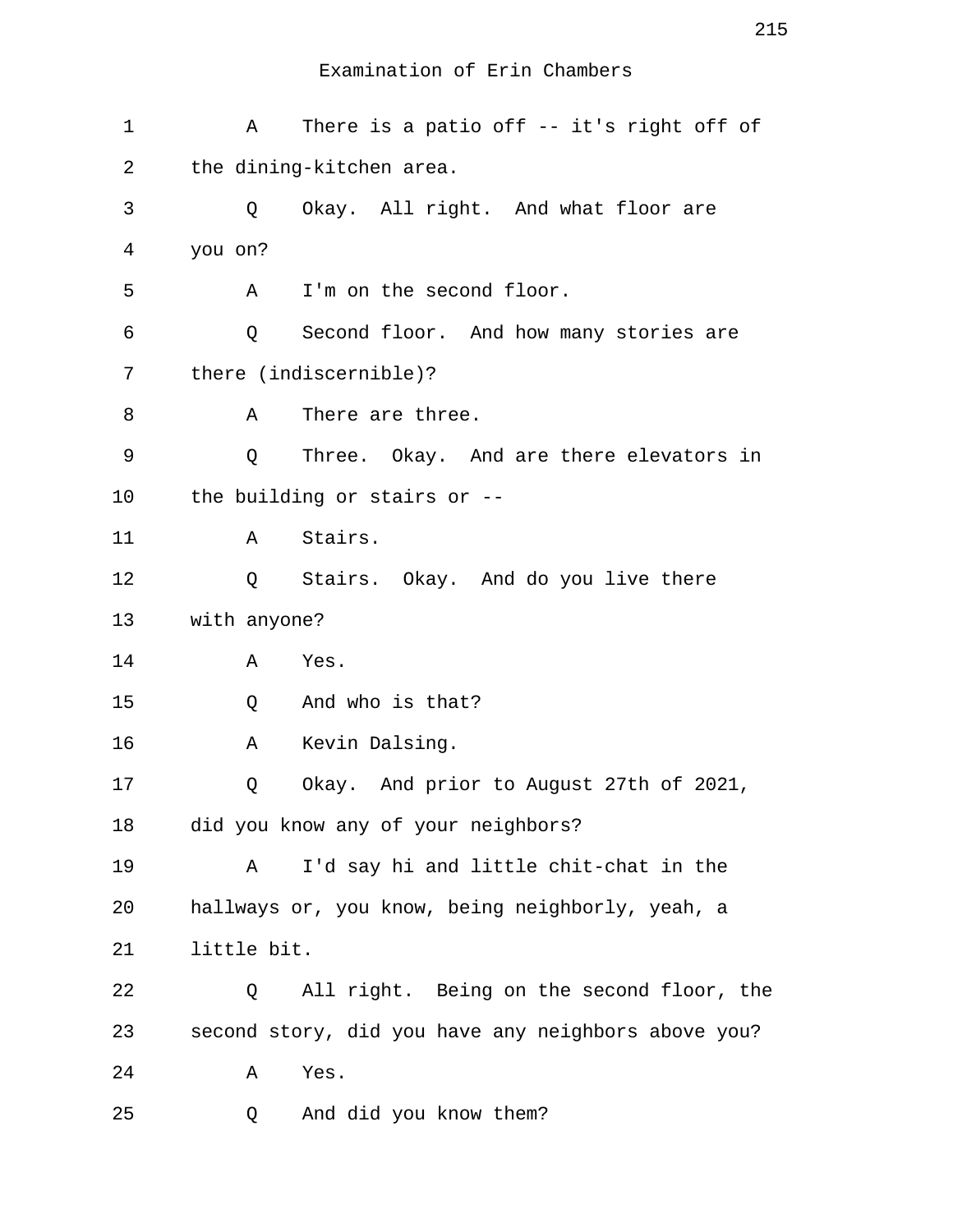1 A There is a patio off -- it's right off of 2 the dining-kitchen area. 3 Q Okay. All right. And what floor are 4 you on? 5 A I'm on the second floor. 6 Q Second floor. And how many stories are 7 there (indiscernible)? 8 A There are three. 9 Q Three. Okay. And are there elevators in 10 the building or stairs or -- 11 A Stairs. 12 Q Stairs. Okay. And do you live there 13 with anyone? 14 A Yes. 15 Q And who is that? 16 A Kevin Dalsing. 17 Q Okay. And prior to August 27th of 2021, 18 did you know any of your neighbors? 19 A I'd say hi and little chit-chat in the 20 hallways or, you know, being neighborly, yeah, a 21 little bit. 22 Q All right. Being on the second floor, the 23 second story, did you have any neighbors above you? 24 A Yes. 25 Q And did you know them?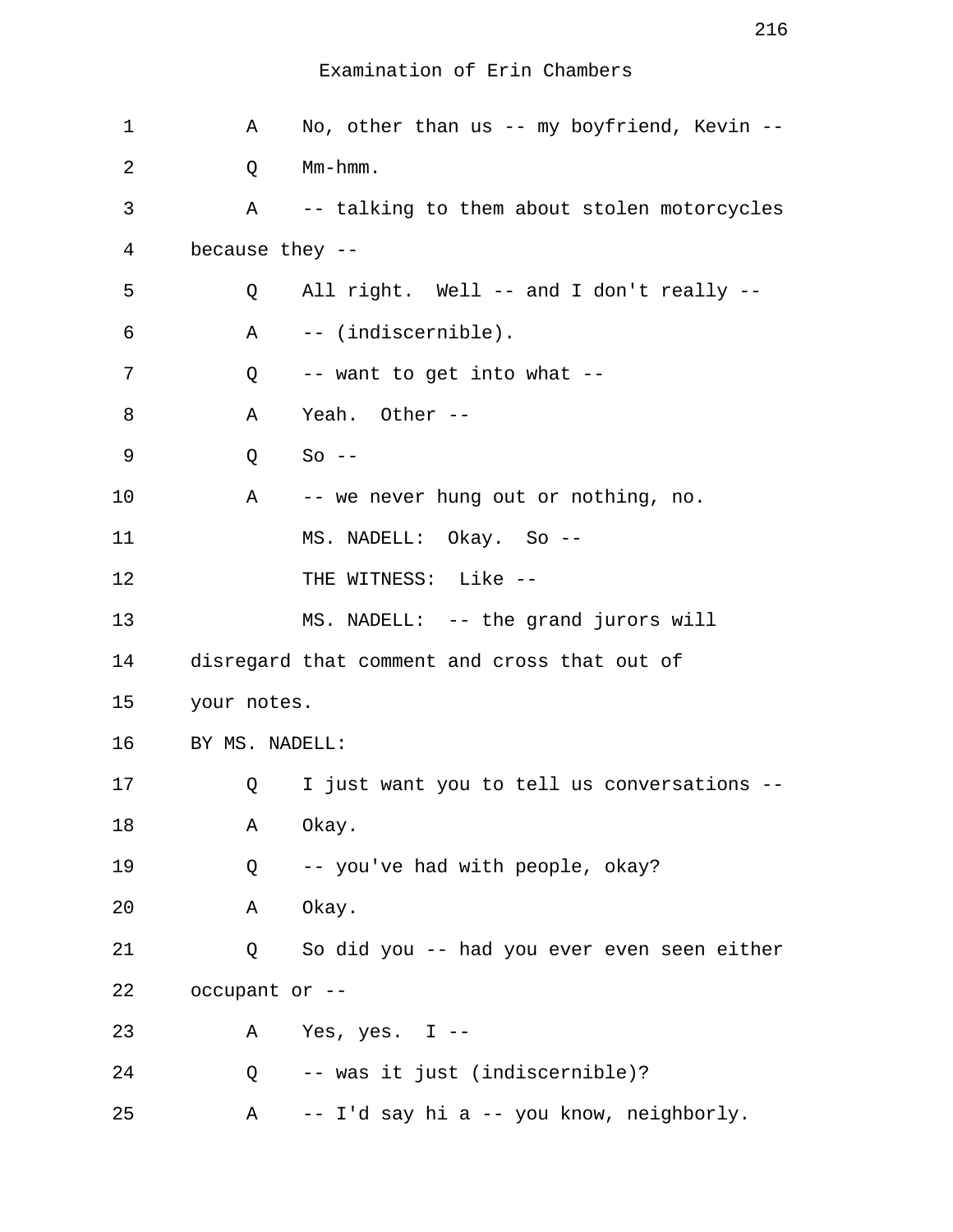| $\mathbf 1$    | Α               | No, other than us -- my boyfriend, Kevin --  |
|----------------|-----------------|----------------------------------------------|
| $\overline{2}$ | Q               | Mm-hmm.                                      |
| 3              | $\mathsf A$     | -- talking to them about stolen motorcycles  |
| 4              | because they -- |                                              |
| 5              | Q               | All right. Well -- and I don't really --     |
| 6              | Α               | -- (indiscernible).                          |
| 7              | Q               | -- want to get into what --                  |
| 8              | Α               | Yeah. Other --                               |
| 9              | Q               | $So --$                                      |
| 10             | A               | -- we never hung out or nothing, no.         |
| 11             |                 | MS. NADELL: Okay. So --                      |
| 12             |                 | THE WITNESS: Like --                         |
| 13             |                 | MS. NADELL: -- the grand jurors will         |
| 14             |                 | disregard that comment and cross that out of |
| 15             | your notes.     |                                              |
| 16             | BY MS. NADELL:  |                                              |
| 17             | Q               | I just want you to tell us conversations --  |
| 18             | Α               | Okay.                                        |
| 19             | Q               | -- you've had with people, okay?             |
| 20             | Α               | Okay.                                        |
| 21             | Q               | So did you -- had you ever even seen either  |
| 22             | occupant or --  |                                              |
| 23             | Α               | Yes, yes. $I$ --                             |
| 24             | Q               | -- was it just (indiscernible)?              |
| 25             | Α               | -- I'd say hi a -- you know, neighborly.     |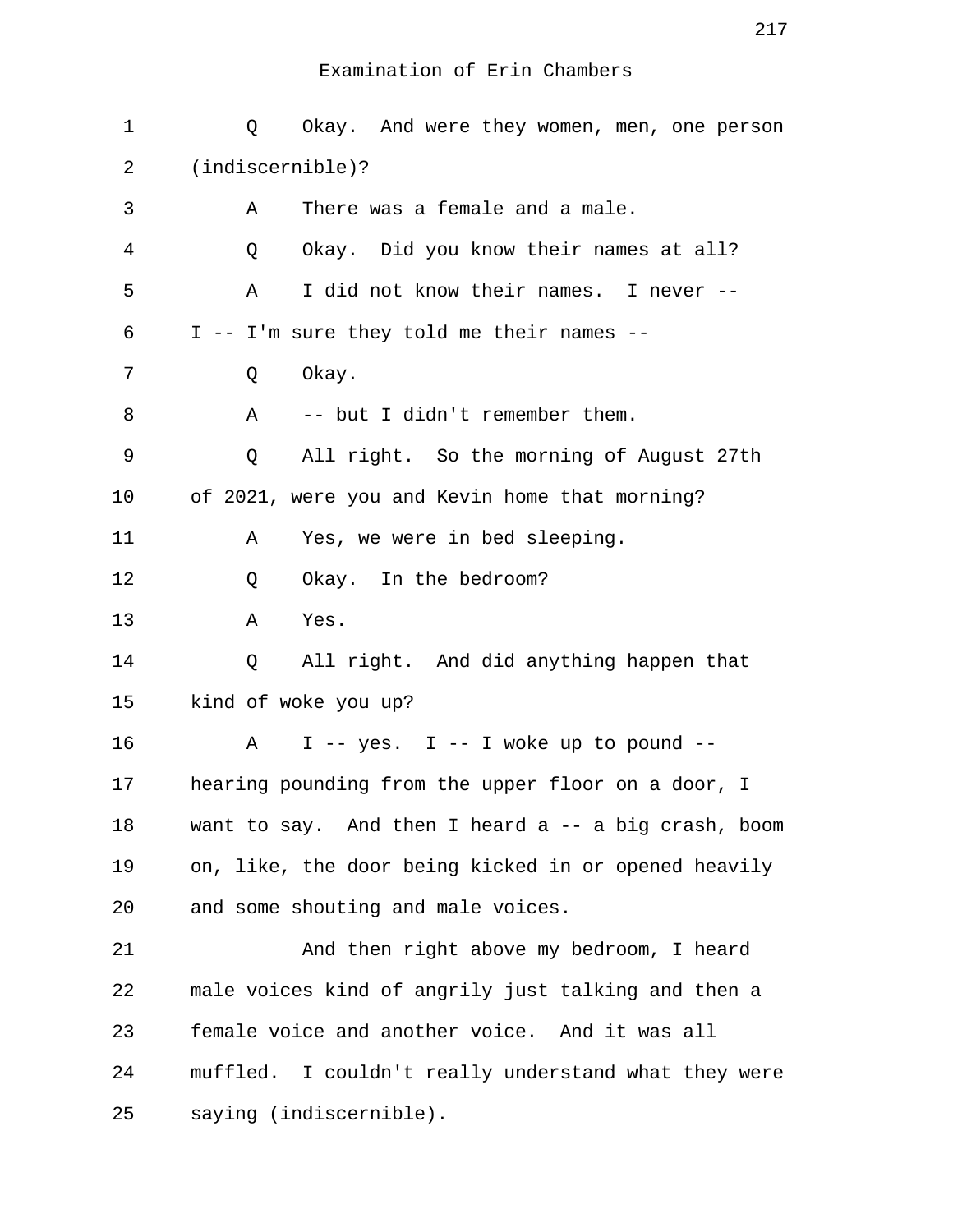| 1       | Okay. And were they women, men, one person<br>Q      |
|---------|------------------------------------------------------|
| 2       | (indiscernible)?                                     |
| 3       | There was a female and a male.<br>Α                  |
| 4       | Okay. Did you know their names at all?<br>Q          |
| 5       | I did not know their names. I never --<br>Α          |
| 6       | I -- I'm sure they told me their names --            |
| 7       | Okay.<br>Q                                           |
| 8       | -- but I didn't remember them.<br>Α                  |
| 9       | All right. So the morning of August 27th<br>Q        |
| $10 \,$ | of 2021, were you and Kevin home that morning?       |
| 11      | Yes, we were in bed sleeping.<br>Α                   |
| 12      | Okay. In the bedroom?<br>Q                           |
| 13      | Yes.<br>Α                                            |
| 14      | All right. And did anything happen that<br>Q         |
| 15      | kind of woke you up?                                 |
| 16      | I -- yes. I -- I woke up to pound --<br>Α            |
| 17      | hearing pounding from the upper floor on a door, I   |
| 18      | want to say. And then I heard a -- a big crash, boom |
| 19      | on, like, the door being kicked in or opened heavily |
| 20      | and some shouting and male voices.                   |
| 21      | And then right above my bedroom, I heard             |
| 22      | male voices kind of angrily just talking and then a  |
| 23      | female voice and another voice. And it was all       |
| 24      | muffled. I couldn't really understand what they were |
| 25      | saying (indiscernible).                              |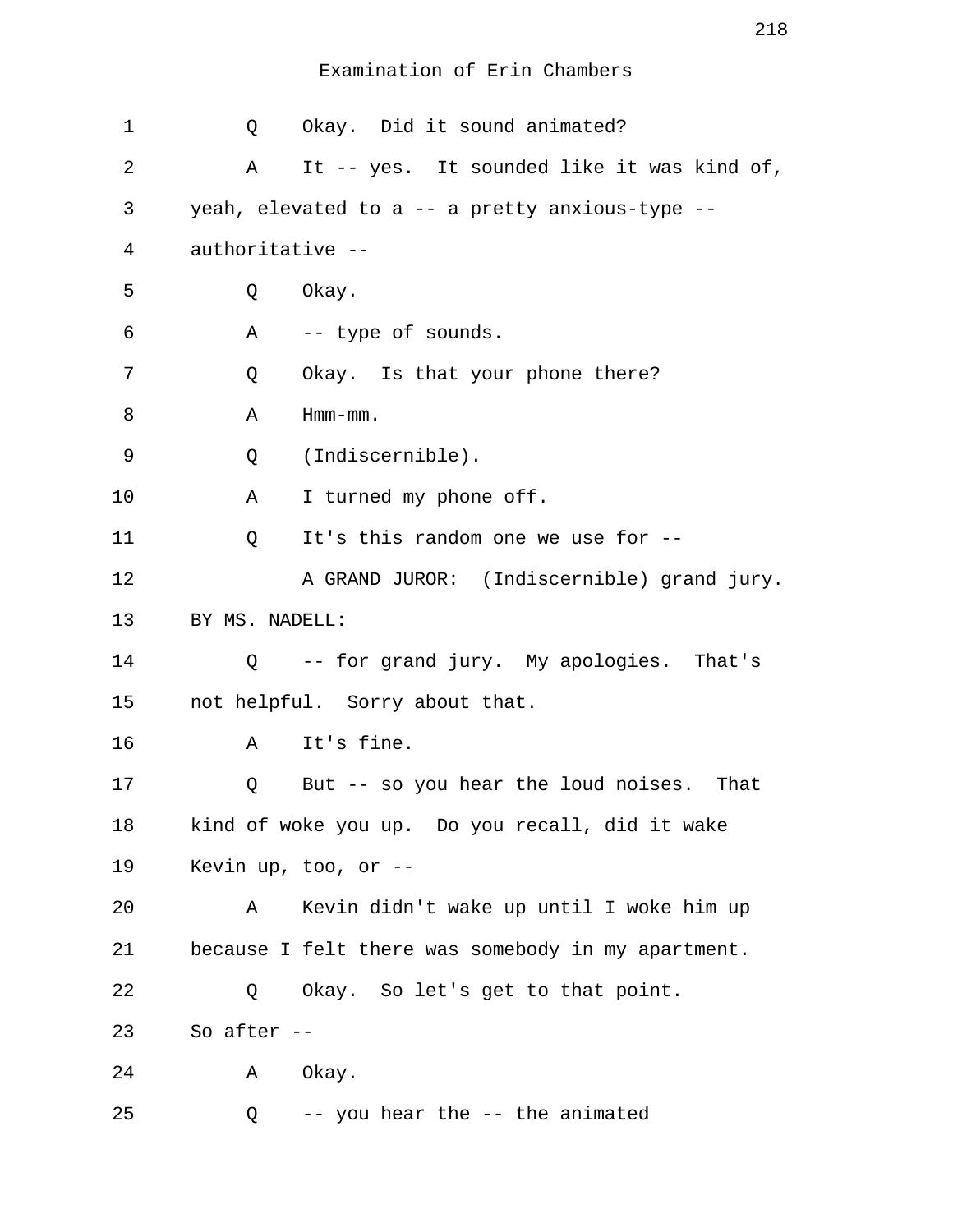| 1  | Q                | Okay. Did it sound animated?                       |
|----|------------------|----------------------------------------------------|
| 2  | Α                | It -- yes. It sounded like it was kind of,         |
| 3  |                  | yeah, elevated to a -- a pretty anxious-type --    |
| 4  | authoritative -- |                                                    |
| 5  | Q                | Okay.                                              |
| 6  | Α                | -- type of sounds.                                 |
| 7  | Q                | Okay. Is that your phone there?                    |
| 8  | Α                | $Hmm-mm$ .                                         |
| 9  | Q                | (Indiscernible).                                   |
| 10 | Α                | I turned my phone off.                             |
| 11 | Q                | It's this random one we use for --                 |
| 12 |                  | A GRAND JUROR: (Indiscernible) grand jury.         |
| 13 | BY MS. NADELL:   |                                                    |
| 14 |                  | Q -- for grand jury. My apologies. That's          |
| 15 |                  | not helpful. Sorry about that.                     |
| 16 | A                | It's fine.                                         |
| 17 | Q                | But -- so you hear the loud noises. That           |
| 18 |                  | kind of woke you up. Do you recall, did it wake    |
| 19 |                  | Kevin up, too, or $-$ -                            |
| 20 | Α                | Kevin didn't wake up until I woke him up           |
| 21 |                  | because I felt there was somebody in my apartment. |
| 22 | Q                | Okay. So let's get to that point.                  |
| 23 | So after $--$    |                                                    |
| 24 | A                | Okay.                                              |
| 25 | Q                | -- you hear the -- the animated                    |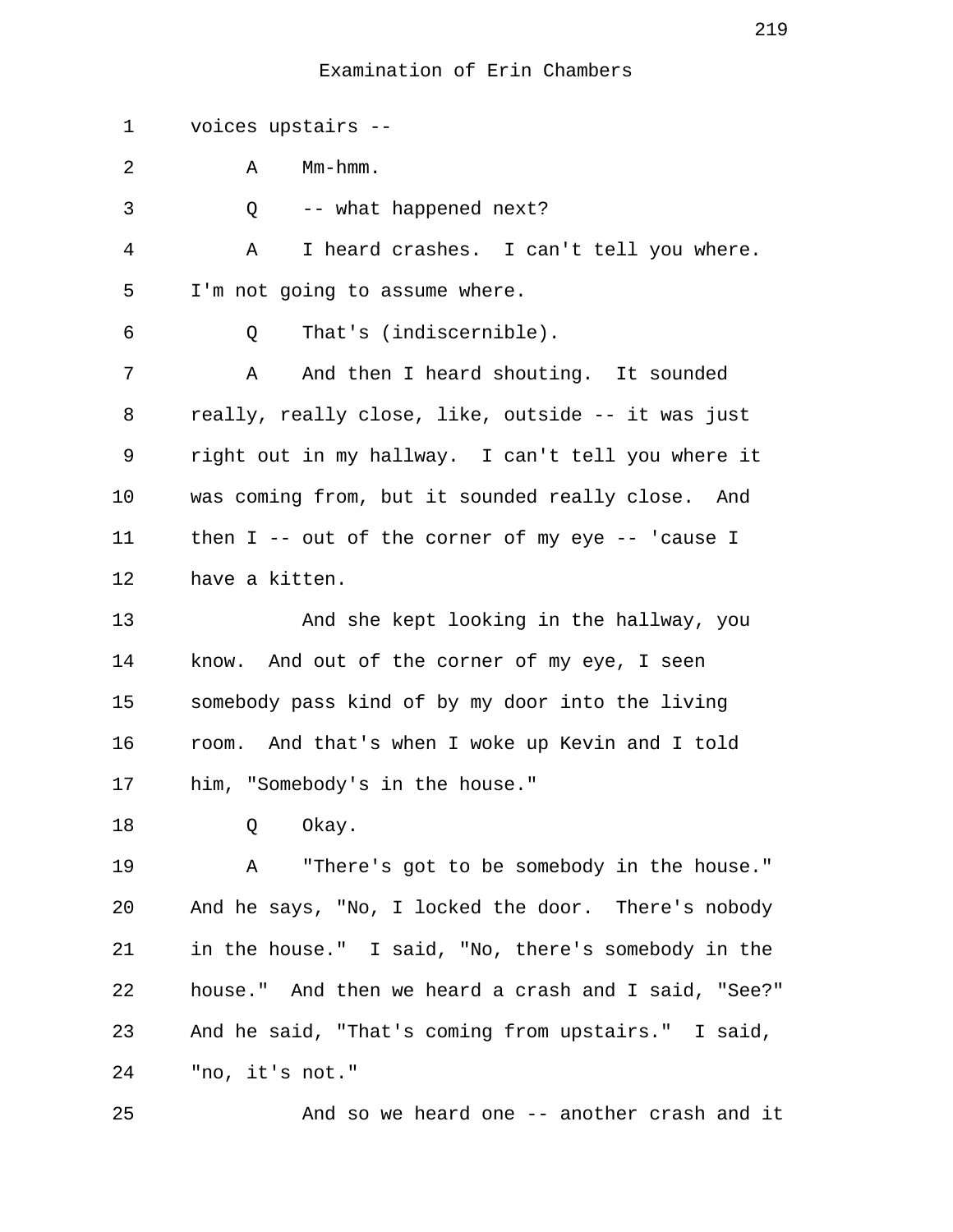1 voices upstairs --

| 2  | Mm-hmm.<br>Α                                         |
|----|------------------------------------------------------|
| 3  | -- what happened next?<br>Q                          |
| 4  | I heard crashes. I can't tell you where.<br>Α        |
| 5  | I'm not going to assume where.                       |
| 6  | That's (indiscernible).<br>Q                         |
| 7  | And then I heard shouting. It sounded<br>Α           |
| 8  | really, really close, like, outside -- it was just   |
| 9  | right out in my hallway. I can't tell you where it   |
| 10 | was coming from, but it sounded really close. And    |
| 11 | then $I$ -- out of the corner of my eye -- 'cause I  |
| 12 | have a kitten.                                       |
| 13 | And she kept looking in the hallway, you             |
| 14 | know. And out of the corner of my eye, I seen        |
| 15 | somebody pass kind of by my door into the living     |
| 16 | room. And that's when I woke up Kevin and I told     |
| 17 | him, "Somebody's in the house."                      |
| 18 | Okay.<br>Q                                           |
| 19 | "There's got to be somebody in the house."<br>A      |
| 20 | And he says, "No, I locked the door. There's nobody  |
| 21 | in the house." I said, "No, there's somebody in the  |
| 22 | house." And then we heard a crash and I said, "See?" |
| 23 | And he said, "That's coming from upstairs." I said,  |
| 24 | "no, it's not."                                      |
|    |                                                      |

25 And so we heard one -- another crash and it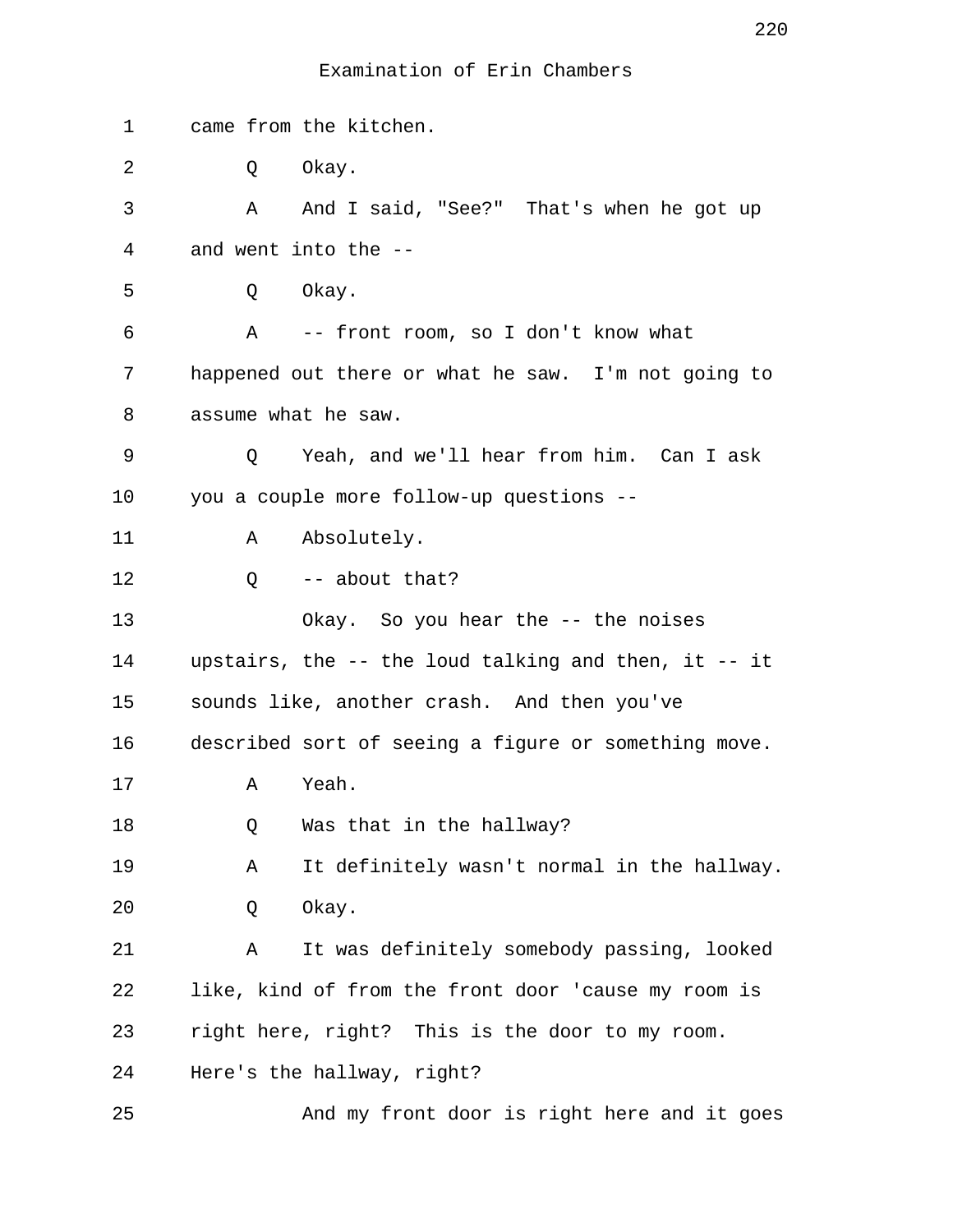| 1       | came from the kitchen.                                     |
|---------|------------------------------------------------------------|
| 2       | Okay.<br>Q                                                 |
| 3       | And I said, "See?" That's when he got up<br>A              |
| 4       | and went into the --                                       |
| 5       | Okay.<br>Q                                                 |
| 6       | -- front room, so I don't know what<br>A                   |
| 7       | happened out there or what he saw. I'm not going to        |
| 8       | assume what he saw.                                        |
| 9       | Yeah, and we'll hear from him. Can I ask<br>Q              |
| $10 \,$ | you a couple more follow-up questions --                   |
| 11      | Absolutely.<br>A                                           |
| 12      | $Q$ -- about that?                                         |
| 13      | Okay. So you hear the -- the noises                        |
| 14      | upstairs, the $-$ - the loud talking and then, it $-$ - it |
| 15      | sounds like, another crash. And then you've                |
| 16      | described sort of seeing a figure or something move.       |
| 17      | Yeah.<br>Α                                                 |
| 18      | Was that in the hallway?<br>Q                              |
| 19      | It definitely wasn't normal in the hallway.<br>Α           |
| 20      | Okay.<br>Q                                                 |
| 21      | It was definitely somebody passing, looked<br>Α            |
| 22      | like, kind of from the front door 'cause my room is        |
| 23      | right here, right? This is the door to my room.            |
| 24      | Here's the hallway, right?                                 |
| 25      | And my front door is right here and it goes                |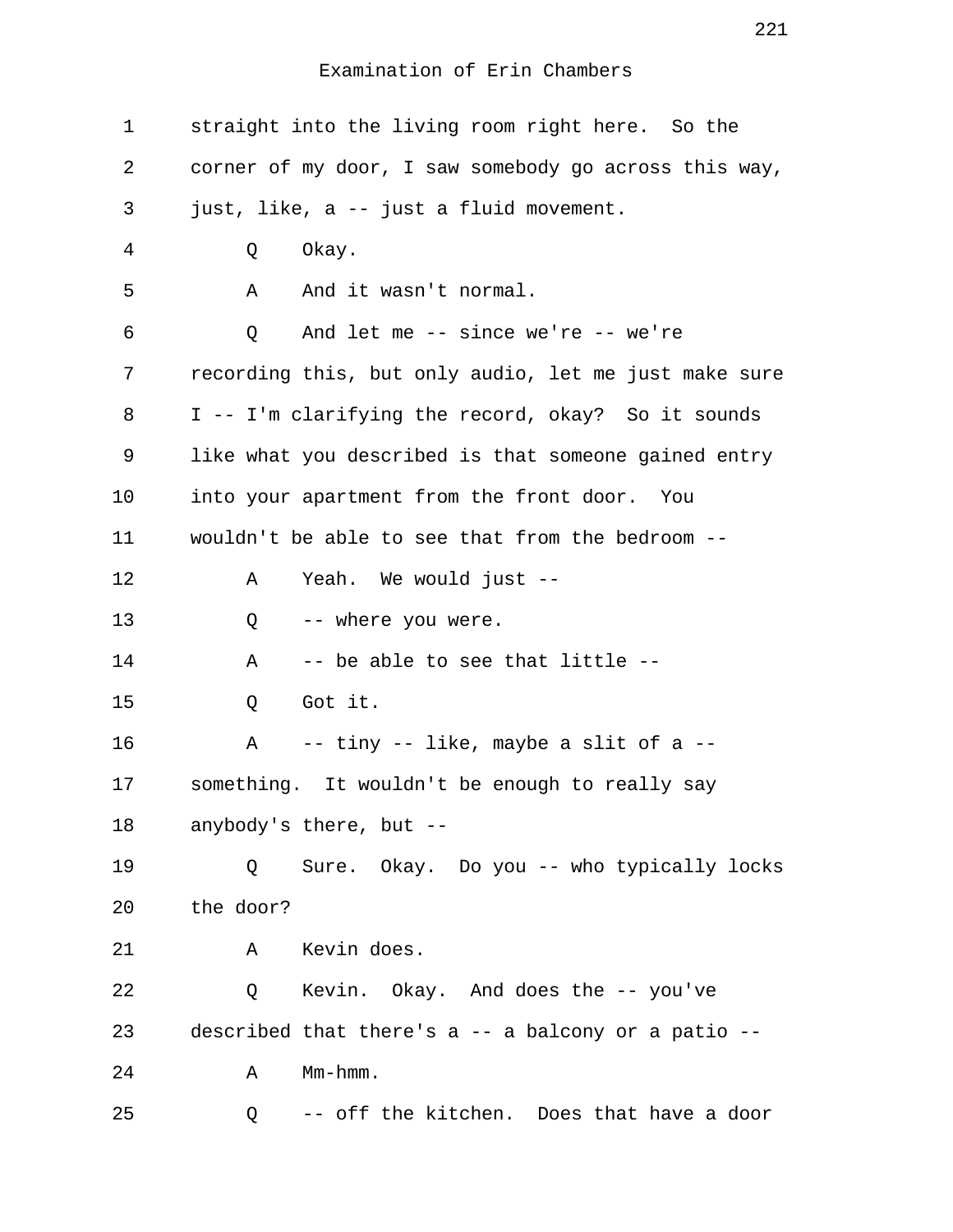| $\mathbf 1$    | straight into the living room right here. So the      |
|----------------|-------------------------------------------------------|
| 2              | corner of my door, I saw somebody go across this way, |
| 3              | just, like, a -- just a fluid movement.               |
| $\overline{4}$ | Okay.<br>Q                                            |
| 5              | Α<br>And it wasn't normal.                            |
| 6              | And let me $--$ since we're $--$ we're<br>Q           |
| 7              | recording this, but only audio, let me just make sure |
| 8              | I -- I'm clarifying the record, okay? So it sounds    |
| 9              | like what you described is that someone gained entry  |
| 10             | into your apartment from the front door. You          |
| 11             | wouldn't be able to see that from the bedroom --      |
| 12             | Yeah. We would just --<br>Α                           |
| 13             | -- where you were.<br>Q                               |
| 14             | -- be able to see that little --<br>Α                 |
| 15             | Got it.<br>Q                                          |
| 16             | -- tiny -- like, maybe a slit of a --<br>Α            |
| 17             | something. It wouldn't be enough to really say        |
| 18             | anybody's there, but --                               |
| 19             | Sure. Okay. Do you -- who typically locks<br>O.       |
| 20             | the door?                                             |
| 21             | Kevin does.<br>Α                                      |
| 22             | Kevin. Okay. And does the -- you've<br>Q              |
| 23             | described that there's a -- a balcony or a patio --   |
| 24             | Mm-hmm.<br>Α                                          |
| 25             | -- off the kitchen. Does that have a door<br>Q        |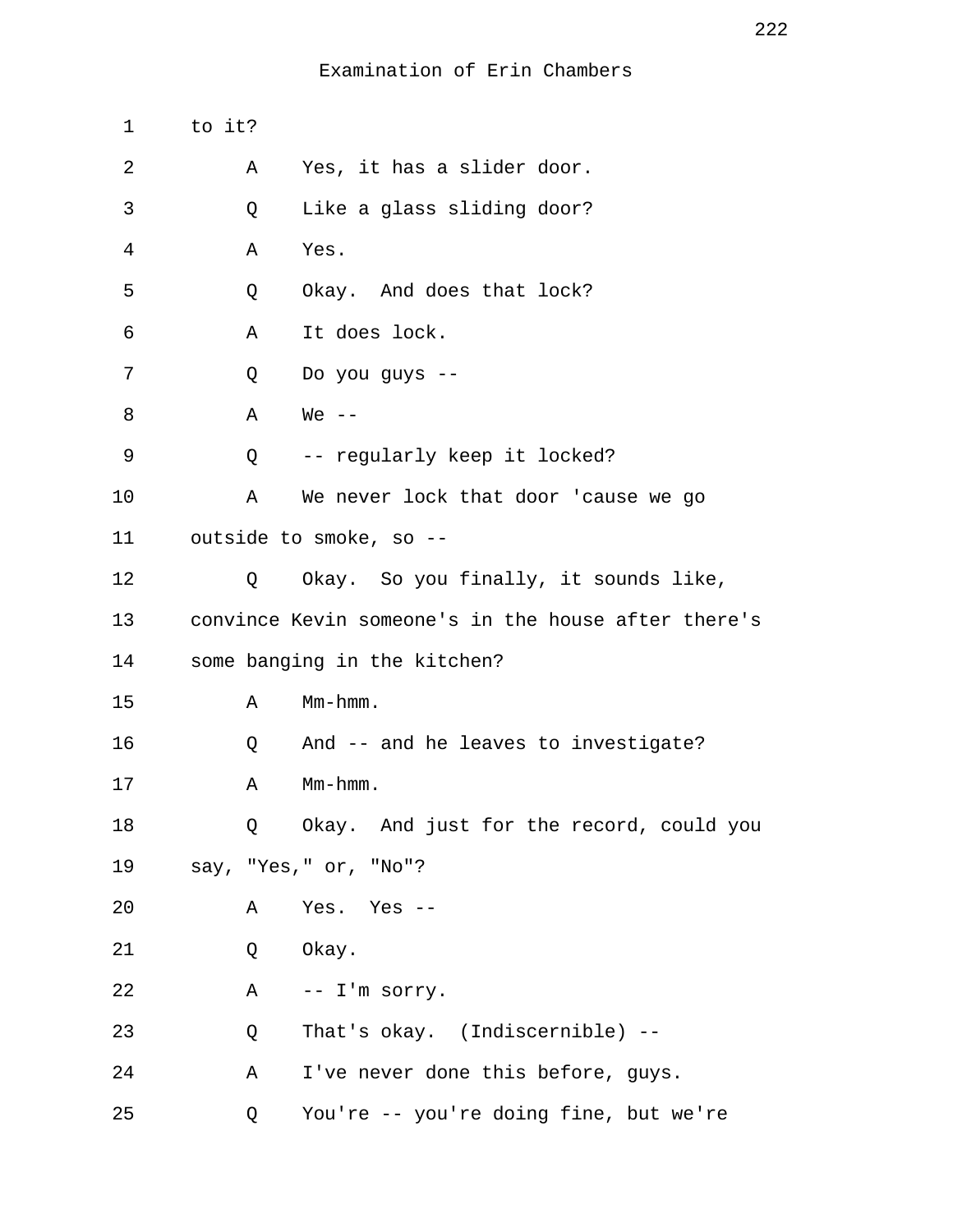| $\mathbf 1$ | to it? |                                                     |
|-------------|--------|-----------------------------------------------------|
| 2           | Α      | Yes, it has a slider door.                          |
| 3           | Q      | Like a glass sliding door?                          |
| 4           | Α      | Yes.                                                |
| 5           | Q      | Okay. And does that lock?                           |
| 6           | Α      | It does lock.                                       |
| 7           | Q      | Do you guys --                                      |
| 8           | Α      | $We --$                                             |
| 9           | Q      | -- regularly keep it locked?                        |
| 10          | Α      | We never lock that door 'cause we go                |
| 11          |        | outside to smoke, so --                             |
| 12          | Q      | Okay. So you finally, it sounds like,               |
| 13          |        | convince Kevin someone's in the house after there's |
| 14          |        | some banging in the kitchen?                        |
| 15          | Α      | $Mm-hmm$ .                                          |
| 16          | Q      | And -- and he leaves to investigate?                |
| 17          | Α      | $Mm-hmm$ .                                          |
| 18          | Q      | Okay. And just for the record, could you            |
| 19          |        | say, "Yes," or, "No"?                               |
| 20          | Α      | Yes. Yes --                                         |
| 21          | Q      | Okay.                                               |
| 22          | A      | -- I'm sorry.                                       |
| 23          | Q      | That's okay. (Indiscernible) --                     |
| 24          | Α      | I've never done this before, guys.                  |
| 25          | Q      | You're -- you're doing fine, but we're              |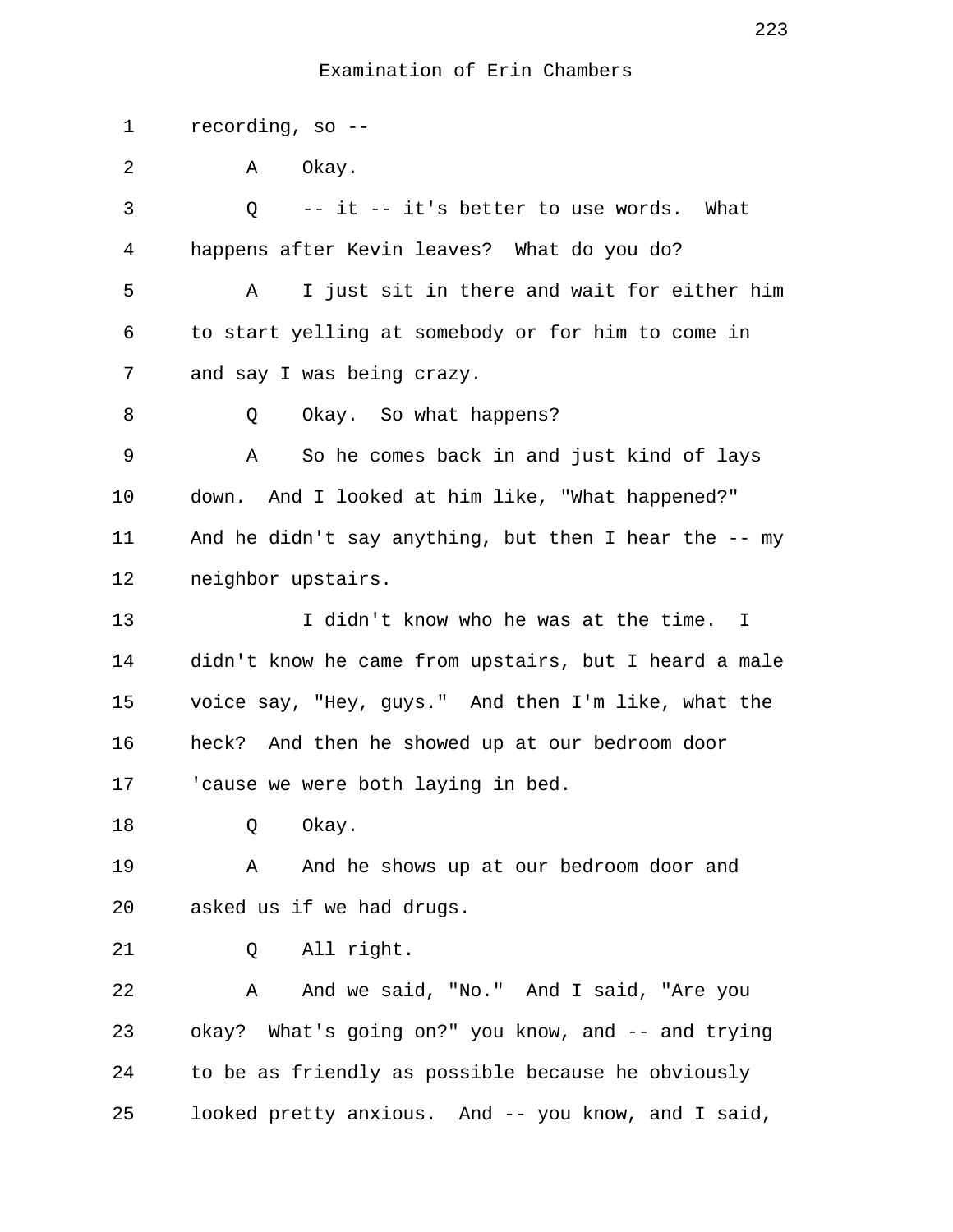1 recording, so -- 2 A Okay. 3 Q -- it -- it's better to use words. What 4 happens after Kevin leaves? What do you do? 5 A I just sit in there and wait for either him 6 to start yelling at somebody or for him to come in 7 and say I was being crazy. 8 Q Okay. So what happens? 9 A So he comes back in and just kind of lays 10 down. And I looked at him like, "What happened?" 11 And he didn't say anything, but then I hear the -- my 12 neighbor upstairs. 13 I didn't know who he was at the time. I 14 didn't know he came from upstairs, but I heard a male 15 voice say, "Hey, guys." And then I'm like, what the 16 heck? And then he showed up at our bedroom door 17 'cause we were both laying in bed. 18 Q Okay. 19 A And he shows up at our bedroom door and 20 asked us if we had drugs. 21 Q All right. 22 A And we said, "No." And I said, "Are you 23 okay? What's going on?" you know, and -- and trying 24 to be as friendly as possible because he obviously 25 looked pretty anxious. And -- you know, and I said,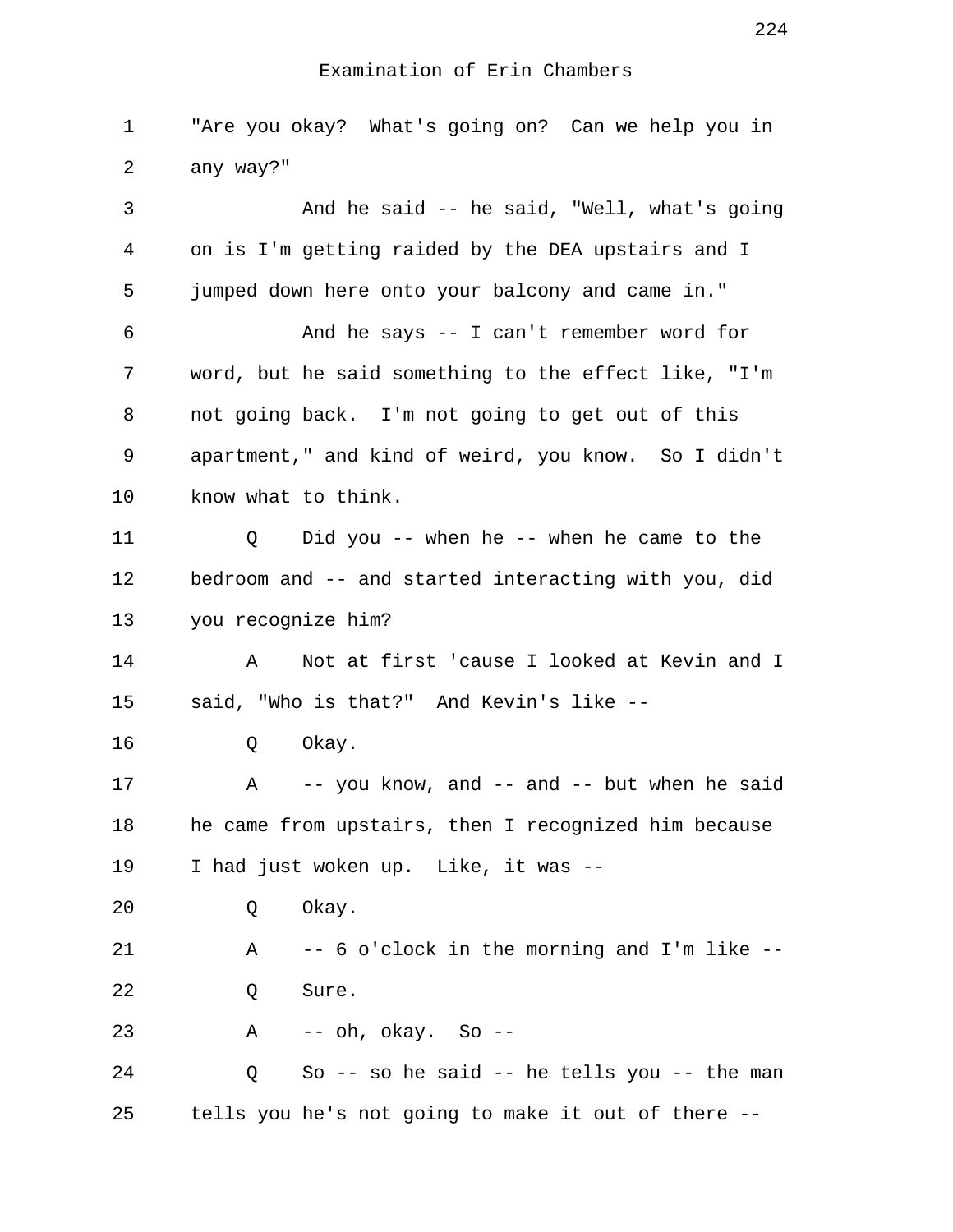1 "Are you okay? What's going on? Can we help you in 2 any way?" 3 And he said -- he said, "Well, what's going 4 on is I'm getting raided by the DEA upstairs and I 5 jumped down here onto your balcony and came in." 6 And he says -- I can't remember word for 7 word, but he said something to the effect like, "I'm 8 not going back. I'm not going to get out of this 9 apartment," and kind of weird, you know. So I didn't 10 know what to think. 11 Q Did you -- when he -- when he came to the 12 bedroom and -- and started interacting with you, did 13 you recognize him? 14 A Not at first 'cause I looked at Kevin and I 15 said, "Who is that?" And Kevin's like -- 16 Q Okay. 17 A -- you know, and -- and -- but when he said 18 he came from upstairs, then I recognized him because 19 I had just woken up. Like, it was -- 20 Q Okay. 21 A -- 6 o'clock in the morning and I'm like -- 22 0 Sure. 23 A -- oh, okay. So -- 24 Q So -- so he said -- he tells you -- the man 25 tells you he's not going to make it out of there --

224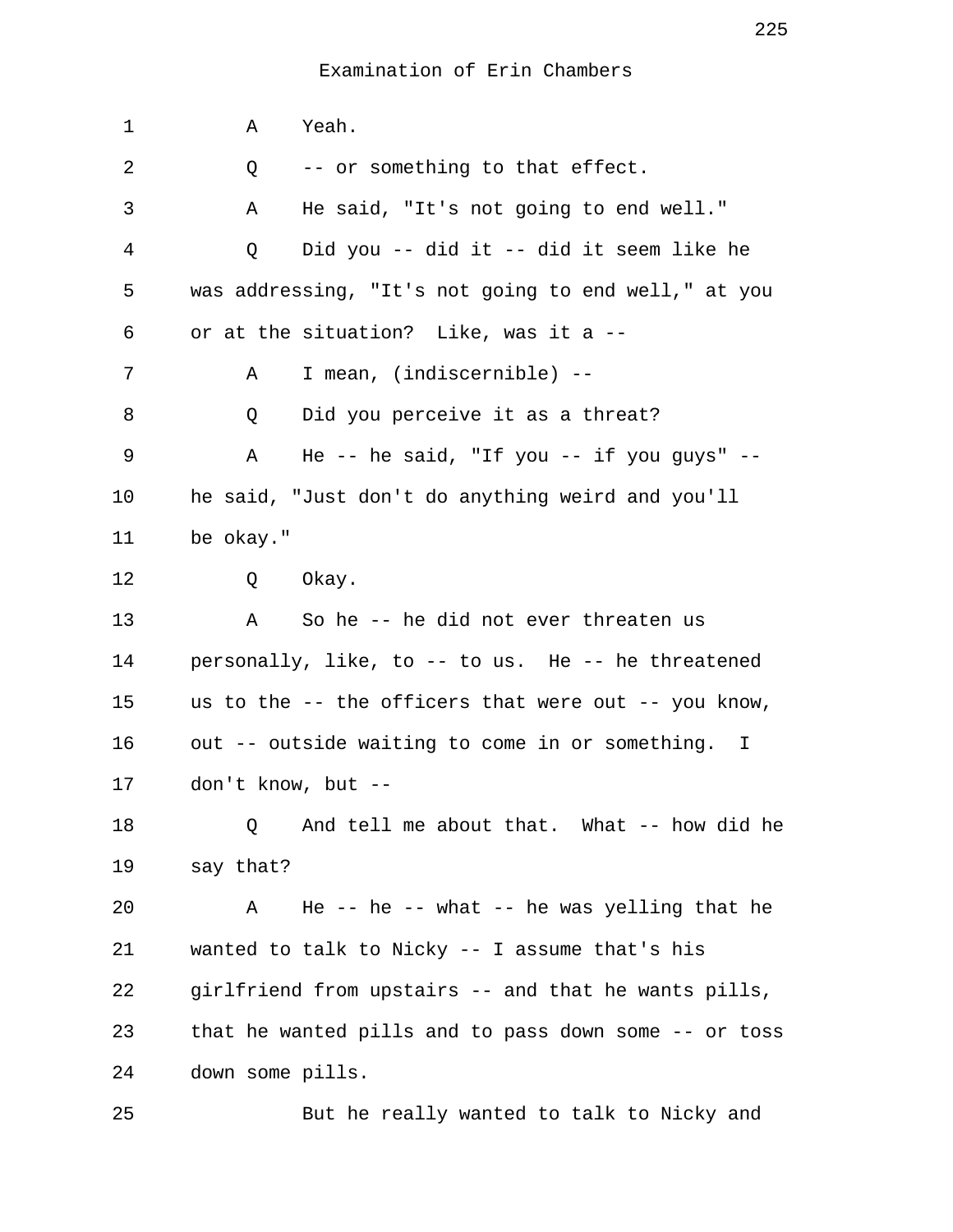1 A Yeah. 2 0 -- or something to that effect. 3 A He said, "It's not going to end well." 4 Q Did you -- did it -- did it seem like he 5 was addressing, "It's not going to end well," at you 6 or at the situation? Like, was it a -- 7 A I mean, (indiscernible) -- 8 Q Did you perceive it as a threat? 9 A He -- he said, "If you -- if you guys" -- 10 he said, "Just don't do anything weird and you'll 11 be okay." 12 Q Okay. 13 A So he -- he did not ever threaten us 14 personally, like, to -- to us. He -- he threatened 15 us to the -- the officers that were out -- you know, 16 out -- outside waiting to come in or something. I 17 don't know, but -- 18 Q And tell me about that. What -- how did he 19 say that? 20 A He -- he -- what -- he was yelling that he 21 wanted to talk to Nicky -- I assume that's his 22 girlfriend from upstairs -- and that he wants pills, 23 that he wanted pills and to pass down some -- or toss 24 down some pills. 25 But he really wanted to talk to Nicky and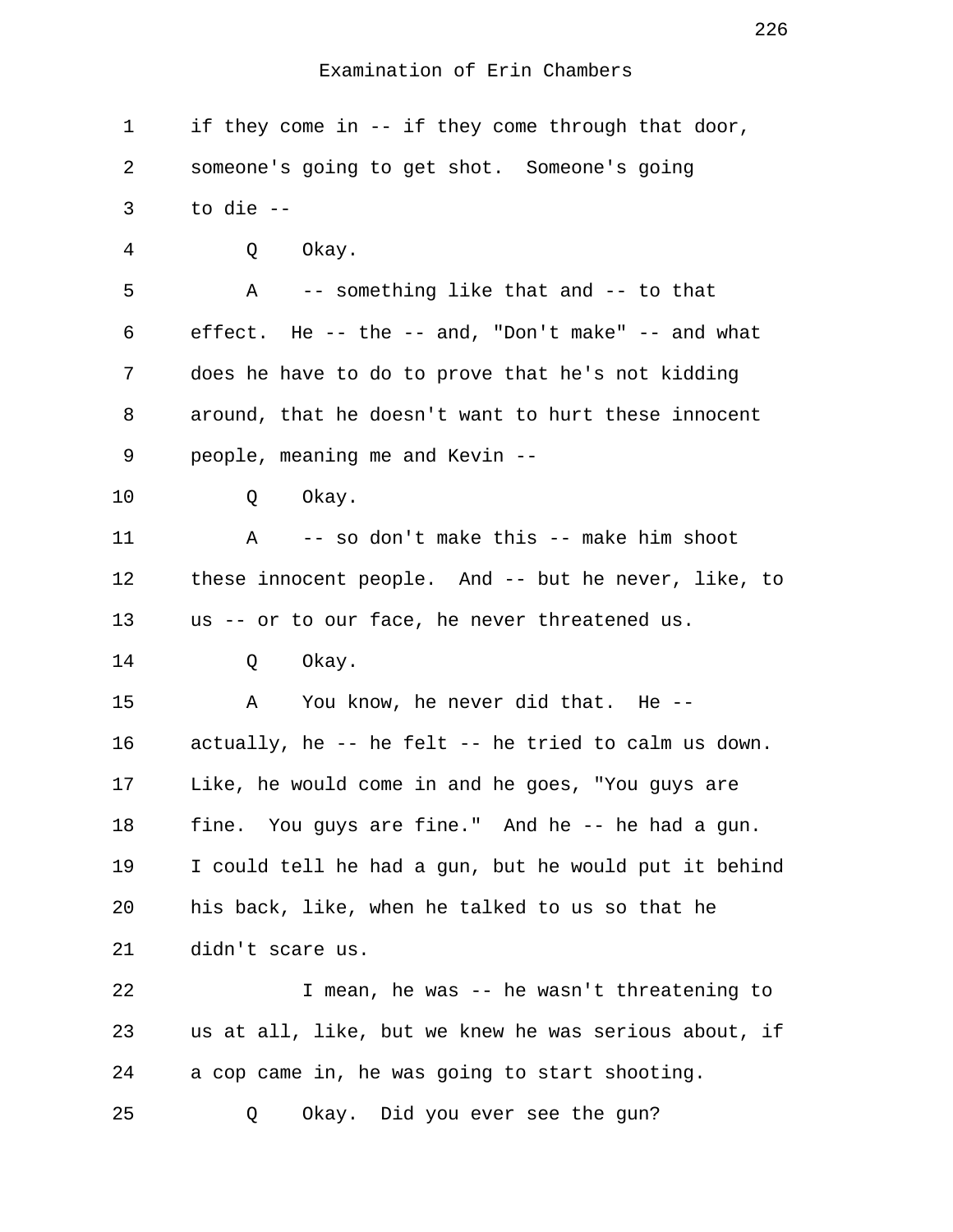| 1  | if they come in -- if they come through that door,    |
|----|-------------------------------------------------------|
| 2  | someone's going to get shot. Someone's going          |
| 3  | to die --                                             |
| 4  | Okay.<br>Q                                            |
| 5  | A -- something like that and -- to that               |
| 6  | effect. He -- the -- and, "Don't make" -- and what    |
| 7  | does he have to do to prove that he's not kidding     |
| 8  | around, that he doesn't want to hurt these innocent   |
| 9  | people, meaning me and Kevin --                       |
| 10 | Okay.<br>Q                                            |
| 11 | A -- so don't make this -- make him shoot             |
| 12 | these innocent people. And -- but he never, like, to  |
| 13 | us -- or to our face, he never threatened us.         |
| 14 | Okay.<br>Q                                            |
| 15 | Α<br>You know, he never did that. He --               |
| 16 | actually, he -- he felt -- he tried to calm us down.  |
| 17 | Like, he would come in and he goes, "You guys are     |
| 18 | fine. You guys are fine." And he -- he had a gun.     |
| 19 | I could tell he had a gun, but he would put it behind |
| 20 | his back, like, when he talked to us so that he       |
| 21 | didn't scare us.                                      |
| 22 | I mean, he was -- he wasn't threatening to            |
| 23 | us at all, like, but we knew he was serious about, if |
| 24 | a cop came in, he was going to start shooting.        |
| 25 | Okay. Did you ever see the gun?<br>Q                  |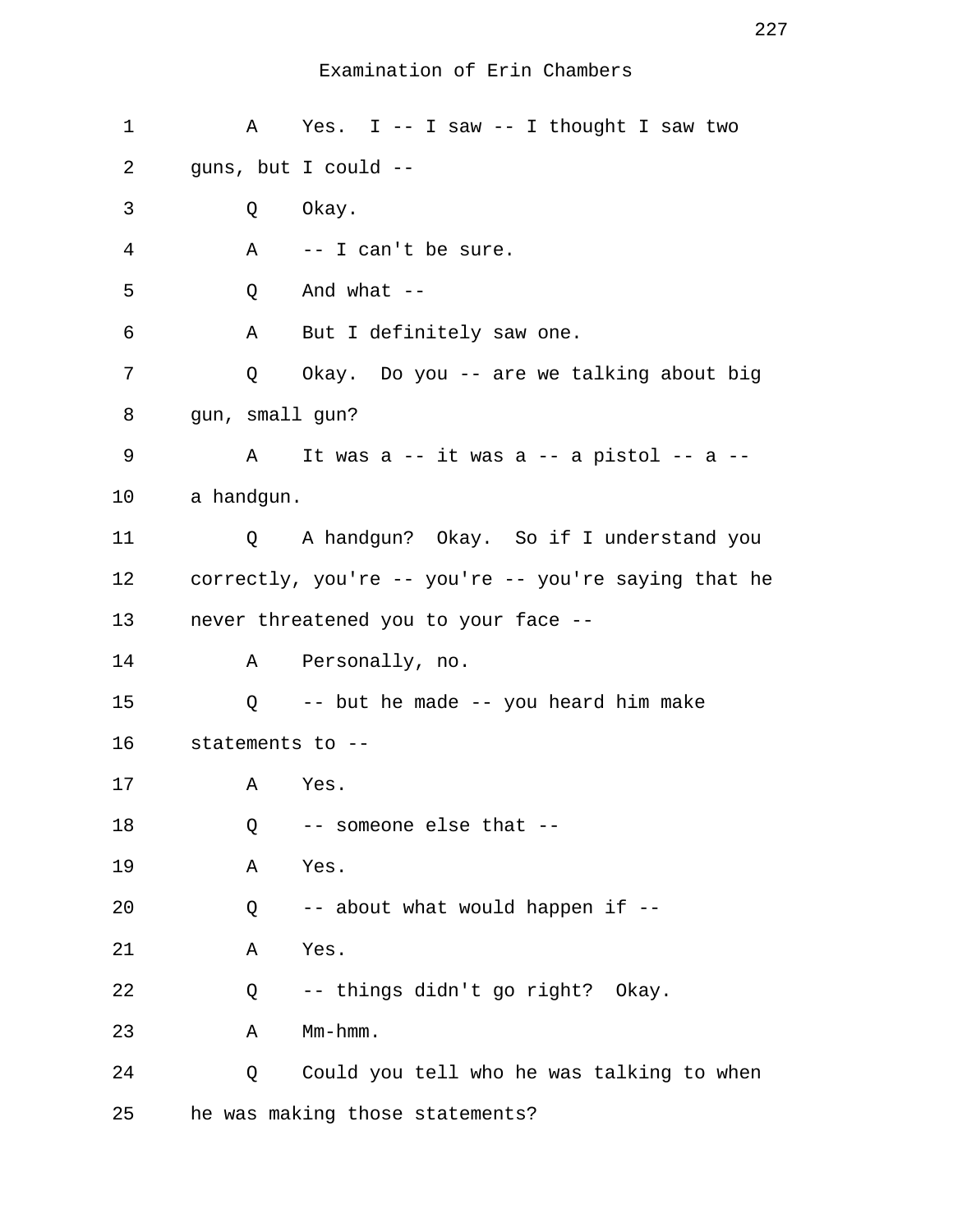| 1  | A                 | Yes. I -- I saw -- I thought I saw two               |
|----|-------------------|------------------------------------------------------|
| 2  |                   | guns, but I could --                                 |
| 3  | Q                 | Okay.                                                |
| 4  | A                 | -- I can't be sure.                                  |
| 5  | Q                 | And what $--$                                        |
| 6  | Α                 | But I definitely saw one.                            |
| 7  | Q                 | Okay. Do you -- are we talking about big             |
| 8  |                   | gun, small gun?                                      |
| 9  | Α                 | It was a $-$ it was a $-$ a pistol $-$ a $-$         |
| 10 | a handgun.        |                                                      |
| 11 | Q                 | A handgun? Okay. So if I understand you              |
| 12 |                   | correctly, you're -- you're -- you're saying that he |
| 13 |                   | never threatened you to your face --                 |
| 14 |                   | A Personally, no.                                    |
| 15 | $Q \qquad \qquad$ | -- but he made -- you heard him make                 |
| 16 |                   | statements to --                                     |
| 17 | Α                 | Yes.                                                 |
| 18 | Q                 | -- someone else that --                              |
| 19 | Α                 | Yes.                                                 |
| 20 | Q                 | -- about what would happen if --                     |
| 21 | Α                 | Yes.                                                 |
| 22 | Q                 | -- things didn't go right? Okay.                     |
| 23 | Α                 | $Mm-hmm$ .                                           |
| 24 | Q                 | Could you tell who he was talking to when            |
| 25 |                   | he was making those statements?                      |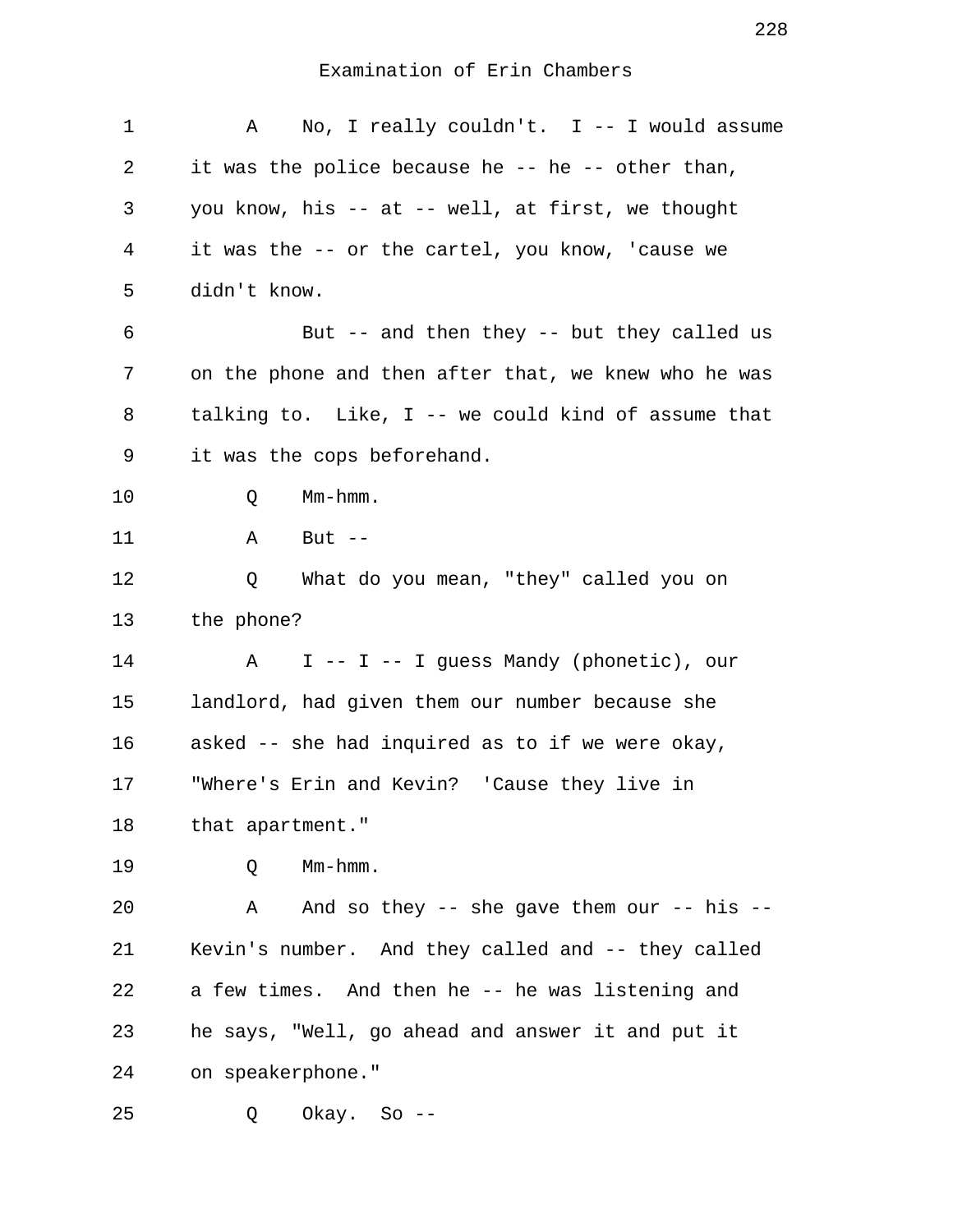| 1  | No, I really couldn't. $I$ -- I would assume<br>A     |
|----|-------------------------------------------------------|
| 2  | it was the police because he -- he -- other than,     |
| 3  | you know, his -- at -- well, at first, we thought     |
| 4  | it was the -- or the cartel, you know, 'cause we      |
| 5  | didn't know.                                          |
| 6  | But $-$ and then they $-$ but they called us          |
| 7  | on the phone and then after that, we knew who he was  |
| 8  | talking to. Like, $I$ -- we could kind of assume that |
| 9  | it was the cops beforehand.                           |
| 10 | $Mm-hmm$ .<br>Q                                       |
| 11 | But $--$<br>Α                                         |
| 12 | What do you mean, "they" called you on<br>Q           |
| 13 | the phone?                                            |
| 14 | I -- I -- I guess Mandy (phonetic), our<br>Α          |
| 15 | landlord, had given them our number because she       |
| 16 | asked -- she had inquired as to if we were okay,      |
| 17 | "Where's Erin and Kevin? 'Cause they live in          |
| 18 | that apartment."                                      |
| 19 | $Mm-hmm$ .<br>Q                                       |
| 20 | And so they -- she gave them our -- his --<br>Α       |
| 21 | Kevin's number. And they called and -- they called    |
| 22 | a few times. And then he -- he was listening and      |
| 23 | he says, "Well, go ahead and answer it and put it     |
| 24 | on speakerphone."                                     |
| 25 | Okay. So --<br>Q                                      |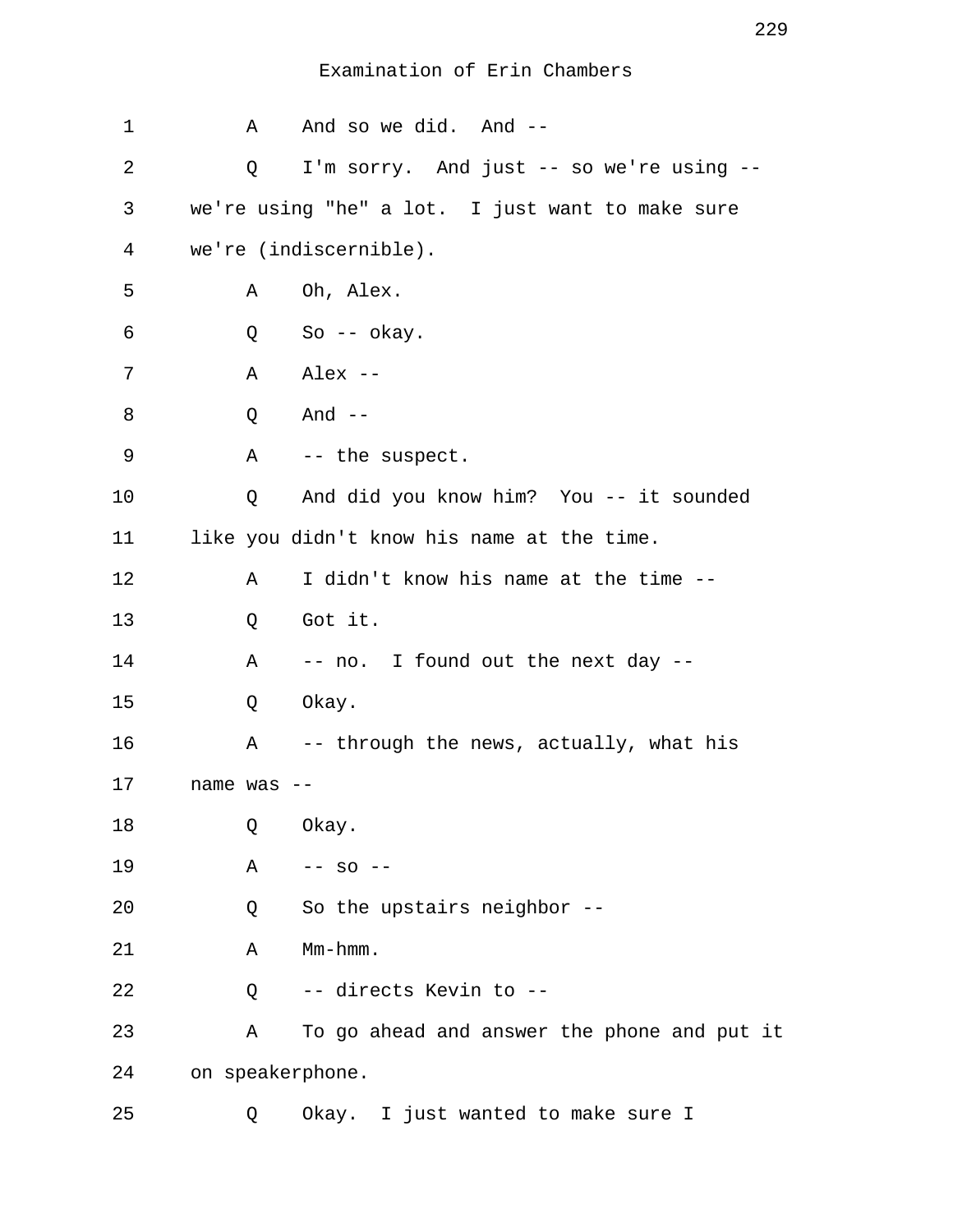| $\mathbf 1$    |          | A | And so we did. And --                            |
|----------------|----------|---|--------------------------------------------------|
| 2              |          | Q | I'm sorry. And just -- so we're using --         |
| 3              |          |   | we're using "he" a lot. I just want to make sure |
| $\overline{4}$ |          |   | we're (indiscernible).                           |
| 5              |          | Α | Oh, Alex.                                        |
| 6              |          | Q | So $-$ okay.                                     |
| 7              |          | Α | Alex --                                          |
| 8              |          | Q | And --                                           |
| 9              |          |   | A -- the suspect.                                |
| 10             |          | Q | And did you know him? You -- it sounded          |
| 11             |          |   | like you didn't know his name at the time.       |
| 12             |          | Α | I didn't know his name at the time --            |
| 13             |          | Q | Got it.                                          |
| 14             |          | Α | -- no. I found out the next day --               |
| 15             |          | Q | Okay.                                            |
| 16             |          | Α | -- through the news, actually, what his          |
| 17             | name was |   |                                                  |
| 18             |          | Q | Okay.                                            |
| 19             |          | Α | $--$ SO $--$                                     |
| 20             |          | Q | So the upstairs neighbor --                      |
| 21             |          | Α | Mm-hmm.                                          |
| 22             |          | Q | -- directs Kevin to --                           |
| 23             |          | Α | To go ahead and answer the phone and put it      |
| 24             |          |   | on speakerphone.                                 |
| 25             |          | Q | Okay. I just wanted to make sure I               |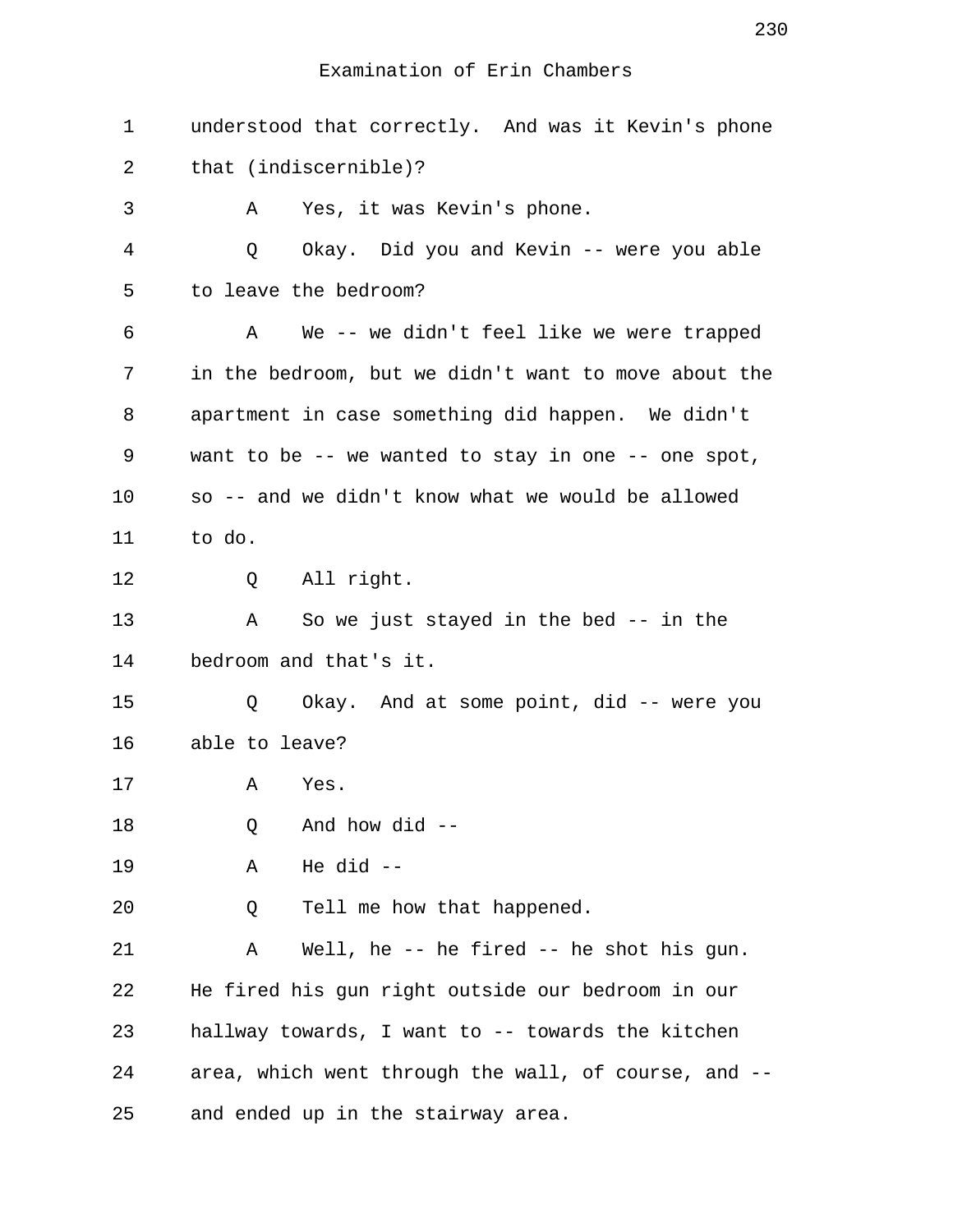| 1  | understood that correctly. And was it Kevin's phone  |
|----|------------------------------------------------------|
| 2  | that (indiscernible)?                                |
| 3  | Yes, it was Kevin's phone.<br>Α                      |
| 4  | Q<br>Okay. Did you and Kevin -- were you able        |
| 5  | to leave the bedroom?                                |
| 6  | We -- we didn't feel like we were trapped<br>A       |
| 7  | in the bedroom, but we didn't want to move about the |
| 8  | apartment in case something did happen. We didn't    |
| 9  | want to be -- we wanted to stay in one -- one spot,  |
| 10 | so -- and we didn't know what we would be allowed    |
| 11 | to do.                                               |
| 12 | Q All right.                                         |
| 13 | So we just stayed in the bed $-$ in the<br>Α         |
| 14 | bedroom and that's it.                               |
| 15 | Okay. And at some point, did -- were you<br>Q        |
| 16 | able to leave?                                       |
| 17 | Α<br>Yes.                                            |
| 18 | And how did --<br>Q                                  |
| 19 | He $did$ --<br>Α                                     |
| 20 | Tell me how that happened.<br>Q                      |
| 21 | Well, he $-$ he fired $-$ he shot his gun.<br>Α      |
| 22 | He fired his gun right outside our bedroom in our    |
| 23 | hallway towards, I want to -- towards the kitchen    |
| 24 | area, which went through the wall, of course, and -- |
| 25 | and ended up in the stairway area.                   |

230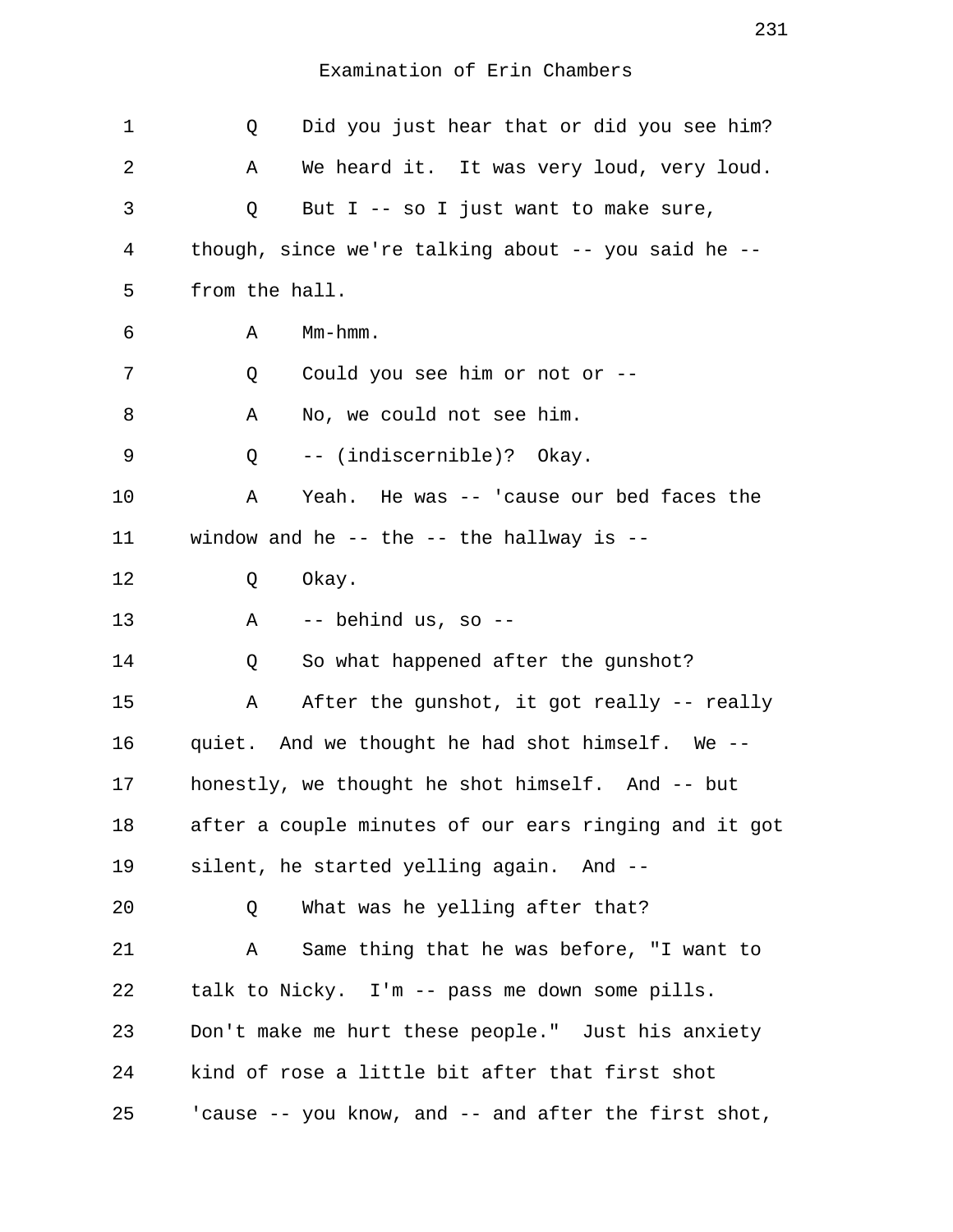| 1  | Did you just hear that or did you see him?<br>Q       |
|----|-------------------------------------------------------|
| 2  | We heard it. It was very loud, very loud.<br>Α        |
| 3  | But I -- so I just want to make sure,<br>Q            |
| 4  | though, since we're talking about -- you said he --   |
| 5  | from the hall.                                        |
| 6  | $Mm-hmm$ .<br>Α                                       |
| 7  | Could you see him or not or --<br>Q                   |
| 8  | No, we could not see him.<br>Α                        |
| 9  | -- (indiscernible)? Okay.<br>Q                        |
| 10 | Yeah. He was -- 'cause our bed faces the<br>Α         |
| 11 | window and he $-$ the $-$ the hallway is $-$          |
| 12 | Okay.<br>Q                                            |
| 13 | -- behind us, so --<br>Α                              |
| 14 | So what happened after the gunshot?<br>Q              |
| 15 | After the gunshot, it got really -- really<br>Α       |
| 16 | quiet. And we thought he had shot himself. We --      |
| 17 | honestly, we thought he shot himself. And -- but      |
| 18 | after a couple minutes of our ears ringing and it got |
| 19 | silent, he started yelling again. And --              |
| 20 | What was he yelling after that?<br>Q                  |
| 21 | Same thing that he was before, "I want to<br>Α        |
| 22 | talk to Nicky. I'm -- pass me down some pills.        |
| 23 | Don't make me hurt these people." Just his anxiety    |
| 24 | kind of rose a little bit after that first shot       |
| 25 | 'cause -- you know, and -- and after the first shot,  |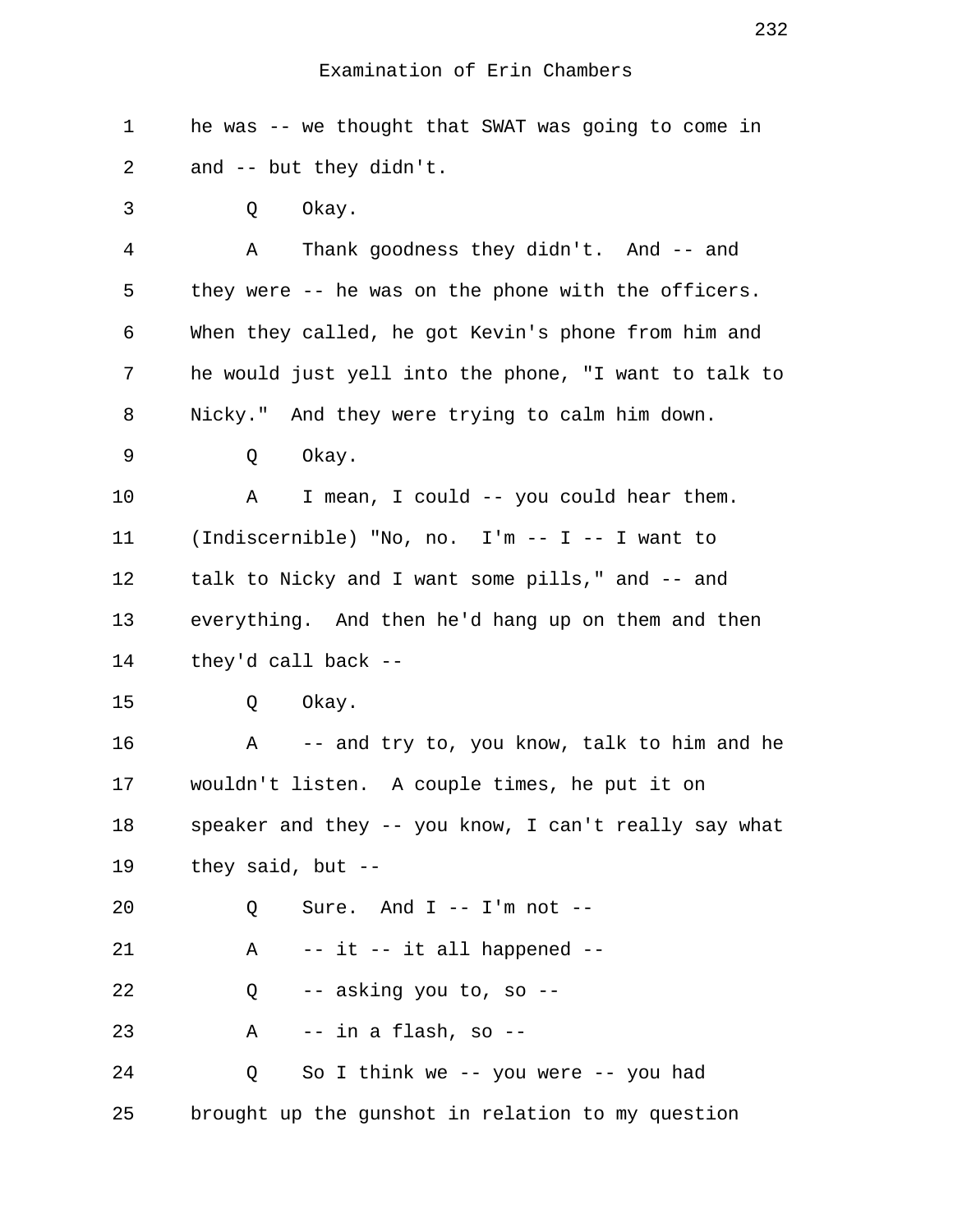| 1  | he was -- we thought that SWAT was going to come in   |
|----|-------------------------------------------------------|
| 2  | and -- but they didn't.                               |
| 3  | Okay.<br>Q                                            |
| 4  | Thank goodness they didn't. And -- and<br>Α           |
| 5  | they were -- he was on the phone with the officers.   |
| 6  | When they called, he got Kevin's phone from him and   |
| 7  | he would just yell into the phone, "I want to talk to |
| 8  | Nicky." And they were trying to calm him down.        |
| 9  | Okay.<br>Q                                            |
| 10 | Α<br>I mean, I could -- you could hear them.          |
| 11 | (Indiscernible) "No, no. I'm -- I -- I want to        |
| 12 | talk to Nicky and I want some pills," and -- and      |
| 13 | everything. And then he'd hang up on them and then    |
| 14 | they'd call back --                                   |
| 15 | Okay.<br>Q                                            |
| 16 | A<br>-- and try to, you know, talk to him and he      |
| 17 | wouldn't listen. A couple times, he put it on         |
| 18 | speaker and they -- you know, I can't really say what |
| 19 | they said, but --                                     |
| 20 | Sure. And $I$ -- $I'm$ not --<br>Q                    |
| 21 | -- it -- it all happened --<br>Α                      |
| 22 | -- asking you to, so --<br>Q                          |
| 23 | -- in a flash, so --<br>Α                             |
| 24 | So I think we -- you were -- you had<br>Q             |
| 25 | brought up the gunshot in relation to my question     |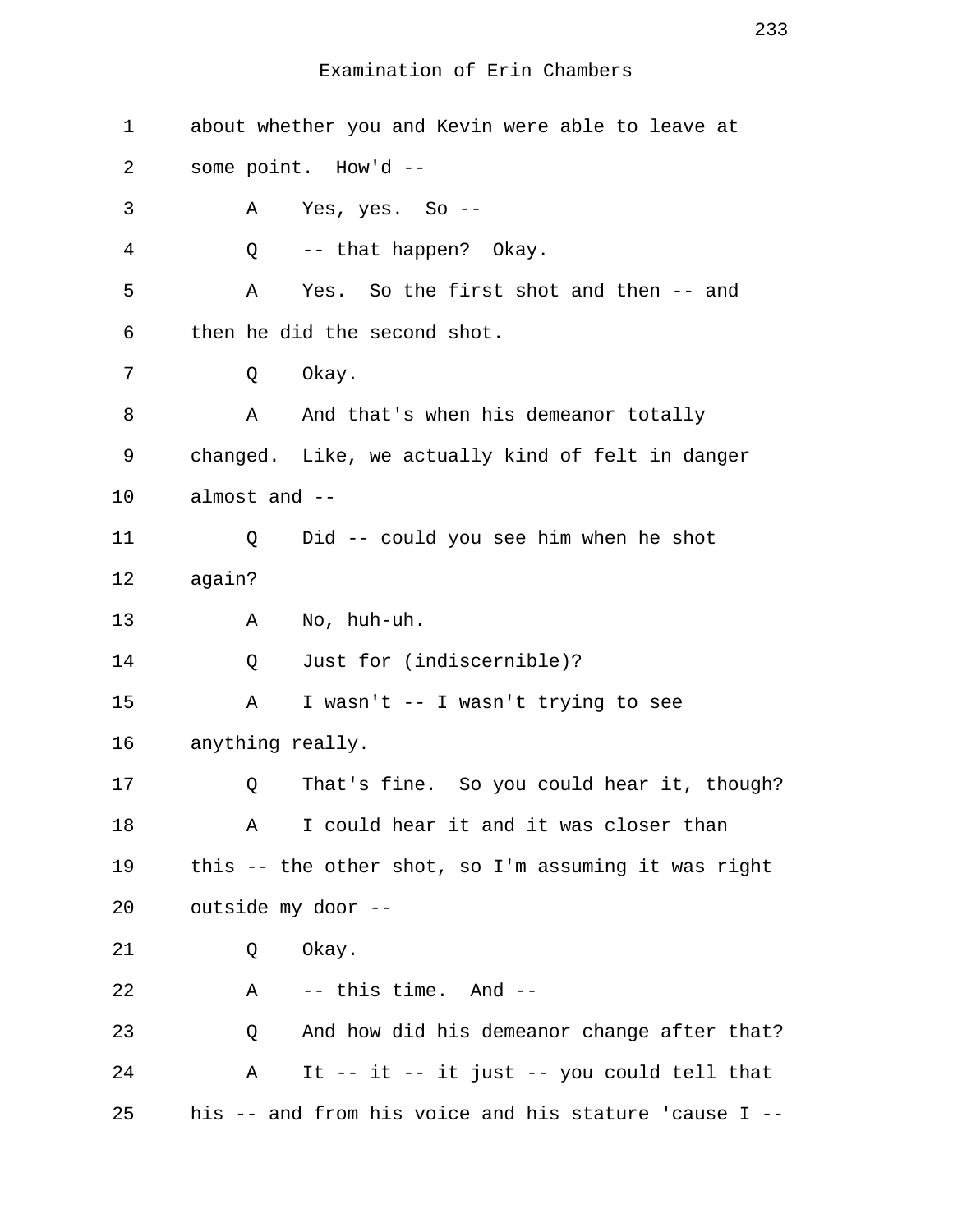| $\mathbf 1$ | about whether you and Kevin were able to leave at |                                                       |
|-------------|---------------------------------------------------|-------------------------------------------------------|
| 2           |                                                   | some point. How'd --                                  |
| 3           | Α                                                 | Yes, $yes. So --$                                     |
| 4           | Q                                                 | -- that happen? Okay.                                 |
| 5           | Α                                                 | Yes. So the first shot and then -- and                |
| 6           |                                                   | then he did the second shot.                          |
| 7           | Q                                                 | Okay.                                                 |
| 8           | Α                                                 | And that's when his demeanor totally                  |
| 9           |                                                   | changed. Like, we actually kind of felt in danger     |
| 10          | almost and --                                     |                                                       |
| 11          | Q                                                 | Did -- could you see him when he shot                 |
| 12          | again?                                            |                                                       |
| 13          | Α                                                 | No, huh-uh.                                           |
| 14          | Q                                                 | Just for (indiscernible)?                             |
| 15          | Α                                                 | I wasn't -- I wasn't trying to see                    |
| 16          | anything really.                                  |                                                       |
| 17          | Q                                                 | That's fine. So you could hear it, though?            |
| 18          | Α                                                 | I could hear it and it was closer than                |
| 19          |                                                   | this -- the other shot, so I'm assuming it was right  |
| 20          | outside my door --                                |                                                       |
| 21          | Q                                                 | Okay.                                                 |
| 22          | Α                                                 | -- this time. And --                                  |
| 23          | Q                                                 | And how did his demeanor change after that?           |
| 24          | Α                                                 | It -- it -- it just -- you could tell that            |
| 25          |                                                   | his -- and from his voice and his stature 'cause I -- |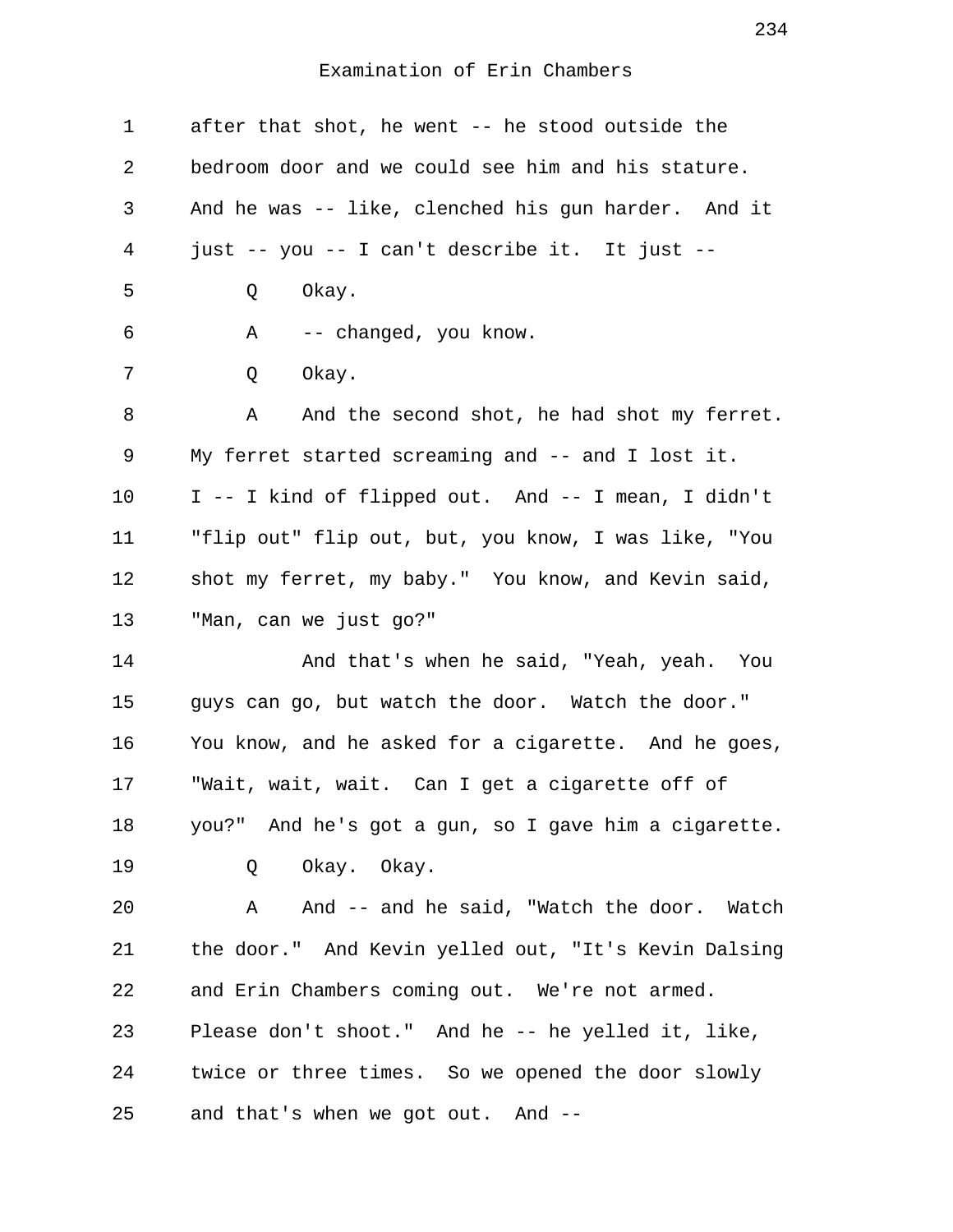| $\mathbf 1$ | after that shot, he went -- he stood outside the     |
|-------------|------------------------------------------------------|
| 2           | bedroom door and we could see him and his stature.   |
| 3           | And he was -- like, clenched his gun harder. And it  |
| 4           | just -- you -- I can't describe it. It just --       |
| 5           | Okay.<br>Q                                           |
| 6           | -- changed, you know.<br>Α                           |
| 7           | Q<br>Okay.                                           |
| 8           | And the second shot, he had shot my ferret.<br>Α     |
| 9           | My ferret started screaming and -- and I lost it.    |
| 10          | I -- I kind of flipped out. And -- I mean, I didn't  |
| 11          | "flip out" flip out, but, you know, I was like, "You |
| 12          | shot my ferret, my baby." You know, and Kevin said,  |
| 13          | "Man, can we just go?"                               |
| 14          | And that's when he said, "Yeah, yeah. You            |
| 15          | guys can go, but watch the door. Watch the door."    |
| 16          | You know, and he asked for a cigarette. And he goes, |
| 17          | "Wait, wait, wait. Can I get a cigarette off of      |
| 18          | you?" And he's got a gun, so I gave him a cigarette. |
| 19          | Okay. Okay.<br>Q                                     |
| 20          | A And -- and he said, "Watch the door. Watch         |
| 21          | the door." And Kevin yelled out, "It's Kevin Dalsing |
| 22          | and Erin Chambers coming out. We're not armed.       |
| 23          | Please don't shoot." And he -- he yelled it, like,   |
| 24          | twice or three times. So we opened the door slowly   |
| 25          | and that's when we got out. And --                   |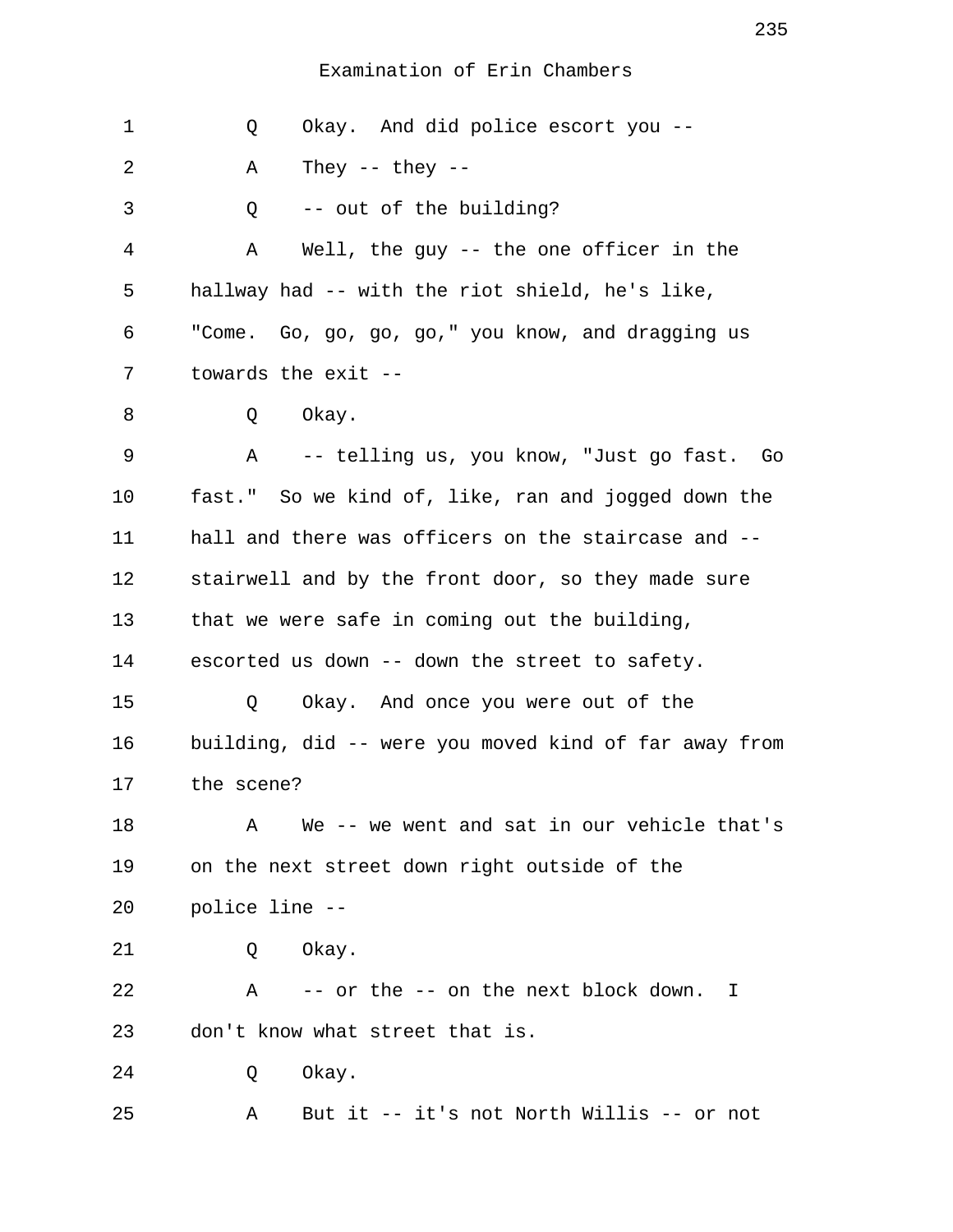| 1  | Okay. And did police escort you --<br>Q                    |
|----|------------------------------------------------------------|
| 2  | They -- they --<br>Α                                       |
| 3  | -- out of the building?<br>Q                               |
| 4  | Well, the guy -- the one officer in the<br>Α               |
| 5  | hallway had -- with the riot shield, he's like,            |
| 6  | "Come. Go, go, go, go," you know, and dragging us          |
| 7  | towards the exit --                                        |
| 8  | Okay.<br>Q                                                 |
| 9  | -- telling us, you know, "Just go fast.  Go<br>A           |
| 10 | fast." So we kind of, like, ran and jogged down the        |
| 11 | hall and there was officers on the staircase and --        |
| 12 | stairwell and by the front door, so they made sure         |
| 13 | that we were safe in coming out the building,              |
| 14 | escorted us down -- down the street to safety.             |
| 15 | Okay. And once you were out of the<br>Q                    |
| 16 | building, did -- were you moved kind of far away from      |
| 17 | the scene?                                                 |
| 18 | We -- we went and sat in our vehicle that's<br>A           |
| 19 | on the next street down right outside of the               |
| 20 | police line --                                             |
| 21 | Okay.<br>Q                                                 |
| 22 | $\mathbf{A}$<br>-- or the -- on the next block down.<br>T. |
| 23 | don't know what street that is.                            |
| 24 | Okay.<br>Q                                                 |
| 25 | But it -- it's not North Willis -- or not<br>Α             |

235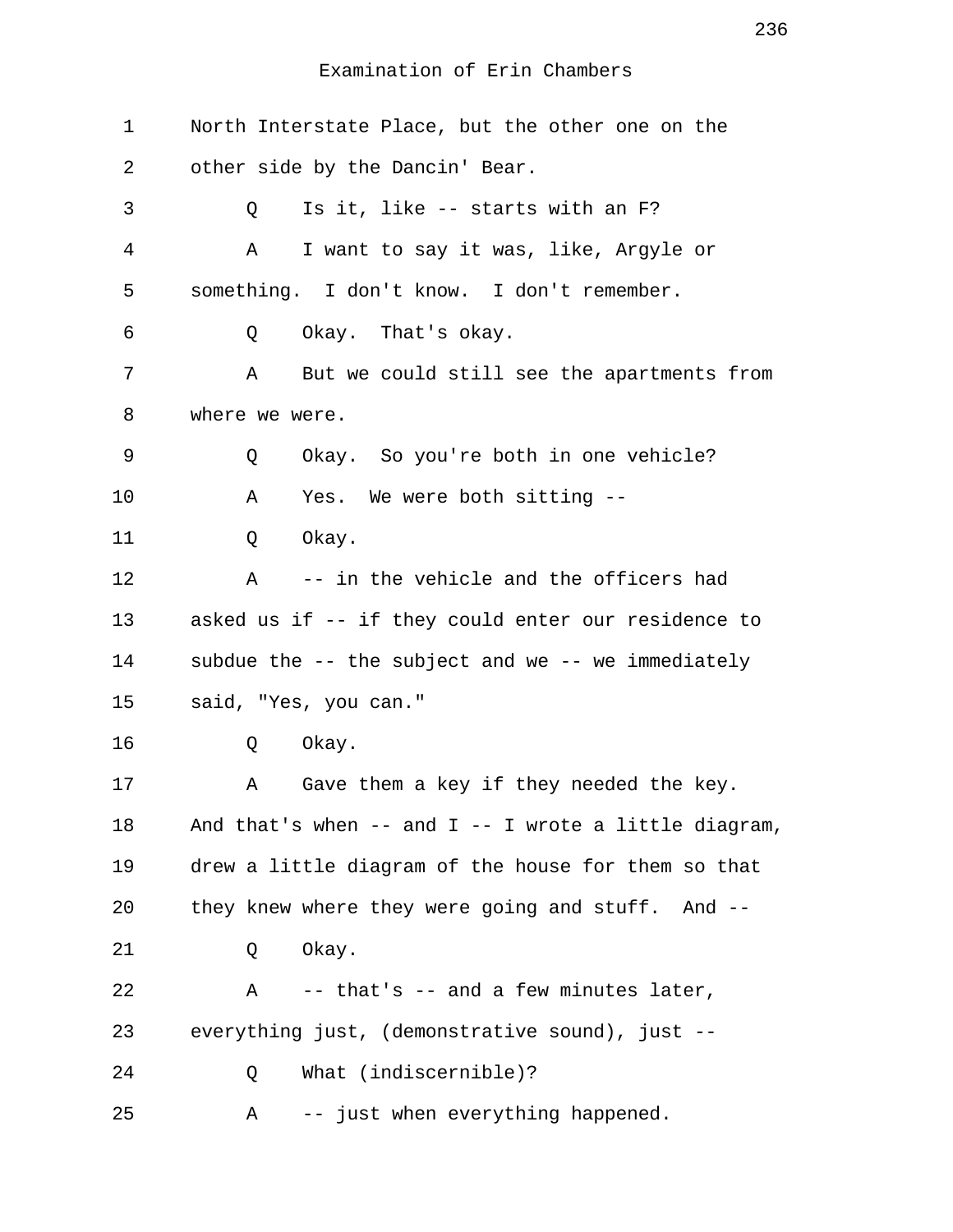| $\mathbf 1$ | North Interstate Place, but the other one on the        |
|-------------|---------------------------------------------------------|
| 2           | other side by the Dancin' Bear.                         |
| 3           | Is it, like -- starts with an F?<br>Q                   |
| 4           | Α<br>I want to say it was, like, Argyle or              |
| 5           | something. I don't know. I don't remember.              |
| 6           | Okay. That's okay.<br>Q                                 |
| 7           | But we could still see the apartments from<br>Α         |
| 8           | where we were.                                          |
| 9           | Okay. So you're both in one vehicle?<br>Q               |
| 10          | Yes. We were both sitting --<br>Α                       |
| 11          | Okay.<br>Q                                              |
| 12          | -- in the vehicle and the officers had<br>Α             |
| 13          | asked us if -- if they could enter our residence to     |
| 14          | subdue the -- the subject and we -- we immediately      |
| 15          | said, "Yes, you can."                                   |
| 16          | Okay.<br>Q                                              |
| 17          | Gave them a key if they needed the key.<br>Α            |
| 18          | And that's when -- and $I$ -- I wrote a little diagram, |
| 19          | drew a little diagram of the house for them so that     |
| 20          | they knew where they were going and stuff. And --       |
| 21          | Okay.<br>Q                                              |
| 22          | -- that's -- and a few minutes later,<br>A              |
| 23          | everything just, (demonstrative sound), just --         |
| 24          | What (indiscernible)?<br>Q                              |
| 25          | -- just when everything happened.<br>Α                  |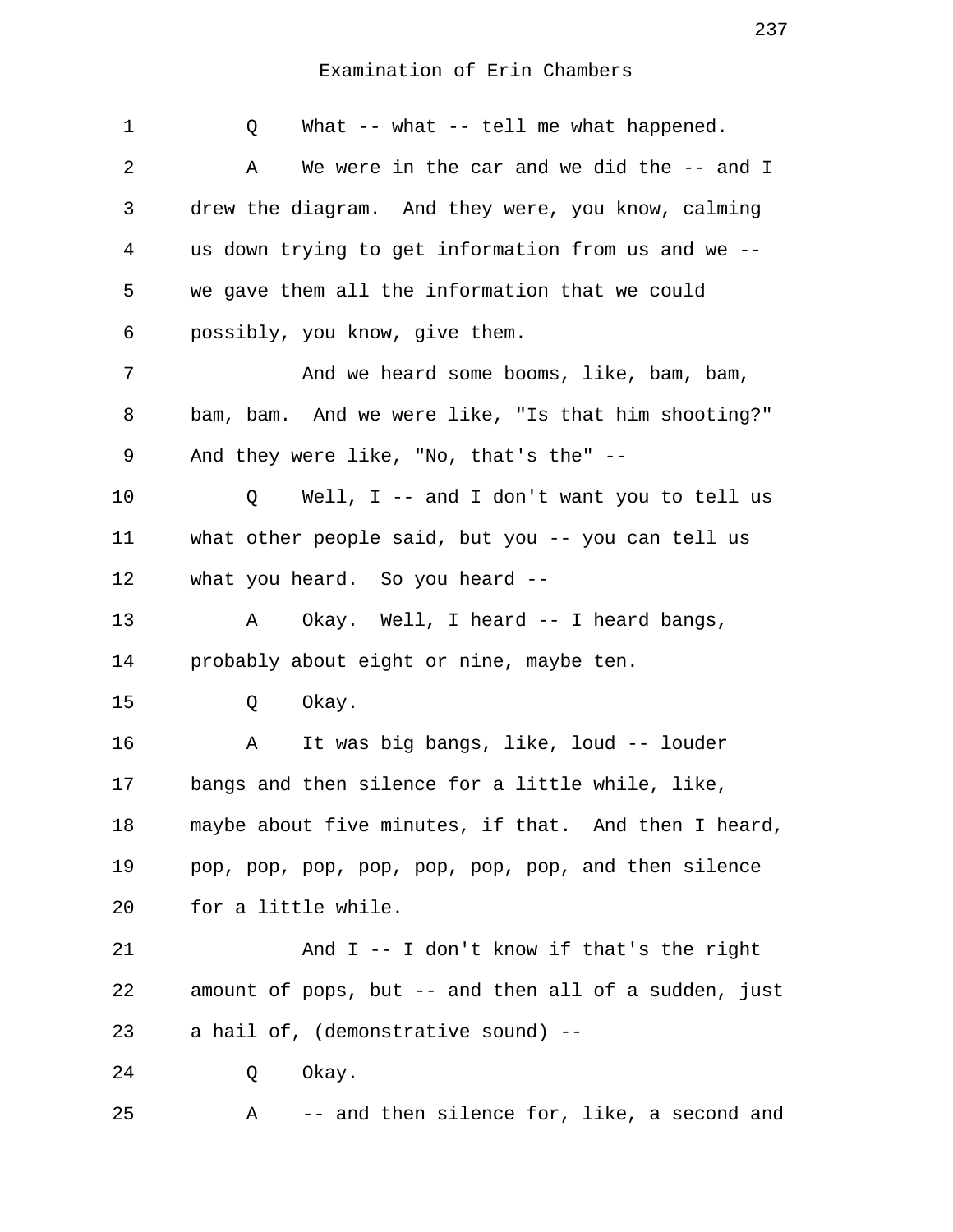| $\mathbf 1$ | What $--$ what $--$ tell me what happened.<br>Q             |
|-------------|-------------------------------------------------------------|
| 2           | We were in the car and we did the -- and I<br>Α             |
| 3           | drew the diagram. And they were, you know, calming          |
| 4           | us down trying to get information from us and we --         |
| 5           | we gave them all the information that we could              |
| 6           | possibly, you know, give them.                              |
| 7           | And we heard some booms, like, bam, bam,                    |
| 8           | bam, bam. And we were like, "Is that him shooting?"         |
| 9           | And they were like, "No, that's the" --                     |
| $10 \,$     | Well, I -- and I don't want you to tell us<br>Q             |
| 11          | what other people said, but you -- you can tell us          |
| 12          | what you heard. So you heard --                             |
| 13          | Okay. Well, I heard -- I heard bangs,<br>Α                  |
| 14          | probably about eight or nine, maybe ten.                    |
| 15          | Okay.<br>Q                                                  |
| 16          | It was big bangs, like, loud -- louder<br>Α                 |
| 17          | bangs and then silence for a little while, like,            |
| 18          | maybe about five minutes, if that. And then I heard,        |
| 19          | pop, pop, pop, pop, pop, pop, pop, and then silence         |
| 20          | for a little while.                                         |
| 21          | And I -- I don't know if that's the right                   |
| 22          | amount of pops, but -- and then all of a sudden, just       |
| 23          | a hail of, (demonstrative sound) --                         |
| 24          | Okay.<br>Q                                                  |
| 25          | -- and then silence for, like, a second and<br>$\mathbf{A}$ |

237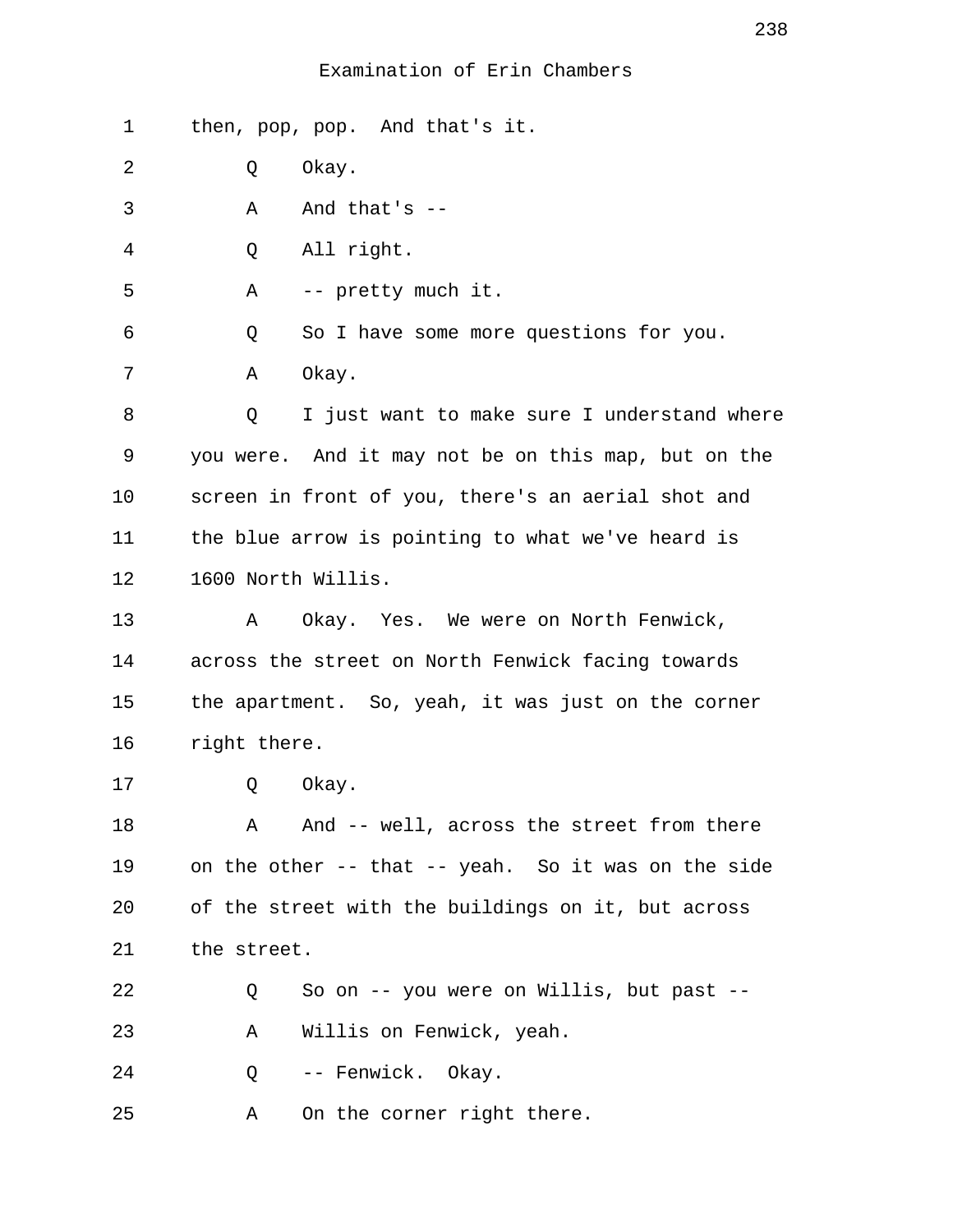1 then, pop, pop. And that's it.

2 Q Okay.

 $3 \qquad A \qquad And that's --$ 

4 Q All right.

5 A -- pretty much it.

6 Q So I have some more questions for you.

7 A Okay.

 8 Q I just want to make sure I understand where 9 you were. And it may not be on this map, but on the 10 screen in front of you, there's an aerial shot and 11 the blue arrow is pointing to what we've heard is 12 1600 North Willis.

13 A Okay. Yes. We were on North Fenwick, 14 across the street on North Fenwick facing towards 15 the apartment. So, yeah, it was just on the corner 16 right there.

17 0 Okay.

18 A And -- well, across the street from there 19 on the other -- that -- yeah. So it was on the side 20 of the street with the buildings on it, but across 21 the street.

22 Q So on -- you were on Willis, but past -- 23 A Willis on Fenwick, yeah.

24 0 -- Fenwick. Okay.

25 A On the corner right there.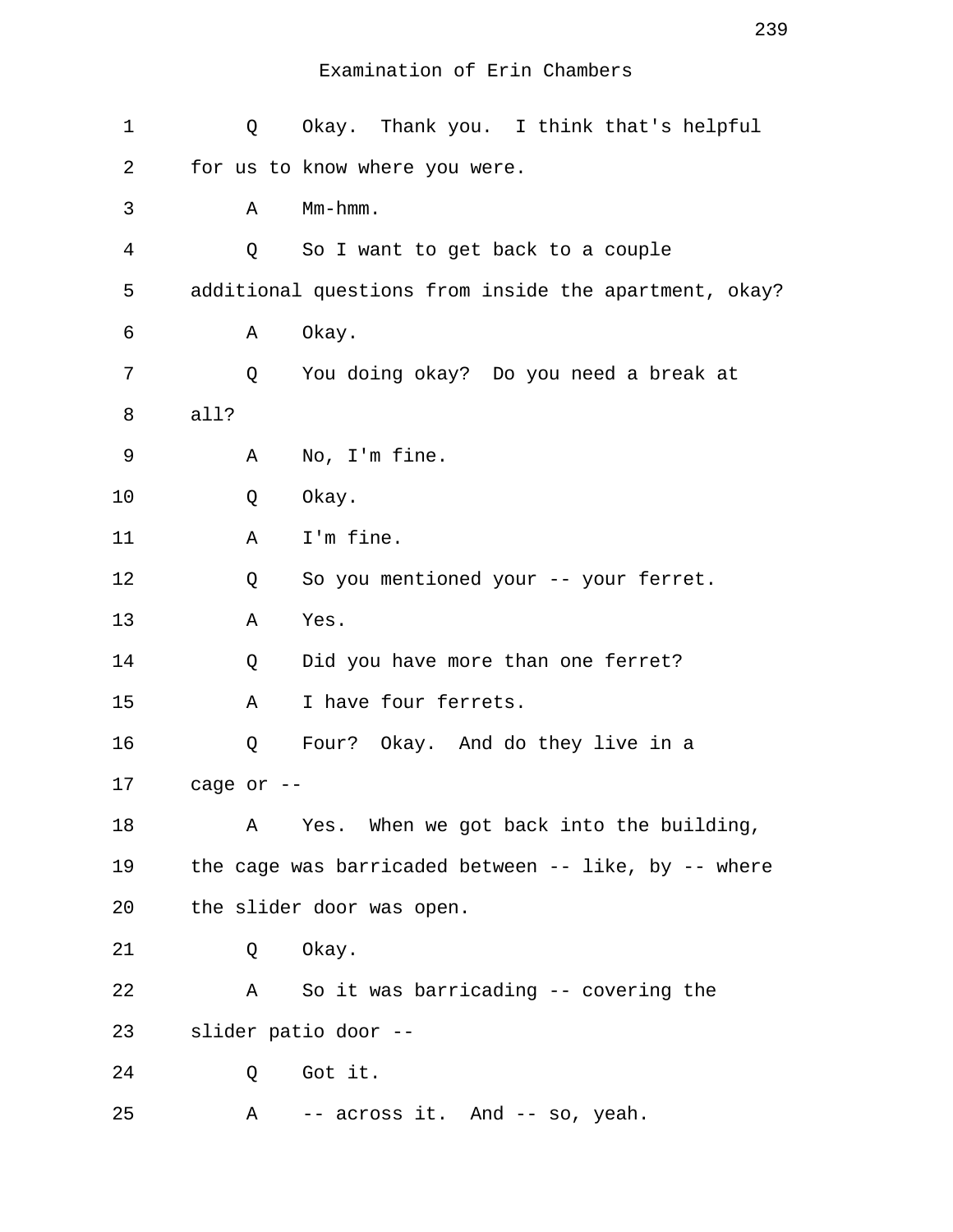| $\mathbf 1$ | Q          | Okay. Thank you. I think that's helpful                  |
|-------------|------------|----------------------------------------------------------|
| 2           |            | for us to know where you were.                           |
| 3           | Α          | $Mm-hmm$ .                                               |
| 4           | Q          | So I want to get back to a couple                        |
| 5           |            | additional questions from inside the apartment, okay?    |
| 6           | Α          | Okay.                                                    |
| 7           | Q          | You doing okay? Do you need a break at                   |
| 8           | all?       |                                                          |
| 9           | Α          | No, I'm fine.                                            |
| 10          | Q          | Okay.                                                    |
| 11          | Α          | I'm fine.                                                |
| 12          | Q          | So you mentioned your -- your ferret.                    |
| 13          | Α          | Yes.                                                     |
| 14          | Q          | Did you have more than one ferret?                       |
| 15          | Α          | I have four ferrets.                                     |
| 16          | Q          | Four? Okay. And do they live in a                        |
| 17          | cage or -- |                                                          |
| 18          | Α          | Yes. When we got back into the building,                 |
| 19          |            | the cage was barricaded between $--$ like, by $--$ where |
| 20          |            | the slider door was open.                                |
| 21          | Q          | Okay.                                                    |
| 22          | Α          | So it was barricading -- covering the                    |
| 23          |            | slider patio door --                                     |
| 24          | Q          | Got it.                                                  |
| 25          | Α          | -- across it. And -- so, yeah.                           |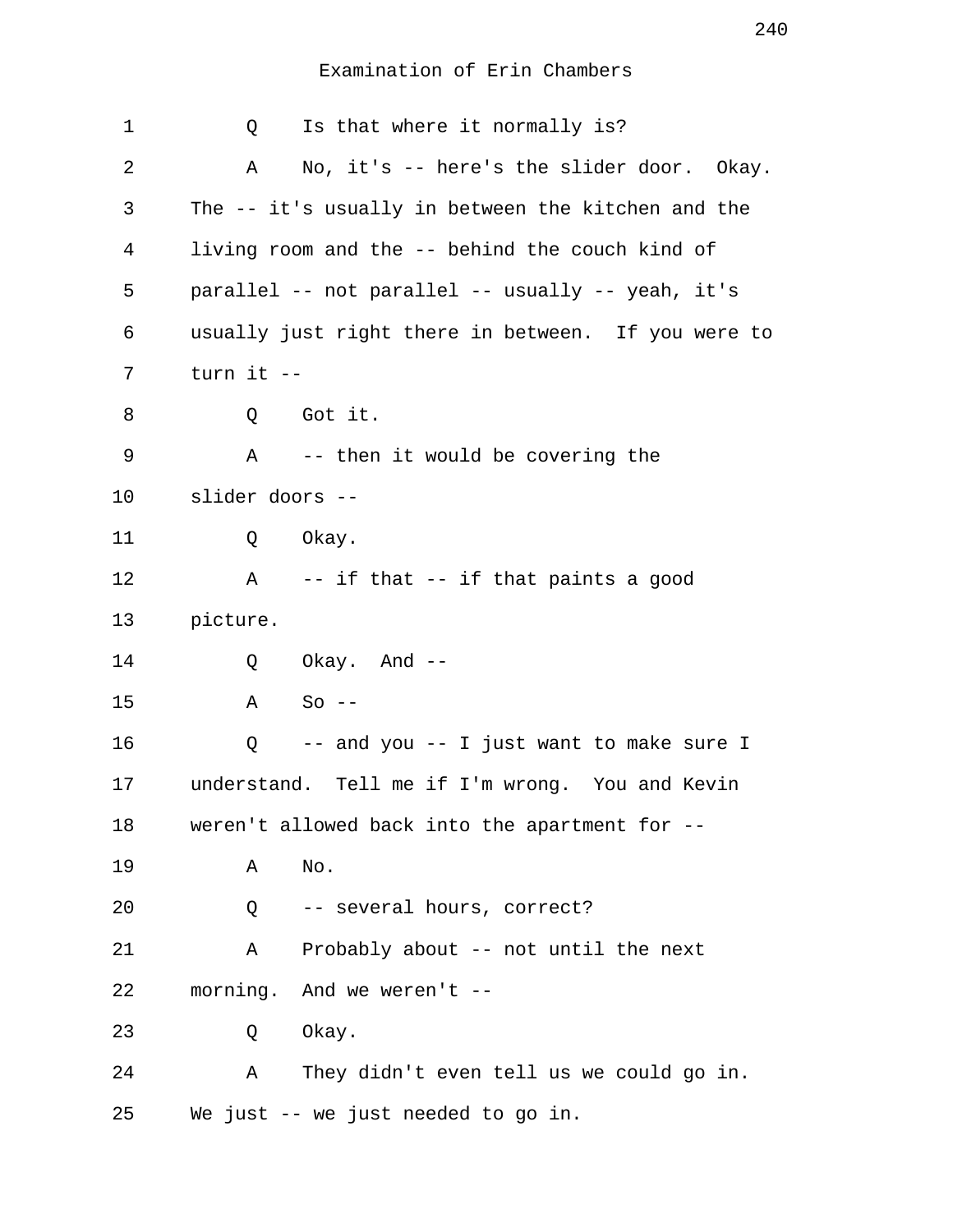| 1       | Is that where it normally is?<br>Q                  |
|---------|-----------------------------------------------------|
| 2       | No, it's -- here's the slider door. Okay.<br>Α      |
| 3       | The -- it's usually in between the kitchen and the  |
| 4       | living room and the -- behind the couch kind of     |
| 5       | parallel -- not parallel -- usually -- yeah, it's   |
| 6       | usually just right there in between. If you were to |
| 7       | turn it --                                          |
| 8       | Q Got it.                                           |
| 9       | Α<br>-- then it would be covering the               |
| $10 \,$ | slider doors --                                     |
| 11      | Okay.<br>Q                                          |
| 12      | $\mathbf{A}$<br>-- if that -- if that paints a good |
| 13      | picture.                                            |
| 14      | Okay. And --<br>Q                                   |
| 15      | Α<br>$So --$                                        |
| 16      | -- and you -- I just want to make sure I<br>Q       |
| 17      | understand. Tell me if I'm wrong. You and Kevin     |
| 18      | weren't allowed back into the apartment for --      |
| 19      | No.<br>Α                                            |
| 20      | -- several hours, correct?<br>Q                     |
| 21      | Probably about -- not until the next<br>Α           |
| 22      | morning. And we weren't --                          |
| 23      | Okay.<br>Q                                          |
| 24      | They didn't even tell us we could go in.<br>Α       |
| 25      | We just -- we just needed to go in.                 |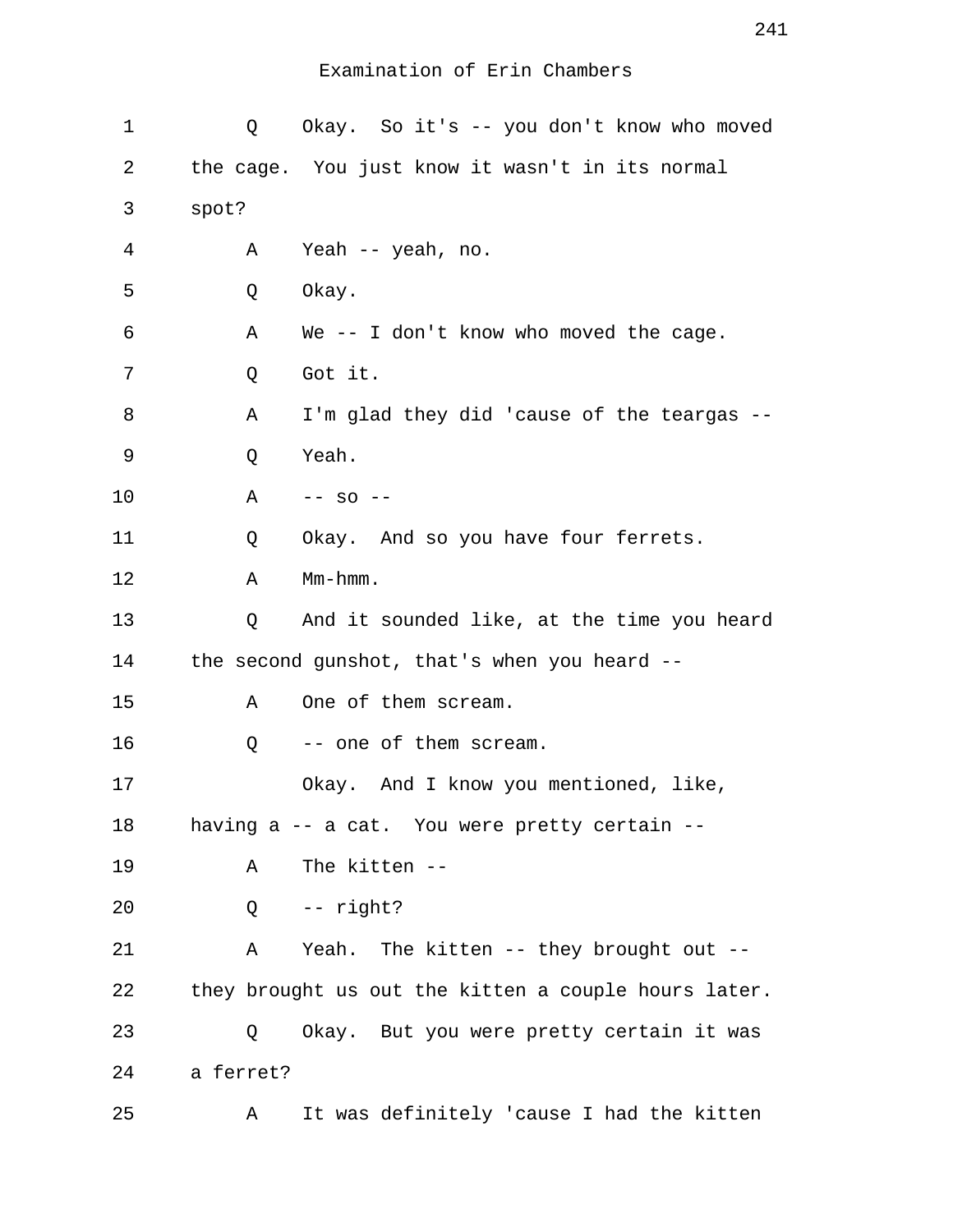| 1  | Q         | Okay. So it's -- you don't know who moved            |
|----|-----------|------------------------------------------------------|
| 2  |           | the cage. You just know it wasn't in its normal      |
| 3  | spot?     |                                                      |
| 4  | Α         | Yeah -- yeah, no.                                    |
| 5  | Q         | Okay.                                                |
| 6  | Α         | We -- I don't know who moved the cage.               |
| 7  | Q         | Got it.                                              |
| 8  | Α         | I'm glad they did 'cause of the teargas              |
| 9  | Q         | Yeah.                                                |
| 10 | Α         | $--$ SO $--$                                         |
| 11 | Q         | Okay. And so you have four ferrets.                  |
| 12 | Α         | $Mm-hmm.$                                            |
| 13 | Q         | And it sounded like, at the time you heard           |
| 14 |           | the second gunshot, that's when you heard --         |
| 15 | Α         | One of them scream.                                  |
| 16 | Q         | -- one of them scream.                               |
| 17 |           | Okay. And I know you mentioned, like,                |
| 18 |           | having a -- a cat. You were pretty certain --        |
| 19 | Α         | The kitten --                                        |
| 20 | Q         | -- right?                                            |
| 21 | Α         | Yeah. The kitten -- they brought out --              |
| 22 |           | they brought us out the kitten a couple hours later. |
| 23 | Q         | Okay. But you were pretty certain it was             |
| 24 | a ferret? |                                                      |
| 25 | Α         | It was definitely 'cause I had the kitten            |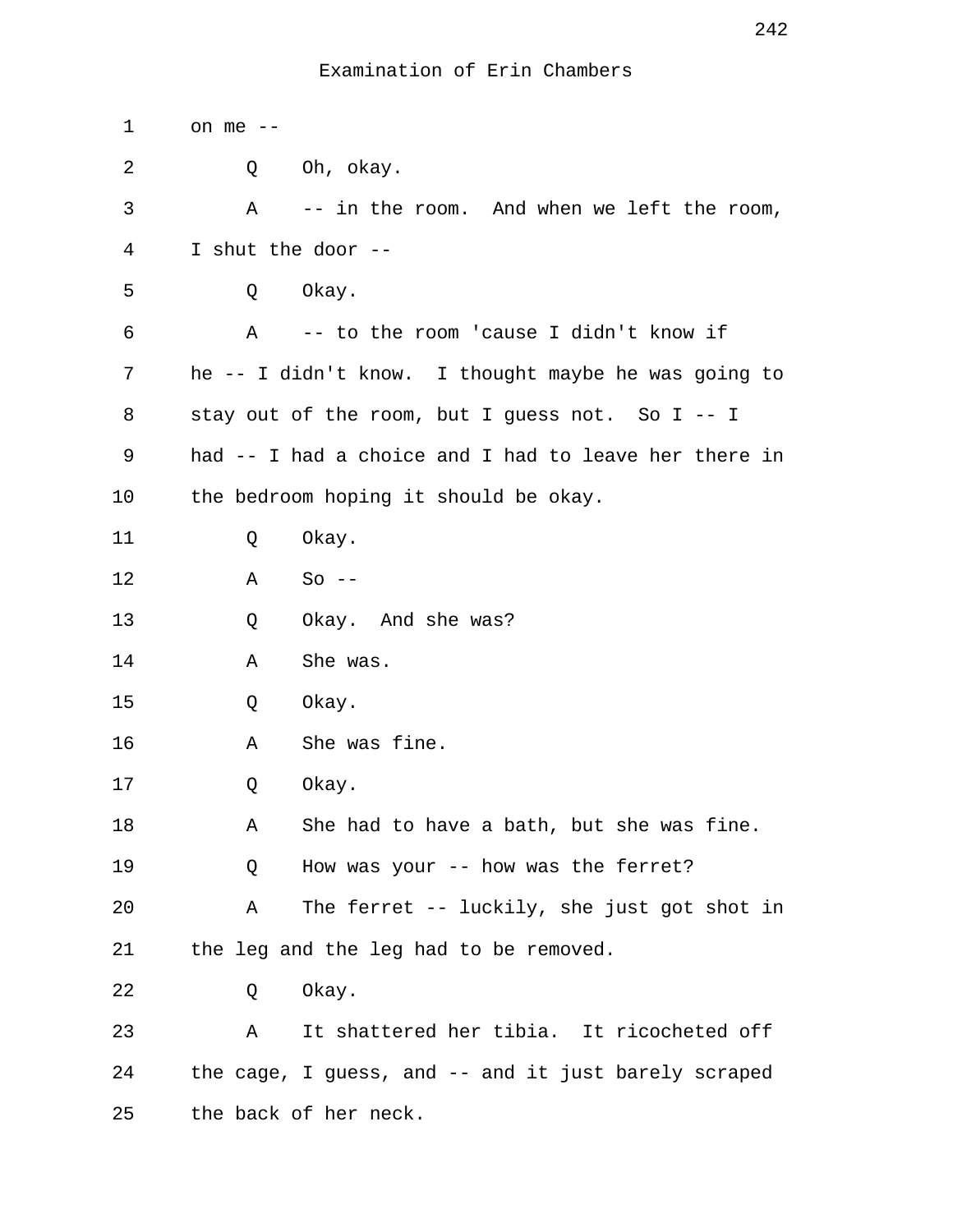| 1  | on me $--$                                            |
|----|-------------------------------------------------------|
| 2  | Oh, okay.<br>Q                                        |
| 3  | -- in the room. And when we left the room,<br>Α       |
| 4  | I shut the door --                                    |
| 5  | Okay.<br>Q                                            |
| 6  | Α<br>-- to the room 'cause I didn't know if           |
| 7  | he -- I didn't know. I thought maybe he was going to  |
| 8  | stay out of the room, but I guess not. So I -- I      |
| 9  | had -- I had a choice and I had to leave her there in |
| 10 | the bedroom hoping it should be okay.                 |
| 11 | Okay.<br>Q                                            |
| 12 | Α<br>$So --$                                          |
| 13 | Okay. And she was?<br>Q                               |
| 14 | She was.<br>Α                                         |
| 15 | Okay.<br>Q                                            |
| 16 | She was fine.<br>Α                                    |
| 17 | Okay.<br>Q                                            |
| 18 | She had to have a bath, but she was fine.<br>Α        |
| 19 | How was your -- how was the ferret?<br>Q              |
| 20 | The ferret -- luckily, she just got shot in<br>Α      |
| 21 | the leg and the leg had to be removed.                |
| 22 | Okay.<br>Q                                            |
| 23 | It shattered her tibia. It ricocheted off<br>Α        |
| 24 | the cage, I guess, and -- and it just barely scraped  |
| 25 | the back of her neck.                                 |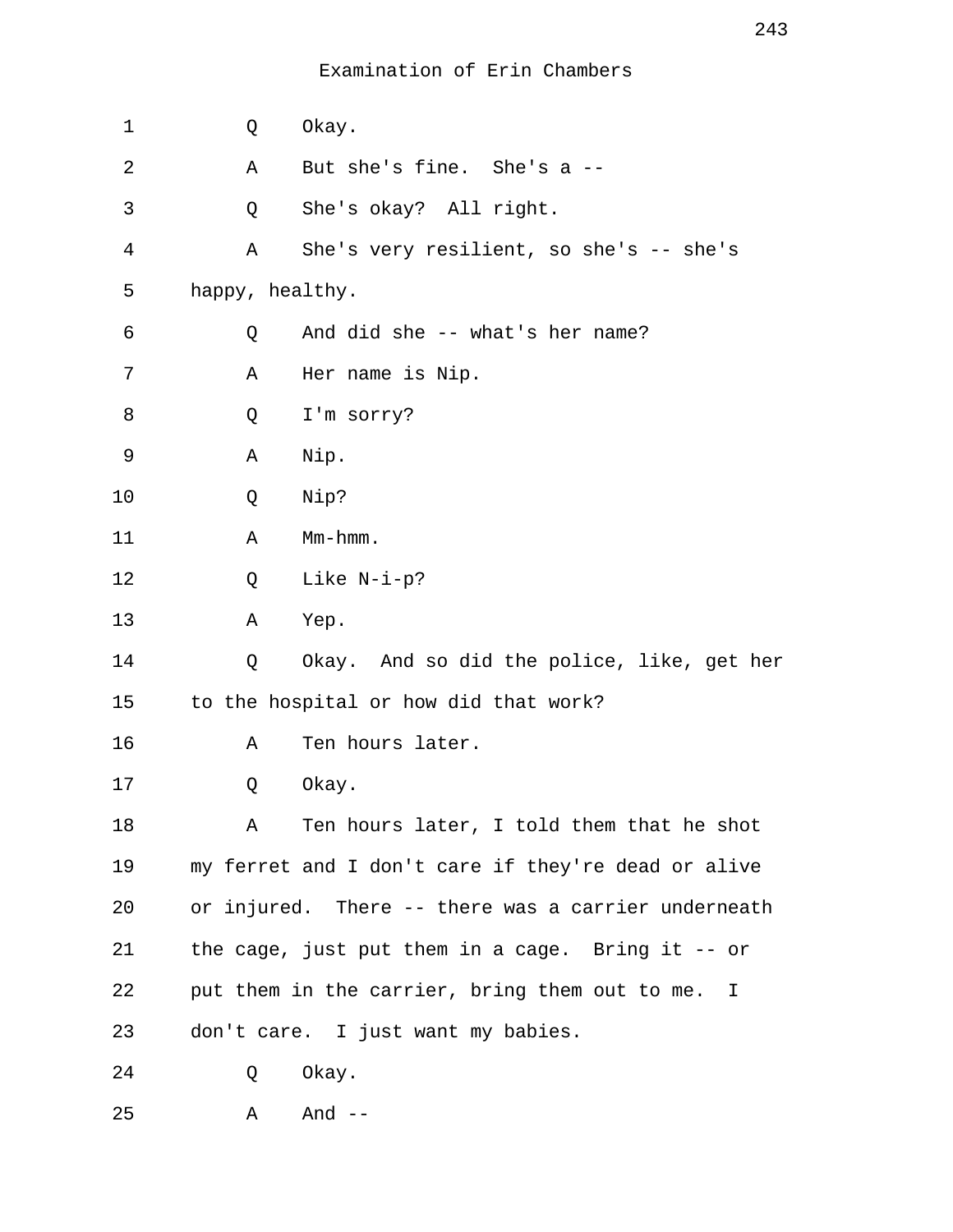| 1  | Q               | Okay.                                               |
|----|-----------------|-----------------------------------------------------|
| 2  | Α               | But she's fine. She's a --                          |
| 3  | Q               | She's okay? All right.                              |
| 4  | Α               | She's very resilient, so she's -- she's             |
| 5  | happy, healthy. |                                                     |
| 6  | Q               | And did she -- what's her name?                     |
| 7  | Α               | Her name is Nip.                                    |
| 8  | Q               | I'm sorry?                                          |
| 9  | Α               | Nip.                                                |
| 10 | Q               | Nip?                                                |
| 11 | Α               | Mm-hmm.                                             |
| 12 | Q               | Like N-i-p?                                         |
| 13 | Α               | Yep.                                                |
| 14 | Q               | Okay. And so did the police, like, get her          |
| 15 |                 | to the hospital or how did that work?               |
| 16 | Α               | Ten hours later.                                    |
| 17 | Q               | Okay.                                               |
| 18 | Α               | Ten hours later, I told them that he shot           |
| 19 |                 | my ferret and I don't care if they're dead or alive |
| 20 |                 | or injured. There -- there was a carrier underneath |
| 21 |                 | the cage, just put them in a cage. Bring it $-$ or  |
| 22 |                 | put them in the carrier, bring them out to me. I    |
| 23 |                 | don't care. I just want my babies.                  |
| 24 | Q               | Okay.                                               |
| 25 | Α               | And $--$                                            |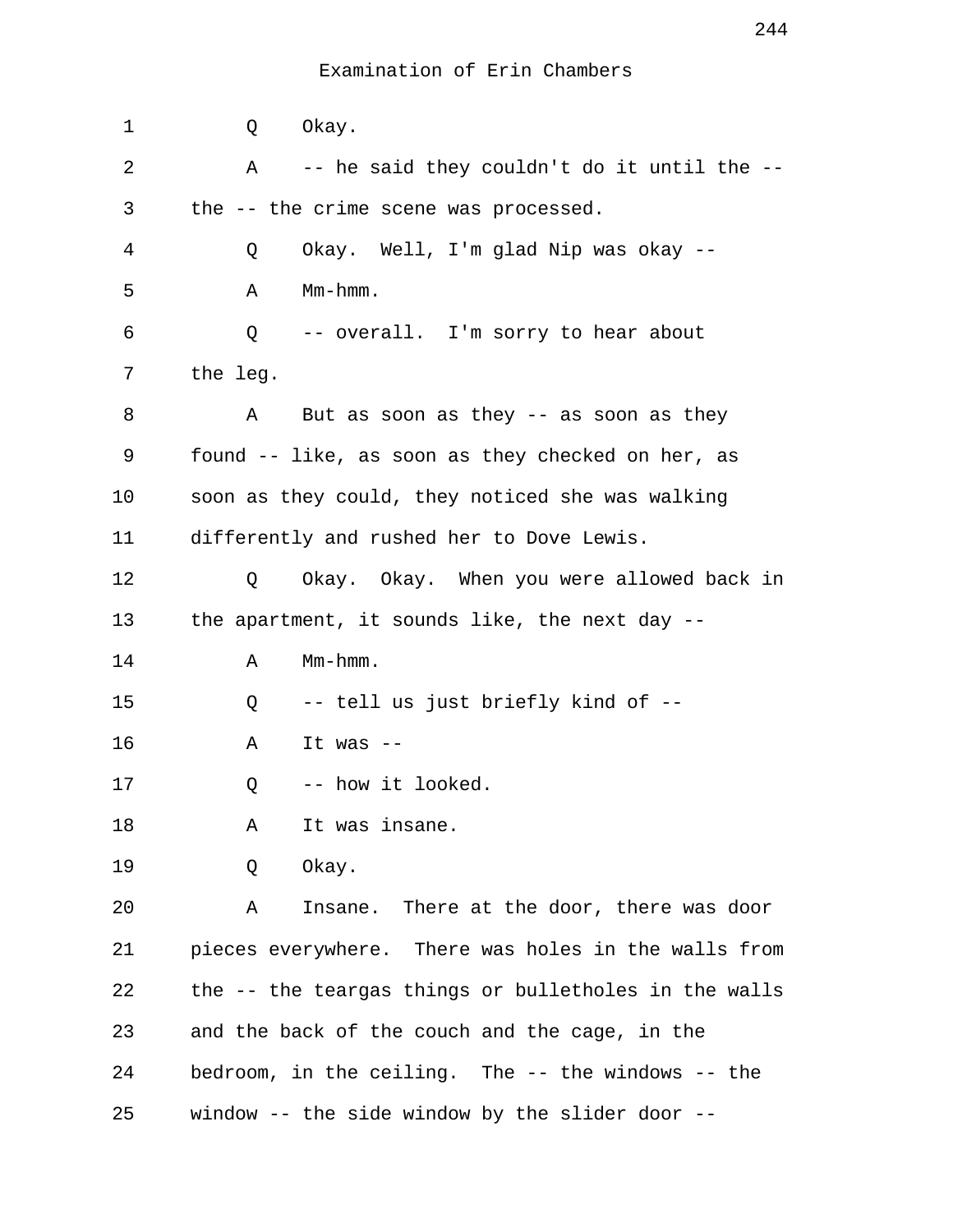1 Q Okay. 2 A -- he said they couldn't do it until the -- 3 the -- the crime scene was processed. 4 Q Okay. Well, I'm glad Nip was okay -- 5 A Mm-hmm. 6 Q -- overall. I'm sorry to hear about 7 the leg. 8 A But as soon as they -- as soon as they 9 found -- like, as soon as they checked on her, as 10 soon as they could, they noticed she was walking 11 differently and rushed her to Dove Lewis. 12 Q Okay. Okay. When you were allowed back in 13 the apartment, it sounds like, the next day -- 14 A Mm-hmm. 15 Q -- tell us just briefly kind of -- 16 A It was -- 17 0 -- how it looked. 18 A It was insane. 19 Q Okay. 20 A Insane. There at the door, there was door 21 pieces everywhere. There was holes in the walls from 22 the -- the teargas things or bulletholes in the walls 23 and the back of the couch and the cage, in the 24 bedroom, in the ceiling. The -- the windows -- the 25 window -- the side window by the slider door --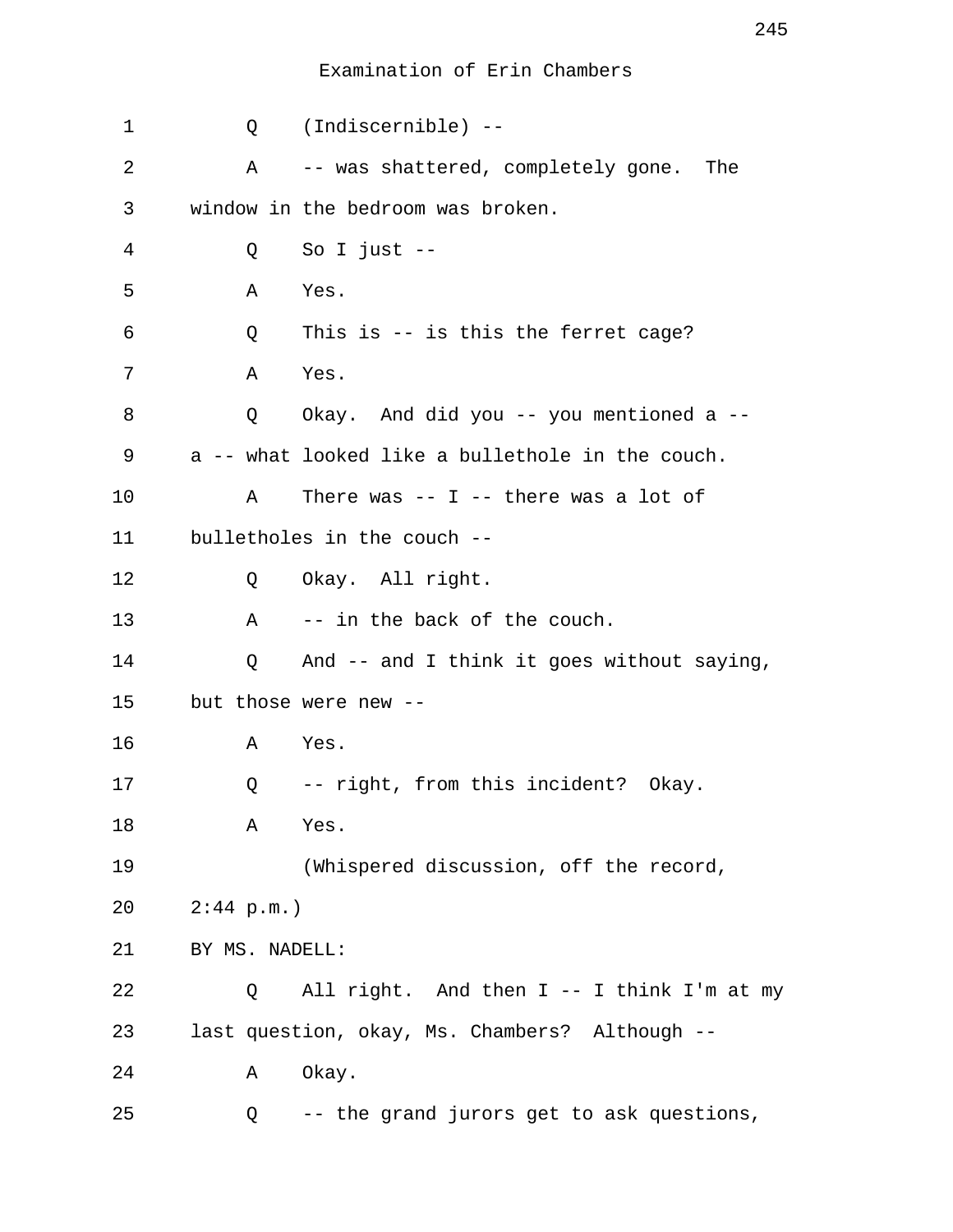| 1  | Q              | (Indiscernible) --                               |
|----|----------------|--------------------------------------------------|
| 2  | Α              | -- was shattered, completely gone. The           |
| 3  |                | window in the bedroom was broken.                |
| 4  | Q              | So I just $-$                                    |
| 5  | Α              | Yes.                                             |
| 6  | Q              | This is $-$ is this the ferret cage?             |
| 7  | Α              | Yes.                                             |
| 8  | Q              | Okay. And did you -- you mentioned a --          |
| 9  |                | a -- what looked like a bullethole in the couch. |
| 10 | Α              | There was $--$ I $--$ there was a lot of         |
| 11 |                | bulletholes in the couch --                      |
| 12 | Q              | Okay. All right.                                 |
| 13 | $\mathbf{A}$   | -- in the back of the couch.                     |
| 14 | Q              | And -- and I think it goes without saying,       |
| 15 |                | but those were new --                            |
| 16 | A Yes.         |                                                  |
| 17 | Q              | -- right, from this incident? Okay.              |
| 18 | Α              | Yes.                                             |
| 19 |                | (Whispered discussion, off the record,           |
| 20 | $2:44$ p.m.)   |                                                  |
| 21 | BY MS. NADELL: |                                                  |
| 22 | Q              | All right. And then I -- I think I'm at my       |
| 23 |                | last question, okay, Ms. Chambers? Although --   |
| 24 | Α              | Okay.                                            |
| 25 | Q              | -- the grand jurors get to ask questions,        |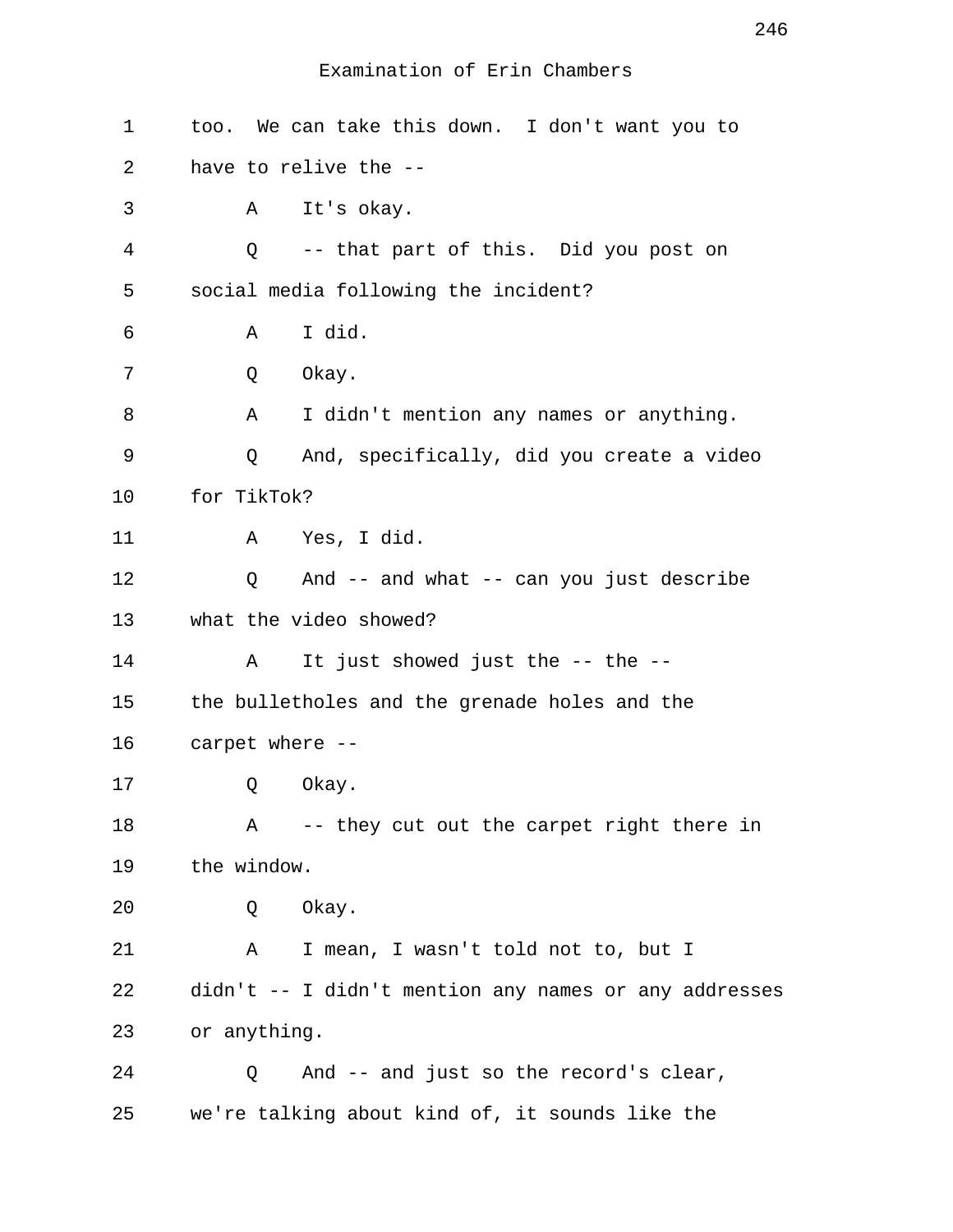| 1  | too. We can take this down. I don't want you to       |
|----|-------------------------------------------------------|
| 2  | have to relive the --                                 |
| 3  | A It's okay.                                          |
| 4  | -- that part of this. Did you post on<br>Q            |
| 5  | social media following the incident?                  |
| 6  | I did.<br>Α                                           |
| 7  | Okay.<br>Q                                            |
| 8  | I didn't mention any names or anything.<br>Α          |
| 9  | Q<br>And, specifically, did you create a video        |
| 10 | for TikTok?                                           |
| 11 | A Yes, I did.                                         |
| 12 | And -- and what -- can you just describe<br>Q         |
| 13 | what the video showed?                                |
| 14 | It just showed just the -- the --<br>Α                |
| 15 | the bulletholes and the grenade holes and the         |
| 16 | carpet where --                                       |
| 17 | Q<br>Okay.                                            |
| 18 | -- they cut out the carpet right there in<br>Α        |
| 19 | the window.                                           |
| 20 | Okay.<br>Q                                            |
| 21 | I mean, I wasn't told not to, but I<br>Α              |
| 22 | didn't -- I didn't mention any names or any addresses |
| 23 | or anything.                                          |
| 24 | And -- and just so the record's clear,<br>Q           |
| 25 | we're talking about kind of, it sounds like the       |

246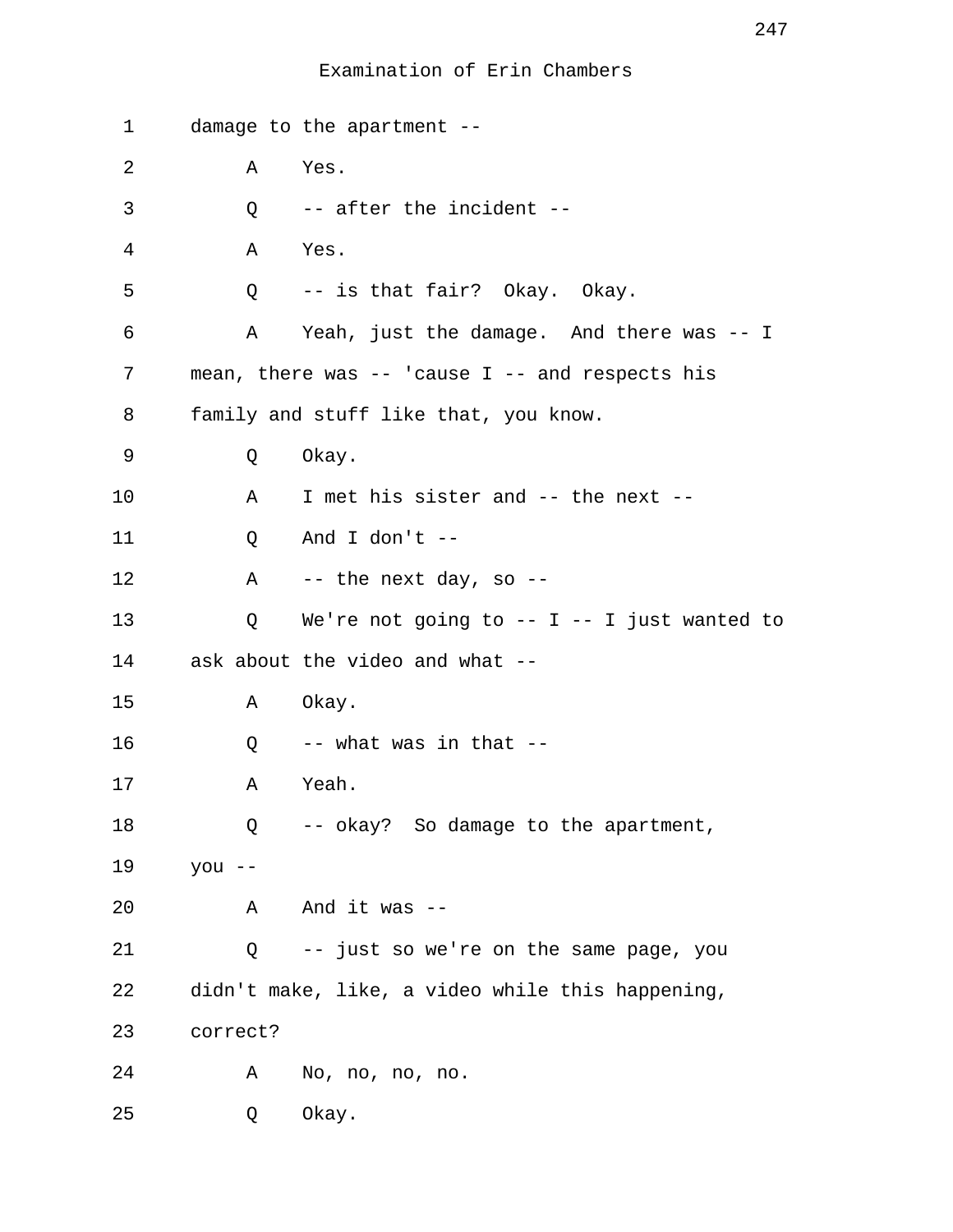| 1  |          | damage to the apartment --                          |
|----|----------|-----------------------------------------------------|
| 2  | Α        | Yes.                                                |
| 3  | Q        | -- after the incident --                            |
| 4  | Α        | Yes.                                                |
| 5  | Q        | -- is that fair? Okay. Okay.                        |
| 6  | A        | Yeah, just the damage. And there was -- I           |
| 7  |          | mean, there was $--$ 'cause I $--$ and respects his |
| 8  |          | family and stuff like that, you know.               |
| 9  | Q        | Okay.                                               |
| 10 | Α        | I met his sister and -- the next --                 |
| 11 | Q        | And I don't --                                      |
| 12 |          | A -- the next day, so --                            |
| 13 | Q        | We're not going to $--$ I $--$ I just wanted to     |
| 14 |          | ask about the video and what --                     |
| 15 | Α        | Okay.                                               |
| 16 | Q        | -- what was in that --                              |
| 17 | Α        | Yeah.                                               |
| 18 | Q        | -- okay? So damage to the apartment,                |
| 19 | you --   |                                                     |
| 20 | Α        | And it was $-$                                      |
| 21 | Q        | -- just so we're on the same page, you              |
| 22 |          | didn't make, like, a video while this happening,    |
| 23 | correct? |                                                     |
| 24 | Α        | No, no, no, no.                                     |
| 25 | Q        | Okay.                                               |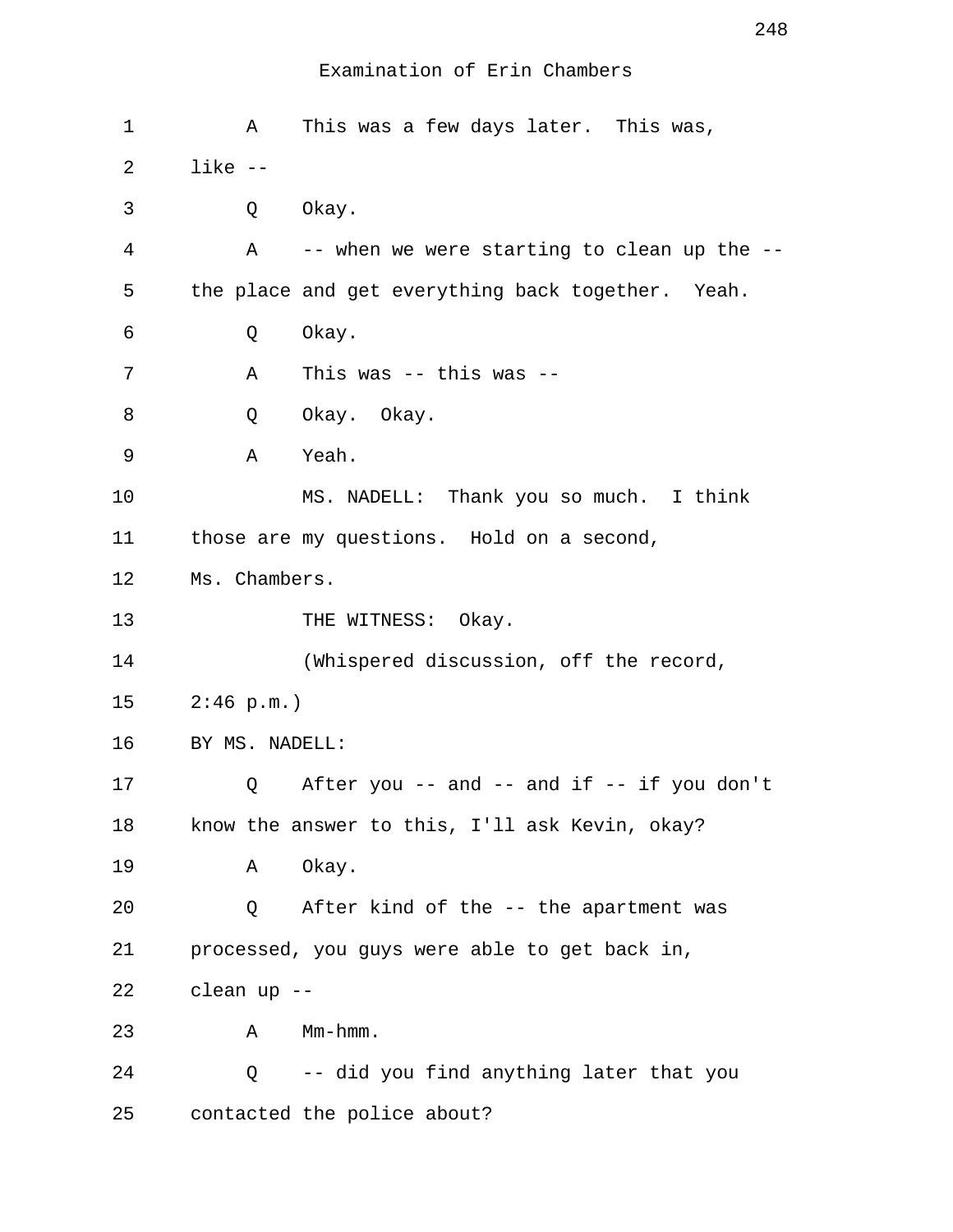| 1  | Α              | This was a few days later. This was,              |
|----|----------------|---------------------------------------------------|
| 2  | $like - -$     |                                                   |
| 3  | Q              | Okay.                                             |
| 4  | A              | -- when we were starting to clean up the --       |
| 5  |                | the place and get everything back together. Yeah. |
| 6  | Q              | Okay.                                             |
| 7  | Α              | This was $--$ this was $--$                       |
| 8  | Q              | Okay. Okay.                                       |
| 9  | Α              | Yeah.                                             |
| 10 |                | MS. NADELL: Thank you so much. I think            |
| 11 |                | those are my questions. Hold on a second,         |
| 12 | Ms. Chambers.  |                                                   |
| 13 |                | THE WITNESS: Okay.                                |
| 14 |                | (Whispered discussion, off the record,            |
| 15 | 2:46 p.m.      |                                                   |
| 16 | BY MS. NADELL: |                                                   |
| 17 | Q              | After you -- and -- and if -- if you don't        |
| 18 |                | know the answer to this, I'll ask Kevin, okay?    |
| 19 | Α              | Okay.                                             |
| 20 | Q              | After kind of the -- the apartment was            |
| 21 |                | processed, you guys were able to get back in,     |
| 22 | clean up --    |                                                   |
| 23 | Α              | Mm-hmm.                                           |
| 24 | Q              | -- did you find anything later that you           |
| 25 |                | contacted the police about?                       |

248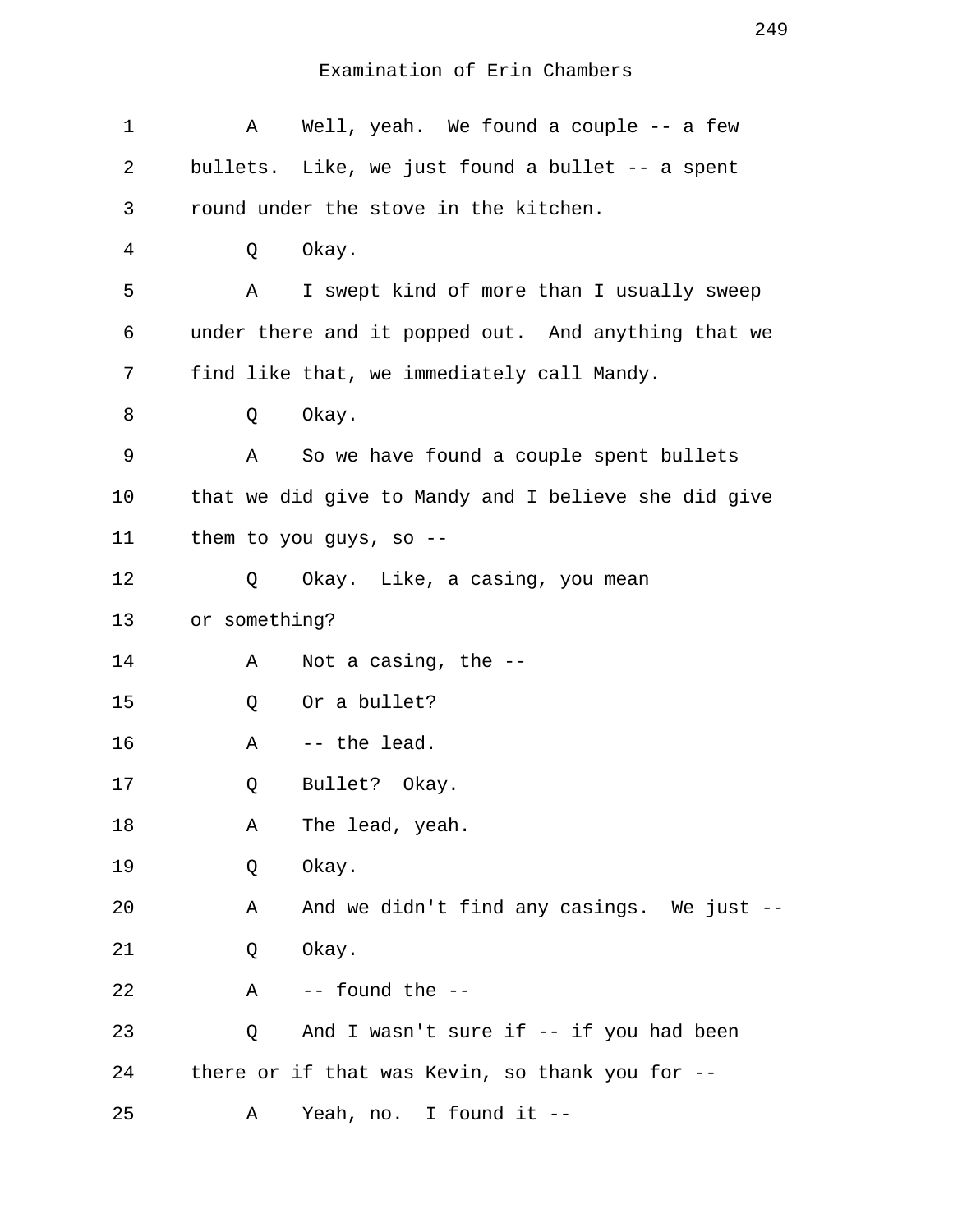| 1              | Α             | Well, yeah. We found a couple -- a few               |
|----------------|---------------|------------------------------------------------------|
| 2              |               | bullets. Like, we just found a bullet -- a spent     |
| 3              |               | round under the stove in the kitchen.                |
| $\overline{4}$ | Q             | Okay.                                                |
| 5              | A             | I swept kind of more than I usually sweep            |
| 6              |               | under there and it popped out. And anything that we  |
| 7              |               | find like that, we immediately call Mandy.           |
| 8              | Q             | Okay.                                                |
| 9              | Α             | So we have found a couple spent bullets              |
| 10             |               | that we did give to Mandy and I believe she did give |
| 11             |               | them to you guys, so --                              |
| 12             | Q             | Okay. Like, a casing, you mean                       |
| 13             | or something? |                                                      |
| 14             | Α             | Not a casing, the --                                 |
| 15             | Q             | Or a bullet?                                         |
| 16             | Α             | -- the lead.                                         |
| 17             | Q             | Bullet? Okay.                                        |
| 18             | Α             | The lead, yeah.                                      |
| 19             | Q             | Okay.                                                |
| 20             | Α             | And we didn't find any casings. We just --           |
| 21             | Q             | Okay.                                                |
| 22             | Α             | -- found the --                                      |
| 23             | Q             | And I wasn't sure if -- if you had been              |
| 24             |               | there or if that was Kevin, so thank you for --      |
| 25             | Α             | Yeah, no. I found it --                              |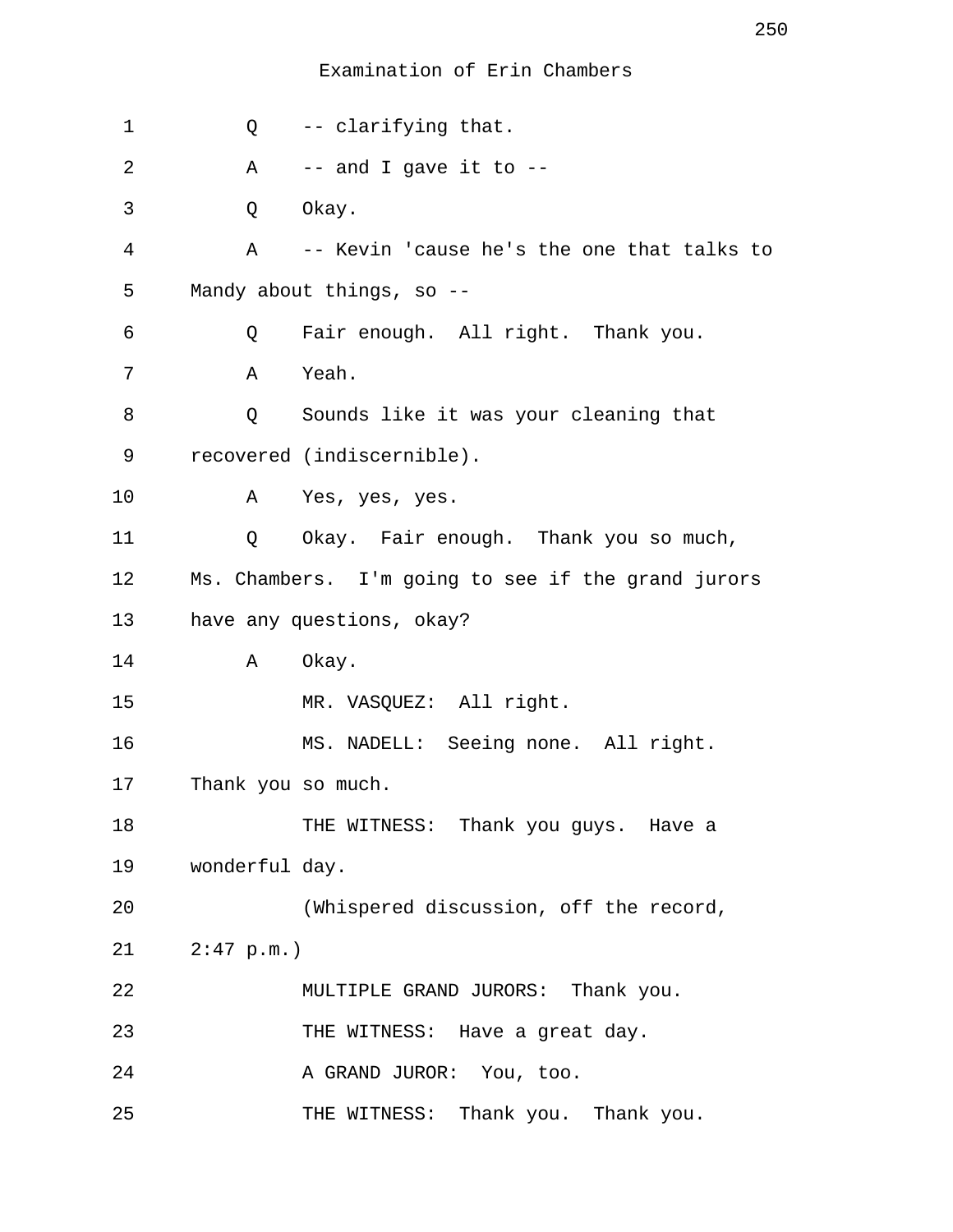| 1  | $Q \qquad \qquad$  | -- clarifying that.                                |
|----|--------------------|----------------------------------------------------|
| 2  | A                  | $--$ and I gave it to $--$                         |
| 3  | Q                  | Okay.                                              |
| 4  | Α                  | -- Kevin 'cause he's the one that talks to         |
| 5  |                    | Mandy about things, so --                          |
| 6  | Q                  | Fair enough. All right. Thank you.                 |
| 7  | Α                  | Yeah.                                              |
| 8  | Q                  | Sounds like it was your cleaning that              |
| 9  |                    | recovered (indiscernible).                         |
| 10 |                    | A Yes, yes, yes.                                   |
| 11 | Q                  | Okay. Fair enough. Thank you so much,              |
| 12 |                    | Ms. Chambers. I'm going to see if the grand jurors |
| 13 |                    | have any questions, okay?                          |
| 14 | Α                  | Okay.                                              |
| 15 |                    | MR. VASQUEZ: All right.                            |
| 16 |                    | MS. NADELL: Seeing none. All right.                |
| 17 | Thank you so much. |                                                    |
| 18 |                    | THE WITNESS: Thank you guys. Have a                |
| 19 | wonderful day.     |                                                    |
| 20 |                    | (Whispered discussion, off the record,             |
| 21 | $2:47$ p.m.)       |                                                    |
| 22 |                    | MULTIPLE GRAND JURORS: Thank you.                  |
| 23 |                    | THE WITNESS: Have a great day.                     |
| 24 |                    | A GRAND JUROR: You, too.                           |
| 25 |                    | THE WITNESS: Thank you. Thank you.                 |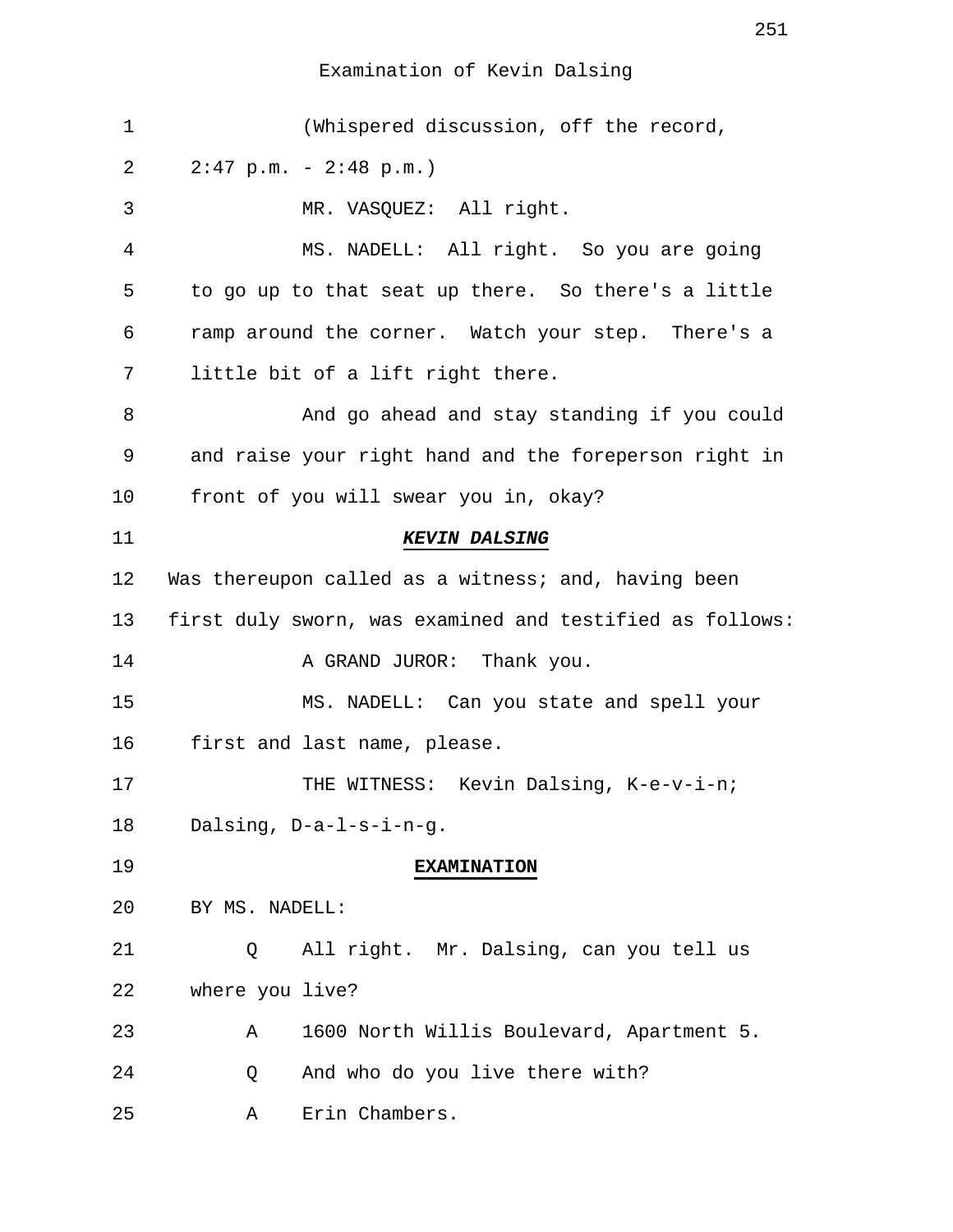# Examination of Kevin Dalsing

| $\mathbf 1$ | (Whispered discussion, off the record,                   |
|-------------|----------------------------------------------------------|
| 2           | $2:47$ p.m. - $2:48$ p.m.)                               |
| 3           | MR. VASQUEZ: All right.                                  |
| 4           | MS. NADELL: All right. So you are going                  |
| 5           | to go up to that seat up there. So there's a little      |
| 6           | ramp around the corner. Watch your step. There's a       |
| 7           | little bit of a lift right there.                        |
| 8           | And go ahead and stay standing if you could              |
| 9           | and raise your right hand and the foreperson right in    |
| 10          | front of you will swear you in, okay?                    |
| 11          | <b>KEVIN DALSING</b>                                     |
| 12          | Was thereupon called as a witness; and, having been      |
| 13          | first duly sworn, was examined and testified as follows: |
| 14          | A GRAND JUROR: Thank you.                                |
| 15          | MS. NADELL: Can you state and spell your                 |
| 16          | first and last name, please.                             |
| 17          | THE WITNESS: Kevin Dalsing, K-e-v-i-n;                   |
| 18          | Dalsing, D-a-l-s-i-n-g.                                  |
| 19          | <b>EXAMINATION</b>                                       |
| 20          | BY MS. NADELL:                                           |
| 21          | All right. Mr. Dalsing, can you tell us<br>O.            |
| 22          | where you live?                                          |
| 23          | 1600 North Willis Boulevard, Apartment 5.<br>Α           |
| 24          | And who do you live there with?<br>Q                     |
| 25          | Erin Chambers.<br>Α                                      |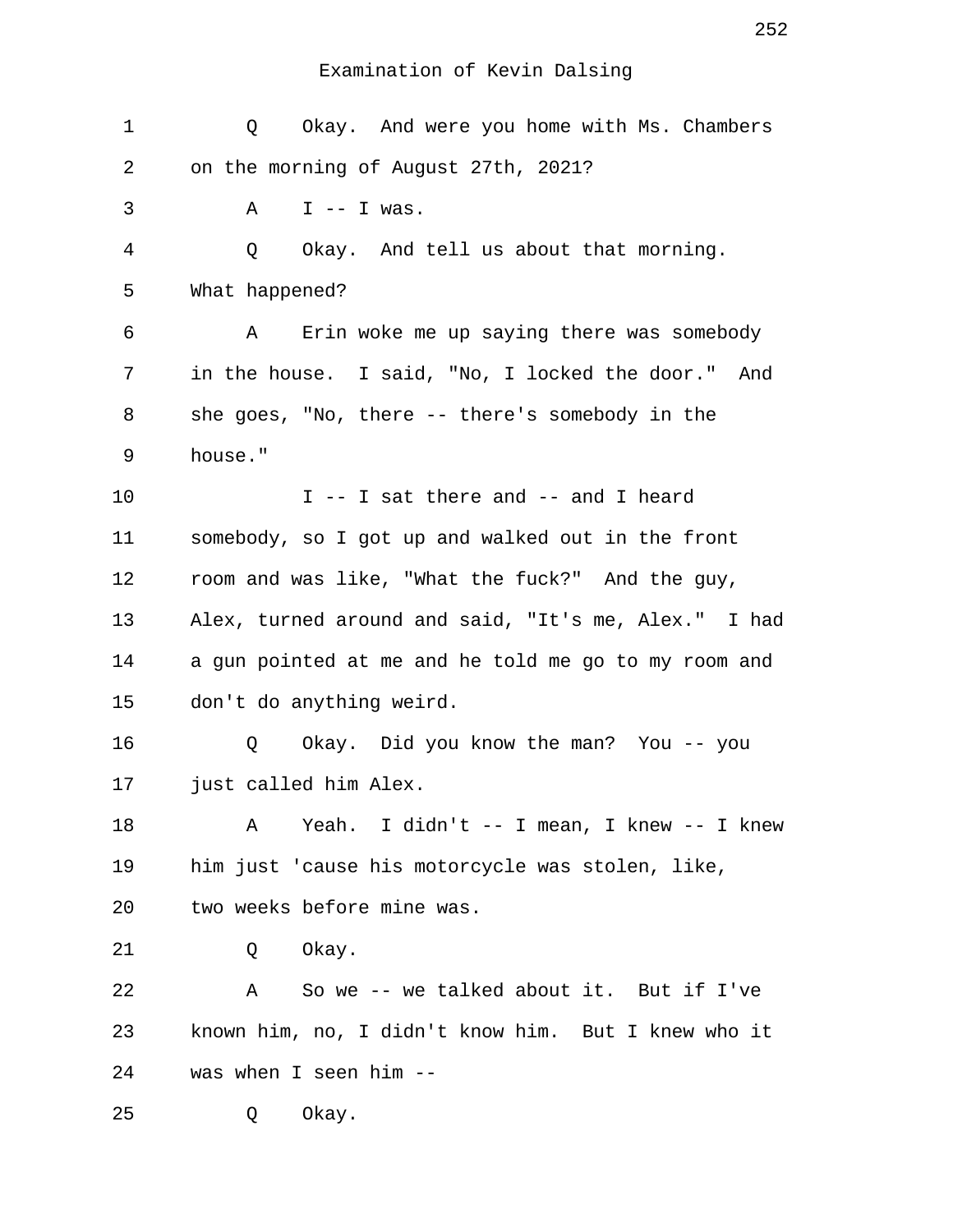Examination of Kevin Dalsing

 1 Q Okay. And were you home with Ms. Chambers 2 on the morning of August 27th, 2021?  $3 \qquad A \qquad I \qquad - \qquad I \text{ was.}$  4 Q Okay. And tell us about that morning. 5 What happened? 6 A Erin woke me up saying there was somebody 7 in the house. I said, "No, I locked the door." And 8 she goes, "No, there -- there's somebody in the 9 house." 10 I -- I sat there and -- and I heard 11 somebody, so I got up and walked out in the front 12 room and was like, "What the fuck?" And the guy, 13 Alex, turned around and said, "It's me, Alex." I had 14 a gun pointed at me and he told me go to my room and 15 don't do anything weird. 16 Q Okay. Did you know the man? You -- you 17 just called him Alex. 18 A Yeah. I didn't -- I mean, I knew -- I knew 19 him just 'cause his motorcycle was stolen, like, 20 two weeks before mine was. 21 Q Okay. 22 A So we -- we talked about it. But if I've 23 known him, no, I didn't know him. But I knew who it 24 was when I seen him -- 25 Q Okay.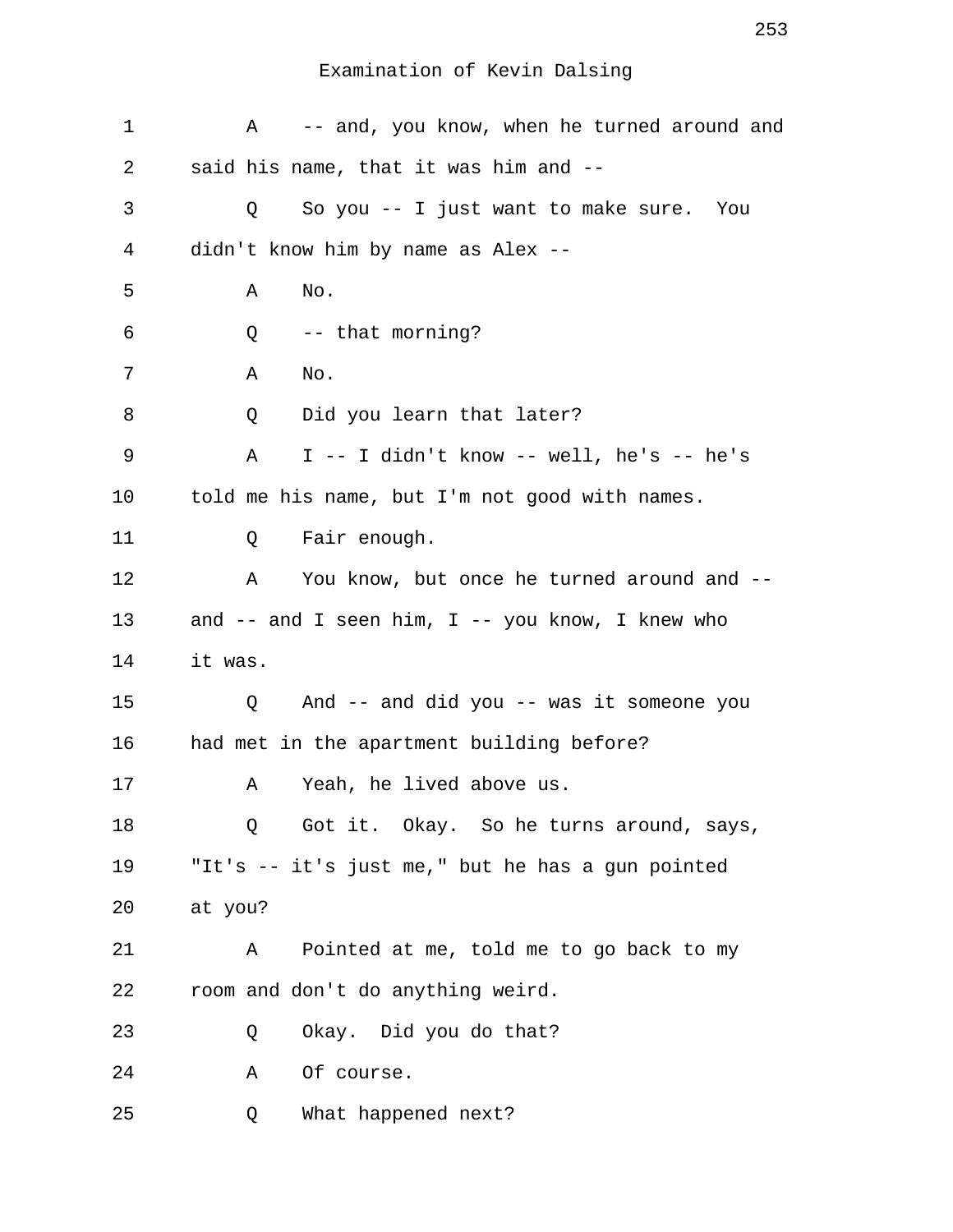| 1  | -- and, you know, when he turned around and<br>Α     |
|----|------------------------------------------------------|
| 2  | said his name, that it was him and --                |
| 3  | So you -- I just want to make sure. You<br>Q         |
| 4  | didn't know him by name as Alex --                   |
| 5  | Α<br>No.                                             |
| 6  | -- that morning?<br>Q                                |
| 7  | Α<br>No.                                             |
| 8  | Did you learn that later?<br>Q                       |
| 9  | $I$ -- I didn't know -- well, he's -- he's<br>Α      |
| 10 | told me his name, but I'm not good with names.       |
| 11 | Fair enough.<br>Q                                    |
| 12 | You know, but once he turned around and --<br>Α      |
| 13 | and $--$ and I seen him, I $--$ you know, I knew who |
| 14 | it was.                                              |
| 15 | And -- and did you -- was it someone you<br>Q        |
| 16 | had met in the apartment building before?            |
| 17 | Yeah, he lived above us.<br>Α                        |
| 18 | Got it. Okay. So he turns around, says,<br>Q         |
| 19 | "It's -- it's just me," but he has a gun pointed     |
| 20 | at you?                                              |
| 21 | Pointed at me, told me to go back to my<br>Α         |
| 22 | room and don't do anything weird.                    |
| 23 | Okay. Did you do that?<br>Q                          |
| 24 | Of course.<br>Α                                      |
| 25 | What happened next?<br>Q                             |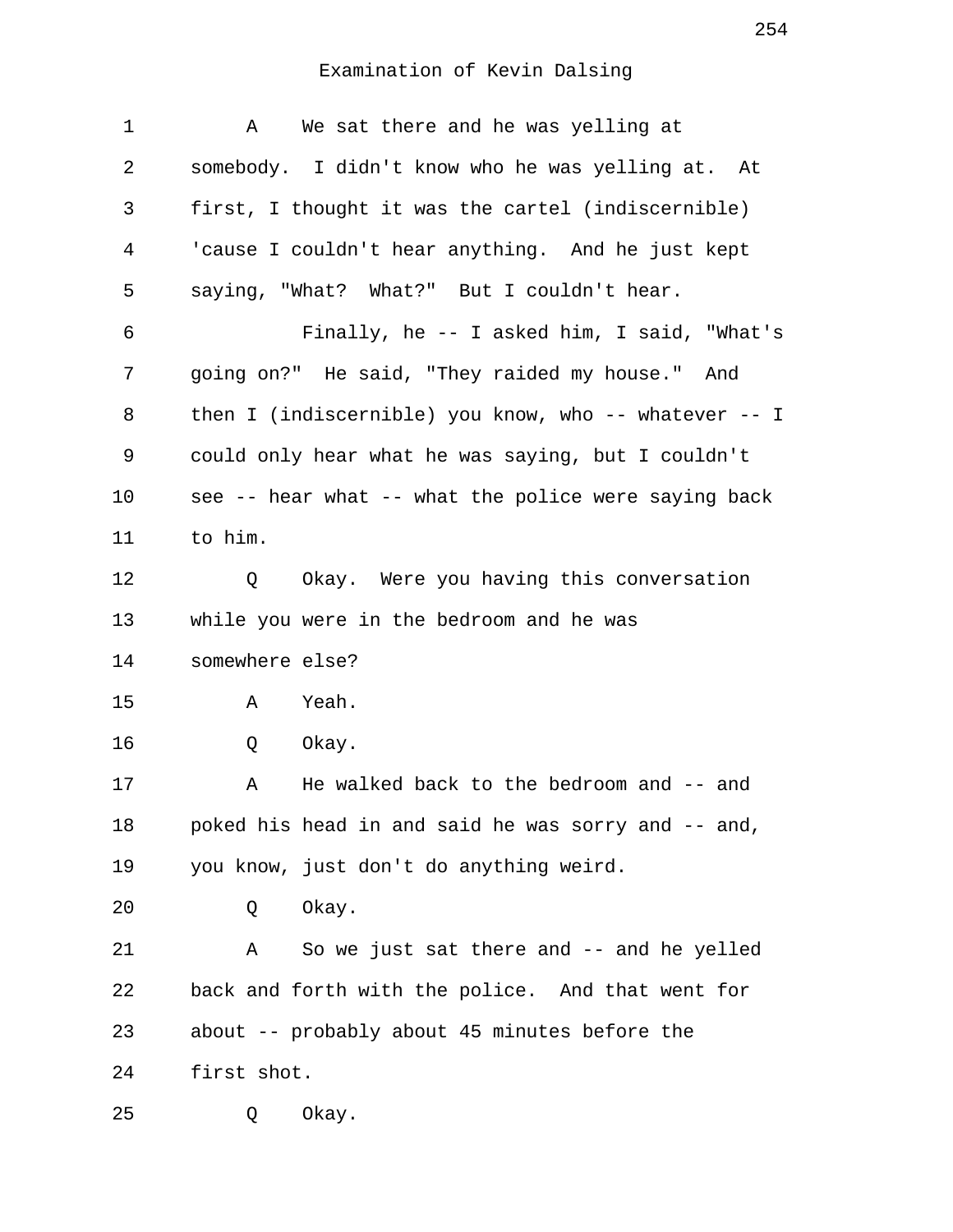| 1  | We sat there and he was yelling at<br>A                   |
|----|-----------------------------------------------------------|
| 2  | somebody. I didn't know who he was yelling at. At         |
| 3  | first, I thought it was the cartel (indiscernible)        |
| 4  | 'cause I couldn't hear anything. And he just kept         |
| 5  | saying, "What? What?" But I couldn't hear.                |
| 6  | Finally, he -- I asked him, I said, "What's               |
| 7  | going on?" He said, "They raided my house." And           |
| 8  | then I (indiscernible) you know, who $--$ whatever $--$ I |
| 9  | could only hear what he was saying, but I couldn't        |
| 10 | see -- hear what -- what the police were saying back      |
| 11 | to him.                                                   |
| 12 | Okay. Were you having this conversation<br>Q              |
| 13 | while you were in the bedroom and he was                  |
| 14 | somewhere else?                                           |
| 15 | Yeah.<br>Α                                                |
| 16 | Okay.<br>Q                                                |
| 17 | He walked back to the bedroom and -- and<br>Α             |
| 18 | poked his head in and said he was sorry and -- and,       |
| 19 | you know, just don't do anything weird.                   |
| 20 | Okay.<br>Q                                                |
| 21 | So we just sat there and -- and he yelled<br>Α            |
| 22 | back and forth with the police. And that went for         |
| 23 | about -- probably about 45 minutes before the             |
| 24 | first shot.                                               |
| 25 | Okay.<br>Q                                                |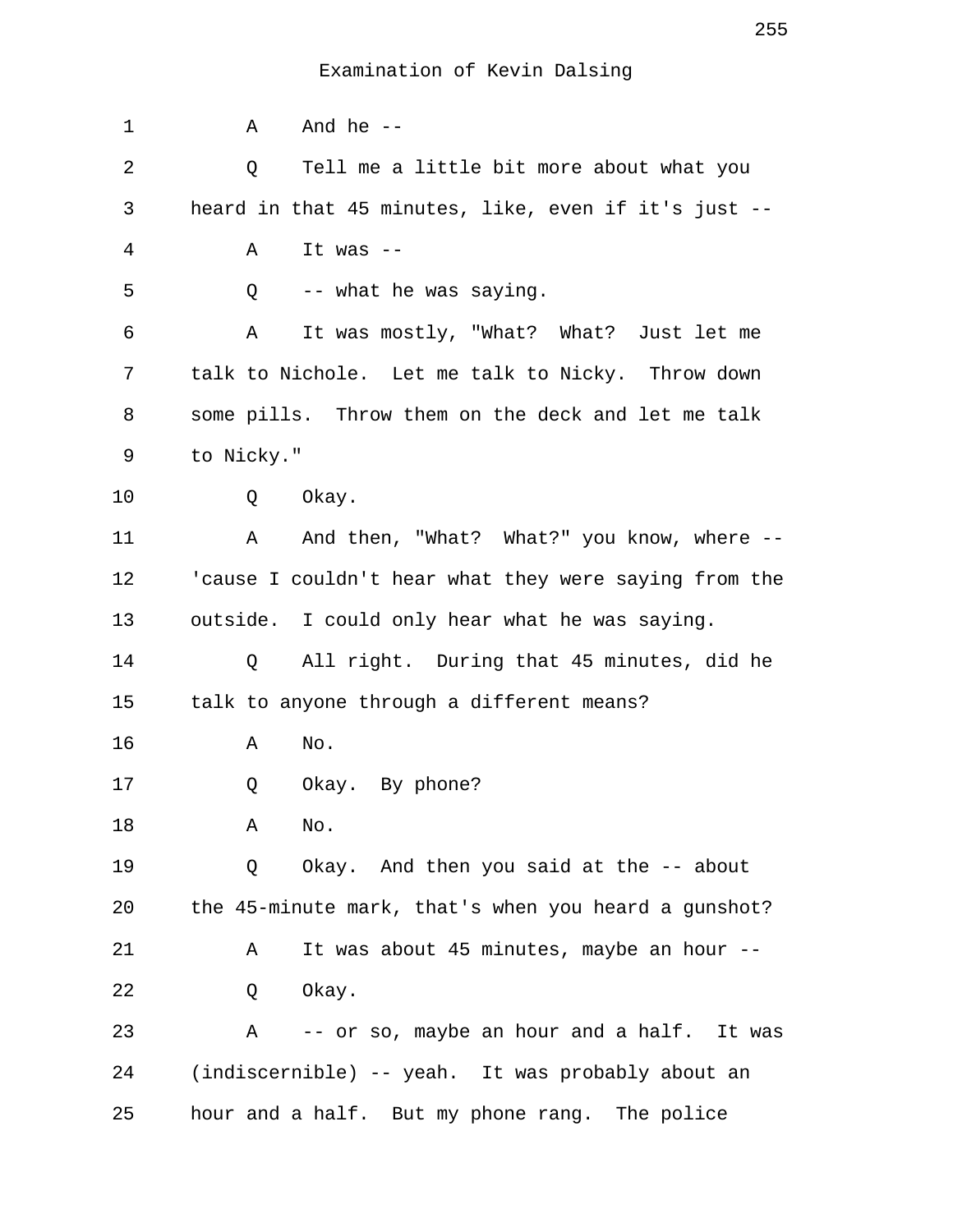| 1  | Α          | And he $-$                                            |
|----|------------|-------------------------------------------------------|
| 2  | Q          | Tell me a little bit more about what you              |
| 3  |            | heard in that 45 minutes, like, even if it's just --  |
| 4  | Α          | It was $--$                                           |
| 5  | Q          | -- what he was saying.                                |
| 6  | Α          | It was mostly, "What? What? Just let me               |
| 7  |            | talk to Nichole. Let me talk to Nicky. Throw down     |
| 8  |            | some pills. Throw them on the deck and let me talk    |
| 9  | to Nicky." |                                                       |
| 10 |            | Q Okay.                                               |
| 11 |            | A And then, "What? What?" you know, where --          |
| 12 |            | 'cause I couldn't hear what they were saying from the |
| 13 |            | outside. I could only hear what he was saying.        |
| 14 | Q          | All right. During that 45 minutes, did he             |
| 15 |            | talk to anyone through a different means?             |
| 16 | Α          | No.                                                   |
| 17 | Q          | Okay. By phone?                                       |
| 18 | Α          | No.                                                   |
| 19 | Q          | Okay. And then you said at the -- about               |
| 20 |            | the 45-minute mark, that's when you heard a gunshot?  |
| 21 | Α          | It was about 45 minutes, maybe an hour --             |
| 22 | Q          | Okay.                                                 |
| 23 | Α          | -- or so, maybe an hour and a half. It was            |
| 24 |            | (indiscernible) -- yeah. It was probably about an     |
| 25 |            | hour and a half. But my phone rang. The police        |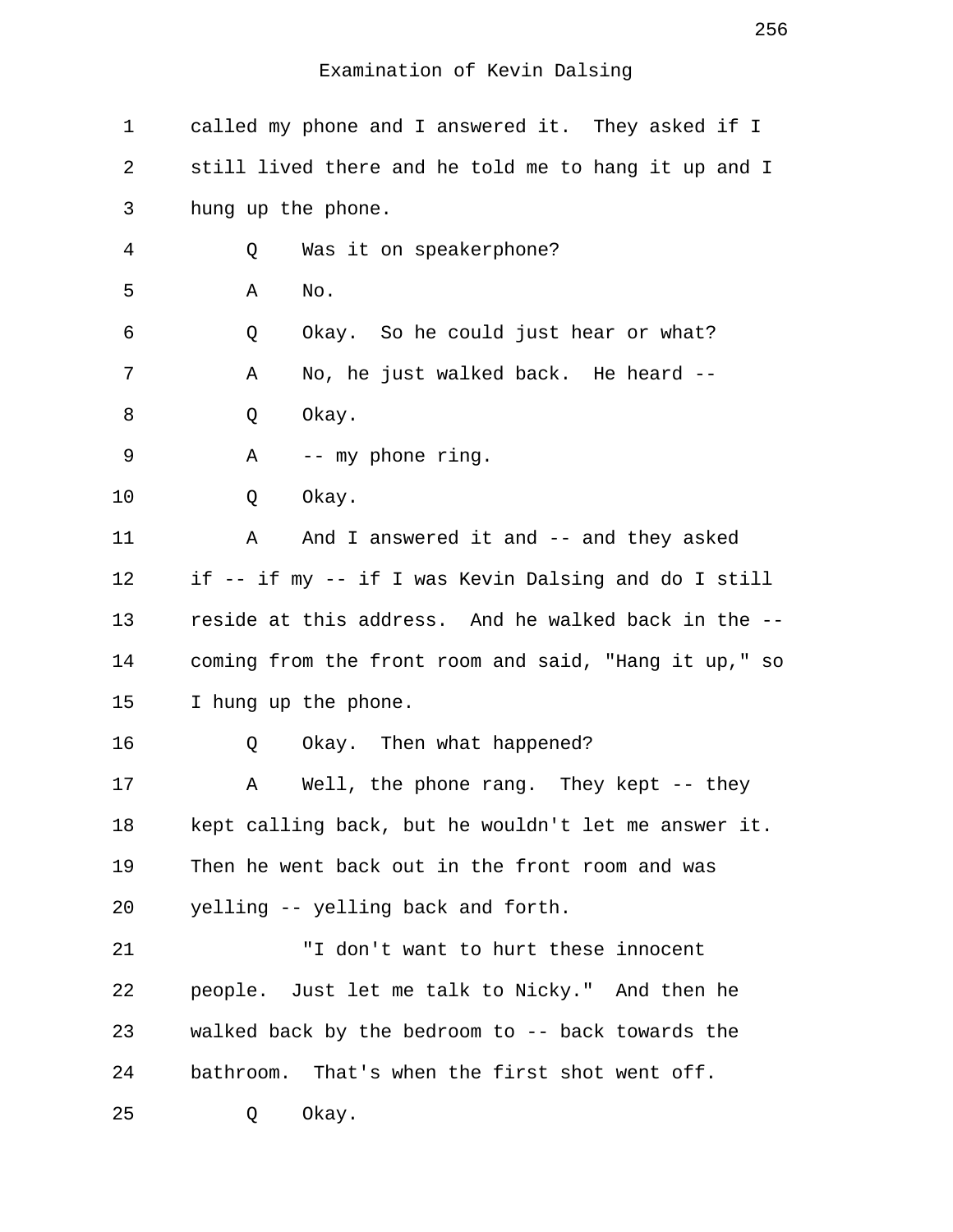| 1  | called my phone and I answered it. They asked if I    |
|----|-------------------------------------------------------|
| 2  | still lived there and he told me to hang it up and I  |
| 3  | hung up the phone.                                    |
| 4  | Was it on speakerphone?<br>Q                          |
| 5  | No.<br>Α                                              |
| 6  | Okay. So he could just hear or what?<br>Q             |
| 7  | No, he just walked back. He heard --<br>Α             |
| 8  | Okay.<br>Q                                            |
| 9  | Α<br>-- my phone ring.                                |
| 10 | Okay.<br>Q                                            |
| 11 | And I answered it and -- and they asked<br>Α          |
| 12 | if -- if my -- if I was Kevin Dalsing and do I still  |
| 13 | reside at this address. And he walked back in the --  |
| 14 | coming from the front room and said, "Hang it up," so |
| 15 | I hung up the phone.                                  |
| 16 | Okay. Then what happened?<br>Q                        |
| 17 | Well, the phone rang. They kept -- they<br>Α          |
| 18 | kept calling back, but he wouldn't let me answer it.  |
| 19 | Then he went back out in the front room and was       |
| 20 | yelling -- yelling back and forth.                    |
| 21 | "I don't want to hurt these innocent                  |
| 22 | people. Just let me talk to Nicky." And then he       |
| 23 | walked back by the bedroom to -- back towards the     |
| 24 | bathroom. That's when the first shot went off.        |
| 25 | Okay.<br>Q                                            |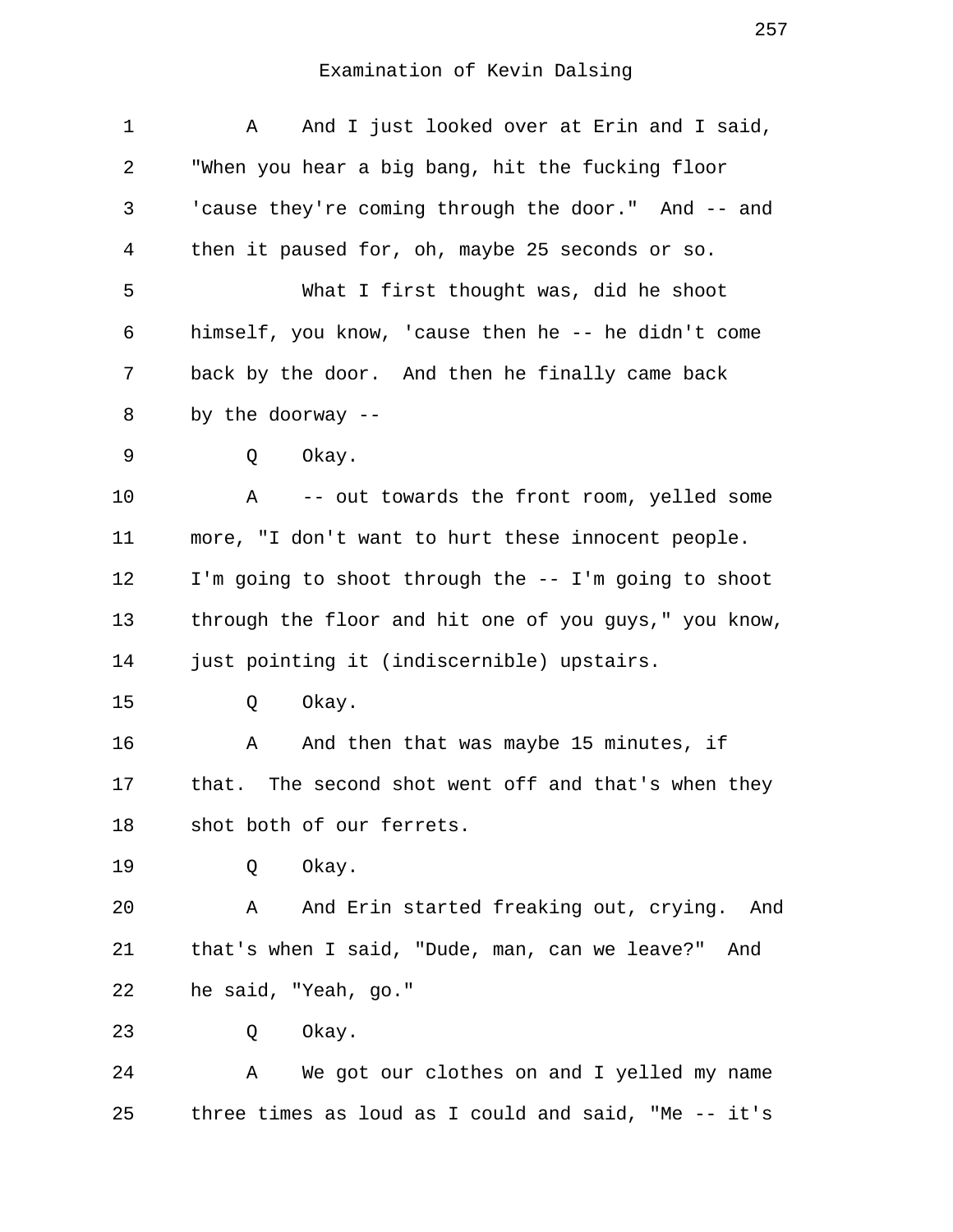| 1  | And I just looked over at Erin and I said,<br>A       |
|----|-------------------------------------------------------|
| 2  | "When you hear a big bang, hit the fucking floor      |
| 3  | 'cause they're coming through the door." And -- and   |
| 4  | then it paused for, oh, maybe 25 seconds or so.       |
| 5  | What I first thought was, did he shoot                |
| 6  | himself, you know, 'cause then he -- he didn't come   |
| 7  | back by the door. And then he finally came back       |
| 8  | by the doorway --                                     |
| 9  | Q<br>Okay.                                            |
| 10 | -- out towards the front room, yelled some<br>Α       |
| 11 | more, "I don't want to hurt these innocent people.    |
| 12 | I'm going to shoot through the -- I'm going to shoot  |
| 13 | through the floor and hit one of you guys," you know, |
| 14 | just pointing it (indiscernible) upstairs.            |
| 15 | Okay.<br>Q                                            |
| 16 | And then that was maybe 15 minutes, if<br>Α           |
| 17 | that. The second shot went off and that's when they   |
| 18 | shot both of our ferrets.                             |
| 19 | Okay.<br>Q                                            |
| 20 | And Erin started freaking out, crying. And<br>Α       |
| 21 | that's when I said, "Dude, man, can we leave?"<br>And |
| 22 | he said, "Yeah, go."                                  |
| 23 | Q Okay.                                               |
| 24 | A We got our clothes on and I yelled my name          |
| 25 | three times as loud as I could and said, "Me -- it's  |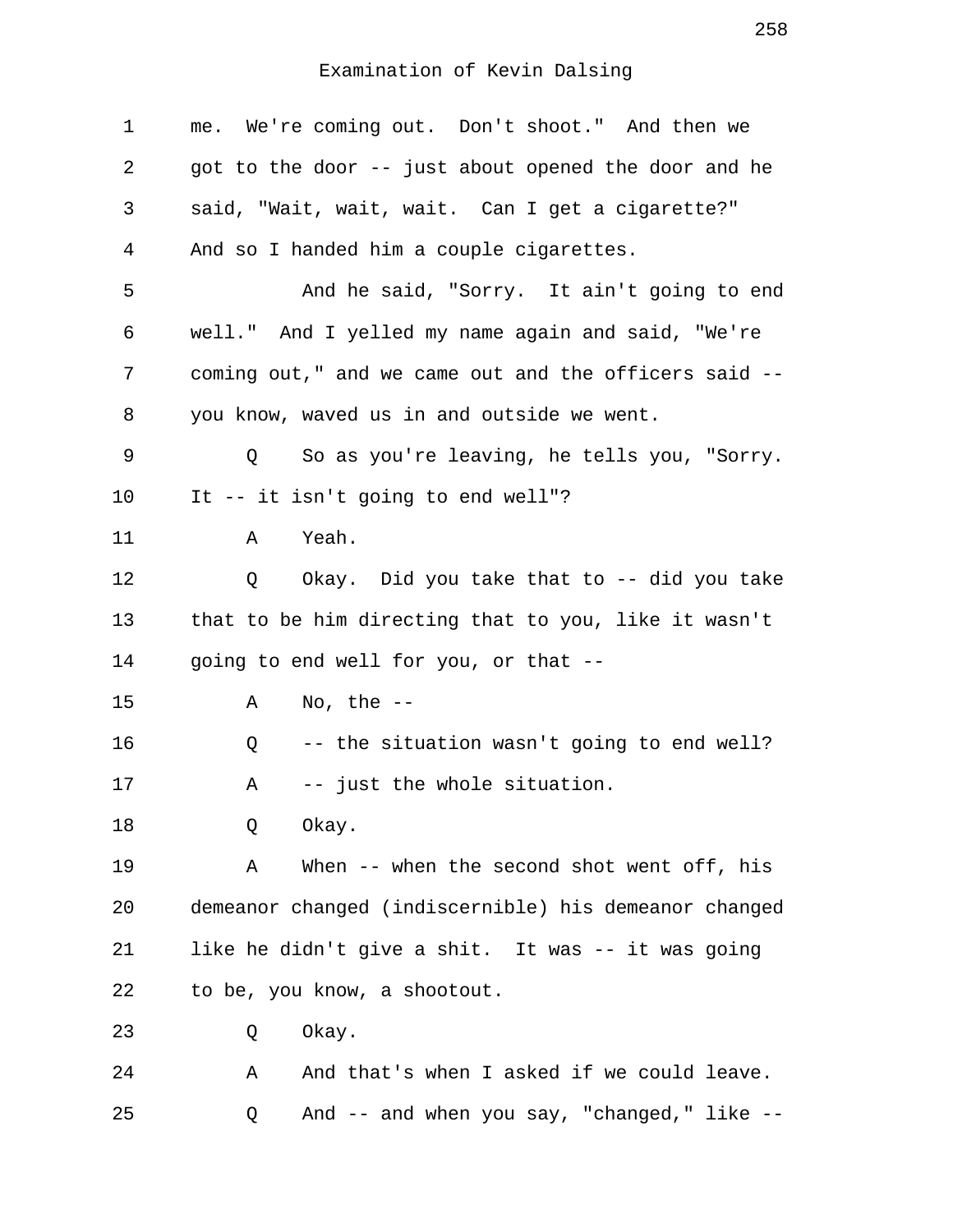| 1  | me. We're coming out. Don't shoot." And then we       |
|----|-------------------------------------------------------|
| 2  | got to the door -- just about opened the door and he  |
| 3  | said, "Wait, wait, wait. Can I get a cigarette?"      |
| 4  | And so I handed him a couple cigarettes.              |
| 5  | And he said, "Sorry. It ain't going to end            |
| 6  | well." And I yelled my name again and said, "We're    |
| 7  | coming out," and we came out and the officers said -- |
| 8  | you know, waved us in and outside we went.            |
| 9  | So as you're leaving, he tells you, "Sorry.<br>Q      |
| 10 | It -- it isn't going to end well"?                    |
| 11 | Yeah.<br>Α                                            |
| 12 | Q Okay. Did you take that to -- did you take          |
| 13 | that to be him directing that to you, like it wasn't  |
| 14 | going to end well for you, or that --                 |
| 15 | No, the $--$<br>Α                                     |
| 16 | -- the situation wasn't going to end well?<br>Q       |
| 17 | -- just the whole situation.<br>Α                     |
| 18 | Okay.<br>Q                                            |
| 19 | When $--$ when the second shot went off, his<br>Α     |
| 20 | demeanor changed (indiscernible) his demeanor changed |
| 21 | like he didn't give a shit. It was -- it was going    |
| 22 | to be, you know, a shootout.                          |
| 23 | Okay.<br>Q                                            |
| 24 | And that's when I asked if we could leave.<br>Α       |
| 25 | And -- and when you say, "changed," like --<br>Q      |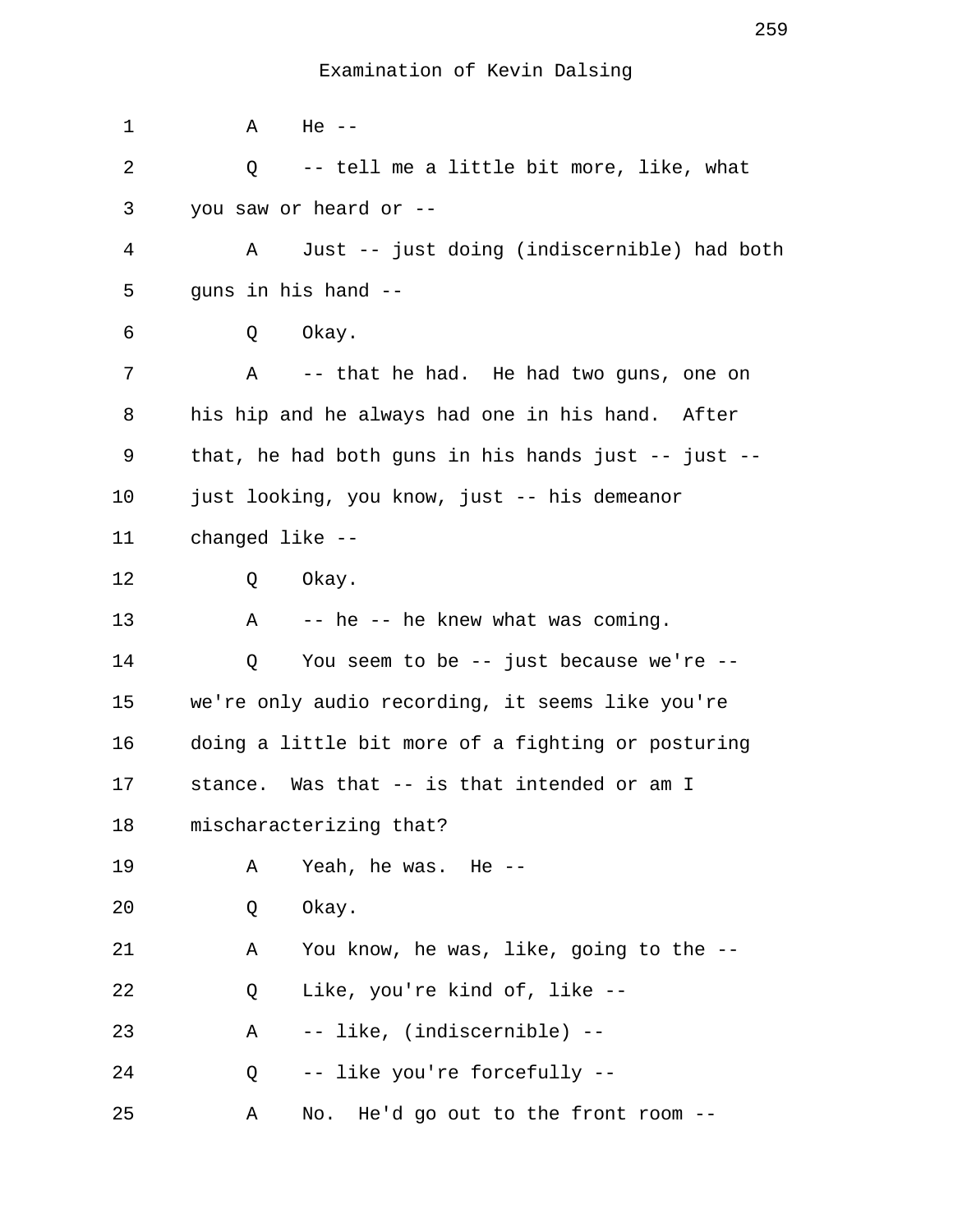| 1  | Α<br>$He$ $-$                                         |
|----|-------------------------------------------------------|
| 2  | -- tell me a little bit more, like, what<br>Q         |
| 3  | you saw or heard or --                                |
| 4  | Just -- just doing (indiscernible) had both<br>Α      |
| 5  | guns in his hand --                                   |
| 6  | Okay.<br>Q                                            |
| 7  | Α<br>-- that he had. He had two guns, one on          |
| 8  | his hip and he always had one in his hand. After      |
| 9  | that, he had both guns in his hands just $-$ just $-$ |
| 10 | just looking, you know, just -- his demeanor          |
| 11 | changed like --                                       |
| 12 | Okay.<br>Q                                            |
| 13 | -- he -- he knew what was coming.<br>Α                |
| 14 | You seem to be -- just because we're --<br>Q          |
| 15 | we're only audio recording, it seems like you're      |
| 16 | doing a little bit more of a fighting or posturing    |
| 17 | stance. Was that -- is that intended or am I          |
| 18 | mischaracterizing that?                               |
| 19 | Yeah, he was.<br>He --<br>Α                           |
| 20 | Okay.<br>Q                                            |
| 21 | You know, he was, like, going to the --<br>Α          |
| 22 | Like, you're kind of, like --<br>Q                    |
| 23 | -- like, (indiscernible) --<br>Α                      |
| 24 | -- like you're forcefully --<br>Q                     |
| 25 | No. He'd go out to the front room --<br>Α             |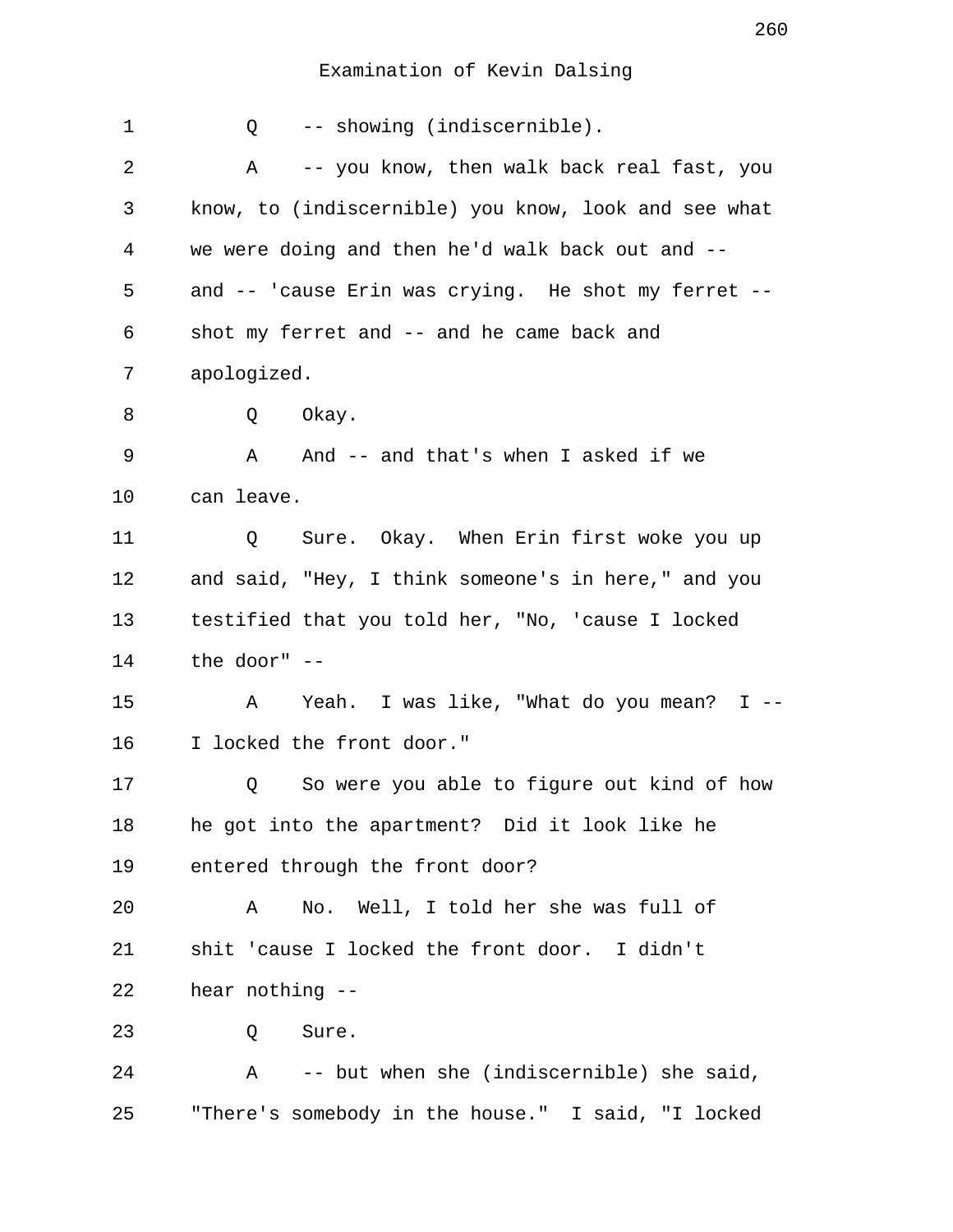| 1  | -- showing (indiscernible).<br>Q                          |
|----|-----------------------------------------------------------|
| 2  | -- you know, then walk back real fast, you<br>Α           |
| 3  | know, to (indiscernible) you know, look and see what      |
| 4  | we were doing and then he'd walk back out and --          |
| 5  | and -- 'cause Erin was crying. He shot my ferret --       |
| 6  | shot my ferret and -- and he came back and                |
| 7  | apologized.                                               |
| 8  | Okay.<br>Q                                                |
| 9  | And -- and that's when I asked if we<br>A                 |
| 10 | can leave.                                                |
| 11 | Sure. Okay. When Erin first woke you up<br>Q              |
| 12 | and said, "Hey, I think someone's in here," and you       |
| 13 | testified that you told her, "No, 'cause I locked         |
| 14 | the door" --                                              |
| 15 | Yeah. I was like, "What do you mean? I --<br>Α            |
| 16 | I locked the front door."                                 |
| 17 | So were you able to figure out kind of how<br>Q           |
| 18 | he got into the apartment? Did it look like he            |
| 19 | entered through the front door?                           |
| 20 | No. Well, I told her she was full of<br>Α                 |
| 21 | shit 'cause I locked the front door. I didn't             |
| 22 | hear nothing --                                           |
| 23 | Sure.<br>Q                                                |
| 24 | -- but when she (indiscernible) she said,<br>$\mathbf{A}$ |
| 25 | "There's somebody in the house." I said, "I locked        |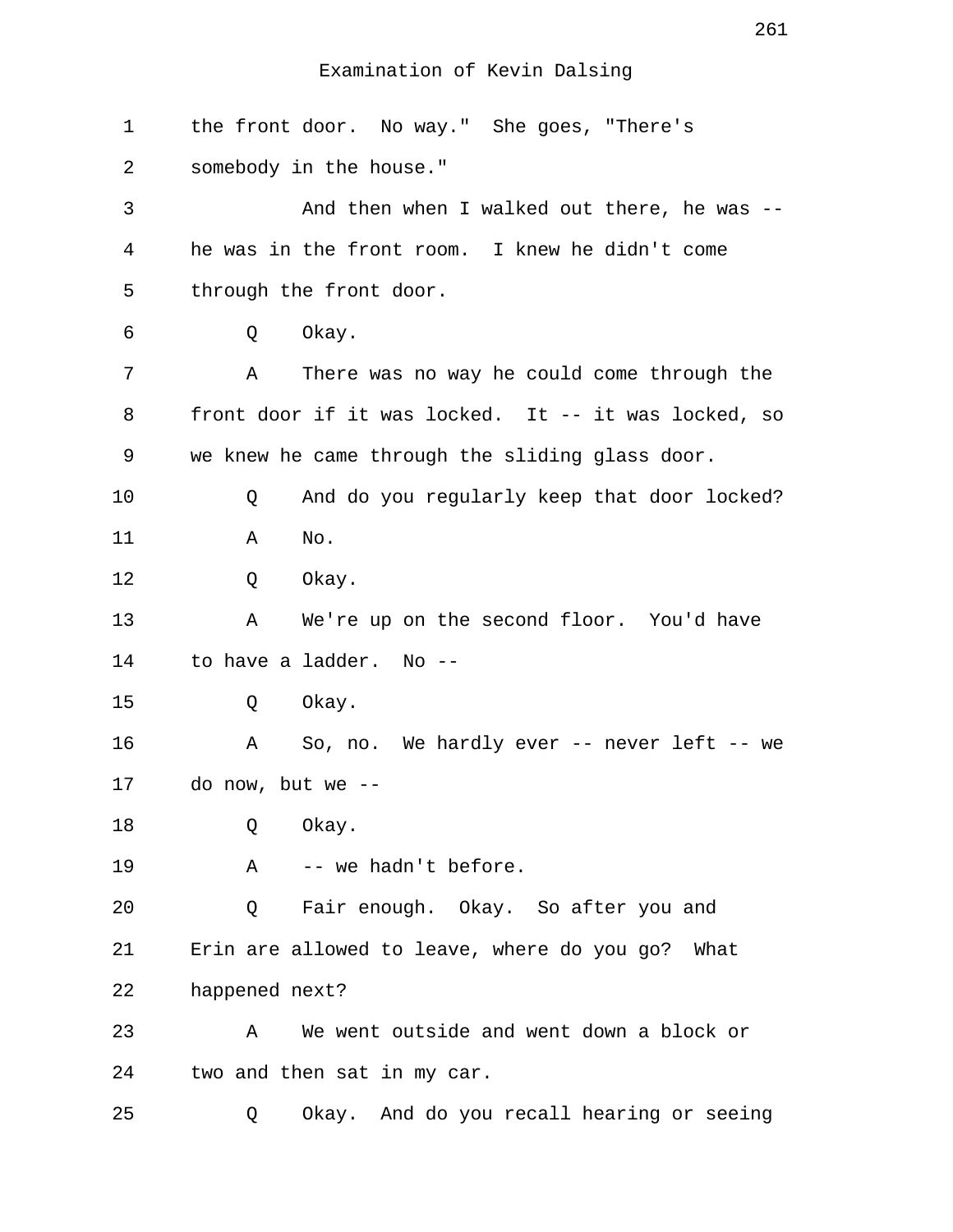| $\mathbf 1$ | the front door. No way." She goes, "There's          |
|-------------|------------------------------------------------------|
| 2           | somebody in the house."                              |
| 3           | And then when I walked out there, he was --          |
| 4           | he was in the front room. I knew he didn't come      |
| 5           | through the front door.                              |
| 6           | Okay.<br>Q                                           |
| 7           | There was no way he could come through the<br>Α      |
| 8           | front door if it was locked. It -- it was locked, so |
| 9           | we knew he came through the sliding glass door.      |
| 10          | And do you regularly keep that door locked?<br>Q     |
| 11          | No.<br>Α                                             |
| 12          | Okay.<br>Q                                           |
| 13          | We're up on the second floor. You'd have<br>Α        |
| 14          | to have a ladder. No --                              |
| 15          | Okay.<br>Q                                           |
| 16          | So, no. We hardly ever -- never left -- we<br>Α      |
| 17          | do now, but we --                                    |
| 18          | Q<br>Okay.                                           |
| 19          | -- we hadn't before.<br>Α                            |
| 20          | Fair enough. Okay. So after you and<br>Q             |
| 21          | Erin are allowed to leave, where do you go? What     |
| 22          | happened next?                                       |
| 23          | We went outside and went down a block or<br>Α        |
| 24          | two and then sat in my car.                          |
| 25          | Okay. And do you recall hearing or seeing<br>Q       |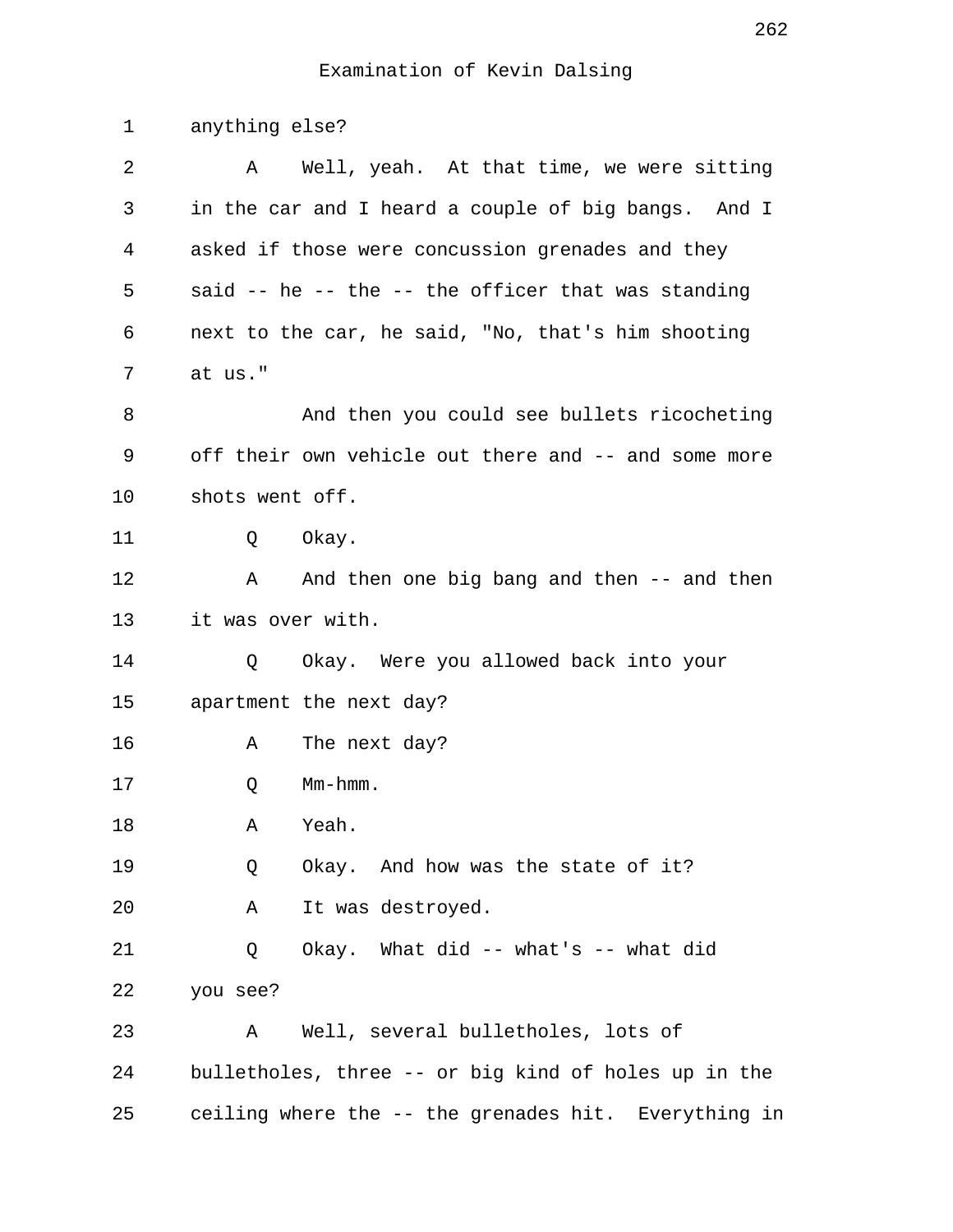| 1  | anything else?                                       |
|----|------------------------------------------------------|
| 2  | Well, yeah. At that time, we were sitting<br>A       |
| 3  | in the car and I heard a couple of big bangs. And I  |
| 4  | asked if those were concussion grenades and they     |
| 5  | said -- he -- the -- the officer that was standing   |
| 6  | next to the car, he said, "No, that's him shooting   |
| 7  | at us."                                              |
| 8  | And then you could see bullets ricocheting           |
| 9  | off their own vehicle out there and -- and some more |
| 10 | shots went off.                                      |
| 11 | Okay.<br>Q                                           |
| 12 | And then one big bang and then -- and then<br>A      |
| 13 | it was over with.                                    |
| 14 | Okay. Were you allowed back into your<br>Q           |
| 15 | apartment the next day?                              |
| 16 | The next day?<br>Α                                   |
| 17 | $Mm-hmm$ .<br>Q                                      |
| 18 | Yeah.<br>Α                                           |
| 19 | Okay. And how was the state of it?<br>Q              |
| 20 | It was destroyed.<br>Α                               |
| 21 | Okay. What did -- what's -- what did<br>Q            |
| 22 | you see?                                             |
| 23 | Well, several bulletholes, lots of<br>Α              |
| 24 | bulletholes, three -- or big kind of holes up in the |
| 25 | ceiling where the -- the grenades hit. Everything in |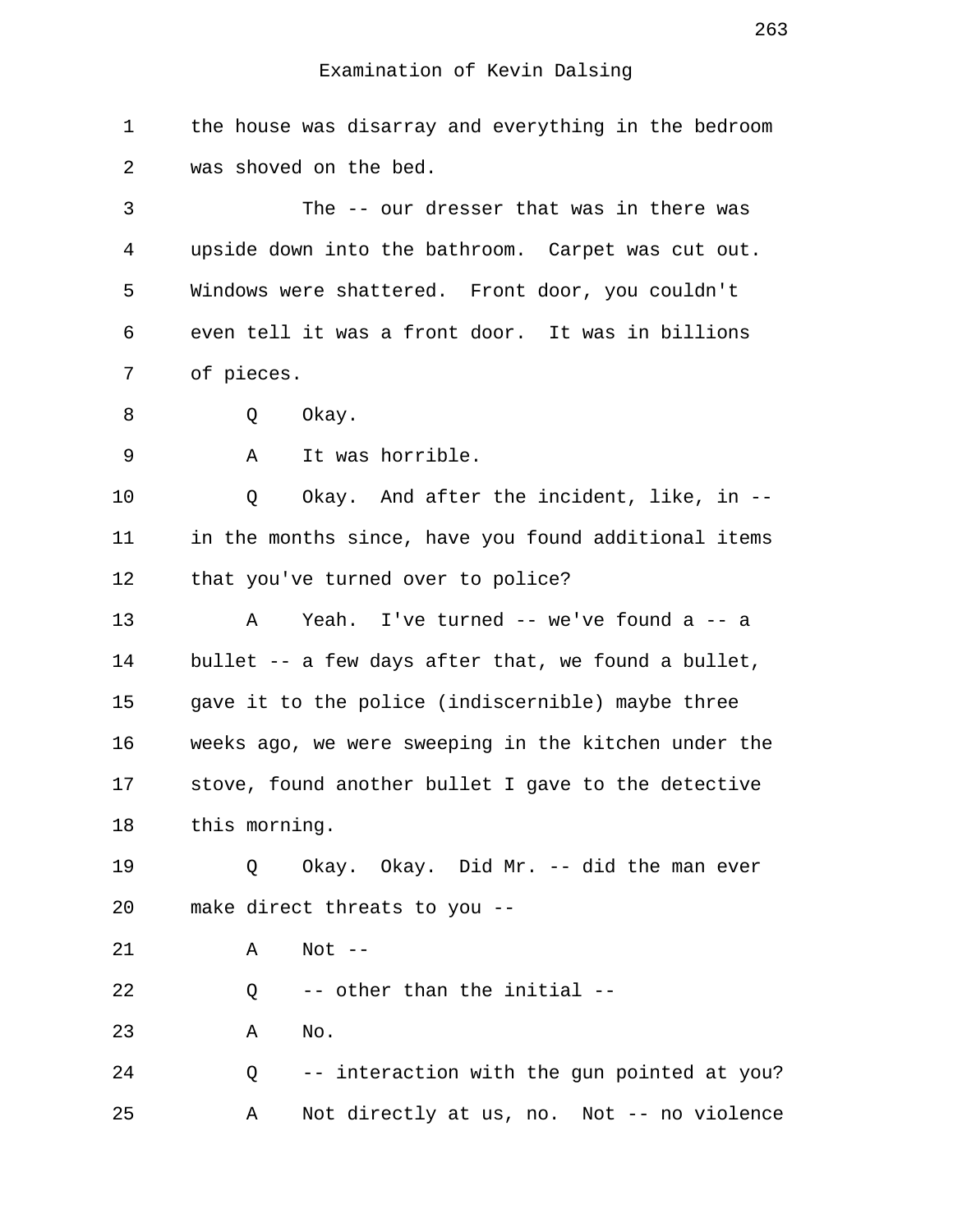1 the house was disarray and everything in the bedroom 2 was shoved on the bed.

 3 The -- our dresser that was in there was 4 upside down into the bathroom. Carpet was cut out. 5 Windows were shattered. Front door, you couldn't 6 even tell it was a front door. It was in billions 7 of pieces.

8 O Okay.

9 A It was horrible.

10 Q Okay. And after the incident, like, in -- 11 in the months since, have you found additional items 12 that you've turned over to police?

13 A Yeah. I've turned -- we've found a -- a 14 bullet -- a few days after that, we found a bullet, 15 gave it to the police (indiscernible) maybe three 16 weeks ago, we were sweeping in the kitchen under the 17 stove, found another bullet I gave to the detective 18 this morning.

19 0 Okay. Okay. Did Mr. -- did the man ever 20 make direct threats to you --

21 A Not --

22 Q -- other than the initial --

23 A No.

24 Q -- interaction with the gun pointed at you? 25 A Not directly at us, no. Not -- no violence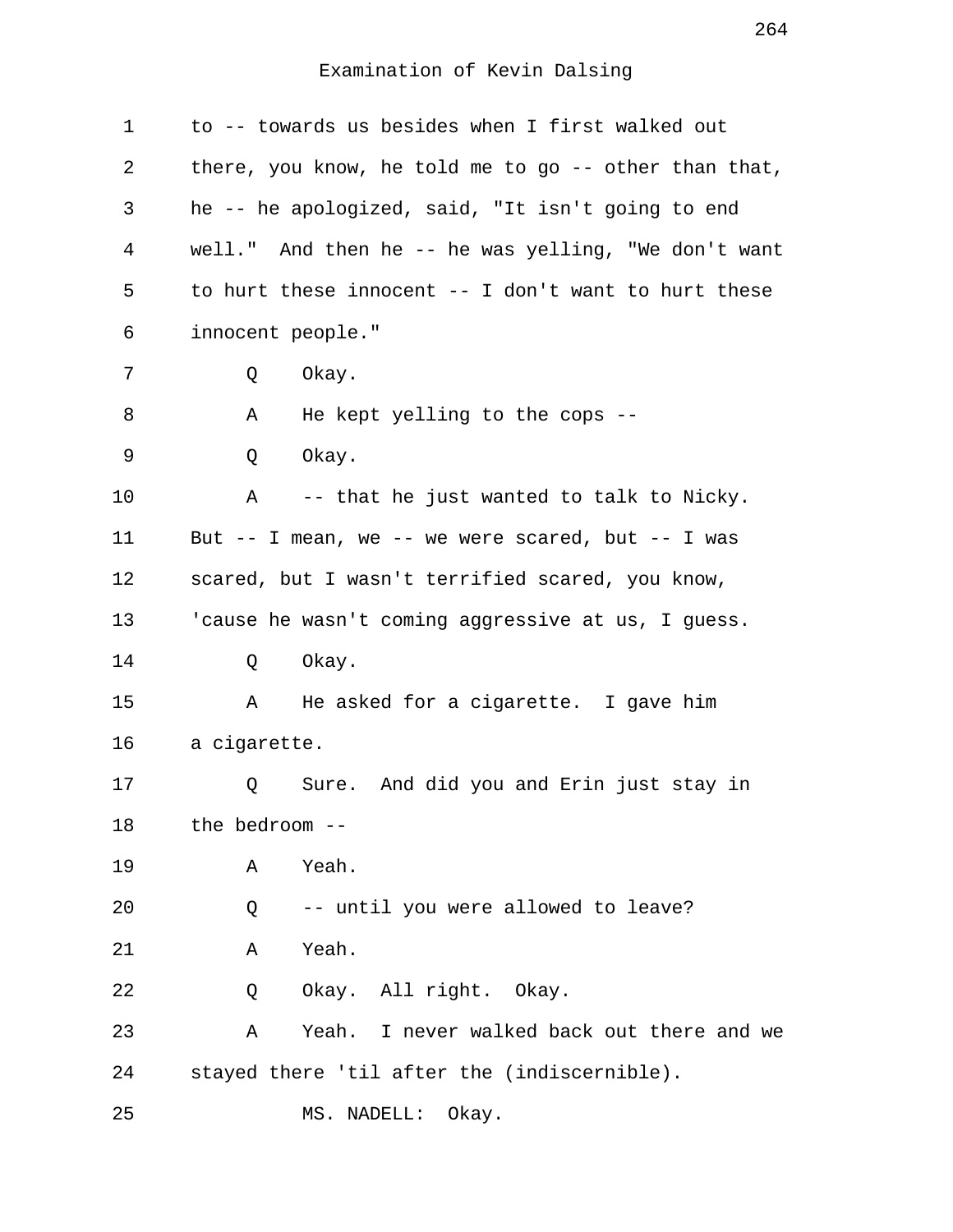| $\mathbf 1$ | to -- towards us besides when I first walked out      |
|-------------|-------------------------------------------------------|
| 2           | there, you know, he told me to go -- other than that, |
| 3           | he -- he apologized, said, "It isn't going to end     |
| 4           | well." And then he -- he was yelling, "We don't want  |
| 5           | to hurt these innocent -- I don't want to hurt these  |
| 6           | innocent people."                                     |
| 7           | Okay.<br>Q                                            |
| 8           | He kept yelling to the cops --<br>Α                   |
| 9           | Okay.<br>Q                                            |
| 10          | Α<br>-- that he just wanted to talk to Nicky.         |
| 11          | But -- I mean, we -- we were scared, but -- I was     |
| 12          | scared, but I wasn't terrified scared, you know,      |
| 13          | 'cause he wasn't coming aggressive at us, I guess.    |
| 14          | Okay.<br>Q                                            |
| 15          | He asked for a cigarette. I gave him<br>Α             |
| 16          | a cigarette.                                          |
| 17          | Sure. And did you and Erin just stay in<br>Q          |
| 18          | the bedroom --                                        |
| 19          | Yeah.<br>Α                                            |
| 20          | -- until you were allowed to leave?<br>Q              |
| 21          | Yeah.<br>Α                                            |
| 22          | Okay. All right. Okay.<br>Q                           |
| 23          | I never walked back out there and we<br>Α<br>Yeah.    |
| 24          | stayed there 'til after the (indiscernible).          |
| 25          | MS. NADELL:<br>Okay.                                  |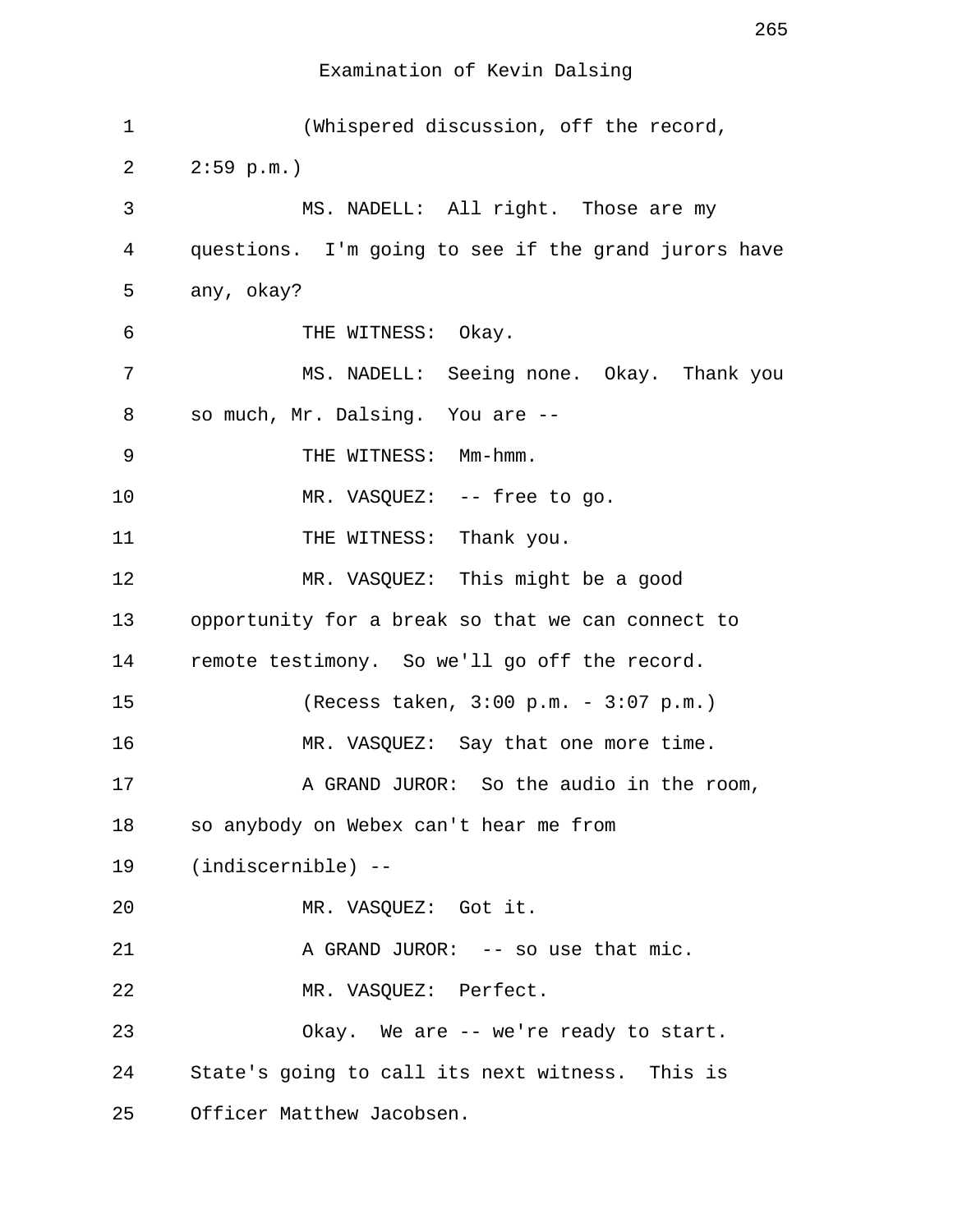| $\mathbf 1$ | (Whispered discussion, off the record,               |
|-------------|------------------------------------------------------|
| 2           | $2:59$ p.m.)                                         |
| 3           | MS. NADELL: All right. Those are my                  |
| 4           | questions. I'm going to see if the grand jurors have |
| 5           | any, okay?                                           |
| 6           | THE WITNESS: Okay.                                   |
| 7           | MS. NADELL: Seeing none. Okay. Thank you             |
| 8           | so much, Mr. Dalsing. You are --                     |
| 9           | THE WITNESS: Mm-hmm.                                 |
| 10          | MR. VASQUEZ: -- free to go.                          |
| 11          | THE WITNESS: Thank you.                              |
| 12          | MR. VASQUEZ: This might be a good                    |
| 13          | opportunity for a break so that we can connect to    |
| 14          | remote testimony. So we'll go off the record.        |
| 15          | (Recess taken, 3:00 p.m. - 3:07 p.m.)                |
| 16          | MR. VASQUEZ: Say that one more time.                 |
| 17          | A GRAND JUROR: So the audio in the room,             |
| 18          | so anybody on Webex can't hear me from               |
| 19          | $(indiscernible)$ --                                 |
| 20          | MR. VASQUEZ: Got it.                                 |
| 21          | A GRAND JUROR: -- so use that mic.                   |
| 22          | MR. VASQUEZ: Perfect.                                |
| 23          | Okay. We are -- we're ready to start.                |
| 24          | State's going to call its next witness. This is      |
| 25          | Officer Matthew Jacobsen.                            |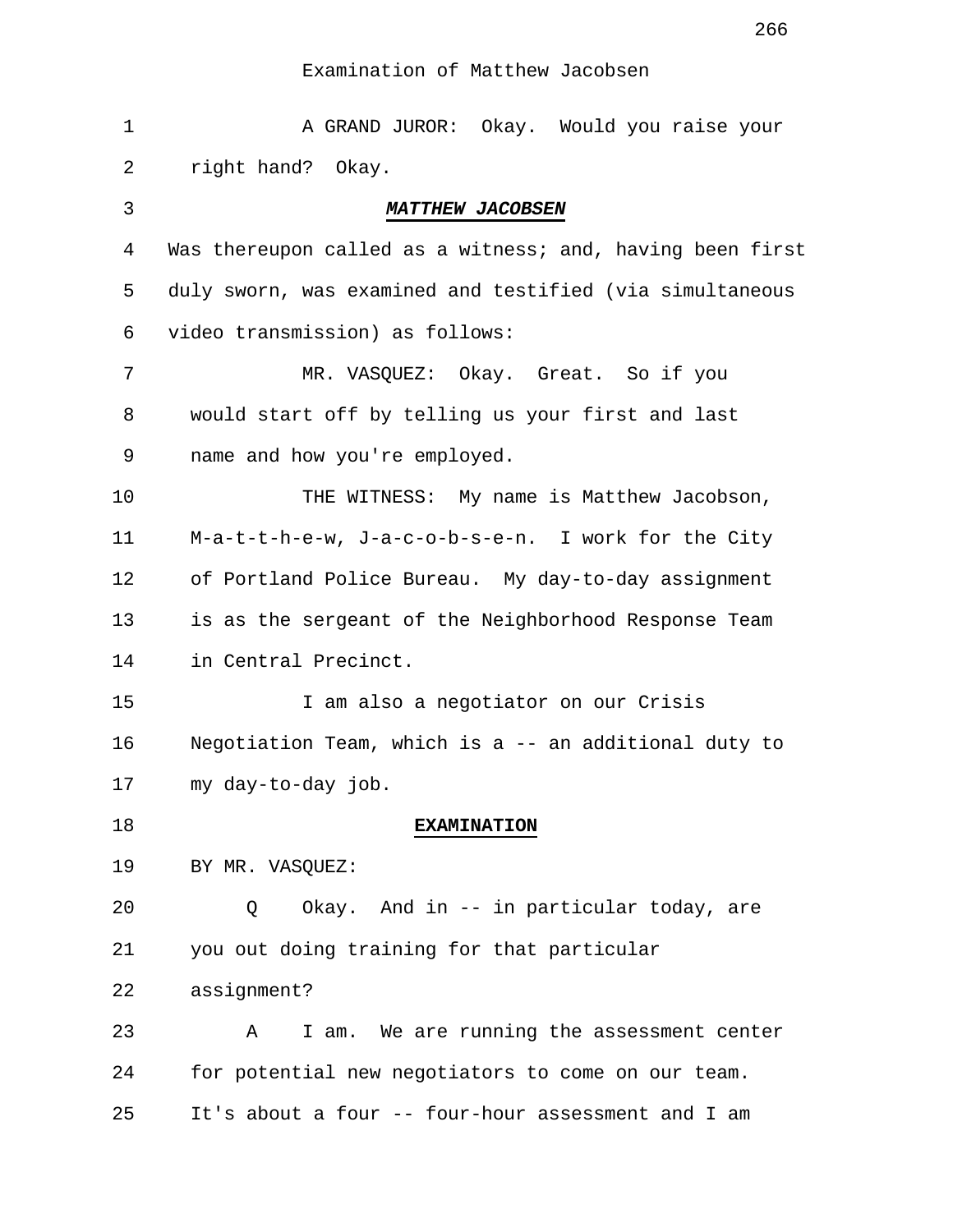| $\mathbf 1$ | A GRAND JUROR: Okay. Would you raise your                 |
|-------------|-----------------------------------------------------------|
| 2           | right hand? Okay.                                         |
| 3           | <b>MATTHEW JACOBSEN</b>                                   |
| 4           | Was thereupon called as a witness; and, having been first |
| 5           | duly sworn, was examined and testified (via simultaneous  |
| 6           | video transmission) as follows:                           |
| 7           | MR. VASQUEZ: Okay. Great. So if you                       |
| 8           | would start off by telling us your first and last         |
| 9           | name and how you're employed.                             |
| 10          | THE WITNESS: My name is Matthew Jacobson,                 |
| 11          | M-a-t-t-h-e-w, J-a-c-o-b-s-e-n. I work for the City       |
| 12          | of Portland Police Bureau. My day-to-day assignment       |
| 13          | is as the sergeant of the Neighborhood Response Team      |
| 14          | in Central Precinct.                                      |
| 15          | I am also a negotiator on our Crisis                      |
| 16          | Negotiation Team, which is a -- an additional duty to     |
| 17          | my day-to-day job.                                        |
| 18          | <b>EXAMINATION</b>                                        |
| 19          | BY MR. VASQUEZ:                                           |
| 20          | Okay. And in -- in particular today, are<br>Q             |
| 21          | you out doing training for that particular                |
| 22          | assignment?                                               |
| 23          | I am. We are running the assessment center<br>Α           |
| 24          | for potential new negotiators to come on our team.        |
| 25          | It's about a four -- four-hour assessment and I am        |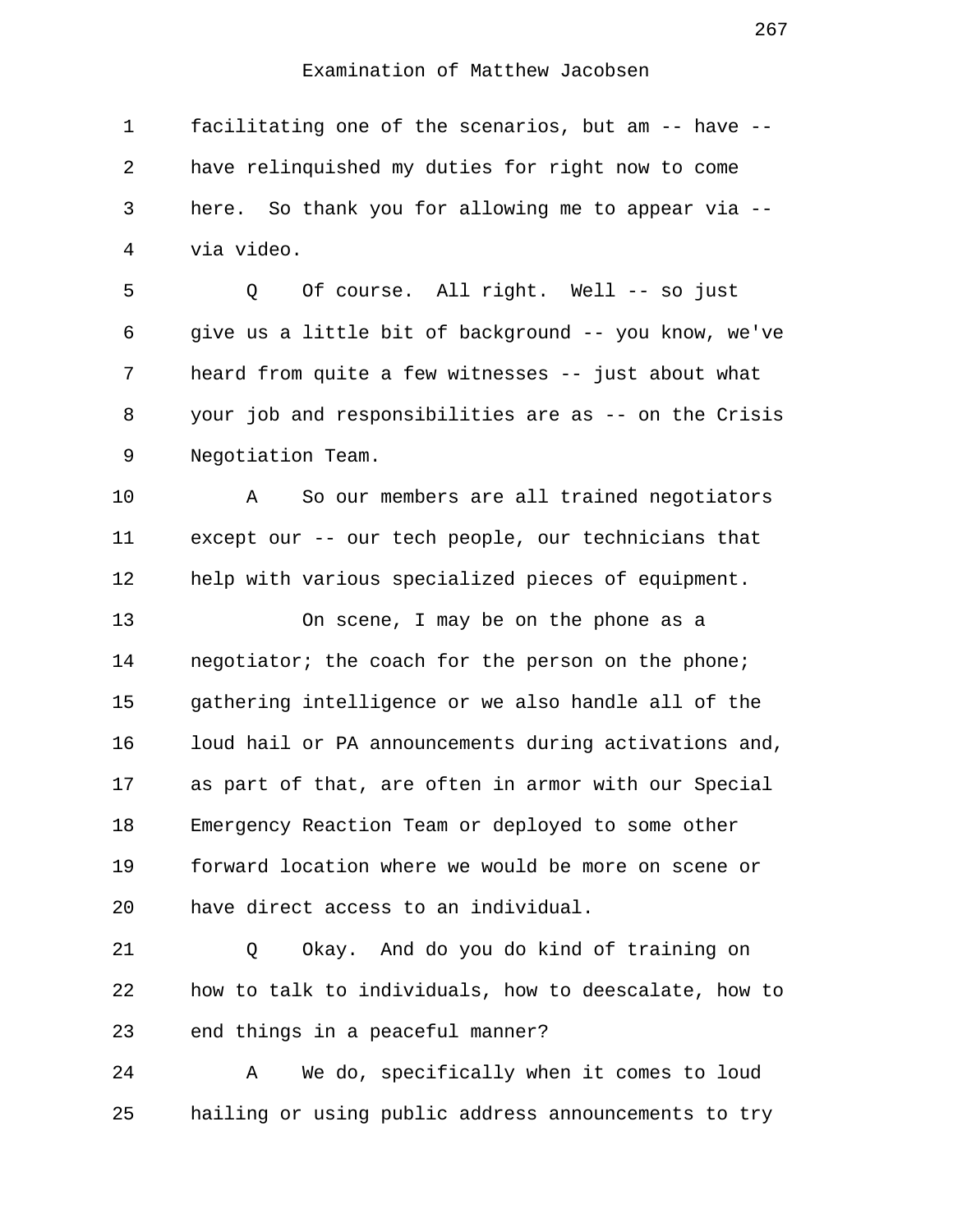1 facilitating one of the scenarios, but am -- have -- 2 have relinquished my duties for right now to come 3 here. So thank you for allowing me to appear via -- 4 via video.

 5 Q Of course. All right. Well -- so just 6 give us a little bit of background -- you know, we've 7 heard from quite a few witnesses -- just about what 8 your job and responsibilities are as -- on the Crisis 9 Negotiation Team.

10 A So our members are all trained negotiators 11 except our -- our tech people, our technicians that 12 help with various specialized pieces of equipment.

13 On scene, I may be on the phone as a 14 negotiator; the coach for the person on the phone; 15 gathering intelligence or we also handle all of the 16 loud hail or PA announcements during activations and, 17 as part of that, are often in armor with our Special 18 Emergency Reaction Team or deployed to some other 19 forward location where we would be more on scene or 20 have direct access to an individual.

21 Q Okay. And do you do kind of training on 22 how to talk to individuals, how to deescalate, how to 23 end things in a peaceful manner?

24 A We do, specifically when it comes to loud 25 hailing or using public address announcements to try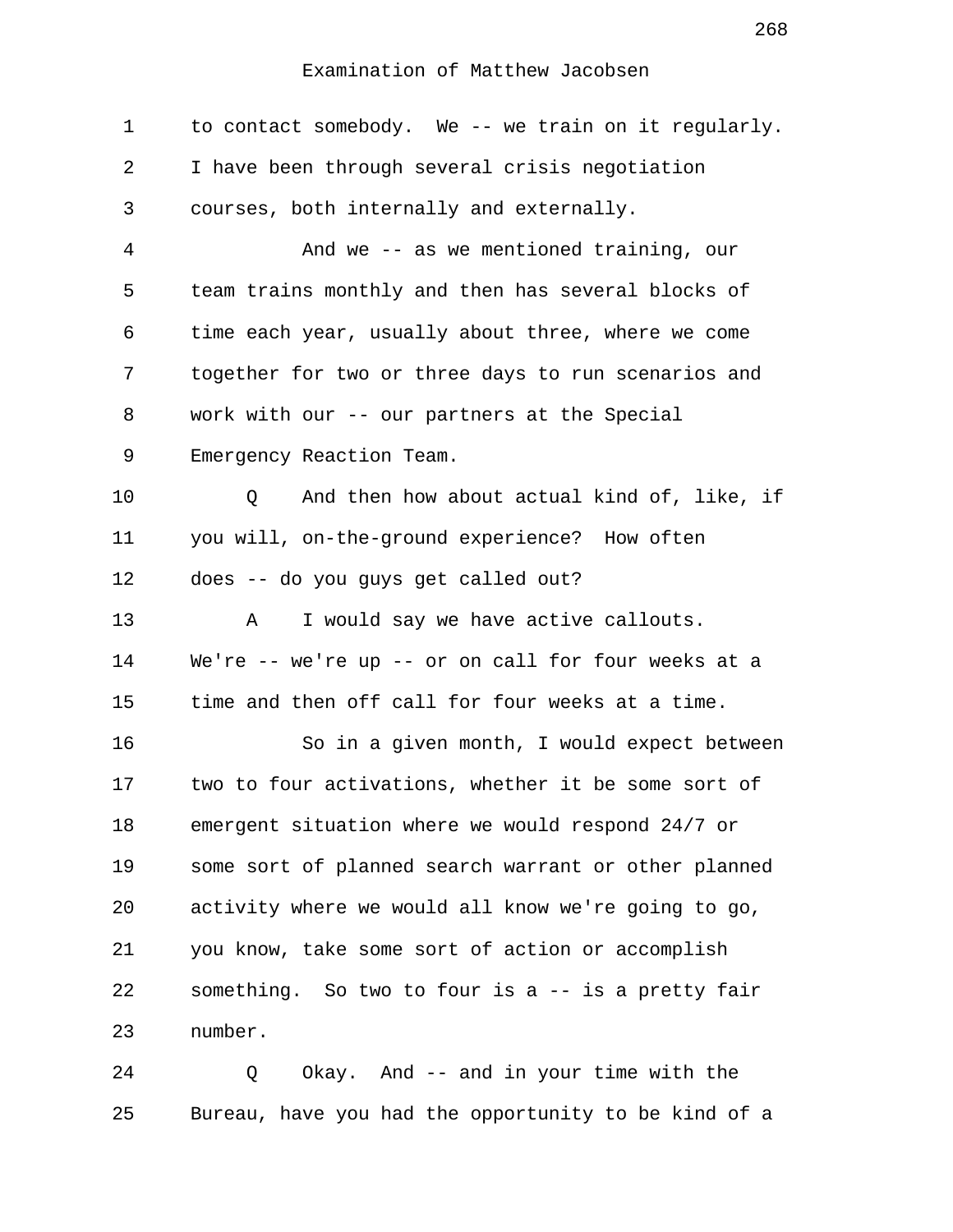| 1  | to contact somebody. We -- we train on it regularly. |
|----|------------------------------------------------------|
| 2  | I have been through several crisis negotiation       |
| 3  | courses, both internally and externally.             |
| 4  | And we -- as we mentioned training, our              |
| 5  | team trains monthly and then has several blocks of   |
| 6  | time each year, usually about three, where we come   |
| 7  | together for two or three days to run scenarios and  |
| 8  | work with our -- our partners at the Special         |
| 9  | Emergency Reaction Team.                             |
| 10 | And then how about actual kind of, like, if<br>Q     |
| 11 | you will, on-the-ground experience? How often        |
| 12 | does -- do you guys get called out?                  |
| 13 | I would say we have active callouts.<br>Α            |
| 14 | We're -- we're up -- or on call for four weeks at a  |
| 15 | time and then off call for four weeks at a time.     |
| 16 | So in a given month, I would expect between          |
| 17 | two to four activations, whether it be some sort of  |
| 18 | emergent situation where we would respond 24/7 or    |
| 19 | some sort of planned search warrant or other planned |
| 20 | activity where we would all know we're going to go,  |
| 21 | you know, take some sort of action or accomplish     |
| 22 | something. So two to four is a -- is a pretty fair   |
| 23 | number.                                              |
| 24 | Okay. And -- and in your time with the<br>Q          |

25 Bureau, have you had the opportunity to be kind of a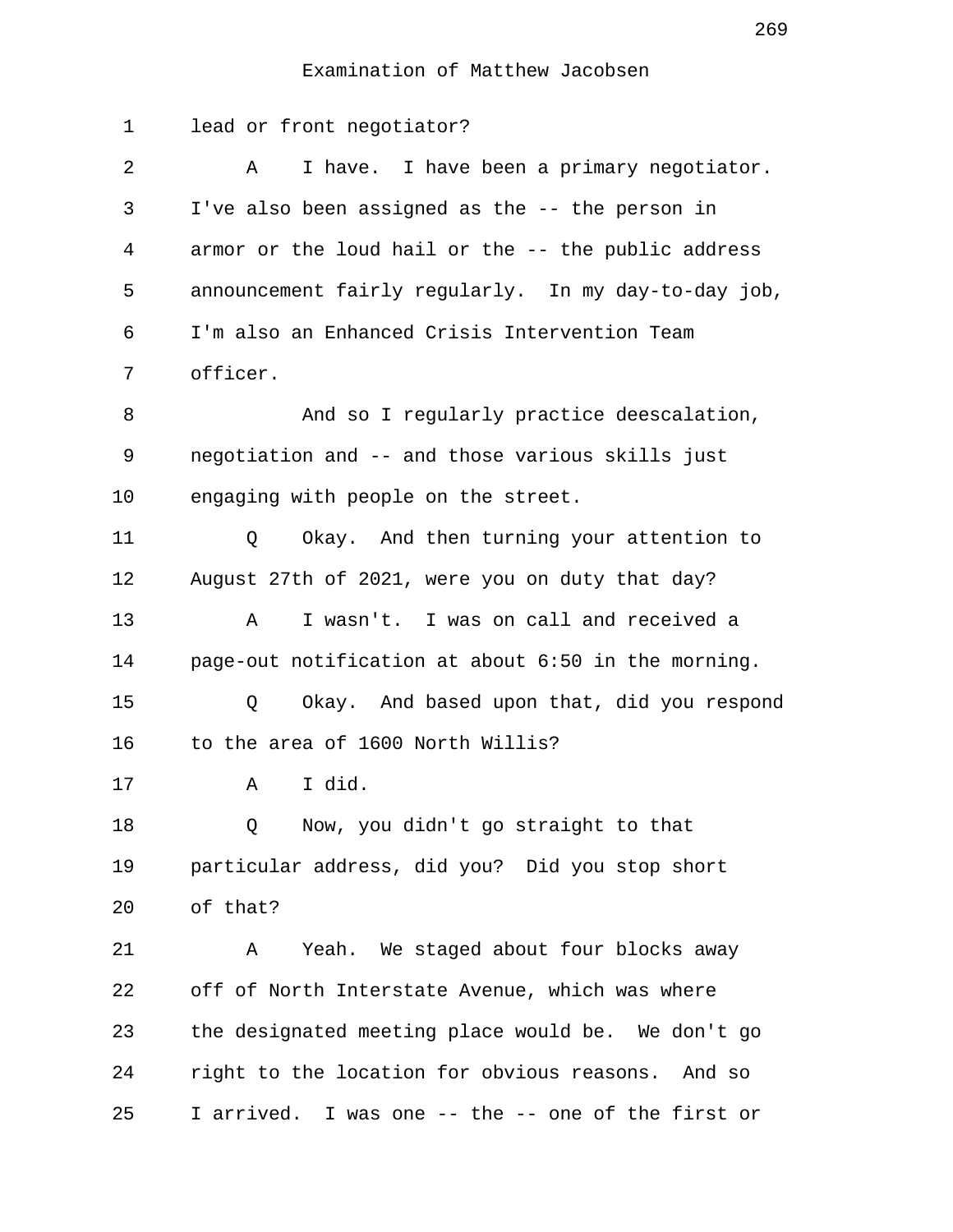1 lead or front negotiator? 2 A I have. I have been a primary negotiator. 3 I've also been assigned as the -- the person in 4 armor or the loud hail or the -- the public address 5 announcement fairly regularly. In my day-to-day job, 6 I'm also an Enhanced Crisis Intervention Team 7 officer. 8 And so I regularly practice deescalation, 9 negotiation and -- and those various skills just 10 engaging with people on the street. 11 Q Okay. And then turning your attention to 12 August 27th of 2021, were you on duty that day? 13 A I wasn't. I was on call and received a 14 page-out notification at about 6:50 in the morning. 15 Q Okay. And based upon that, did you respond 16 to the area of 1600 North Willis? 17 A I did. 18 Q Now, you didn't go straight to that 19 particular address, did you? Did you stop short 20 of that? 21 A Yeah. We staged about four blocks away 22 off of North Interstate Avenue, which was where 23 the designated meeting place would be. We don't go 24 right to the location for obvious reasons. And so 25 I arrived. I was one -- the -- one of the first or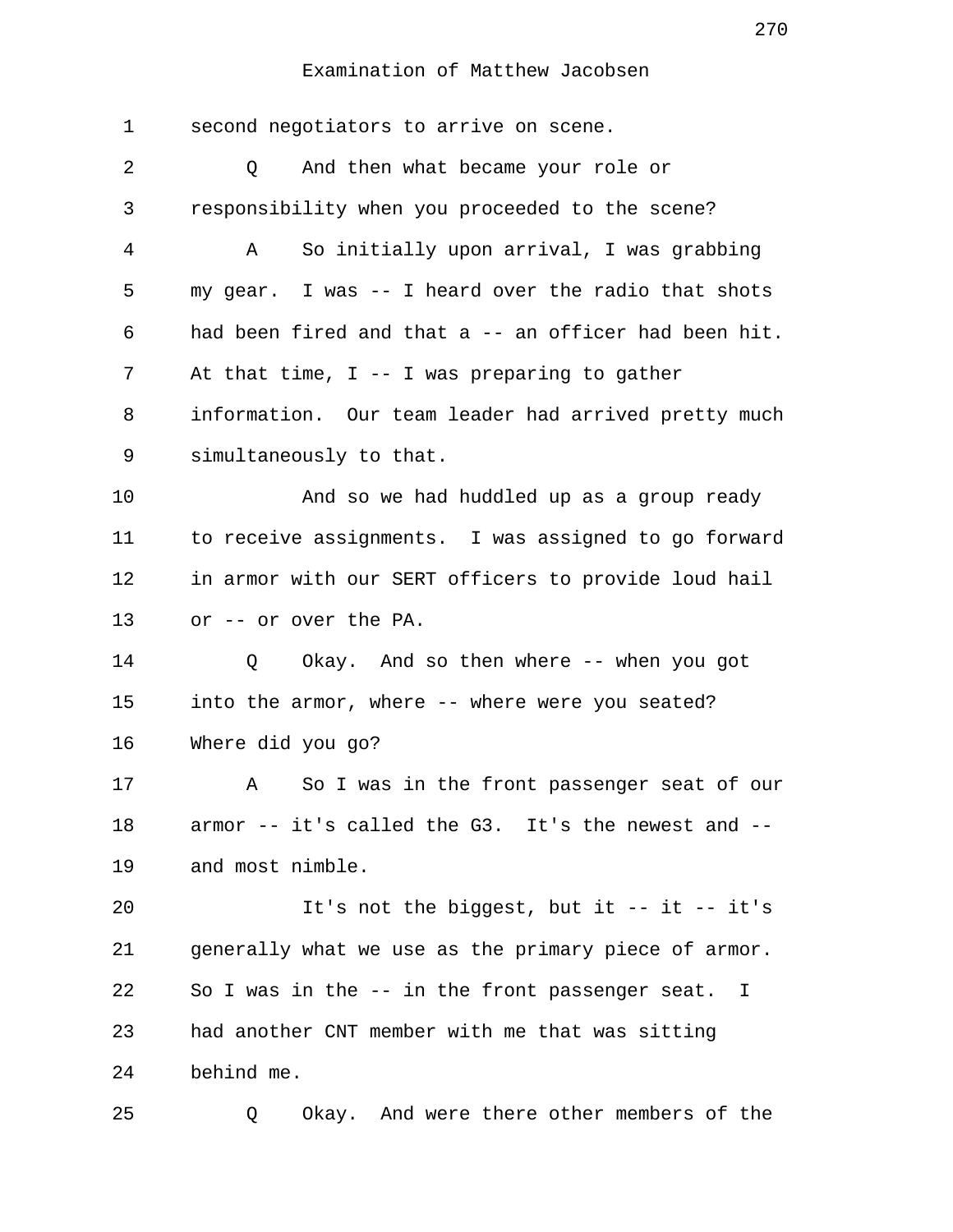1 second negotiators to arrive on scene. 2 Q And then what became your role or 3 responsibility when you proceeded to the scene? 4 A So initially upon arrival, I was grabbing 5 my gear. I was -- I heard over the radio that shots 6 had been fired and that a -- an officer had been hit. 7 At that time, I -- I was preparing to gather 8 information. Our team leader had arrived pretty much 9 simultaneously to that. 10 And so we had huddled up as a group ready 11 to receive assignments. I was assigned to go forward 12 in armor with our SERT officers to provide loud hail 13 or -- or over the PA. 14 Q Okay. And so then where -- when you got 15 into the armor, where -- where were you seated? 16 Where did you go? 17 A So I was in the front passenger seat of our 18 armor -- it's called the G3. It's the newest and -- 19 and most nimble. 20 It's not the biggest, but it -- it -- it's 21 generally what we use as the primary piece of armor. 22 So I was in the -- in the front passenger seat. I 23 had another CNT member with me that was sitting 24 behind me. 25 Q Okay. And were there other members of the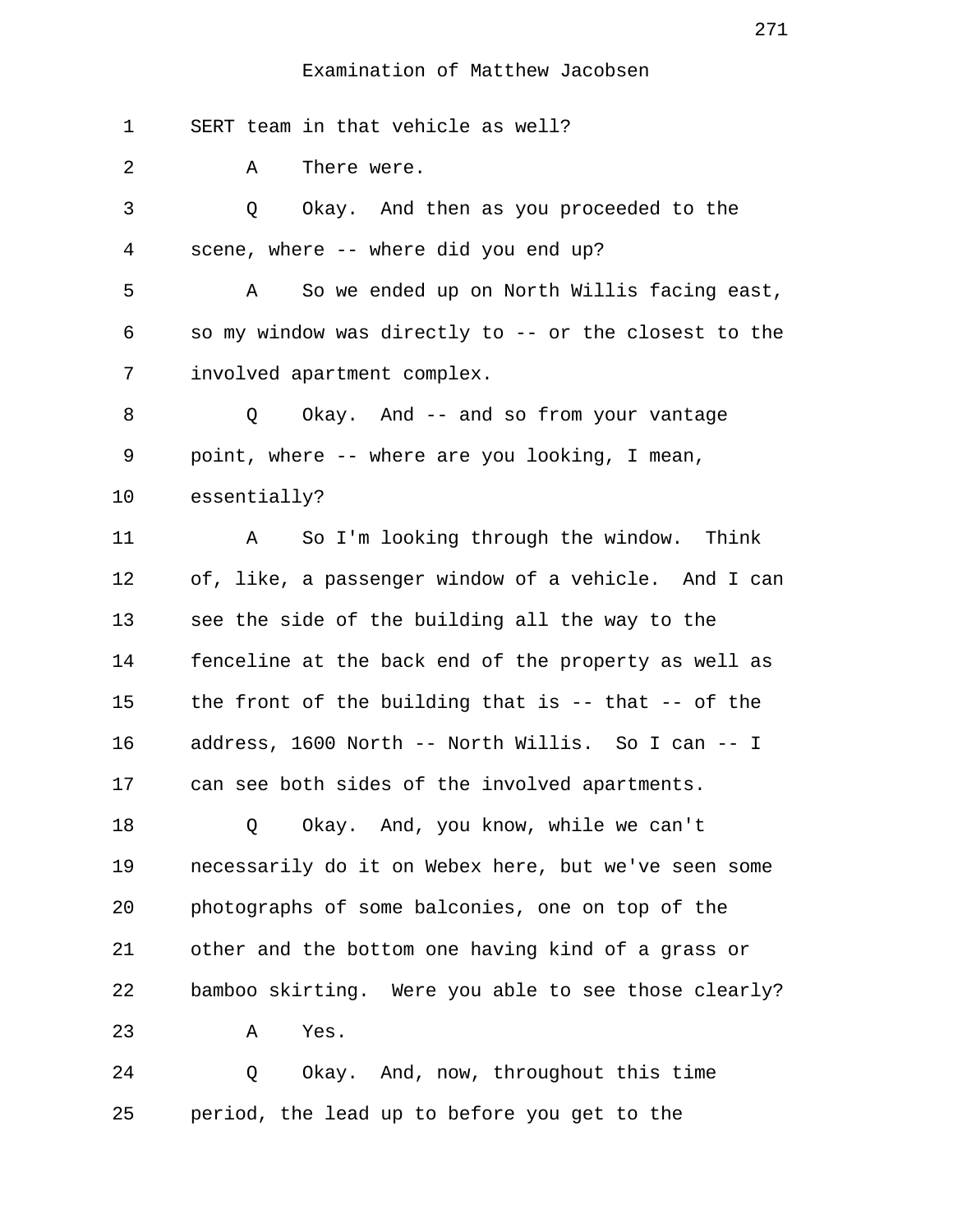1 SERT team in that vehicle as well?

2 A There were.

 3 Q Okay. And then as you proceeded to the 4 scene, where -- where did you end up?

 5 A So we ended up on North Willis facing east, 6 so my window was directly to -- or the closest to the 7 involved apartment complex.

8 0 Okay. And -- and so from your vantage 9 point, where -- where are you looking, I mean,

10 essentially?

11 A So I'm looking through the window. Think 12 of, like, a passenger window of a vehicle. And I can 13 see the side of the building all the way to the 14 fenceline at the back end of the property as well as 15 the front of the building that is -- that -- of the 16 address, 1600 North -- North Willis. So I can -- I 17 can see both sides of the involved apartments.

18 Q Okay. And, you know, while we can't 19 necessarily do it on Webex here, but we've seen some 20 photographs of some balconies, one on top of the 21 other and the bottom one having kind of a grass or 22 bamboo skirting. Were you able to see those clearly? 23 A Yes.

24 Q Okay. And, now, throughout this time 25 period, the lead up to before you get to the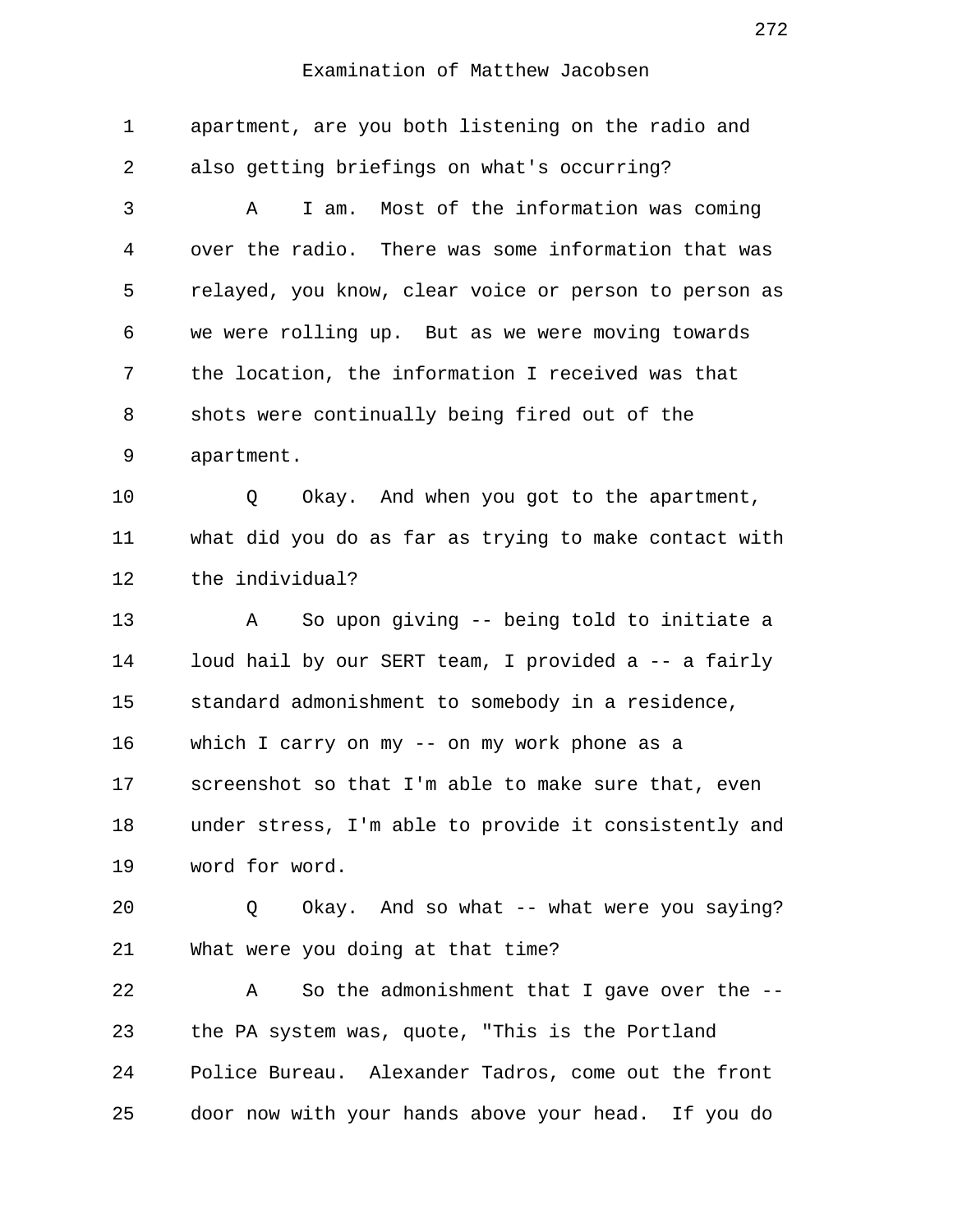| 1  | apartment, are you both listening on the radio and    |
|----|-------------------------------------------------------|
| 2  | also getting briefings on what's occurring?           |
| 3  | I am. Most of the information was coming<br>Α         |
| 4  | over the radio. There was some information that was   |
| 5  | relayed, you know, clear voice or person to person as |
| 6  | we were rolling up. But as we were moving towards     |
| 7  | the location, the information I received was that     |
| 8  | shots were continually being fired out of the         |
| 9  | apartment.                                            |
| 10 | Okay. And when you got to the apartment,<br>Q         |
| 11 | what did you do as far as trying to make contact with |
| 12 | the individual?                                       |
| 13 | So upon giving -- being told to initiate a<br>A       |
| 14 | loud hail by our SERT team, I provided a -- a fairly  |
| 15 | standard admonishment to somebody in a residence,     |
| 16 | which I carry on my -- on my work phone as a          |
| 17 | screenshot so that I'm able to make sure that, even   |
| 18 | under stress, I'm able to provide it consistently and |
| 19 | word for word.                                        |
| 20 | Okay. And so what -- what were you saying?<br>Q       |
| 21 | What were you doing at that time?                     |
| 22 | So the admonishment that I gave over the --<br>Α      |
| 23 | the PA system was, quote, "This is the Portland       |
| 24 | Police Bureau. Alexander Tadros, come out the front   |
| 25 | door now with your hands above your head. If you do   |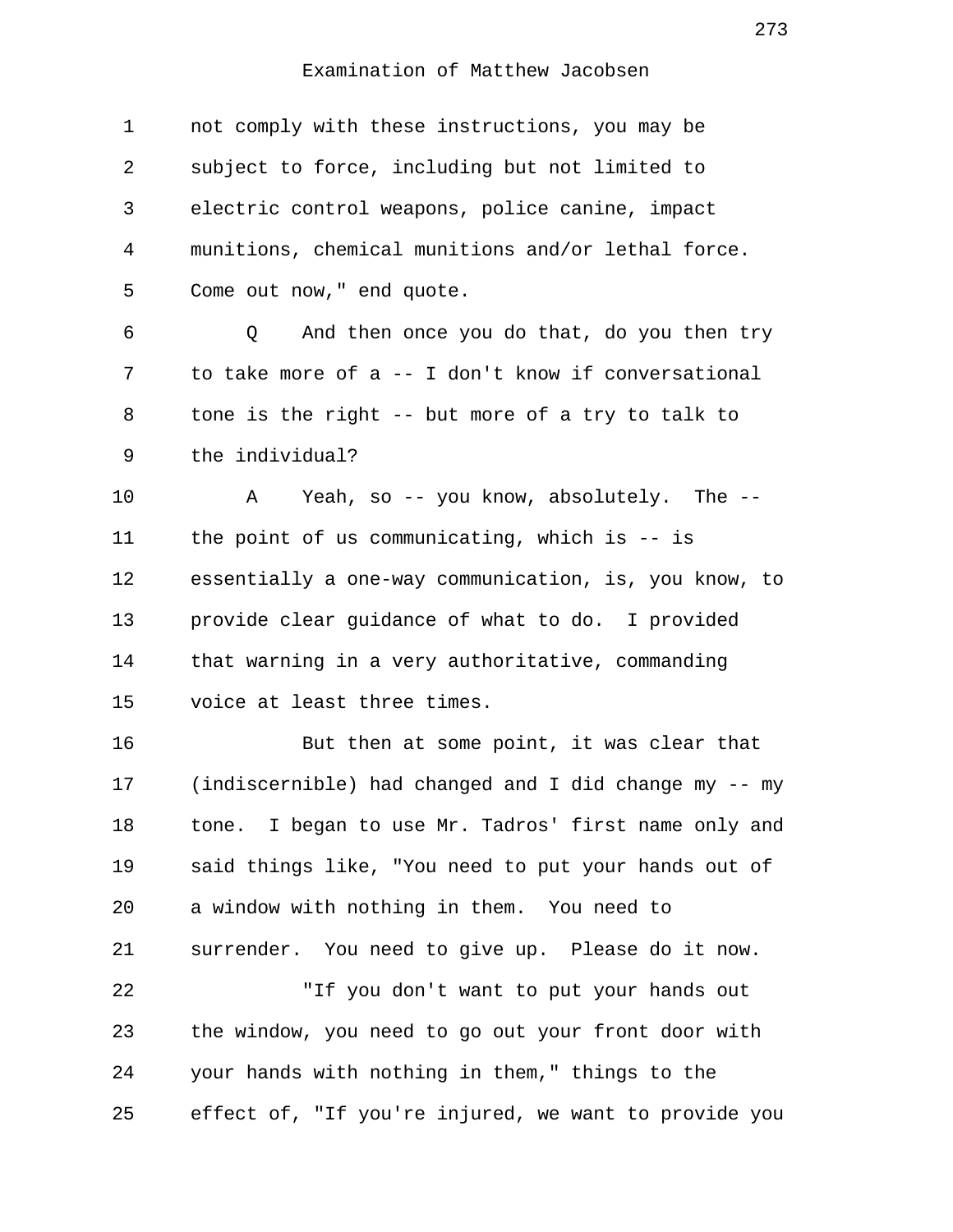| $\mathbf 1$ | not comply with these instructions, you may be        |
|-------------|-------------------------------------------------------|
| 2           | subject to force, including but not limited to        |
| 3           | electric control weapons, police canine, impact       |
| 4           | munitions, chemical munitions and/or lethal force.    |
| 5           | Come out now, " end quote.                            |
| 6           | And then once you do that, do you then try<br>Q       |
| 7           | to take more of a -- I don't know if conversational   |
| 8           | tone is the right -- but more of a try to talk to     |
| 9           | the individual?                                       |
| 10          | Yeah, so -- you know, absolutely. The --<br>Α         |
| 11          | the point of us communicating, which is $-$ is        |
| 12          | essentially a one-way communication, is, you know, to |
| 13          | provide clear guidance of what to do. I provided      |
| 14          | that warning in a very authoritative, commanding      |
| 15          | voice at least three times.                           |
| 16          | But then at some point, it was clear that             |
| 17          | (indiscernible) had changed and I did change my -- my |
| 18          | tone. I began to use Mr. Tadros' first name only and  |
| 19          | said things like, "You need to put your hands out of  |
| 20          | a window with nothing in them. You need to            |
| 21          | surrender. You need to give up. Please do it now.     |
| 22          | "If you don't want to put your hands out              |
| 23          | the window, you need to go out your front door with   |
| 24          | your hands with nothing in them," things to the       |
| 25          | effect of, "If you're injured, we want to provide you |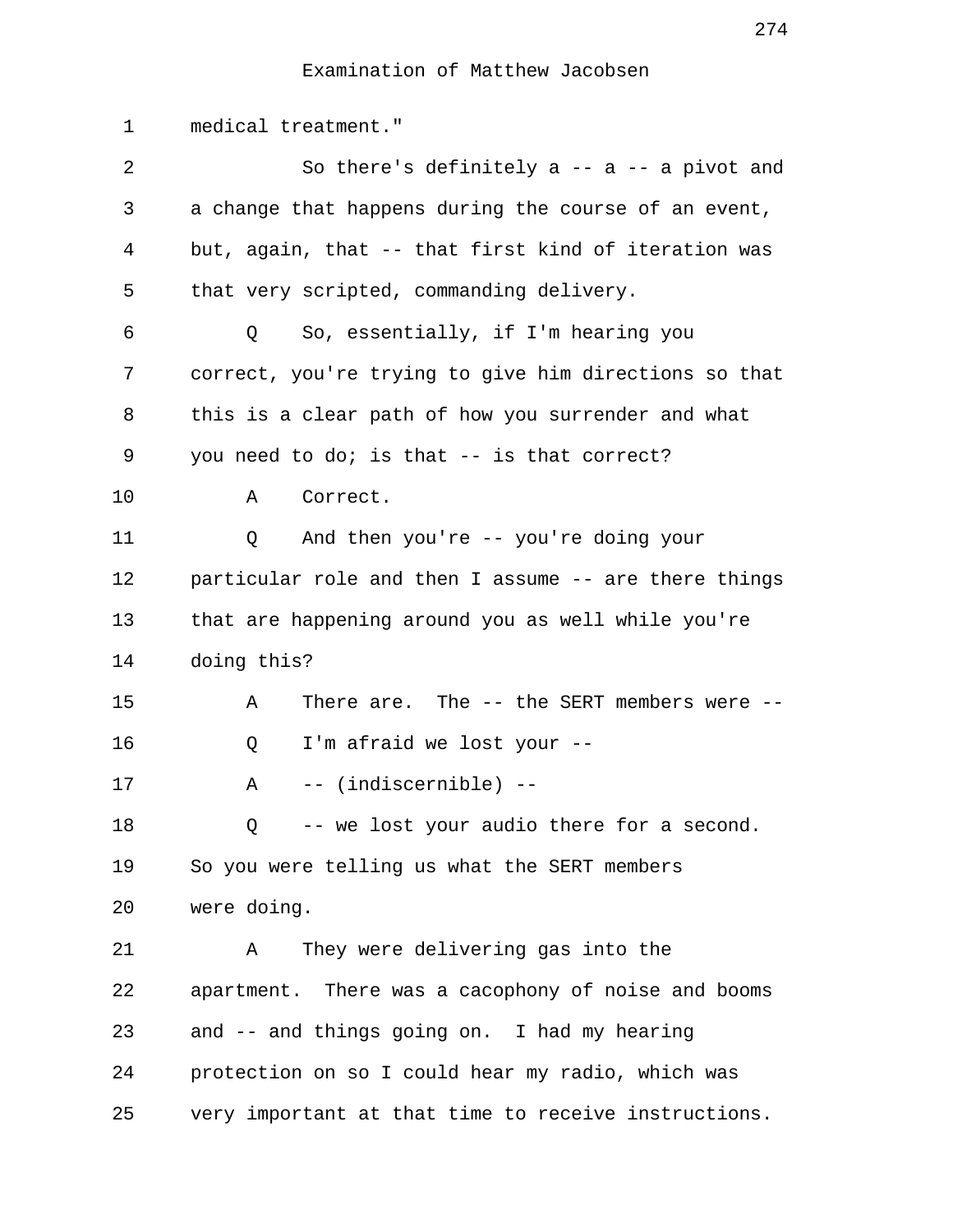1 medical treatment." 2 So there's definitely a -- a -- a pivot and 3 a change that happens during the course of an event, 4 but, again, that -- that first kind of iteration was 5 that very scripted, commanding delivery. 6 Q So, essentially, if I'm hearing you 7 correct, you're trying to give him directions so that 8 this is a clear path of how you surrender and what 9 you need to do; is that -- is that correct? 10 A Correct. 11 Q And then you're -- you're doing your 12 particular role and then I assume -- are there things 13 that are happening around you as well while you're 14 doing this? 15 A There are. The -- the SERT members were -- 16 Q I'm afraid we lost your -- 17 A -- (indiscernible) -- 18 Q -- we lost your audio there for a second. 19 So you were telling us what the SERT members 20 were doing. 21 A They were delivering gas into the 22 apartment. There was a cacophony of noise and booms 23 and -- and things going on. I had my hearing 24 protection on so I could hear my radio, which was 25 very important at that time to receive instructions.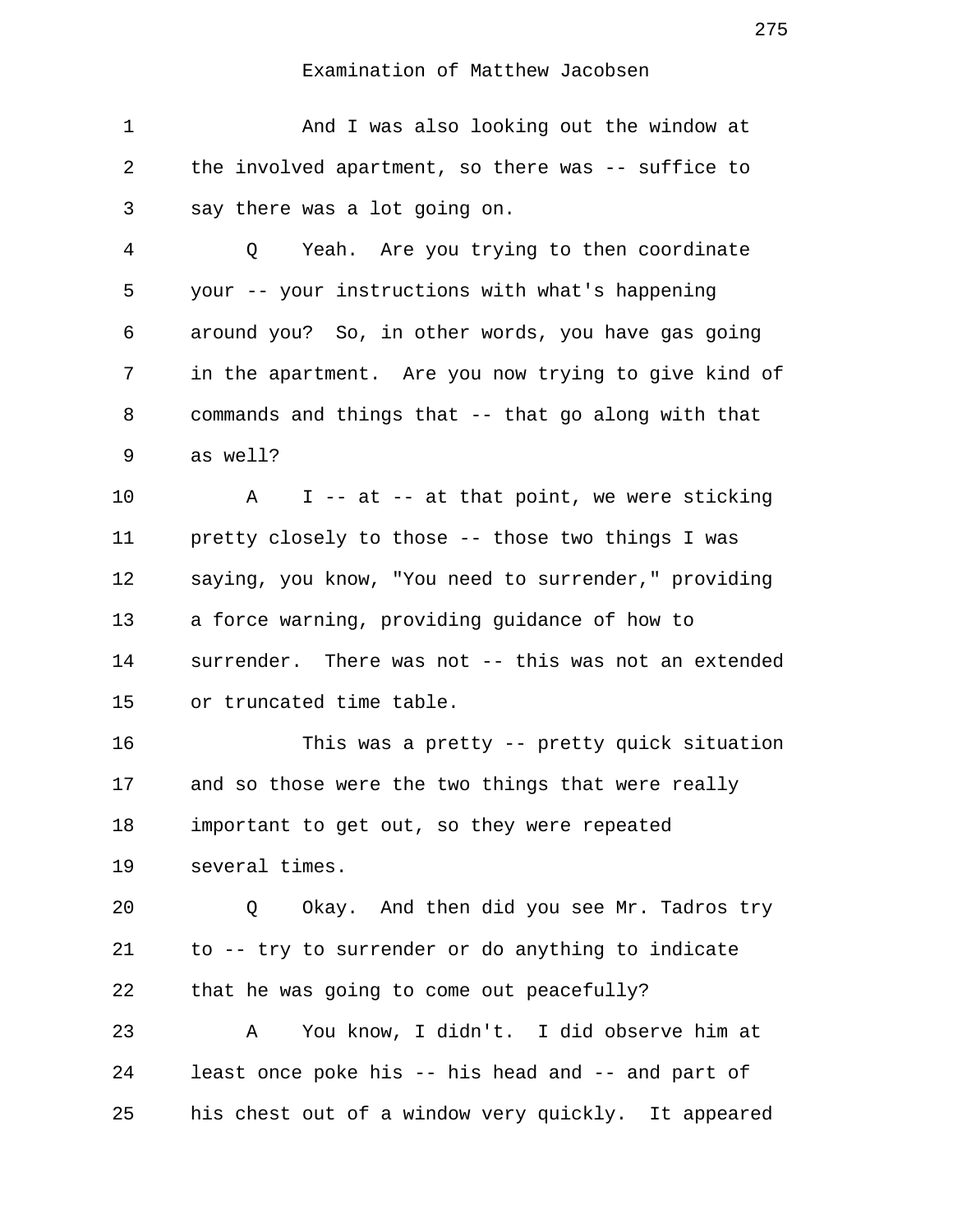1 And I was also looking out the window at 2 the involved apartment, so there was -- suffice to 3 say there was a lot going on.

 4 Q Yeah. Are you trying to then coordinate 5 your -- your instructions with what's happening 6 around you? So, in other words, you have gas going 7 in the apartment. Are you now trying to give kind of 8 commands and things that -- that go along with that 9 as well?

10 A I -- at -- at that point, we were sticking 11 pretty closely to those -- those two things I was 12 saying, you know, "You need to surrender," providing 13 a force warning, providing guidance of how to 14 surrender. There was not -- this was not an extended 15 or truncated time table.

16 This was a pretty -- pretty quick situation 17 and so those were the two things that were really 18 important to get out, so they were repeated 19 several times.

20 Q Okay. And then did you see Mr. Tadros try 21 to -- try to surrender or do anything to indicate 22 that he was going to come out peacefully? 23 A You know, I didn't. I did observe him at 24 least once poke his -- his head and -- and part of 25 his chest out of a window very quickly. It appeared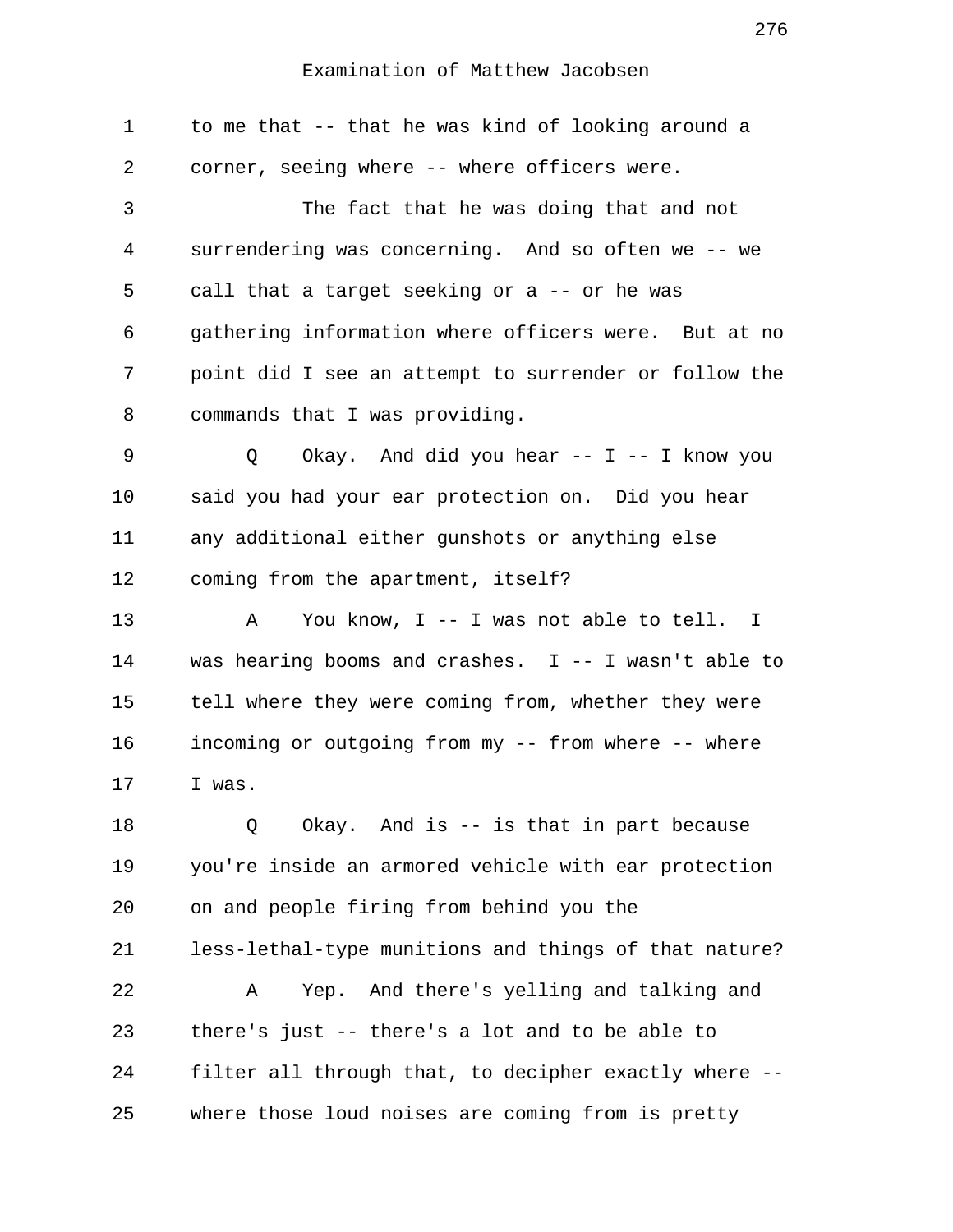1 to me that -- that he was kind of looking around a 2 corner, seeing where -- where officers were. 3 The fact that he was doing that and not 4 surrendering was concerning. And so often we -- we 5 call that a target seeking or a -- or he was 6 gathering information where officers were. But at no 7 point did I see an attempt to surrender or follow the 8 commands that I was providing. 9 0 Okay. And did you hear -- I -- I know you 10 said you had your ear protection on. Did you hear 11 any additional either gunshots or anything else 12 coming from the apartment, itself? 13 A You know, I -- I was not able to tell. I 14 was hearing booms and crashes. I -- I wasn't able to 15 tell where they were coming from, whether they were 16 incoming or outgoing from my -- from where -- where 17 I was. 18 Q Okay. And is -- is that in part because 19 you're inside an armored vehicle with ear protection 20 on and people firing from behind you the 21 less-lethal-type munitions and things of that nature? 22 A Yep. And there's yelling and talking and 23 there's just -- there's a lot and to be able to 24 filter all through that, to decipher exactly where -- 25 where those loud noises are coming from is pretty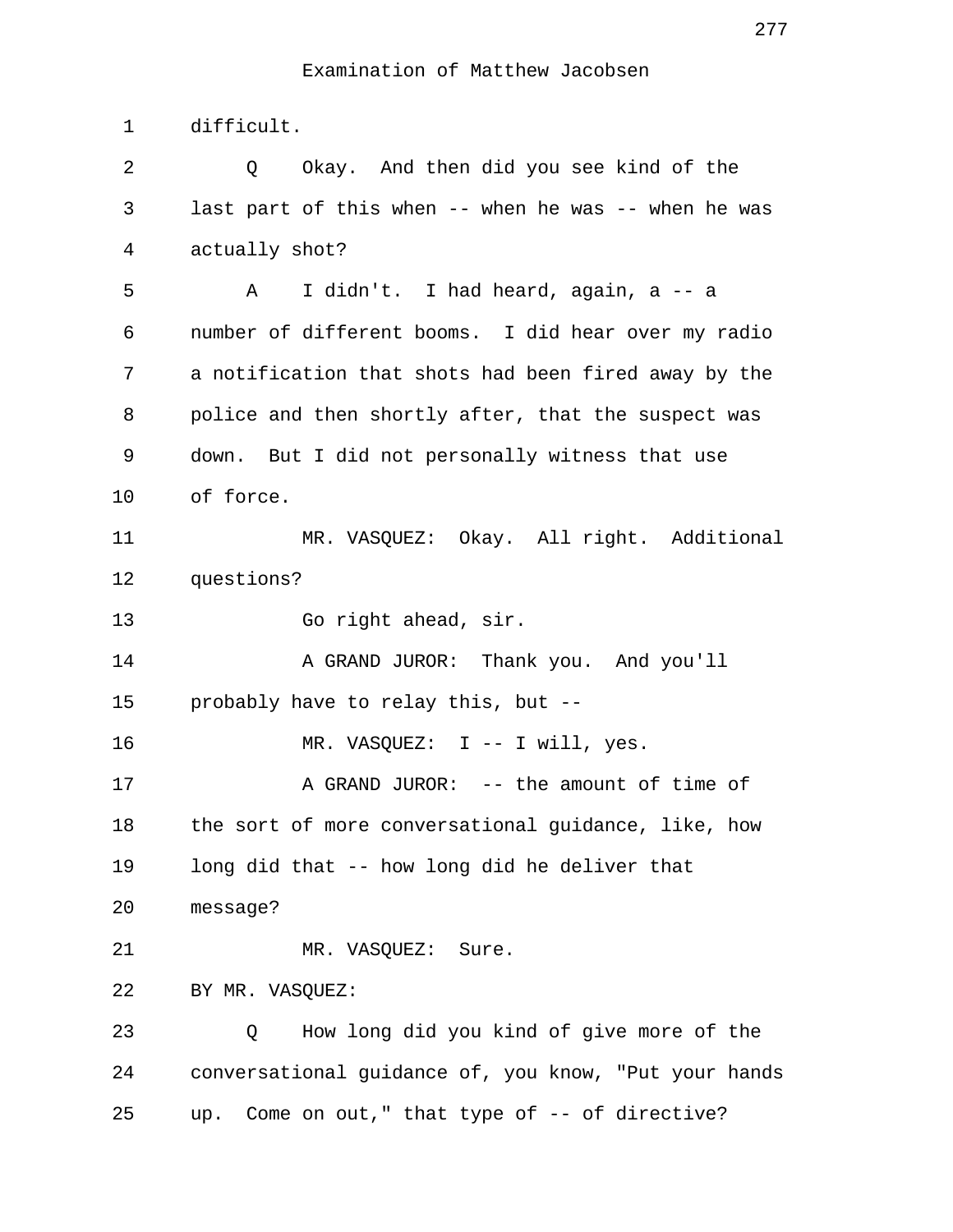1 difficult.

 2 Q Okay. And then did you see kind of the 3 last part of this when -- when he was -- when he was 4 actually shot? 5 A I didn't. I had heard, again, a -- a 6 number of different booms. I did hear over my radio 7 a notification that shots had been fired away by the 8 police and then shortly after, that the suspect was 9 down. But I did not personally witness that use 10 of force. 11 MR. VASQUEZ: Okay. All right. Additional 12 questions? 13 Go right ahead, sir. 14 A GRAND JUROR: Thank you. And you'll 15 probably have to relay this, but -- 16 MR. VASQUEZ: I -- I will, yes. 17 A GRAND JUROR: -- the amount of time of 18 the sort of more conversational guidance, like, how 19 long did that -- how long did he deliver that 20 message? 21 MR. VASQUEZ: Sure. 22 BY MR. VASQUEZ: 23 Q How long did you kind of give more of the 24 conversational guidance of, you know, "Put your hands 25 up. Come on out," that type of -- of directive?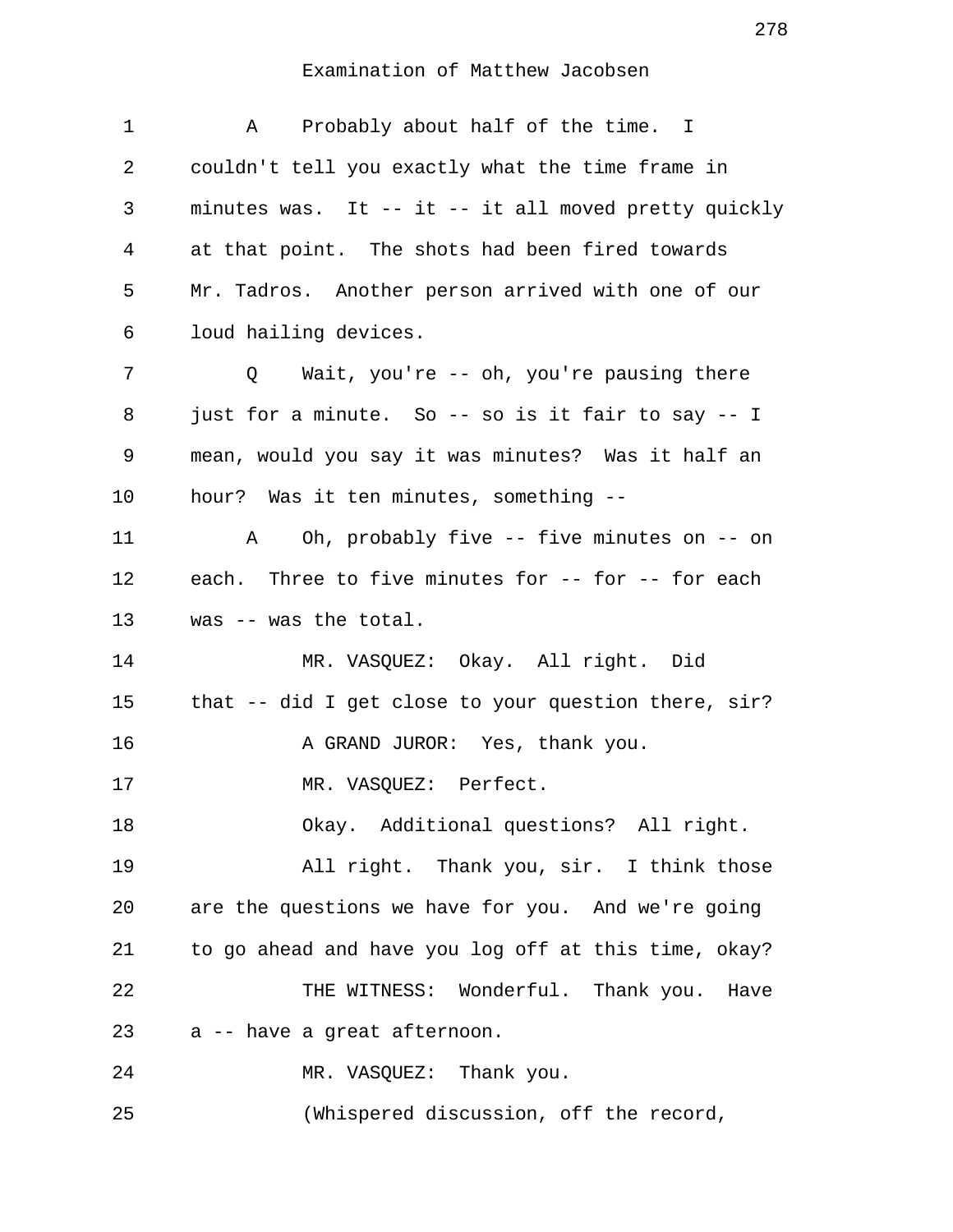| 1  | Probably about half of the time. I<br>A              |
|----|------------------------------------------------------|
| 2  | couldn't tell you exactly what the time frame in     |
| 3  | minutes was. It -- it -- it all moved pretty quickly |
| 4  | at that point. The shots had been fired towards      |
| 5  | Mr. Tadros. Another person arrived with one of our   |
| 6  | loud hailing devices.                                |
| 7  | Wait, you're -- oh, you're pausing there<br>Q        |
| 8  | just for a minute. So -- so is it fair to say -- I   |
| 9  | mean, would you say it was minutes? Was it half an   |
| 10 | hour? Was it ten minutes, something --               |
| 11 | Oh, probably five -- five minutes on -- on<br>A      |
| 12 | each. Three to five minutes for -- for -- for each   |
| 13 | was -- was the total.                                |
| 14 | MR. VASQUEZ: Okay. All right. Did                    |
| 15 | that -- did I get close to your question there, sir? |
| 16 | A GRAND JUROR: Yes, thank you.                       |
| 17 | MR. VASQUEZ: Perfect.                                |
| 18 | Okay. Additional questions? All right.               |
| 19 | All right. Thank you, sir. I think those             |
| 20 | are the questions we have for you. And we're going   |
| 21 | to go ahead and have you log off at this time, okay? |
| 22 | THE WITNESS: Wonderful. Thank you. Have              |
| 23 | a -- have a great afternoon.                         |
| 24 | MR. VASQUEZ: Thank you.                              |
| 25 | (Whispered discussion, off the record,               |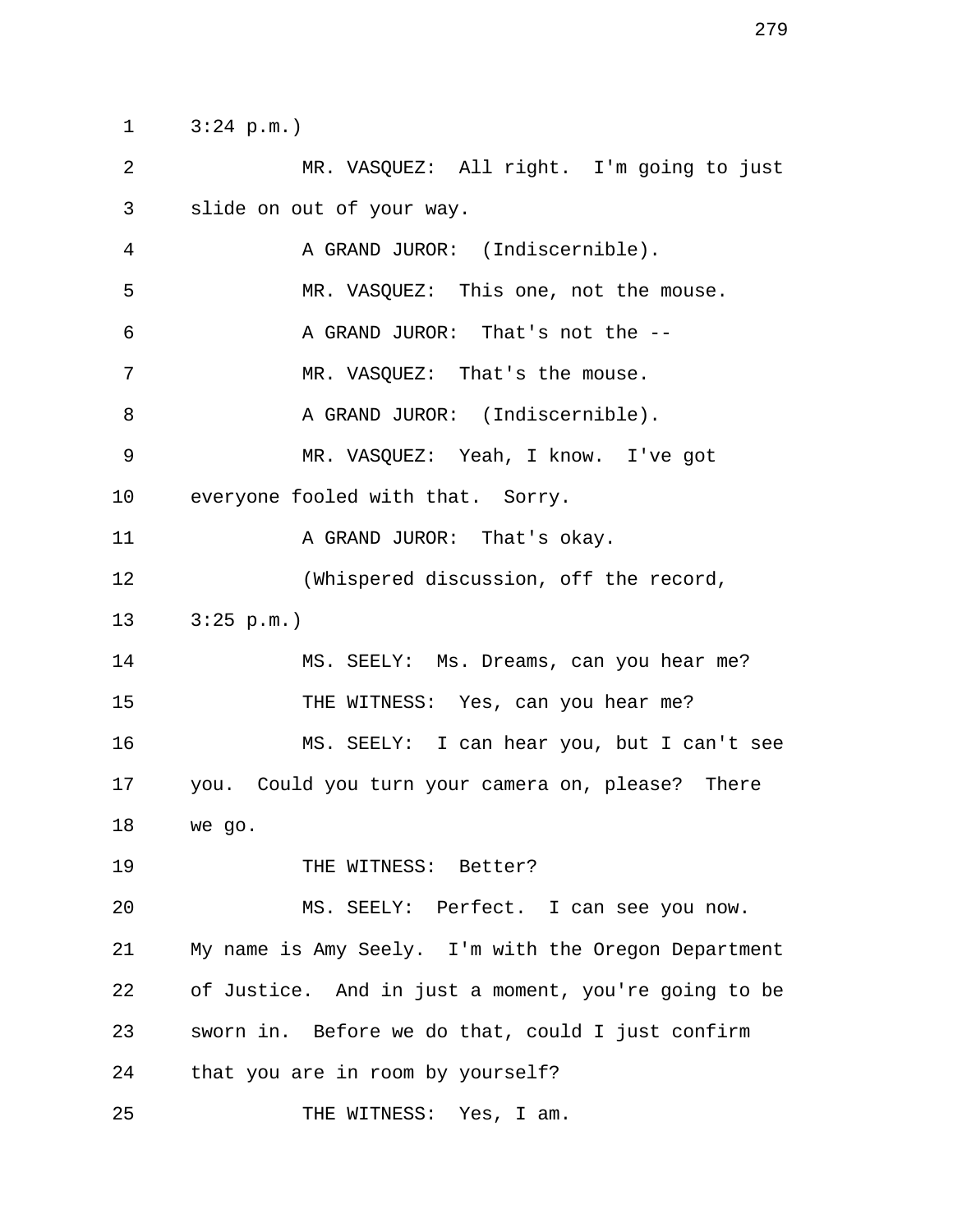1 3:24 p.m.)

 2 MR. VASQUEZ: All right. I'm going to just 3 slide on out of your way. 4 A GRAND JUROR: (Indiscernible). 5 MR. VASQUEZ: This one, not the mouse. 6 A GRAND JUROR: That's not the -- 7 MR. VASOUEZ: That's the mouse. 8 A GRAND JUROR: (Indiscernible). 9 MR. VASQUEZ: Yeah, I know. I've got 10 everyone fooled with that. Sorry. 11 A GRAND JUROR: That's okay. 12 (Whispered discussion, off the record, 13 3:25 p.m.) 14 MS. SEELY: Ms. Dreams, can you hear me? 15 THE WITNESS: Yes, can you hear me? 16 MS. SEELY: I can hear you, but I can't see

17 you. Could you turn your camera on, please? There 18 we go.

19 THE WITNESS: Better?

20 MS. SEELY: Perfect. I can see you now. 21 My name is Amy Seely. I'm with the Oregon Department 22 of Justice. And in just a moment, you're going to be 23 sworn in. Before we do that, could I just confirm 24 that you are in room by yourself?

25 THE WITNESS: Yes, I am.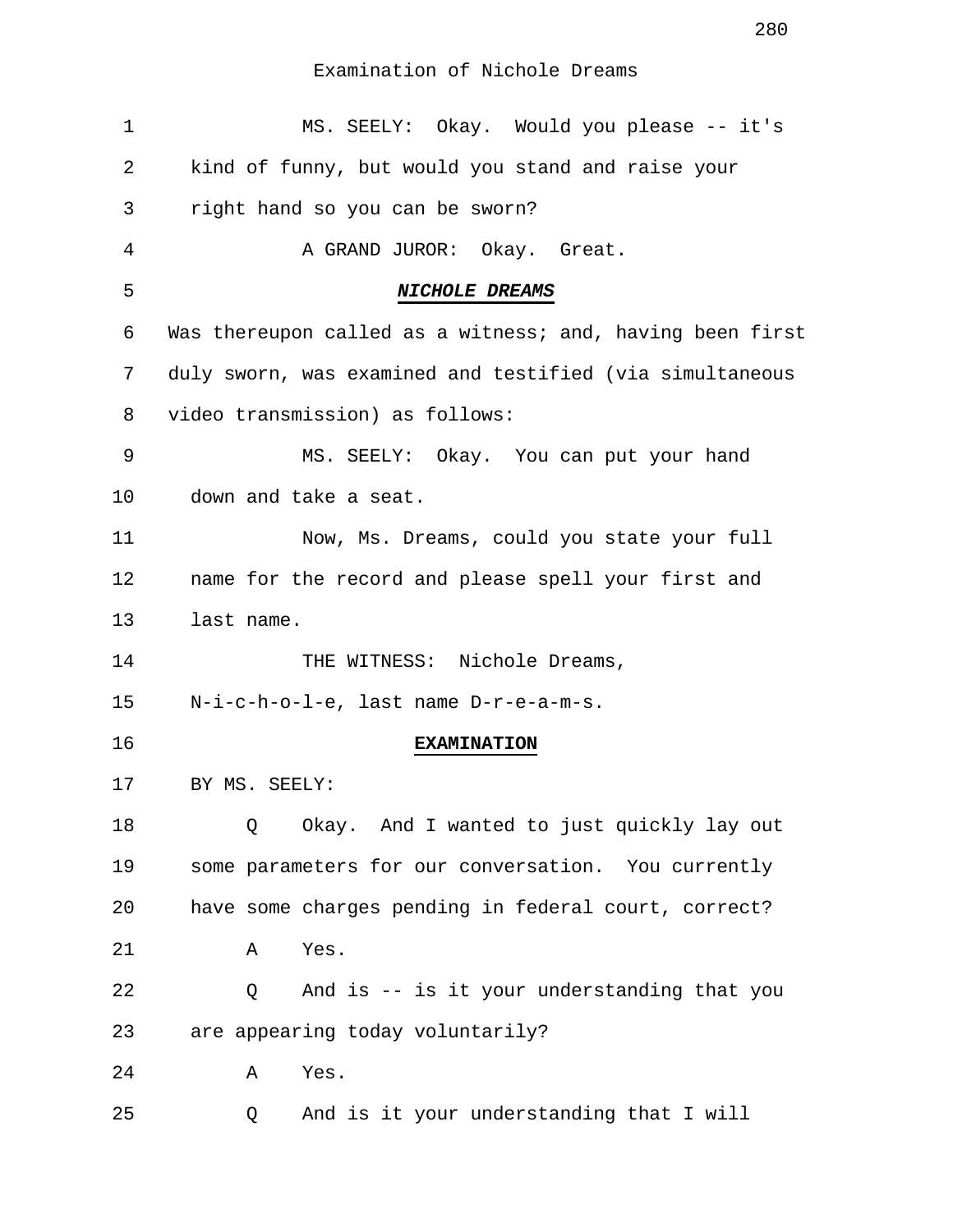| 1  | MS. SEELY: Okay. Would you please -- it's                 |
|----|-----------------------------------------------------------|
| 2  | kind of funny, but would you stand and raise your         |
| 3  | right hand so you can be sworn?                           |
| 4  | A GRAND JUROR: Okay. Great.                               |
| 5  | NICHOLE DREAMS                                            |
| 6  | Was thereupon called as a witness; and, having been first |
| 7  | duly sworn, was examined and testified (via simultaneous  |
| 8  | video transmission) as follows:                           |
| 9  | MS. SEELY: Okay. You can put your hand                    |
| 10 | down and take a seat.                                     |
| 11 | Now, Ms. Dreams, could you state your full                |
| 12 | name for the record and please spell your first and       |
| 13 | last name.                                                |
| 14 | THE WITNESS: Nichole Dreams,                              |
| 15 | N-i-c-h-o-l-e, last name D-r-e-a-m-s.                     |
| 16 | <b>EXAMINATION</b>                                        |
| 17 | BY MS. SEELY:                                             |
| 18 | Okay. And I wanted to just quickly lay out<br>Q           |
| 19 | some parameters for our conversation. You currently       |
| 20 | have some charges pending in federal court, correct?      |
| 21 | Yes.<br>Α                                                 |
| 22 | And is -- is it your understanding that you<br>Q          |
| 23 | are appearing today voluntarily?                          |
| 24 | Yes.<br>Α                                                 |
| 25 | And is it your understanding that I will<br>Q             |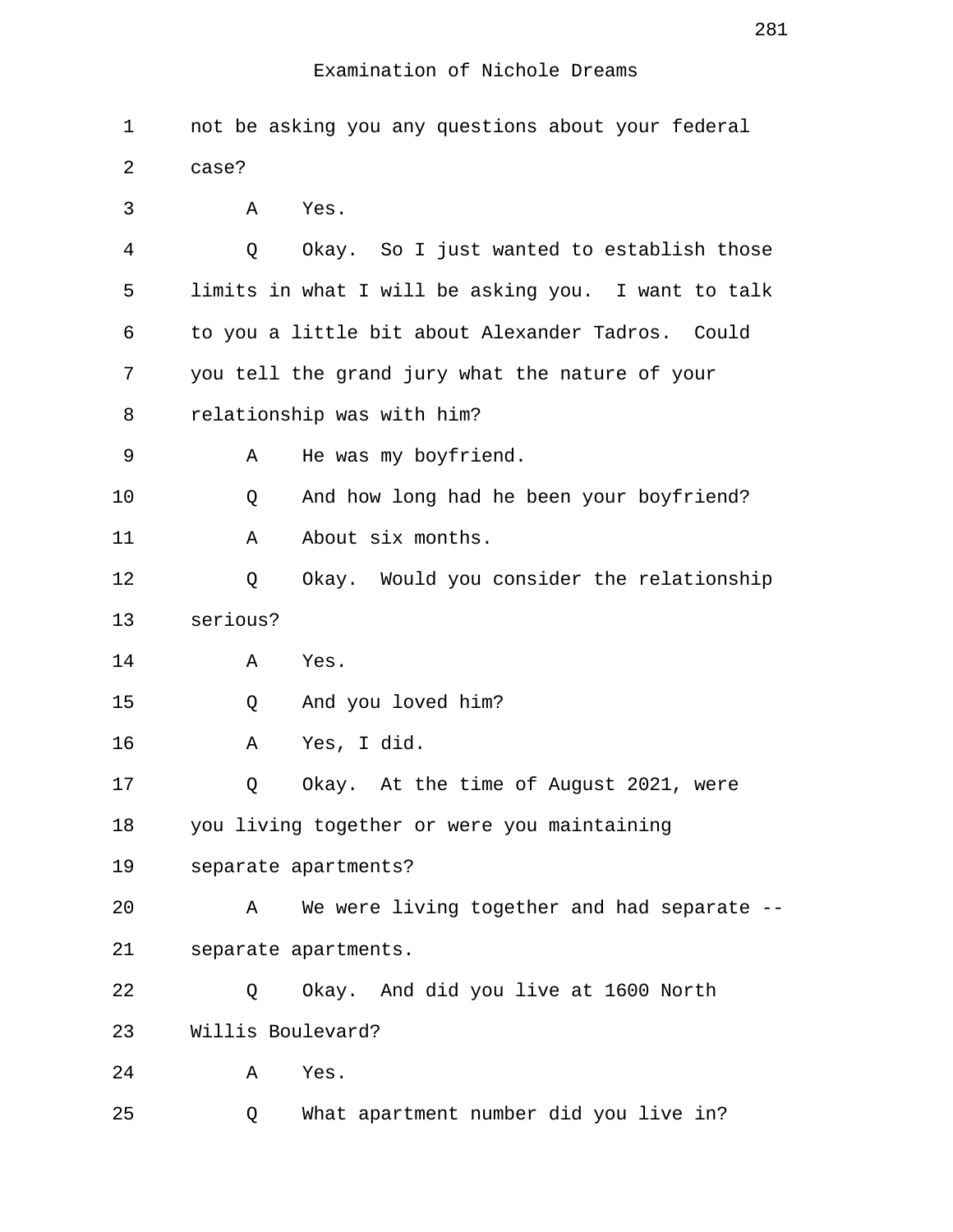| 1  | not be asking you any questions about your federal  |
|----|-----------------------------------------------------|
| 2  | case?                                               |
| 3  | Yes.<br>Α                                           |
| 4  | Okay. So I just wanted to establish those<br>Q      |
| 5  | limits in what I will be asking you. I want to talk |
| 6  | to you a little bit about Alexander Tadros. Could   |
| 7  | you tell the grand jury what the nature of your     |
| 8  | relationship was with him?                          |
| 9  | He was my boyfriend.<br>Α                           |
| 10 | And how long had he been your boyfriend?<br>Q       |
| 11 | About six months.<br>Α                              |
| 12 | Okay. Would you consider the relationship<br>Q      |
| 13 | serious?                                            |
| 14 | Yes.<br>Α                                           |
| 15 | And you loved him?<br>Q                             |
| 16 | Yes, I did.<br>Α                                    |
| 17 | Okay. At the time of August 2021, were<br>Q         |
| 18 | you living together or were you maintaining         |
| 19 | separate apartments?                                |
| 20 | We were living together and had separate --<br>Α    |
| 21 | separate apartments.                                |
| 22 | Okay. And did you live at 1600 North<br>Q           |
| 23 | Willis Boulevard?                                   |
| 24 | Yes.<br>Α                                           |
| 25 | What apartment number did you live in?<br>Q         |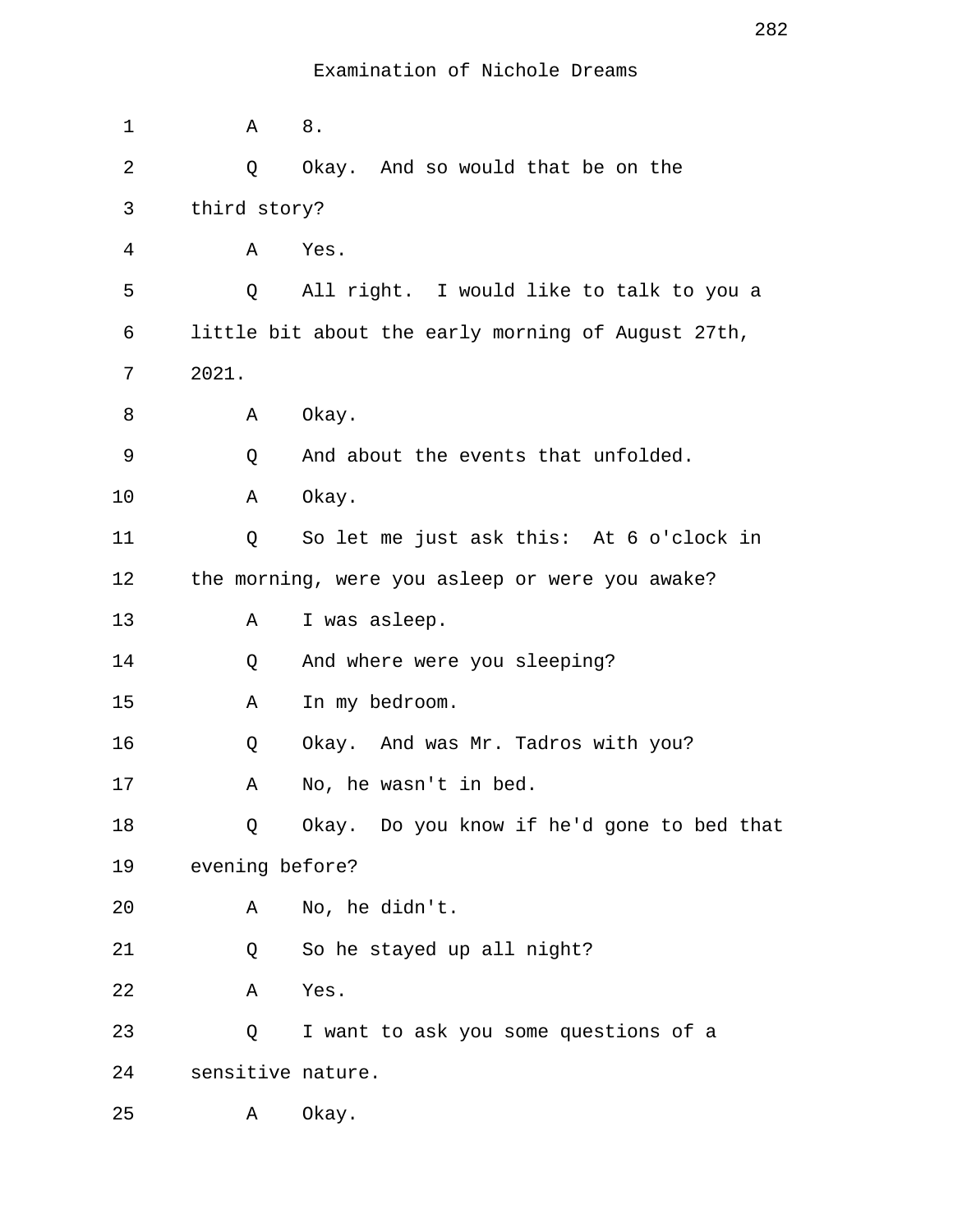| 1  | Α                 | 8.                                                 |
|----|-------------------|----------------------------------------------------|
| 2  | Q                 | Okay. And so would that be on the                  |
| 3  | third story?      |                                                    |
| 4  | Α                 | Yes.                                               |
| 5  | Q                 | All right. I would like to talk to you a           |
| 6  |                   | little bit about the early morning of August 27th, |
| 7  | 2021.             |                                                    |
| 8  | Α                 | Okay.                                              |
| 9  | Q                 | And about the events that unfolded.                |
| 10 | Α                 | Okay.                                              |
| 11 | Q                 | So let me just ask this: At 6 o'clock in           |
| 12 |                   | the morning, were you asleep or were you awake?    |
| 13 | Α                 | I was asleep.                                      |
| 14 | Q                 | And where were you sleeping?                       |
| 15 | Α                 | In my bedroom.                                     |
| 16 | Q                 | Okay. And was Mr. Tadros with you?                 |
| 17 | Α                 | No, he wasn't in bed.                              |
| 18 | Q                 | Okay. Do you know if he'd gone to bed that         |
| 19 | evening before?   |                                                    |
| 20 | Α                 | No, he didn't.                                     |
| 21 | Q                 | So he stayed up all night?                         |
| 22 | Α                 | Yes.                                               |
| 23 | Q                 | I want to ask you some questions of a              |
| 24 | sensitive nature. |                                                    |
| 25 | Α                 | Okay.                                              |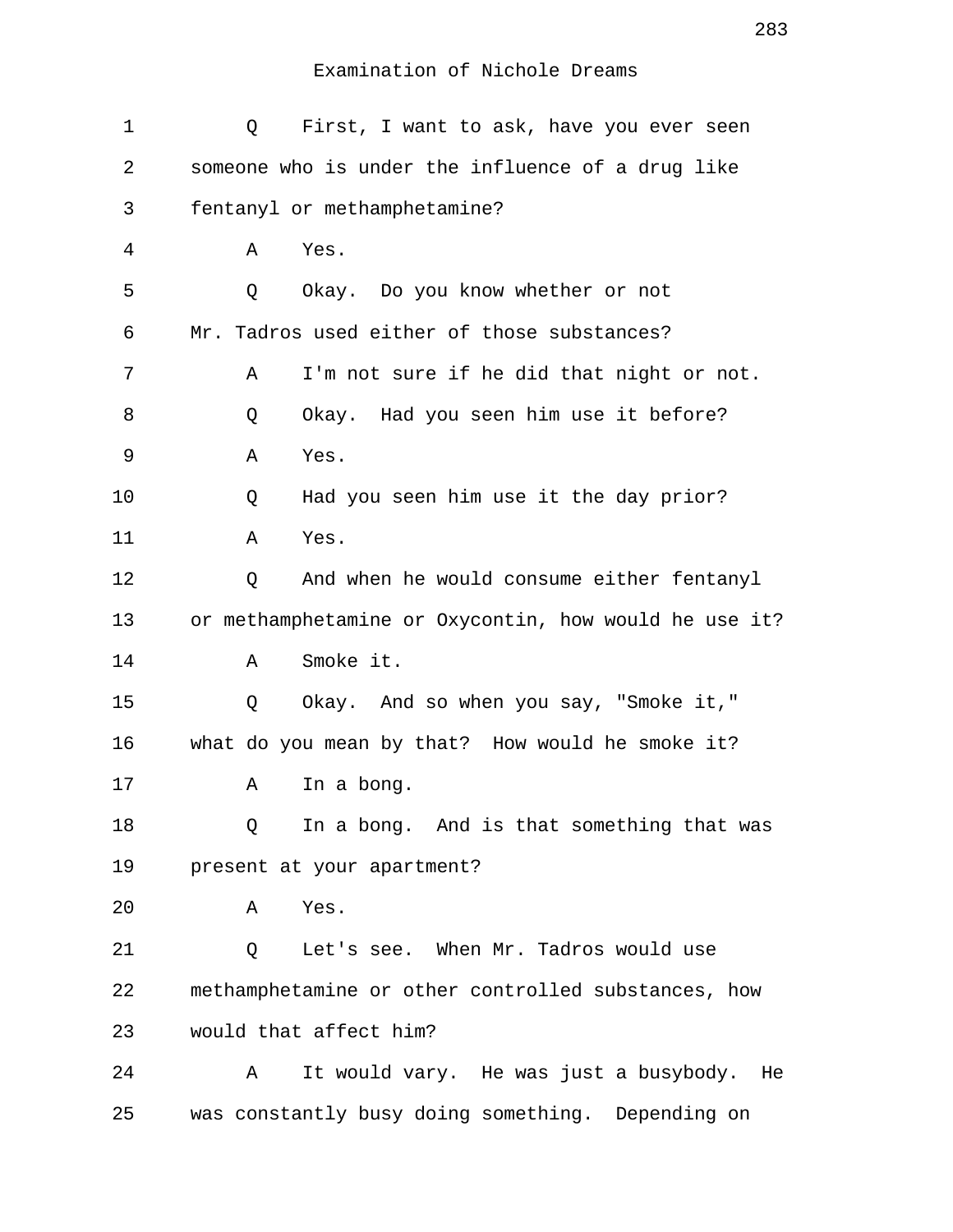| 1  | First, I want to ask, have you ever seen<br>Q         |
|----|-------------------------------------------------------|
| 2  | someone who is under the influence of a drug like     |
| 3  | fentanyl or methamphetamine?                          |
| 4  | Yes.<br>Α                                             |
| 5  | Okay. Do you know whether or not<br>Q                 |
| 6  | Mr. Tadros used either of those substances?           |
| 7  | I'm not sure if he did that night or not.<br>Α        |
| 8  | Okay. Had you seen him use it before?<br>Q            |
| 9  | Yes.<br>Α                                             |
| 10 | Had you seen him use it the day prior?<br>Q           |
| 11 | Yes.<br>Α                                             |
| 12 | And when he would consume either fentanyl<br>Q        |
| 13 | or methamphetamine or Oxycontin, how would he use it? |
| 14 | Smoke it.<br>Α                                        |
| 15 | Okay. And so when you say, "Smoke it,"<br>Q           |
| 16 | what do you mean by that? How would he smoke it?      |
| 17 | In a bong.<br>Α                                       |
| 18 | In a bong. And is that something that was<br>Q        |
| 19 | present at your apartment?                            |
| 20 | Yes.<br>Α                                             |
| 21 | Let's see. When Mr. Tadros would use<br>Q             |
| 22 | methamphetamine or other controlled substances, how   |
| 23 | would that affect him?                                |
| 24 | It would vary. He was just a busybody.<br>Α<br>He     |
| 25 | was constantly busy doing something. Depending on     |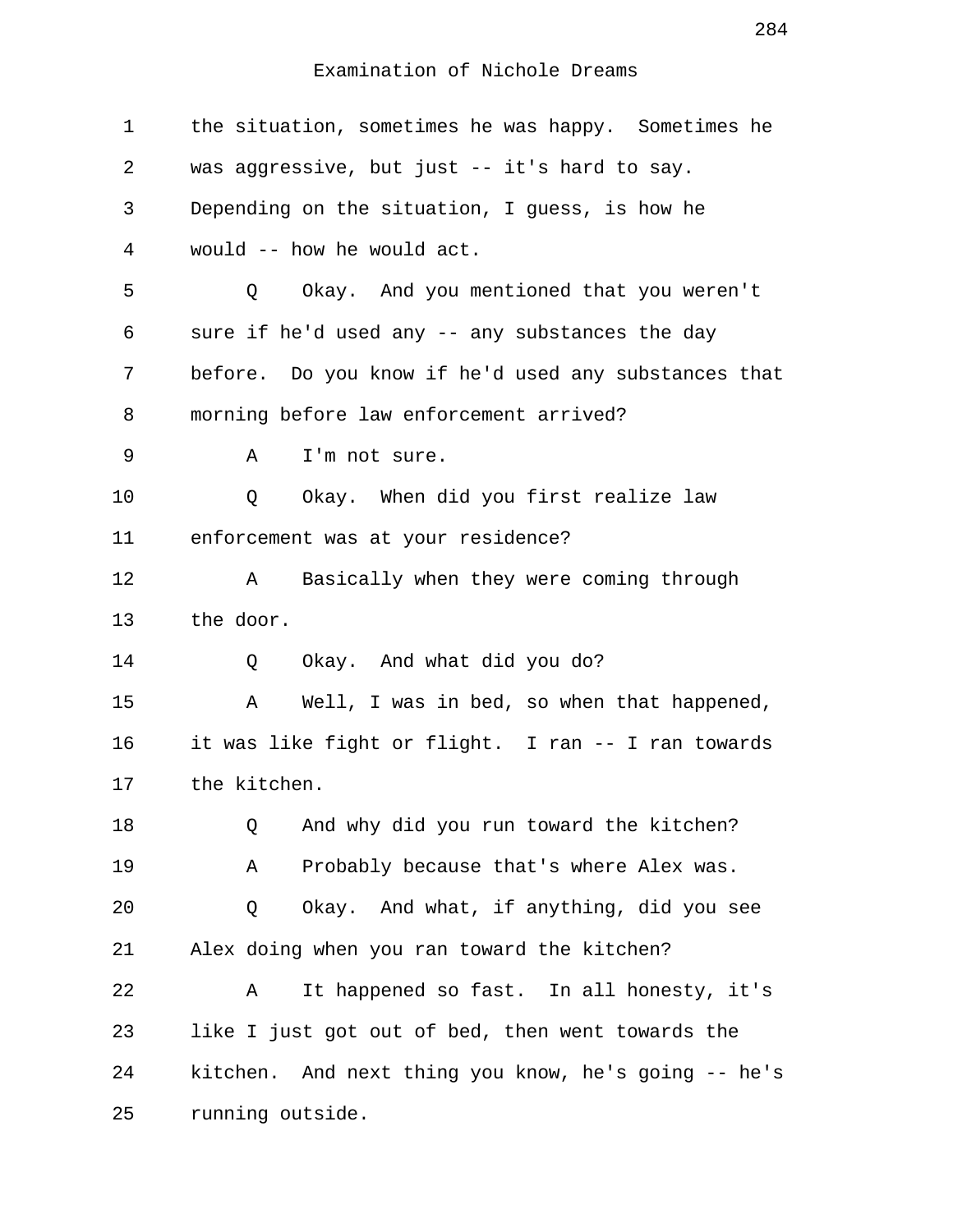1 the situation, sometimes he was happy. Sometimes he 2 was aggressive, but just -- it's hard to say. 3 Depending on the situation, I guess, is how he 4 would -- how he would act. 5 Q Okay. And you mentioned that you weren't 6 sure if he'd used any -- any substances the day 7 before. Do you know if he'd used any substances that 8 morning before law enforcement arrived? 9 A I'm not sure. 10 0 Okay. When did you first realize law 11 enforcement was at your residence? 12 A Basically when they were coming through 13 the door. 14 0 Okay. And what did you do? 15 A Well, I was in bed, so when that happened, 16 it was like fight or flight. I ran -- I ran towards 17 the kitchen. 18 Q And why did you run toward the kitchen? 19 A Probably because that's where Alex was. 20 Q Okay. And what, if anything, did you see 21 Alex doing when you ran toward the kitchen? 22 A It happened so fast. In all honesty, it's 23 like I just got out of bed, then went towards the 24 kitchen. And next thing you know, he's going -- he's 25 running outside.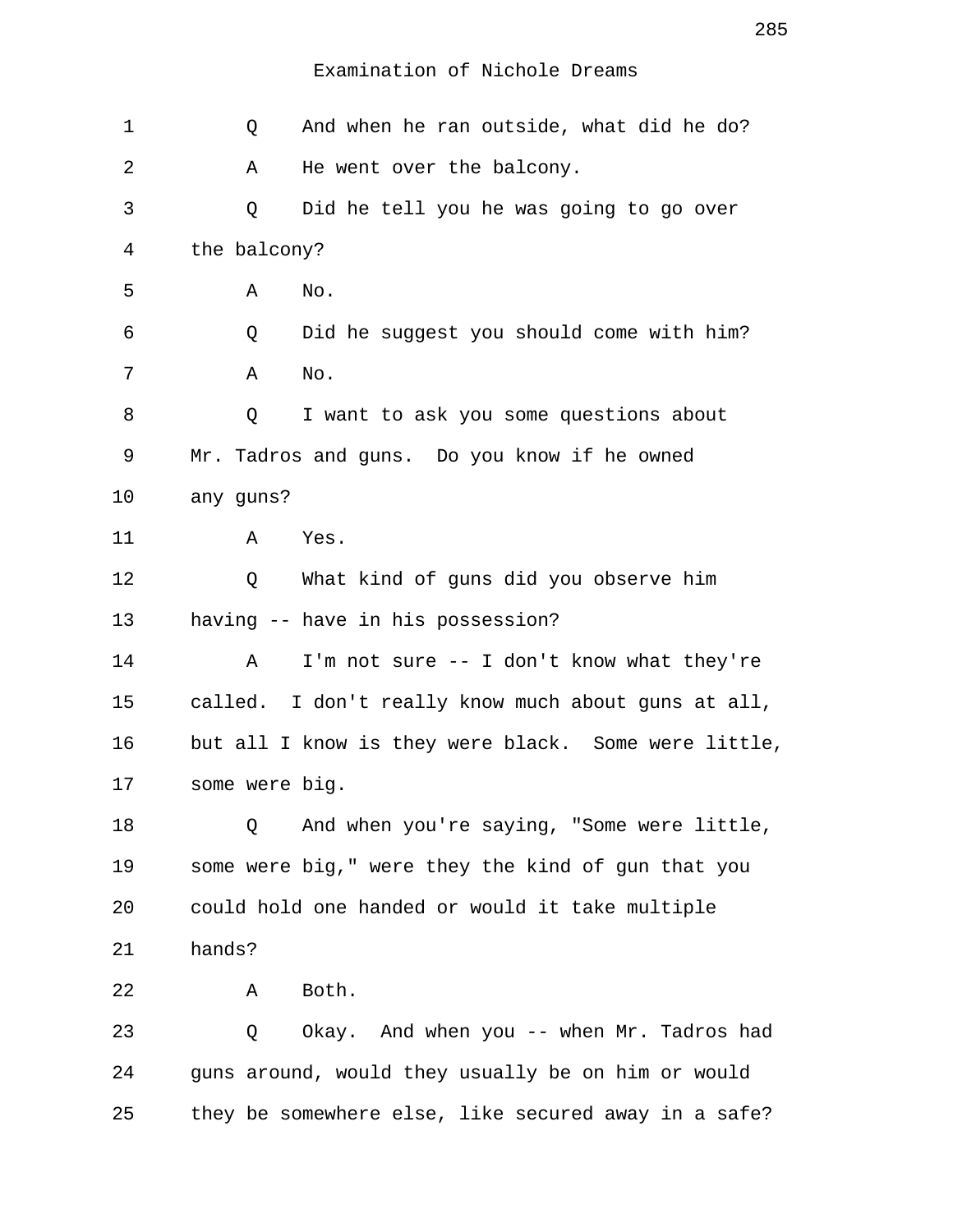| 1  | Q              | And when he ran outside, what did he do?             |
|----|----------------|------------------------------------------------------|
| 2  | Α              | He went over the balcony.                            |
| 3  | Q              | Did he tell you he was going to go over              |
| 4  | the balcony?   |                                                      |
| 5  | Α              | No.                                                  |
| 6  | Q              | Did he suggest you should come with him?             |
| 7  | Α              | No.                                                  |
| 8  | Q              | I want to ask you some questions about               |
| 9  |                | Mr. Tadros and guns. Do you know if he owned         |
| 10 | any guns?      |                                                      |
| 11 | Α              | Yes.                                                 |
| 12 | Q              | What kind of guns did you observe him                |
| 13 |                | having -- have in his possession?                    |
| 14 | Α              | I'm not sure -- I don't know what they're            |
| 15 |                | called. I don't really know much about guns at all,  |
| 16 |                | but all I know is they were black. Some were little, |
| 17 | some were big. |                                                      |
| 18 | Q              | And when you're saying, "Some were little,           |
| 19 |                | some were big," were they the kind of gun that you   |
| 20 |                | could hold one handed or would it take multiple      |
| 21 | hands?         |                                                      |
| 22 | Α              | Both.                                                |
| 23 | Q              | Okay. And when you -- when Mr. Tadros had            |
| 24 |                | guns around, would they usually be on him or would   |
| 25 |                | they be somewhere else, like secured away in a safe? |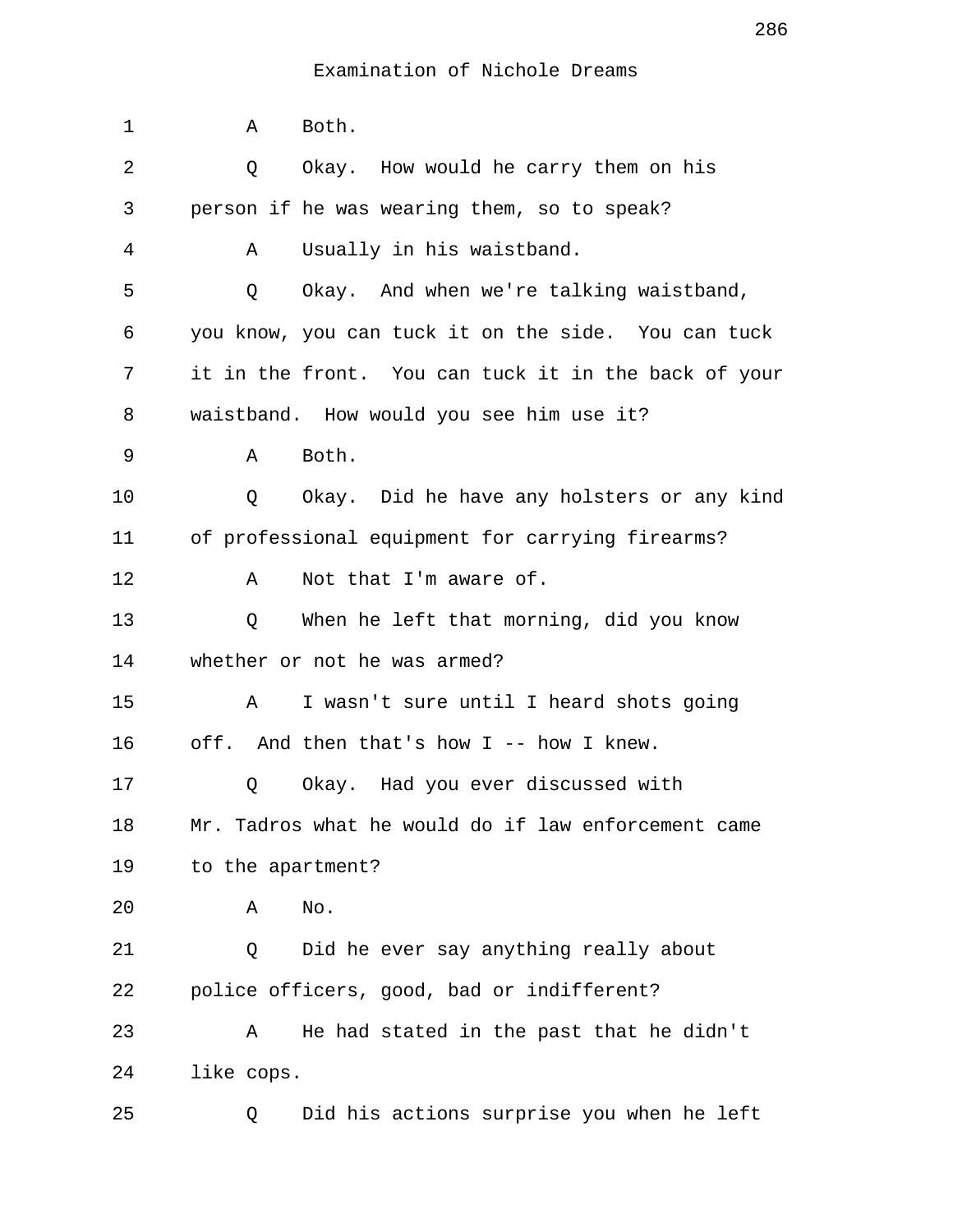| $\mathbf 1$ | Both.<br>Α                                           |
|-------------|------------------------------------------------------|
| 2           | Okay. How would he carry them on his<br>Q            |
| 3           | person if he was wearing them, so to speak?          |
| 4           | Usually in his waistband.<br>Α                       |
| 5           | Okay. And when we're talking waistband,<br>Q         |
| 6           | you know, you can tuck it on the side. You can tuck  |
| 7           | it in the front. You can tuck it in the back of your |
| 8           | waistband. How would you see him use it?             |
| 9           | Both.<br>Α                                           |
| 10          | Okay. Did he have any holsters or any kind<br>Q      |
| 11          | of professional equipment for carrying firearms?     |
| 12          | Not that I'm aware of.<br>Α                          |
| 13          | When he left that morning, did you know<br>Q         |
| 14          | whether or not he was armed?                         |
| 15          | I wasn't sure until I heard shots going<br>Α         |
| 16          | off. And then that's how I -- how I knew.            |
| 17          | Okay. Had you ever discussed with<br>Q               |
| 18          | Mr. Tadros what he would do if law enforcement came  |
| 19          | to the apartment?                                    |
| 20          | No.<br>Α                                             |
| 21          | Did he ever say anything really about<br>Q           |
| 22          | police officers, good, bad or indifferent?           |
| 23          | He had stated in the past that he didn't<br>Α        |
| 24          | like cops.                                           |
| 25          | Did his actions surprise you when he left<br>Q       |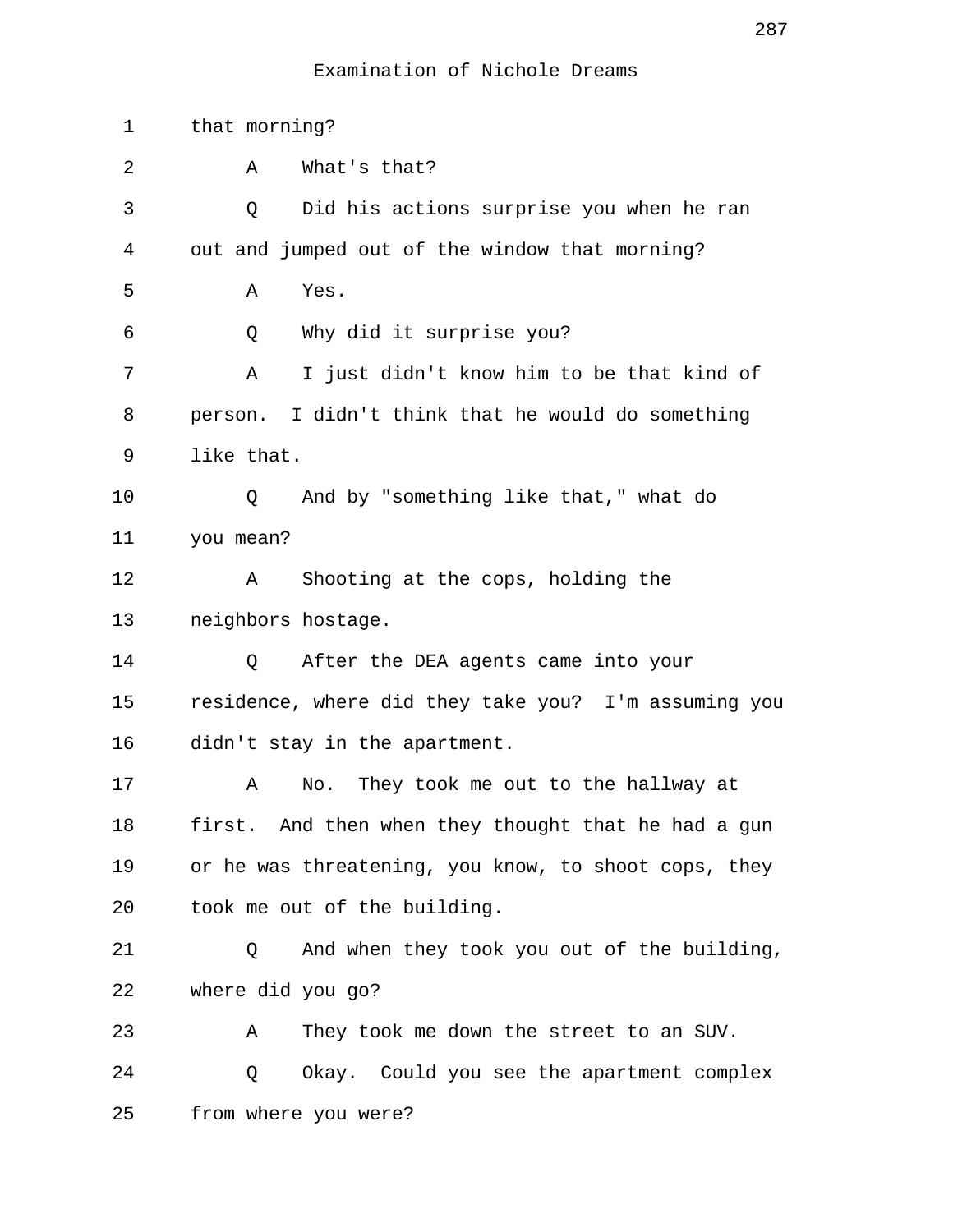| 1  | that morning?                                        |
|----|------------------------------------------------------|
| 2  | What's that?<br>Α                                    |
| 3  | Did his actions surprise you when he ran<br>Q        |
| 4  | out and jumped out of the window that morning?       |
| 5  | Α<br>Yes.                                            |
| 6  | Why did it surprise you?<br>Q                        |
| 7  | I just didn't know him to be that kind of<br>Α       |
| 8  | person. I didn't think that he would do something    |
| 9  | like that.                                           |
| 10 | And by "something like that," what do<br>Q           |
| 11 | you mean?                                            |
| 12 | Shooting at the cops, holding the<br>Α               |
| 13 | neighbors hostage.                                   |
| 14 | After the DEA agents came into your<br>Q             |
| 15 | residence, where did they take you? I'm assuming you |
| 16 | didn't stay in the apartment.                        |
| 17 | They took me out to the hallway at<br>Α<br>No.       |
| 18 | first. And then when they thought that he had a gun  |
| 19 | or he was threatening, you know, to shoot cops, they |
| 20 | took me out of the building.                         |
| 21 | Q<br>And when they took you out of the building,     |
| 22 | where did you go?                                    |
| 23 | They took me down the street to an SUV.<br>Α         |
| 24 | Okay. Could you see the apartment complex<br>Q       |
| 25 | from where you were?                                 |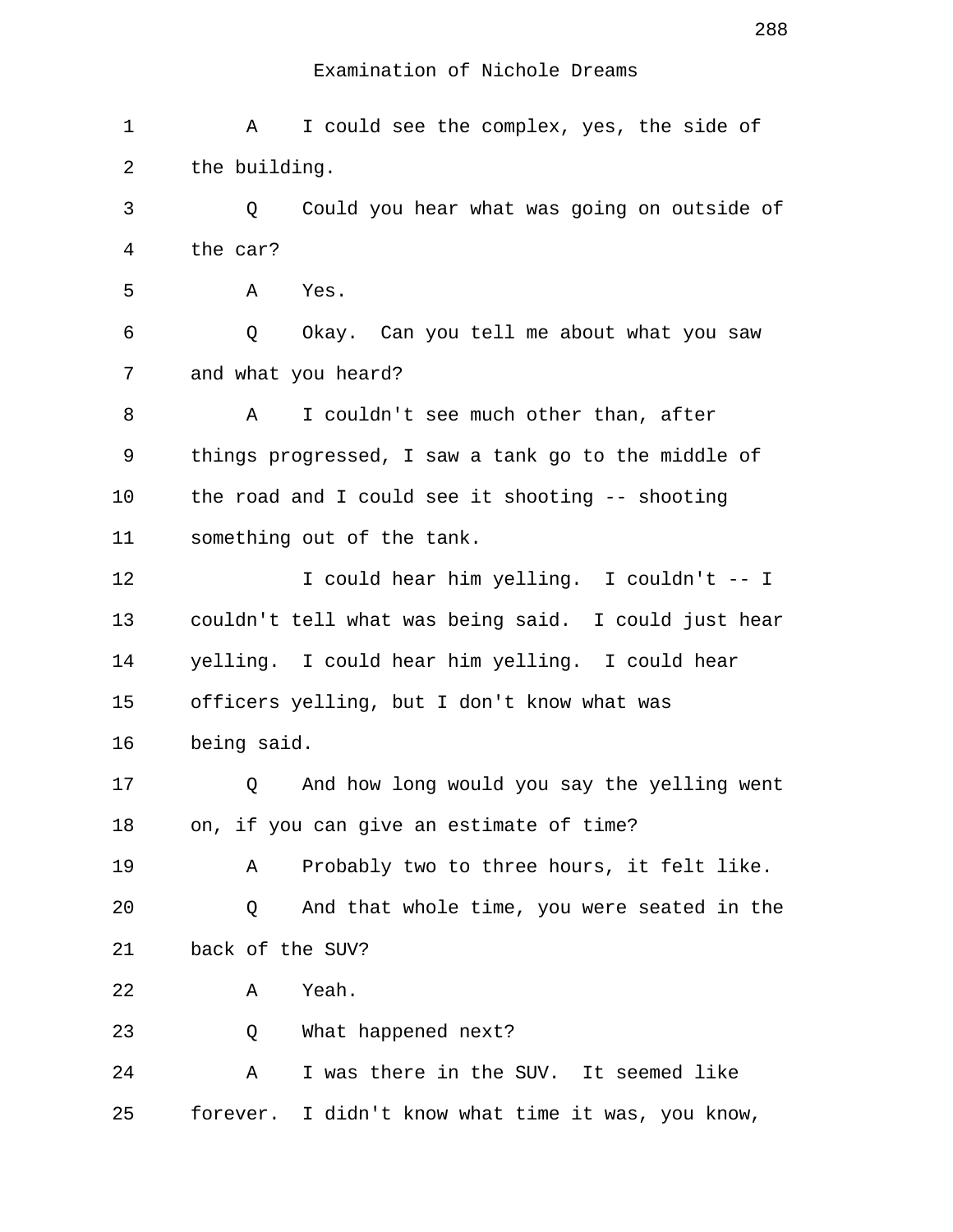| 1  | I could see the complex, yes, the side of<br>Α       |
|----|------------------------------------------------------|
| 2  | the building.                                        |
| 3  | Could you hear what was going on outside of<br>Q     |
| 4  | the car?                                             |
| 5  | Yes.<br>Α                                            |
| 6  | Q<br>Okay. Can you tell me about what you saw        |
| 7  | and what you heard?                                  |
| 8  | I couldn't see much other than, after<br>A           |
| 9  | things progressed, I saw a tank go to the middle of  |
| 10 | the road and I could see it shooting -- shooting     |
| 11 | something out of the tank.                           |
| 12 | I could hear him yelling. I couldn't -- I            |
| 13 | couldn't tell what was being said. I could just hear |
| 14 | yelling. I could hear him yelling. I could hear      |
| 15 | officers yelling, but I don't know what was          |
| 16 | being said.                                          |
| 17 | And how long would you say the yelling went<br>Q     |
| 18 | on, if you can give an estimate of time?             |
| 19 | Probably two to three hours, it felt like.<br>Α      |
| 20 | And that whole time, you were seated in the<br>Q     |
| 21 | back of the SUV?                                     |
| 22 | Yeah.<br>Α                                           |
| 23 | What happened next?<br>Q                             |
| 24 | I was there in the SUV. It seemed like<br>Α          |
| 25 | forever. I didn't know what time it was, you know,   |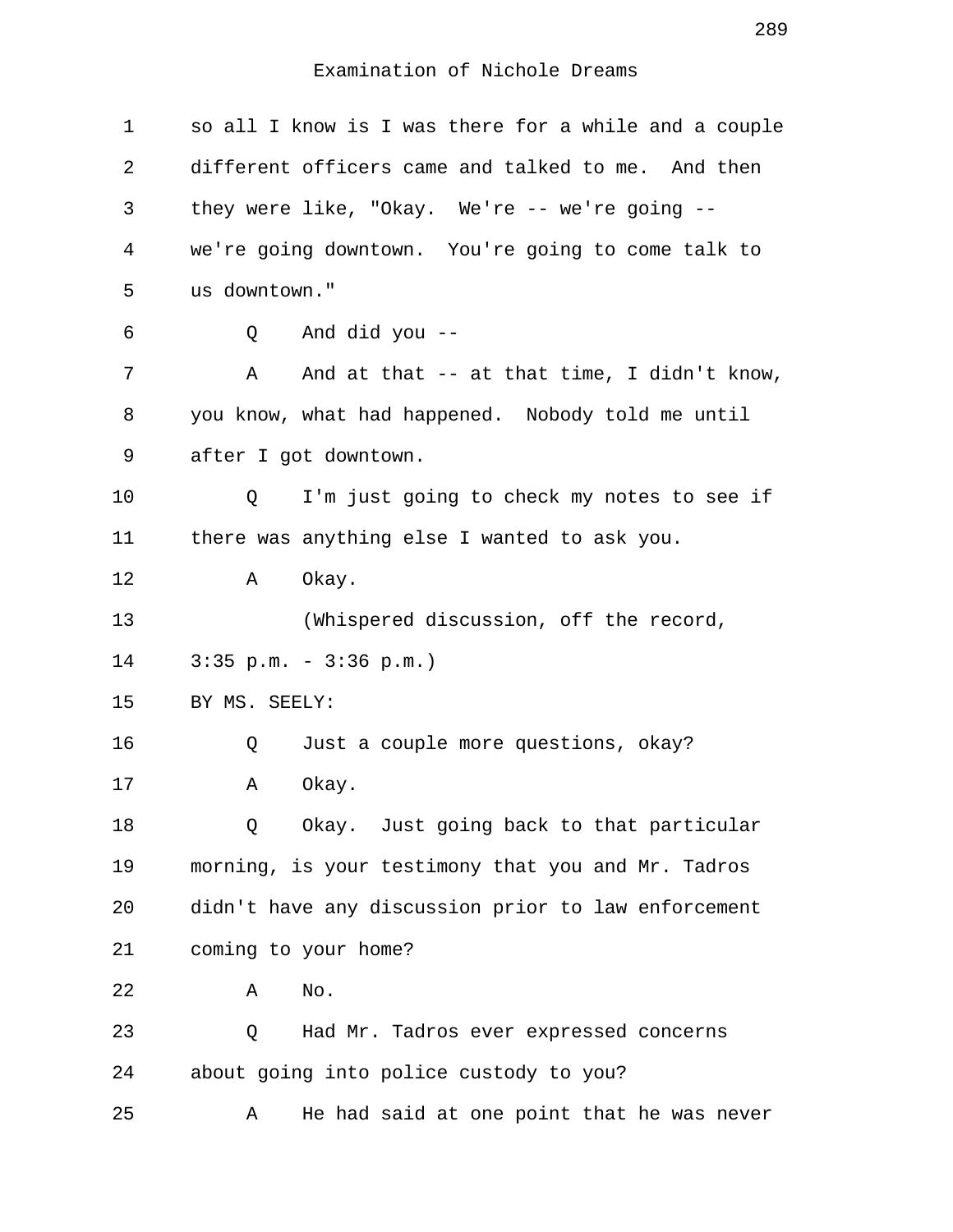Examination of Nichole Dreams

| $\mathbf 1$ |               | so all I know is I was there for a while and a couple |
|-------------|---------------|-------------------------------------------------------|
| 2           |               | different officers came and talked to me. And then    |
| 3           |               | they were like, "Okay. We're -- we're going --        |
| 4           |               | we're going downtown. You're going to come talk to    |
| 5           | us downtown." |                                                       |
| 6           | Q             | And did you --                                        |
| 7           | Α             | And at that $-$ at that time, I didn't know,          |
| 8           |               | you know, what had happened. Nobody told me until     |
| 9           |               | after I got downtown.                                 |
| 10          | Q             | I'm just going to check my notes to see if            |
| 11          |               | there was anything else I wanted to ask you.          |
| 12          | Α             | Okay.                                                 |
| 13          |               | (Whispered discussion, off the record,                |
| 14          |               | $3:35$ p.m. - $3:36$ p.m.)                            |
| 15          | BY MS. SEELY: |                                                       |
| 16          | Q             | Just a couple more questions, okay?                   |
| 17          | Α             | Okay.                                                 |
| 18          | Q             | Okay. Just going back to that particular              |
| 19          |               | morning, is your testimony that you and Mr. Tadros    |
| 20          |               | didn't have any discussion prior to law enforcement   |
| 21          |               | coming to your home?                                  |
| 22          | Α             | No.                                                   |
| 23          | Q             | Had Mr. Tadros ever expressed concerns                |
| 24          |               | about going into police custody to you?               |
| 25          | Α             | He had said at one point that he was never            |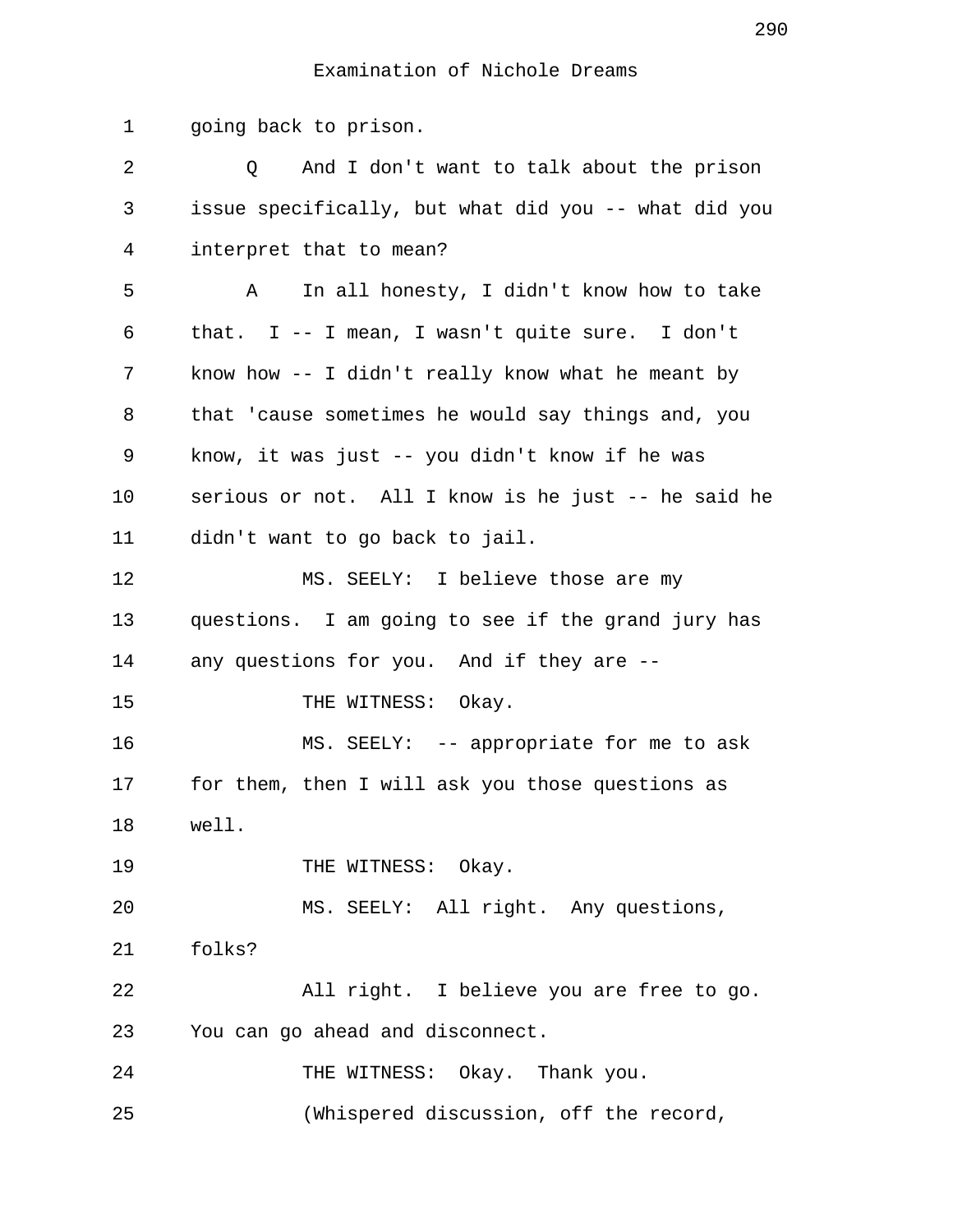## Examination of Nichole Dreams

 1 going back to prison. 2 Q And I don't want to talk about the prison 3 issue specifically, but what did you -- what did you 4 interpret that to mean? 5 A In all honesty, I didn't know how to take 6 that. I -- I mean, I wasn't quite sure. I don't 7 know how -- I didn't really know what he meant by 8 that 'cause sometimes he would say things and, you 9 know, it was just -- you didn't know if he was 10 serious or not. All I know is he just -- he said he 11 didn't want to go back to jail. 12 MS. SEELY: I believe those are my 13 questions. I am going to see if the grand jury has 14 any questions for you. And if they are -- 15 THE WITNESS: Okay. 16 MS. SEELY: -- appropriate for me to ask 17 for them, then I will ask you those questions as 18 well. 19 THE WITNESS: Okay. 20 MS. SEELY: All right. Any questions, 21 folks? 22 All right. I believe you are free to go. 23 You can go ahead and disconnect. 24 THE WITNESS: Okay. Thank you. 25 (Whispered discussion, off the record,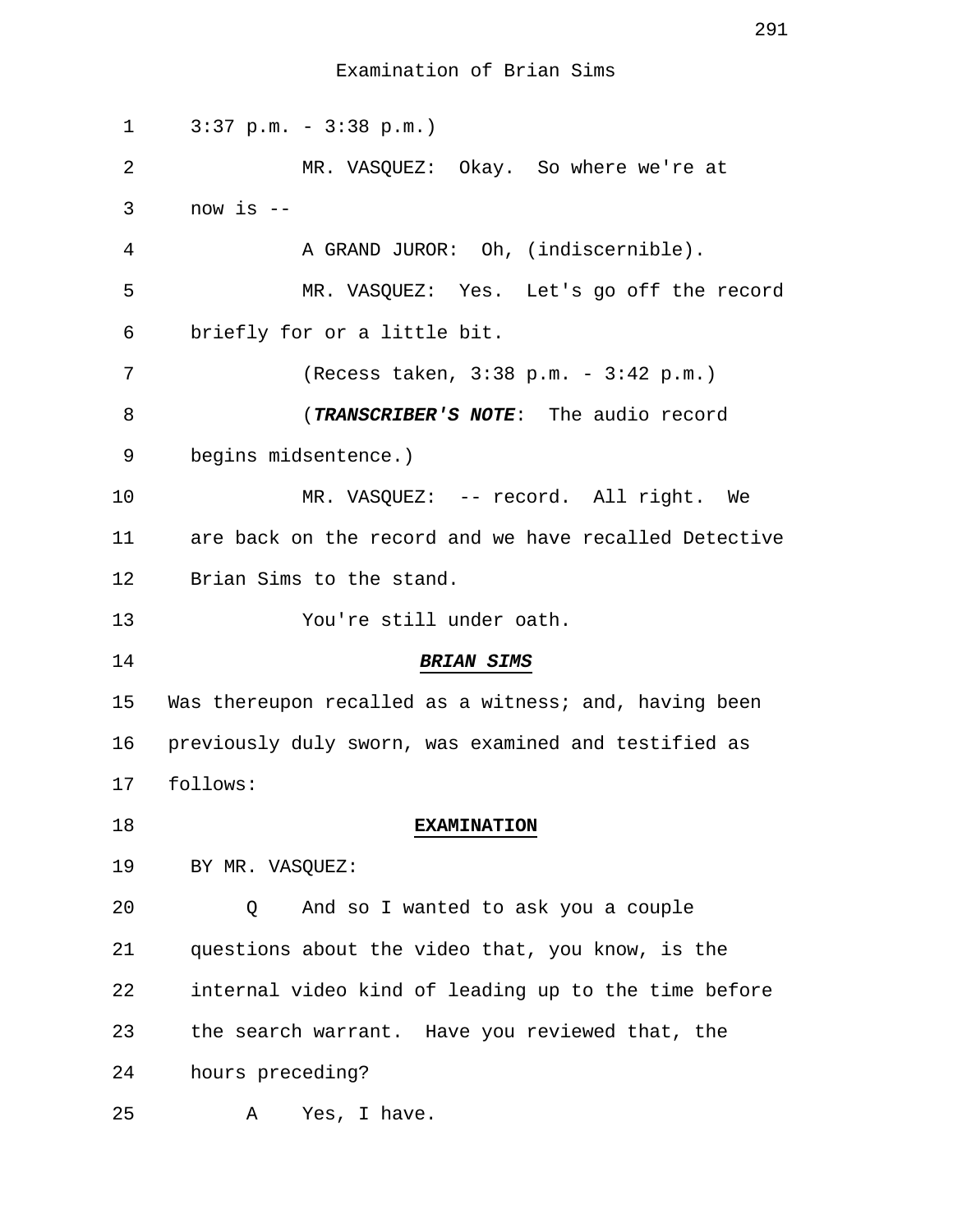| 1  | $3:37$ p.m. - $3:38$ p.m.)                            |
|----|-------------------------------------------------------|
| 2  | MR. VASQUEZ: Okay. So where we're at                  |
| 3  | now is $-$                                            |
| 4  | A GRAND JUROR: Oh, (indiscernible).                   |
| 5  | MR. VASQUEZ: Yes. Let's go off the record             |
| 6  | briefly for or a little bit.                          |
| 7  | (Recess taken, 3:38 p.m. - 3:42 p.m.)                 |
| 8  | (TRANSCRIBER'S NOTE: The audio record                 |
| 9  | begins midsentence.)                                  |
| 10 | MR. VASQUEZ: -- record. All right. We                 |
| 11 | are back on the record and we have recalled Detective |
| 12 | Brian Sims to the stand.                              |
| 13 | You're still under oath.                              |
| 14 | <b>BRIAN SIMS</b>                                     |
| 15 | Was thereupon recalled as a witness; and, having been |
| 16 | previously duly sworn, was examined and testified as  |
| 17 | follows:                                              |
| 18 | <b>EXAMINATION</b>                                    |
| 19 | BY MR. VASQUEZ:                                       |
| 20 | And so I wanted to ask you a couple<br>O              |
| 21 | questions about the video that, you know, is the      |
| 22 | internal video kind of leading up to the time before  |
| 23 | the search warrant. Have you reviewed that, the       |
| 24 | hours preceding?                                      |
| 25 | Yes, I have.<br>Α                                     |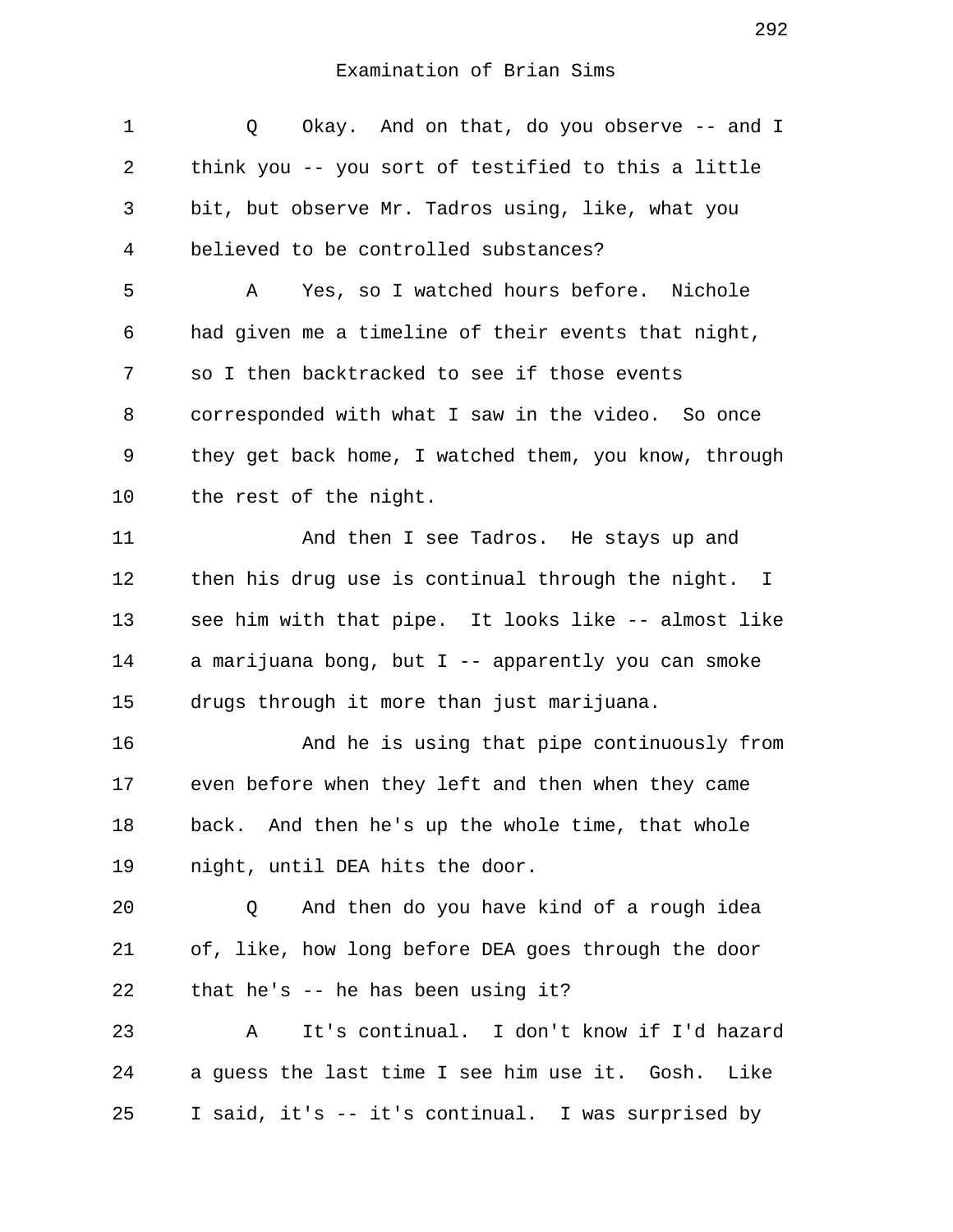1 Q Okay. And on that, do you observe -- and I 2 think you -- you sort of testified to this a little 3 bit, but observe Mr. Tadros using, like, what you 4 believed to be controlled substances? 5 A Yes, so I watched hours before. Nichole 6 had given me a timeline of their events that night, 7 so I then backtracked to see if those events 8 corresponded with what I saw in the video. So once 9 they get back home, I watched them, you know, through 10 the rest of the night. 11 And then I see Tadros. He stays up and 12 then his drug use is continual through the night. I 13 see him with that pipe. It looks like -- almost like 14 a marijuana bong, but I -- apparently you can smoke 15 drugs through it more than just marijuana. 16 And he is using that pipe continuously from 17 even before when they left and then when they came 18 back. And then he's up the whole time, that whole 19 night, until DEA hits the door. 20 Q And then do you have kind of a rough idea 21 of, like, how long before DEA goes through the door 22 that he's -- he has been using it? 23 A It's continual. I don't know if I'd hazard 24 a guess the last time I see him use it. Gosh. Like 25 I said, it's -- it's continual. I was surprised by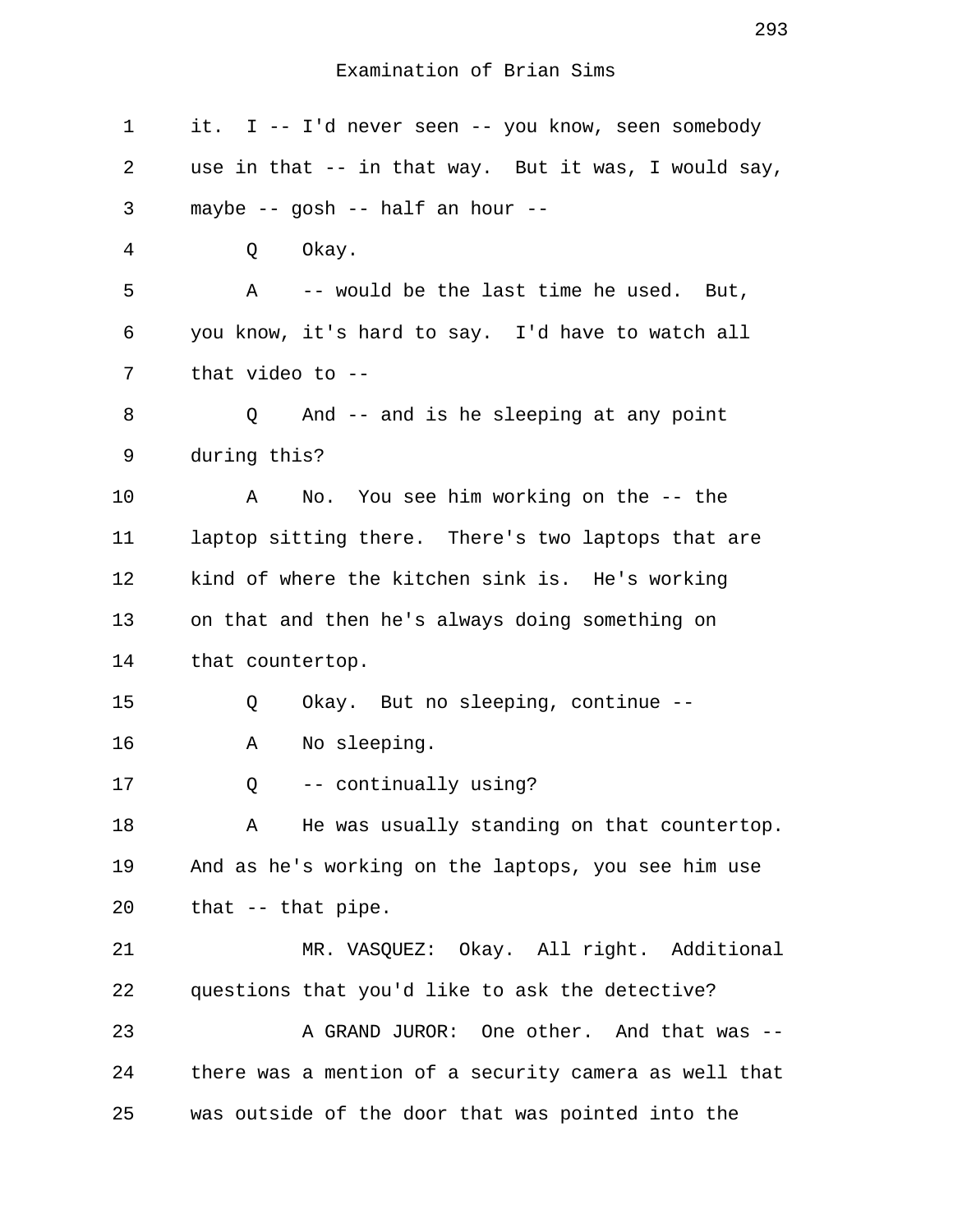| $\mathbf 1$ | it. I -- I'd never seen -- you know, seen somebody    |
|-------------|-------------------------------------------------------|
| 2           | use in that -- in that way. But it was, I would say,  |
| 3           | maybe -- gosh -- half an hour --                      |
| 4           | Okay.<br>Q                                            |
| 5           | A -- would be the last time he used. But,             |
| 6           | you know, it's hard to say. I'd have to watch all     |
| 7           | that video to $-$ -                                   |
| 8           | And -- and is he sleeping at any point<br>Q           |
| 9           | during this?                                          |
| 10          | No. You see him working on the -- the<br>Α            |
| 11          | laptop sitting there. There's two laptops that are    |
| 12          | kind of where the kitchen sink is. He's working       |
| 13          | on that and then he's always doing something on       |
| 14          | that countertop.                                      |
| 15          | Okay. But no sleeping, continue --<br>Q               |
| 16          | No sleeping.<br>Α                                     |
| 17          | -- continually using?<br>Q                            |
| 18          | He was usually standing on that countertop.<br>Α      |
| 19          | And as he's working on the laptops, you see him use   |
| 20          | that $-$ that pipe.                                   |
| 21          | MR. VASQUEZ: Okay. All right. Additional              |
| 22          | questions that you'd like to ask the detective?       |
| 23          | A GRAND JUROR: One other. And that was --             |
| 24          | there was a mention of a security camera as well that |
| 25          | was outside of the door that was pointed into the     |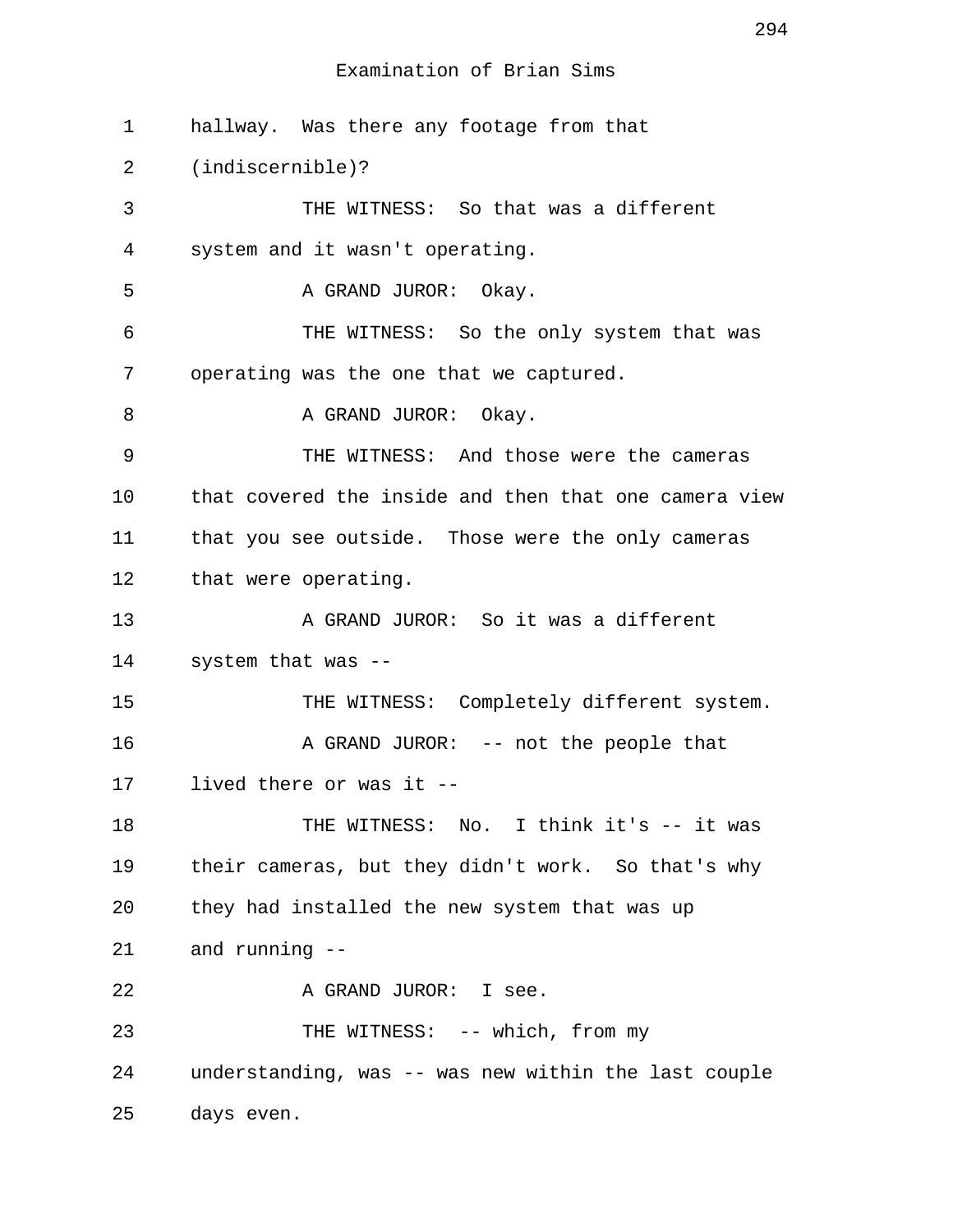1 hallway. Was there any footage from that 2 (indiscernible)? 3 THE WITNESS: So that was a different 4 system and it wasn't operating. 5 A GRAND JUROR: Okay. 6 THE WITNESS: So the only system that was 7 operating was the one that we captured. 8 A GRAND JUROR: Okay. 9 THE WITNESS: And those were the cameras 10 that covered the inside and then that one camera view 11 that you see outside. Those were the only cameras 12 that were operating. 13 A GRAND JUROR: So it was a different 14 system that was -- 15 THE WITNESS: Completely different system. 16 A GRAND JUROR: -- not the people that 17 lived there or was it -- 18 THE WITNESS: No. I think it's -- it was 19 their cameras, but they didn't work. So that's why 20 they had installed the new system that was up 21 and running -- 22 A GRAND JUROR: I see. 23 THE WITNESS: -- which, from my 24 understanding, was -- was new within the last couple 25 days even.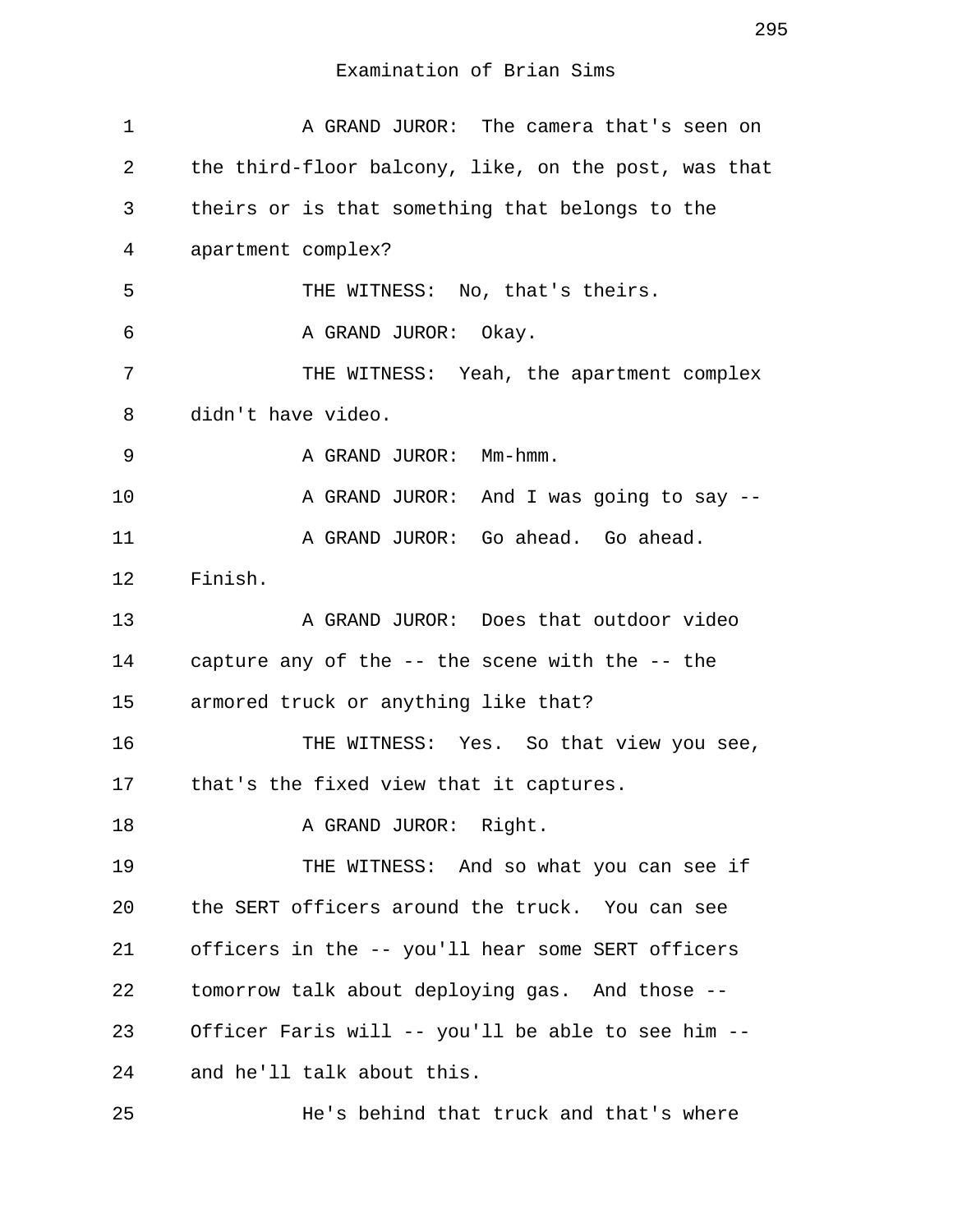| 1  | A GRAND JUROR: The camera that's seen on             |
|----|------------------------------------------------------|
| 2  | the third-floor balcony, like, on the post, was that |
| 3  | theirs or is that something that belongs to the      |
| 4  | apartment complex?                                   |
| 5  | THE WITNESS: No, that's theirs.                      |
| 6  | A GRAND JUROR: Okay.                                 |
| 7  | THE WITNESS: Yeah, the apartment complex             |
| 8  | didn't have video.                                   |
| 9  | A GRAND JUROR: Mm-hmm.                               |
| 10 | A GRAND JUROR: And I was going to say --             |
| 11 | A GRAND JUROR: Go ahead. Go ahead.                   |
| 12 | Finish.                                              |
| 13 | A GRAND JUROR: Does that outdoor video               |
| 14 | capture any of the -- the scene with the -- the      |
| 15 | armored truck or anything like that?                 |
| 16 | THE WITNESS: Yes. So that view you see,              |
| 17 | that's the fixed view that it captures.              |
| 18 | A GRAND JUROR: Right.                                |
| 19 | THE WITNESS: And so what you can see if              |
| 20 | the SERT officers around the truck. You can see      |
| 21 | officers in the -- you'll hear some SERT officers    |
| 22 | tomorrow talk about deploying gas. And those --      |
| 23 | Officer Faris will -- you'll be able to see him --   |
| 24 | and he'll talk about this.                           |
| 25 | He's behind that truck and that's where              |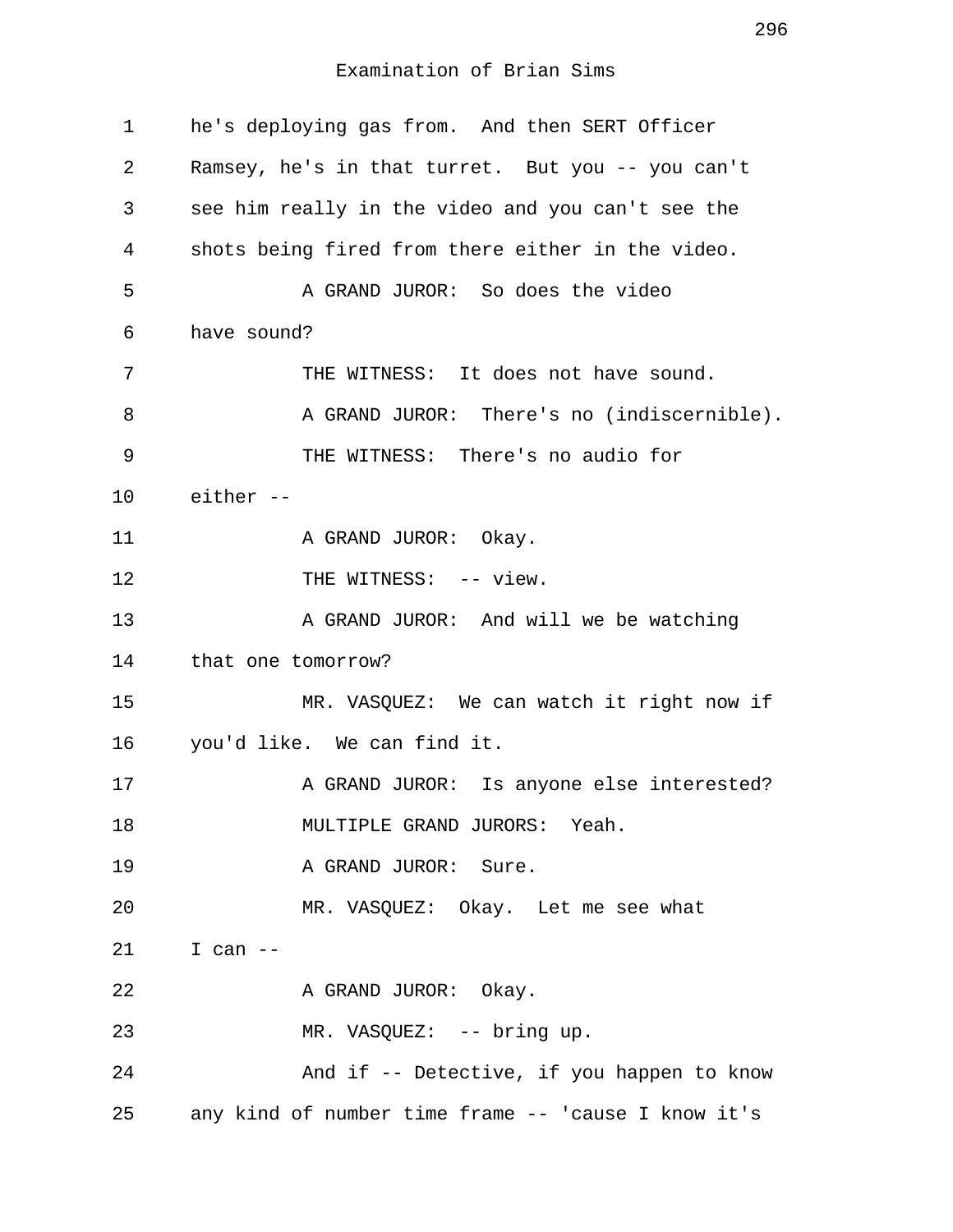| $\mathbf 1$ | he's deploying gas from. And then SERT Officer      |
|-------------|-----------------------------------------------------|
| 2           | Ramsey, he's in that turret. But you -- you can't   |
| 3           | see him really in the video and you can't see the   |
| 4           | shots being fired from there either in the video.   |
| 5           | A GRAND JUROR: So does the video                    |
| 6           | have sound?                                         |
| 7           | THE WITNESS: It does not have sound.                |
| 8           | A GRAND JUROR: There's no (indiscernible).          |
| 9           | THE WITNESS: There's no audio for                   |
| 10          | either --                                           |
| 11          | A GRAND JUROR: Okay.                                |
| 12          | THE WITNESS: -- view.                               |
| 13          | A GRAND JUROR: And will we be watching              |
| 14          | that one tomorrow?                                  |
| 15          | MR. VASQUEZ: We can watch it right now if           |
| 16          | you'd like. We can find it.                         |
| 17          | A GRAND JUROR: Is anyone else interested?           |
| 18          | MULTIPLE GRAND JURORS: Yeah.                        |
| 19          | A GRAND JUROR: Sure.                                |
| 20          | MR. VASQUEZ: Okay. Let me see what                  |
| 21          | I can $--$                                          |
| 22          | A GRAND JUROR: Okay.                                |
| 23          | MR. VASQUEZ: -- bring up.                           |
| 24          | And if -- Detective, if you happen to know          |
| 25          | any kind of number time frame -- 'cause I know it's |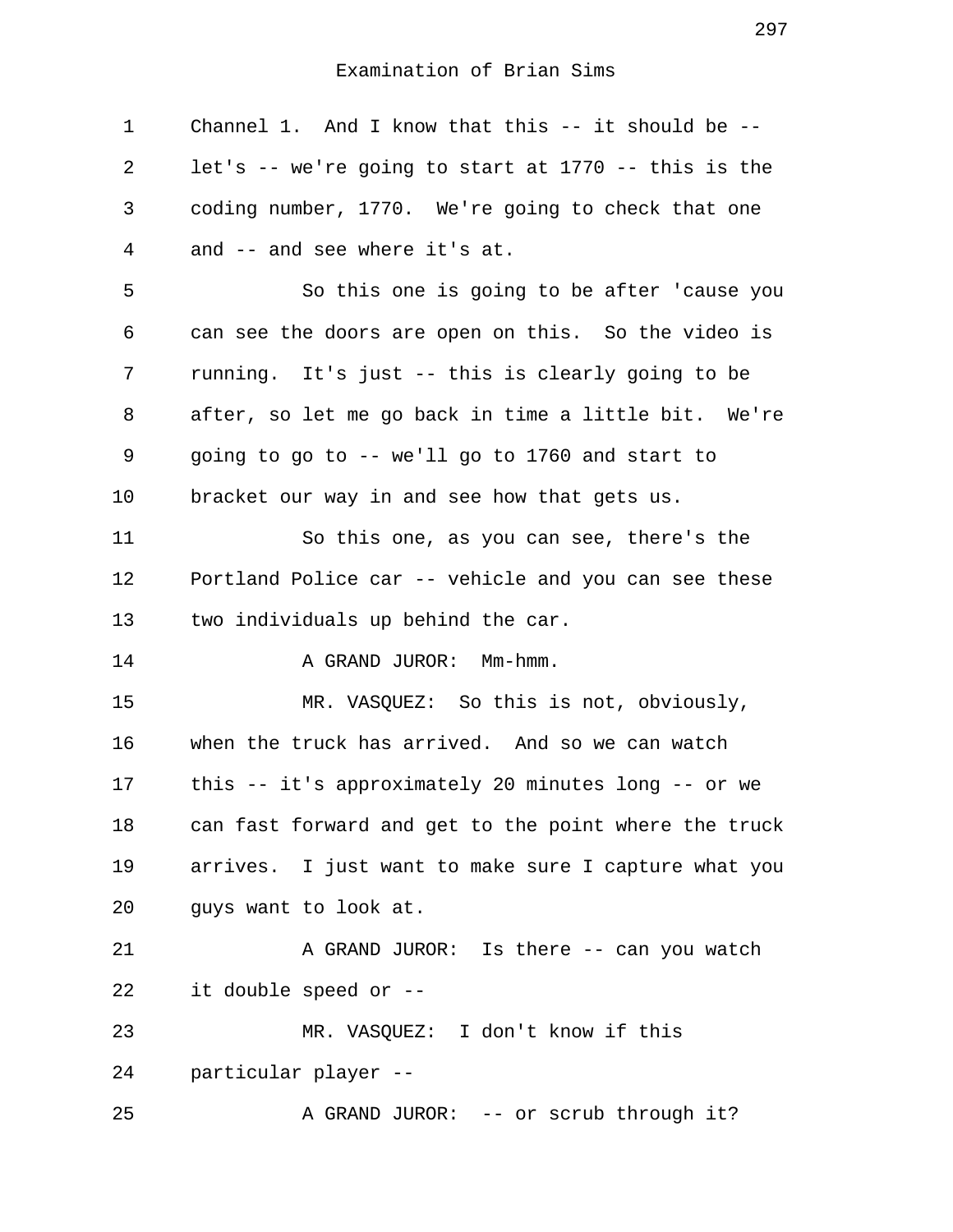1 Channel 1. And I know that this -- it should be -- 2 let's -- we're going to start at 1770 -- this is the 3 coding number, 1770. We're going to check that one 4 and -- and see where it's at. 5 So this one is going to be after 'cause you 6 can see the doors are open on this. So the video is 7 running. It's just -- this is clearly going to be 8 after, so let me go back in time a little bit. We're 9 going to go to -- we'll go to 1760 and start to 10 bracket our way in and see how that gets us. 11 So this one, as you can see, there's the 12 Portland Police car -- vehicle and you can see these 13 two individuals up behind the car. 14 A GRAND JUROR: Mm-hmm. 15 MR. VASQUEZ: So this is not, obviously, 16 when the truck has arrived. And so we can watch 17 this -- it's approximately 20 minutes long -- or we 18 can fast forward and get to the point where the truck 19 arrives. I just want to make sure I capture what you 20 guys want to look at. 21 A GRAND JUROR: Is there -- can you watch 22 it double speed or -- 23 MR. VASQUEZ: I don't know if this 24 particular player -- 25 A GRAND JUROR: -- or scrub through it?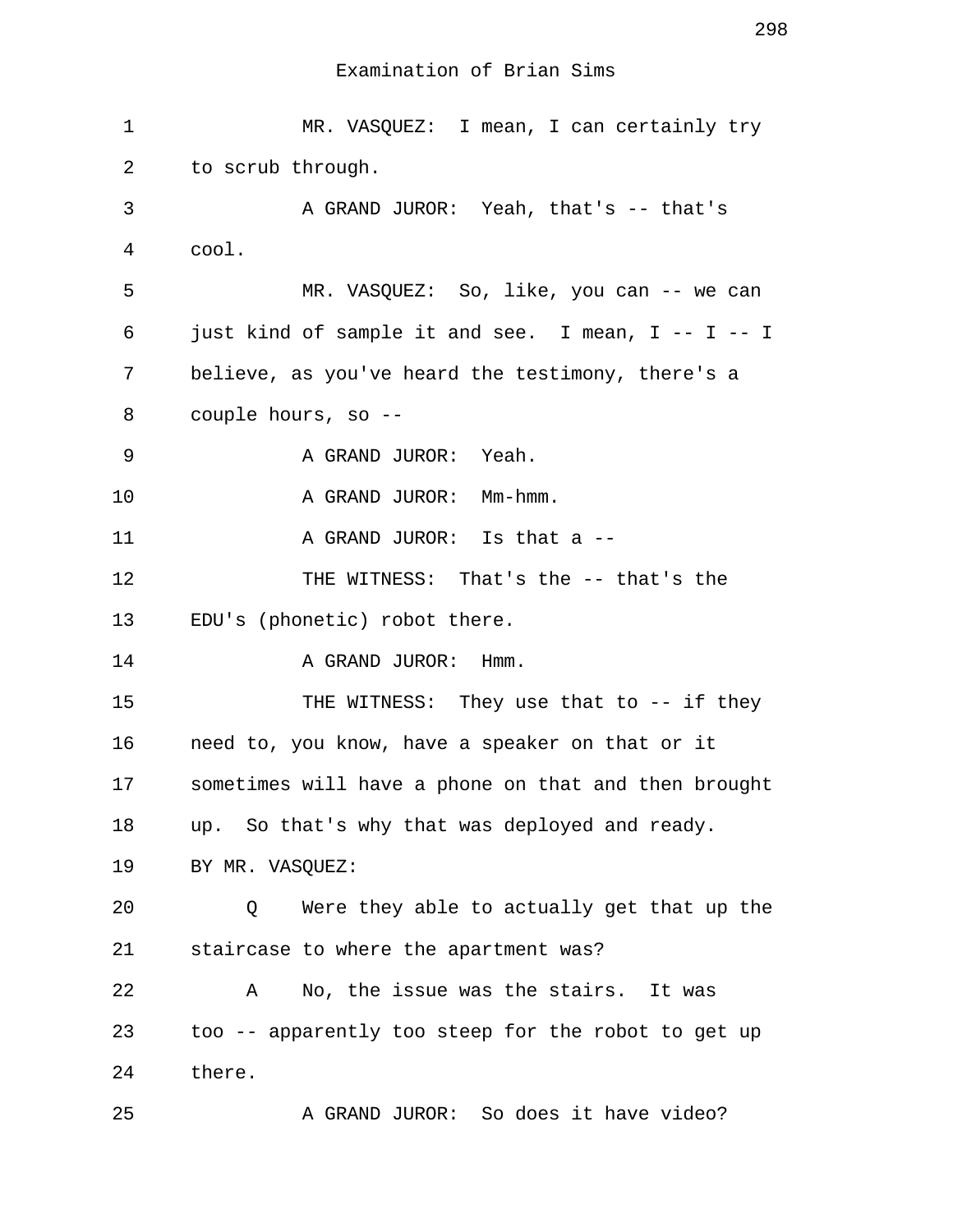1 MR. VASQUEZ: I mean, I can certainly try 2 to scrub through. 3 A GRAND JUROR: Yeah, that's -- that's 4 cool. 5 MR. VASQUEZ: So, like, you can -- we can 6 just kind of sample it and see. I mean, I -- I -- I 7 believe, as you've heard the testimony, there's a 8 couple hours, so -- 9 A GRAND JUROR: Yeah. 10 A GRAND JUROR: Mm-hmm. 11 A GRAND JUROR: Is that a --12 THE WITNESS: That's the -- that's the 13 EDU's (phonetic) robot there. 14 A GRAND JUROR: Hmm. 15 THE WITNESS: They use that to -- if they 16 need to, you know, have a speaker on that or it 17 sometimes will have a phone on that and then brought 18 up. So that's why that was deployed and ready. 19 BY MR. VASQUEZ: 20 Q Were they able to actually get that up the 21 staircase to where the apartment was? 22 A No, the issue was the stairs. It was 23 too -- apparently too steep for the robot to get up 24 there. 25 A GRAND JUROR: So does it have video?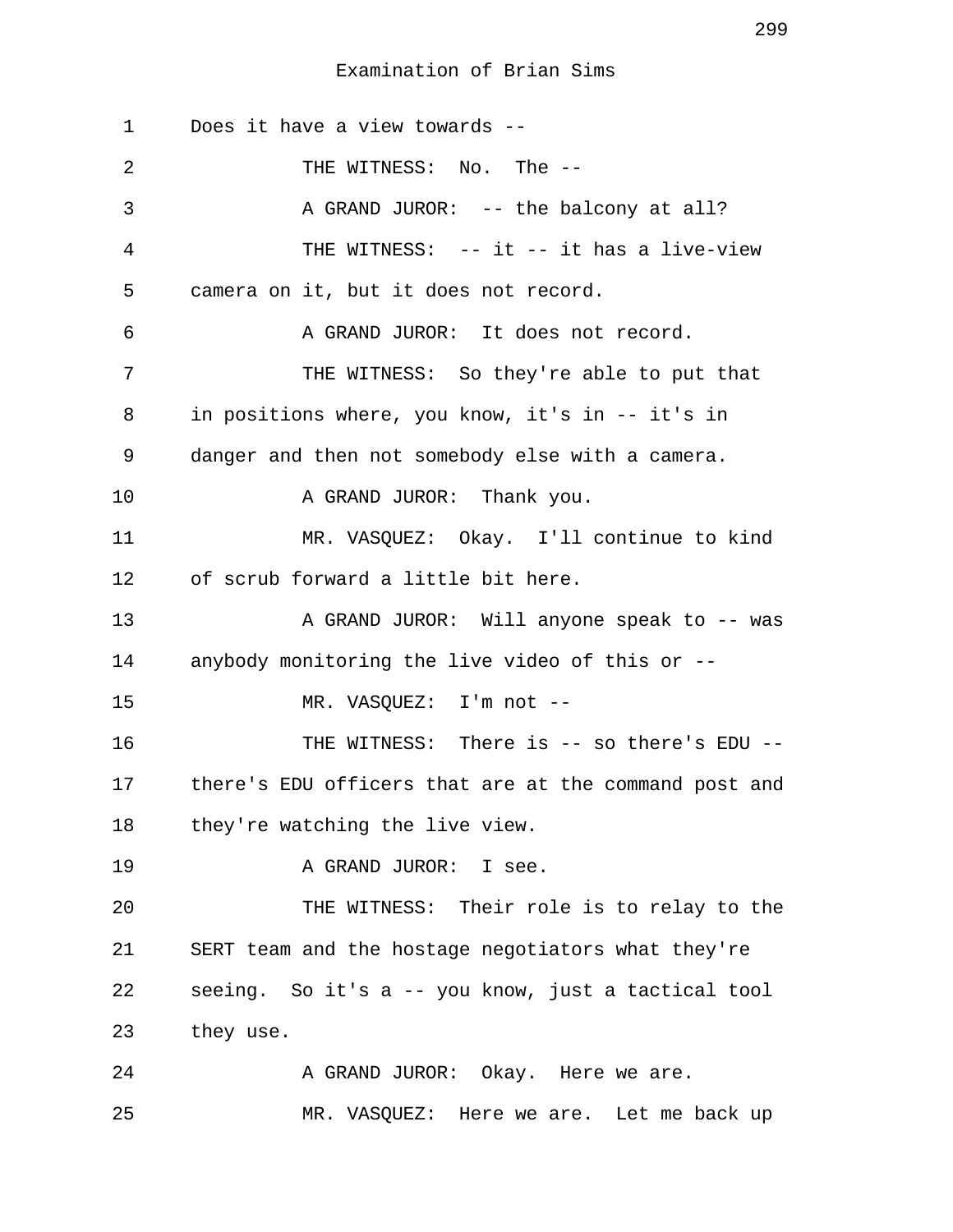1 Does it have a view towards -- 2 THE WITNESS: No. The -- 3 A GRAND JUROR: -- the balcony at all? 4 THE WITNESS: -- it -- it has a live-view 5 camera on it, but it does not record. 6 A GRAND JUROR: It does not record. 7 THE WITNESS: So they're able to put that 8 in positions where, you know, it's in -- it's in 9 danger and then not somebody else with a camera. 10 A GRAND JUROR: Thank you. 11 MR. VASQUEZ: Okay. I'll continue to kind 12 of scrub forward a little bit here. 13 A GRAND JUROR: Will anyone speak to -- was 14 anybody monitoring the live video of this or -- 15 MR. VASOUEZ: I'm not --16 THE WITNESS: There is -- so there's EDU --17 there's EDU officers that are at the command post and 18 they're watching the live view. 19 A GRAND JUROR: I see. 20 THE WITNESS: Their role is to relay to the 21 SERT team and the hostage negotiators what they're 22 seeing. So it's a -- you know, just a tactical tool 23 they use. 24 A GRAND JUROR: Okay. Here we are.

25 MR. VASQUEZ: Here we are. Let me back up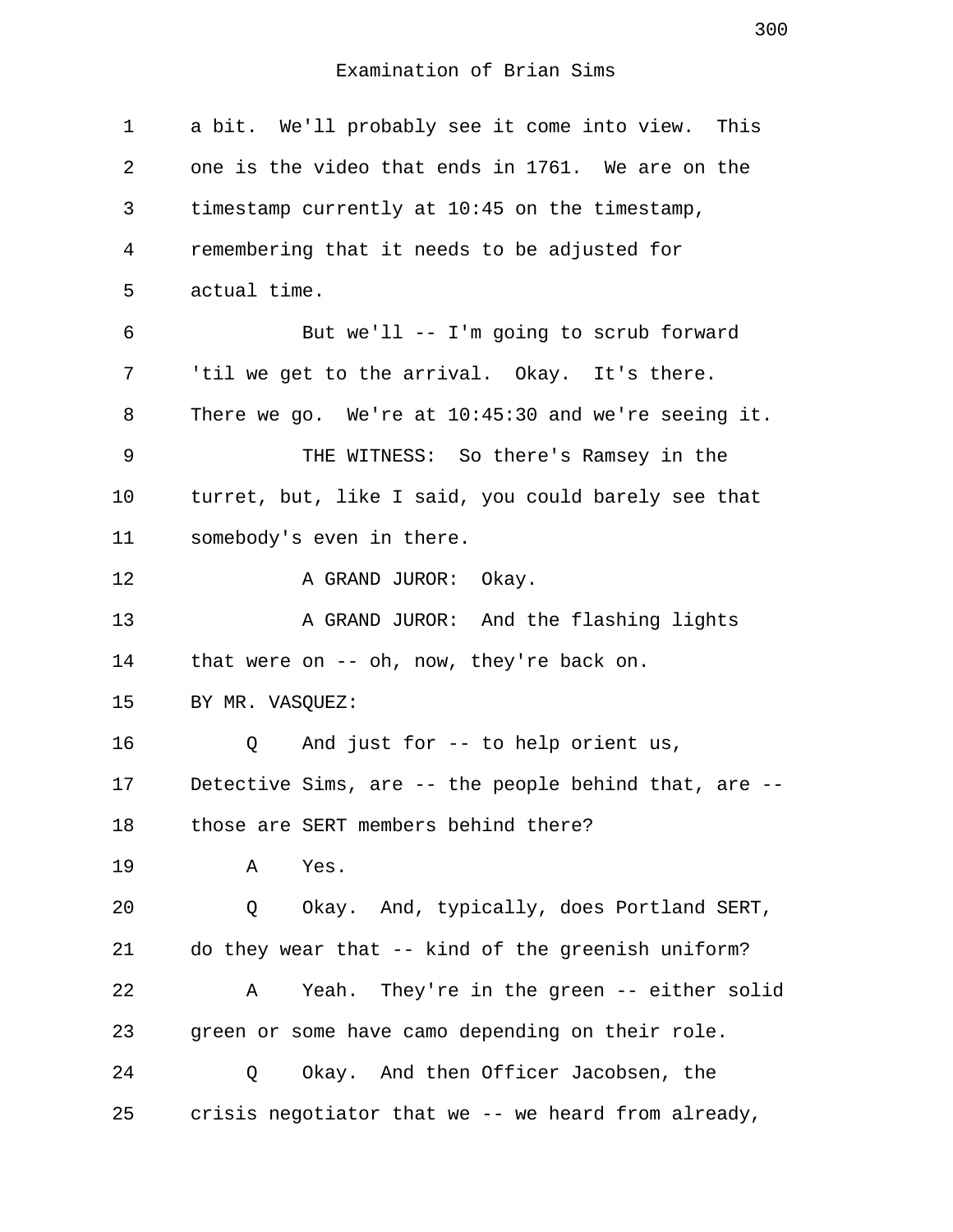1 a bit. We'll probably see it come into view. This 2 one is the video that ends in 1761. We are on the 3 timestamp currently at 10:45 on the timestamp, 4 remembering that it needs to be adjusted for 5 actual time. 6 But we'll -- I'm going to scrub forward 7 'til we get to the arrival. Okay. It's there. 8 There we go. We're at 10:45:30 and we're seeing it. 9 THE WITNESS: So there's Ramsey in the 10 turret, but, like I said, you could barely see that 11 somebody's even in there. 12 A GRAND JUROR: Okay. 13 A GRAND JUROR: And the flashing lights 14 that were on -- oh, now, they're back on. 15 BY MR. VASOUEZ: 16 Q And just for -- to help orient us, 17 Detective Sims, are -- the people behind that, are -- 18 those are SERT members behind there? 19 A Yes. 20 Q Okay. And, typically, does Portland SERT, 21 do they wear that -- kind of the greenish uniform? 22 A Yeah. They're in the green -- either solid 23 green or some have camo depending on their role. 24 Q Okay. And then Officer Jacobsen, the 25 crisis negotiator that we -- we heard from already,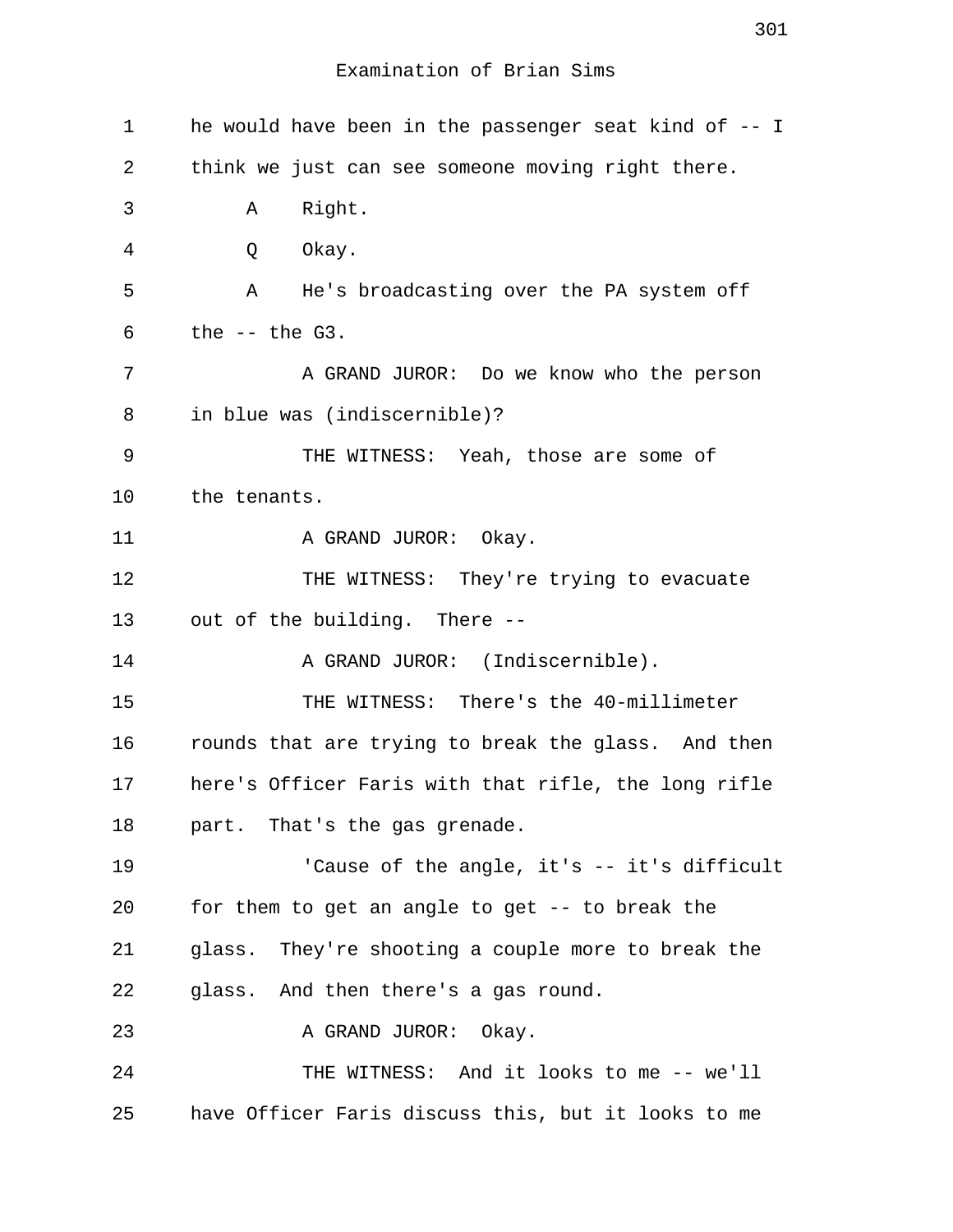1 he would have been in the passenger seat kind of -- I 2 think we just can see someone moving right there. 3 A Right. 4 Q Okay. 5 A He's broadcasting over the PA system off  $6$  the  $--$  the  $G3$ . 7 A GRAND JUROR: Do we know who the person 8 in blue was (indiscernible)? 9 THE WITNESS: Yeah, those are some of 10 the tenants. 11 A GRAND JUROR: Okay. 12 THE WITNESS: They're trying to evacuate 13 out of the building. There -- 14 A GRAND JUROR: (Indiscernible). 15 THE WITNESS: There's the 40-millimeter 16 rounds that are trying to break the glass. And then 17 here's Officer Faris with that rifle, the long rifle 18 part. That's the gas grenade. 19 The angle, it's -- it's difficult 20 for them to get an angle to get -- to break the 21 glass. They're shooting a couple more to break the 22 glass. And then there's a gas round. 23 A GRAND JUROR: Okay. 24 THE WITNESS: And it looks to me -- we'll 25 have Officer Faris discuss this, but it looks to me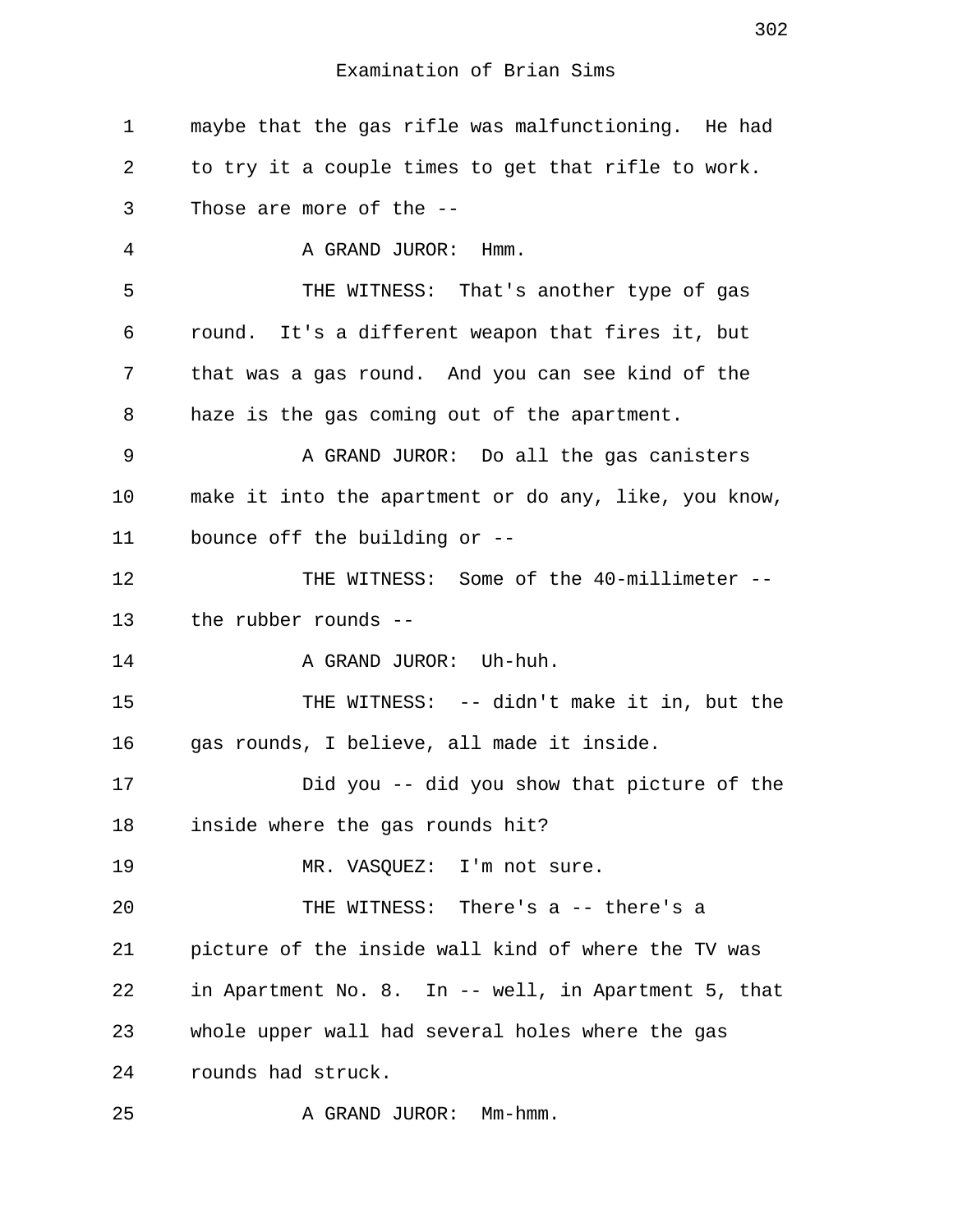1 maybe that the gas rifle was malfunctioning. He had 2 to try it a couple times to get that rifle to work. 3 Those are more of the -- 4 A GRAND JUROR: Hmm. 5 THE WITNESS: That's another type of gas 6 round. It's a different weapon that fires it, but 7 that was a gas round. And you can see kind of the 8 haze is the gas coming out of the apartment. 9 A GRAND JUROR: Do all the gas canisters 10 make it into the apartment or do any, like, you know, 11 bounce off the building or -- 12 THE WITNESS: Some of the 40-millimeter -- 13 the rubber rounds -- 14 A GRAND JUROR: Uh-huh. 15 THE WITNESS: -- didn't make it in, but the 16 gas rounds, I believe, all made it inside. 17 Did you -- did you show that picture of the 18 inside where the gas rounds hit? 19 MR. VASOUEZ: I'm not sure. 20 THE WITNESS: There's a -- there's a 21 picture of the inside wall kind of where the TV was 22 in Apartment No. 8. In -- well, in Apartment 5, that 23 whole upper wall had several holes where the gas 24 rounds had struck. 25 A GRAND JUROR: Mm-hmm.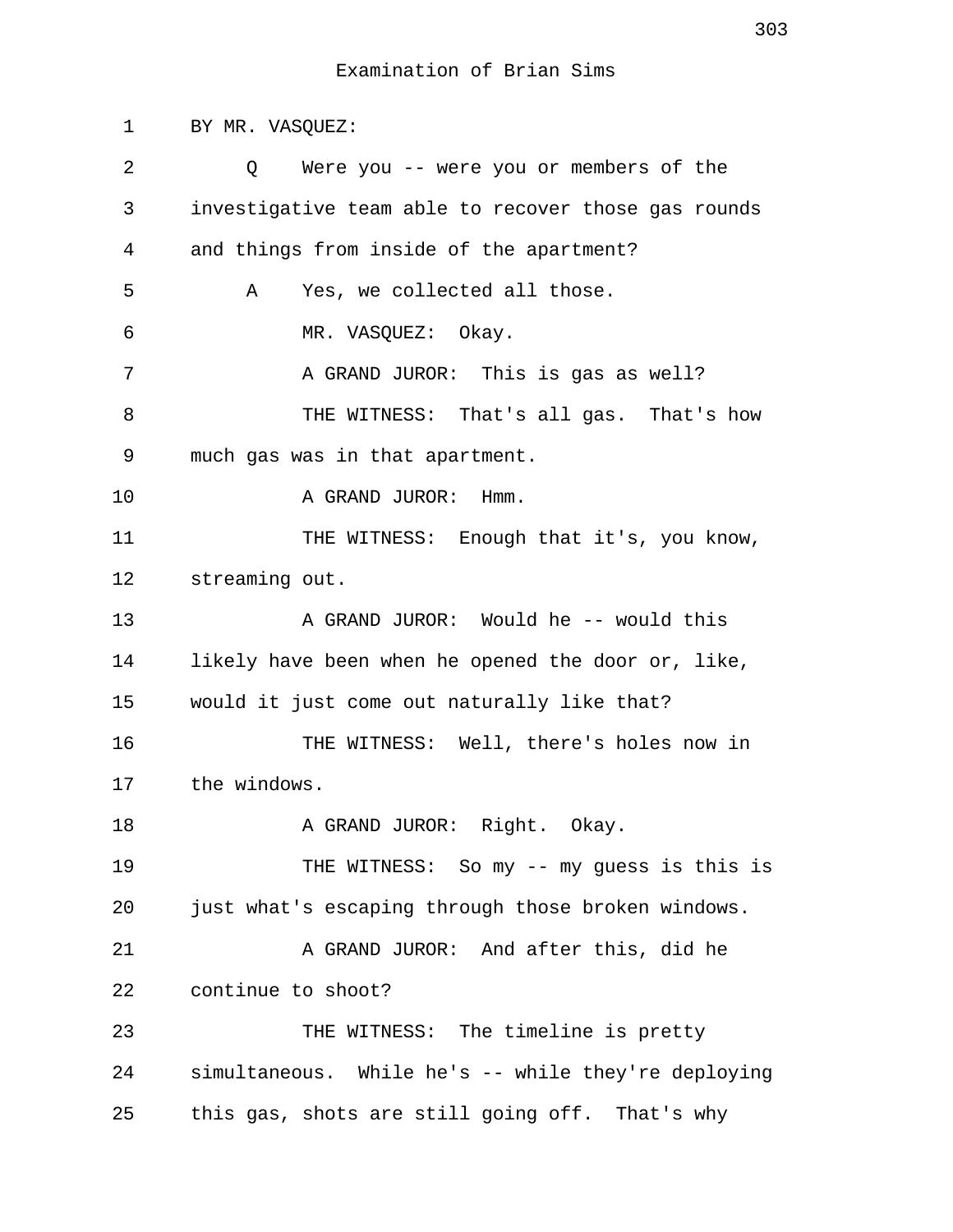1 BY MR. VASQUEZ: 2 Q Were you -- were you or members of the 3 investigative team able to recover those gas rounds 4 and things from inside of the apartment? 5 A Yes, we collected all those. 6 MR. VASQUEZ: Okay. 7 A GRAND JUROR: This is gas as well? 8 THE WITNESS: That's all gas. That's how 9 much gas was in that apartment. 10 A GRAND JUROR: Hmm. 11 THE WITNESS: Enough that it's, you know, 12 streaming out. 13 A GRAND JUROR: Would he -- would this 14 likely have been when he opened the door or, like, 15 would it just come out naturally like that? 16 THE WITNESS: Well, there's holes now in 17 the windows. 18 A GRAND JUROR: Right. Okay. 19 THE WITNESS: So my -- my guess is this is 20 just what's escaping through those broken windows. 21 A GRAND JUROR: And after this, did he 22 continue to shoot? 23 THE WITNESS: The timeline is pretty 24 simultaneous. While he's -- while they're deploying 25 this gas, shots are still going off. That's why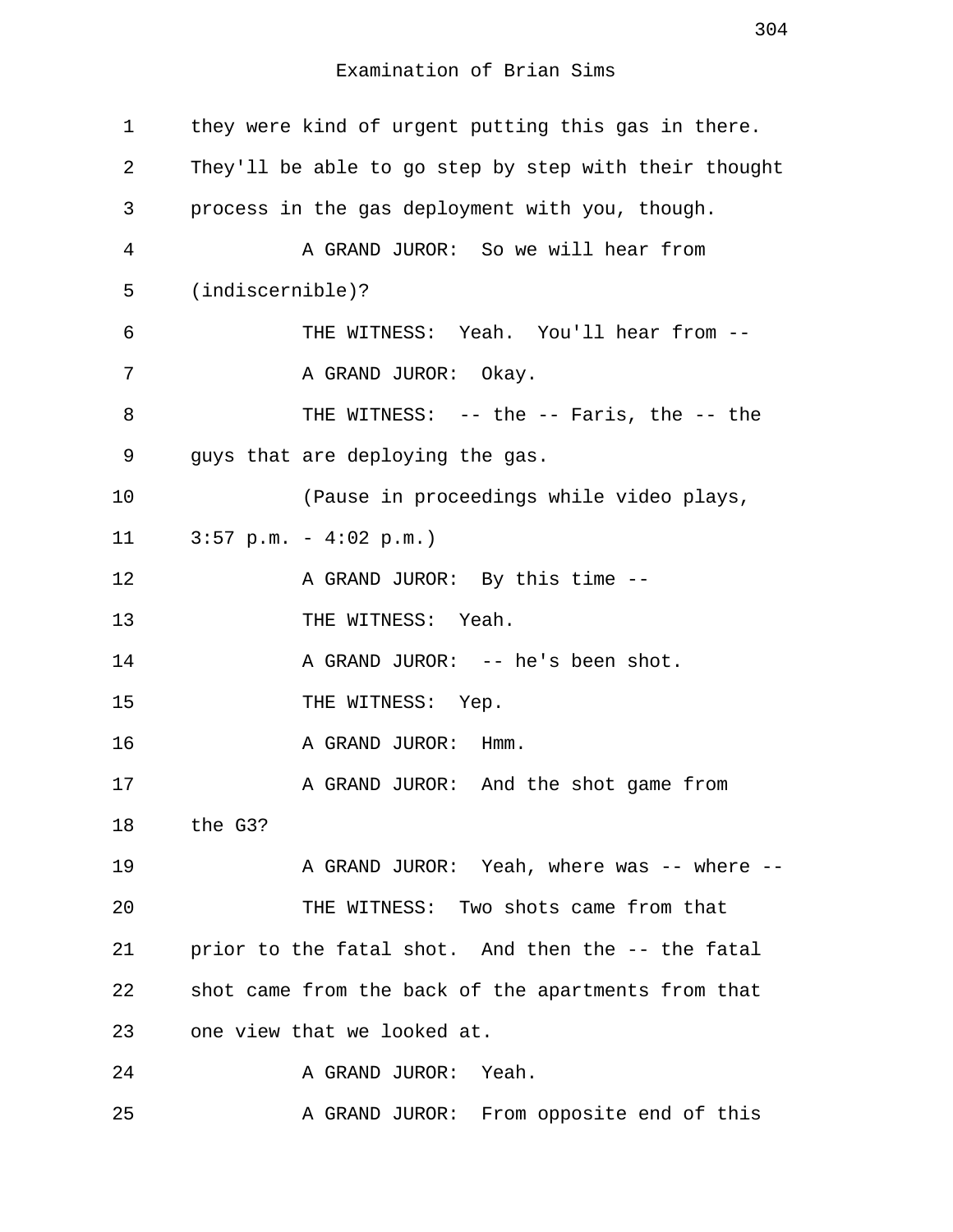| $\mathbf 1$ | they were kind of urgent putting this gas in there.   |
|-------------|-------------------------------------------------------|
| 2           | They'll be able to go step by step with their thought |
| 3           | process in the gas deployment with you, though.       |
| 4           | A GRAND JUROR: So we will hear from                   |
| 5           | $(indiscernible)$ ?                                   |
| 6           | THE WITNESS: Yeah. You'll hear from --                |
| 7           | A GRAND JUROR: Okay.                                  |
| 8           | THE WITNESS: -- the -- Faris, the -- the              |
| 9           | guys that are deploying the gas.                      |
| 10          | (Pause in proceedings while video plays,              |
| 11          | $3:57$ p.m. - $4:02$ p.m.)                            |
| 12          | A GRAND JUROR: By this time --                        |
| 13          | THE WITNESS: Yeah.                                    |
| 14          | A GRAND JUROR: -- he's been shot.                     |
| 15          | THE WITNESS: Yep.                                     |
| 16          | A GRAND JUROR: Hmm.                                   |
| 17          | A GRAND JUROR: And the shot game from                 |
| 18          | the G3?                                               |
| 19          | A GRAND JUROR: Yeah, where was -- where --            |
| 20          | THE WITNESS: Two shots came from that                 |
| 21          | prior to the fatal shot. And then the -- the fatal    |
| 22          | shot came from the back of the apartments from that   |
| 23          | one view that we looked at.                           |
| 24          | A GRAND JUROR: Yeah.                                  |
| 25          | A GRAND JUROR: From opposite end of this              |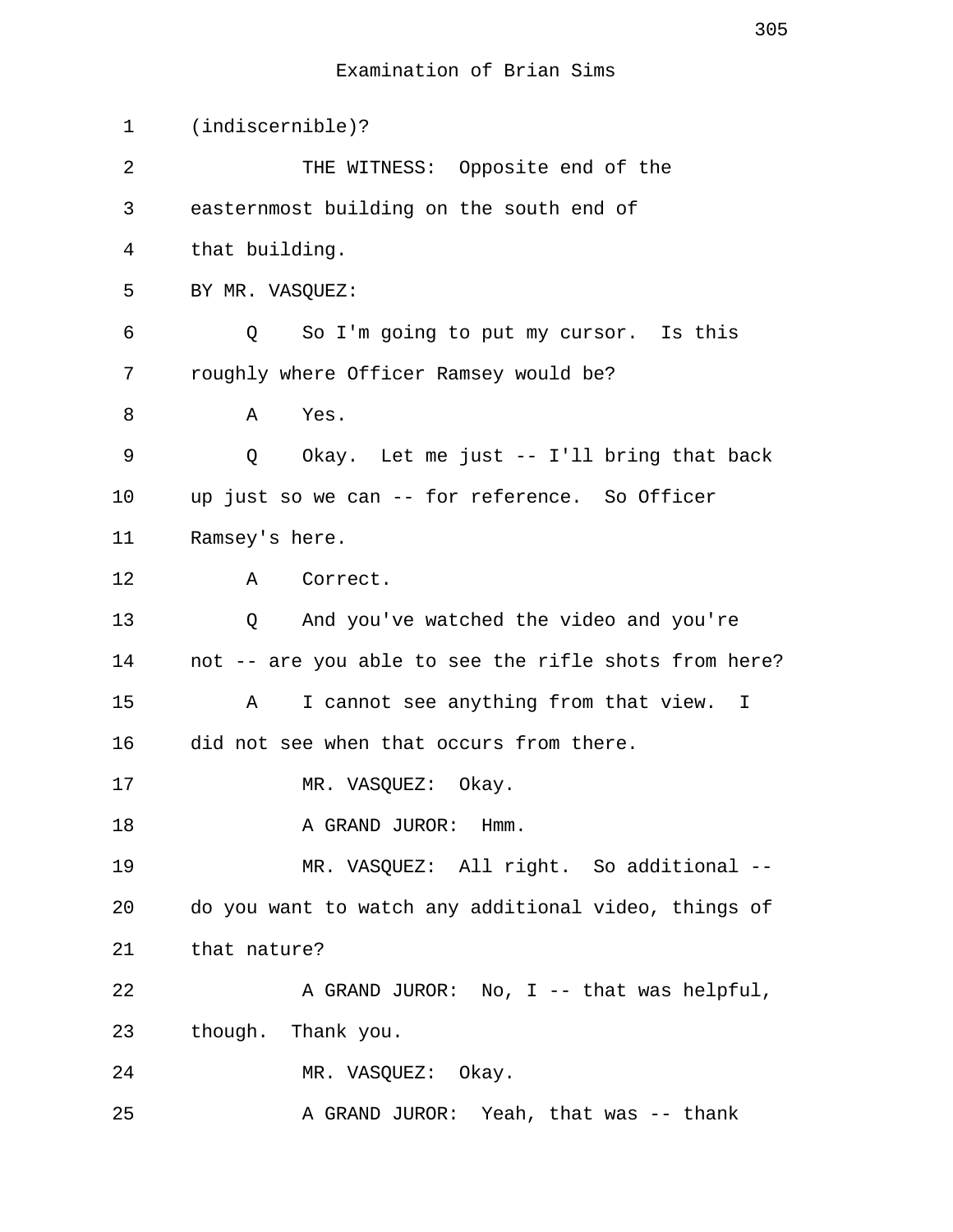| $\mathbf 1$ | $(indiscernible)$ ?                                   |
|-------------|-------------------------------------------------------|
| 2           | THE WITNESS: Opposite end of the                      |
| 3           | easternmost building on the south end of              |
| 4           | that building.                                        |
| 5           | BY MR. VASQUEZ:                                       |
| 6           | So I'm going to put my cursor. Is this<br>Q           |
| 7           | roughly where Officer Ramsey would be?                |
| 8           | Yes.<br>Α                                             |
| 9           | Okay. Let me just -- I'll bring that back<br>Q        |
| 10          | up just so we can -- for reference. So Officer        |
| 11          | Ramsey's here.                                        |
| 12          | A<br>Correct.                                         |
| 13          | And you've watched the video and you're<br>Q          |
| 14          | not -- are you able to see the rifle shots from here? |
| 15          | I cannot see anything from that view. I<br>A          |
| 16          | did not see when that occurs from there.              |
| 17          | MR. VASQUEZ:<br>Okay.                                 |
| 18          | A GRAND JUROR: Hmm.                                   |
| 19          | MR. VASQUEZ: All right. So additional --              |
| 20          | do you want to watch any additional video, things of  |
| 21          | that nature?                                          |
| 22          | A GRAND JUROR: No, I -- that was helpful,             |
| 23          | though. Thank you.                                    |
| 24          | MR. VASQUEZ: Okay.                                    |
| 25          | A GRAND JUROR: Yeah, that was -- thank                |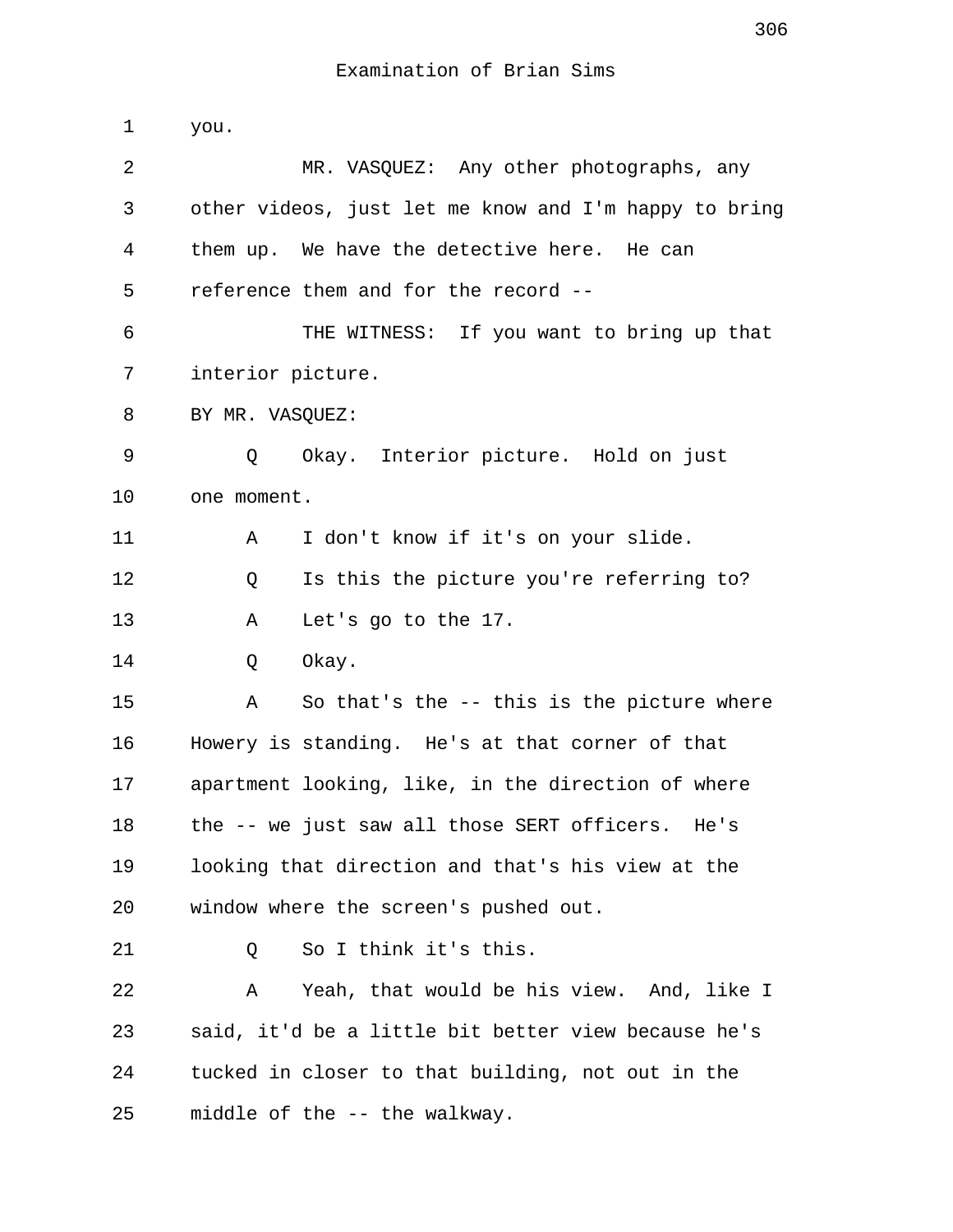1 you. 2 MR. VASQUEZ: Any other photographs, any 3 other videos, just let me know and I'm happy to bring 4 them up. We have the detective here. He can 5 reference them and for the record -- 6 THE WITNESS: If you want to bring up that 7 interior picture. 8 BY MR. VASOUEZ: 9 Q Okay. Interior picture. Hold on just 10 one moment. 11 A I don't know if it's on your slide. 12 Q Is this the picture you're referring to? 13 A Let's go to the 17. 14 Q Okay. 15 A So that's the -- this is the picture where 16 Howery is standing. He's at that corner of that 17 apartment looking, like, in the direction of where 18 the -- we just saw all those SERT officers. He's 19 looking that direction and that's his view at the 20 window where the screen's pushed out. 21 0 So I think it's this. 22 A Yeah, that would be his view. And, like I 23 said, it'd be a little bit better view because he's 24 tucked in closer to that building, not out in the 25 middle of the -- the walkway.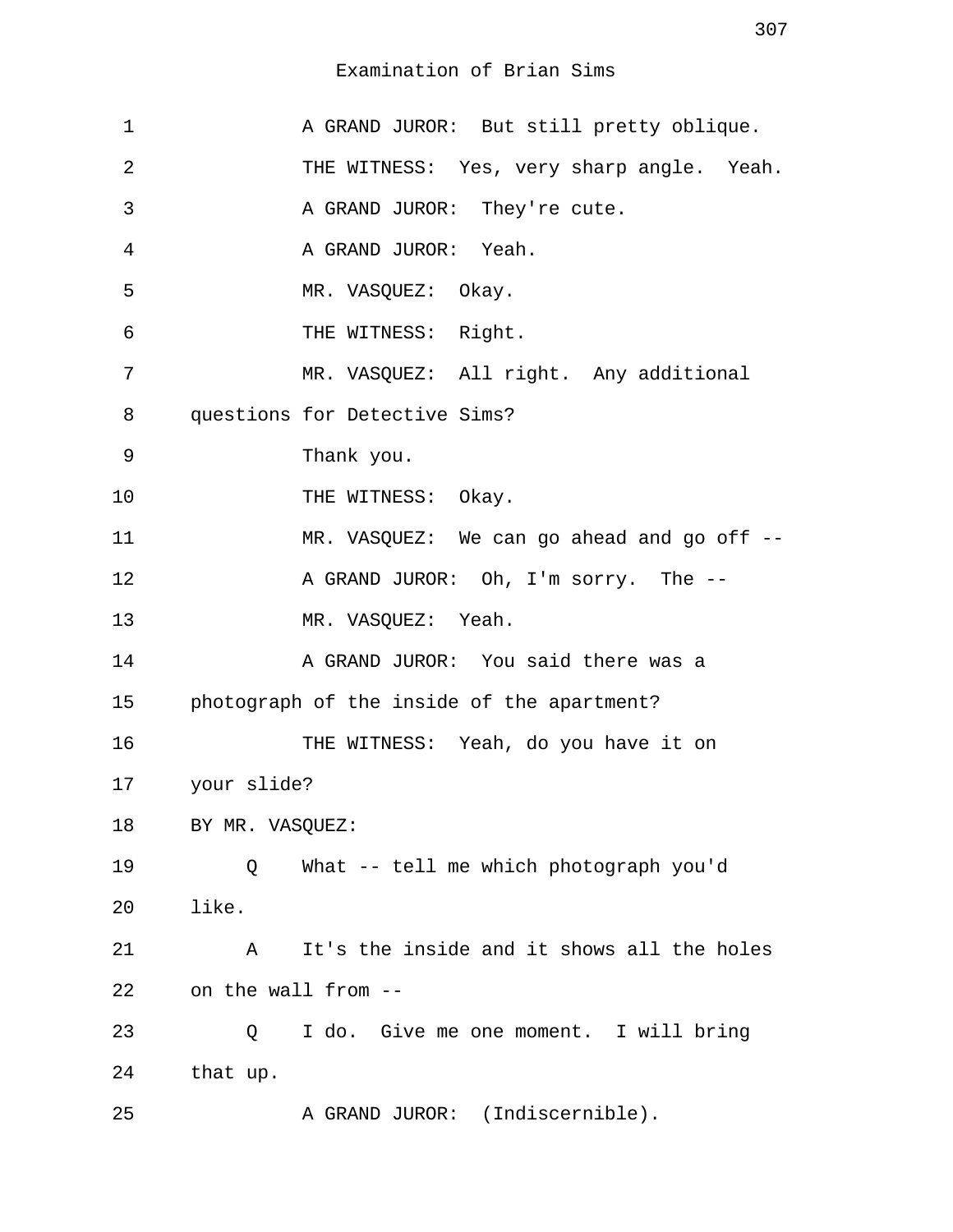| $\mathbf 1$ | A GRAND JUROR: But still pretty oblique.        |
|-------------|-------------------------------------------------|
| 2           | THE WITNESS: Yes, very sharp angle. Yeah.       |
| 3           | A GRAND JUROR: They're cute.                    |
| 4           | A GRAND JUROR: Yeah.                            |
| 5           | MR. VASQUEZ: Okay.                              |
| 6           | THE WITNESS: Right.                             |
| 7           | MR. VASQUEZ: All right. Any additional          |
| 8           | questions for Detective Sims?                   |
| 9           | Thank you.                                      |
| 10          | THE WITNESS: Okay.                              |
| 11          | MR. VASQUEZ: We can go ahead and go off --      |
| 12          | A GRAND JUROR: Oh, I'm sorry. The --            |
| 13          | MR. VASQUEZ: Yeah.                              |
| 14          | A GRAND JUROR: You said there was a             |
| 15          | photograph of the inside of the apartment?      |
| 16          | THE WITNESS: Yeah, do you have it on            |
| 17          | your slide?                                     |
| 18          | BY MR. VASQUEZ:                                 |
| 19          | What -- tell me which photograph you'd<br>Q     |
| 20          | like.                                           |
| 21          | It's the inside and it shows all the holes<br>Α |
| 22          | on the wall from --                             |
| 23          | I do. Give me one moment. I will bring<br>Q     |
| 24          | that up.                                        |
| 25          | A GRAND JUROR: (Indiscernible).                 |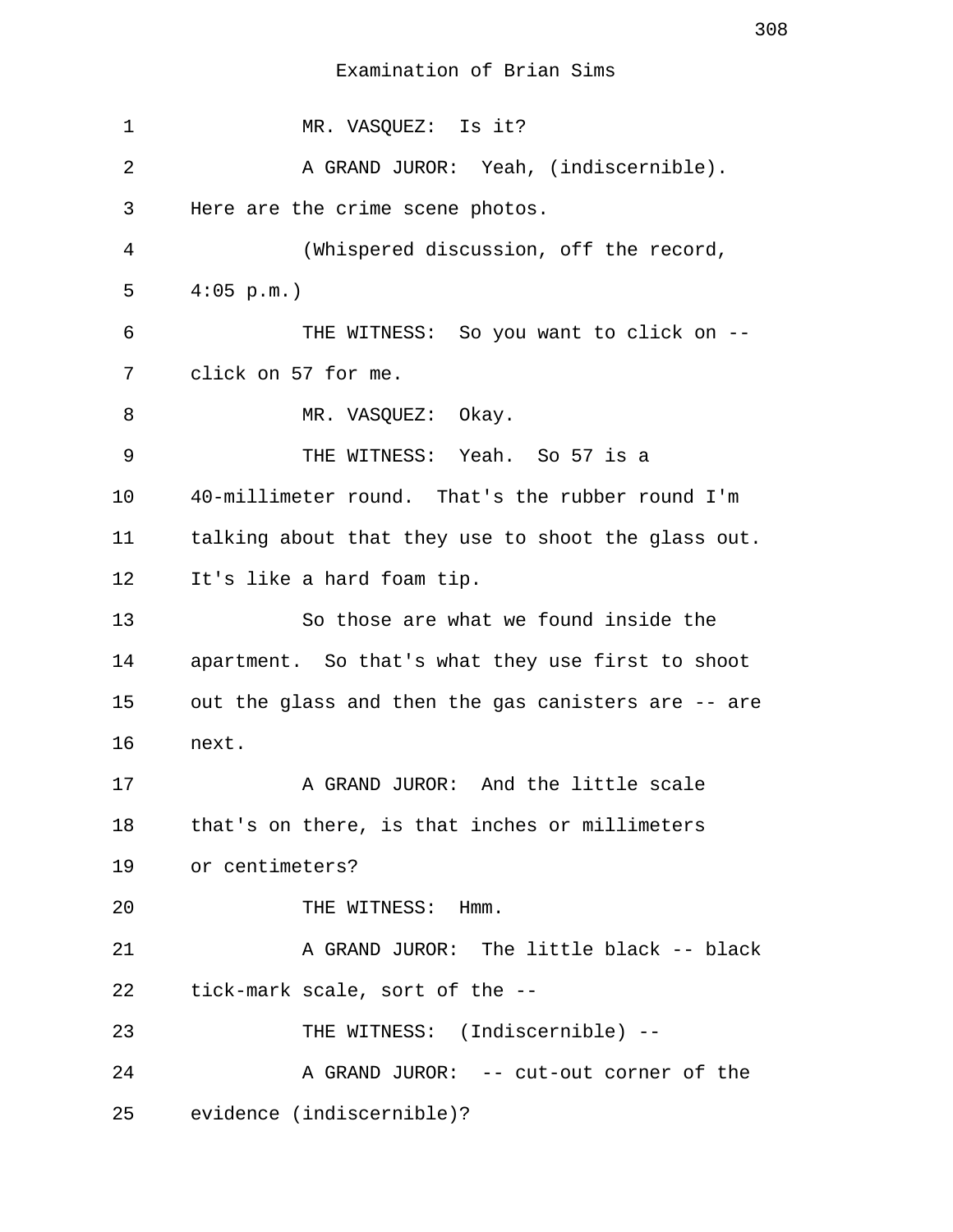1 MR. VASOUEZ: Is it? 2 A GRAND JUROR: Yeah, (indiscernible). 3 Here are the crime scene photos. 4 (Whispered discussion, off the record, 5 4:05 p.m.) 6 THE WITNESS: So you want to click on -- 7 click on 57 for me. 8 MR. VASQUEZ: Okay. 9 THE WITNESS: Yeah. So 57 is a 10 40-millimeter round. That's the rubber round I'm 11 talking about that they use to shoot the glass out. 12 It's like a hard foam tip. 13 So those are what we found inside the 14 apartment. So that's what they use first to shoot 15 out the glass and then the gas canisters are -- are 16 next. 17 A GRAND JUROR: And the little scale 18 that's on there, is that inches or millimeters 19 or centimeters? 20 THE WITNESS: Hmm. 21 A GRAND JUROR: The little black -- black 22 tick-mark scale, sort of the -- 23 THE WITNESS: (Indiscernible) -- 24 A GRAND JUROR: -- cut-out corner of the 25 evidence (indiscernible)?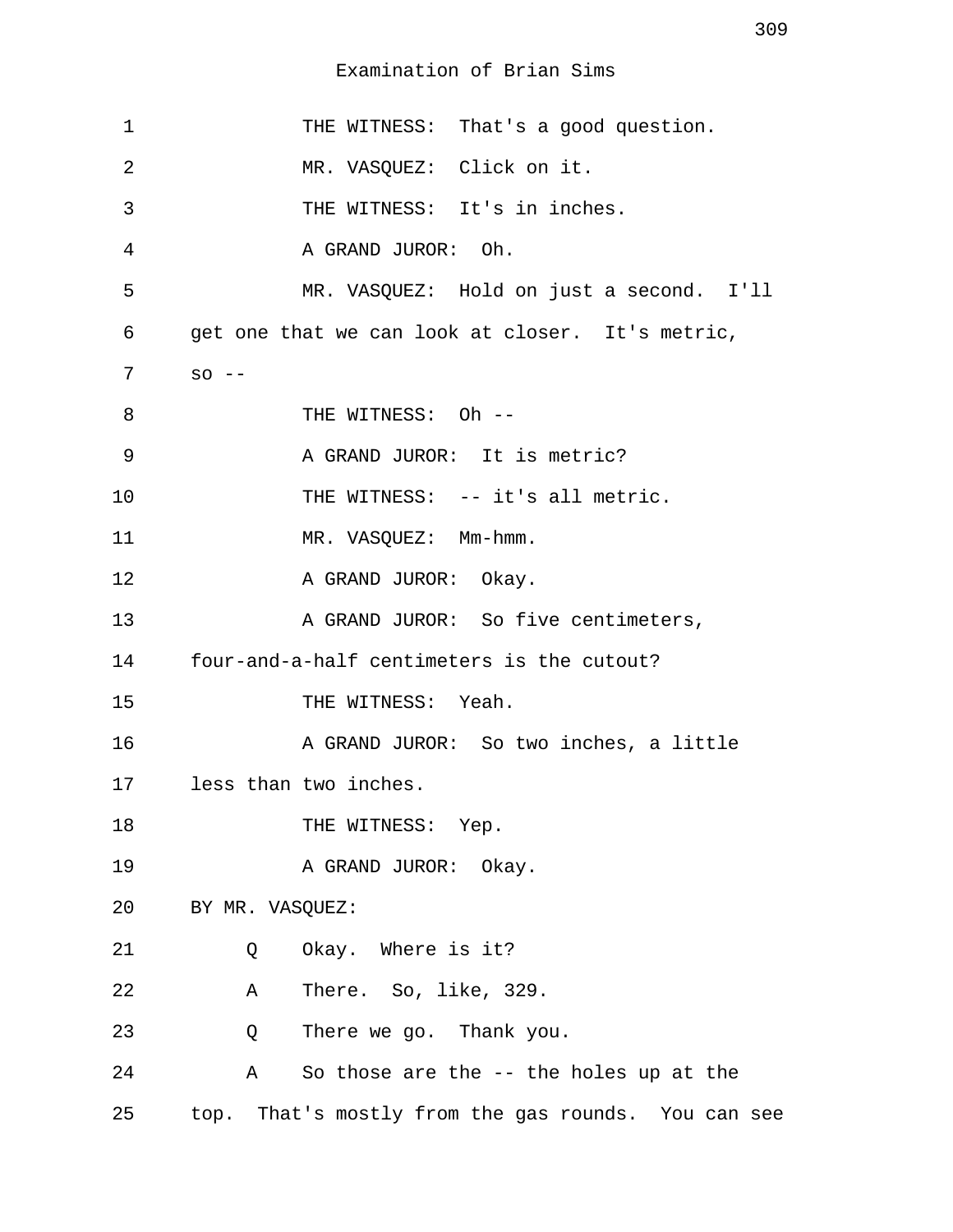| $\mathbf 1$ | THE WITNESS: That's a good question.                   |
|-------------|--------------------------------------------------------|
| 2           | MR. VASQUEZ: Click on it.                              |
| 3           | THE WITNESS: It's in inches.                           |
| 4           | A GRAND JUROR: Oh.                                     |
| 5           | MR. VASQUEZ: Hold on just a second. I'll               |
| 6           | get one that we can look at closer. It's metric,       |
| 7           | $SO$ $--$                                              |
| 8           | THE WITNESS: Oh --                                     |
| 9           | A GRAND JUROR: It is metric?                           |
| 10          | THE WITNESS: -- it's all metric.                       |
| 11          | MR. VASQUEZ: Mm-hmm.                                   |
| 12          | A GRAND JUROR: Okay.                                   |
| 13          | A GRAND JUROR: So five centimeters,                    |
| 14          | four-and-a-half centimeters is the cutout?             |
| 15          | THE WITNESS: Yeah.                                     |
| 16          | A GRAND JUROR: So two inches, a little                 |
| 17          | less than two inches.                                  |
| 18          | THE WITNESS: Yep.                                      |
| 19          | A GRAND JUROR: Okay.                                   |
| 20          | BY MR. VASQUEZ:                                        |
| 21          | Okay. Where is it?<br>Q                                |
| 22          | There. So, like, 329.<br>Α                             |
| 23          | There we go. Thank you.<br>Q                           |
| 24          | So those are the -- the holes up at the<br>$\mathbb A$ |
| 25          | top. That's mostly from the gas rounds. You can see    |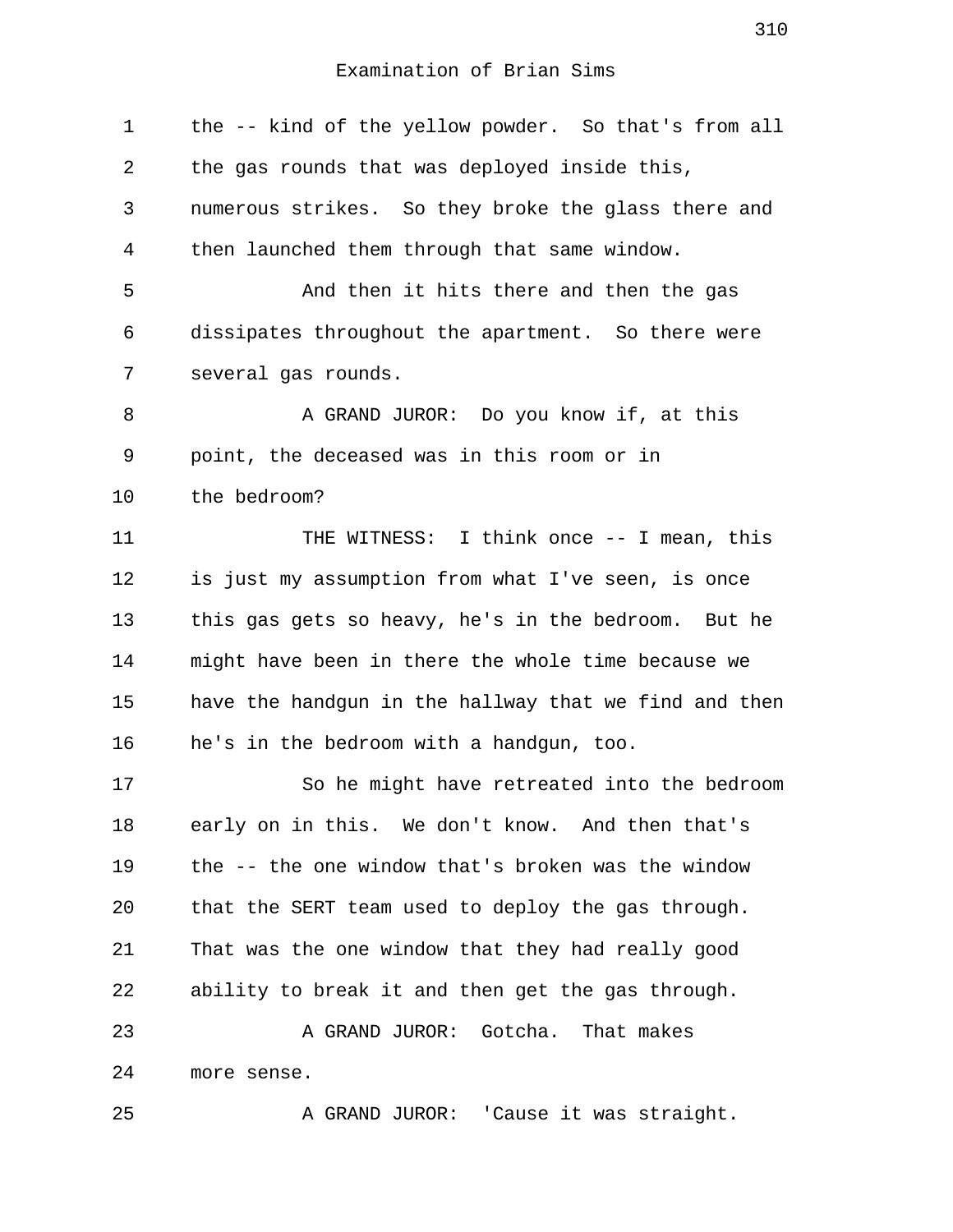1 the -- kind of the yellow powder. So that's from all 2 the gas rounds that was deployed inside this, 3 numerous strikes. So they broke the glass there and 4 then launched them through that same window. 5 And then it hits there and then the gas 6 dissipates throughout the apartment. So there were 7 several gas rounds. 8 A GRAND JUROR: Do you know if, at this 9 point, the deceased was in this room or in 10 the bedroom? 11 THE WITNESS: I think once -- I mean, this 12 is just my assumption from what I've seen, is once 13 this gas gets so heavy, he's in the bedroom. But he 14 might have been in there the whole time because we 15 have the handgun in the hallway that we find and then 16 he's in the bedroom with a handgun, too. 17 So he might have retreated into the bedroom 18 early on in this. We don't know. And then that's 19 the -- the one window that's broken was the window 20 that the SERT team used to deploy the gas through. 21 That was the one window that they had really good 22 ability to break it and then get the gas through. 23 A GRAND JUROR: Gotcha. That makes 24 more sense. 25 A GRAND JUROR: 'Cause it was straight.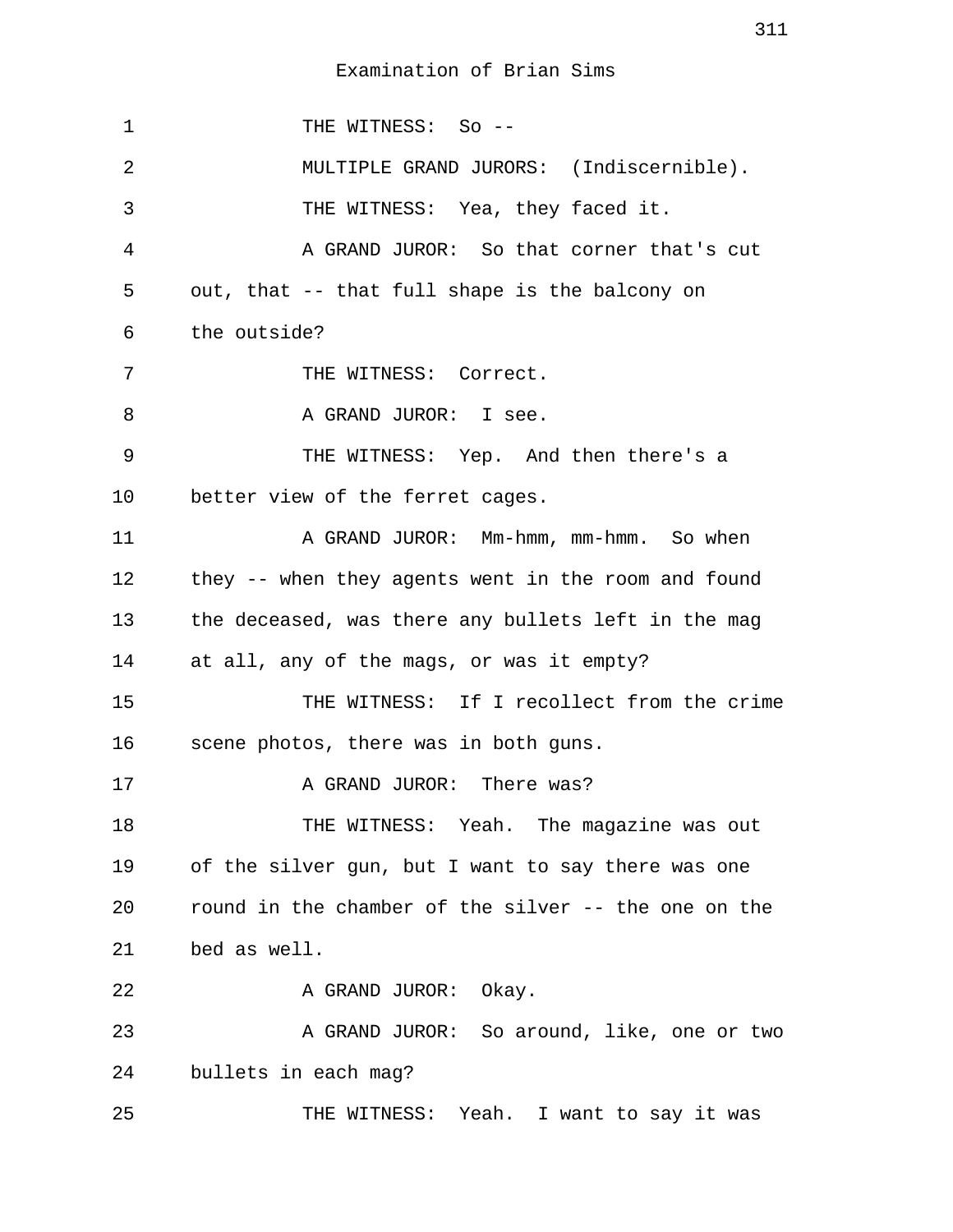1 THE WITNESS: So -- 2 MULTIPLE GRAND JURORS: (Indiscernible). 3 THE WITNESS: Yea, they faced it. 4 A GRAND JUROR: So that corner that's cut 5 out, that -- that full shape is the balcony on 6 the outside? 7 THE WITNESS: Correct. 8 A GRAND JUROR: I see. 9 THE WITNESS: Yep. And then there's a 10 better view of the ferret cages. 11 A GRAND JUROR: Mm-hmm, mm-hmm. So when 12 they -- when they agents went in the room and found 13 the deceased, was there any bullets left in the mag 14 at all, any of the mags, or was it empty? 15 THE WITNESS: If I recollect from the crime 16 scene photos, there was in both guns. 17 A GRAND JUROR: There was? 18 THE WITNESS: Yeah. The magazine was out 19 of the silver gun, but I want to say there was one 20 round in the chamber of the silver -- the one on the 21 bed as well. 22 A GRAND JUROR: Okay. 23 A GRAND JUROR: So around, like, one or two 24 bullets in each mag? 25 THE WITNESS: Yeah. I want to say it was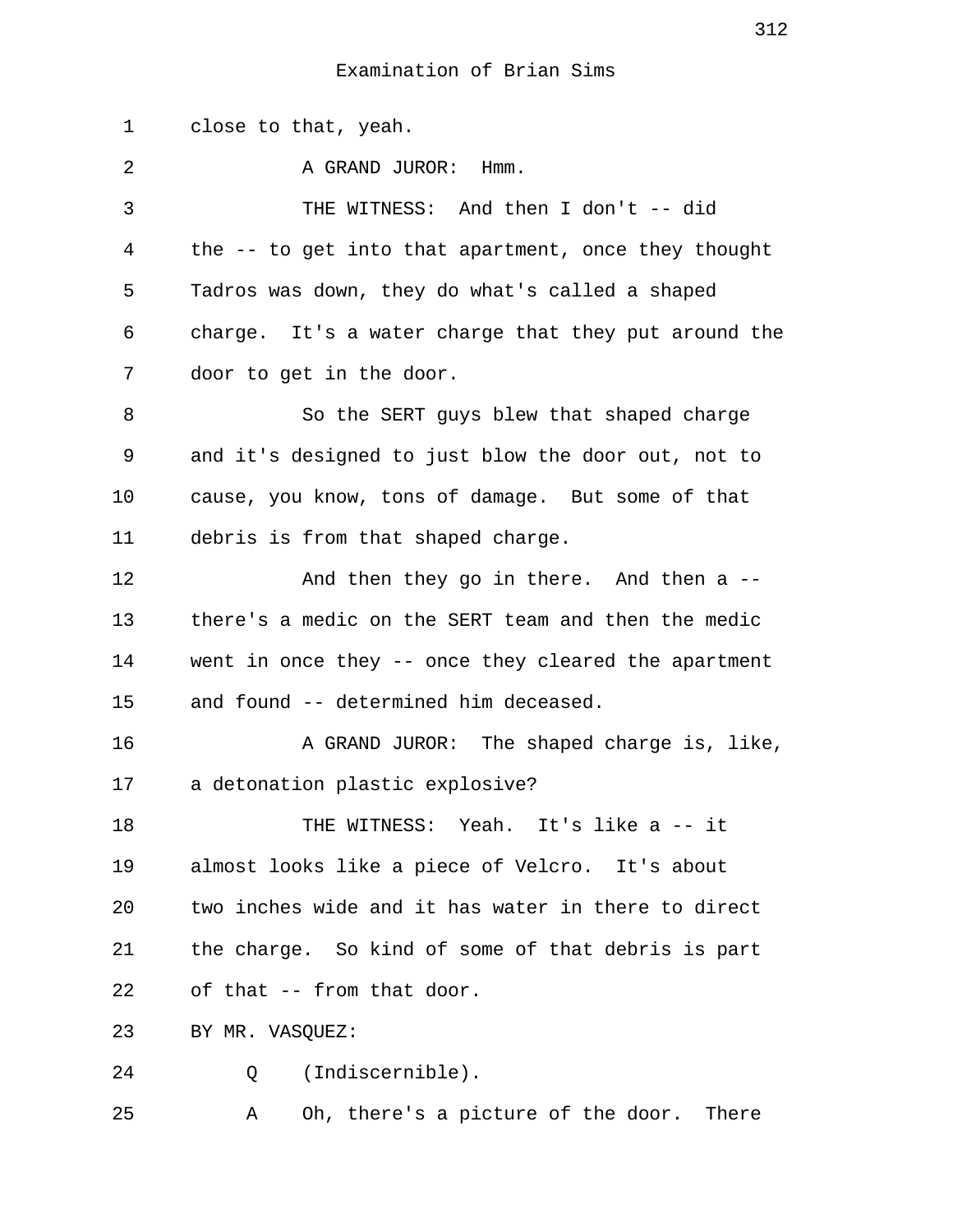1 close to that, yeah. 2 A GRAND JUROR: Hmm. 3 THE WITNESS: And then I don't -- did 4 the -- to get into that apartment, once they thought 5 Tadros was down, they do what's called a shaped 6 charge. It's a water charge that they put around the 7 door to get in the door. 8 So the SERT guys blew that shaped charge 9 and it's designed to just blow the door out, not to 10 cause, you know, tons of damage. But some of that 11 debris is from that shaped charge. 12 And then they go in there. And then a -- 13 there's a medic on the SERT team and then the medic 14 went in once they -- once they cleared the apartment 15 and found -- determined him deceased. 16 A GRAND JUROR: The shaped charge is, like, 17 a detonation plastic explosive? 18 THE WITNESS: Yeah. It's like a -- it 19 almost looks like a piece of Velcro. It's about 20 two inches wide and it has water in there to direct 21 the charge. So kind of some of that debris is part 22 of that -- from that door. 23 BY MR. VASQUEZ: 24 Q (Indiscernible).

25 A Oh, there's a picture of the door. There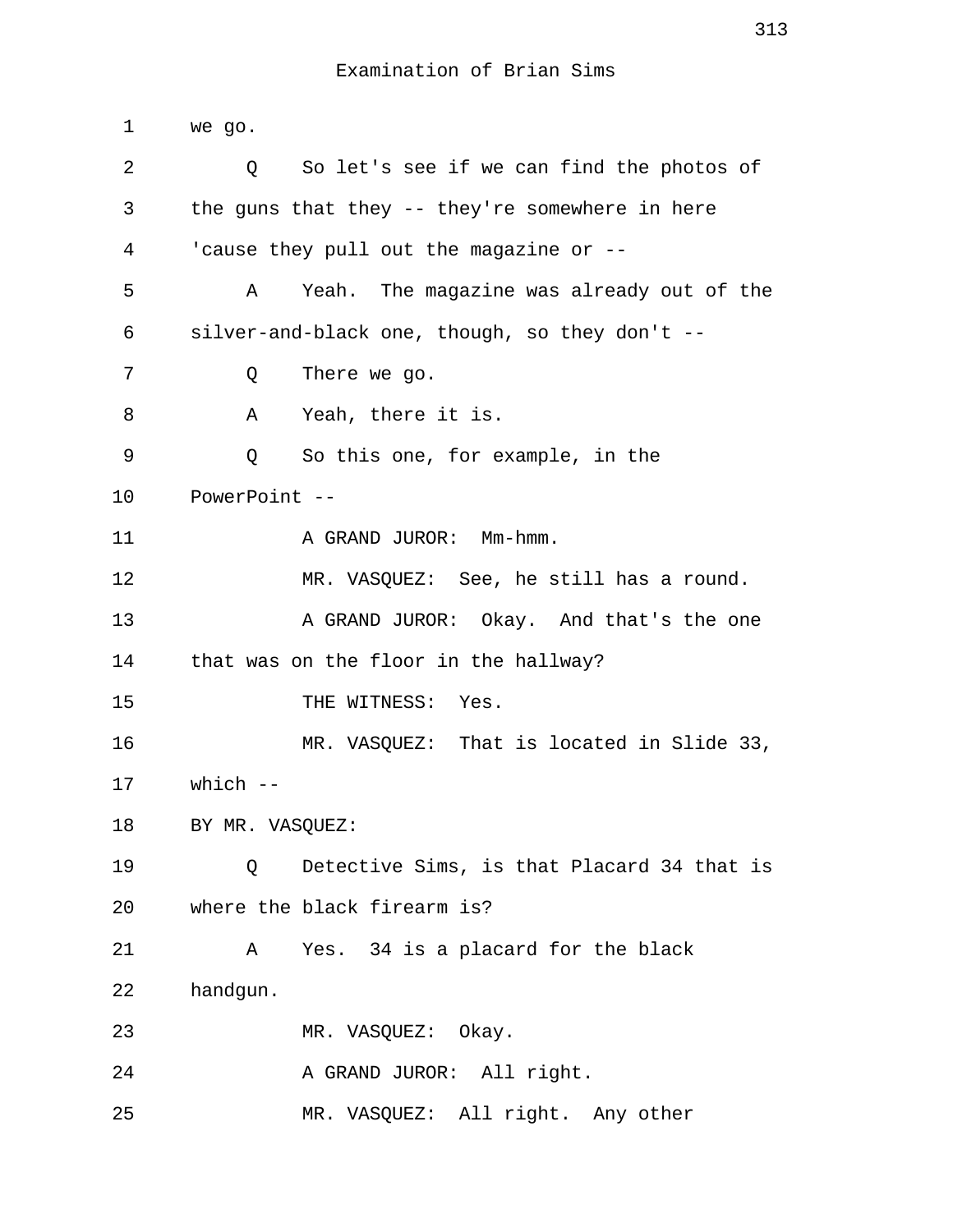1 we go. 2 Q So let's see if we can find the photos of 3 the guns that they -- they're somewhere in here 4 'cause they pull out the magazine or -- 5 A Yeah. The magazine was already out of the 6 silver-and-black one, though, so they don't -- 7 Q There we go. 8 A Yeah, there it is. 9 Q So this one, for example, in the 10 PowerPoint -- 11 A GRAND JUROR: Mm-hmm. 12 MR. VASQUEZ: See, he still has a round. 13 A GRAND JUROR: Okay. And that's the one 14 that was on the floor in the hallway? 15 THE WITNESS: Yes. 16 MR. VASQUEZ: That is located in Slide 33, 17 which -- 18 BY MR. VASOUEZ: 19 Q Detective Sims, is that Placard 34 that is 20 where the black firearm is? 21 A Yes. 34 is a placard for the black 22 handgun. 23 MR. VASQUEZ: Okay. 24 A GRAND JUROR: All right. 25 MR. VASQUEZ: All right. Any other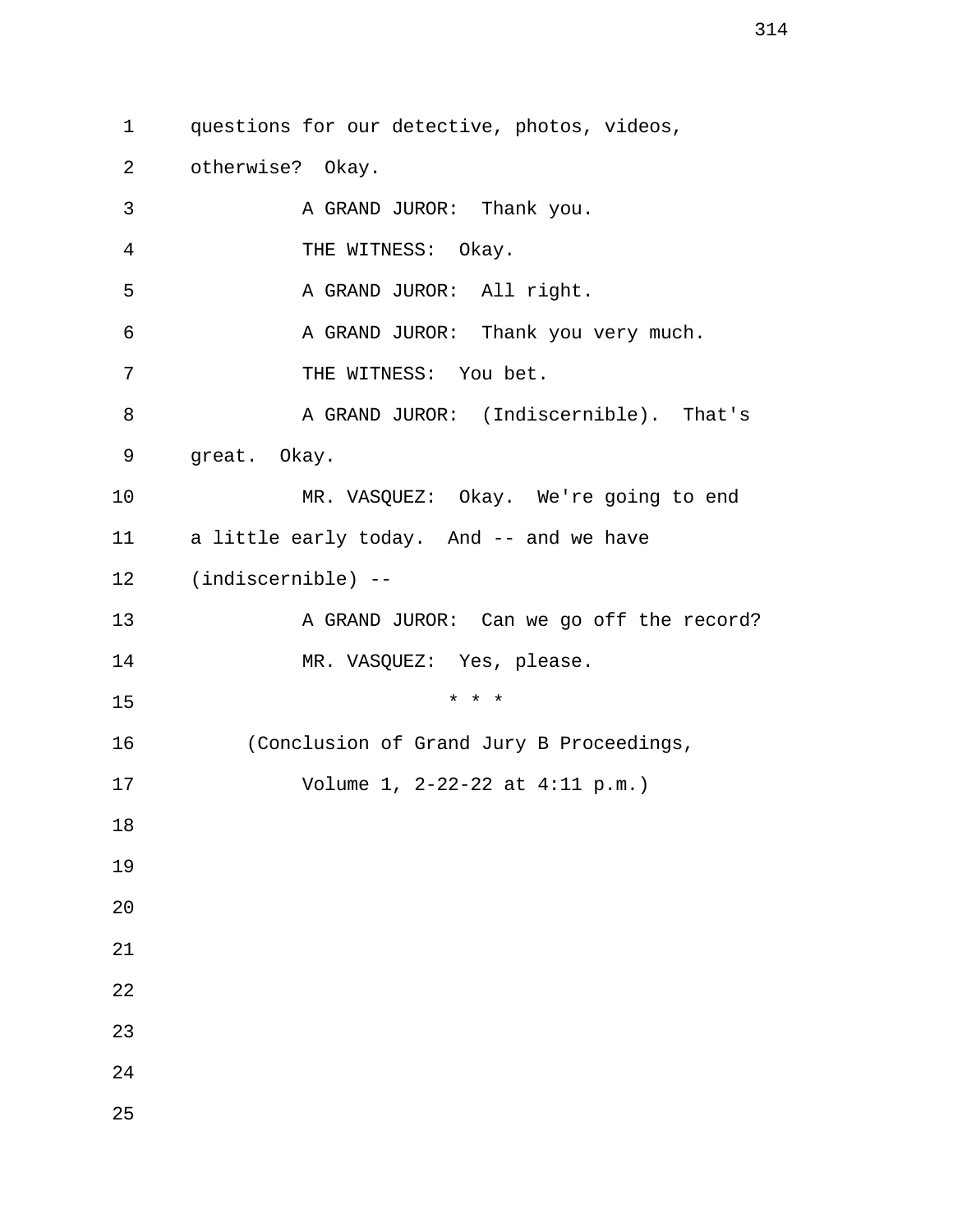1 questions for our detective, photos, videos,

2 otherwise? Okay.

25

3 A GRAND JUROR: Thank you. 4 THE WITNESS: Okay. 5 A GRAND JUROR: All right. 6 A GRAND JUROR: Thank you very much. 7 THE WITNESS: You bet. 8 A GRAND JUROR: (Indiscernible). That's 9 great. Okay. 10 MR. VASQUEZ: Okay. We're going to end 11 a little early today. And -- and we have 12 (indiscernible) -- 13 A GRAND JUROR: Can we go off the record? 14 MR. VASQUEZ: Yes, please. 15 \* \* \* 16 (Conclusion of Grand Jury B Proceedings, 17 Volume 1, 2-22-22 at 4:11 p.m.) 18 19 20 21 22 23 24